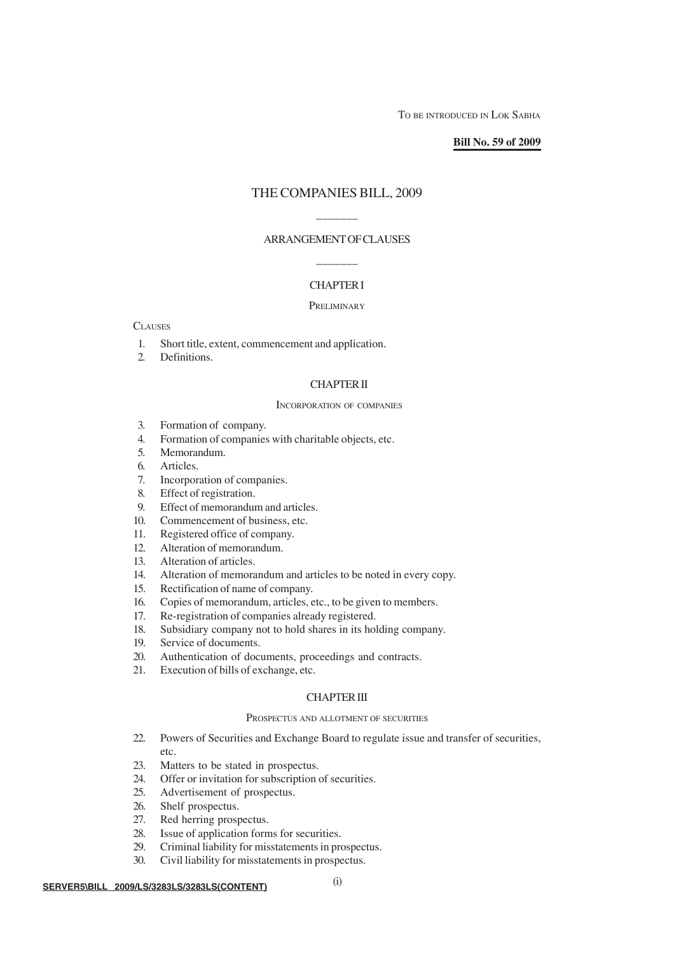TO BE INTRODUCED IN LOK SABHA

## **Bill No. 59 of 2009**

# THE COMPANIES BILL, 2009 \_\_\_\_\_\_\_

## ARRANGEMENT OF CLAUSES \_\_\_\_\_\_\_

#### CHAPTER I

## **PRELIMINARY**

## **CLAUSES**

- 1. Short title, extent, commencement and application.
- 2. Definitions.

#### CHAPTER II

## INCORPORATION OF COMPANIES

- 3. Formation of company.
- 4. Formation of companies with charitable objects, etc.
- 5. Memorandum.
- 6. Articles.
- 7. Incorporation of companies.
- 8. Effect of registration.
- 9. Effect of memorandum and articles.
- 10. Commencement of business, etc.
- 11. Registered office of company.
- 12. Alteration of memorandum.
- 13. Alteration of articles.
- 14. Alteration of memorandum and articles to be noted in every copy.
- 15. Rectification of name of company.
- 16. Copies of memorandum, articles, etc., to be given to members.
- 17. Re-registration of companies already registered.
- 18. Subsidiary company not to hold shares in its holding company.
- 19. Service of documents.
- 20. Authentication of documents, proceedings and contracts.
- 21. Execution of bills of exchange, etc.

## CHAPTER III

#### PROSPECTUS AND ALLOTMENT OF SECURITIES

- 22. Powers of Securities and Exchange Board to regulate issue and transfer of securities, etc.
- 23. Matters to be stated in prospectus.
- 24. Offer or invitation for subscription of securities.
- 25. Advertisement of prospectus.
- 26. Shelf prospectus.
- 27. Red herring prospectus.
- 28. Issue of application forms for securities.
- 29. Criminal liability for misstatements in prospectus.
- 30. Civil liability for misstatements in prospectus.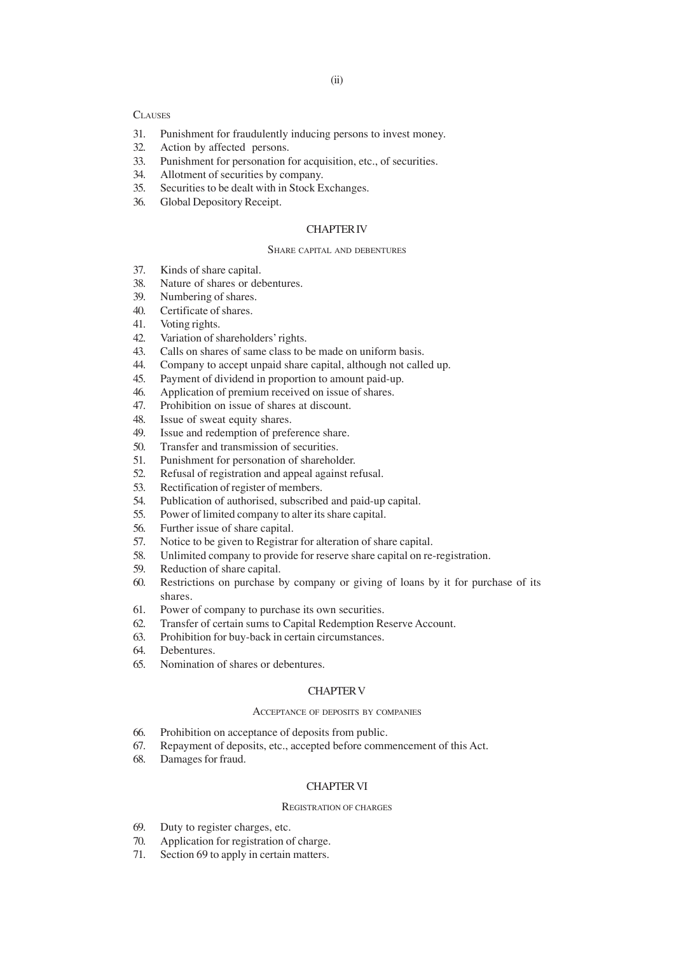- 31. Punishment for fraudulently inducing persons to invest money.
- 32. Action by affected persons.
- 33. Punishment for personation for acquisition, etc., of securities.
- 34. Allotment of securities by company.
- 35. Securities to be dealt with in Stock Exchanges.
- 36. Global Depository Receipt.

## CHAPTER IV

## SHARE CAPITAL AND DEBENTURES

- 37. Kinds of share capital.
- 38. Nature of shares or debentures.
- 39. Numbering of shares.
- 40. Certificate of shares.
- 41. Voting rights.
- 42. Variation of shareholders' rights.
- 43. Calls on shares of same class to be made on uniform basis.
- 44. Company to accept unpaid share capital, although not called up.
- 45. Payment of dividend in proportion to amount paid-up.
- 46. Application of premium received on issue of shares.
- 47. Prohibition on issue of shares at discount.
- 48. Issue of sweat equity shares.
- 49. Issue and redemption of preference share.
- 50. Transfer and transmission of securities.
- 51. Punishment for personation of shareholder.
- 52. Refusal of registration and appeal against refusal.
- 53. Rectification of register of members.
- 54. Publication of authorised, subscribed and paid-up capital.
- 55. Power of limited company to alter its share capital.
- 56. Further issue of share capital.
- 57. Notice to be given to Registrar for alteration of share capital.
- 58. Unlimited company to provide for reserve share capital on re-registration.
- 59. Reduction of share capital.
- 60. Restrictions on purchase by company or giving of loans by it for purchase of its shares.
- 61. Power of company to purchase its own securities.
- 62. Transfer of certain sums to Capital Redemption Reserve Account.
- 63. Prohibition for buy-back in certain circumstances.
- 64. Debentures.
- 65. Nomination of shares or debentures.

#### CHAPTER V

#### ACCEPTANCE OF DEPOSITS BY COMPANIES

- 66. Prohibition on acceptance of deposits from public.
- 67. Repayment of deposits, etc., accepted before commencement of this Act.
- 68. Damages for fraud.

## CHAPTER VI

#### REGISTRATION OF CHARGES

- 69. Duty to register charges, etc.
- 70. Application for registration of charge.
- 71. Section 69 to apply in certain matters.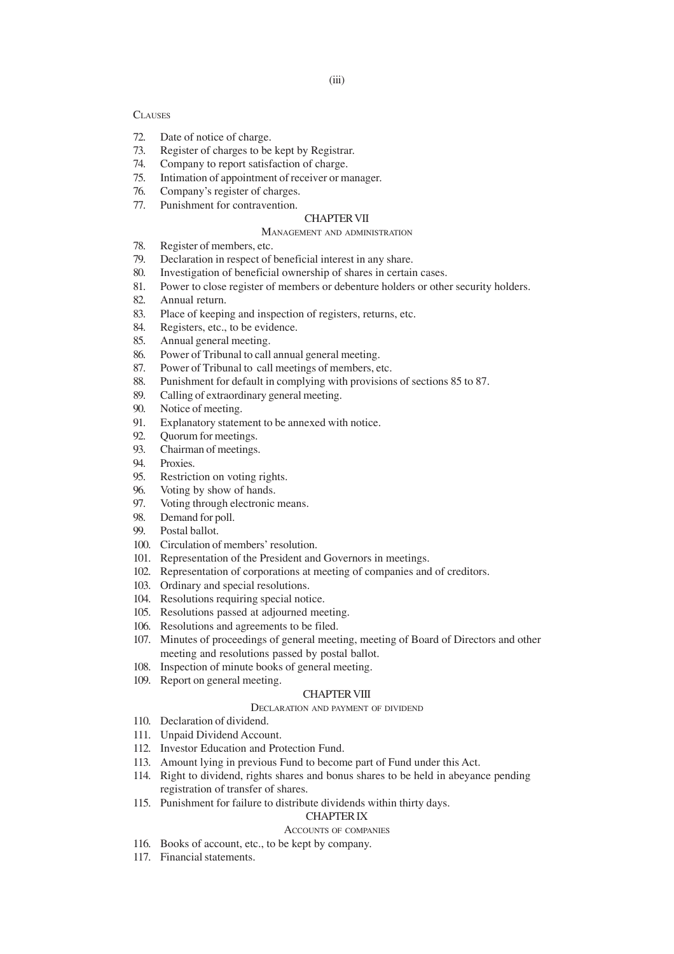- 72. Date of notice of charge.
- 73. Register of charges to be kept by Registrar.
- 74. Company to report satisfaction of charge.
- 75. Intimation of appointment of receiver or manager.
- 76. Company's register of charges.
- 77. Punishment for contravention.

#### CHAPTER VII

#### MANAGEMENT AND ADMINISTRATION

- 78. Register of members, etc.
- 79. Declaration in respect of beneficial interest in any share.
- 80. Investigation of beneficial ownership of shares in certain cases.
- 81. Power to close register of members or debenture holders or other security holders.
- 82. Annual return.
- 83. Place of keeping and inspection of registers, returns, etc.
- 84. Registers, etc., to be evidence.
- 85. Annual general meeting.
- 86. Power of Tribunal to call annual general meeting.
- 87. Power of Tribunal to call meetings of members, etc.
- 88. Punishment for default in complying with provisions of sections 85 to 87.
- 89. Calling of extraordinary general meeting.
- 90. Notice of meeting.
- 91. Explanatory statement to be annexed with notice.
- 92. Quorum for meetings.
- 93. Chairman of meetings.
- 94. Proxies.
- 95. Restriction on voting rights.
- 96. Voting by show of hands.
- 97. Voting through electronic means.
- 98. Demand for poll.
- 99. Postal ballot.
- 100. Circulation of members' resolution.
- 101. Representation of the President and Governors in meetings.
- 102. Representation of corporations at meeting of companies and of creditors.
- 103. Ordinary and special resolutions.
- 104. Resolutions requiring special notice.
- 105. Resolutions passed at adjourned meeting.
- 106. Resolutions and agreements to be filed.
- 107. Minutes of proceedings of general meeting, meeting of Board of Directors and other meeting and resolutions passed by postal ballot.
- 108. Inspection of minute books of general meeting.
- 109. Report on general meeting.

## CHAPTER VIII

## DECLARATION AND PAYMENT OF DIVIDEND

- 110. Declaration of dividend.
- 111. Unpaid Dividend Account.
- 112. Investor Education and Protection Fund.
- 113. Amount lying in previous Fund to become part of Fund under this Act.
- 114. Right to dividend, rights shares and bonus shares to be held in abeyance pending registration of transfer of shares.
- 115. Punishment for failure to distribute dividends within thirty days.

## CHAPTER IX

#### ACCOUNTS OF COMPANIES

- 116. Books of account, etc., to be kept by company.
- 117. Financial statements.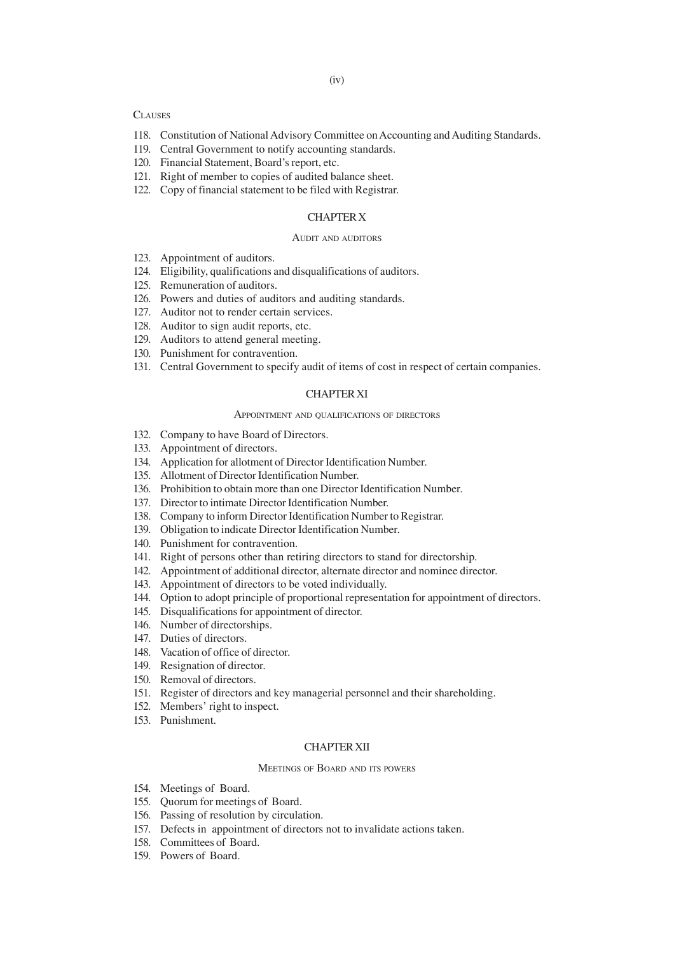- 118. Constitution of National Advisory Committee on Accounting and Auditing Standards.
- 119. Central Government to notify accounting standards.
- 120. Financial Statement, Board's report, etc.
- 121. Right of member to copies of audited balance sheet.
- 122. Copy of financial statement to be filed with Registrar.

## CHAPTER X

#### AUDIT AND AUDITORS

- 123. Appointment of auditors.
- 124. Eligibility, qualifications and disqualifications of auditors.
- 125. Remuneration of auditors.
- 126. Powers and duties of auditors and auditing standards.
- 127. Auditor not to render certain services.
- 128. Auditor to sign audit reports, etc.
- 129. Auditors to attend general meeting.
- 130. Punishment for contravention.
- 131. Central Government to specify audit of items of cost in respect of certain companies.

## CHAPTER XI

#### APPOINTMENT AND QUALIFICATIONS OF DIRECTORS

- 132. Company to have Board of Directors.
- 133. Appointment of directors.
- 134. Application for allotment of Director Identification Number.
- 135. Allotment of Director Identification Number.
- 136. Prohibition to obtain more than one Director Identification Number.
- 137. Director to intimate Director Identification Number.
- 138. Company to inform Director Identification Number to Registrar.
- 139. Obligation to indicate Director Identification Number.
- 140. Punishment for contravention.
- 141. Right of persons other than retiring directors to stand for directorship.
- 142. Appointment of additional director, alternate director and nominee director.
- 143. Appointment of directors to be voted individually.
- 144. Option to adopt principle of proportional representation for appointment of directors.
- 145. Disqualifications for appointment of director.
- 146. Number of directorships.
- 147. Duties of directors.
- 148. Vacation of office of director.
- 149. Resignation of director.
- 150. Removal of directors.
- 151. Register of directors and key managerial personnel and their shareholding.
- 152. Members' right to inspect.
- 153. Punishment.

#### CHAPTER XII

## MEETINGS OF BOARD AND ITS POWERS

- 154. Meetings of Board.
- 155. Quorum for meetings of Board.
- 156. Passing of resolution by circulation.
- 157. Defects in appointment of directors not to invalidate actions taken.
- 158. Committees of Board.
- 159. Powers of Board.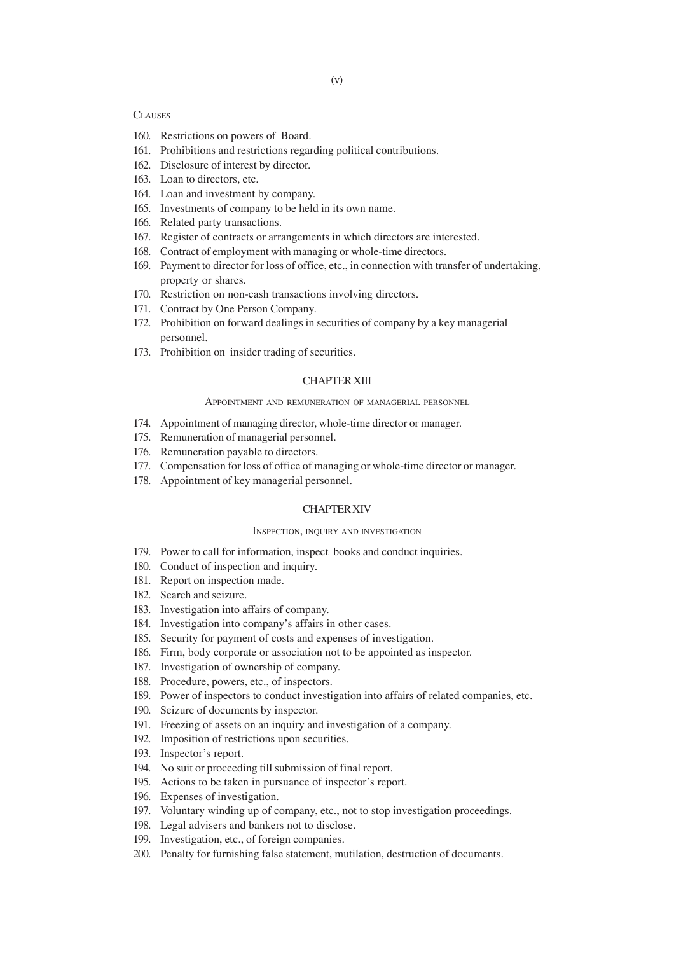- 160. Restrictions on powers of Board.
- 161. Prohibitions and restrictions regarding political contributions.
- 162. Disclosure of interest by director.
- 163. Loan to directors, etc.
- 164. Loan and investment by company.
- 165. Investments of company to be held in its own name.
- 166. Related party transactions.
- 167. Register of contracts or arrangements in which directors are interested.
- 168. Contract of employment with managing or whole-time directors.
- 169. Payment to director for loss of office, etc., in connection with transfer of undertaking, property or shares.
- 170. Restriction on non-cash transactions involving directors.
- 171. Contract by One Person Company.
- 172. Prohibition on forward dealings in securities of company by a key managerial personnel.
- 173. Prohibition on insider trading of securities.

#### CHAPTER XIII

## APPOINTMENT AND REMUNERATION OF MANAGERIAL PERSONNEL

- 174. Appointment of managing director, whole-time director or manager.
- 175. Remuneration of managerial personnel.
- 176. Remuneration payable to directors.
- 177. Compensation for loss of office of managing or whole-time director or manager.
- 178. Appointment of key managerial personnel.

### CHAPTER XIV

#### INSPECTION, INQUIRY AND INVESTIGATION

- 179. Power to call for information, inspect books and conduct inquiries.
- 180. Conduct of inspection and inquiry.
- 181. Report on inspection made.
- 182. Search and seizure.
- 183. Investigation into affairs of company.
- 184. Investigation into company's affairs in other cases.
- 185. Security for payment of costs and expenses of investigation.
- 186. Firm, body corporate or association not to be appointed as inspector.
- 187. Investigation of ownership of company.
- 188. Procedure, powers, etc., of inspectors.
- 189. Power of inspectors to conduct investigation into affairs of related companies, etc.
- 190. Seizure of documents by inspector.
- 191. Freezing of assets on an inquiry and investigation of a company.
- 192. Imposition of restrictions upon securities.
- 193. Inspector's report.
- 194. No suit or proceeding till submission of final report.
- 195. Actions to be taken in pursuance of inspector's report.
- 196. Expenses of investigation.
- 197. Voluntary winding up of company, etc., not to stop investigation proceedings.
- 198. Legal advisers and bankers not to disclose.
- 199. Investigation, etc., of foreign companies.
- 200. Penalty for furnishing false statement, mutilation, destruction of documents.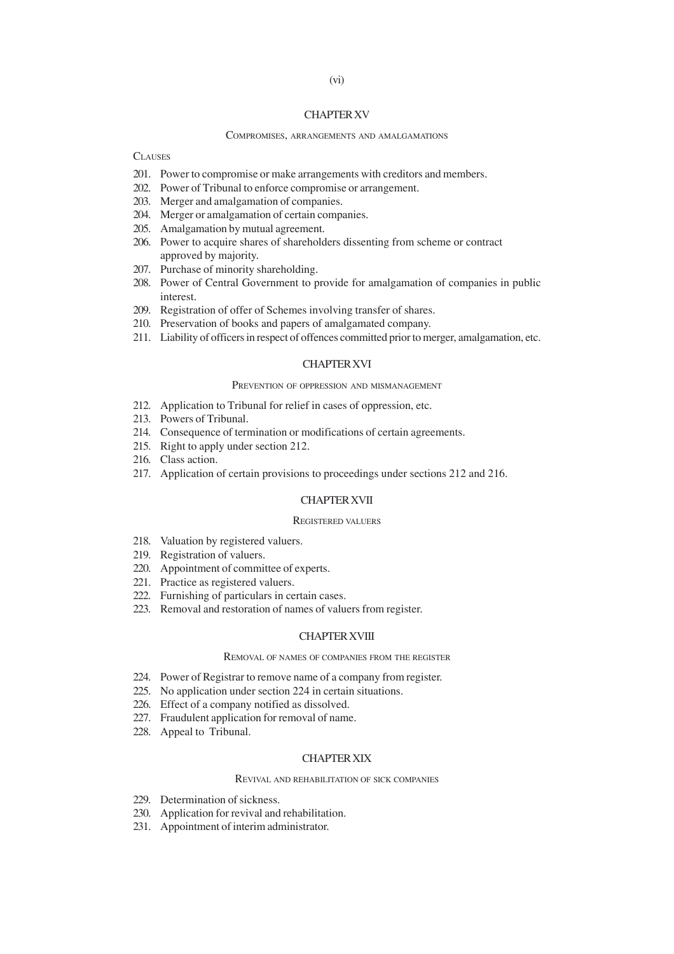## CHAPTER XV

#### COMPROMISES, ARRANGEMENTS AND AMALGAMATIONS

**CLAUSES** 

- 201. Power to compromise or make arrangements with creditors and members.
- 202. Power of Tribunal to enforce compromise or arrangement.
- 203. Merger and amalgamation of companies.
- 204. Merger or amalgamation of certain companies.
- 205. Amalgamation by mutual agreement.
- 206. Power to acquire shares of shareholders dissenting from scheme or contract approved by majority.
- 207. Purchase of minority shareholding.
- 208. Power of Central Government to provide for amalgamation of companies in public interest.
- 209. Registration of offer of Schemes involving transfer of shares.
- 210. Preservation of books and papers of amalgamated company.
- 211. Liability of officers in respect of offences committed prior to merger, amalgamation, etc.

## CHAPTER XVI

### PREVENTION OF OPPRESSION AND MISMANAGEMENT

- 212. Application to Tribunal for relief in cases of oppression, etc.
- 213. Powers of Tribunal.
- 214. Consequence of termination or modifications of certain agreements.
- 215. Right to apply under section 212.
- 216. Class action.
- 217. Application of certain provisions to proceedings under sections 212 and 216.

#### CHAPTER XVII

#### REGISTERED VALUERS

- 218. Valuation by registered valuers.
- 219. Registration of valuers.
- 220. Appointment of committee of experts.
- 221. Practice as registered valuers.
- 222. Furnishing of particulars in certain cases.
- 223. Removal and restoration of names of valuers from register.

## CHAPTER XVIII

#### REMOVAL OF NAMES OF COMPANIES FROM THE REGISTER

- 224. Power of Registrar to remove name of a company from register.
- 225. No application under section 224 in certain situations.
- 226. Effect of a company notified as dissolved.
- 227. Fraudulent application for removal of name.
- 228. Appeal to Tribunal.

#### CHAPTER XIX

#### REVIVAL AND REHABILITATION OF SICK COMPANIES

- 229. Determination of sickness.
- 230. Application for revival and rehabilitation.
- 231. Appointment of interim administrator.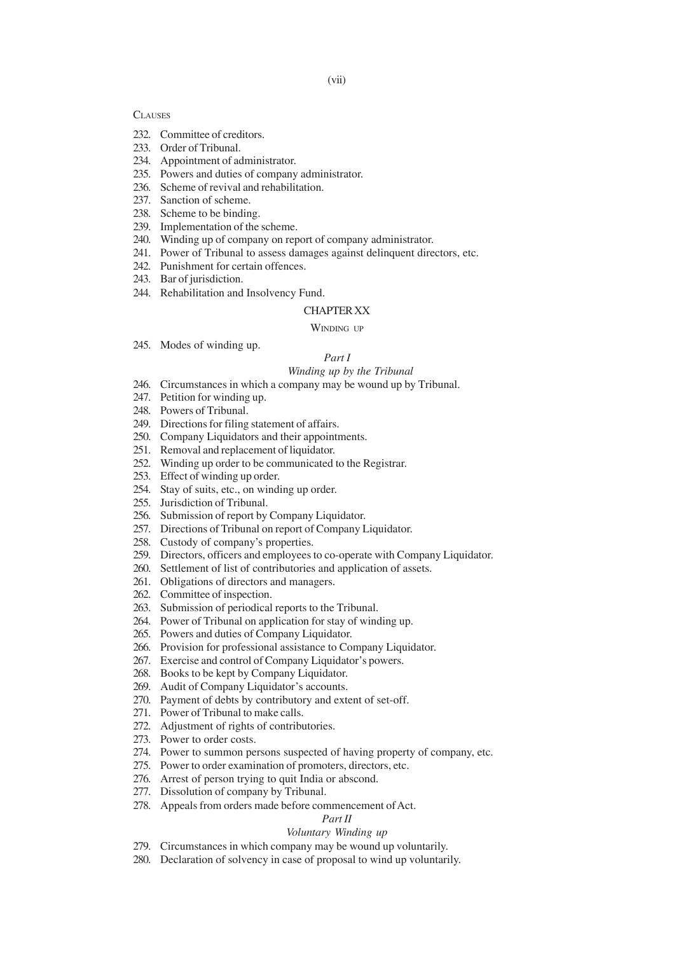- 232. Committee of creditors.
- 233. Order of Tribunal.
- 234. Appointment of administrator.
- 235. Powers and duties of company administrator.
- 236. Scheme of revival and rehabilitation.
- 237. Sanction of scheme.
- 238. Scheme to be binding.
- 239. Implementation of the scheme.
- 240. Winding up of company on report of company administrator.
- 241. Power of Tribunal to assess damages against delinquent directors, etc.
- 242. Punishment for certain offences.
- 243. Bar of jurisdiction.
- 244. Rehabilitation and Insolvency Fund.

## CHAPTER XX

## WINDING UP

245. Modes of winding up.

# *Part I*

## *Winding up by the Tribunal*

- 246. Circumstances in which a company may be wound up by Tribunal.
- 247. Petition for winding up.
- 248. Powers of Tribunal.
- 249. Directions for filing statement of affairs.
- 250. Company Liquidators and their appointments.
- 251. Removal and replacement of liquidator.
- 252. Winding up order to be communicated to the Registrar*.*
- 253. Effect of winding up order.
- 254. Stay of suits, etc., on winding up order.
- 255. Jurisdiction of Tribunal.
- 256. Submission of report by Company Liquidator.
- 257. Directions of Tribunal on report of Company Liquidator.
- 258. Custody of company's properties.
- 259. Directors, officers and employees to co-operate with Company Liquidator.
- 260. Settlement of list of contributories and application of assets.
- 261. Obligations of directors and managers.
- 262. Committee of inspection.
- 263. Submission of periodical reports to the Tribunal.
- 264. Power of Tribunal on application for stay of winding up.
- 265. Powers and duties of Company Liquidator.
- 266. Provision for professional assistance to Company Liquidator.
- 267. Exercise and control of Company Liquidator's powers.
- 268. Books to be kept by Company Liquidator.
- 269. Audit of Company Liquidator's accounts.
- 270. Payment of debts by contributory and extent of set-off.
- 271. Power of Tribunal to make calls.
- 272. Adjustment of rights of contributories.
- 273. Power to order costs.
- 274. Power to summon persons suspected of having property of company, etc.
- 275. Power to order examination of promoters, directors, etc.
- 276. Arrest of person trying to quit India or abscond.
- 277. Dissolution of company by Tribunal.
- 278. Appeals from orders made before commencement of Act.

## *Part II*

## *Voluntary Winding up*

- 279. Circumstances in which company may be wound up voluntarily.
- 280. Declaration of solvency in case of proposal to wind up voluntarily.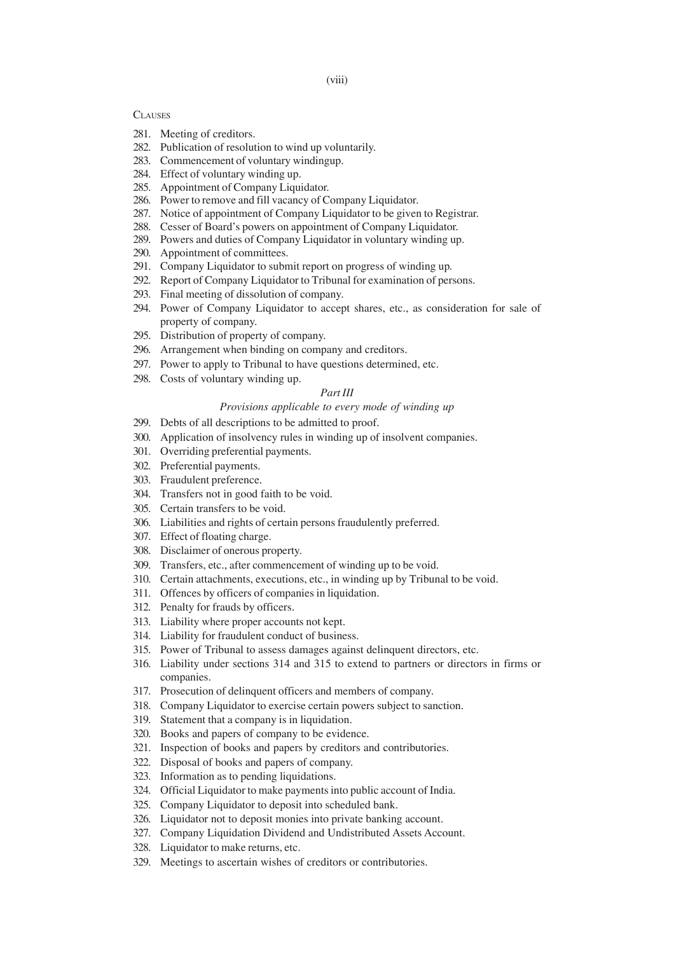- 281. Meeting of creditors.
- 282. Publication of resolution to wind up voluntarily.
- 283. Commencement of voluntary windingup.
- 284. Effect of voluntary winding up.
- 285. Appointment of Company Liquidator.
- 286. Power to remove and fill vacancy of Company Liquidator.
- 287. Notice of appointment of Company Liquidator to be given to Registrar.
- 288. Cesser of Board's powers on appointment of Company Liquidator.
- 289. Powers and duties of Company Liquidator in voluntary winding up.
- 290. Appointment of committees.
- 291. Company Liquidator to submit report on progress of winding up*.*
- 292. Report of Company Liquidator to Tribunal for examination of persons.
- 293. Final meeting of dissolution of company.
- 294. Power of Company Liquidator to accept shares, etc., as consideration for sale of property of company.
- 295. Distribution of property of company.
- 296. Arrangement when binding on company and creditors.
- 297. Power to apply to Tribunal to have questions determined, etc.
- 298. Costs of voluntary winding up.

## *Part III*

## *Provisions applicable to every mode of winding up*

- 299. Debts of all descriptions to be admitted to proof.
- 300. Application of insolvency rules in winding up of insolvent companies.
- 301. Overriding preferential payments.
- 302. Preferential payments.
- 303. Fraudulent preference.
- 304. Transfers not in good faith to be void.
- 305. Certain transfers to be void.
- 306. Liabilities and rights of certain persons fraudulently preferred.
- 307. Effect of floating charge.
- 308. Disclaimer of onerous property.
- 309. Transfers, etc., after commencement of winding up to be void.
- 310. Certain attachments, executions, etc., in winding up by Tribunal to be void.
- 311. Offences by officers of companies in liquidation.
- 312. Penalty for frauds by officers.
- 313. Liability where proper accounts not kept.
- 314. Liability for fraudulent conduct of business.
- 315. Power of Tribunal to assess damages against delinquent directors, etc.
- 316. Liability under sections 314 and 315 to extend to partners or directors in firms or companies.
- 317. Prosecution of delinquent officers and members of company.
- 318. Company Liquidator to exercise certain powers subject to sanction.
- 319. Statement that a company is in liquidation.
- 320. Books and papers of company to be evidence.
- 321. Inspection of books and papers by creditors and contributories.
- 322. Disposal of books and papers of company.
- 323. Information as to pending liquidations.
- 324. Official Liquidator to make payments into public account of India.
- 325. Company Liquidator to deposit into scheduled bank.
- 326. Liquidator not to deposit monies into private banking account.
- 327. Company Liquidation Dividend and Undistributed Assets Account.
- 328. Liquidator to make returns, etc.
- 329. Meetings to ascertain wishes of creditors or contributories.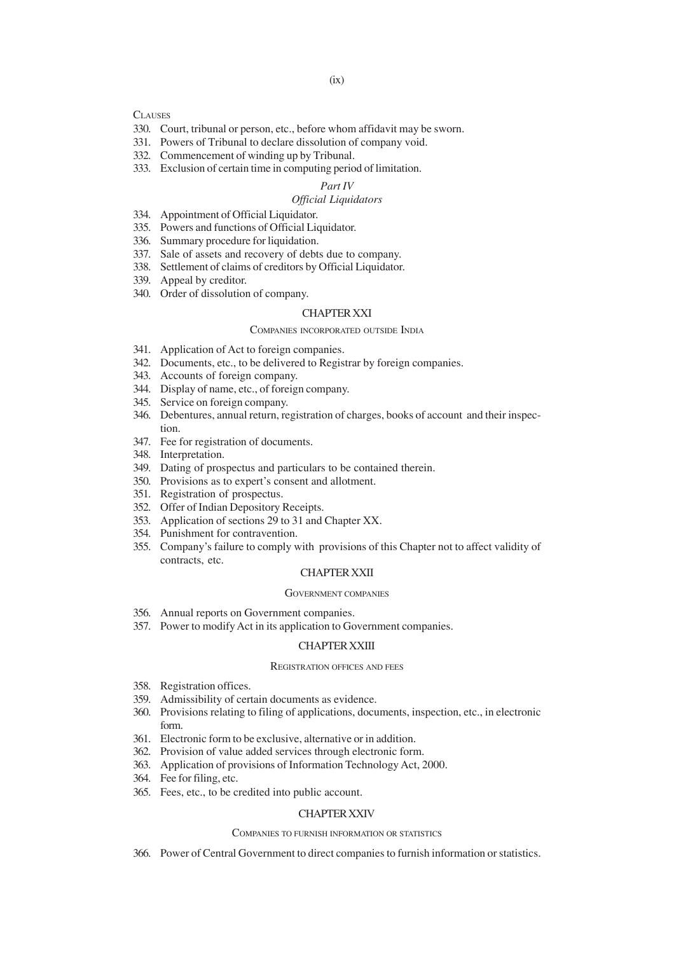- 330. Court, tribunal or person, etc., before whom affidavit may be sworn.
- 331. Powers of Tribunal to declare dissolution of company void.
- 332. Commencement of winding up by Tribunal.
- 333. Exclusion of certain time in computing period of limitation.

## *Part IV*

### *Official Liquidators*

- 334. Appointment of Official Liquidator.
- 335. Powers and functions of Official Liquidator.
- 336. Summary procedure for liquidation.
- 337. Sale of assets and recovery of debts due to company.
- 338. Settlement of claims of creditors by Official Liquidator.
- 339. Appeal by creditor.
- 340. Order of dissolution of company.

#### CHAPTER XXI

### COMPANIES INCORPORATED OUTSIDE INDIA

- 341. Application of Act to foreign companies.
- 342. Documents, etc., to be delivered to Registrar by foreign companies.
- 343. Accounts of foreign company.
- 344. Display of name, etc., of foreign company.
- 345. Service on foreign company.
- 346. Debentures, annual return, registration of charges, books of account and their inspection.
- 347. Fee for registration of documents.
- 348. Interpretation.
- 349. Dating of prospectus and particulars to be contained therein.
- 350. Provisions as to expert's consent and allotment.
- 351. Registration of prospectus.
- 352. Offer of Indian Depository Receipts.
- 353. Application of sections 29 to 31 and Chapter XX.
- 354. Punishment for contravention.
- 355. Company's failure to comply with provisions of this Chapter not to affect validity of contracts, etc.

#### CHAPTER XXII

#### GOVERNMENT COMPANIES

- 356. Annual reports on Government companies.
- 357. Power to modify Act in its application to Government companies.

#### CHAPTER XXIII

## REGISTRATION OFFICES AND FEES

- 358. Registration offices.
- 359. Admissibility of certain documents as evidence.
- 360. Provisions relating to filing of applications, documents, inspection, etc., in electronic form.
- 361. Electronic form to be exclusive, alternative or in addition.
- 362. Provision of value added services through electronic form.
- 363. Application of provisions of Information Technology Act, 2000.
- 364. Fee for filing, etc.
- 365. Fees, etc., to be credited into public account.

#### CHAPTER XXIV

#### COMPANIES TO FURNISH INFORMATION OR STATISTICS

366. Power of Central Government to direct companies to furnish information or statistics.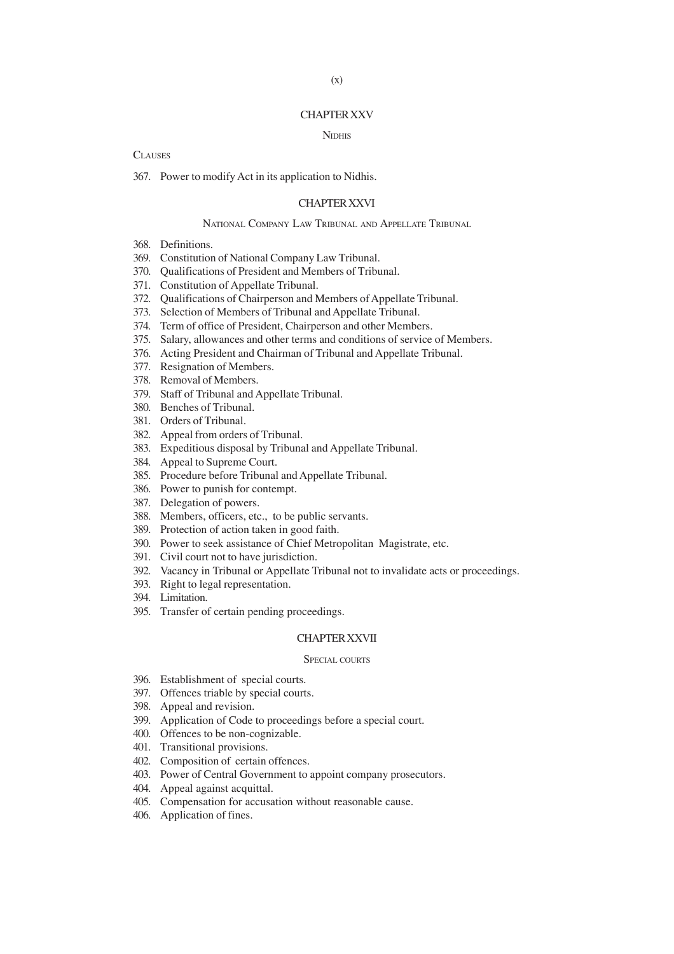#### CHAPTER XXV

#### **NIDHIS**

**CLAUSES** 

367. Power to modify Act in its application to Nidhis.

## CHAPTER XXVI

## NATIONAL COMPANY LAW TRIBUNAL AND APPELLATE TRIBUNAL

- 368. Definitions.
- 369. Constitution of National Company Law Tribunal.
- 370. Qualifications of President and Members of Tribunal.
- 371. Constitution of Appellate Tribunal.
- 372. Qualifications of Chairperson and Members of Appellate Tribunal.
- 373. Selection of Members of Tribunal and Appellate Tribunal.
- 374. Term of office of President, Chairperson and other Members.
- 375. Salary, allowances and other terms and conditions of service of Members.
- 376. Acting President and Chairman of Tribunal and Appellate Tribunal.
- 377. Resignation of Members.
- 378. Removal of Members.
- 379. Staff of Tribunal and Appellate Tribunal.
- 380. Benches of Tribunal.
- 381. Orders of Tribunal.
- 382. Appeal from orders of Tribunal.
- 383. Expeditious disposal by Tribunal and Appellate Tribunal.
- 384. Appeal to Supreme Court.
- 385. Procedure before Tribunal and Appellate Tribunal.
- 386. Power to punish for contempt.
- 387. Delegation of powers.
- 388. Members, officers, etc., to be public servants.
- 389. Protection of action taken in good faith.
- 390. Power to seek assistance of Chief Metropolitan Magistrate, etc.
- 391. Civil court not to have jurisdiction.
- 392. Vacancy in Tribunal or Appellate Tribunal not to invalidate acts or proceedings.
- 393. Right to legal representation.
- 394. Limitation.
- 395. Transfer of certain pending proceedings.

### CHAPTER XXVII

#### SPECIAL COURTS

- 396. Establishment of special courts.
- 397. Offences triable by special courts.
- 398. Appeal and revision.
- 399. Application of Code to proceedings before a special court.
- 400. Offences to be non-cognizable.
- 401. Transitional provisions.
- 402. Composition of certain offences.
- 403. Power of Central Government to appoint company prosecutors.
- 404. Appeal against acquittal.
- 405. Compensation for accusation without reasonable cause.
- 406. Application of fines.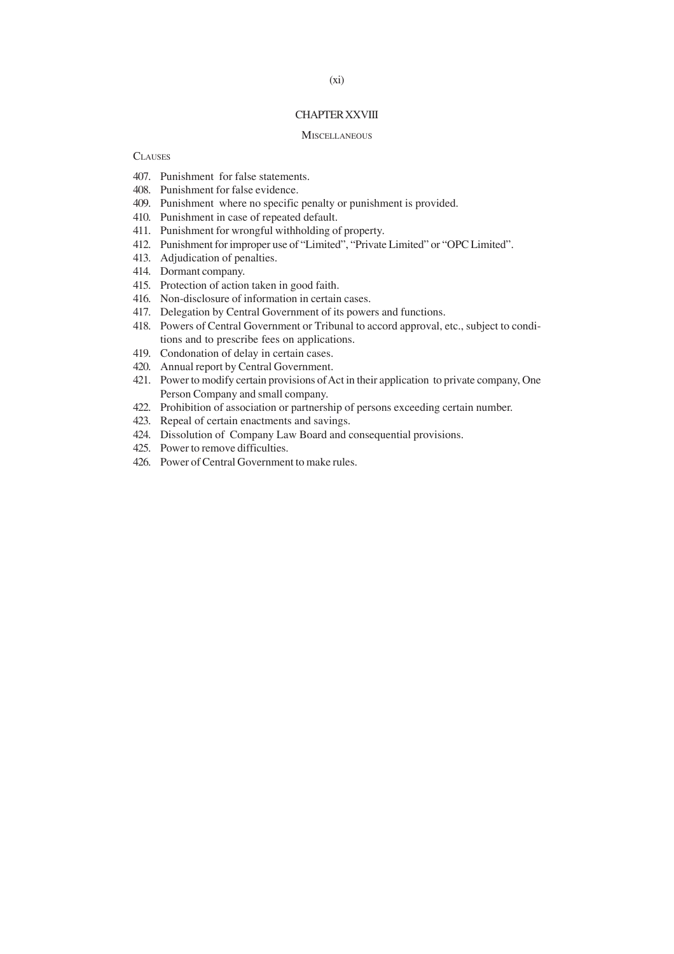#### CHAPTER XXVIII

#### **MISCELLANEOUS**

## **CLAUSES**

- 407. Punishment for false statements.
- 408. Punishment for false evidence.
- 409. Punishment where no specific penalty or punishment is provided.
- 410. Punishment in case of repeated default.
- 411. Punishment for wrongful withholding of property.
- 412. Punishment for improper use of "Limited", "Private Limited" or "OPC Limited".
- 413. Adjudication of penalties.
- 414. Dormant company.
- 415. Protection of action taken in good faith.
- 416. Non-disclosure of information in certain cases.
- 417. Delegation by Central Government of its powers and functions.
- 418. Powers of Central Government or Tribunal to accord approval, etc., subject to conditions and to prescribe fees on applications.
- 419. Condonation of delay in certain cases.
- 420. Annual report by Central Government.
- 421. Power to modify certain provisions of Act in their application to private company, One Person Company and small company.
- 422. Prohibition of association or partnership of persons exceeding certain number.
- 423. Repeal of certain enactments and savings.
- 424. Dissolution of Company Law Board and consequential provisions.
- 425. Power to remove difficulties.
- 426. Power of Central Government to make rules.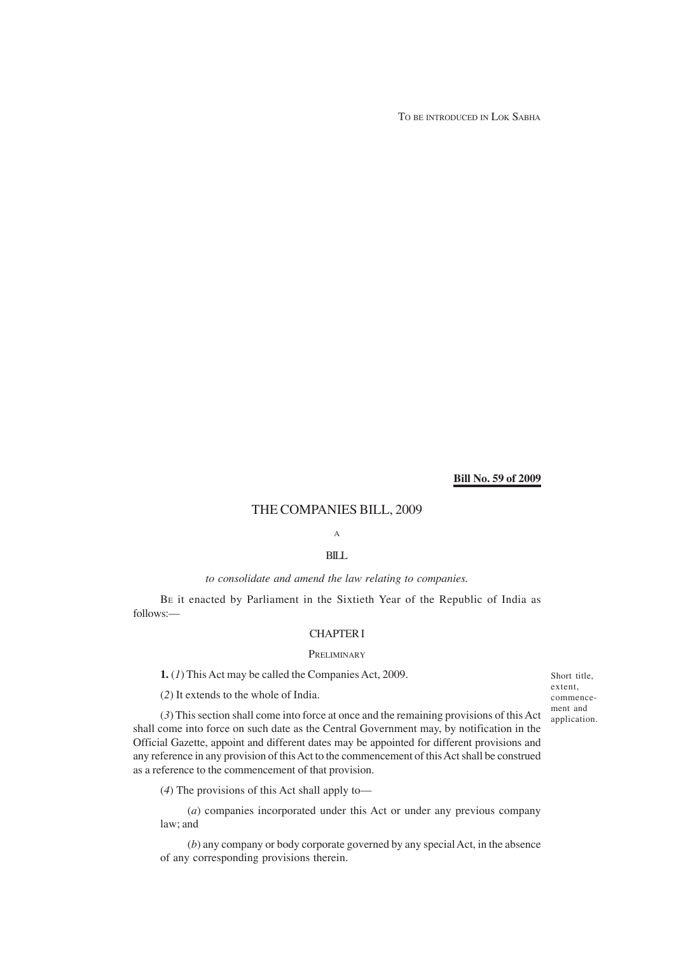TO BE INTRODUCED IN LOK SABHA

**Bill No. 59 of 2009**

## THE COMPANIES BILL, 2009

# A

## BILL

*to consolidate and amend the law relating to companies.*

BE it enacted by Parliament in the Sixtieth Year of the Republic of India as follows:—

## CHAPTER I

#### **PRELIMINARY**

**1.** (*1*) This Act may be called the Companies Act, 2009.

(*2*) It extends to the whole of India.

(3) This section shall come into force at once and the remaining provisions of this Act  $\frac{m_{\text{ent and}}}{\text{annlication}}$ shall come into force on such date as the Central Government may, by notification in the Official Gazette, appoint and different dates may be appointed for different provisions and any reference in any provision of this Act to the commencement of this Act shall be construed as a reference to the commencement of that provision.

(*4*) The provisions of this Act shall apply to—

(*a*) companies incorporated under this Act or under any previous company law; and

(*b*) any company or body corporate governed by any special Act, in the absence of any corresponding provisions therein.

Short title, extent, commenceapplication.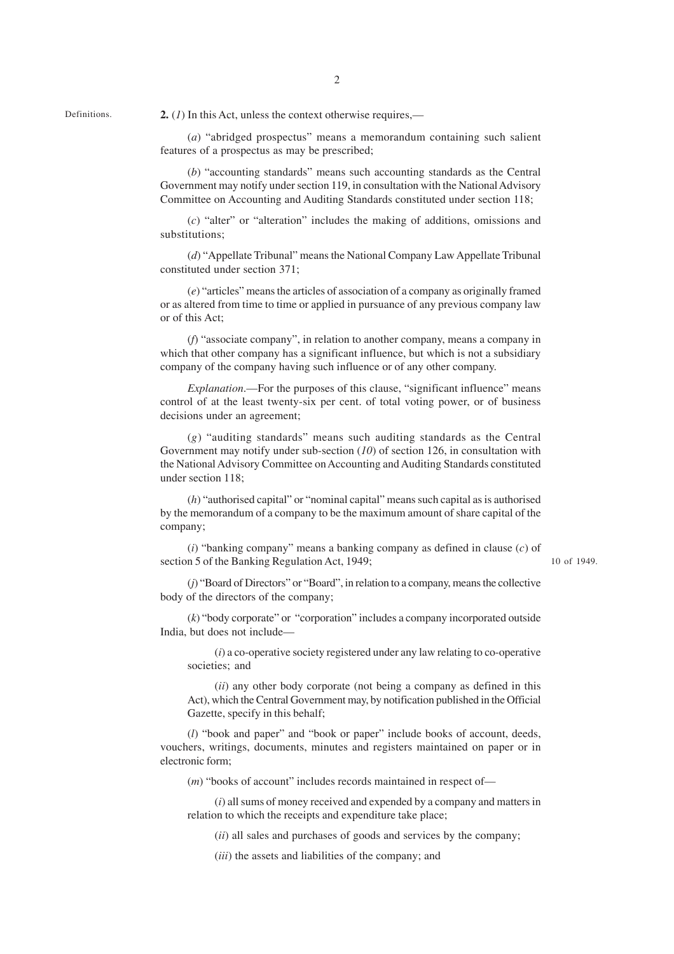Definitions.

**2.** (*1*) In this Act, unless the context otherwise requires,—

(*a*) "abridged prospectus" means a memorandum containing such salient features of a prospectus as may be prescribed;

(*b*) "accounting standards" means such accounting standards as the Central Government may notify under section 119, in consultation with the National Advisory Committee on Accounting and Auditing Standards constituted under section 118;

(*c*) "alter" or "alteration" includes the making of additions, omissions and substitutions;

(*d*) "Appellate Tribunal" means the National Company Law Appellate Tribunal constituted under section 371;

(*e*) "articles" means the articles of association of a company as originally framed or as altered from time to time or applied in pursuance of any previous company law or of this Act;

(*f*) "associate company", in relation to another company, means a company in which that other company has a significant influence, but which is not a subsidiary company of the company having such influence or of any other company.

*Explanation*.—For the purposes of this clause, "significant influence" means control of at the least twenty-six per cent. of total voting power, or of business decisions under an agreement;

(*g*) "auditing standards" means such auditing standards as the Central Government may notify under sub-section (*10*) of section 126, in consultation with the National Advisory Committee on Accounting and Auditing Standards constituted under section 118;

(*h*) "authorised capital" or "nominal capital" means such capital as is authorised by the memorandum of a company to be the maximum amount of share capital of the company;

(*i*) "banking company" means a banking company as defined in clause (*c*) of section 5 of the Banking Regulation Act, 1949;

10 of 1949.

(*j*) "Board of Directors" or "Board", in relation to a company, means the collective body of the directors of the company;

(*k*) "body corporate" or "corporation" includes a company incorporated outside India, but does not include—

(*i*) a co-operative society registered under any law relating to co-operative societies; and

(*ii*) any other body corporate (not being a company as defined in this Act), which the Central Government may, by notification published in the Official Gazette, specify in this behalf;

(*l*) "book and paper" and "book or paper" include books of account, deeds, vouchers, writings, documents, minutes and registers maintained on paper or in electronic form;

(*m*) "books of account" includes records maintained in respect of—

(*i*) all sums of money received and expended by a company and matters in relation to which the receipts and expenditure take place;

(*ii*) all sales and purchases of goods and services by the company;

(*iii*) the assets and liabilities of the company; and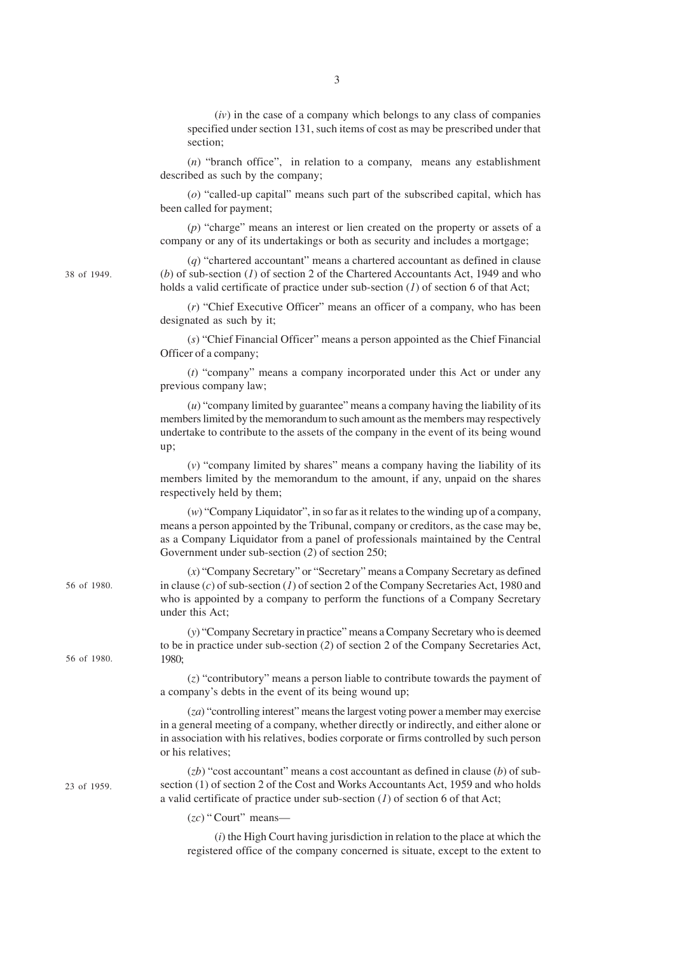|             | $(iv)$ in the case of a company which belongs to any class of companies<br>specified under section 131, such items of cost as may be prescribed under that<br>section;                                                                                                                                            |
|-------------|-------------------------------------------------------------------------------------------------------------------------------------------------------------------------------------------------------------------------------------------------------------------------------------------------------------------|
|             | $(n)$ "branch office", in relation to a company, means any establishment<br>described as such by the company;                                                                                                                                                                                                     |
|             | $(o)$ "called-up capital" means such part of the subscribed capital, which has<br>been called for payment;                                                                                                                                                                                                        |
|             | $(p)$ "charge" means an interest or lien created on the property or assets of a<br>company or any of its undertakings or both as security and includes a mortgage;                                                                                                                                                |
| 38 of 1949. | $(q)$ "chartered accountant" means a chartered accountant as defined in clause<br>(b) of sub-section $(I)$ of section 2 of the Chartered Accountants Act, 1949 and who<br>holds a valid certificate of practice under sub-section $(I)$ of section 6 of that Act;                                                 |
|             | $(r)$ "Chief Executive Officer" means an officer of a company, who has been<br>designated as such by it;                                                                                                                                                                                                          |
|             | $(s)$ "Chief Financial Officer" means a person appointed as the Chief Financial<br>Officer of a company;                                                                                                                                                                                                          |
|             | $(t)$ "company" means a company incorporated under this Act or under any<br>previous company law;                                                                                                                                                                                                                 |
|             | $(u)$ "company limited by guarantee" means a company having the liability of its<br>members limited by the memorandum to such amount as the members may respectively<br>undertake to contribute to the assets of the company in the event of its being wound<br>up;                                               |
|             | (v) "company limited by shares" means a company having the liability of its<br>members limited by the memorandum to the amount, if any, unpaid on the shares<br>respectively held by them;                                                                                                                        |
|             | $(w)$ "Company Liquidator", in so far as it relates to the winding up of a company,<br>means a person appointed by the Tribunal, company or creditors, as the case may be,<br>as a Company Liquidator from a panel of professionals maintained by the Central<br>Government under sub-section (2) of section 250; |
| 56 of 1980. | (x) "Company Secretary" or "Secretary" means a Company Secretary as defined<br>in clause $(c)$ of sub-section (1) of section 2 of the Company Secretaries Act, 1980 and<br>who is appointed by a company to perform the functions of a Company Secretary<br>under this Act;                                       |
| 56 of 1980. | (y) "Company Secretary in practice" means a Company Secretary who is deemed<br>to be in practice under sub-section (2) of section 2 of the Company Secretaries Act,<br>1980;                                                                                                                                      |
|             | $(z)$ "contributory" means a person liable to contribute towards the payment of<br>a company's debts in the event of its being wound up;                                                                                                                                                                          |
|             | $(za)$ "controlling interest" means the largest voting power a member may exercise<br>in a general meeting of a company, whether directly or indirectly, and either alone or<br>in association with his relatives, bodies corporate or firms controlled by such person<br>or his relatives;                       |
| 23 of 1959. | $(zb)$ "cost accountant" means a cost accountant as defined in clause (b) of sub-<br>section (1) of section 2 of the Cost and Works Accountants Act, 1959 and who holds<br>a valid certificate of practice under sub-section $(I)$ of section 6 of that Act;                                                      |
|             | $(zc)$ "Court" means—                                                                                                                                                                                                                                                                                             |
|             | $(i)$ the High Court having jurisdiction in relation to the place at which the                                                                                                                                                                                                                                    |

registered office of the company concerned is situate, except to the extent to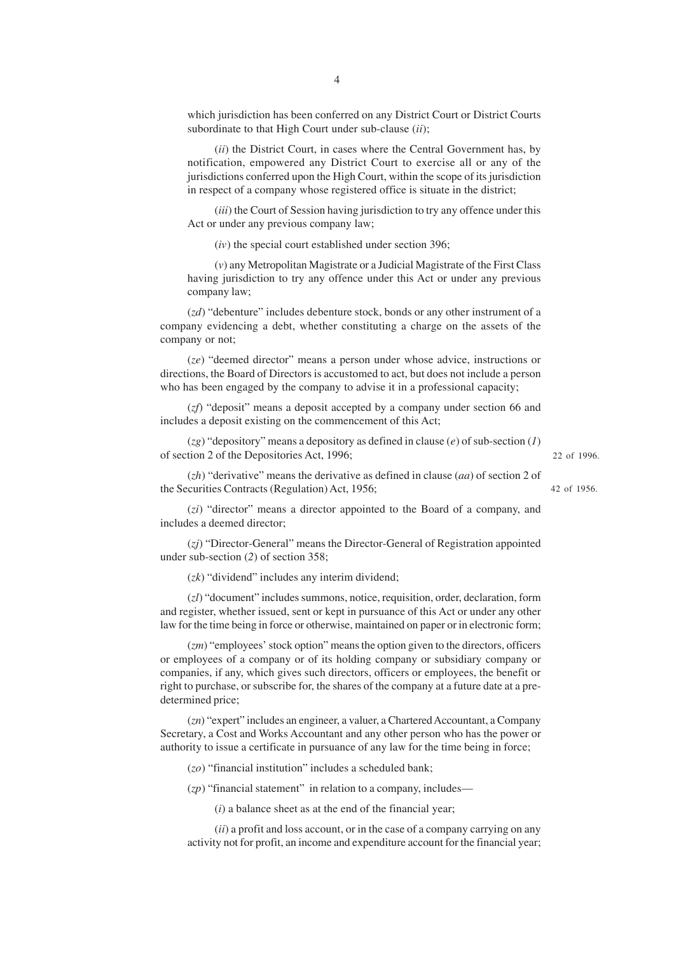which jurisdiction has been conferred on any District Court or District Courts subordinate to that High Court under sub-clause (*ii*);

(*ii*) the District Court, in cases where the Central Government has, by notification, empowered any District Court to exercise all or any of the jurisdictions conferred upon the High Court, within the scope of its jurisdiction in respect of a company whose registered office is situate in the district;

(*iii*) the Court of Session having jurisdiction to try any offence under this Act or under any previous company law;

(*iv*) the special court established under section 396;

(*v*) any Metropolitan Magistrate or a Judicial Magistrate of the First Class having jurisdiction to try any offence under this Act or under any previous company law;

(*zd*) "debenture" includes debenture stock, bonds or any other instrument of a company evidencing a debt, whether constituting a charge on the assets of the company or not;

(*ze*) "deemed director" means a person under whose advice, instructions or directions, the Board of Directors is accustomed to act, but does not include a person who has been engaged by the company to advise it in a professional capacity;

(*zf*) "deposit" means a deposit accepted by a company under section 66 and includes a deposit existing on the commencement of this Act;

(*zg*) "depository" means a depository as defined in clause (*e*) of sub-section (*1*) of section 2 of the Depositories Act, 1996;

(*zh*) "derivative" means the derivative as defined in clause (*aa*) of section 2 of the Securities Contracts (Regulation) Act, 1956;

42 of 1956.

22 of 1996.

(*zi*) "director" means a director appointed to the Board of a company, and includes a deemed director;

(*zj*) "Director-General" means the Director-General of Registration appointed under sub-section (*2*) of section 358;

(*zk*) "dividend" includes any interim dividend;

(*zl*) "document" includes summons, notice, requisition, order, declaration, form and register, whether issued, sent or kept in pursuance of this Act or under any other law for the time being in force or otherwise, maintained on paper or in electronic form;

(*zm*) "employees' stock option" means the option given to the directors, officers or employees of a company or of its holding company or subsidiary company or companies, if any, which gives such directors, officers or employees, the benefit or right to purchase, or subscribe for, the shares of the company at a future date at a predetermined price;

(*zn*) "expert" includes an engineer, a valuer, a Chartered Accountant, a Company Secretary, a Cost and Works Accountant and any other person who has the power or authority to issue a certificate in pursuance of any law for the time being in force;

(*zo*) "financial institution" includes a scheduled bank;

(*zp*) "financial statement" in relation to a company, includes—

(*i*) a balance sheet as at the end of the financial year;

(*ii*) a profit and loss account, or in the case of a company carrying on any activity not for profit, an income and expenditure account for the financial year;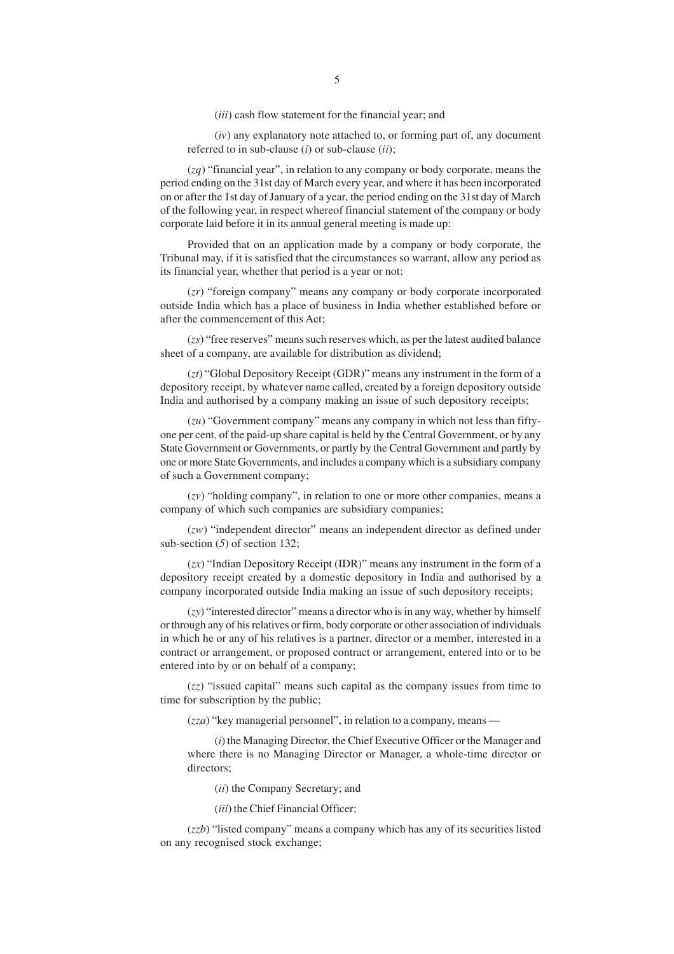(*iii*) cash flow statement for the financial year; and

(*iv*) any explanatory note attached to, or forming part of, any document referred to in sub-clause (*i*) or sub-clause (*ii*);

(*zq*) "financial year", in relation to any company or body corporate, means the period ending on the 31st day of March every year, and where it has been incorporated on or after the 1st day of January of a year, the period ending on the 31st day of March of the following year, in respect whereof financial statement of the company or body corporate laid before it in its annual general meeting is made up:

Provided that on an application made by a company or body corporate, the Tribunal may, if it is satisfied that the circumstances so warrant, allow any period as its financial year, whether that period is a year or not;

(*zr*) "foreign company" means any company or body corporate incorporated outside India which has a place of business in India whether established before or after the commencement of this Act;

(*zs*) "free reserves" means such reserves which, as per the latest audited balance sheet of a company, are available for distribution as dividend;

(*zt*) "Global Depository Receipt (GDR)" means any instrument in the form of a depository receipt, by whatever name called, created by a foreign depository outside India and authorised by a company making an issue of such depository receipts;

(*zu*) "Government company" means any company in which not less than fiftyone per cent. of the paid-up share capital is held by the Central Government, or by any State Government or Governments, or partly by the Central Government and partly by one or more State Governments, and includes a company which is a subsidiary company of such a Government company;

(*zv*) "holding company", in relation to one or more other companies, means a company of which such companies are subsidiary companies;

(*zw*) "independent director" means an independent director as defined under sub-section (*5*) of section 132;

(*zx*) "Indian Depository Receipt (IDR)" means any instrument in the form of a depository receipt created by a domestic depository in India and authorised by a company incorporated outside India making an issue of such depository receipts;

(*zy*) "interested director" means a director who is in any way, whether by himself or through any of his relatives or firm, body corporate or other association of individuals in which he or any of his relatives is a partner, director or a member, interested in a contract or arrangement, or proposed contract or arrangement, entered into or to be entered into by or on behalf of a company;

(*zz*) "issued capital" means such capital as the company issues from time to time for subscription by the public;

(*zza*) "key managerial personnel", in relation to a company, means —

(*i*) the Managing Director, the Chief Executive Officer or the Manager and where there is no Managing Director or Manager, a whole-time director or directors;

- (*ii*) the Company Secretary; and
- (*iii*) the Chief Financial Officer;

(*zzb*) "listed company" means a company which has any of its securities listed on any recognised stock exchange;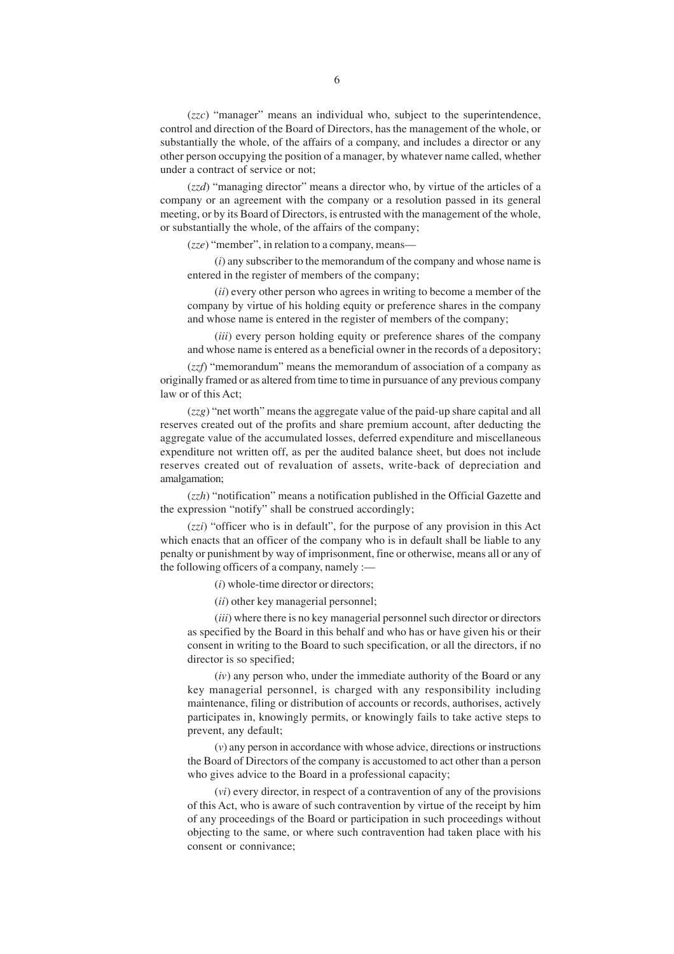(*zzc*) "manager" means an individual who, subject to the superintendence, control and direction of the Board of Directors, has the management of the whole, or substantially the whole, of the affairs of a company, and includes a director or any other person occupying the position of a manager, by whatever name called, whether under a contract of service or not;

(*zzd*) "managing director" means a director who, by virtue of the articles of a company or an agreement with the company or a resolution passed in its general meeting, or by its Board of Directors, is entrusted with the management of the whole, or substantially the whole, of the affairs of the company;

(*zze*) "member", in relation to a company, means—

(*i*) any subscriber to the memorandum of the company and whose name is entered in the register of members of the company;

(*ii*) every other person who agrees in writing to become a member of the company by virtue of his holding equity or preference shares in the company and whose name is entered in the register of members of the company;

(*iii*) every person holding equity or preference shares of the company and whose name is entered as a beneficial owner in the records of a depository;

(*zzf*) "memorandum" means the memorandum of association of a company as originally framed or as altered from time to time in pursuance of any previous company law or of this Act;

(*zzg*) "net worth" means the aggregate value of the paid-up share capital and all reserves created out of the profits and share premium account, after deducting the aggregate value of the accumulated losses, deferred expenditure and miscellaneous expenditure not written off, as per the audited balance sheet, but does not include reserves created out of revaluation of assets, write-back of depreciation and amalgamation;

(*zzh*) "notification" means a notification published in the Official Gazette and the expression "notify" shall be construed accordingly;

(*zzi*) "officer who is in default", for the purpose of any provision in this Act which enacts that an officer of the company who is in default shall be liable to any penalty or punishment by way of imprisonment, fine or otherwise, means all or any of the following officers of a company, namely :—

(*i*) whole-time director or directors;

(*ii*) other key managerial personnel;

(*iii*) where there is no key managerial personnel such director or directors as specified by the Board in this behalf and who has or have given his or their consent in writing to the Board to such specification, or all the directors, if no director is so specified;

(*iv*) any person who, under the immediate authority of the Board or any key managerial personnel, is charged with any responsibility including maintenance, filing or distribution of accounts or records, authorises, actively participates in, knowingly permits, or knowingly fails to take active steps to prevent, any default;

(*v*) any person in accordance with whose advice, directions or instructions the Board of Directors of the company is accustomed to act other than a person who gives advice to the Board in a professional capacity;

(*vi*) every director, in respect of a contravention of any of the provisions of this Act, who is aware of such contravention by virtue of the receipt by him of any proceedings of the Board or participation in such proceedings without objecting to the same, or where such contravention had taken place with his consent or connivance;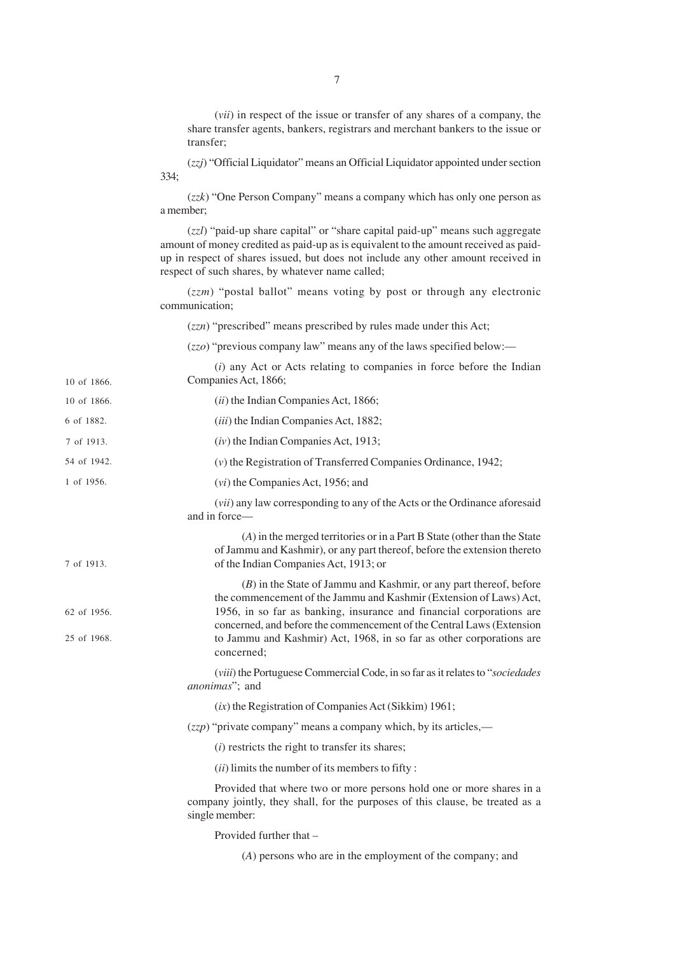(*vii*) in respect of the issue or transfer of any shares of a company, the share transfer agents, bankers, registrars and merchant bankers to the issue or transfer;

(*zzj*) "Official Liquidator" means an Official Liquidator appointed under section 334;

(*zzk*) "One Person Company" means a company which has only one person as a member;

(*zzl*) "paid-up share capital" or "share capital paid-up" means such aggregate amount of money credited as paid-up as is equivalent to the amount received as paidup in respect of shares issued, but does not include any other amount received in respect of such shares, by whatever name called;

(*zzm*) "postal ballot" means voting by post or through any electronic communication;

(*zzn*) "prescribed" means prescribed by rules made under this Act;

(*zzo*) "previous company law" means any of the laws specified below:—

| 10 of 1866.                | (i) any Act or Acts relating to companies in force before the Indian<br>Companies Act, 1866;                                                                                                                                                                                                                                                                                      |
|----------------------------|-----------------------------------------------------------------------------------------------------------------------------------------------------------------------------------------------------------------------------------------------------------------------------------------------------------------------------------------------------------------------------------|
| 10 of 1866.                | (ii) the Indian Companies Act, 1866;                                                                                                                                                                                                                                                                                                                                              |
| 6 of 1882.                 | (iii) the Indian Companies Act, 1882;                                                                                                                                                                                                                                                                                                                                             |
| 7 of 1913.                 | $(iv)$ the Indian Companies Act, 1913;                                                                                                                                                                                                                                                                                                                                            |
| 54 of 1942.                | $(v)$ the Registration of Transferred Companies Ordinance, 1942;                                                                                                                                                                                                                                                                                                                  |
| 1 of 1956.                 | $(vi)$ the Companies Act, 1956; and                                                                                                                                                                                                                                                                                                                                               |
|                            | ( <i>vii</i> ) any law corresponding to any of the Acts or the Ordinance aforesaid<br>and in force-                                                                                                                                                                                                                                                                               |
| 7 of 1913.                 | (A) in the merged territories or in a Part B State (other than the State<br>of Jammu and Kashmir), or any part thereof, before the extension thereto<br>of the Indian Companies Act, 1913; or                                                                                                                                                                                     |
| 62 of 1956.<br>25 of 1968. | $(B)$ in the State of Jammu and Kashmir, or any part thereof, before<br>the commencement of the Jammu and Kashmir (Extension of Laws) Act,<br>1956, in so far as banking, insurance and financial corporations are<br>concerned, and before the commencement of the Central Laws (Extension<br>to Jammu and Kashmir) Act, 1968, in so far as other corporations are<br>concerned; |
|                            | (viii) the Portuguese Commercial Code, in so far as it relates to "sociedades"<br><i>anonimas</i> "; and                                                                                                                                                                                                                                                                          |
|                            | $(ix)$ the Registration of Companies Act (Sikkim) 1961;                                                                                                                                                                                                                                                                                                                           |
|                            | $(zzp)$ "private company" means a company which, by its articles,—                                                                                                                                                                                                                                                                                                                |
|                            | $(i)$ restricts the right to transfer its shares;                                                                                                                                                                                                                                                                                                                                 |
|                            | $(ii)$ limits the number of its members to fifty:                                                                                                                                                                                                                                                                                                                                 |
|                            | Provided that where two or more persons hold one or more shares in a<br>company jointly, they shall, for the purposes of this clause, be treated as a<br>single member:                                                                                                                                                                                                           |
|                            | Provided further that -                                                                                                                                                                                                                                                                                                                                                           |

(*A*) persons who are in the employment of the company; and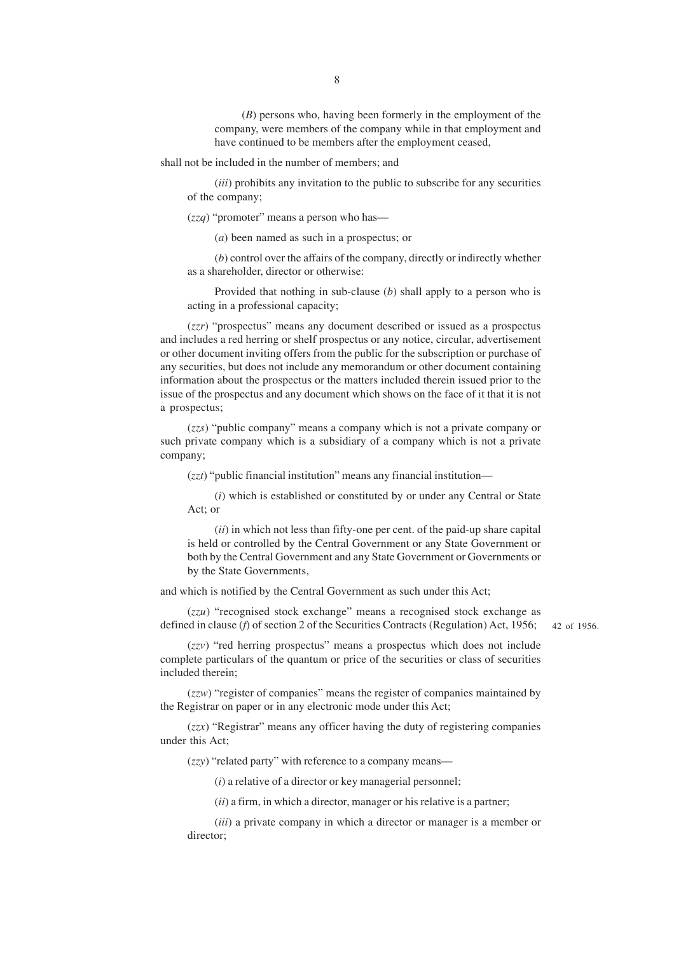(*B*) persons who, having been formerly in the employment of the company, were members of the company while in that employment and have continued to be members after the employment ceased,

shall not be included in the number of members; and

(*iii*) prohibits any invitation to the public to subscribe for any securities of the company;

(*zzq*) "promoter" means a person who has—

(*a*) been named as such in a prospectus; or

(*b*) control over the affairs of the company, directly or indirectly whether as a shareholder, director or otherwise:

Provided that nothing in sub-clause (*b*) shall apply to a person who is acting in a professional capacity;

(*zzr*) "prospectus" means any document described or issued as a prospectus and includes a red herring or shelf prospectus or any notice, circular, advertisement or other document inviting offers from the public for the subscription or purchase of any securities, but does not include any memorandum or other document containing information about the prospectus or the matters included therein issued prior to the issue of the prospectus and any document which shows on the face of it that it is not a prospectus;

(*zzs*) "public company" means a company which is not a private company or such private company which is a subsidiary of a company which is not a private company;

(*zzt*) "public financial institution" means any financial institution—

(*i*) which is established or constituted by or under any Central or State Act; or

(*ii*) in which not less than fifty-one per cent. of the paid-up share capital is held or controlled by the Central Government or any State Government or both by the Central Government and any State Government or Governments or by the State Governments,

and which is notified by the Central Government as such under this Act;

(*zzu*) "recognised stock exchange" means a recognised stock exchange as defined in clause (*f*) of section 2 of the Securities Contracts (Regulation) Act, 1956;

42 of 1956.

(*zzv*) "red herring prospectus" means a prospectus which does not include complete particulars of the quantum or price of the securities or class of securities included therein;

(*zzw*) "register of companies" means the register of companies maintained by the Registrar on paper or in any electronic mode under this Act;

(*zzx*) "Registrar" means any officer having the duty of registering companies under this Act;

(*zzy*) "related party" with reference to a company means—

(*i*) a relative of a director or key managerial personnel;

(*ii*) a firm, in which a director, manager or his relative is a partner;

(*iii*) a private company in which a director or manager is a member or director;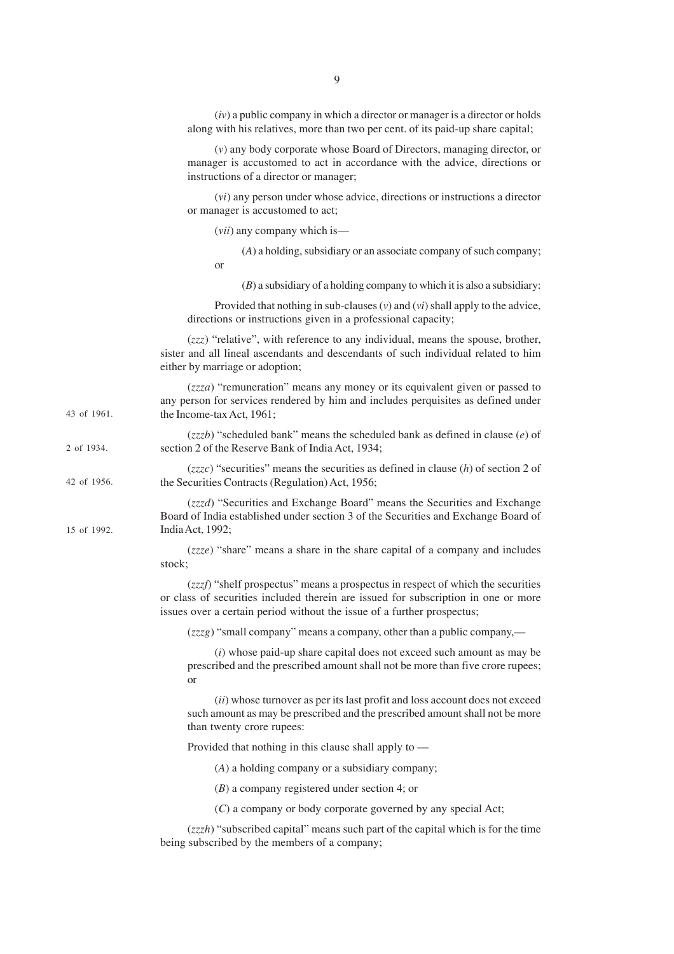|             | $(iv)$ a public company in which a director or manager is a director or holds<br>along with his relatives, more than two per cent. of its paid-up share capital;                                                                                   |
|-------------|----------------------------------------------------------------------------------------------------------------------------------------------------------------------------------------------------------------------------------------------------|
|             | (v) any body corporate whose Board of Directors, managing director, or<br>manager is accustomed to act in accordance with the advice, directions or<br>instructions of a director or manager;                                                      |
|             | $(vi)$ any person under whose advice, directions or instructions a director<br>or manager is accustomed to act;                                                                                                                                    |
|             | ( <i>vii</i> ) any company which is—                                                                                                                                                                                                               |
|             | (A) a holding, subsidiary or an associate company of such company;<br><b>or</b>                                                                                                                                                                    |
|             | $(B)$ a subsidiary of a holding company to which it is also a subsidiary:                                                                                                                                                                          |
|             | Provided that nothing in sub-clauses $(v)$ and $(vi)$ shall apply to the advice,<br>directions or instructions given in a professional capacity;                                                                                                   |
|             | (zzz) "relative", with reference to any individual, means the spouse, brother,<br>sister and all lineal ascendants and descendants of such individual related to him<br>either by marriage or adoption;                                            |
| 43 of 1961. | (zzza) "remuneration" means any money or its equivalent given or passed to<br>any person for services rendered by him and includes perquisites as defined under<br>the Income-tax Act, 1961;                                                       |
| 2 of 1934.  | $(zzzb)$ "scheduled bank" means the scheduled bank as defined in clause (e) of<br>section 2 of the Reserve Bank of India Act, 1934;                                                                                                                |
| 42 of 1956. | $(zzzc)$ "securities" means the securities as defined in clause $(h)$ of section 2 of<br>the Securities Contracts (Regulation) Act, 1956;                                                                                                          |
| 15 of 1992. | (zzzd) "Securities and Exchange Board" means the Securities and Exchange<br>Board of India established under section 3 of the Securities and Exchange Board of<br>India Act, 1992;                                                                 |
|             | (zzze) "share" means a share in the share capital of a company and includes<br>stock;                                                                                                                                                              |
|             | $(zzzf)$ "shelf prospectus" means a prospectus in respect of which the securities<br>or class of securities included therein are issued for subscription in one or more<br>issues over a certain period without the issue of a further prospectus; |
|             | (zzzg) "small company" means a company, other than a public company,—                                                                                                                                                                              |
|             | $(i)$ whose paid-up share capital does not exceed such amount as may be<br>prescribed and the prescribed amount shall not be more than five crore rupees;<br><b>or</b>                                                                             |
|             | (ii) whose turnover as per its last profit and loss account does not exceed<br>such amount as may be prescribed and the prescribed amount shall not be more<br>than twenty crore rupees:                                                           |
|             | Provided that nothing in this clause shall apply to $-$                                                                                                                                                                                            |
|             | $(A)$ a holding company or a subsidiary company;                                                                                                                                                                                                   |
|             | $(B)$ a company registered under section 4; or                                                                                                                                                                                                     |
|             | (C) a company or body corporate governed by any special Act;                                                                                                                                                                                       |
|             | $(zzzh)$ "subscribed capital" means such part of the capital which is for the time<br>being subscribed by the members of a company;                                                                                                                |
|             |                                                                                                                                                                                                                                                    |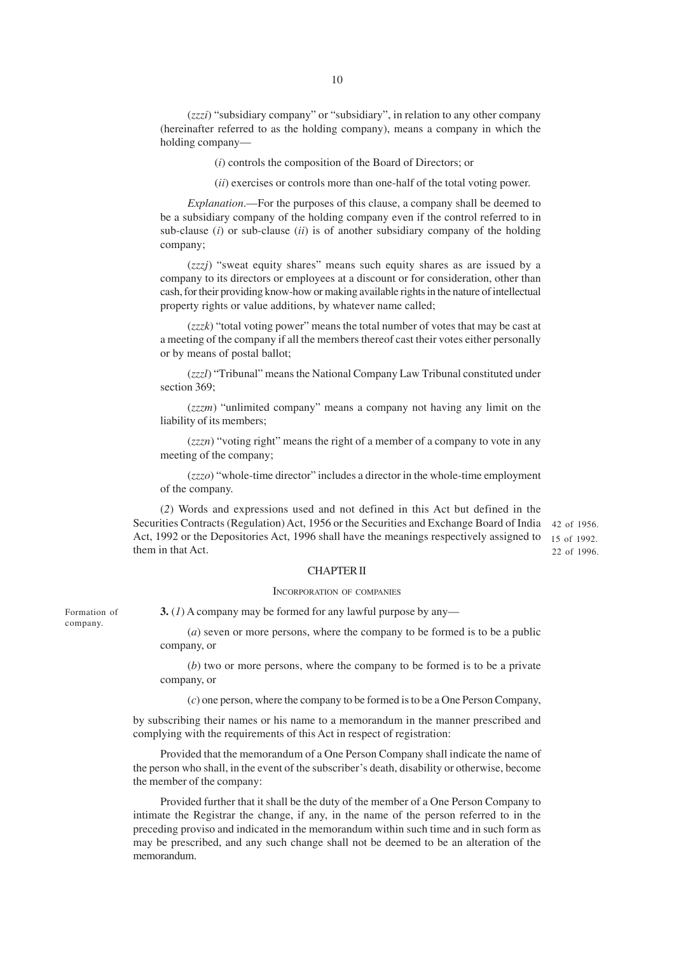(*zzzi*) "subsidiary company" or "subsidiary", in relation to any other company (hereinafter referred to as the holding company), means a company in which the holding company—

(*i*) controls the composition of the Board of Directors; or

(*ii*) exercises or controls more than one-half of the total voting power.

*Explanation*.—For the purposes of this clause, a company shall be deemed to be a subsidiary company of the holding company even if the control referred to in sub-clause (*i*) or sub-clause (*ii*) is of another subsidiary company of the holding company;

(*zzzj*) "sweat equity shares" means such equity shares as are issued by a company to its directors or employees at a discount or for consideration, other than cash, for their providing know-how or making available rights in the nature of intellectual property rights or value additions, by whatever name called;

(*zzzk*) "total voting power" means the total number of votes that may be cast at a meeting of the company if all the members thereof cast their votes either personally or by means of postal ballot;

(*zzzl*) "Tribunal" means the National Company Law Tribunal constituted under section 369;

(*zzzm*) "unlimited company" means a company not having any limit on the liability of its members;

(*zzzn*) "voting right" means the right of a member of a company to vote in any meeting of the company;

(*zzzo*) "whole-time director" includes a director in the whole-time employment of the company.

(*2*) Words and expressions used and not defined in this Act but defined in the Securities Contracts (Regulation) Act, 1956 or the Securities and Exchange Board of India 42 of 1956. Act, 1992 or the Depositories Act, 1996 shall have the meanings respectively assigned to 15 of 1992. them in that Act.

22 of 1996.

#### CHAPTER II

#### INCORPORATION OF COMPANIES

**3.** (*1*) A company may be formed for any lawful purpose by any—

(*a*) seven or more persons, where the company to be formed is to be a public company, or

(*b*) two or more persons, where the company to be formed is to be a private company, or

(*c*) one person, where the company to be formed is to be a One Person Company,

by subscribing their names or his name to a memorandum in the manner prescribed and complying with the requirements of this Act in respect of registration:

Provided that the memorandum of a One Person Company shall indicate the name of the person who shall, in the event of the subscriber's death, disability or otherwise, become the member of the company:

Provided further that it shall be the duty of the member of a One Person Company to intimate the Registrar the change, if any, in the name of the person referred to in the preceding proviso and indicated in the memorandum within such time and in such form as may be prescribed, and any such change shall not be deemed to be an alteration of the memorandum.

Formation of company.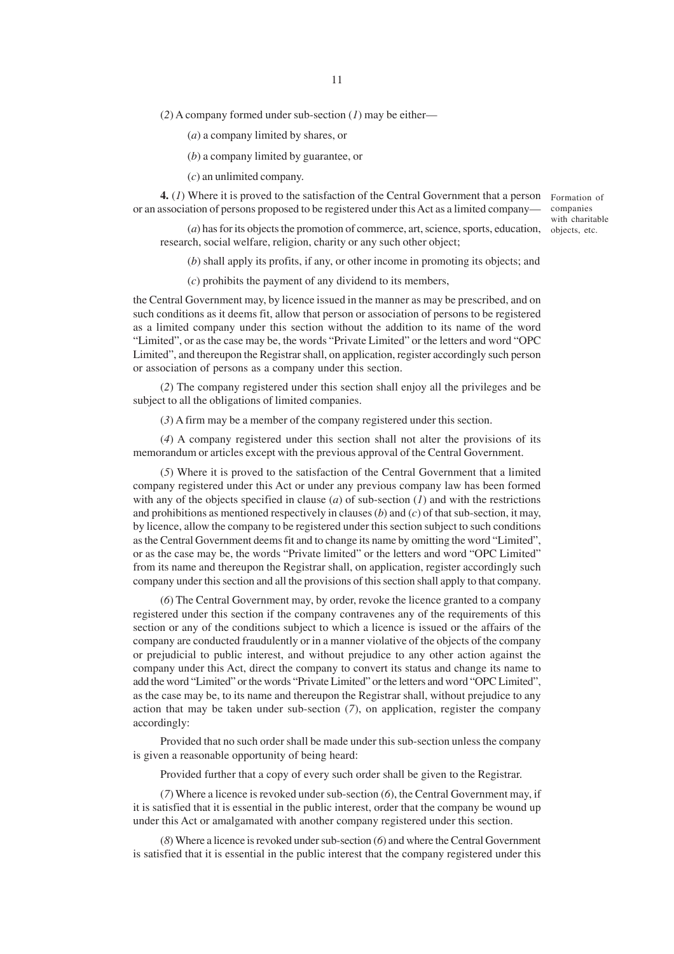(*2*) A company formed under sub-section (*1*) may be either—

(*a*) a company limited by shares, or

(*b*) a company limited by guarantee, or

(*c*) an unlimited company.

**4.** (*1*) Where it is proved to the satisfaction of the Central Government that a person Formation of or an association of persons proposed to be registered under this Act as a limited company—

(*a*) has for its objects the promotion of commerce, art, science, sports, education, objects, etc. research, social welfare, religion, charity or any such other object;

(*b*) shall apply its profits, if any, or other income in promoting its objects; and

(*c*) prohibits the payment of any dividend to its members,

the Central Government may, by licence issued in the manner as may be prescribed, and on such conditions as it deems fit, allow that person or association of persons to be registered as a limited company under this section without the addition to its name of the word "Limited", or as the case may be, the words "Private Limited" or the letters and word "OPC Limited", and thereupon the Registrar shall, on application, register accordingly such person or association of persons as a company under this section.

(*2*) The company registered under this section shall enjoy all the privileges and be subject to all the obligations of limited companies.

(*3*) A firm may be a member of the company registered under this section.

(*4*) A company registered under this section shall not alter the provisions of its memorandum or articles except with the previous approval of the Central Government.

(*5*) Where it is proved to the satisfaction of the Central Government that a limited company registered under this Act or under any previous company law has been formed with any of the objects specified in clause  $(a)$  of sub-section  $(I)$  and with the restrictions and prohibitions as mentioned respectively in clauses  $(b)$  and  $(c)$  of that sub-section, it may, by licence, allow the company to be registered under this section subject to such conditions as the Central Government deems fit and to change its name by omitting the word "Limited", or as the case may be, the words "Private limited" or the letters and word "OPC Limited" from its name and thereupon the Registrar shall, on application, register accordingly such company under this section and all the provisions of this section shall apply to that company.

(*6*) The Central Government may, by order, revoke the licence granted to a company registered under this section if the company contravenes any of the requirements of this section or any of the conditions subject to which a licence is issued or the affairs of the company are conducted fraudulently or in a manner violative of the objects of the company or prejudicial to public interest, and without prejudice to any other action against the company under this Act, direct the company to convert its status and change its name to add the word "Limited" or the words "Private Limited" or the letters and word "OPC Limited", as the case may be, to its name and thereupon the Registrar shall, without prejudice to any action that may be taken under sub-section (*7*), on application, register the company accordingly:

Provided that no such order shall be made under this sub-section unless the company is given a reasonable opportunity of being heard:

Provided further that a copy of every such order shall be given to the Registrar.

(*7*) Where a licence is revoked under sub-section (*6*), the Central Government may, if it is satisfied that it is essential in the public interest, order that the company be wound up under this Act or amalgamated with another company registered under this section.

(*8*) Where a licence is revoked under sub-section (*6*) and where the Central Government is satisfied that it is essential in the public interest that the company registered under this

companies with charitable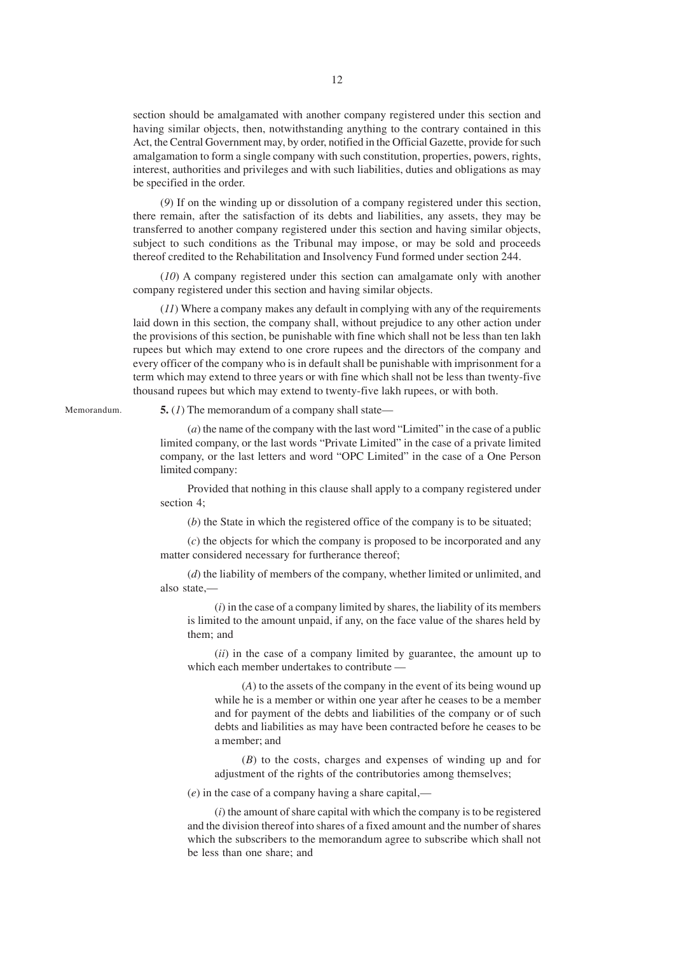section should be amalgamated with another company registered under this section and having similar objects, then, notwithstanding anything to the contrary contained in this Act, the Central Government may, by order, notified in the Official Gazette, provide for such amalgamation to form a single company with such constitution, properties, powers, rights, interest, authorities and privileges and with such liabilities, duties and obligations as may be specified in the order.

(*9*) If on the winding up or dissolution of a company registered under this section, there remain, after the satisfaction of its debts and liabilities, any assets, they may be transferred to another company registered under this section and having similar objects, subject to such conditions as the Tribunal may impose, or may be sold and proceeds thereof credited to the Rehabilitation and Insolvency Fund formed under section 244.

(*10*) A company registered under this section can amalgamate only with another company registered under this section and having similar objects.

(*11*) Where a company makes any default in complying with any of the requirements laid down in this section, the company shall, without prejudice to any other action under the provisions of this section, be punishable with fine which shall not be less than ten lakh rupees but which may extend to one crore rupees and the directors of the company and every officer of the company who is in default shall be punishable with imprisonment for a term which may extend to three years or with fine which shall not be less than twenty-five thousand rupees but which may extend to twenty-five lakh rupees, or with both.

Memorandum.

**5.** (*1*) The memorandum of a company shall state—

(*a*) the name of the company with the last word "Limited" in the case of a public limited company, or the last words "Private Limited" in the case of a private limited company, or the last letters and word "OPC Limited" in the case of a One Person limited company:

Provided that nothing in this clause shall apply to a company registered under section 4;

(*b*) the State in which the registered office of the company is to be situated;

(*c*) the objects for which the company is proposed to be incorporated and any matter considered necessary for furtherance thereof;

(*d*) the liability of members of the company, whether limited or unlimited, and also state,—

(*i*) in the case of a company limited by shares, the liability of its members is limited to the amount unpaid, if any, on the face value of the shares held by them; and

(*ii*) in the case of a company limited by guarantee, the amount up to which each member undertakes to contribute —

(*A*) to the assets of the company in the event of its being wound up while he is a member or within one year after he ceases to be a member and for payment of the debts and liabilities of the company or of such debts and liabilities as may have been contracted before he ceases to be a member; and

(*B*) to the costs, charges and expenses of winding up and for adjustment of the rights of the contributories among themselves;

(*e*) in the case of a company having a share capital,—

(*i*) the amount of share capital with which the company is to be registered and the division thereof into shares of a fixed amount and the number of shares which the subscribers to the memorandum agree to subscribe which shall not be less than one share; and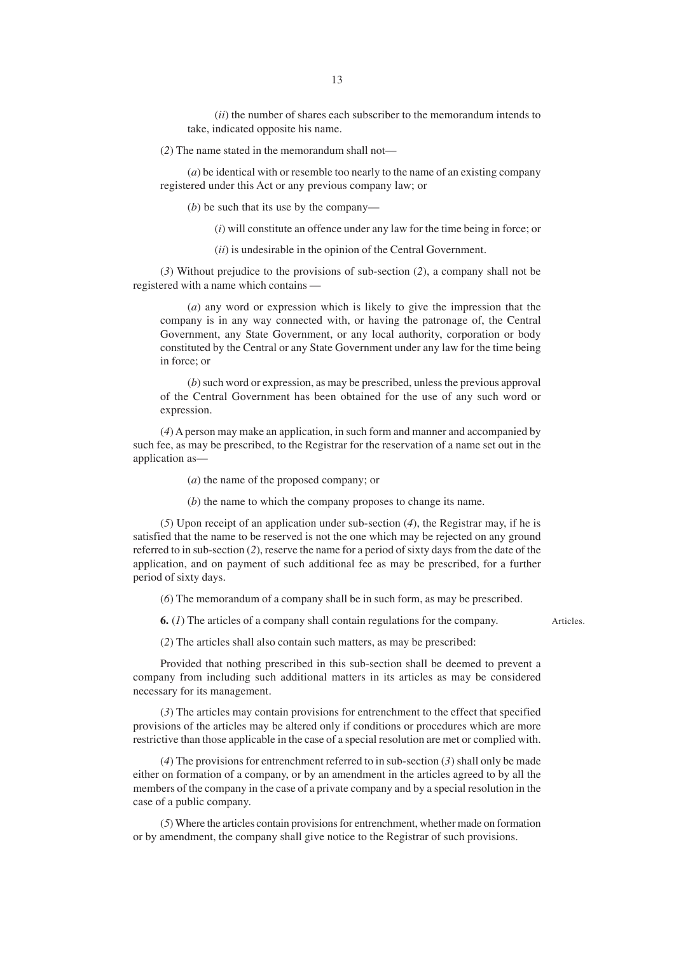(*ii*) the number of shares each subscriber to the memorandum intends to take, indicated opposite his name.

(*2*) The name stated in the memorandum shall not—

(*a*) be identical with or resemble too nearly to the name of an existing company registered under this Act or any previous company law; or

(*b*) be such that its use by the company—

(*i*) will constitute an offence under any law for the time being in force; or

(*ii*) is undesirable in the opinion of the Central Government.

(*3*) Without prejudice to the provisions of sub-section (*2*), a company shall not be registered with a name which contains —

(*a*) any word or expression which is likely to give the impression that the company is in any way connected with, or having the patronage of, the Central Government, any State Government, or any local authority, corporation or body constituted by the Central or any State Government under any law for the time being in force; or

(*b*) such word or expression, as may be prescribed, unless the previous approval of the Central Government has been obtained for the use of any such word or expression.

(*4*) A person may make an application, in such form and manner and accompanied by such fee, as may be prescribed, to the Registrar for the reservation of a name set out in the application as—

(*a*) the name of the proposed company; or

(*b*) the name to which the company proposes to change its name.

(*5*) Upon receipt of an application under sub-section (*4*), the Registrar may, if he is satisfied that the name to be reserved is not the one which may be rejected on any ground referred to in sub-section (*2*), reserve the name for a period of sixty days from the date of the application, and on payment of such additional fee as may be prescribed, for a further period of sixty days.

(*6*) The memorandum of a company shall be in such form, as may be prescribed.

**6.** (*1*) The articles of a company shall contain regulations for the company.

Articles.

(*2*) The articles shall also contain such matters, as may be prescribed:

Provided that nothing prescribed in this sub-section shall be deemed to prevent a company from including such additional matters in its articles as may be considered necessary for its management.

(*3*) The articles may contain provisions for entrenchment to the effect that specified provisions of the articles may be altered only if conditions or procedures which are more restrictive than those applicable in the case of a special resolution are met or complied with.

(*4*) The provisions for entrenchment referred to in sub-section (*3*) shall only be made either on formation of a company, or by an amendment in the articles agreed to by all the members of the company in the case of a private company and by a special resolution in the case of a public company.

(*5*) Where the articles contain provisions for entrenchment, whether made on formation or by amendment, the company shall give notice to the Registrar of such provisions.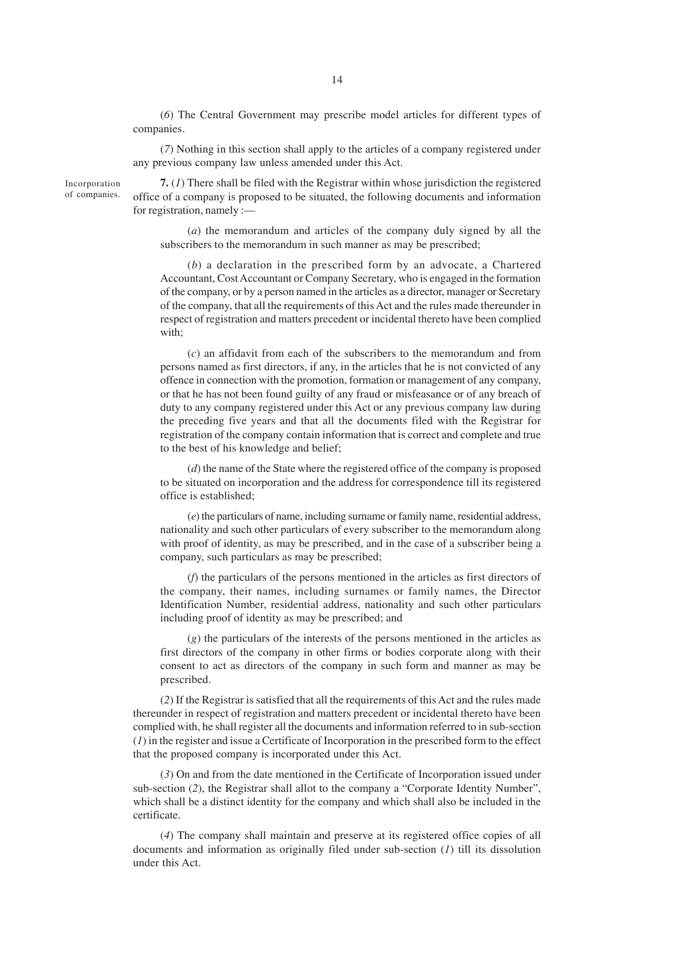(*6*) The Central Government may prescribe model articles for different types of companies.

(*7*) Nothing in this section shall apply to the articles of a company registered under any previous company law unless amended under this Act.

Incorporation of companies.

**7.** (*1*) There shall be filed with the Registrar within whose jurisdiction the registered office of a company is proposed to be situated, the following documents and information for registration, namely :—

(*a*) the memorandum and articles of the company duly signed by all the subscribers to the memorandum in such manner as may be prescribed;

(*b*) a declaration in the prescribed form by an advocate, a Chartered Accountant, Cost Accountant or Company Secretary, who is engaged in the formation of the company, or by a person named in the articles as a director, manager or Secretary of the company, that all the requirements of this Act and the rules made thereunder in respect of registration and matters precedent or incidental thereto have been complied with;

(*c*) an affidavit from each of the subscribers to the memorandum and from persons named as first directors, if any, in the articles that he is not convicted of any offence in connection with the promotion, formation or management of any company, or that he has not been found guilty of any fraud or misfeasance or of any breach of duty to any company registered under this Act or any previous company law during the preceding five years and that all the documents filed with the Registrar for registration of the company contain information that is correct and complete and true to the best of his knowledge and belief;

(*d*) the name of the State where the registered office of the company is proposed to be situated on incorporation and the address for correspondence till its registered office is established;

(*e*) the particulars of name, including surname or family name, residential address, nationality and such other particulars of every subscriber to the memorandum along with proof of identity, as may be prescribed, and in the case of a subscriber being a company, such particulars as may be prescribed;

(*f*) the particulars of the persons mentioned in the articles as first directors of the company, their names, including surnames or family names, the Director Identification Number, residential address, nationality and such other particulars including proof of identity as may be prescribed; and

(*g*) the particulars of the interests of the persons mentioned in the articles as first directors of the company in other firms or bodies corporate along with their consent to act as directors of the company in such form and manner as may be prescribed.

(*2*) If the Registrar is satisfied that all the requirements of this Act and the rules made thereunder in respect of registration and matters precedent or incidental thereto have been complied with, he shall register all the documents and information referred to in sub-section (*1*) in the register and issue a Certificate of Incorporation in the prescribed form to the effect that the proposed company is incorporated under this Act.

(*3*) On and from the date mentioned in the Certificate of Incorporation issued under sub-section (*2*), the Registrar shall allot to the company a "Corporate Identity Number", which shall be a distinct identity for the company and which shall also be included in the certificate.

(*4*) The company shall maintain and preserve at its registered office copies of all documents and information as originally filed under sub-section (*1*) till its dissolution under this Act.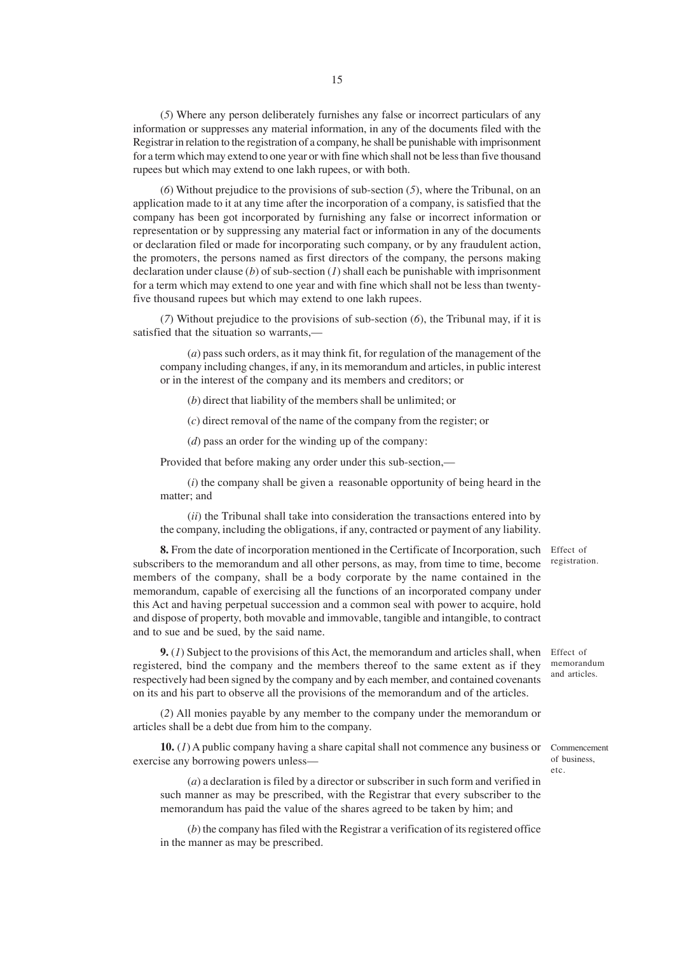(*5*) Where any person deliberately furnishes any false or incorrect particulars of any information or suppresses any material information, in any of the documents filed with the Registrar in relation to the registration of a company, he shall be punishable with imprisonment for a term which may extend to one year or with fine which shall not be less than five thousand rupees but which may extend to one lakh rupees, or with both.

(*6*) Without prejudice to the provisions of sub-section (*5*), where the Tribunal, on an application made to it at any time after the incorporation of a company, is satisfied that the company has been got incorporated by furnishing any false or incorrect information or representation or by suppressing any material fact or information in any of the documents or declaration filed or made for incorporating such company, or by any fraudulent action, the promoters, the persons named as first directors of the company, the persons making declaration under clause (*b*) of sub-section (*1*) shall each be punishable with imprisonment for a term which may extend to one year and with fine which shall not be less than twentyfive thousand rupees but which may extend to one lakh rupees.

(*7*) Without prejudice to the provisions of sub-section (*6*), the Tribunal may, if it is satisfied that the situation so warrants,—

(*a*) pass such orders, as it may think fit, for regulation of the management of the company including changes, if any, in its memorandum and articles, in public interest or in the interest of the company and its members and creditors; or

(*b*) direct that liability of the members shall be unlimited; or

(*c*) direct removal of the name of the company from the register; or

(*d*) pass an order for the winding up of the company:

Provided that before making any order under this sub-section,—

(*i*) the company shall be given a reasonable opportunity of being heard in the matter; and

(*ii*) the Tribunal shall take into consideration the transactions entered into by the company, including the obligations, if any, contracted or payment of any liability.

**8.** From the date of incorporation mentioned in the Certificate of Incorporation, such Effect of subscribers to the memorandum and all other persons, as may, from time to time, become registration. members of the company, shall be a body corporate by the name contained in the memorandum, capable of exercising all the functions of an incorporated company under this Act and having perpetual succession and a common seal with power to acquire, hold and dispose of property, both movable and immovable, tangible and intangible, to contract and to sue and be sued, by the said name.

**9.** (*1*) Subject to the provisions of this Act, the memorandum and articles shall, when Effect of registered, bind the company and the members thereof to the same extent as if they respectively had been signed by the company and by each member, and contained covenants on its and his part to observe all the provisions of the memorandum and of the articles.

(*2*) All monies payable by any member to the company under the memorandum or articles shall be a debt due from him to the company.

10. (1) A public company having a share capital shall not commence any business or Commencement exercise any borrowing powers unless—

(*a*) a declaration is filed by a director or subscriber in such form and verified in such manner as may be prescribed, with the Registrar that every subscriber to the memorandum has paid the value of the shares agreed to be taken by him; and

(*b*) the company has filed with the Registrar a verification of its registered office in the manner as may be prescribed.

memorandum and articles.

of business, etc.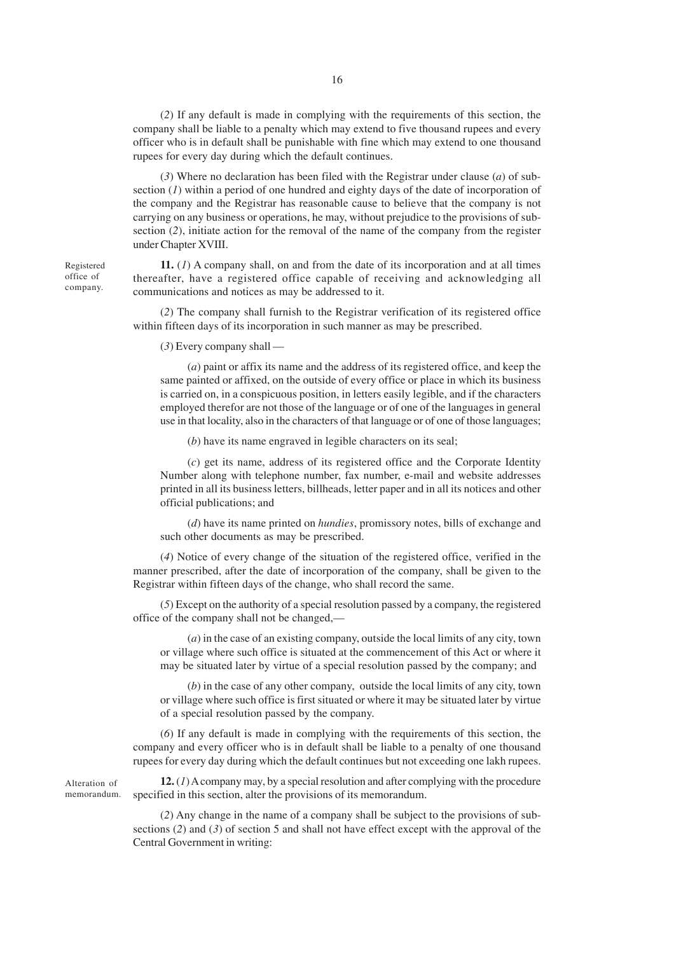(*2*) If any default is made in complying with the requirements of this section, the company shall be liable to a penalty which may extend to five thousand rupees and every officer who is in default shall be punishable with fine which may extend to one thousand rupees for every day during which the default continues.

(*3*) Where no declaration has been filed with the Registrar under clause (*a*) of subsection (*1*) within a period of one hundred and eighty days of the date of incorporation of the company and the Registrar has reasonable cause to believe that the company is not carrying on any business or operations, he may, without prejudice to the provisions of subsection (*2*), initiate action for the removal of the name of the company from the register under Chapter XVIII.

**11.** (*1*) A company shall, on and from the date of its incorporation and at all times thereafter, have a registered office capable of receiving and acknowledging all communications and notices as may be addressed to it.

(*2*) The company shall furnish to the Registrar verification of its registered office within fifteen days of its incorporation in such manner as may be prescribed.

(*3*) Every company shall —

(*a*) paint or affix its name and the address of its registered office, and keep the same painted or affixed, on the outside of every office or place in which its business is carried on, in a conspicuous position, in letters easily legible, and if the characters employed therefor are not those of the language or of one of the languages in general use in that locality, also in the characters of that language or of one of those languages;

(*b*) have its name engraved in legible characters on its seal;

(*c*) get its name, address of its registered office and the Corporate Identity Number along with telephone number, fax number, e-mail and website addresses printed in all its business letters, billheads, letter paper and in all its notices and other official publications; and

(*d*) have its name printed on *hundies*, promissory notes, bills of exchange and such other documents as may be prescribed.

(*4*) Notice of every change of the situation of the registered office, verified in the manner prescribed, after the date of incorporation of the company, shall be given to the Registrar within fifteen days of the change, who shall record the same.

(*5*) Except on the authority of a special resolution passed by a company, the registered office of the company shall not be changed,—

(*a*) in the case of an existing company, outside the local limits of any city, town or village where such office is situated at the commencement of this Act or where it may be situated later by virtue of a special resolution passed by the company; and

(*b*) in the case of any other company, outside the local limits of any city, town or village where such office is first situated or where it may be situated later by virtue of a special resolution passed by the company.

(*6*) If any default is made in complying with the requirements of this section, the company and every officer who is in default shall be liable to a penalty of one thousand rupees for every day during which the default continues but not exceeding one lakh rupees.

Alteration of memorandum.

**12.** (*1*) A company may, by a special resolution and after complying with the procedure specified in this section, alter the provisions of its memorandum.

(*2*) Any change in the name of a company shall be subject to the provisions of subsections (*2*) and (*3*) of section 5 and shall not have effect except with the approval of the Central Government in writing: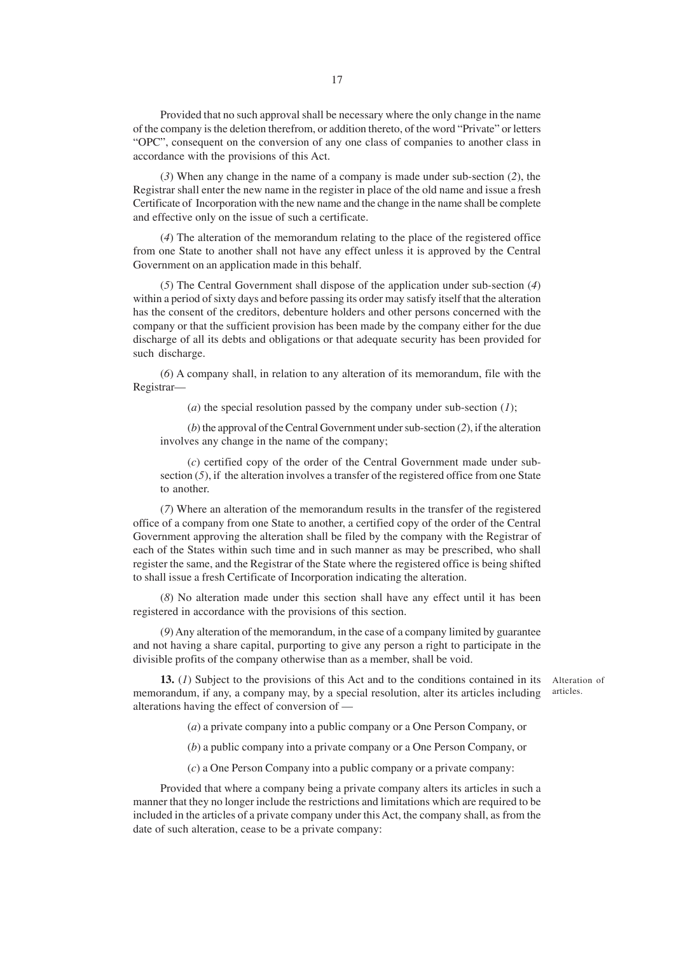Provided that no such approval shall be necessary where the only change in the name of the company is the deletion therefrom, or addition thereto, of the word "Private" or letters "OPC", consequent on the conversion of any one class of companies to another class in accordance with the provisions of this Act.

(*3*) When any change in the name of a company is made under sub-section (*2*), the Registrar shall enter the new name in the register in place of the old name and issue a fresh Certificate of Incorporation with the new name and the change in the name shall be complete and effective only on the issue of such a certificate.

(*4*) The alteration of the memorandum relating to the place of the registered office from one State to another shall not have any effect unless it is approved by the Central Government on an application made in this behalf.

(*5*) The Central Government shall dispose of the application under sub-section (*4*) within a period of sixty days and before passing its order may satisfy itself that the alteration has the consent of the creditors, debenture holders and other persons concerned with the company or that the sufficient provision has been made by the company either for the due discharge of all its debts and obligations or that adequate security has been provided for such discharge.

(*6*) A company shall, in relation to any alteration of its memorandum, file with the Registrar—

(*a*) the special resolution passed by the company under sub-section (*1*);

(*b*) the approval of the Central Government under sub-section (*2*), if the alteration involves any change in the name of the company;

(*c*) certified copy of the order of the Central Government made under subsection (*5*), if the alteration involves a transfer of the registered office from one State to another.

(*7*) Where an alteration of the memorandum results in the transfer of the registered office of a company from one State to another, a certified copy of the order of the Central Government approving the alteration shall be filed by the company with the Registrar of each of the States within such time and in such manner as may be prescribed, who shall register the same, and the Registrar of the State where the registered office is being shifted to shall issue a fresh Certificate of Incorporation indicating the alteration.

(*8*) No alteration made under this section shall have any effect until it has been registered in accordance with the provisions of this section.

(*9*) Any alteration of the memorandum, in the case of a company limited by guarantee and not having a share capital, purporting to give any person a right to participate in the divisible profits of the company otherwise than as a member, shall be void.

**13.** (1) Subject to the provisions of this Act and to the conditions contained in its Alteration of memorandum, if any, a company may, by a special resolution, alter its articles including alterations having the effect of conversion of —

articles.

(*a*) a private company into a public company or a One Person Company, or

(*b*) a public company into a private company or a One Person Company, or

(*c*) a One Person Company into a public company or a private company:

Provided that where a company being a private company alters its articles in such a manner that they no longer include the restrictions and limitations which are required to be included in the articles of a private company under this Act, the company shall, as from the date of such alteration, cease to be a private company: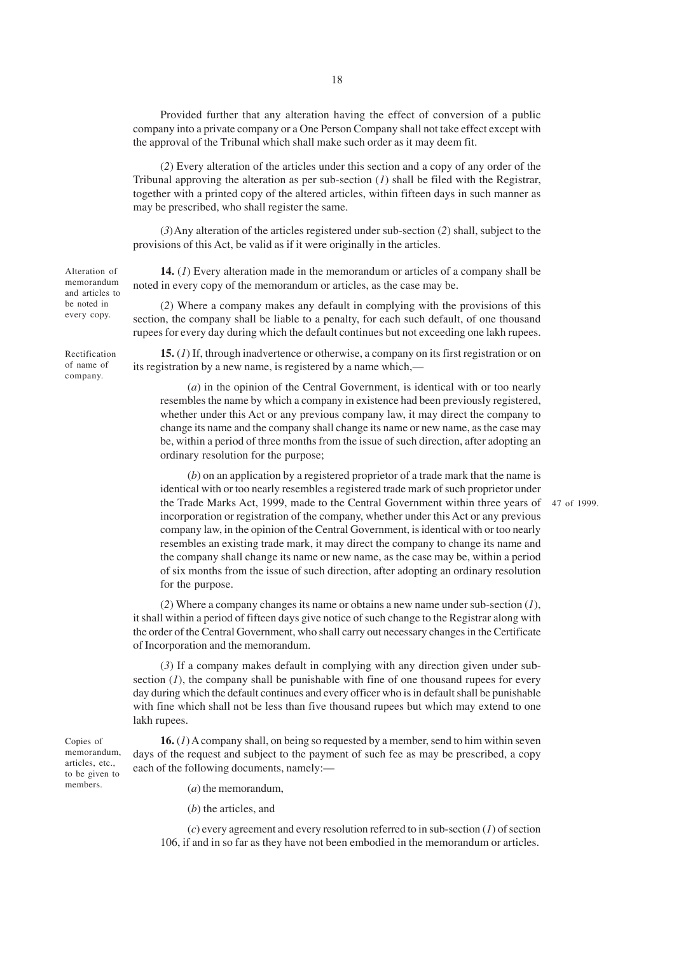Provided further that any alteration having the effect of conversion of a public company into a private company or a One Person Company shall not take effect except with the approval of the Tribunal which shall make such order as it may deem fit.

(*2*) Every alteration of the articles under this section and a copy of any order of the Tribunal approving the alteration as per sub-section (*1*) shall be filed with the Registrar, together with a printed copy of the altered articles, within fifteen days in such manner as may be prescribed, who shall register the same.

(*3*)Any alteration of the articles registered under sub-section (*2*) shall, subject to the provisions of this Act, be valid as if it were originally in the articles.

**14.** (*1*) Every alteration made in the memorandum or articles of a company shall be noted in every copy of the memorandum or articles, as the case may be.

(*2*) Where a company makes any default in complying with the provisions of this section, the company shall be liable to a penalty, for each such default, of one thousand rupees for every day during which the default continues but not exceeding one lakh rupees.

**15.** (*1*) If, through inadvertence or otherwise, a company on its first registration or on its registration by a new name, is registered by a name which,-

(*a*) in the opinion of the Central Government, is identical with or too nearly resembles the name by which a company in existence had been previously registered, whether under this Act or any previous company law, it may direct the company to change its name and the company shall change its name or new name, as the case may be, within a period of three months from the issue of such direction, after adopting an ordinary resolution for the purpose;

(*b*) on an application by a registered proprietor of a trade mark that the name is identical with or too nearly resembles a registered trade mark of such proprietor under the Trade Marks Act, 1999, made to the Central Government within three years of 47 of 1999.incorporation or registration of the company, whether under this Act or any previous company law, in the opinion of the Central Government, is identical with or too nearly resembles an existing trade mark, it may direct the company to change its name and the company shall change its name or new name, as the case may be, within a period of six months from the issue of such direction, after adopting an ordinary resolution for the purpose.

(*2*) Where a company changes its name or obtains a new name under sub-section (*1*), it shall within a period of fifteen days give notice of such change to the Registrar along with the order of the Central Government, who shall carry out necessary changes in the Certificate of Incorporation and the memorandum.

(*3*) If a company makes default in complying with any direction given under subsection (*1*), the company shall be punishable with fine of one thousand rupees for every day during which the default continues and every officer who is in default shall be punishable with fine which shall not be less than five thousand rupees but which may extend to one lakh rupees.

**16.** (*1*) A company shall, on being so requested by a member, send to him within seven days of the request and subject to the payment of such fee as may be prescribed, a copy each of the following documents, namely:—

(*a*) the memorandum,

(*b*) the articles, and

(*c*) every agreement and every resolution referred to in sub-section (*1*) of section 106, if and in so far as they have not been embodied in the memorandum or articles.

Alteration of memorandum and articles to be noted in every copy.

Rectification of name of company.

Copies of memorandum, articles, etc., to be given to members.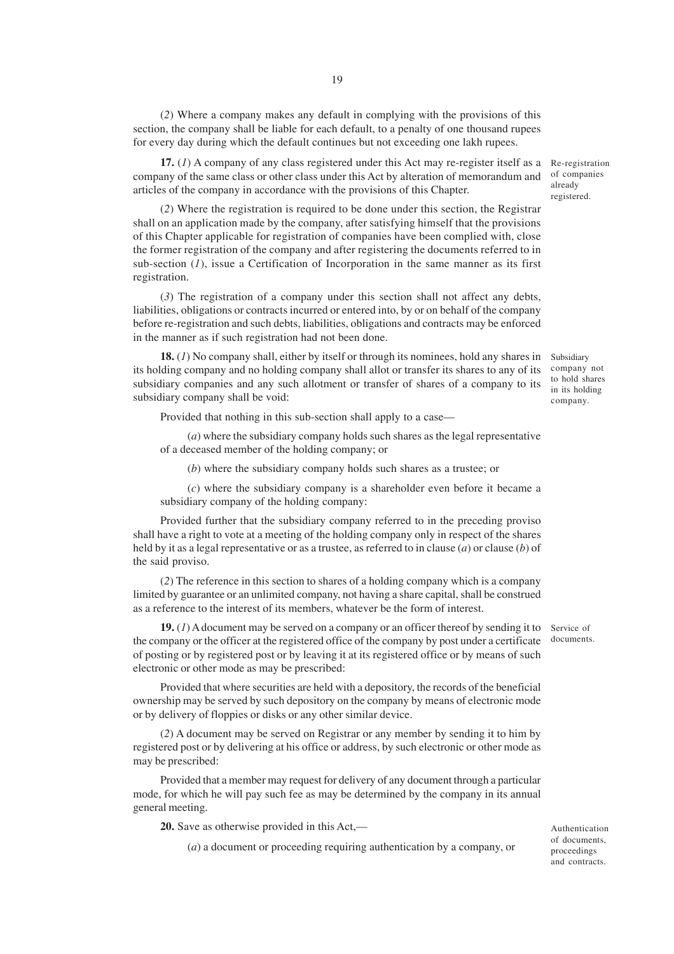(*2*) Where a company makes any default in complying with the provisions of this section, the company shall be liable for each default, to a penalty of one thousand rupees for every day during which the default continues but not exceeding one lakh rupees.

**17.** (*1*) A company of any class registered under this Act may re-register itself as a company of the same class or other class under this Act by alteration of memorandum and articles of the company in accordance with the provisions of this Chapter.

(*2*) Where the registration is required to be done under this section, the Registrar shall on an application made by the company, after satisfying himself that the provisions of this Chapter applicable for registration of companies have been complied with, close the former registration of the company and after registering the documents referred to in sub-section (*1*), issue a Certification of Incorporation in the same manner as its first registration.

(*3*) The registration of a company under this section shall not affect any debts, liabilities, obligations or contracts incurred or entered into, by or on behalf of the company before re-registration and such debts, liabilities, obligations and contracts may be enforced in the manner as if such registration had not been done.

**18.** (*1*) No company shall, either by itself or through its nominees, hold any shares in its holding company and no holding company shall allot or transfer its shares to any of its subsidiary companies and any such allotment or transfer of shares of a company to its subsidiary company shall be void:

Provided that nothing in this sub-section shall apply to a case—

(*a*) where the subsidiary company holds such shares as the legal representative of a deceased member of the holding company; or

(*b*) where the subsidiary company holds such shares as a trustee; or

(*c*) where the subsidiary company is a shareholder even before it became a subsidiary company of the holding company:

Provided further that the subsidiary company referred to in the preceding proviso shall have a right to vote at a meeting of the holding company only in respect of the shares held by it as a legal representative or as a trustee, as referred to in clause (*a*) or clause (*b*) of the said proviso.

(*2*) The reference in this section to shares of a holding company which is a company limited by guarantee or an unlimited company, not having a share capital, shall be construed as a reference to the interest of its members, whatever be the form of interest.

**19.** (1) A document may be served on a company or an officer thereof by sending it to Service of the company or the officer at the registered office of the company by post under a certificate of posting or by registered post or by leaving it at its registered office or by means of such electronic or other mode as may be prescribed: documents.

Provided that where securities are held with a depository, the records of the beneficial ownership may be served by such depository on the company by means of electronic mode or by delivery of floppies or disks or any other similar device.

(*2*) A document may be served on Registrar or any member by sending it to him by registered post or by delivering at his office or address, by such electronic or other mode as may be prescribed:

Provided that a member may request for delivery of any document through a particular mode, for which he will pay such fee as may be determined by the company in its annual general meeting.

**20.** Save as otherwise provided in this Act,—

(*a*) a document or proceeding requiring authentication by a company, or

Authentication of documents, proceedings and contracts.

company not to hold shares in its holding company.

Subsidiary

Re-registration of companies already registered.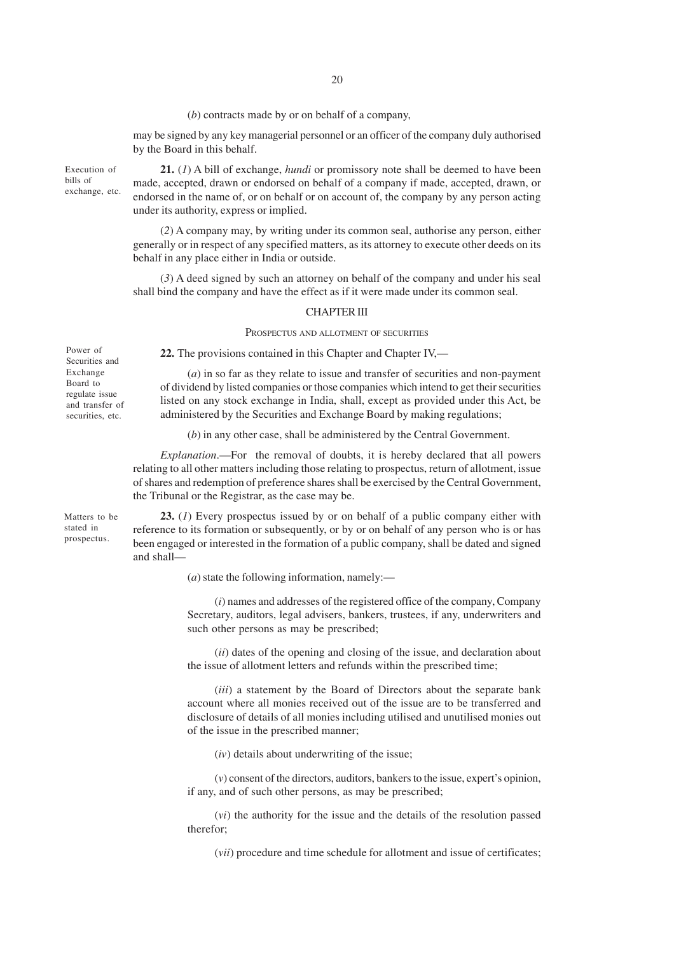(*b*) contracts made by or on behalf of a company,

may be signed by any key managerial personnel or an officer of the company duly authorised by the Board in this behalf.

Execution of bills of exchange, etc.

Power of Securities and Exchange Board to regulate issue and transfer of securities, etc.

**21.** (*1*) A bill of exchange, *hundi* or promissory note shall be deemed to have been made, accepted, drawn or endorsed on behalf of a company if made, accepted, drawn, or endorsed in the name of, or on behalf or on account of, the company by any person acting under its authority, express or implied.

(*2*) A company may, by writing under its common seal, authorise any person, either generally or in respect of any specified matters, as its attorney to execute other deeds on its behalf in any place either in India or outside.

(*3*) A deed signed by such an attorney on behalf of the company and under his seal shall bind the company and have the effect as if it were made under its common seal.

#### CHAPTER III

PROSPECTUS AND ALLOTMENT OF SECURITIES

**22.** The provisions contained in this Chapter and Chapter IV,—

(*a*) in so far as they relate to issue and transfer of securities and non-payment of dividend by listed companies or those companies which intend to get their securities listed on any stock exchange in India, shall, except as provided under this Act, be administered by the Securities and Exchange Board by making regulations;

(*b*) in any other case, shall be administered by the Central Government.

*Explanation*.—For the removal of doubts, it is hereby declared that all powers relating to all other matters including those relating to prospectus, return of allotment, issue of shares and redemption of preference shares shall be exercised by the Central Government, the Tribunal or the Registrar, as the case may be.

Matters to be stated in prospectus.

**23.** (*1*) Every prospectus issued by or on behalf of a public company either with reference to its formation or subsequently, or by or on behalf of any person who is or has been engaged or interested in the formation of a public company, shall be dated and signed and shall—

(*a*) state the following information, namely:—

(*i*) names and addresses of the registered office of the company, Company Secretary, auditors, legal advisers, bankers, trustees, if any, underwriters and such other persons as may be prescribed;

(*ii*) dates of the opening and closing of the issue, and declaration about the issue of allotment letters and refunds within the prescribed time;

(*iii*) a statement by the Board of Directors about the separate bank account where all monies received out of the issue are to be transferred and disclosure of details of all monies including utilised and unutilised monies out of the issue in the prescribed manner;

(*iv*) details about underwriting of the issue;

(*v*) consent of the directors, auditors, bankers to the issue, expert's opinion, if any, and of such other persons, as may be prescribed;

(*vi*) the authority for the issue and the details of the resolution passed therefor;

(*vii*) procedure and time schedule for allotment and issue of certificates;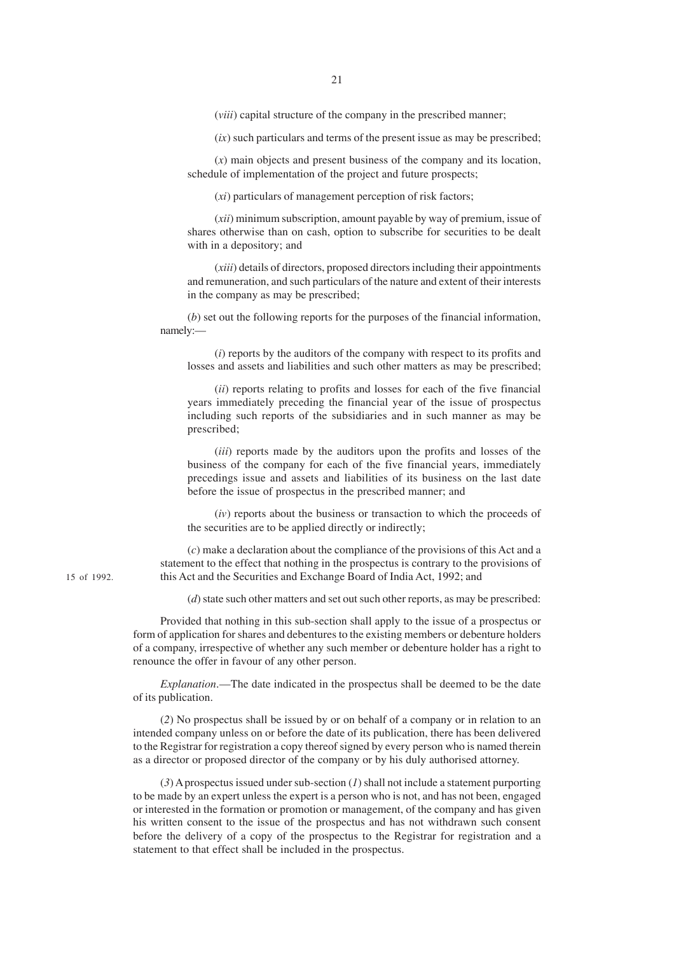(*viii*) capital structure of the company in the prescribed manner;

(*ix*) such particulars and terms of the present issue as may be prescribed;

(*x*) main objects and present business of the company and its location, schedule of implementation of the project and future prospects;

(*xi*) particulars of management perception of risk factors;

(*xii*) minimum subscription, amount payable by way of premium, issue of shares otherwise than on cash, option to subscribe for securities to be dealt with in a depository; and

(*xiii*) details of directors, proposed directors including their appointments and remuneration, and such particulars of the nature and extent of their interests in the company as may be prescribed;

(*b*) set out the following reports for the purposes of the financial information, namely:—

(*i*) reports by the auditors of the company with respect to its profits and losses and assets and liabilities and such other matters as may be prescribed;

(*ii*) reports relating to profits and losses for each of the five financial years immediately preceding the financial year of the issue of prospectus including such reports of the subsidiaries and in such manner as may be prescribed;

(*iii*) reports made by the auditors upon the profits and losses of the business of the company for each of the five financial years, immediately precedings issue and assets and liabilities of its business on the last date before the issue of prospectus in the prescribed manner; and

(*iv*) reports about the business or transaction to which the proceeds of the securities are to be applied directly or indirectly;

(*c*) make a declaration about the compliance of the provisions of this Act and a statement to the effect that nothing in the prospectus is contrary to the provisions of this Act and the Securities and Exchange Board of India Act, 1992; and

(*d*) state such other matters and set out such other reports, as may be prescribed:

Provided that nothing in this sub-section shall apply to the issue of a prospectus or form of application for shares and debentures to the existing members or debenture holders of a company, irrespective of whether any such member or debenture holder has a right to renounce the offer in favour of any other person.

*Explanation*.—The date indicated in the prospectus shall be deemed to be the date of its publication.

(*2*) No prospectus shall be issued by or on behalf of a company or in relation to an intended company unless on or before the date of its publication, there has been delivered to the Registrar for registration a copy thereof signed by every person who is named therein as a director or proposed director of the company or by his duly authorised attorney.

(*3*) A prospectus issued under sub-section (*1*) shall not include a statement purporting to be made by an expert unless the expert is a person who is not, and has not been, engaged or interested in the formation or promotion or management, of the company and has given his written consent to the issue of the prospectus and has not withdrawn such consent before the delivery of a copy of the prospectus to the Registrar for registration and a statement to that effect shall be included in the prospectus.

15 of 1992.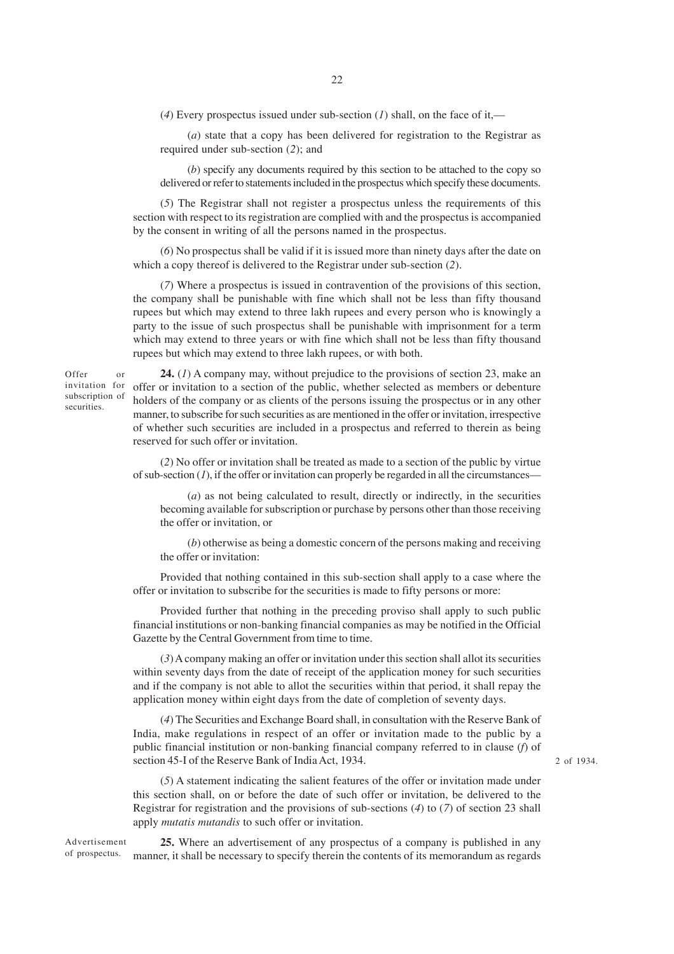(*4*) Every prospectus issued under sub-section (*1*) shall, on the face of it,—

(*a*) state that a copy has been delivered for registration to the Registrar as required under sub-section (*2*); and

(*b*) specify any documents required by this section to be attached to the copy so delivered or refer to statements included in the prospectus which specify these documents.

(*5*) The Registrar shall not register a prospectus unless the requirements of this section with respect to its registration are complied with and the prospectus is accompanied by the consent in writing of all the persons named in the prospectus.

(*6*) No prospectus shall be valid if it is issued more than ninety days after the date on which a copy thereof is delivered to the Registrar under sub-section (*2*).

(*7*) Where a prospectus is issued in contravention of the provisions of this section, the company shall be punishable with fine which shall not be less than fifty thousand rupees but which may extend to three lakh rupees and every person who is knowingly a party to the issue of such prospectus shall be punishable with imprisonment for a term which may extend to three years or with fine which shall not be less than fifty thousand rupees but which may extend to three lakh rupees, or with both.

Offer or invitation for subscription of securities.

**24.** (*1*) A company may, without prejudice to the provisions of section 23, make an offer or invitation to a section of the public, whether selected as members or debenture holders of the company or as clients of the persons issuing the prospectus or in any other manner, to subscribe for such securities as are mentioned in the offer or invitation, irrespective of whether such securities are included in a prospectus and referred to therein as being reserved for such offer or invitation.

(*2*) No offer or invitation shall be treated as made to a section of the public by virtue of sub-section  $(I)$ , if the offer or invitation can properly be regarded in all the circumstances—

(*a*) as not being calculated to result, directly or indirectly, in the securities becoming available for subscription or purchase by persons other than those receiving the offer or invitation, or

(*b*) otherwise as being a domestic concern of the persons making and receiving the offer or invitation:

Provided that nothing contained in this sub-section shall apply to a case where the offer or invitation to subscribe for the securities is made to fifty persons or more:

Provided further that nothing in the preceding proviso shall apply to such public financial institutions or non-banking financial companies as may be notified in the Official Gazette by the Central Government from time to time.

(*3*) A company making an offer or invitation under this section shall allot its securities within seventy days from the date of receipt of the application money for such securities and if the company is not able to allot the securities within that period, it shall repay the application money within eight days from the date of completion of seventy days.

(*4*) The Securities and Exchange Board shall, in consultation with the Reserve Bank of India, make regulations in respect of an offer or invitation made to the public by a public financial institution or non-banking financial company referred to in clause (*f*) of section 45-I of the Reserve Bank of India Act, 1934.

(*5*) A statement indicating the salient features of the offer or invitation made under this section shall, on or before the date of such offer or invitation, be delivered to the Registrar for registration and the provisions of sub-sections (*4*) to (*7*) of section 23 shall apply *mutatis mutandis* to such offer or invitation.

Advertisement of prospectus.

**25.** Where an advertisement of any prospectus of a company is published in any manner, it shall be necessary to specify therein the contents of its memorandum as regards 2 of 1934.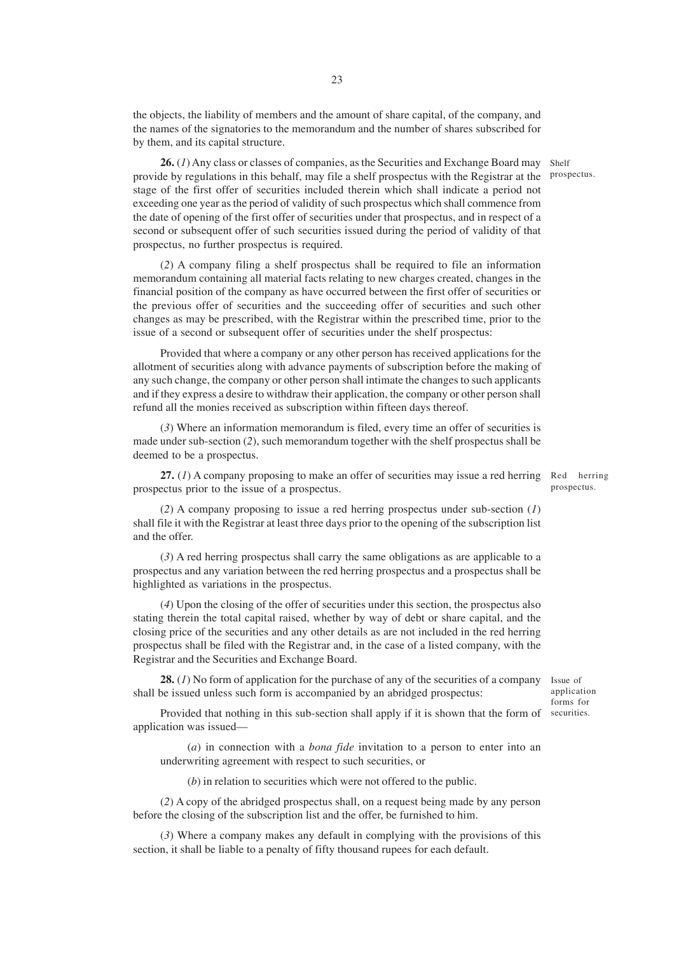the objects, the liability of members and the amount of share capital, of the company, and the names of the signatories to the memorandum and the number of shares subscribed for by them, and its capital structure.

26. (1) Any class or classes of companies, as the Securities and Exchange Board may Shelf provide by regulations in this behalf, may file a shelf prospectus with the Registrar at the prospectus. stage of the first offer of securities included therein which shall indicate a period not exceeding one year as the period of validity of such prospectus which shall commence from the date of opening of the first offer of securities under that prospectus, and in respect of a second or subsequent offer of such securities issued during the period of validity of that prospectus, no further prospectus is required.

(*2*) A company filing a shelf prospectus shall be required to file an information memorandum containing all material facts relating to new charges created, changes in the financial position of the company as have occurred between the first offer of securities or the previous offer of securities and the succeeding offer of securities and such other changes as may be prescribed, with the Registrar within the prescribed time, prior to the issue of a second or subsequent offer of securities under the shelf prospectus:

Provided that where a company or any other person has received applications for the allotment of securities along with advance payments of subscription before the making of any such change, the company or other person shall intimate the changes to such applicants and if they express a desire to withdraw their application, the company or other person shall refund all the monies received as subscription within fifteen days thereof.

(*3*) Where an information memorandum is filed, every time an offer of securities is made under sub-section (*2*), such memorandum together with the shelf prospectus shall be deemed to be a prospectus.

27. (1) A company proposing to make an offer of securities may issue a red herring Red herring prospectus prior to the issue of a prospectus.

prospectus.

(*2*) A company proposing to issue a red herring prospectus under sub-section (*1*) shall file it with the Registrar at least three days prior to the opening of the subscription list and the offer.

(*3*) A red herring prospectus shall carry the same obligations as are applicable to a prospectus and any variation between the red herring prospectus and a prospectus shall be highlighted as variations in the prospectus.

(*4*) Upon the closing of the offer of securities under this section, the prospectus also stating therein the total capital raised, whether by way of debt or share capital, and the closing price of the securities and any other details as are not included in the red herring prospectus shall be filed with the Registrar and, in the case of a listed company, with the Registrar and the Securities and Exchange Board.

**28.** (1) No form of application for the purchase of any of the securities of a company Issue of shall be issued unless such form is accompanied by an abridged prospectus:

application forms for

Provided that nothing in this sub-section shall apply if it is shown that the form of securities. application was issued—

(*a*) in connection with a *bona fide* invitation to a person to enter into an underwriting agreement with respect to such securities, or

(*b*) in relation to securities which were not offered to the public.

(*2*) A copy of the abridged prospectus shall, on a request being made by any person before the closing of the subscription list and the offer, be furnished to him.

(*3*) Where a company makes any default in complying with the provisions of this section, it shall be liable to a penalty of fifty thousand rupees for each default.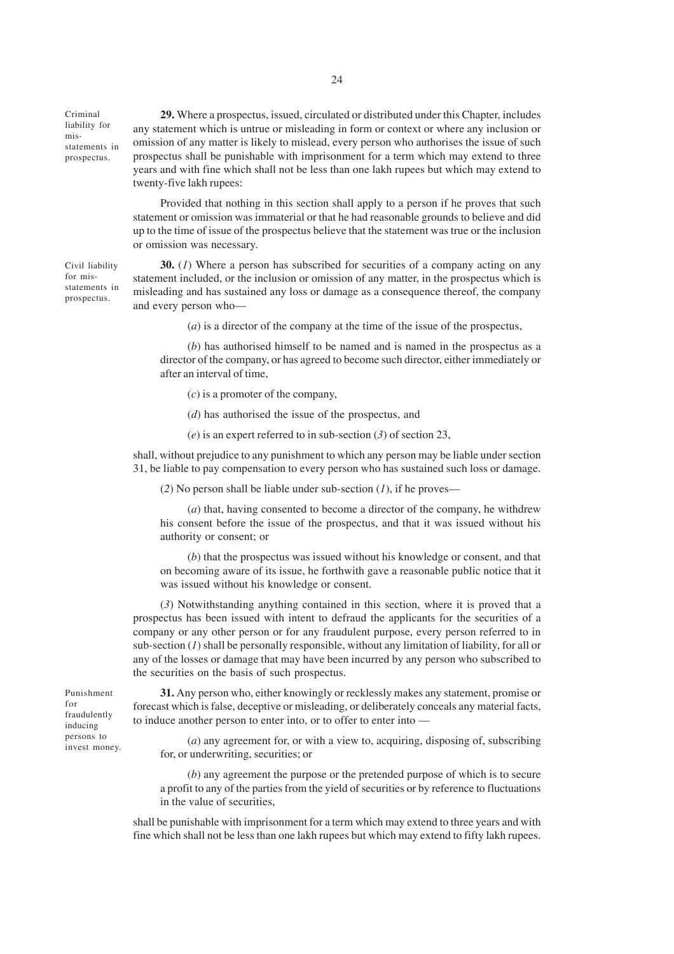Criminal liability for misstatements in prospectus.

Civil liability for misstatements in prospectus.

**29.** Where a prospectus, issued, circulated or distributed under this Chapter, includes any statement which is untrue or misleading in form or context or where any inclusion or omission of any matter is likely to mislead, every person who authorises the issue of such prospectus shall be punishable with imprisonment for a term which may extend to three years and with fine which shall not be less than one lakh rupees but which may extend to twenty-five lakh rupees:

Provided that nothing in this section shall apply to a person if he proves that such statement or omission was immaterial or that he had reasonable grounds to believe and did up to the time of issue of the prospectus believe that the statement was true or the inclusion or omission was necessary.

**30.** (*1*) Where a person has subscribed for securities of a company acting on any statement included, or the inclusion or omission of any matter, in the prospectus which is misleading and has sustained any loss or damage as a consequence thereof, the company and every person who—

(*a*) is a director of the company at the time of the issue of the prospectus,

(*b*) has authorised himself to be named and is named in the prospectus as a director of the company, or has agreed to become such director, either immediately or after an interval of time,

(*c*) is a promoter of the company,

(*d*) has authorised the issue of the prospectus, and

(*e*) is an expert referred to in sub-section (*3*) of section 23,

shall, without prejudice to any punishment to which any person may be liable under section 31, be liable to pay compensation to every person who has sustained such loss or damage.

(*2*) No person shall be liable under sub-section (*1*), if he proves—

(*a*) that, having consented to become a director of the company, he withdrew his consent before the issue of the prospectus, and that it was issued without his authority or consent; or

(*b*) that the prospectus was issued without his knowledge or consent, and that on becoming aware of its issue, he forthwith gave a reasonable public notice that it was issued without his knowledge or consent.

(*3*) Notwithstanding anything contained in this section, where it is proved that a prospectus has been issued with intent to defraud the applicants for the securities of a company or any other person or for any fraudulent purpose, every person referred to in sub-section (*1*) shall be personally responsible, without any limitation of liability, for all or any of the losses or damage that may have been incurred by any person who subscribed to the securities on the basis of such prospectus.

Punishment for fraudulently inducing persons to invest money.

**31.** Any person who, either knowingly or recklessly makes any statement, promise or forecast which is false, deceptive or misleading, or deliberately conceals any material facts, to induce another person to enter into, or to offer to enter into —

(*a*) any agreement for, or with a view to, acquiring, disposing of, subscribing for, or underwriting, securities; or

(*b*) any agreement the purpose or the pretended purpose of which is to secure a profit to any of the parties from the yield of securities or by reference to fluctuations in the value of securities,

shall be punishable with imprisonment for a term which may extend to three years and with fine which shall not be less than one lakh rupees but which may extend to fifty lakh rupees.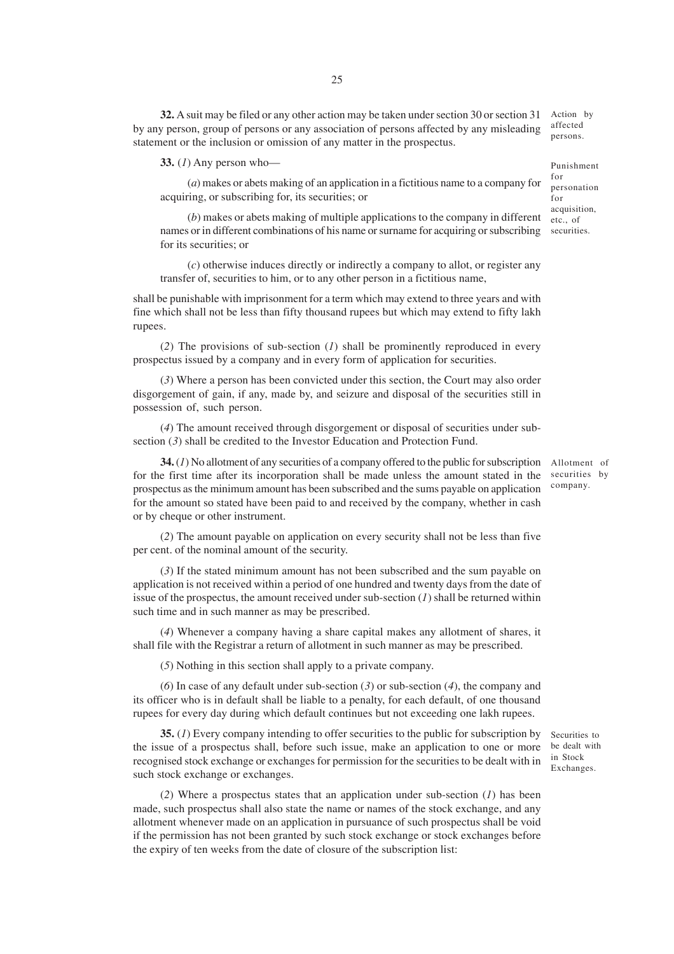**32.** A suit may be filed or any other action may be taken under section 30 or section 31 by any person, group of persons or any association of persons affected by any misleading statement or the inclusion or omission of any matter in the prospectus. Action by affected persons.

**33.** (*1*) Any person who—

(*a*) makes or abets making of an application in a fictitious name to a company for acquiring, or subscribing for, its securities; or

(*b*) makes or abets making of multiple applications to the company in different names or in different combinations of his name or surname for acquiring or subscribing for its securities; or

(*c*) otherwise induces directly or indirectly a company to allot, or register any transfer of, securities to him, or to any other person in a fictitious name,

shall be punishable with imprisonment for a term which may extend to three years and with fine which shall not be less than fifty thousand rupees but which may extend to fifty lakh rupees.

(*2*) The provisions of sub-section (*1*) shall be prominently reproduced in every prospectus issued by a company and in every form of application for securities.

(*3*) Where a person has been convicted under this section, the Court may also order disgorgement of gain, if any, made by, and seizure and disposal of the securities still in possession of, such person.

(*4*) The amount received through disgorgement or disposal of securities under subsection (*3*) shall be credited to the Investor Education and Protection Fund.

**34.** (*1*) No allotment of any securities of a company offered to the public for subscription Allotment of for the first time after its incorporation shall be made unless the amount stated in the prospectus as the minimum amount has been subscribed and the sums payable on application for the amount so stated have been paid to and received by the company, whether in cash or by cheque or other instrument.

(*2*) The amount payable on application on every security shall not be less than five per cent. of the nominal amount of the security.

(*3*) If the stated minimum amount has not been subscribed and the sum payable on application is not received within a period of one hundred and twenty days from the date of issue of the prospectus, the amount received under sub-section  $(I)$  shall be returned within such time and in such manner as may be prescribed.

(*4*) Whenever a company having a share capital makes any allotment of shares, it shall file with the Registrar a return of allotment in such manner as may be prescribed.

(*5*) Nothing in this section shall apply to a private company.

(*6*) In case of any default under sub-section (*3*) or sub-section (*4*), the company and its officer who is in default shall be liable to a penalty, for each default, of one thousand rupees for every day during which default continues but not exceeding one lakh rupees.

**35.** (*1*) Every company intending to offer securities to the public for subscription by the issue of a prospectus shall, before such issue, make an application to one or more recognised stock exchange or exchanges for permission for the securities to be dealt with in such stock exchange or exchanges.

(*2*) Where a prospectus states that an application under sub-section (*1*) has been made, such prospectus shall also state the name or names of the stock exchange, and any allotment whenever made on an application in pursuance of such prospectus shall be void if the permission has not been granted by such stock exchange or stock exchanges before the expiry of ten weeks from the date of closure of the subscription list:

securities by company.

Punishment  $for$ personation for acquisition, etc., of securities.

Securities to be dealt with in Stock Exchanges.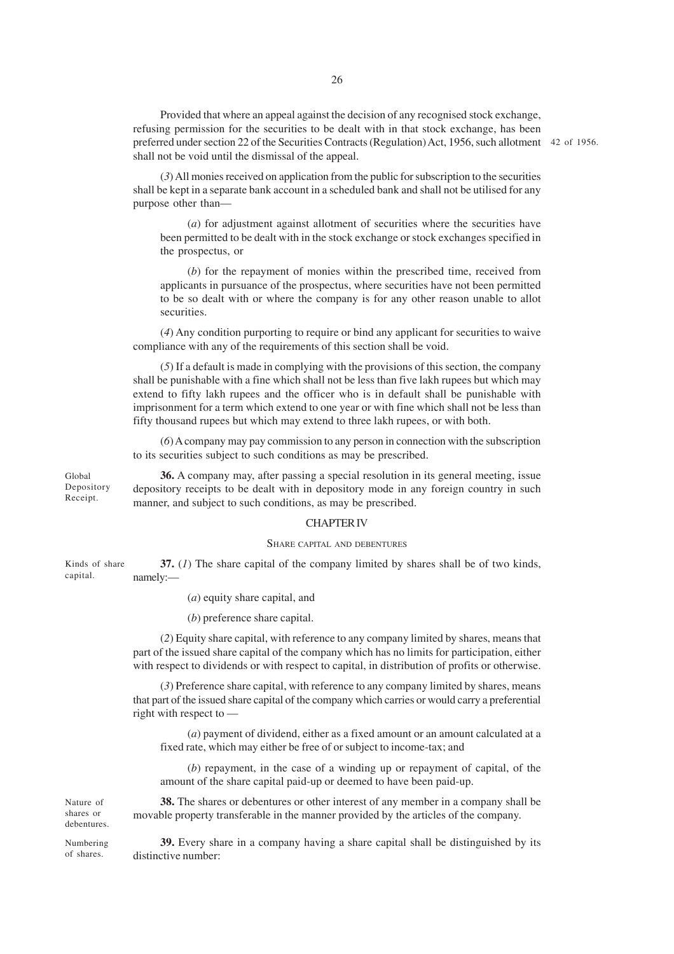Provided that where an appeal against the decision of any recognised stock exchange, refusing permission for the securities to be dealt with in that stock exchange, has been preferred under section 22 of the Securities Contracts (Regulation) Act, 1956, such allotment 42 of 1956.shall not be void until the dismissal of the appeal.

(*3*) All monies received on application from the public for subscription to the securities shall be kept in a separate bank account in a scheduled bank and shall not be utilised for any purpose other than—

(*a*) for adjustment against allotment of securities where the securities have been permitted to be dealt with in the stock exchange or stock exchanges specified in the prospectus, or

(*b*) for the repayment of monies within the prescribed time, received from applicants in pursuance of the prospectus, where securities have not been permitted to be so dealt with or where the company is for any other reason unable to allot securities.

(*4*) Any condition purporting to require or bind any applicant for securities to waive compliance with any of the requirements of this section shall be void.

(*5*) If a default is made in complying with the provisions of this section, the company shall be punishable with a fine which shall not be less than five lakh rupees but which may extend to fifty lakh rupees and the officer who is in default shall be punishable with imprisonment for a term which extend to one year or with fine which shall not be less than fifty thousand rupees but which may extend to three lakh rupees, or with both.

(*6*) A company may pay commission to any person in connection with the subscription to its securities subject to such conditions as may be prescribed.

Global Depository Receipt.

**36.** A company may, after passing a special resolution in its general meeting, issue depository receipts to be dealt with in depository mode in any foreign country in such manner, and subject to such conditions, as may be prescribed.

## CHAPTER IV

#### SHARE CAPITAL AND DEBENTURES

**37.** (*1*) The share capital of the company limited by shares shall be of two kinds, namely:— Kinds of share capital.

- (*a*) equity share capital, and
- (*b*) preference share capital.

(*2*) Equity share capital, with reference to any company limited by shares, means that part of the issued share capital of the company which has no limits for participation, either with respect to dividends or with respect to capital, in distribution of profits or otherwise.

(*3*) Preference share capital, with reference to any company limited by shares, means that part of the issued share capital of the company which carries or would carry a preferential right with respect to —

(*a*) payment of dividend, either as a fixed amount or an amount calculated at a fixed rate, which may either be free of or subject to income-tax; and

(*b*) repayment, in the case of a winding up or repayment of capital, of the amount of the share capital paid-up or deemed to have been paid-up.

Nature of shares or debentures.

**38.** The shares or debentures or other interest of any member in a company shall be movable property transferable in the manner provided by the articles of the company.

**39.** Every share in a company having a share capital shall be distinguished by its distinctive number:

Numbering

of shares.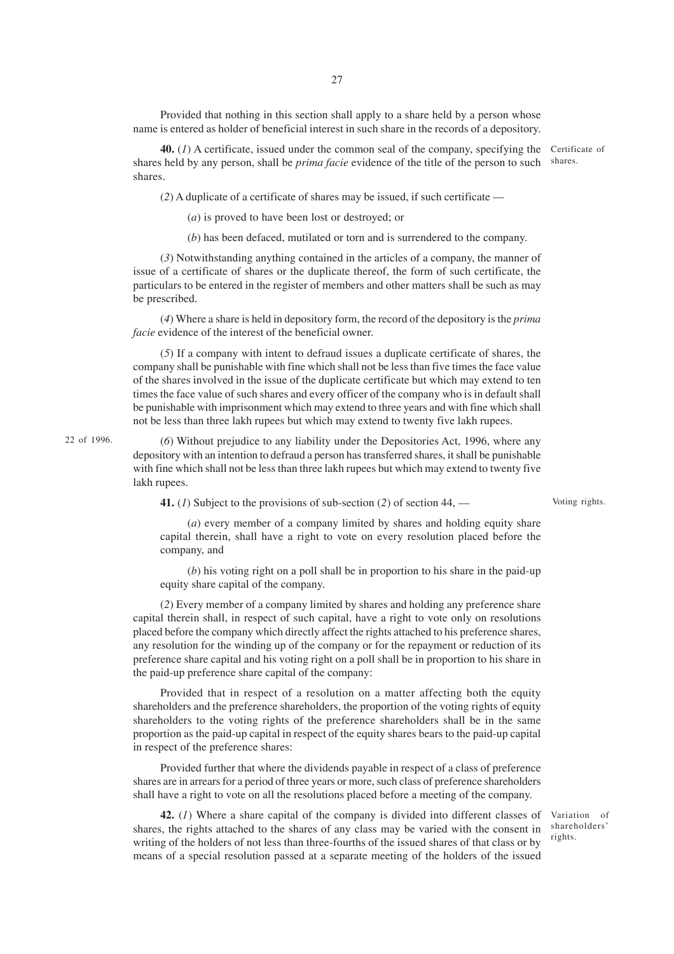Provided that nothing in this section shall apply to a share held by a person whose name is entered as holder of beneficial interest in such share in the records of a depository.

**40.** (1) A certificate, issued under the common seal of the company, specifying the Certificate of shares held by any person, shall be *prima facie* evidence of the title of the person to such shares. shares.

(*2*) A duplicate of a certificate of shares may be issued, if such certificate —

(*a*) is proved to have been lost or destroyed; or

(*b*) has been defaced, mutilated or torn and is surrendered to the company.

(*3*) Notwithstanding anything contained in the articles of a company, the manner of issue of a certificate of shares or the duplicate thereof, the form of such certificate, the particulars to be entered in the register of members and other matters shall be such as may be prescribed.

(*4*) Where a share is held in depository form, the record of the depository is the *prima facie* evidence of the interest of the beneficial owner.

(*5*) If a company with intent to defraud issues a duplicate certificate of shares, the company shall be punishable with fine which shall not be less than five times the face value of the shares involved in the issue of the duplicate certificate but which may extend to ten times the face value of such shares and every officer of the company who is in default shall be punishable with imprisonment which may extend to three years and with fine which shall not be less than three lakh rupees but which may extend to twenty five lakh rupees.

22 of 1996.

(*6*) Without prejudice to any liability under the Depositories Act, 1996, where any depository with an intention to defraud a person has transferred shares, it shall be punishable with fine which shall not be less than three lakh rupees but which may extend to twenty five lakh rupees.

**41.** (*1*) Subject to the provisions of sub-section (*2*) of section 44, —

Voting rights.

(*a*) every member of a company limited by shares and holding equity share capital therein, shall have a right to vote on every resolution placed before the company, and

(*b*) his voting right on a poll shall be in proportion to his share in the paid-up equity share capital of the company.

(*2*) Every member of a company limited by shares and holding any preference share capital therein shall, in respect of such capital, have a right to vote only on resolutions placed before the company which directly affect the rights attached to his preference shares, any resolution for the winding up of the company or for the repayment or reduction of its preference share capital and his voting right on a poll shall be in proportion to his share in the paid-up preference share capital of the company:

Provided that in respect of a resolution on a matter affecting both the equity shareholders and the preference shareholders, the proportion of the voting rights of equity shareholders to the voting rights of the preference shareholders shall be in the same proportion as the paid-up capital in respect of the equity shares bears to the paid-up capital in respect of the preference shares:

Provided further that where the dividends payable in respect of a class of preference shares are in arrears for a period of three years or more, such class of preference shareholders shall have a right to vote on all the resolutions placed before a meeting of the company.

**42.** (*1*) Where a share capital of the company is divided into different classes of Variation of shares, the rights attached to the shares of any class may be varied with the consent in writing of the holders of not less than three-fourths of the issued shares of that class or by means of a special resolution passed at a separate meeting of the holders of the issued

shareholders' rights.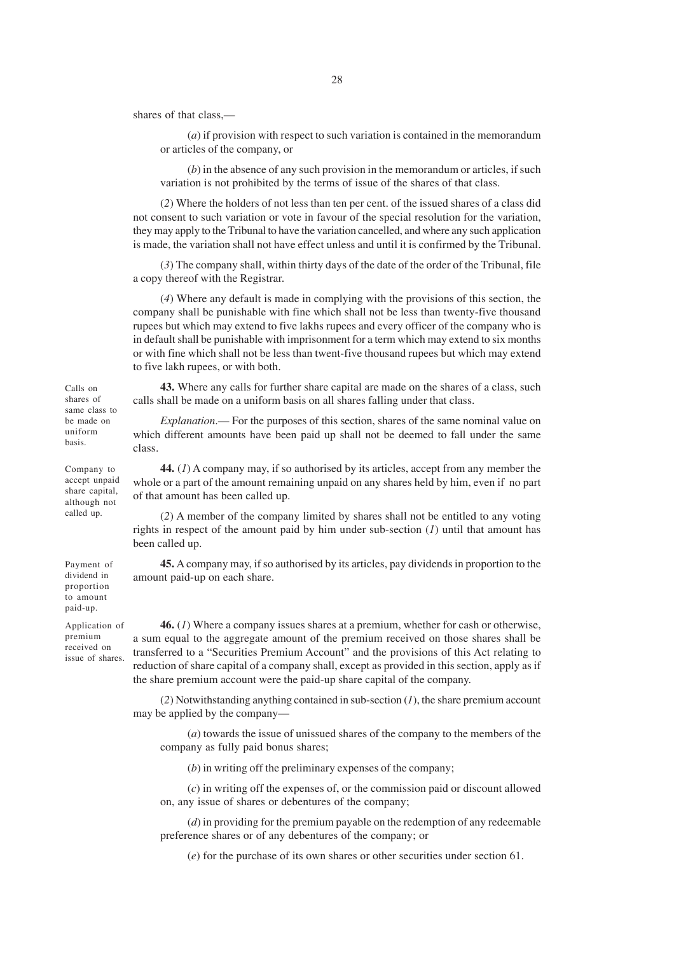shares of that class,—

(*a*) if provision with respect to such variation is contained in the memorandum or articles of the company, or

(*b*) in the absence of any such provision in the memorandum or articles, if such variation is not prohibited by the terms of issue of the shares of that class.

(*2*) Where the holders of not less than ten per cent. of the issued shares of a class did not consent to such variation or vote in favour of the special resolution for the variation, they may apply to the Tribunal to have the variation cancelled, and where any such application is made, the variation shall not have effect unless and until it is confirmed by the Tribunal.

(*3*) The company shall, within thirty days of the date of the order of the Tribunal, file a copy thereof with the Registrar.

(*4*) Where any default is made in complying with the provisions of this section, the company shall be punishable with fine which shall not be less than twenty-five thousand rupees but which may extend to five lakhs rupees and every officer of the company who is in default shall be punishable with imprisonment for a term which may extend to six months or with fine which shall not be less than twent-five thousand rupees but which may extend to five lakh rupees, or with both.

**43.** Where any calls for further share capital are made on the shares of a class, such calls shall be made on a uniform basis on all shares falling under that class.

*Explanation*.— For the purposes of this section, shares of the same nominal value on which different amounts have been paid up shall not be deemed to fall under the same class.

**44.** (*1*) A company may, if so authorised by its articles, accept from any member the whole or a part of the amount remaining unpaid on any shares held by him, even if no part of that amount has been called up.

(*2*) A member of the company limited by shares shall not be entitled to any voting rights in respect of the amount paid by him under sub-section (*1*) until that amount has been called up.

**45.** A company may, if so authorised by its articles, pay dividends in proportion to the amount paid-up on each share.

**46.** (*1*) Where a company issues shares at a premium, whether for cash or otherwise, a sum equal to the aggregate amount of the premium received on those shares shall be transferred to a "Securities Premium Account" and the provisions of this Act relating to reduction of share capital of a company shall, except as provided in this section, apply as if the share premium account were the paid-up share capital of the company.

(*2*) Notwithstanding anything contained in sub-section (*1*), the share premium account may be applied by the company—

(*a*) towards the issue of unissued shares of the company to the members of the company as fully paid bonus shares;

(*b*) in writing off the preliminary expenses of the company;

(*c*) in writing off the expenses of, or the commission paid or discount allowed on, any issue of shares or debentures of the company;

(*d*) in providing for the premium payable on the redemption of any redeemable preference shares or of any debentures of the company; or

(*e*) for the purchase of its own shares or other securities under section 61.

Calls on shares of same class to be made on uniform basis.

Company to accept unpaid share capital, although not called up.

Payment of dividend in proportion to amount paid-up.

Application of premium received on issue of shares.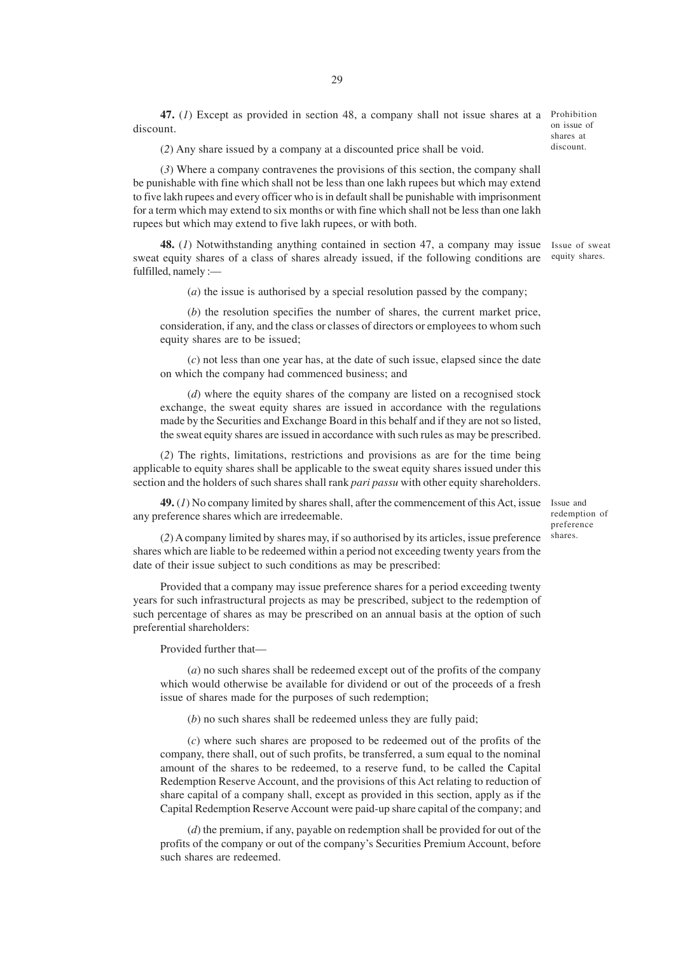**47.** (*1*) Except as provided in section 48, a company shall not issue shares at a Prohibition discount. on issue of shares at

(*2*) Any share issued by a company at a discounted price shall be void.

(*3*) Where a company contravenes the provisions of this section, the company shall be punishable with fine which shall not be less than one lakh rupees but which may extend to five lakh rupees and every officer who is in default shall be punishable with imprisonment for a term which may extend to six months or with fine which shall not be less than one lakh rupees but which may extend to five lakh rupees, or with both.

**48.** (1) Notwithstanding anything contained in section 47, a company may issue Issue of sweat sweat equity shares of a class of shares already issued, if the following conditions are fulfilled, namely : equity shares.

(*a*) the issue is authorised by a special resolution passed by the company;

(*b*) the resolution specifies the number of shares, the current market price, consideration, if any, and the class or classes of directors or employees to whom such equity shares are to be issued;

(*c*) not less than one year has, at the date of such issue, elapsed since the date on which the company had commenced business; and

(*d*) where the equity shares of the company are listed on a recognised stock exchange, the sweat equity shares are issued in accordance with the regulations made by the Securities and Exchange Board in this behalf and if they are not so listed, the sweat equity shares are issued in accordance with such rules as may be prescribed.

(*2*) The rights, limitations, restrictions and provisions as are for the time being applicable to equity shares shall be applicable to the sweat equity shares issued under this section and the holders of such shares shall rank *pari passu* with other equity shareholders.

**49.** (*1*) No company limited by shares shall, after the commencement of this Act, issue any preference shares which are irredeemable.

Issue and redemption of preference shares.

(*2*) A company limited by shares may, if so authorised by its articles, issue preference shares which are liable to be redeemed within a period not exceeding twenty years from the date of their issue subject to such conditions as may be prescribed:

Provided that a company may issue preference shares for a period exceeding twenty years for such infrastructural projects as may be prescribed, subject to the redemption of such percentage of shares as may be prescribed on an annual basis at the option of such preferential shareholders:

Provided further that—

(*a*) no such shares shall be redeemed except out of the profits of the company which would otherwise be available for dividend or out of the proceeds of a fresh issue of shares made for the purposes of such redemption;

(*b*) no such shares shall be redeemed unless they are fully paid;

(*c*) where such shares are proposed to be redeemed out of the profits of the company, there shall, out of such profits, be transferred, a sum equal to the nominal amount of the shares to be redeemed, to a reserve fund, to be called the Capital Redemption Reserve Account, and the provisions of this Act relating to reduction of share capital of a company shall, except as provided in this section, apply as if the Capital Redemption Reserve Account were paid-up share capital of the company; and

(*d*) the premium, if any, payable on redemption shall be provided for out of the profits of the company or out of the company's Securities Premium Account, before such shares are redeemed.

discount.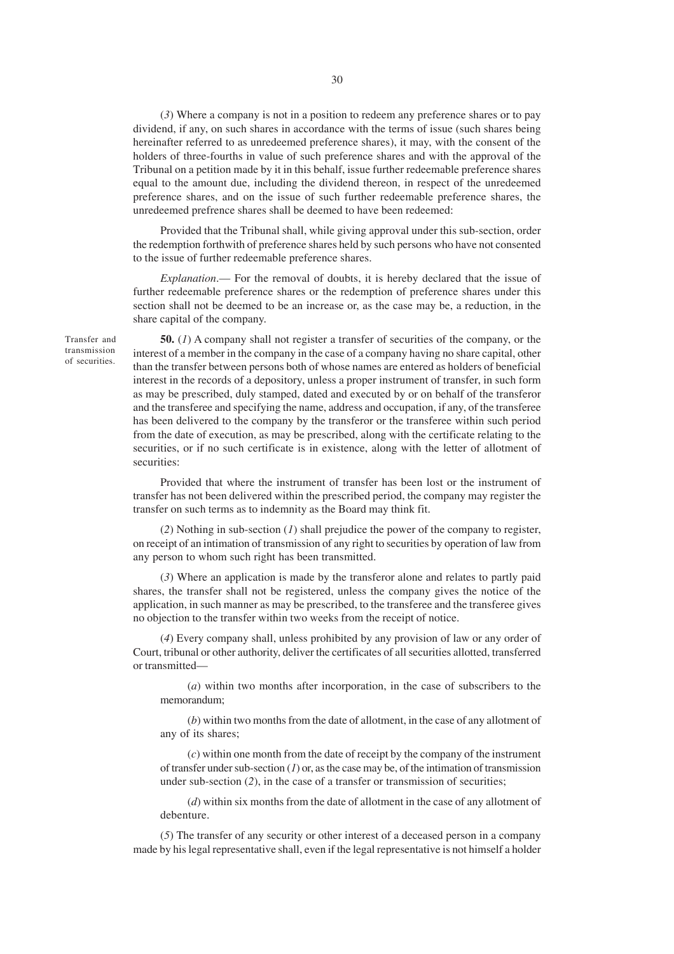(*3*) Where a company is not in a position to redeem any preference shares or to pay dividend, if any, on such shares in accordance with the terms of issue (such shares being hereinafter referred to as unredeemed preference shares), it may, with the consent of the holders of three-fourths in value of such preference shares and with the approval of the Tribunal on a petition made by it in this behalf, issue further redeemable preference shares equal to the amount due, including the dividend thereon, in respect of the unredeemed preference shares, and on the issue of such further redeemable preference shares, the unredeemed prefrence shares shall be deemed to have been redeemed:

Provided that the Tribunal shall, while giving approval under this sub-section, order the redemption forthwith of preference shares held by such persons who have not consented to the issue of further redeemable preference shares.

*Explanation*.— For the removal of doubts, it is hereby declared that the issue of further redeemable preference shares or the redemption of preference shares under this section shall not be deemed to be an increase or, as the case may be, a reduction, in the share capital of the company.

Transfer and transmission of securities.

**50.** (*1*) A company shall not register a transfer of securities of the company, or the interest of a member in the company in the case of a company having no share capital, other than the transfer between persons both of whose names are entered as holders of beneficial interest in the records of a depository, unless a proper instrument of transfer, in such form as may be prescribed, duly stamped, dated and executed by or on behalf of the transferor and the transferee and specifying the name, address and occupation, if any, of the transferee has been delivered to the company by the transferor or the transferee within such period from the date of execution, as may be prescribed, along with the certificate relating to the securities, or if no such certificate is in existence, along with the letter of allotment of securities:

Provided that where the instrument of transfer has been lost or the instrument of transfer has not been delivered within the prescribed period, the company may register the transfer on such terms as to indemnity as the Board may think fit.

(*2*) Nothing in sub-section (*1*) shall prejudice the power of the company to register, on receipt of an intimation of transmission of any right to securities by operation of law from any person to whom such right has been transmitted.

(*3*) Where an application is made by the transferor alone and relates to partly paid shares, the transfer shall not be registered, unless the company gives the notice of the application, in such manner as may be prescribed, to the transferee and the transferee gives no objection to the transfer within two weeks from the receipt of notice.

(*4*) Every company shall, unless prohibited by any provision of law or any order of Court, tribunal or other authority, deliver the certificates of all securities allotted, transferred or transmitted—

(*a*) within two months after incorporation, in the case of subscribers to the memorandum;

(*b*) within two months from the date of allotment, in the case of any allotment of any of its shares;

(*c*) within one month from the date of receipt by the company of the instrument of transfer under sub-section (*1*) or, as the case may be, of the intimation of transmission under sub-section (2), in the case of a transfer or transmission of securities;

(*d*) within six months from the date of allotment in the case of any allotment of debenture.

(*5*) The transfer of any security or other interest of a deceased person in a company made by his legal representative shall, even if the legal representative is not himself a holder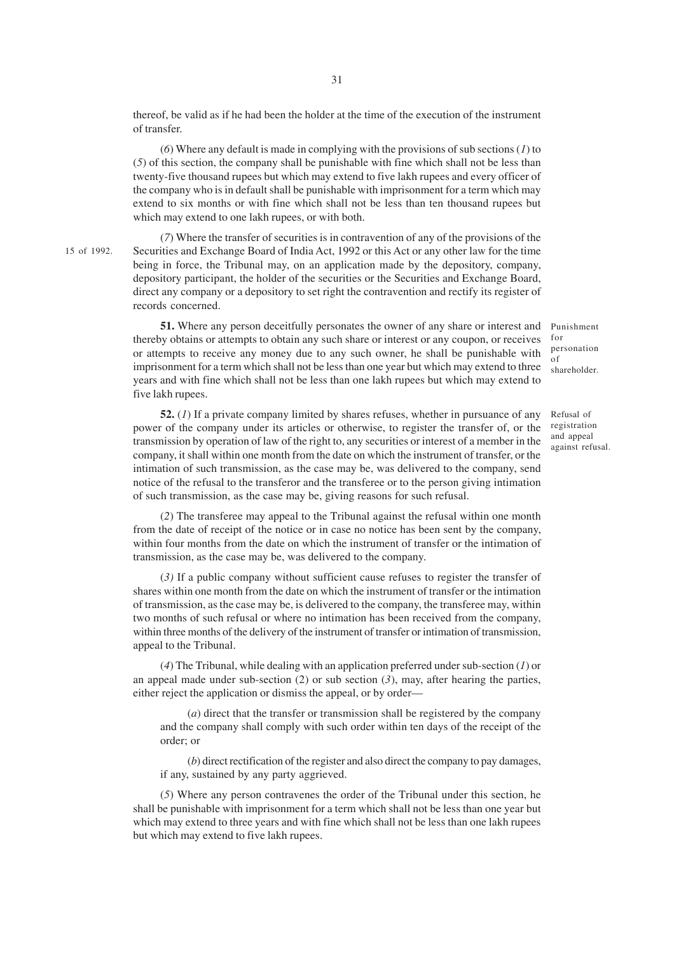thereof, be valid as if he had been the holder at the time of the execution of the instrument of transfer.

(*6*) Where any default is made in complying with the provisions of sub sections (*1*) to (*5*) of this section, the company shall be punishable with fine which shall not be less than twenty-five thousand rupees but which may extend to five lakh rupees and every officer of the company who is in default shall be punishable with imprisonment for a term which may extend to six months or with fine which shall not be less than ten thousand rupees but which may extend to one lakh rupees, or with both.

15 of 1992.

(*7*) Where the transfer of securities is in contravention of any of the provisions of the Securities and Exchange Board of India Act, 1992 or this Act or any other law for the time being in force, the Tribunal may, on an application made by the depository, company, depository participant, the holder of the securities or the Securities and Exchange Board, direct any company or a depository to set right the contravention and rectify its register of records concerned.

**51.** Where any person deceitfully personates the owner of any share or interest and Punishment thereby obtains or attempts to obtain any such share or interest or any coupon, or receives or attempts to receive any money due to any such owner, he shall be punishable with imprisonment for a term which shall not be less than one year but which may extend to three years and with fine which shall not be less than one lakh rupees but which may extend to five lakh rupees.

**52.** (*1*) If a private company limited by shares refuses, whether in pursuance of any power of the company under its articles or otherwise, to register the transfer of, or the transmission by operation of law of the right to, any securities or interest of a member in the company, it shall within one month from the date on which the instrument of transfer, or the intimation of such transmission, as the case may be, was delivered to the company, send notice of the refusal to the transferor and the transferee or to the person giving intimation of such transmission, as the case may be, giving reasons for such refusal.

(*2*) The transferee may appeal to the Tribunal against the refusal within one month from the date of receipt of the notice or in case no notice has been sent by the company, within four months from the date on which the instrument of transfer or the intimation of transmission, as the case may be, was delivered to the company.

(*3)* If a public company without sufficient cause refuses to register the transfer of shares within one month from the date on which the instrument of transfer or the intimation of transmission, as the case may be, is delivered to the company, the transferee may, within two months of such refusal or where no intimation has been received from the company, within three months of the delivery of the instrument of transfer or intimation of transmission, appeal to the Tribunal.

(*4*) The Tribunal, while dealing with an application preferred under sub-section (*1*) or an appeal made under sub-section  $(2)$  or sub section  $(3)$ , may, after hearing the parties, either reject the application or dismiss the appeal, or by order—

(*a*) direct that the transfer or transmission shall be registered by the company and the company shall comply with such order within ten days of the receipt of the order; or

(*b*) direct rectification of the register and also direct the company to pay damages, if any, sustained by any party aggrieved.

(*5*) Where any person contravenes the order of the Tribunal under this section, he shall be punishable with imprisonment for a term which shall not be less than one year but which may extend to three years and with fine which shall not be less than one lakh rupees but which may extend to five lakh rupees.

for personation of shareholder.

Refusal of registration and appeal against refusal.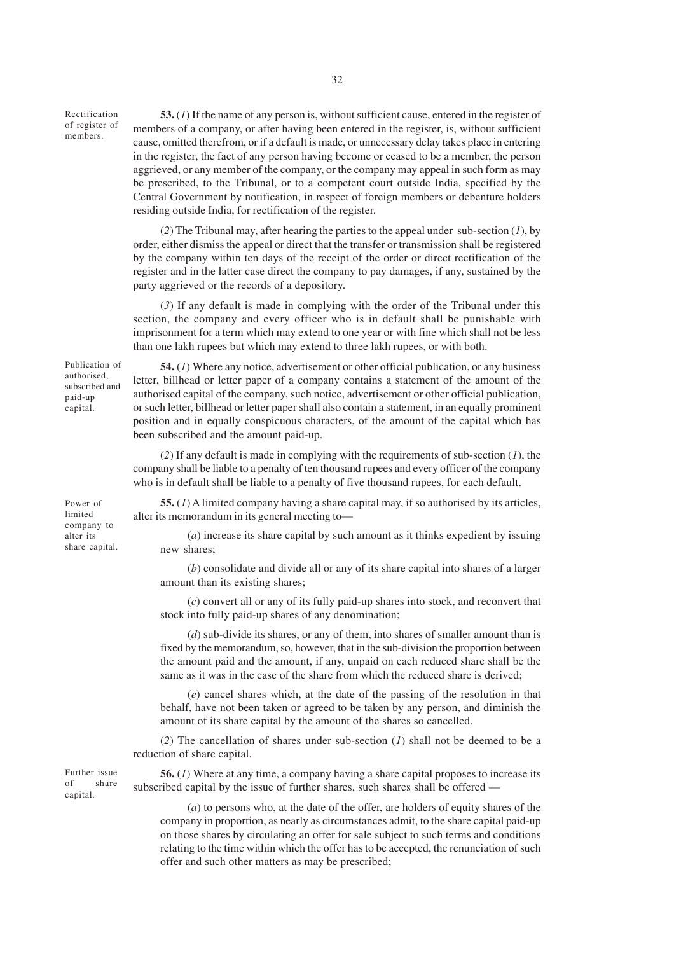Rectification of register of members.

**53.** (*1*) If the name of any person is, without sufficient cause, entered in the register of members of a company, or after having been entered in the register, is, without sufficient cause, omitted therefrom, or if a default is made, or unnecessary delay takes place in entering in the register, the fact of any person having become or ceased to be a member, the person aggrieved, or any member of the company, or the company may appeal in such form as may be prescribed, to the Tribunal, or to a competent court outside India, specified by the Central Government by notification, in respect of foreign members or debenture holders residing outside India, for rectification of the register.

(*2*) The Tribunal may, after hearing the parties to the appeal under sub-section (*1*), by order, either dismiss the appeal or direct that the transfer or transmission shall be registered by the company within ten days of the receipt of the order or direct rectification of the register and in the latter case direct the company to pay damages, if any, sustained by the party aggrieved or the records of a depository.

(*3*) If any default is made in complying with the order of the Tribunal under this section, the company and every officer who is in default shall be punishable with imprisonment for a term which may extend to one year or with fine which shall not be less than one lakh rupees but which may extend to three lakh rupees, or with both.

Publication of authorised, subscribed and paid-up capital.

**54.** (*1*) Where any notice, advertisement or other official publication, or any business letter, billhead or letter paper of a company contains a statement of the amount of the authorised capital of the company, such notice, advertisement or other official publication, or such letter, billhead or letter paper shall also contain a statement, in an equally prominent position and in equally conspicuous characters, of the amount of the capital which has been subscribed and the amount paid-up.

(*2*) If any default is made in complying with the requirements of sub-section (*1*), the company shall be liable to a penalty of ten thousand rupees and every officer of the company who is in default shall be liable to a penalty of five thousand rupees, for each default.

Power of limited company to alter its share capital.

**55.** (*1*) A limited company having a share capital may, if so authorised by its articles, alter its memorandum in its general meeting to—

(*a*) increase its share capital by such amount as it thinks expedient by issuing new shares;

(*b*) consolidate and divide all or any of its share capital into shares of a larger amount than its existing shares;

(*c*) convert all or any of its fully paid-up shares into stock, and reconvert that stock into fully paid-up shares of any denomination;

(*d*) sub-divide its shares, or any of them, into shares of smaller amount than is fixed by the memorandum, so, however, that in the sub-division the proportion between the amount paid and the amount, if any, unpaid on each reduced share shall be the same as it was in the case of the share from which the reduced share is derived;

(*e*) cancel shares which, at the date of the passing of the resolution in that behalf, have not been taken or agreed to be taken by any person, and diminish the amount of its share capital by the amount of the shares so cancelled.

(*2*) The cancellation of shares under sub-section (*1*) shall not be deemed to be a reduction of share capital.

Further issue of share capital.

**56.** (*1*) Where at any time, a company having a share capital proposes to increase its subscribed capital by the issue of further shares, such shares shall be offered —

(*a*) to persons who, at the date of the offer, are holders of equity shares of the company in proportion, as nearly as circumstances admit, to the share capital paid-up on those shares by circulating an offer for sale subject to such terms and conditions relating to the time within which the offer has to be accepted, the renunciation of such offer and such other matters as may be prescribed;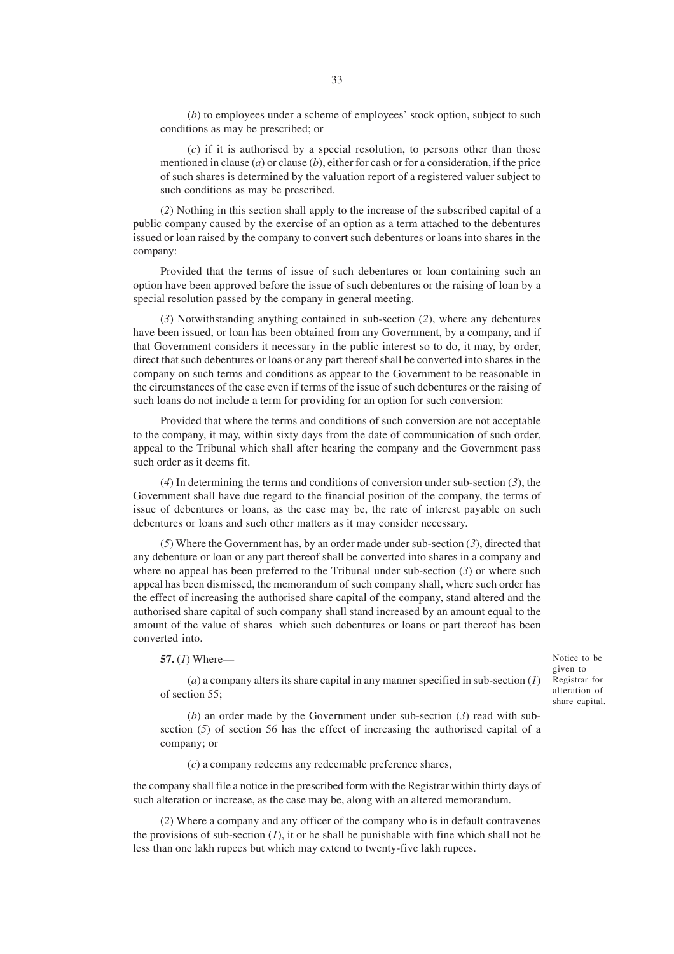(*b*) to employees under a scheme of employees' stock option, subject to such conditions as may be prescribed; or

(*c*) if it is authorised by a special resolution, to persons other than those mentioned in clause (*a*) or clause (*b*), either for cash or for a consideration, if the price of such shares is determined by the valuation report of a registered valuer subject to such conditions as may be prescribed.

(*2*) Nothing in this section shall apply to the increase of the subscribed capital of a public company caused by the exercise of an option as a term attached to the debentures issued or loan raised by the company to convert such debentures or loans into shares in the company:

Provided that the terms of issue of such debentures or loan containing such an option have been approved before the issue of such debentures or the raising of loan by a special resolution passed by the company in general meeting.

(*3*) Notwithstanding anything contained in sub-section (*2*), where any debentures have been issued, or loan has been obtained from any Government, by a company, and if that Government considers it necessary in the public interest so to do, it may, by order, direct that such debentures or loans or any part thereof shall be converted into shares in the company on such terms and conditions as appear to the Government to be reasonable in the circumstances of the case even if terms of the issue of such debentures or the raising of such loans do not include a term for providing for an option for such conversion:

Provided that where the terms and conditions of such conversion are not acceptable to the company, it may, within sixty days from the date of communication of such order, appeal to the Tribunal which shall after hearing the company and the Government pass such order as it deems fit.

(*4*) In determining the terms and conditions of conversion under sub-section (*3*), the Government shall have due regard to the financial position of the company, the terms of issue of debentures or loans, as the case may be, the rate of interest payable on such debentures or loans and such other matters as it may consider necessary.

(*5*) Where the Government has, by an order made under sub-section (*3*), directed that any debenture or loan or any part thereof shall be converted into shares in a company and where no appeal has been preferred to the Tribunal under sub-section (*3*) or where such appeal has been dismissed, the memorandum of such company shall, where such order has the effect of increasing the authorised share capital of the company, stand altered and the authorised share capital of such company shall stand increased by an amount equal to the amount of the value of shares which such debentures or loans or part thereof has been converted into.

**57.** (*1*) Where—

(*a*) a company alters its share capital in any manner specified in sub-section (*1*) of section 55;

Notice to be given to Registrar for alteration of share capital.

(*b*) an order made by the Government under sub-section (*3*) read with subsection (*5*) of section 56 has the effect of increasing the authorised capital of a company; or

(*c*) a company redeems any redeemable preference shares,

the company shall file a notice in the prescribed form with the Registrar within thirty days of such alteration or increase, as the case may be, along with an altered memorandum.

(*2*) Where a company and any officer of the company who is in default contravenes the provisions of sub-section (*1*), it or he shall be punishable with fine which shall not be less than one lakh rupees but which may extend to twenty-five lakh rupees.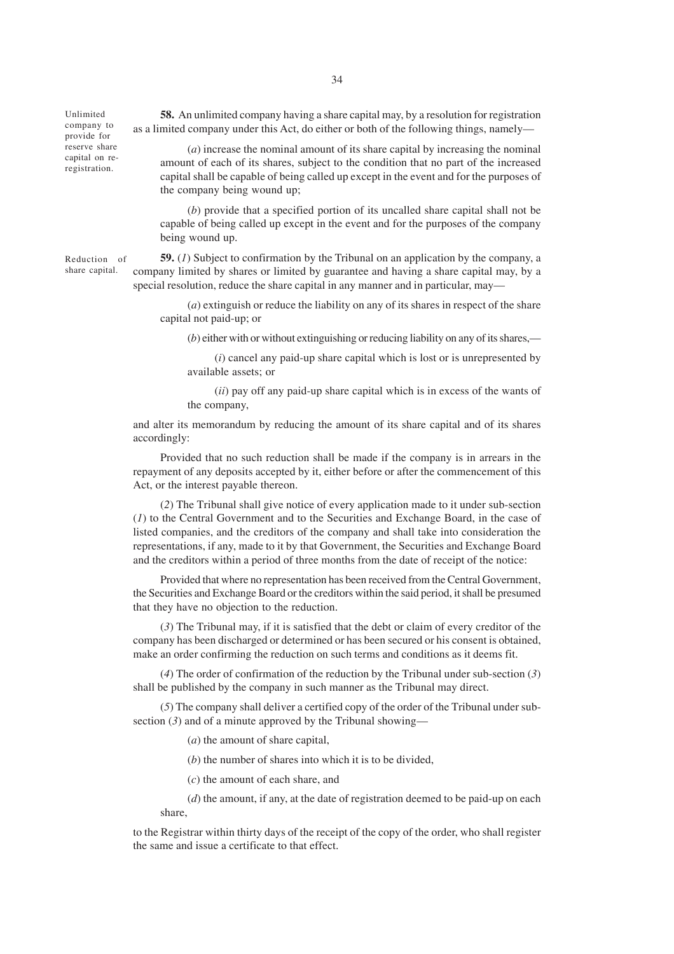Unlimited company to provide for reserve share capital on reregistration.

share capital.

**58.** An unlimited company having a share capital may, by a resolution for registration as a limited company under this Act, do either or both of the following things, namely—

(*a*) increase the nominal amount of its share capital by increasing the nominal amount of each of its shares, subject to the condition that no part of the increased capital shall be capable of being called up except in the event and for the purposes of the company being wound up;

(*b*) provide that a specified portion of its uncalled share capital shall not be capable of being called up except in the event and for the purposes of the company being wound up.

**59.** (*1*) Subject to confirmation by the Tribunal on an application by the company, a company limited by shares or limited by guarantee and having a share capital may, by a special resolution, reduce the share capital in any manner and in particular, may— Reduction of

> (*a*) extinguish or reduce the liability on any of its shares in respect of the share capital not paid-up; or

(*b*) either with or without extinguishing or reducing liability on any of its shares,—

(*i*) cancel any paid-up share capital which is lost or is unrepresented by available assets; or

(*ii*) pay off any paid-up share capital which is in excess of the wants of the company,

and alter its memorandum by reducing the amount of its share capital and of its shares accordingly:

Provided that no such reduction shall be made if the company is in arrears in the repayment of any deposits accepted by it, either before or after the commencement of this Act, or the interest payable thereon.

(*2*) The Tribunal shall give notice of every application made to it under sub-section (*1*) to the Central Government and to the Securities and Exchange Board, in the case of listed companies, and the creditors of the company and shall take into consideration the representations, if any, made to it by that Government, the Securities and Exchange Board and the creditors within a period of three months from the date of receipt of the notice:

Provided that where no representation has been received from the Central Government, the Securities and Exchange Board or the creditors within the said period, it shall be presumed that they have no objection to the reduction.

(*3*) The Tribunal may, if it is satisfied that the debt or claim of every creditor of the company has been discharged or determined or has been secured or his consent is obtained, make an order confirming the reduction on such terms and conditions as it deems fit.

(*4*) The order of confirmation of the reduction by the Tribunal under sub-section (*3*) shall be published by the company in such manner as the Tribunal may direct.

(*5*) The company shall deliver a certified copy of the order of the Tribunal under subsection (3) and of a minute approved by the Tribunal showing—

(*a*) the amount of share capital,

(*b*) the number of shares into which it is to be divided,

(*c*) the amount of each share, and

(*d*) the amount, if any, at the date of registration deemed to be paid-up on each share,

to the Registrar within thirty days of the receipt of the copy of the order, who shall register the same and issue a certificate to that effect.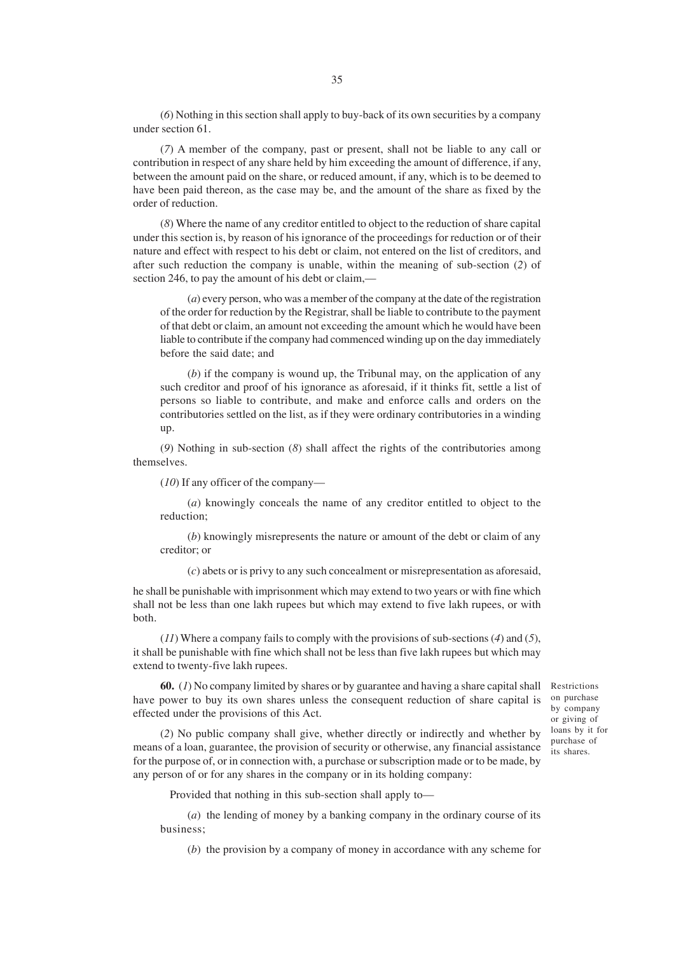(*6*) Nothing in this section shall apply to buy-back of its own securities by a company under section 61.

(*7*) A member of the company, past or present, shall not be liable to any call or contribution in respect of any share held by him exceeding the amount of difference, if any, between the amount paid on the share, or reduced amount, if any, which is to be deemed to have been paid thereon, as the case may be, and the amount of the share as fixed by the order of reduction.

(*8*) Where the name of any creditor entitled to object to the reduction of share capital under this section is, by reason of his ignorance of the proceedings for reduction or of their nature and effect with respect to his debt or claim, not entered on the list of creditors, and after such reduction the company is unable, within the meaning of sub-section (*2*) of section 246, to pay the amount of his debt or claim,—

(*a*) every person, who was a member of the company at the date of the registration of the order for reduction by the Registrar, shall be liable to contribute to the payment of that debt or claim, an amount not exceeding the amount which he would have been liable to contribute if the company had commenced winding up on the day immediately before the said date; and

(*b*) if the company is wound up, the Tribunal may, on the application of any such creditor and proof of his ignorance as aforesaid, if it thinks fit, settle a list of persons so liable to contribute, and make and enforce calls and orders on the contributories settled on the list, as if they were ordinary contributories in a winding up.

(*9*) Nothing in sub-section (*8*) shall affect the rights of the contributories among themselves.

(*10*) If any officer of the company—

(*a*) knowingly conceals the name of any creditor entitled to object to the reduction;

(*b*) knowingly misrepresents the nature or amount of the debt or claim of any creditor; or

(*c*) abets or is privy to any such concealment or misrepresentation as aforesaid,

he shall be punishable with imprisonment which may extend to two years or with fine which shall not be less than one lakh rupees but which may extend to five lakh rupees, or with both.

(*11*) Where a company fails to comply with the provisions of sub-sections (*4*) and (*5*), it shall be punishable with fine which shall not be less than five lakh rupees but which may extend to twenty-five lakh rupees.

**60.** (*1*) No company limited by shares or by guarantee and having a share capital shall Restrictions have power to buy its own shares unless the consequent reduction of share capital is effected under the provisions of this Act.

(*2*) No public company shall give, whether directly or indirectly and whether by means of a loan, guarantee, the provision of security or otherwise, any financial assistance for the purpose of, or in connection with, a purchase or subscription made or to be made, by any person of or for any shares in the company or in its holding company:

Provided that nothing in this sub-section shall apply to—

(*a*) the lending of money by a banking company in the ordinary course of its business;

(*b*) the provision by a company of money in accordance with any scheme for

on purchase by company or giving of loans by it for purchase of its shares.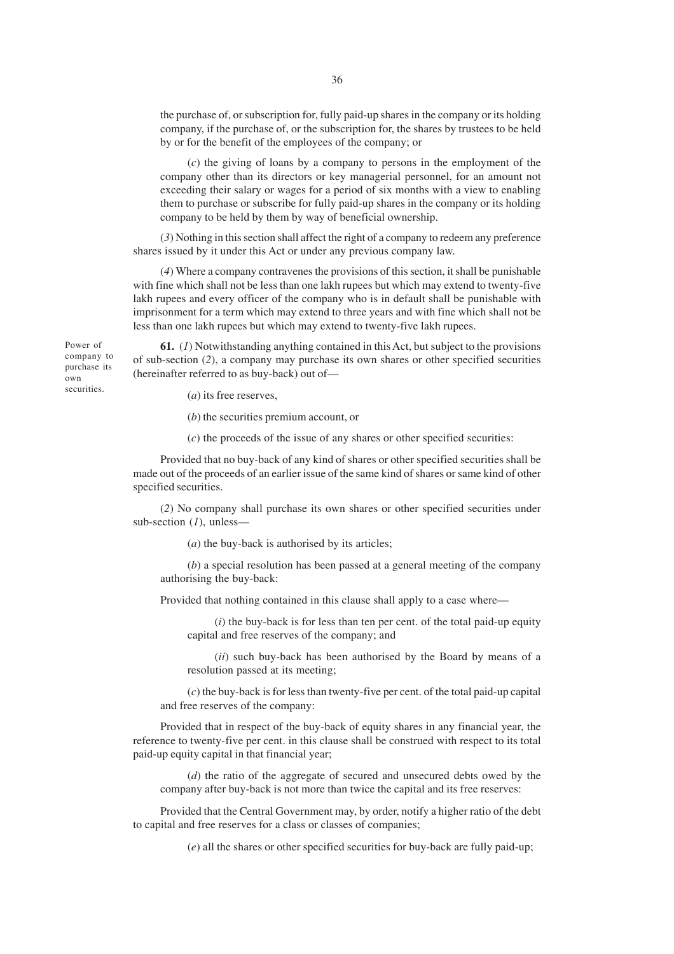the purchase of, or subscription for, fully paid-up shares in the company or its holding company, if the purchase of, or the subscription for, the shares by trustees to be held by or for the benefit of the employees of the company; or

(*c*) the giving of loans by a company to persons in the employment of the company other than its directors or key managerial personnel, for an amount not exceeding their salary or wages for a period of six months with a view to enabling them to purchase or subscribe for fully paid-up shares in the company or its holding company to be held by them by way of beneficial ownership.

(*3*) Nothing in this section shall affect the right of a company to redeem any preference shares issued by it under this Act or under any previous company law.

(*4*) Where a company contravenes the provisions of this section, it shall be punishable with fine which shall not be less than one lakh rupees but which may extend to twenty-five lakh rupees and every officer of the company who is in default shall be punishable with imprisonment for a term which may extend to three years and with fine which shall not be less than one lakh rupees but which may extend to twenty-five lakh rupees.

Power of company to purchase its own securities.

**61.** (*1*) Notwithstanding anything contained in this Act, but subject to the provisions of sub-section (*2*), a company may purchase its own shares or other specified securities (hereinafter referred to as buy-back) out of—

(*a*) its free reserves,

(*b*) the securities premium account, or

(*c*) the proceeds of the issue of any shares or other specified securities:

Provided that no buy-back of any kind of shares or other specified securities shall be made out of the proceeds of an earlier issue of the same kind of shares or same kind of other specified securities.

(*2*) No company shall purchase its own shares or other specified securities under sub-section (*1*), unless—

(*a*) the buy-back is authorised by its articles;

(*b*) a special resolution has been passed at a general meeting of the company authorising the buy-back:

Provided that nothing contained in this clause shall apply to a case where—

(*i*) the buy-back is for less than ten per cent. of the total paid-up equity capital and free reserves of the company; and

(*ii*) such buy-back has been authorised by the Board by means of a resolution passed at its meeting;

(*c*) the buy-back is for less than twenty-five per cent. of the total paid-up capital and free reserves of the company:

Provided that in respect of the buy-back of equity shares in any financial year, the reference to twenty-five per cent. in this clause shall be construed with respect to its total paid-up equity capital in that financial year;

(*d*) the ratio of the aggregate of secured and unsecured debts owed by the company after buy-back is not more than twice the capital and its free reserves:

Provided that the Central Government may, by order, notify a higher ratio of the debt to capital and free reserves for a class or classes of companies;

(*e*) all the shares or other specified securities for buy-back are fully paid-up;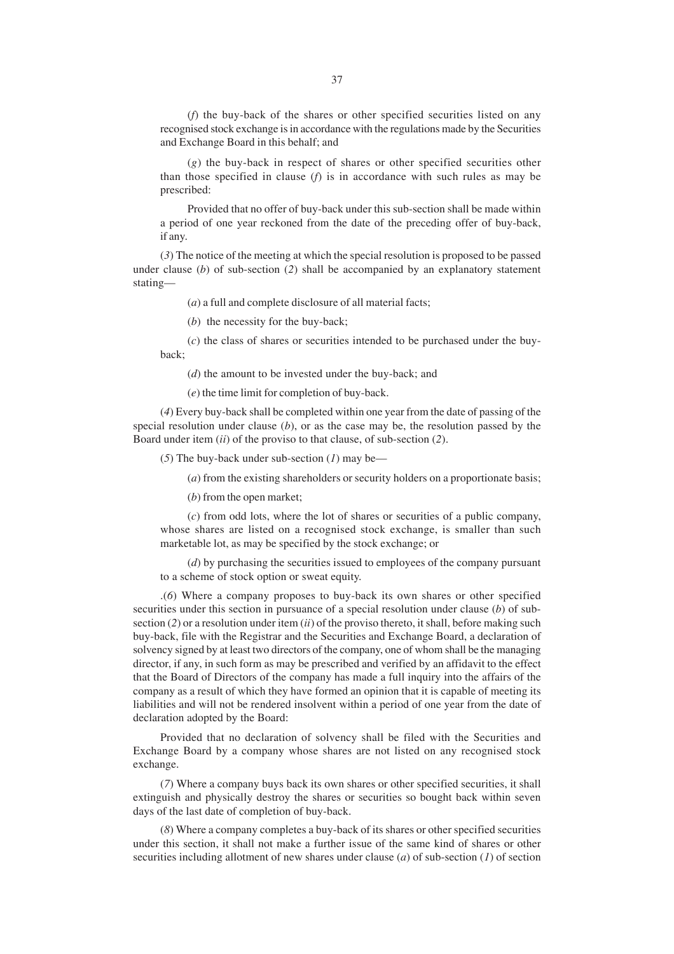(*f*) the buy-back of the shares or other specified securities listed on any recognised stock exchange is in accordance with the regulations made by the Securities and Exchange Board in this behalf; and

(*g*) the buy-back in respect of shares or other specified securities other than those specified in clause (*f*) is in accordance with such rules as may be prescribed:

Provided that no offer of buy-back under this sub-section shall be made within a period of one year reckoned from the date of the preceding offer of buy-back, if any.

(*3*) The notice of the meeting at which the special resolution is proposed to be passed under clause (*b*) of sub-section (*2*) shall be accompanied by an explanatory statement stating—

(*a*) a full and complete disclosure of all material facts;

(*b*) the necessity for the buy-back;

(*c*) the class of shares or securities intended to be purchased under the buyback;

(*d*) the amount to be invested under the buy-back; and

(*e*) the time limit for completion of buy-back.

(*4*) Every buy-back shall be completed within one year from the date of passing of the special resolution under clause (*b*), or as the case may be, the resolution passed by the Board under item (*ii*) of the proviso to that clause, of sub-section (*2*).

(*5*) The buy-back under sub-section (*1*) may be—

(*a*) from the existing shareholders or security holders on a proportionate basis;

(*b*) from the open market;

(*c*) from odd lots, where the lot of shares or securities of a public company, whose shares are listed on a recognised stock exchange, is smaller than such marketable lot, as may be specified by the stock exchange; or

(*d*) by purchasing the securities issued to employees of the company pursuant to a scheme of stock option or sweat equity.

.(*6*) Where a company proposes to buy-back its own shares or other specified securities under this section in pursuance of a special resolution under clause (*b*) of subsection (*2*) or a resolution under item (*ii*) of the proviso thereto, it shall, before making such buy-back, file with the Registrar and the Securities and Exchange Board, a declaration of solvency signed by at least two directors of the company, one of whom shall be the managing director, if any, in such form as may be prescribed and verified by an affidavit to the effect that the Board of Directors of the company has made a full inquiry into the affairs of the company as a result of which they have formed an opinion that it is capable of meeting its liabilities and will not be rendered insolvent within a period of one year from the date of declaration adopted by the Board:

Provided that no declaration of solvency shall be filed with the Securities and Exchange Board by a company whose shares are not listed on any recognised stock exchange.

(*7*) Where a company buys back its own shares or other specified securities, it shall extinguish and physically destroy the shares or securities so bought back within seven days of the last date of completion of buy-back.

(*8*) Where a company completes a buy-back of its shares or other specified securities under this section, it shall not make a further issue of the same kind of shares or other securities including allotment of new shares under clause (*a*) of sub-section (*1*) of section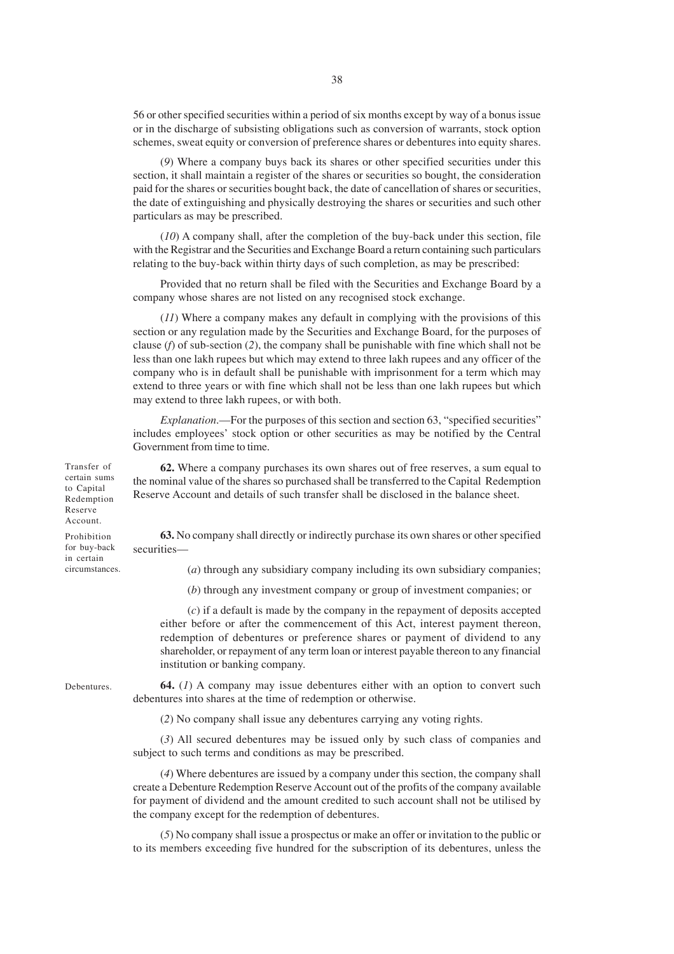56 or other specified securities within a period of six months except by way of a bonus issue or in the discharge of subsisting obligations such as conversion of warrants, stock option schemes, sweat equity or conversion of preference shares or debentures into equity shares.

(*9*) Where a company buys back its shares or other specified securities under this section, it shall maintain a register of the shares or securities so bought, the consideration paid for the shares or securities bought back, the date of cancellation of shares or securities, the date of extinguishing and physically destroying the shares or securities and such other particulars as may be prescribed.

(*10*) A company shall, after the completion of the buy-back under this section, file with the Registrar and the Securities and Exchange Board a return containing such particulars relating to the buy-back within thirty days of such completion, as may be prescribed:

Provided that no return shall be filed with the Securities and Exchange Board by a company whose shares are not listed on any recognised stock exchange.

(*11*) Where a company makes any default in complying with the provisions of this section or any regulation made by the Securities and Exchange Board, for the purposes of clause (*f*) of sub-section (*2*), the company shall be punishable with fine which shall not be less than one lakh rupees but which may extend to three lakh rupees and any officer of the company who is in default shall be punishable with imprisonment for a term which may extend to three years or with fine which shall not be less than one lakh rupees but which may extend to three lakh rupees, or with both.

*Explanation*.—For the purposes of this section and section 63, "specified securities" includes employees' stock option or other securities as may be notified by the Central Government from time to time.

**62.** Where a company purchases its own shares out of free reserves, a sum equal to the nominal value of the shares so purchased shall be transferred to the Capital Redemption Reserve Account and details of such transfer shall be disclosed in the balance sheet.

**63.** No company shall directly or indirectly purchase its own shares or other specified securities—

(*a*) through any subsidiary company including its own subsidiary companies;

(*b*) through any investment company or group of investment companies; or

(*c*) if a default is made by the company in the repayment of deposits accepted either before or after the commencement of this Act, interest payment thereon, redemption of debentures or preference shares or payment of dividend to any shareholder, or repayment of any term loan or interest payable thereon to any financial institution or banking company.

Debentures.

Prohibition for buy-back in certain circumstances.

Transfer of certain sums to Capital Redemption Reserve Account.

> **64.** (*1*) A company may issue debentures either with an option to convert such debentures into shares at the time of redemption or otherwise.

(*2*) No company shall issue any debentures carrying any voting rights.

(*3*) All secured debentures may be issued only by such class of companies and subject to such terms and conditions as may be prescribed.

(*4*) Where debentures are issued by a company under this section, the company shall create a Debenture Redemption Reserve Account out of the profits of the company available for payment of dividend and the amount credited to such account shall not be utilised by the company except for the redemption of debentures.

(*5*) No company shall issue a prospectus or make an offer or invitation to the public or to its members exceeding five hundred for the subscription of its debentures, unless the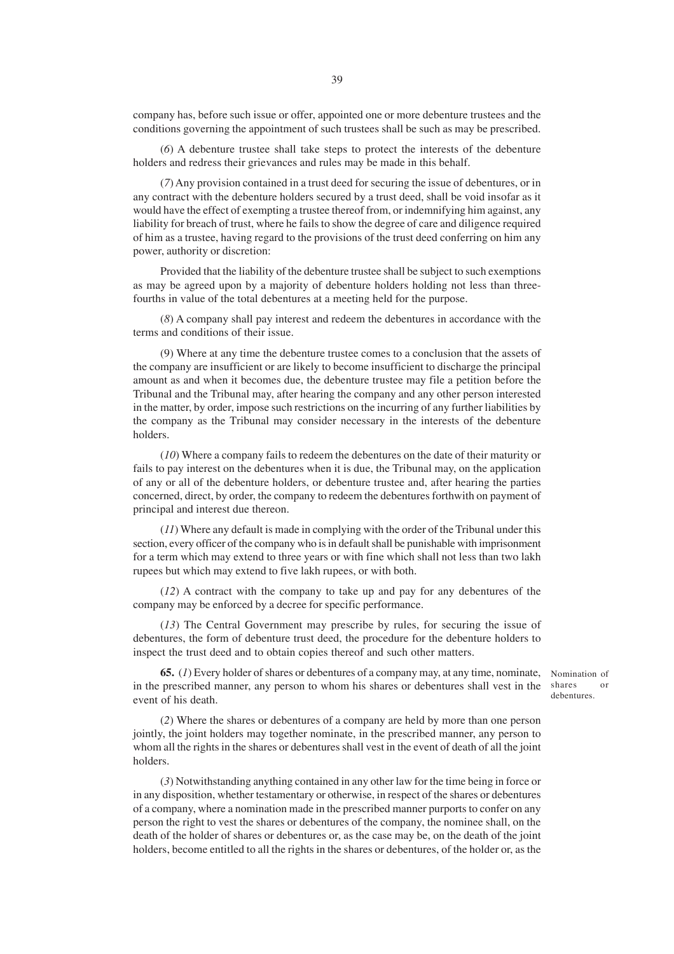company has, before such issue or offer, appointed one or more debenture trustees and the conditions governing the appointment of such trustees shall be such as may be prescribed.

(*6*) A debenture trustee shall take steps to protect the interests of the debenture holders and redress their grievances and rules may be made in this behalf.

(*7*) Any provision contained in a trust deed for securing the issue of debentures, or in any contract with the debenture holders secured by a trust deed, shall be void insofar as it would have the effect of exempting a trustee thereof from, or indemnifying him against, any liability for breach of trust, where he fails to show the degree of care and diligence required of him as a trustee, having regard to the provisions of the trust deed conferring on him any power, authority or discretion:

Provided that the liability of the debenture trustee shall be subject to such exemptions as may be agreed upon by a majority of debenture holders holding not less than threefourths in value of the total debentures at a meeting held for the purpose.

(*8*) A company shall pay interest and redeem the debentures in accordance with the terms and conditions of their issue.

(9) Where at any time the debenture trustee comes to a conclusion that the assets of the company are insufficient or are likely to become insufficient to discharge the principal amount as and when it becomes due, the debenture trustee may file a petition before the Tribunal and the Tribunal may, after hearing the company and any other person interested in the matter, by order, impose such restrictions on the incurring of any further liabilities by the company as the Tribunal may consider necessary in the interests of the debenture holders.

(*10*) Where a company fails to redeem the debentures on the date of their maturity or fails to pay interest on the debentures when it is due, the Tribunal may, on the application of any or all of the debenture holders, or debenture trustee and, after hearing the parties concerned, direct, by order, the company to redeem the debentures forthwith on payment of principal and interest due thereon.

(*11*) Where any default is made in complying with the order of the Tribunal under this section, every officer of the company who is in default shall be punishable with imprisonment for a term which may extend to three years or with fine which shall not less than two lakh rupees but which may extend to five lakh rupees, or with both.

(*12*) A contract with the company to take up and pay for any debentures of the company may be enforced by a decree for specific performance.

(*13*) The Central Government may prescribe by rules, for securing the issue of debentures, the form of debenture trust deed, the procedure for the debenture holders to inspect the trust deed and to obtain copies thereof and such other matters.

**65.** (1) Every holder of shares or debentures of a company may, at any time, nominate, Nomination of in the prescribed manner, any person to whom his shares or debentures shall vest in the shares or event of his death.

debentures.

(*2*) Where the shares or debentures of a company are held by more than one person jointly, the joint holders may together nominate, in the prescribed manner, any person to whom all the rights in the shares or debentures shall vest in the event of death of all the joint holders.

(*3*) Notwithstanding anything contained in any other law for the time being in force or in any disposition, whether testamentary or otherwise, in respect of the shares or debentures of a company, where a nomination made in the prescribed manner purports to confer on any person the right to vest the shares or debentures of the company, the nominee shall, on the death of the holder of shares or debentures or, as the case may be, on the death of the joint holders, become entitled to all the rights in the shares or debentures, of the holder or, as the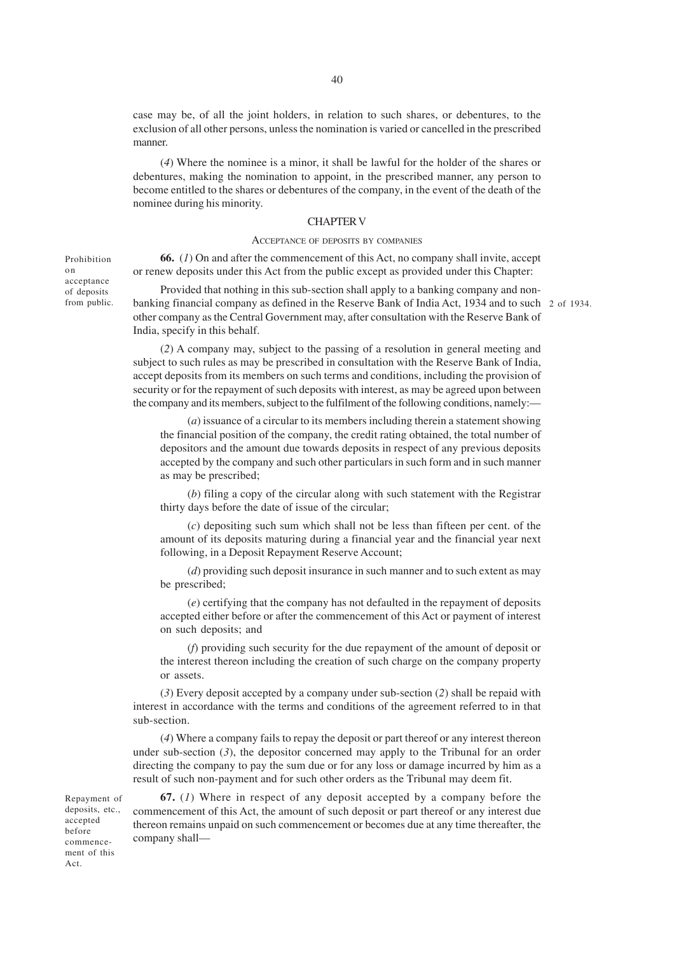case may be, of all the joint holders, in relation to such shares, or debentures, to the exclusion of all other persons, unless the nomination is varied or cancelled in the prescribed manner.

(*4*) Where the nominee is a minor, it shall be lawful for the holder of the shares or debentures, making the nomination to appoint, in the prescribed manner, any person to become entitled to the shares or debentures of the company, in the event of the death of the nominee during his minority.

# CHAPTER V

## ACCEPTANCE OF DEPOSITS BY COMPANIES

**66.** (*1*) On and after the commencement of this Act, no company shall invite, accept or renew deposits under this Act from the public except as provided under this Chapter:

Prohibition on acceptance of deposits<br>from public.

Provided that nothing in this sub-section shall apply to a banking company and nonfrom public. banking financial company as defined in the Reserve Bank of India Act, 1934 and to such 2 of 1934. other company as the Central Government may, after consultation with the Reserve Bank of India, specify in this behalf.

> (*2*) A company may, subject to the passing of a resolution in general meeting and subject to such rules as may be prescribed in consultation with the Reserve Bank of India, accept deposits from its members on such terms and conditions, including the provision of security or for the repayment of such deposits with interest, as may be agreed upon between the company and its members, subject to the fulfilment of the following conditions, namely:—

(*a*) issuance of a circular to its members including therein a statement showing the financial position of the company, the credit rating obtained, the total number of depositors and the amount due towards deposits in respect of any previous deposits accepted by the company and such other particulars in such form and in such manner as may be prescribed;

(*b*) filing a copy of the circular along with such statement with the Registrar thirty days before the date of issue of the circular;

(*c*) depositing such sum which shall not be less than fifteen per cent. of the amount of its deposits maturing during a financial year and the financial year next following, in a Deposit Repayment Reserve Account;

(*d*) providing such deposit insurance in such manner and to such extent as may be prescribed;

(*e*) certifying that the company has not defaulted in the repayment of deposits accepted either before or after the commencement of this Act or payment of interest on such deposits; and

(*f*) providing such security for the due repayment of the amount of deposit or the interest thereon including the creation of such charge on the company property or assets.

(*3*) Every deposit accepted by a company under sub-section (*2*) shall be repaid with interest in accordance with the terms and conditions of the agreement referred to in that sub-section.

(*4*) Where a company fails to repay the deposit or part thereof or any interest thereon under sub-section  $(3)$ , the depositor concerned may apply to the Tribunal for an order directing the company to pay the sum due or for any loss or damage incurred by him as a result of such non-payment and for such other orders as the Tribunal may deem fit.

Repayment of deposits, etc., accepted before commencement of this Act.

**67.** (*1*) Where in respect of any deposit accepted by a company before the commencement of this Act, the amount of such deposit or part thereof or any interest due thereon remains unpaid on such commencement or becomes due at any time thereafter, the company shall—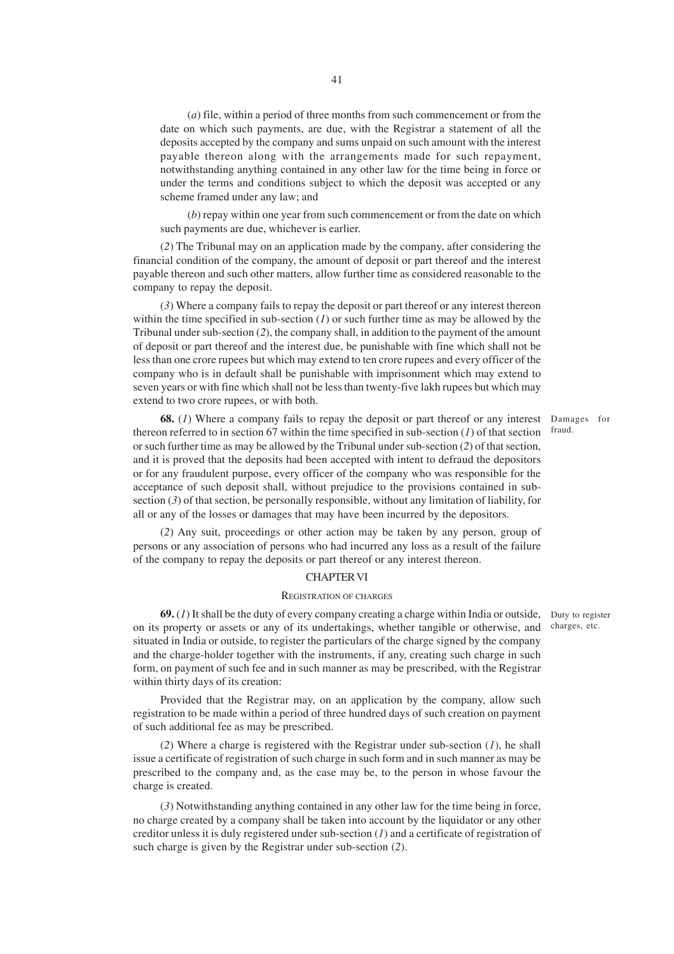(*a*) file, within a period of three months from such commencement or from the date on which such payments, are due, with the Registrar a statement of all the deposits accepted by the company and sums unpaid on such amount with the interest payable thereon along with the arrangements made for such repayment, notwithstanding anything contained in any other law for the time being in force or under the terms and conditions subject to which the deposit was accepted or any scheme framed under any law; and

(*b*) repay within one year from such commencement or from the date on which such payments are due, whichever is earlier.

(*2*) The Tribunal may on an application made by the company, after considering the financial condition of the company, the amount of deposit or part thereof and the interest payable thereon and such other matters, allow further time as considered reasonable to the company to repay the deposit.

(*3*) Where a company fails to repay the deposit or part thereof or any interest thereon within the time specified in sub-section  $(I)$  or such further time as may be allowed by the Tribunal under sub-section (*2*), the company shall, in addition to the payment of the amount of deposit or part thereof and the interest due, be punishable with fine which shall not be less than one crore rupees but which may extend to ten crore rupees and every officer of the company who is in default shall be punishable with imprisonment which may extend to seven years or with fine which shall not be less than twenty-five lakh rupees but which may extend to two crore rupees, or with both.

**68.** (*1*) Where a company fails to repay the deposit or part thereof or any interest Damages for thereon referred to in section 67 within the time specified in sub-section  $(1)$  of that section or such further time as may be allowed by the Tribunal under sub-section (*2*) of that section, and it is proved that the deposits had been accepted with intent to defraud the depositors or for any fraudulent purpose, every officer of the company who was responsible for the acceptance of such deposit shall, without prejudice to the provisions contained in subsection (*3*) of that section, be personally responsible, without any limitation of liability, for all or any of the losses or damages that may have been incurred by the depositors.

(*2*) Any suit, proceedings or other action may be taken by any person, group of persons or any association of persons who had incurred any loss as a result of the failure of the company to repay the deposits or part thereof or any interest thereon.

## CHAPTER VI

#### REGISTRATION OF CHARGES

**69.** (1) It shall be the duty of every company creating a charge within India or outside, Duty to register on its property or assets or any of its undertakings, whether tangible or otherwise, and situated in India or outside, to register the particulars of the charge signed by the company and the charge-holder together with the instruments, if any, creating such charge in such form, on payment of such fee and in such manner as may be prescribed, with the Registrar within thirty days of its creation:

Provided that the Registrar may, on an application by the company, allow such registration to be made within a period of three hundred days of such creation on payment of such additional fee as may be prescribed.

(*2*) Where a charge is registered with the Registrar under sub-section (*1*), he shall issue a certificate of registration of such charge in such form and in such manner as may be prescribed to the company and, as the case may be, to the person in whose favour the charge is created.

(*3*) Notwithstanding anything contained in any other law for the time being in force, no charge created by a company shall be taken into account by the liquidator or any other creditor unless it is duly registered under sub-section (*1*) and a certificate of registration of such charge is given by the Registrar under sub-section (*2*).

fraud.

charges, etc.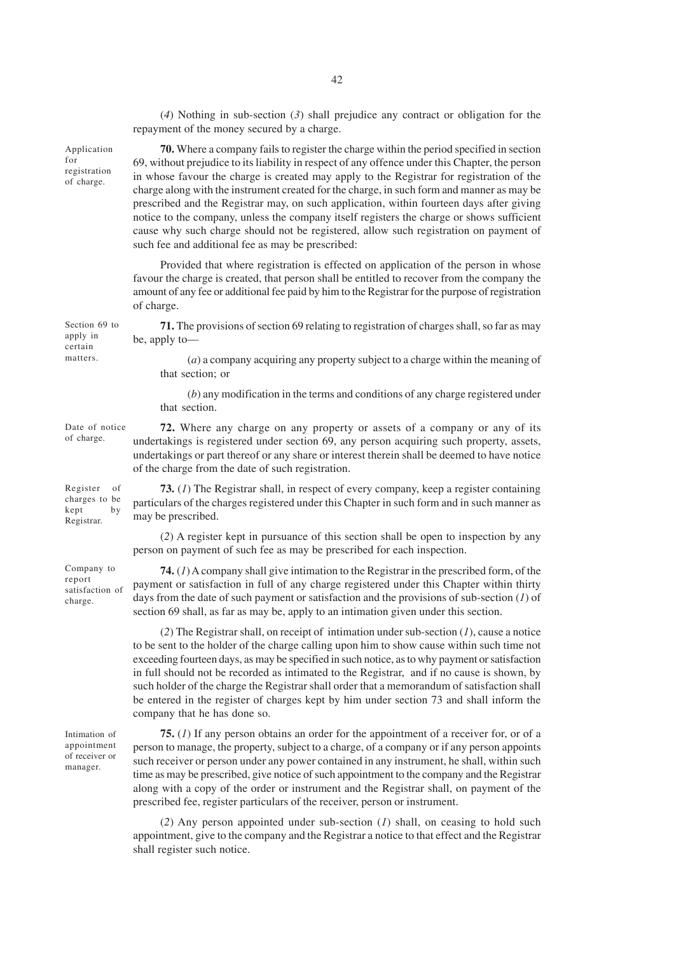prescribed and the Registrar may, on such application, within fourteen days after giving notice to the company, unless the company itself registers the charge or shows sufficient cause why such charge should not be registered, allow such registration on payment of such fee and additional fee as may be prescribed: Provided that where registration is effected on application of the person in whose of charge. **71.** The provisions of section 69 relating to registration of charges shall, so far as may be, apply to— (*a*) a company acquiring any property subject to a charge within the meaning of that section; or (*b*) any modification in the terms and conditions of any charge registered under that section. **72.** Where any charge on any property or assets of a company or any of its of the charge from the date of such registration. **73.** (*1*) The Registrar shall, in respect of every company, keep a register containing may be prescribed. (*2*) A register kept in pursuance of this section shall be open to inspection by any person on payment of such fee as may be prescribed for each inspection. **74.** (*1*) A company shall give intimation to the Registrar in the prescribed form, of the section 69 shall, as far as may be, apply to an intimation given under this section. (*2*) The Registrar shall, on receipt of intimation under sub-section (*1*), cause a notice Application for registration of charge. Section 69 to apply in certain matters. Date of notice of charge. Register of charges to be kept by Registrar. Company to report satisfaction of charge.

Intimation of appointment of receiver or manager.

(*4*) Nothing in sub-section (*3*) shall prejudice any contract or obligation for the repayment of the money secured by a charge.

**70.** Where a company fails to register the charge within the period specified in section 69, without prejudice to its liability in respect of any offence under this Chapter, the person in whose favour the charge is created may apply to the Registrar for registration of the charge along with the instrument created for the charge, in such form and manner as may be

favour the charge is created, that person shall be entitled to recover from the company the amount of any fee or additional fee paid by him to the Registrar for the purpose of registration

undertakings is registered under section 69, any person acquiring such property, assets, undertakings or part thereof or any share or interest therein shall be deemed to have notice

particulars of the charges registered under this Chapter in such form and in such manner as

payment or satisfaction in full of any charge registered under this Chapter within thirty days from the date of such payment or satisfaction and the provisions of sub-section (*1*) of

to be sent to the holder of the charge calling upon him to show cause within such time not exceeding fourteen days, as may be specified in such notice, as to why payment or satisfaction in full should not be recorded as intimated to the Registrar, and if no cause is shown, by such holder of the charge the Registrar shall order that a memorandum of satisfaction shall be entered in the register of charges kept by him under section 73 and shall inform the company that he has done so.

**75.** (*1*) If any person obtains an order for the appointment of a receiver for, or of a person to manage, the property, subject to a charge, of a company or if any person appoints such receiver or person under any power contained in any instrument, he shall, within such time as may be prescribed, give notice of such appointment to the company and the Registrar along with a copy of the order or instrument and the Registrar shall, on payment of the prescribed fee, register particulars of the receiver, person or instrument.

(*2*) Any person appointed under sub-section (*1*) shall, on ceasing to hold such appointment, give to the company and the Registrar a notice to that effect and the Registrar shall register such notice.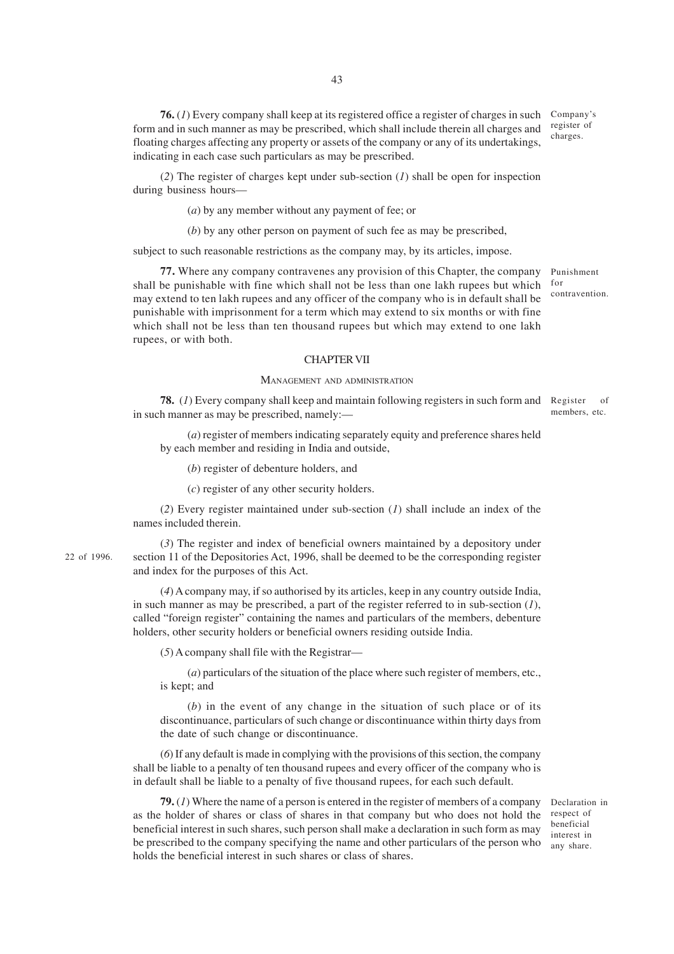**76.** (*1*) Every company shall keep at its registered office a register of charges in such form and in such manner as may be prescribed, which shall include therein all charges and floating charges affecting any property or assets of the company or any of its undertakings, indicating in each case such particulars as may be prescribed. Company's register of charges.

(*2*) The register of charges kept under sub-section (*1*) shall be open for inspection during business hours—

(*a*) by any member without any payment of fee; or

(*b*) by any other person on payment of such fee as may be prescribed,

subject to such reasonable restrictions as the company may, by its articles, impose.

**77.** Where any company contravenes any provision of this Chapter, the company Punishment shall be punishable with fine which shall not be less than one lakh rupees but which for may extend to ten lakh rupees and any officer of the company who is in default shall be punishable with imprisonment for a term which may extend to six months or with fine which shall not be less than ten thousand rupees but which may extend to one lakh rupees, or with both.

contravention.

# CHAPTER VII

## MANAGEMENT AND ADMINISTRATION

**78.** (1) Every company shall keep and maintain following registers in such form and Register of in such manner as may be prescribed, namely:—

members, etc.

(*a*) register of members indicating separately equity and preference shares held by each member and residing in India and outside,

(*b*) register of debenture holders, and

(*c*) register of any other security holders.

(*2*) Every register maintained under sub-section (*1*) shall include an index of the names included therein.

(*3*) The register and index of beneficial owners maintained by a depository under section 11 of the Depositories Act, 1996, shall be deemed to be the corresponding register and index for the purposes of this Act.

(*4*) A company may, if so authorised by its articles, keep in any country outside India, in such manner as may be prescribed, a part of the register referred to in sub-section (*1*), called "foreign register" containing the names and particulars of the members, debenture holders, other security holders or beneficial owners residing outside India.

(*5*) A company shall file with the Registrar—

(*a*) particulars of the situation of the place where such register of members, etc., is kept; and

(*b*) in the event of any change in the situation of such place or of its discontinuance, particulars of such change or discontinuance within thirty days from the date of such change or discontinuance.

(*6*) If any default is made in complying with the provisions of this section, the company shall be liable to a penalty of ten thousand rupees and every officer of the company who is in default shall be liable to a penalty of five thousand rupees, for each such default.

**79.** (*1*) Where the name of a person is entered in the register of members of a company as the holder of shares or class of shares in that company but who does not hold the beneficial interest in such shares, such person shall make a declaration in such form as may be prescribed to the company specifying the name and other particulars of the person who holds the beneficial interest in such shares or class of shares.

Declaration in respect of beneficial interest in any share.

22 of 1996.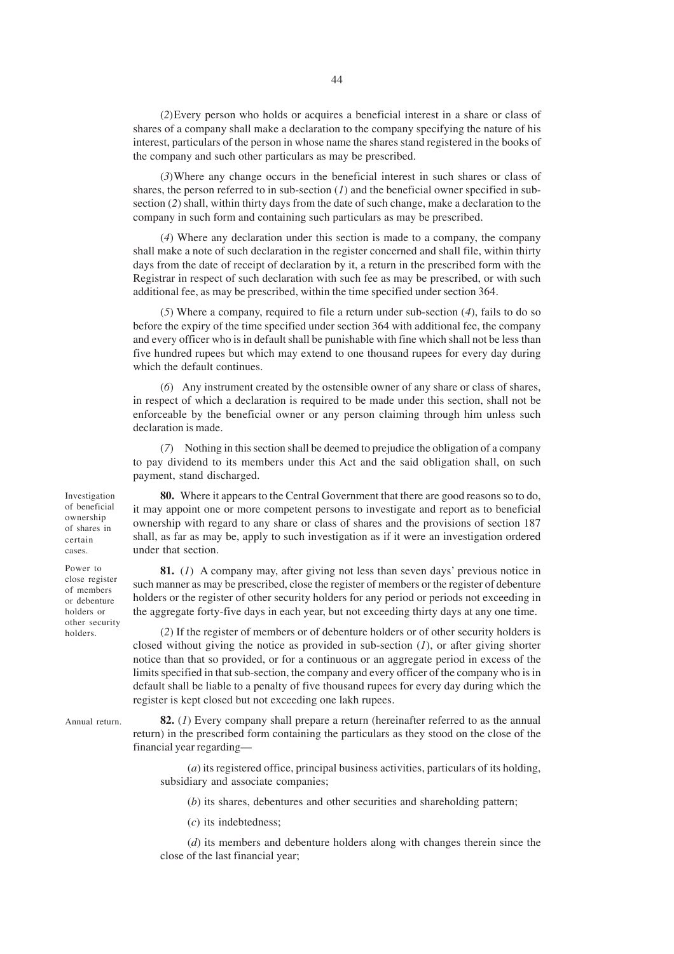(*2*)Every person who holds or acquires a beneficial interest in a share or class of shares of a company shall make a declaration to the company specifying the nature of his interest, particulars of the person in whose name the shares stand registered in the books of the company and such other particulars as may be prescribed.

(*3*)Where any change occurs in the beneficial interest in such shares or class of shares, the person referred to in sub-section  $(1)$  and the beneficial owner specified in subsection (*2*) shall, within thirty days from the date of such change, make a declaration to the company in such form and containing such particulars as may be prescribed.

(*4*) Where any declaration under this section is made to a company, the company shall make a note of such declaration in the register concerned and shall file, within thirty days from the date of receipt of declaration by it, a return in the prescribed form with the Registrar in respect of such declaration with such fee as may be prescribed, or with such additional fee, as may be prescribed, within the time specified under section 364.

(*5*) Where a company, required to file a return under sub-section (*4*), fails to do so before the expiry of the time specified under section 364 with additional fee, the company and every officer who is in default shall be punishable with fine which shall not be less than five hundred rupees but which may extend to one thousand rupees for every day during which the default continues.

(*6*) Any instrument created by the ostensible owner of any share or class of shares, in respect of which a declaration is required to be made under this section, shall not be enforceable by the beneficial owner or any person claiming through him unless such declaration is made.

(*7*) Nothing in this section shall be deemed to prejudice the obligation of a company to pay dividend to its members under this Act and the said obligation shall, on such payment, stand discharged.

**80.** Where it appears to the Central Government that there are good reasons so to do, it may appoint one or more competent persons to investigate and report as to beneficial ownership with regard to any share or class of shares and the provisions of section 187 shall, as far as may be, apply to such investigation as if it were an investigation ordered under that section.

**81.** (*1*) A company may, after giving not less than seven days' previous notice in such manner as may be prescribed, close the register of members or the register of debenture holders or the register of other security holders for any period or periods not exceeding in the aggregate forty-five days in each year, but not exceeding thirty days at any one time.

(*2*) If the register of members or of debenture holders or of other security holders is closed without giving the notice as provided in sub-section (*1*), or after giving shorter notice than that so provided, or for a continuous or an aggregate period in excess of the limits specified in that sub-section, the company and every officer of the company who is in default shall be liable to a penalty of five thousand rupees for every day during which the register is kept closed but not exceeding one lakh rupees.

Annual return.

Investigation of beneficial ownership of shares in certain cases. Power to close register of members or debenture holders or other security holders.

> **82.** (*1*) Every company shall prepare a return (hereinafter referred to as the annual return) in the prescribed form containing the particulars as they stood on the close of the financial year regarding—

(*a*) its registered office, principal business activities, particulars of its holding, subsidiary and associate companies;

(*b*) its shares, debentures and other securities and shareholding pattern;

(*c*) its indebtedness;

(*d*) its members and debenture holders along with changes therein since the close of the last financial year;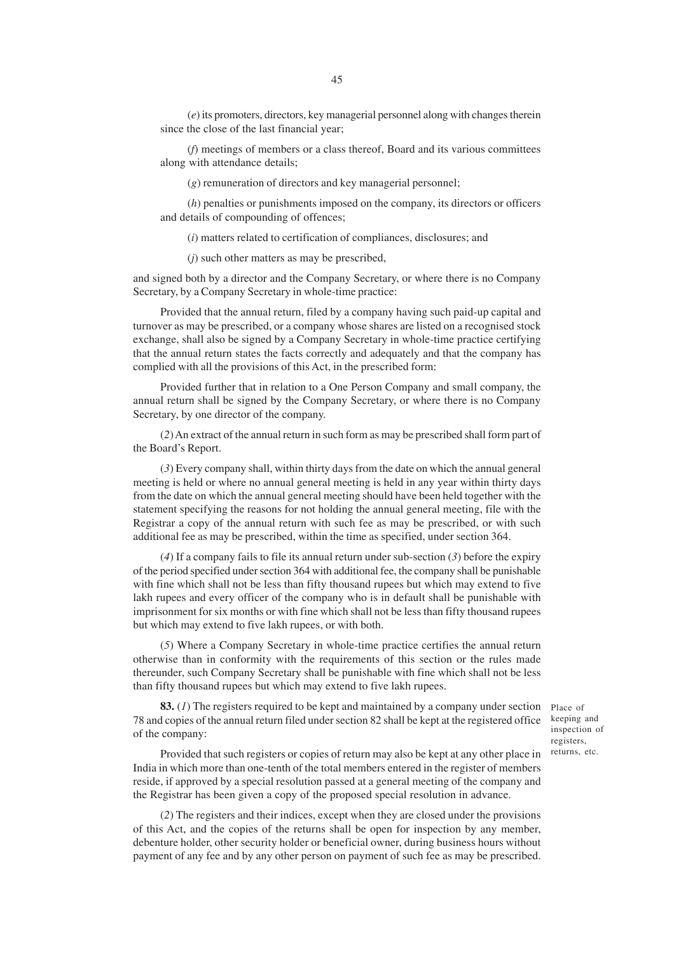(*e*) its promoters, directors, key managerial personnel along with changes therein since the close of the last financial year;

(*f*) meetings of members or a class thereof, Board and its various committees along with attendance details;

(*g*) remuneration of directors and key managerial personnel;

(*h*) penalties or punishments imposed on the company, its directors or officers and details of compounding of offences;

(*i*) matters related to certification of compliances, disclosures; and

(*j*) such other matters as may be prescribed,

and signed both by a director and the Company Secretary, or where there is no Company Secretary, by a Company Secretary in whole-time practice:

Provided that the annual return, filed by a company having such paid-up capital and turnover as may be prescribed, or a company whose shares are listed on a recognised stock exchange, shall also be signed by a Company Secretary in whole-time practice certifying that the annual return states the facts correctly and adequately and that the company has complied with all the provisions of this Act, in the prescribed form:

Provided further that in relation to a One Person Company and small company, the annual return shall be signed by the Company Secretary, or where there is no Company Secretary, by one director of the company.

(*2*) An extract of the annual return in such form as may be prescribed shall form part of the Board's Report.

(*3*) Every company shall, within thirty days from the date on which the annual general meeting is held or where no annual general meeting is held in any year within thirty days from the date on which the annual general meeting should have been held together with the statement specifying the reasons for not holding the annual general meeting, file with the Registrar a copy of the annual return with such fee as may be prescribed, or with such additional fee as may be prescribed, within the time as specified, under section 364.

(*4*) If a company fails to file its annual return under sub-section (*3*) before the expiry of the period specified under section 364 with additional fee, the company shall be punishable with fine which shall not be less than fifty thousand rupees but which may extend to five lakh rupees and every officer of the company who is in default shall be punishable with imprisonment for six months or with fine which shall not be less than fifty thousand rupees but which may extend to five lakh rupees, or with both.

(*5*) Where a Company Secretary in whole-time practice certifies the annual return otherwise than in conformity with the requirements of this section or the rules made thereunder, such Company Secretary shall be punishable with fine which shall not be less than fifty thousand rupees but which may extend to five lakh rupees.

**83.** (1) The registers required to be kept and maintained by a company under section place of 78 and copies of the annual return filed under section 82 shall be kept at the registered office of the company:

keeping and inspection of registers, returns, etc.

Provided that such registers or copies of return may also be kept at any other place in India in which more than one-tenth of the total members entered in the register of members reside, if approved by a special resolution passed at a general meeting of the company and the Registrar has been given a copy of the proposed special resolution in advance.

(*2*) The registers and their indices, except when they are closed under the provisions of this Act, and the copies of the returns shall be open for inspection by any member, debenture holder, other security holder or beneficial owner, during business hours without payment of any fee and by any other person on payment of such fee as may be prescribed.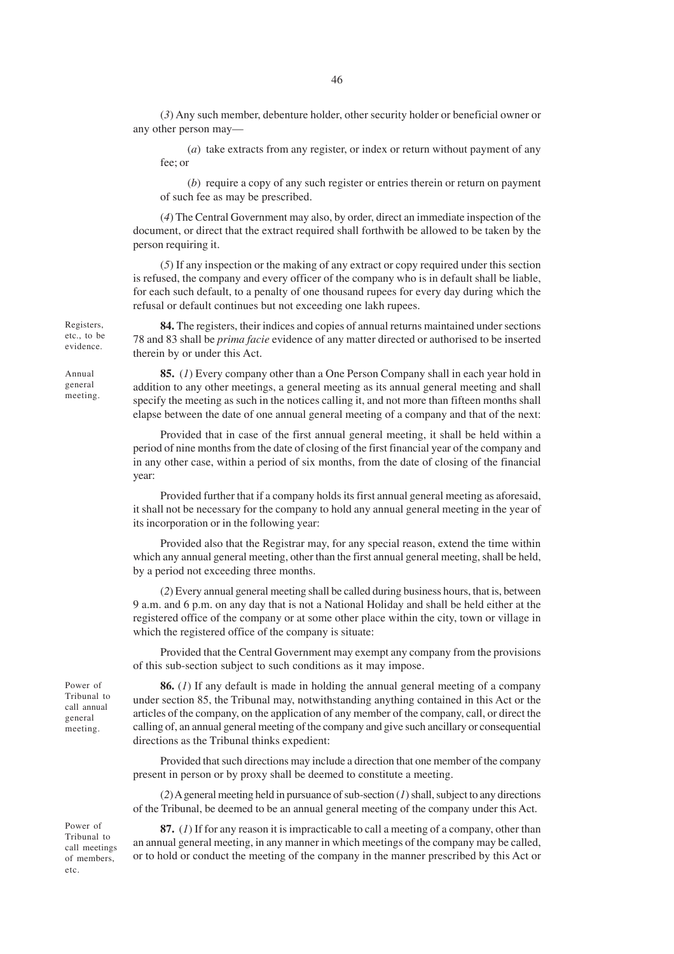(*3*) Any such member, debenture holder, other security holder or beneficial owner or any other person may—

(*a*) take extracts from any register, or index or return without payment of any fee; or

(*b*) require a copy of any such register or entries therein or return on payment of such fee as may be prescribed.

(*4*) The Central Government may also, by order, direct an immediate inspection of the document, or direct that the extract required shall forthwith be allowed to be taken by the person requiring it.

(*5*) If any inspection or the making of any extract or copy required under this section is refused, the company and every officer of the company who is in default shall be liable, for each such default, to a penalty of one thousand rupees for every day during which the refusal or default continues but not exceeding one lakh rupees.

**84.** The registers, their indices and copies of annual returns maintained under sections 78 and 83 shall be *prima facie* evidence of any matter directed or authorised to be inserted therein by or under this Act.

**85.** (*1*) Every company other than a One Person Company shall in each year hold in addition to any other meetings, a general meeting as its annual general meeting and shall specify the meeting as such in the notices calling it, and not more than fifteen months shall elapse between the date of one annual general meeting of a company and that of the next:

Provided that in case of the first annual general meeting, it shall be held within a period of nine months from the date of closing of the first financial year of the company and in any other case, within a period of six months, from the date of closing of the financial year:

Provided further that if a company holds its first annual general meeting as aforesaid, it shall not be necessary for the company to hold any annual general meeting in the year of its incorporation or in the following year:

Provided also that the Registrar may, for any special reason, extend the time within which any annual general meeting, other than the first annual general meeting, shall be held, by a period not exceeding three months.

(*2*) Every annual general meeting shall be called during business hours, that is, between 9 a.m. and 6 p.m. on any day that is not a National Holiday and shall be held either at the registered office of the company or at some other place within the city, town or village in which the registered office of the company is situate:

Provided that the Central Government may exempt any company from the provisions of this sub-section subject to such conditions as it may impose.

Power of Tribunal to call annual general meeting.

**86.** (*1*) If any default is made in holding the annual general meeting of a company under section 85, the Tribunal may, notwithstanding anything contained in this Act or the articles of the company, on the application of any member of the company, call, or direct the calling of, an annual general meeting of the company and give such ancillary or consequential directions as the Tribunal thinks expedient:

Provided that such directions may include a direction that one member of the company present in person or by proxy shall be deemed to constitute a meeting.

(*2*) A general meeting held in pursuance of sub-section (*1*) shall, subject to any directions of the Tribunal, be deemed to be an annual general meeting of the company under this Act.

Power of Tribunal to call meetings of members, etc.

**87.** (*1*) If for any reason it is impracticable to call a meeting of a company, other than an annual general meeting, in any manner in which meetings of the company may be called, or to hold or conduct the meeting of the company in the manner prescribed by this Act or

Registers, etc., to be evidence.

Annual general meeting.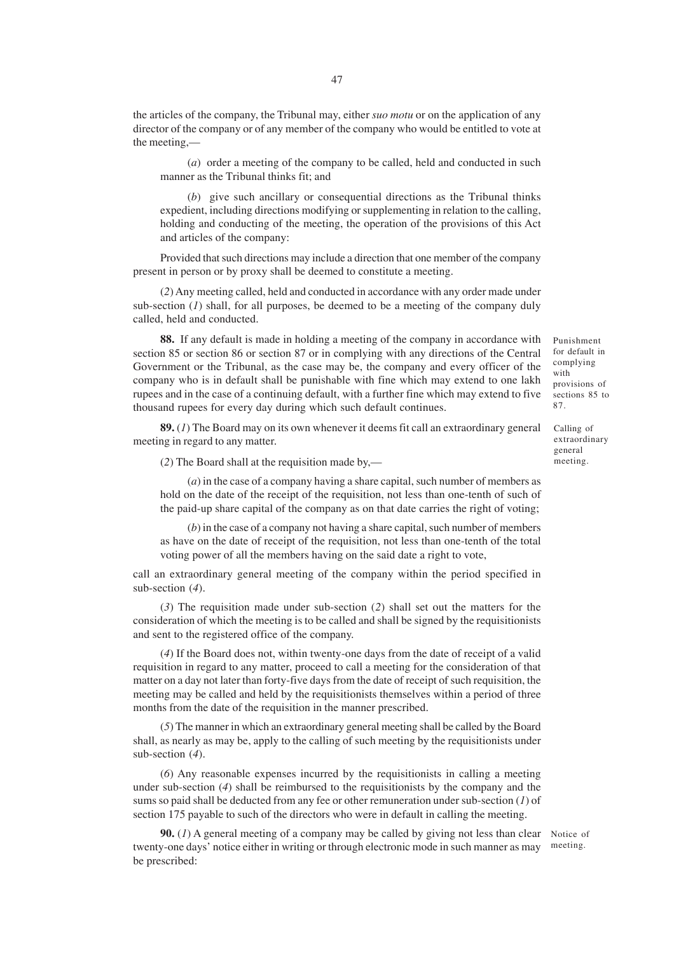the articles of the company, the Tribunal may, either *suo motu* or on the application of any director of the company or of any member of the company who would be entitled to vote at the meeting,—

(*a*) order a meeting of the company to be called, held and conducted in such manner as the Tribunal thinks fit; and

(*b*) give such ancillary or consequential directions as the Tribunal thinks expedient, including directions modifying or supplementing in relation to the calling, holding and conducting of the meeting, the operation of the provisions of this Act and articles of the company:

Provided that such directions may include a direction that one member of the company present in person or by proxy shall be deemed to constitute a meeting.

(*2*) Any meeting called, held and conducted in accordance with any order made under sub-section  $(I)$  shall, for all purposes, be deemed to be a meeting of the company duly called, held and conducted.

**88.** If any default is made in holding a meeting of the company in accordance with section 85 or section 86 or section 87 or in complying with any directions of the Central Government or the Tribunal, as the case may be, the company and every officer of the company who is in default shall be punishable with fine which may extend to one lakh rupees and in the case of a continuing default, with a further fine which may extend to five thousand rupees for every day during which such default continues.

**89.** (*1*) The Board may on its own whenever it deems fit call an extraordinary general meeting in regard to any matter.

(*2*) The Board shall at the requisition made by,—

(*a*) in the case of a company having a share capital, such number of members as hold on the date of the receipt of the requisition, not less than one-tenth of such of the paid-up share capital of the company as on that date carries the right of voting;

(*b*) in the case of a company not having a share capital, such number of members as have on the date of receipt of the requisition, not less than one-tenth of the total voting power of all the members having on the said date a right to vote,

call an extraordinary general meeting of the company within the period specified in sub-section (*4*).

(*3*) The requisition made under sub-section (*2*) shall set out the matters for the consideration of which the meeting is to be called and shall be signed by the requisitionists and sent to the registered office of the company.

(*4*) If the Board does not, within twenty-one days from the date of receipt of a valid requisition in regard to any matter, proceed to call a meeting for the consideration of that matter on a day not later than forty-five days from the date of receipt of such requisition, the meeting may be called and held by the requisitionists themselves within a period of three months from the date of the requisition in the manner prescribed.

(*5*) The manner in which an extraordinary general meeting shall be called by the Board shall, as nearly as may be, apply to the calling of such meeting by the requisitionists under sub-section (*4*).

(*6*) Any reasonable expenses incurred by the requisitionists in calling a meeting under sub-section (*4*) shall be reimbursed to the requisitionists by the company and the sums so paid shall be deducted from any fee or other remuneration under sub-section (*1*) of section 175 payable to such of the directors who were in default in calling the meeting.

**90.** (1) A general meeting of a company may be called by giving not less than clear Notice of twenty-one days' notice either in writing or through electronic mode in such manner as may be prescribed:

Punishment for default in complying with provisions of sections 85 to 87.

Calling of extraordinary general meeting.

meeting.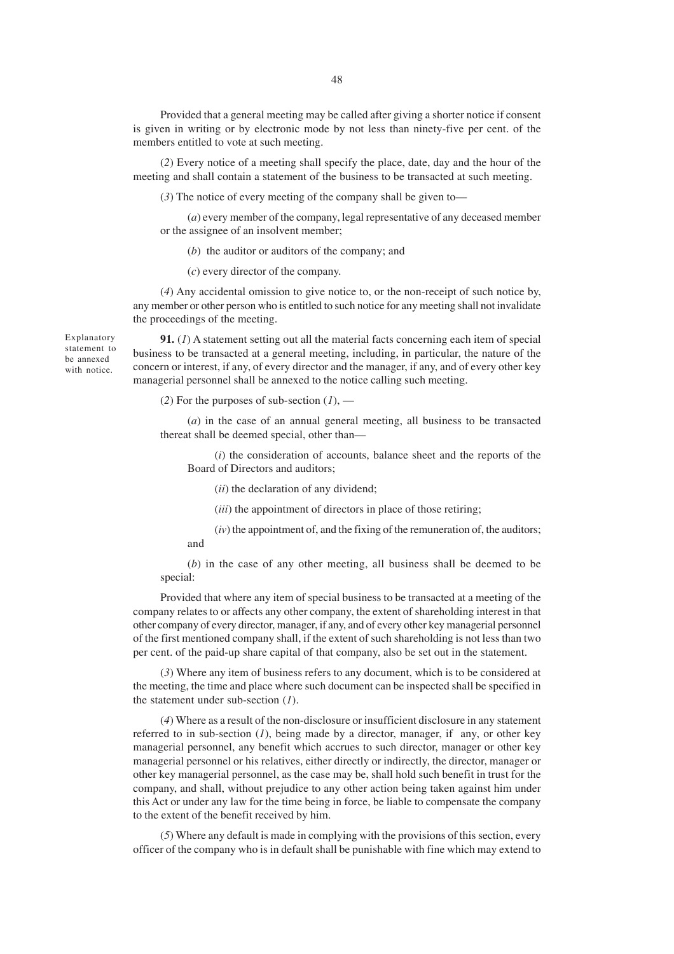Provided that a general meeting may be called after giving a shorter notice if consent is given in writing or by electronic mode by not less than ninety-five per cent. of the members entitled to vote at such meeting.

(*2*) Every notice of a meeting shall specify the place, date, day and the hour of the meeting and shall contain a statement of the business to be transacted at such meeting.

(*3*) The notice of every meeting of the company shall be given to—

(*a*) every member of the company, legal representative of any deceased member or the assignee of an insolvent member;

(*b*) the auditor or auditors of the company; and

(*c*) every director of the company.

(*4*) Any accidental omission to give notice to, or the non-receipt of such notice by, any member or other person who is entitled to such notice for any meeting shall not invalidate the proceedings of the meeting.

**91.** (*1*) A statement setting out all the material facts concerning each item of special business to be transacted at a general meeting, including, in particular, the nature of the concern or interest, if any, of every director and the manager, if any, and of every other key managerial personnel shall be annexed to the notice calling such meeting.

(2) For the purposes of sub-section  $(1)$ , —

(*a*) in the case of an annual general meeting, all business to be transacted thereat shall be deemed special, other than—

(*i*) the consideration of accounts, balance sheet and the reports of the Board of Directors and auditors;

(*ii*) the declaration of any dividend;

(*iii*) the appointment of directors in place of those retiring;

(*iv*) the appointment of, and the fixing of the remuneration of, the auditors; and

(*b*) in the case of any other meeting, all business shall be deemed to be special:

Provided that where any item of special business to be transacted at a meeting of the company relates to or affects any other company, the extent of shareholding interest in that other company of every director, manager, if any, and of every other key managerial personnel of the first mentioned company shall, if the extent of such shareholding is not less than two per cent. of the paid-up share capital of that company, also be set out in the statement.

(*3*) Where any item of business refers to any document, which is to be considered at the meeting, the time and place where such document can be inspected shall be specified in the statement under sub-section (*1*).

(*4*) Where as a result of the non-disclosure or insufficient disclosure in any statement referred to in sub-section  $(I)$ , being made by a director, manager, if any, or other key managerial personnel, any benefit which accrues to such director, manager or other key managerial personnel or his relatives, either directly or indirectly, the director, manager or other key managerial personnel, as the case may be, shall hold such benefit in trust for the company, and shall, without prejudice to any other action being taken against him under this Act or under any law for the time being in force, be liable to compensate the company to the extent of the benefit received by him.

(*5*) Where any default is made in complying with the provisions of this section, every officer of the company who is in default shall be punishable with fine which may extend to

Explanatory statement to be annexed with notice.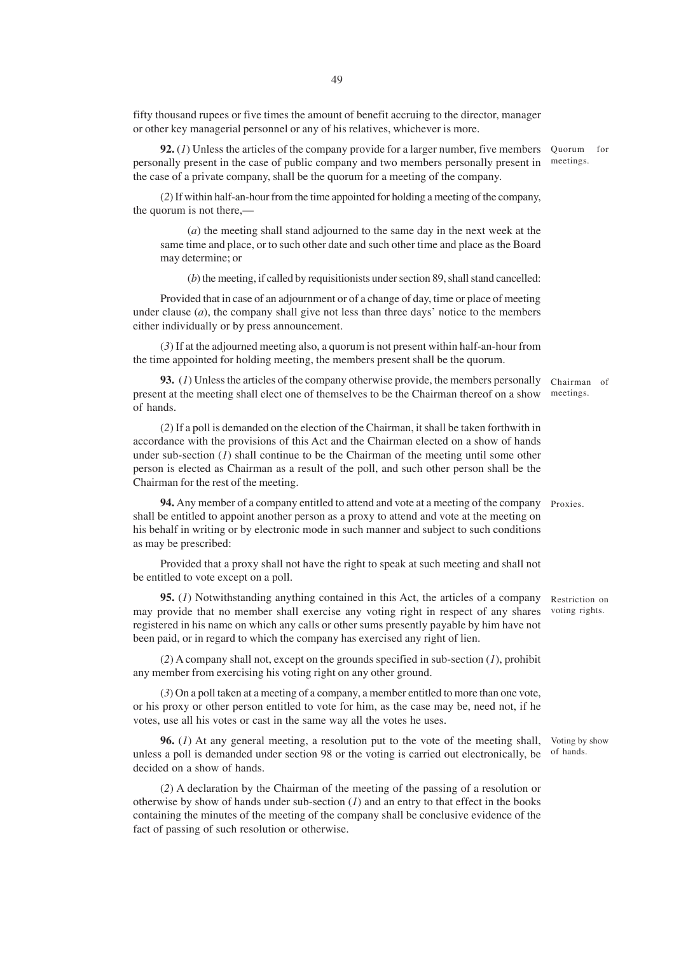fifty thousand rupees or five times the amount of benefit accruing to the director, manager or other key managerial personnel or any of his relatives, whichever is more.

**92.** (*1*) Unless the articles of the company provide for a larger number, five members personally present in the case of public company and two members personally present in the case of a private company, shall be the quorum for a meeting of the company. Quorum for meetings.

(*2*) If within half-an-hour from the time appointed for holding a meeting of the company, the quorum is not there,—

(*a*) the meeting shall stand adjourned to the same day in the next week at the same time and place, or to such other date and such other time and place as the Board may determine; or

(*b*) the meeting, if called by requisitionists under section 89, shall stand cancelled:

Provided that in case of an adjournment or of a change of day, time or place of meeting under clause (*a*), the company shall give not less than three days' notice to the members either individually or by press announcement.

(*3*) If at the adjourned meeting also, a quorum is not present within half-an-hour from the time appointed for holding meeting, the members present shall be the quorum.

**93.** (1) Unless the articles of the company otherwise provide, the members personally Chairman of present at the meeting shall elect one of themselves to be the Chairman thereof on a show meetings. of hands.

(*2*) If a poll is demanded on the election of the Chairman, it shall be taken forthwith in accordance with the provisions of this Act and the Chairman elected on a show of hands under sub-section (*1*) shall continue to be the Chairman of the meeting until some other person is elected as Chairman as a result of the poll, and such other person shall be the Chairman for the rest of the meeting.

**94.** Any member of a company entitled to attend and vote at a meeting of the company Proxies. shall be entitled to appoint another person as a proxy to attend and vote at the meeting on his behalf in writing or by electronic mode in such manner and subject to such conditions as may be prescribed:

Provided that a proxy shall not have the right to speak at such meeting and shall not be entitled to vote except on a poll.

**95.** (*1*) Notwithstanding anything contained in this Act, the articles of a company may provide that no member shall exercise any voting right in respect of any shares registered in his name on which any calls or other sums presently payable by him have not been paid, or in regard to which the company has exercised any right of lien. Restriction on voting rights.

(*2*) A company shall not, except on the grounds specified in sub-section (*1*), prohibit any member from exercising his voting right on any other ground.

(*3*) On a poll taken at a meeting of a company, a member entitled to more than one vote, or his proxy or other person entitled to vote for him, as the case may be, need not, if he votes, use all his votes or cast in the same way all the votes he uses.

**96.** (*1*) At any general meeting, a resolution put to the vote of the meeting shall, unless a poll is demanded under section 98 or the voting is carried out electronically, be decided on a show of hands. of hands.

(*2*) A declaration by the Chairman of the meeting of the passing of a resolution or otherwise by show of hands under sub-section (*1*) and an entry to that effect in the books containing the minutes of the meeting of the company shall be conclusive evidence of the fact of passing of such resolution or otherwise.

Voting by show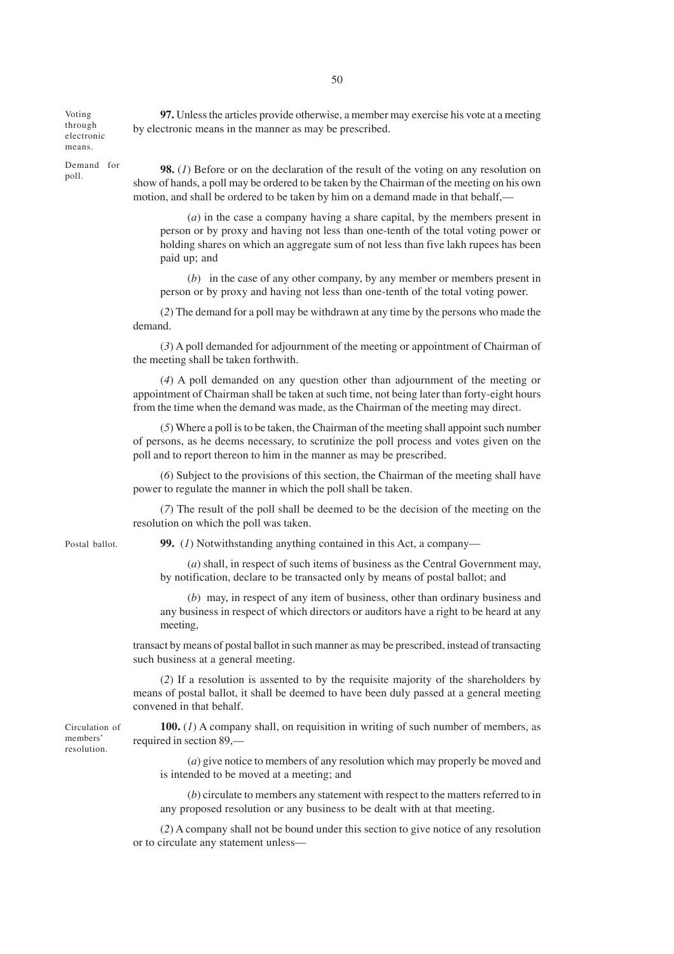Voting through electronic means.

Demand for poll.

**98.** (*1*) Before or on the declaration of the result of the voting on any resolution on show of hands, a poll may be ordered to be taken by the Chairman of the meeting on his own motion, and shall be ordered to be taken by him on a demand made in that behalf,—

(*a*) in the case a company having a share capital, by the members present in person or by proxy and having not less than one-tenth of the total voting power or holding shares on which an aggregate sum of not less than five lakh rupees has been paid up; and

(*b*) in the case of any other company, by any member or members present in person or by proxy and having not less than one-tenth of the total voting power.

(*2*) The demand for a poll may be withdrawn at any time by the persons who made the demand.

(*3*) A poll demanded for adjournment of the meeting or appointment of Chairman of the meeting shall be taken forthwith.

(*4*) A poll demanded on any question other than adjournment of the meeting or appointment of Chairman shall be taken at such time, not being later than forty-eight hours from the time when the demand was made, as the Chairman of the meeting may direct.

(*5*) Where a poll is to be taken, the Chairman of the meeting shall appoint such number of persons, as he deems necessary, to scrutinize the poll process and votes given on the poll and to report thereon to him in the manner as may be prescribed.

(*6*) Subject to the provisions of this section, the Chairman of the meeting shall have power to regulate the manner in which the poll shall be taken.

(*7*) The result of the poll shall be deemed to be the decision of the meeting on the resolution on which the poll was taken.

Postal ballot.

**99.** (*1*) Notwithstanding anything contained in this Act, a company—

(*a*) shall, in respect of such items of business as the Central Government may, by notification, declare to be transacted only by means of postal ballot; and

(*b*) may, in respect of any item of business, other than ordinary business and any business in respect of which directors or auditors have a right to be heard at any meeting,

transact by means of postal ballot in such manner as may be prescribed, instead of transacting such business at a general meeting.

(*2*) If a resolution is assented to by the requisite majority of the shareholders by means of postal ballot, it shall be deemed to have been duly passed at a general meeting convened in that behalf.

Circulation of members' resolution.

**100.** (*1*) A company shall, on requisition in writing of such number of members, as required in section 89,—

(*a*) give notice to members of any resolution which may properly be moved and is intended to be moved at a meeting; and

(*b*) circulate to members any statement with respect to the matters referred to in any proposed resolution or any business to be dealt with at that meeting.

(*2*) A company shall not be bound under this section to give notice of any resolution or to circulate any statement unless—

by electronic means in the manner as may be prescribed.

**97.** Unless the articles provide otherwise, a member may exercise his vote at a meeting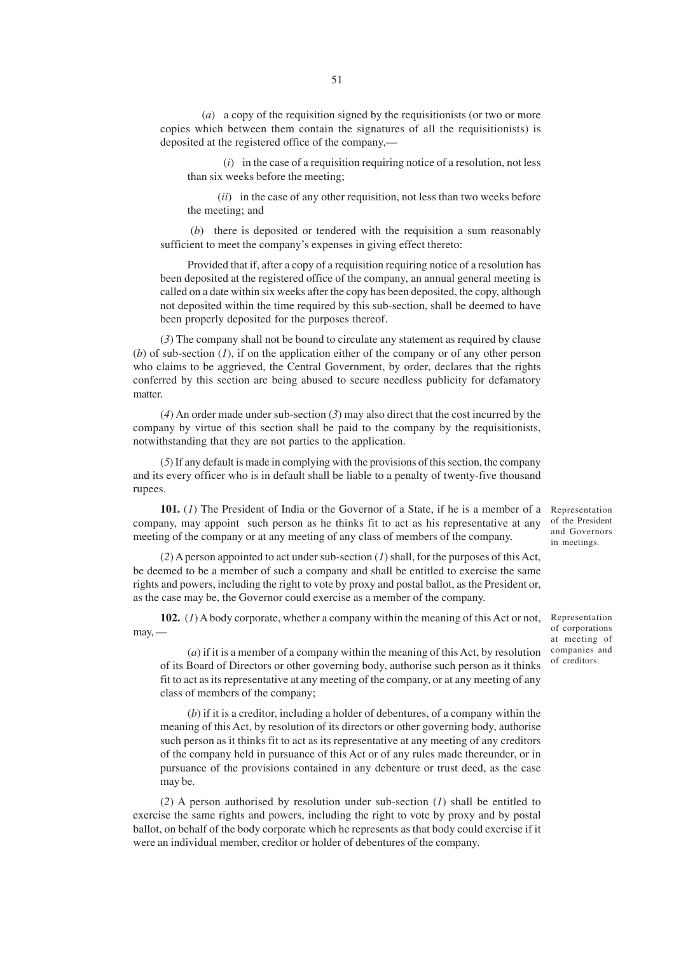(*a*) a copy of the requisition signed by the requisitionists (or two or more copies which between them contain the signatures of all the requisitionists) is deposited at the registered office of the company,—

 (*i*) in the case of a requisition requiring notice of a resolution, not less than six weeks before the meeting;

 (*ii*) in the case of any other requisition, not less than two weeks before the meeting; and

 (*b*) there is deposited or tendered with the requisition a sum reasonably sufficient to meet the company's expenses in giving effect thereto:

Provided that if, after a copy of a requisition requiring notice of a resolution has been deposited at the registered office of the company, an annual general meeting is called on a date within six weeks after the copy has been deposited, the copy, although not deposited within the time required by this sub-section, shall be deemed to have been properly deposited for the purposes thereof.

(*3*) The company shall not be bound to circulate any statement as required by clause (*b*) of sub-section (*1*), if on the application either of the company or of any other person who claims to be aggrieved, the Central Government, by order, declares that the rights conferred by this section are being abused to secure needless publicity for defamatory matter.

(*4*) An order made under sub-section (*3*) may also direct that the cost incurred by the company by virtue of this section shall be paid to the company by the requisitionists, notwithstanding that they are not parties to the application.

(*5*) If any default is made in complying with the provisions of this section, the company and its every officer who is in default shall be liable to a penalty of twenty-five thousand rupees.

**101.** (*1*) The President of India or the Governor of a State, if he is a member of a company, may appoint such person as he thinks fit to act as his representative at any meeting of the company or at any meeting of any class of members of the company.

(*2*) A person appointed to act under sub-section (*1*) shall, for the purposes of this Act, be deemed to be a member of such a company and shall be entitled to exercise the same rights and powers, including the right to vote by proxy and postal ballot, as the President or, as the case may be, the Governor could exercise as a member of the company.

**102.** (*1*) A body corporate, whether a company within the meaning of this Act or not, Representation  $may, -$ 

of corporations at meeting of companies and of creditors.

Representation of the President and Governors in meetings.

(*a*) if it is a member of a company within the meaning of this Act, by resolution of its Board of Directors or other governing body, authorise such person as it thinks fit to act as its representative at any meeting of the company, or at any meeting of any class of members of the company;

(*b*) if it is a creditor, including a holder of debentures, of a company within the meaning of this Act, by resolution of its directors or other governing body, authorise such person as it thinks fit to act as its representative at any meeting of any creditors of the company held in pursuance of this Act or of any rules made thereunder, or in pursuance of the provisions contained in any debenture or trust deed, as the case may be.

(*2*) A person authorised by resolution under sub-section (*1*) shall be entitled to exercise the same rights and powers, including the right to vote by proxy and by postal ballot, on behalf of the body corporate which he represents as that body could exercise if it were an individual member, creditor or holder of debentures of the company.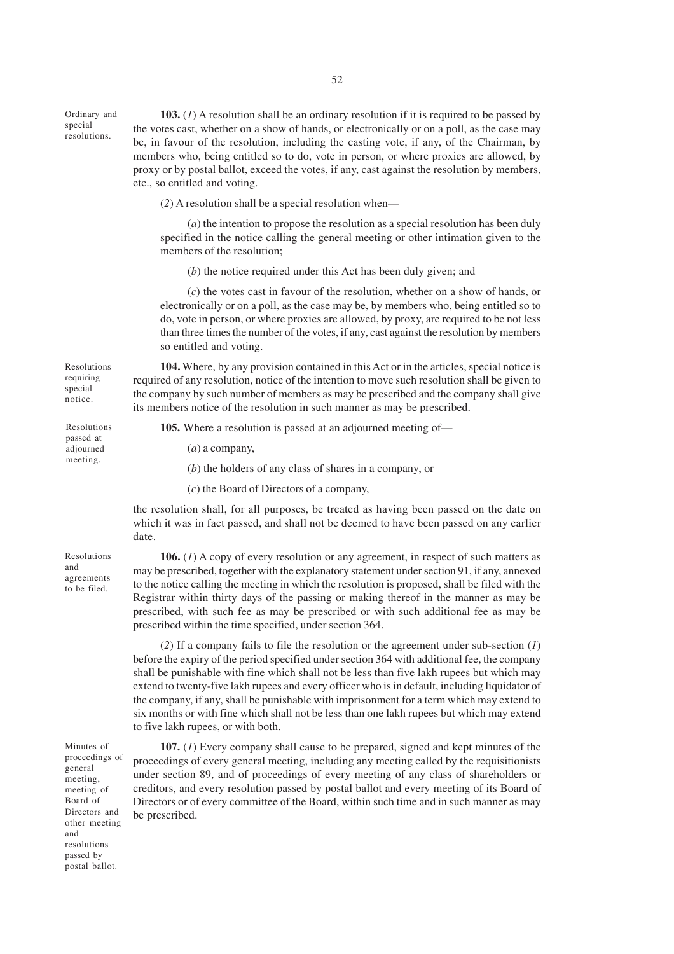Ordinary and special resolutions.

**103.** (*1*) A resolution shall be an ordinary resolution if it is required to be passed by the votes cast, whether on a show of hands, or electronically or on a poll, as the case may be, in favour of the resolution, including the casting vote, if any, of the Chairman, by members who, being entitled so to do, vote in person, or where proxies are allowed, by proxy or by postal ballot, exceed the votes, if any, cast against the resolution by members, etc., so entitled and voting.

(*2*) A resolution shall be a special resolution when—

(*a*) the intention to propose the resolution as a special resolution has been duly specified in the notice calling the general meeting or other intimation given to the members of the resolution;

(*b*) the notice required under this Act has been duly given; and

(*c*) the votes cast in favour of the resolution, whether on a show of hands, or electronically or on a poll, as the case may be, by members who, being entitled so to do, vote in person, or where proxies are allowed, by proxy, are required to be not less than three times the number of the votes, if any, cast against the resolution by members so entitled and voting.

**104.** Where, by any provision contained in this Act or in the articles, special notice is required of any resolution, notice of the intention to move such resolution shall be given to the company by such number of members as may be prescribed and the company shall give its members notice of the resolution in such manner as may be prescribed.

**105.** Where a resolution is passed at an adjourned meeting of—

(*a*) a company,

(*b*) the holders of any class of shares in a company, or

(*c*) the Board of Directors of a company,

the resolution shall, for all purposes, be treated as having been passed on the date on which it was in fact passed, and shall not be deemed to have been passed on any earlier date.

Resolutions and agreements to be filed.

Resolutions requiring special notice.

Resolutions passed at adjourned meeting.

> **106.** (*1*) A copy of every resolution or any agreement, in respect of such matters as may be prescribed, together with the explanatory statement under section 91, if any, annexed to the notice calling the meeting in which the resolution is proposed, shall be filed with the Registrar within thirty days of the passing or making thereof in the manner as may be prescribed, with such fee as may be prescribed or with such additional fee as may be prescribed within the time specified, under section 364.

> (*2*) If a company fails to file the resolution or the agreement under sub-section (*1*) before the expiry of the period specified under section 364 with additional fee, the company shall be punishable with fine which shall not be less than five lakh rupees but which may extend to twenty-five lakh rupees and every officer who is in default, including liquidator of the company, if any, shall be punishable with imprisonment for a term which may extend to six months or with fine which shall not be less than one lakh rupees but which may extend to five lakh rupees, or with both.

> **107.** (*1*) Every company shall cause to be prepared, signed and kept minutes of the proceedings of every general meeting, including any meeting called by the requisitionists under section 89, and of proceedings of every meeting of any class of shareholders or creditors, and every resolution passed by postal ballot and every meeting of its Board of Directors or of every committee of the Board, within such time and in such manner as may be prescribed.

proceedings of general meeting, meeting of Board of Directors and other meeting and resolutions passed by postal ballot.

Minutes of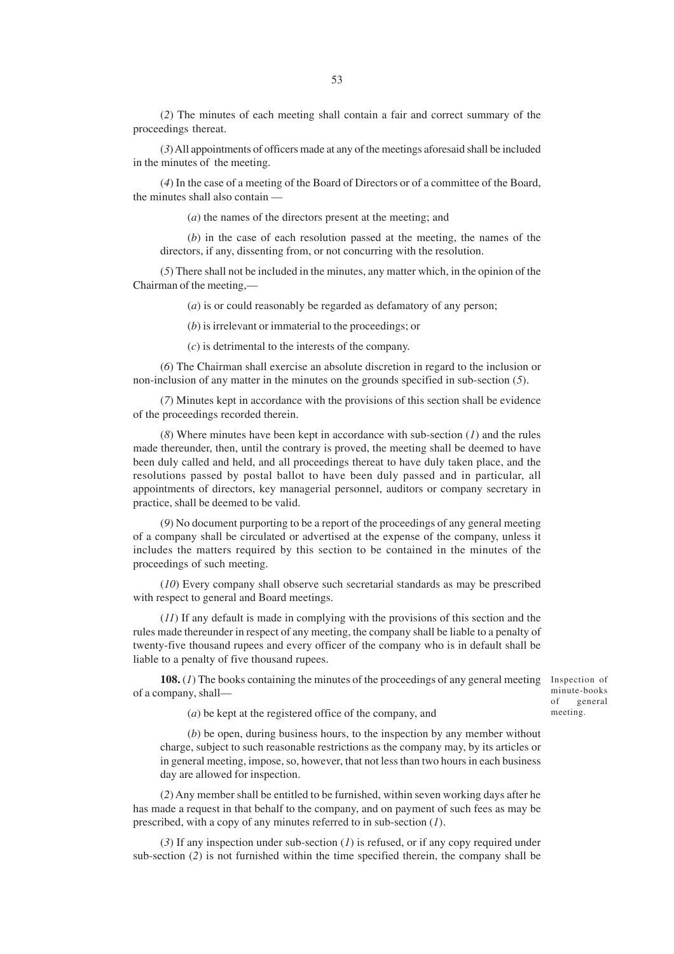(*2*) The minutes of each meeting shall contain a fair and correct summary of the proceedings thereat.

(*3*) All appointments of officers made at any of the meetings aforesaid shall be included in the minutes of the meeting.

(*4*) In the case of a meeting of the Board of Directors or of a committee of the Board, the minutes shall also contain —

(*a*) the names of the directors present at the meeting; and

(*b*) in the case of each resolution passed at the meeting, the names of the directors, if any, dissenting from, or not concurring with the resolution.

(*5*) There shall not be included in the minutes, any matter which, in the opinion of the Chairman of the meeting,—

(*a*) is or could reasonably be regarded as defamatory of any person;

(*b*) is irrelevant or immaterial to the proceedings; or

(*c*) is detrimental to the interests of the company.

(*6*) The Chairman shall exercise an absolute discretion in regard to the inclusion or non-inclusion of any matter in the minutes on the grounds specified in sub-section (*5*).

(*7*) Minutes kept in accordance with the provisions of this section shall be evidence of the proceedings recorded therein.

(*8*) Where minutes have been kept in accordance with sub-section (*1*) and the rules made thereunder, then, until the contrary is proved, the meeting shall be deemed to have been duly called and held, and all proceedings thereat to have duly taken place, and the resolutions passed by postal ballot to have been duly passed and in particular, all appointments of directors, key managerial personnel, auditors or company secretary in practice, shall be deemed to be valid.

(*9*) No document purporting to be a report of the proceedings of any general meeting of a company shall be circulated or advertised at the expense of the company, unless it includes the matters required by this section to be contained in the minutes of the proceedings of such meeting.

(*10*) Every company shall observe such secretarial standards as may be prescribed with respect to general and Board meetings.

(*11*) If any default is made in complying with the provisions of this section and the rules made thereunder in respect of any meeting, the company shall be liable to a penalty of twenty-five thousand rupees and every officer of the company who is in default shall be liable to a penalty of five thousand rupees.

108. (1) The books containing the minutes of the proceedings of any general meeting Inspection of of a company, shall—

minute-books of general meeting.

(*a*) be kept at the registered office of the company, and

(*b*) be open, during business hours, to the inspection by any member without charge, subject to such reasonable restrictions as the company may, by its articles or in general meeting, impose, so, however, that not less than two hours in each business day are allowed for inspection.

(*2*) Any member shall be entitled to be furnished, within seven working days after he has made a request in that behalf to the company, and on payment of such fees as may be prescribed, with a copy of any minutes referred to in sub-section (*1*).

(*3*) If any inspection under sub-section (*1*) is refused, or if any copy required under sub-section (*2*) is not furnished within the time specified therein, the company shall be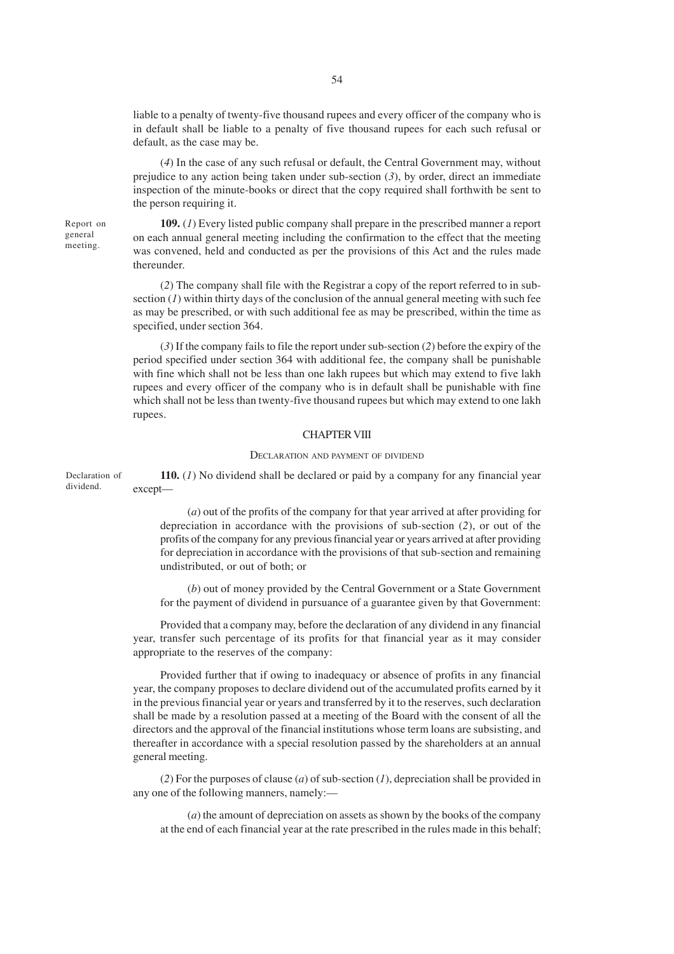liable to a penalty of twenty-five thousand rupees and every officer of the company who is in default shall be liable to a penalty of five thousand rupees for each such refusal or default, as the case may be.

(*4*) In the case of any such refusal or default, the Central Government may, without prejudice to any action being taken under sub-section (*3*), by order, direct an immediate inspection of the minute-books or direct that the copy required shall forthwith be sent to the person requiring it.

Report on general meeting.

**109.** (*1*) Every listed public company shall prepare in the prescribed manner a report on each annual general meeting including the confirmation to the effect that the meeting was convened, held and conducted as per the provisions of this Act and the rules made thereunder.

(*2*) The company shall file with the Registrar a copy of the report referred to in subsection  $(I)$  within thirty days of the conclusion of the annual general meeting with such fee as may be prescribed, or with such additional fee as may be prescribed, within the time as specified, under section 364.

(*3*) If the company fails to file the report under sub-section (*2*) before the expiry of the period specified under section 364 with additional fee, the company shall be punishable with fine which shall not be less than one lakh rupees but which may extend to five lakh rupees and every officer of the company who is in default shall be punishable with fine which shall not be less than twenty-five thousand rupees but which may extend to one lakh rupees.

# CHAPTER VIII

# DECLARATION AND PAYMENT OF DIVIDEND

**110.** (*1*) No dividend shall be declared or paid by a company for any financial year except— Declaration of dividend.

> (*a*) out of the profits of the company for that year arrived at after providing for depreciation in accordance with the provisions of sub-section (*2*), or out of the profits of the company for any previous financial year or years arrived at after providing for depreciation in accordance with the provisions of that sub-section and remaining undistributed, or out of both; or

> (*b*) out of money provided by the Central Government or a State Government for the payment of dividend in pursuance of a guarantee given by that Government:

Provided that a company may, before the declaration of any dividend in any financial year, transfer such percentage of its profits for that financial year as it may consider appropriate to the reserves of the company:

Provided further that if owing to inadequacy or absence of profits in any financial year, the company proposes to declare dividend out of the accumulated profits earned by it in the previous financial year or years and transferred by it to the reserves, such declaration shall be made by a resolution passed at a meeting of the Board with the consent of all the directors and the approval of the financial institutions whose term loans are subsisting, and thereafter in accordance with a special resolution passed by the shareholders at an annual general meeting.

(*2*) For the purposes of clause (*a*) of sub-section (*1*), depreciation shall be provided in any one of the following manners, namely:—

(*a*) the amount of depreciation on assets as shown by the books of the company at the end of each financial year at the rate prescribed in the rules made in this behalf;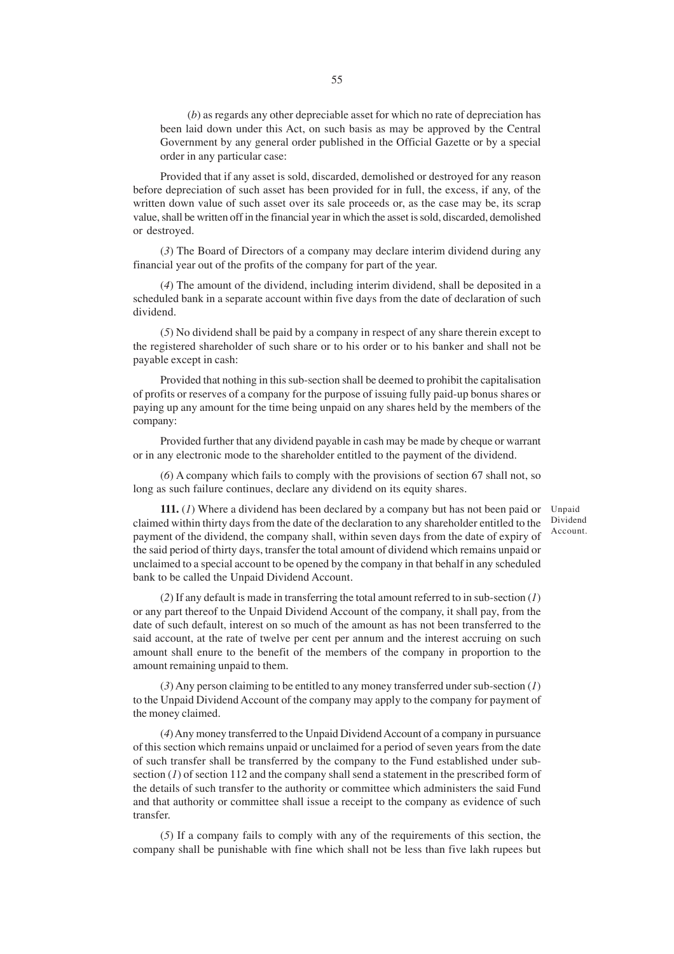(*b*) as regards any other depreciable asset for which no rate of depreciation has been laid down under this Act, on such basis as may be approved by the Central Government by any general order published in the Official Gazette or by a special order in any particular case:

Provided that if any asset is sold, discarded, demolished or destroyed for any reason before depreciation of such asset has been provided for in full, the excess, if any, of the written down value of such asset over its sale proceeds or, as the case may be, its scrap value, shall be written off in the financial year in which the asset is sold, discarded, demolished or destroyed.

(*3*) The Board of Directors of a company may declare interim dividend during any financial year out of the profits of the company for part of the year.

(*4*) The amount of the dividend, including interim dividend, shall be deposited in a scheduled bank in a separate account within five days from the date of declaration of such dividend.

(*5*) No dividend shall be paid by a company in respect of any share therein except to the registered shareholder of such share or to his order or to his banker and shall not be payable except in cash:

Provided that nothing in this sub-section shall be deemed to prohibit the capitalisation of profits or reserves of a company for the purpose of issuing fully paid-up bonus shares or paying up any amount for the time being unpaid on any shares held by the members of the company:

Provided further that any dividend payable in cash may be made by cheque or warrant or in any electronic mode to the shareholder entitled to the payment of the dividend.

(*6*) A company which fails to comply with the provisions of section 67 shall not, so long as such failure continues, declare any dividend on its equity shares.

**111.** (*1*) Where a dividend has been declared by a company but has not been paid or claimed within thirty days from the date of the declaration to any shareholder entitled to the payment of the dividend, the company shall, within seven days from the date of expiry of the said period of thirty days, transfer the total amount of dividend which remains unpaid or unclaimed to a special account to be opened by the company in that behalf in any scheduled bank to be called the Unpaid Dividend Account.

Unpaid Dividend Account.

(*2*) If any default is made in transferring the total amount referred to in sub-section (*1*) or any part thereof to the Unpaid Dividend Account of the company, it shall pay, from the date of such default, interest on so much of the amount as has not been transferred to the said account, at the rate of twelve per cent per annum and the interest accruing on such amount shall enure to the benefit of the members of the company in proportion to the amount remaining unpaid to them.

(*3*) Any person claiming to be entitled to any money transferred under sub-section (*1*) to the Unpaid Dividend Account of the company may apply to the company for payment of the money claimed.

(*4*) Any money transferred to the Unpaid Dividend Account of a company in pursuance of this section which remains unpaid or unclaimed for a period of seven years from the date of such transfer shall be transferred by the company to the Fund established under subsection (*1*) of section 112 and the company shall send a statement in the prescribed form of the details of such transfer to the authority or committee which administers the said Fund and that authority or committee shall issue a receipt to the company as evidence of such transfer.

(*5*) If a company fails to comply with any of the requirements of this section, the company shall be punishable with fine which shall not be less than five lakh rupees but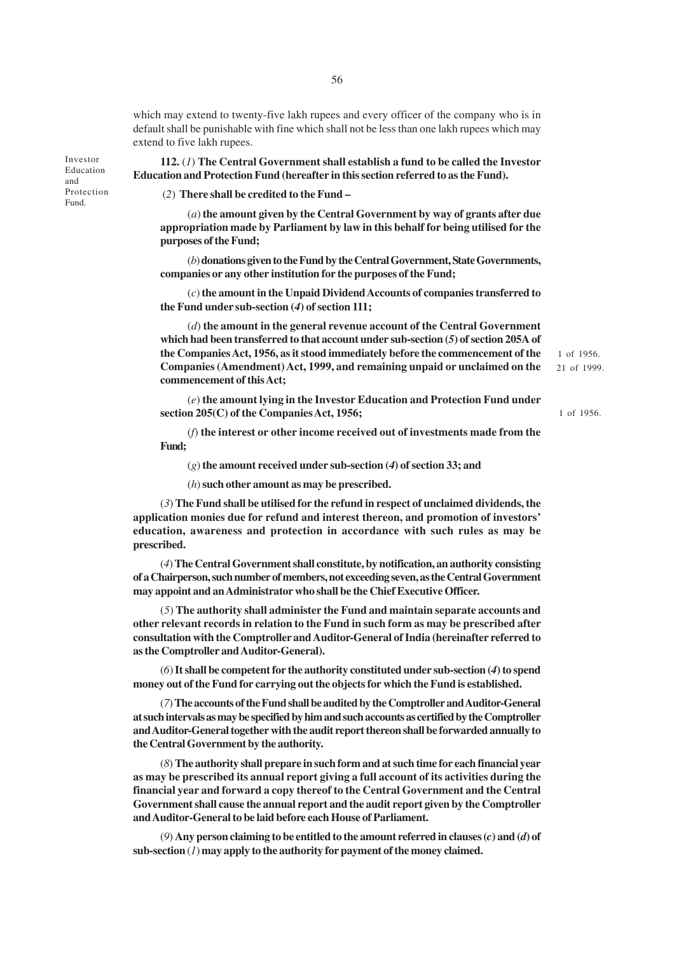which may extend to twenty-five lakh rupees and every officer of the company who is in default shall be punishable with fine which shall not be less than one lakh rupees which may extend to five lakh rupees.

**112.** (*1*) **The Central Government shall establish a fund to be called the Investor Education and Protection Fund (hereafter in this section referred to as the Fund).**

(*2*) **There shall be credited to the Fund –**

Investor Education and Protection Fund.

> (*a*) **the amount given by the Central Government by way of grants after due appropriation made by Parliament by law in this behalf for being utilised for the purposes of the Fund;**

> (*b*) **donations given to the Fund by the Central Government, State Governments, companies or any other institution for the purposes of the Fund;**

> (*c*) **the amount in the Unpaid Dividend Accounts of companies transferred to the Fund under sub-section (***4***) of section 111;**

(*d*) **the amount in the general revenue account of the Central Government which had been transferred to that account under sub-section (***5***) of section 205A of the Companies Act, 1956, as it stood immediately before the commencement of the Companies (Amendment) Act, 1999, and remaining unpaid or unclaimed on the commencement of this Act;**

(*e*) **the amount lying in the Investor Education and Protection Fund under section 205(C) of the Companies Act, 1956;**

(*f*) **the interest or other income received out of investments made from the Fund;**

(*g*) **the amount received under sub-section (***4***) of section 33; and**

(*h*) **such other amount as may be prescribed.**

(*3*) **The Fund shall be utilised for the refund in respect of unclaimed dividends, the application monies due for refund and interest thereon, and promotion of investors' education, awareness and protection in accordance with such rules as may be prescribed.**

(*4*) **The Central Government shall constitute, by notification, an authority consisting of a Chairperson, such number of members, not exceeding seven, as the Central Government may appoint and an Administrator who shall be the Chief Executive Officer.**

(*5*) **The authority shall administer the Fund and maintain separate accounts and other relevant records in relation to the Fund in such form as may be prescribed after consultation with the Comptroller and Auditor-General of India (hereinafter referred to as the Comptroller and Auditor-General).**

(*6*) **It shall be competent for the authority constituted under sub-section (***4***) to spend money out of the Fund for carrying out the objects for which the Fund is established.**

(*7*) **The accounts of the Fund shall be audited by the Comptroller and Auditor-General at such intervals as may be specified by him and such accounts as certified by the Comptroller and Auditor-General together with the audit report thereon shall be forwarded annually to the Central Government by the authority.**

(*8*) **The authority shall prepare in such form and at such time for each financial year as may be prescribed its annual report giving a full account of its activities during the financial year and forward a copy thereof to the Central Government and the Central Government shall cause the annual report and the audit report given by the Comptroller and Auditor-General to be laid before each House of Parliament.**

(*9*) **Any person claiming to be entitled to the amount referred in clauses (***c***) and (***d***) of sub-section** (*1*) **may apply to the authority for payment of the money claimed.**

21 of 1999. 1 of 1956.

1 of 1956.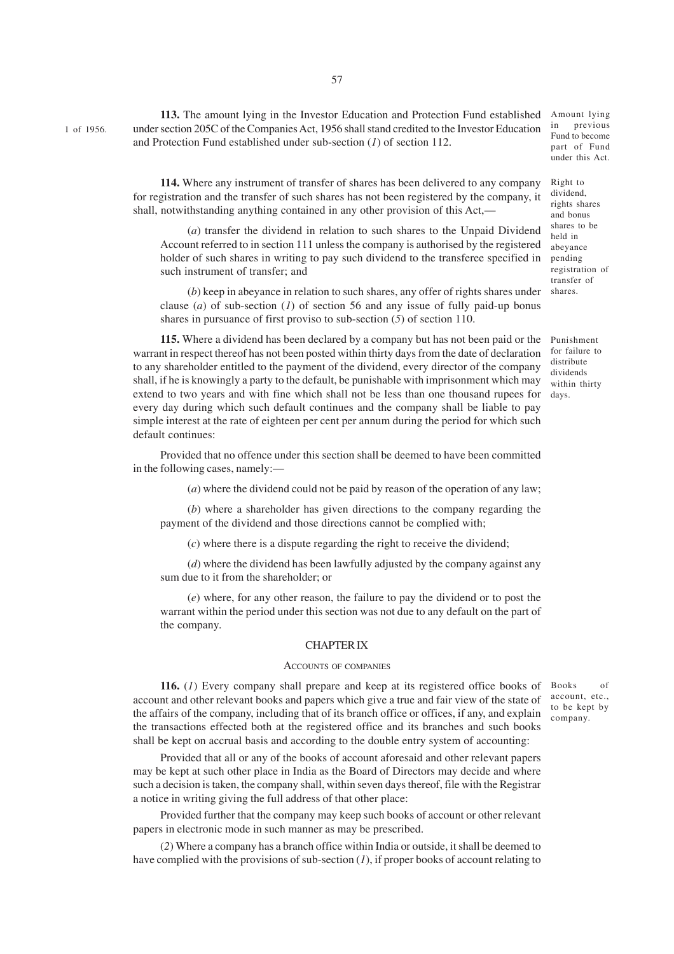1 of 1956.

113. The amount lying in the Investor Education and Protection Fund established Amount lying under section 205C of the Companies Act, 1956 shall stand credited to the Investor Education and Protection Fund established under sub-section (*1*) of section 112.

in previous Fund to become part of Fund under this Act.

**114.** Where any instrument of transfer of shares has been delivered to any company for registration and the transfer of such shares has not been registered by the company, it shall, notwithstanding anything contained in any other provision of this Act,—

(*a*) transfer the dividend in relation to such shares to the Unpaid Dividend Account referred to in section 111 unless the company is authorised by the registered holder of such shares in writing to pay such dividend to the transferee specified in such instrument of transfer; and

(*b*) keep in abeyance in relation to such shares, any offer of rights shares under clause (*a*) of sub-section (*1*) of section 56 and any issue of fully paid-up bonus shares in pursuance of first proviso to sub-section (*5*) of section 110.

**115.** Where a dividend has been declared by a company but has not been paid or the warrant in respect thereof has not been posted within thirty days from the date of declaration to any shareholder entitled to the payment of the dividend, every director of the company shall, if he is knowingly a party to the default, be punishable with imprisonment which may extend to two years and with fine which shall not be less than one thousand rupees for every day during which such default continues and the company shall be liable to pay simple interest at the rate of eighteen per cent per annum during the period for which such default continues:

Provided that no offence under this section shall be deemed to have been committed in the following cases, namely:—

(*a*) where the dividend could not be paid by reason of the operation of any law;

(*b*) where a shareholder has given directions to the company regarding the payment of the dividend and those directions cannot be complied with;

(*c*) where there is a dispute regarding the right to receive the dividend;

(*d*) where the dividend has been lawfully adjusted by the company against any sum due to it from the shareholder; or

(*e*) where, for any other reason, the failure to pay the dividend or to post the warrant within the period under this section was not due to any default on the part of the company.

# CHAPTER IX

#### ACCOUNTS OF COMPANIES

**116.** (*1*) Every company shall prepare and keep at its registered office books of account and other relevant books and papers which give a true and fair view of the state of the affairs of the company, including that of its branch office or offices, if any, and explain the transactions effected both at the registered office and its branches and such books shall be kept on accrual basis and according to the double entry system of accounting:

Provided that all or any of the books of account aforesaid and other relevant papers may be kept at such other place in India as the Board of Directors may decide and where such a decision is taken, the company shall, within seven days thereof, file with the Registrar a notice in writing giving the full address of that other place:

Provided further that the company may keep such books of account or other relevant papers in electronic mode in such manner as may be prescribed.

(*2*) Where a company has a branch office within India or outside, it shall be deemed to have complied with the provisions of sub-section (*1*), if proper books of account relating to

Right to dividend, rights shares and bonus shares to be held in abeyance pending registration of transfer of shares.

Punishment for failure to distribute dividends within thirty days.

Books of account, etc., to be kept by company.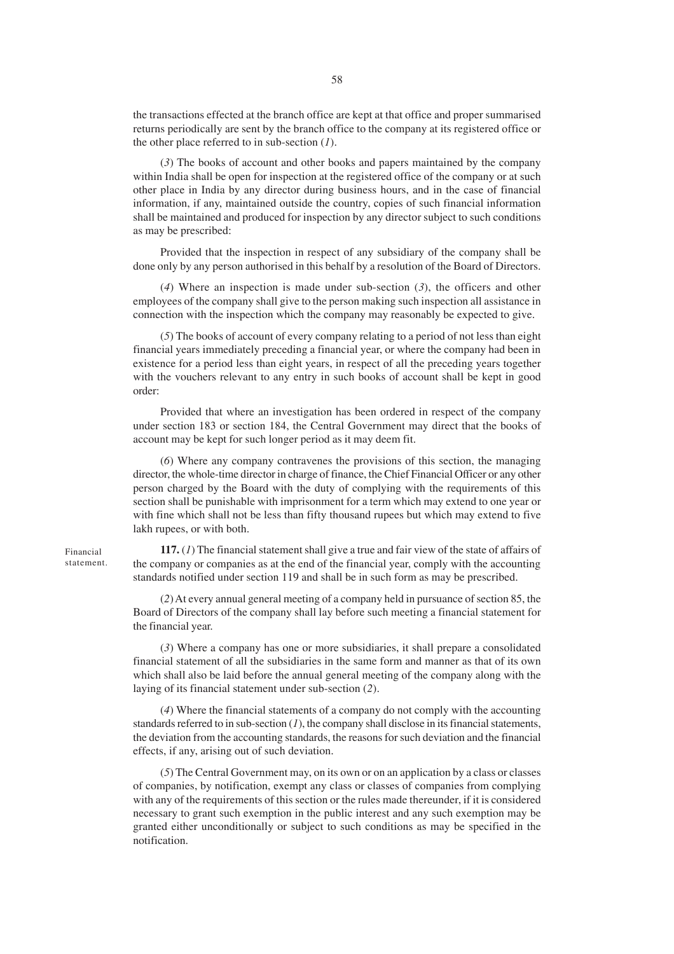the transactions effected at the branch office are kept at that office and proper summarised returns periodically are sent by the branch office to the company at its registered office or the other place referred to in sub-section (*1*).

(*3*) The books of account and other books and papers maintained by the company within India shall be open for inspection at the registered office of the company or at such other place in India by any director during business hours, and in the case of financial information, if any, maintained outside the country, copies of such financial information shall be maintained and produced for inspection by any director subject to such conditions as may be prescribed:

Provided that the inspection in respect of any subsidiary of the company shall be done only by any person authorised in this behalf by a resolution of the Board of Directors.

(*4*) Where an inspection is made under sub-section (*3*), the officers and other employees of the company shall give to the person making such inspection all assistance in connection with the inspection which the company may reasonably be expected to give.

(*5*) The books of account of every company relating to a period of not less than eight financial years immediately preceding a financial year, or where the company had been in existence for a period less than eight years, in respect of all the preceding years together with the vouchers relevant to any entry in such books of account shall be kept in good order:

Provided that where an investigation has been ordered in respect of the company under section 183 or section 184, the Central Government may direct that the books of account may be kept for such longer period as it may deem fit.

(*6*) Where any company contravenes the provisions of this section, the managing director, the whole-time director in charge of finance, the Chief Financial Officer or any other person charged by the Board with the duty of complying with the requirements of this section shall be punishable with imprisonment for a term which may extend to one year or with fine which shall not be less than fifty thousand rupees but which may extend to five lakh rupees, or with both.

**117.** (*1*) The financial statement shall give a true and fair view of the state of affairs of the company or companies as at the end of the financial year, comply with the accounting standards notified under section 119 and shall be in such form as may be prescribed.

(*2*) At every annual general meeting of a company held in pursuance of section 85, the Board of Directors of the company shall lay before such meeting a financial statement for the financial year.

(*3*) Where a company has one or more subsidiaries, it shall prepare a consolidated financial statement of all the subsidiaries in the same form and manner as that of its own which shall also be laid before the annual general meeting of the company along with the laying of its financial statement under sub-section (*2*).

(*4*) Where the financial statements of a company do not comply with the accounting standards referred to in sub-section  $(I)$ , the company shall disclose in its financial statements, the deviation from the accounting standards, the reasons for such deviation and the financial effects, if any, arising out of such deviation.

(*5*) The Central Government may, on its own or on an application by a class or classes of companies, by notification, exempt any class or classes of companies from complying with any of the requirements of this section or the rules made thereunder, if it is considered necessary to grant such exemption in the public interest and any such exemption may be granted either unconditionally or subject to such conditions as may be specified in the notification.

Financial statement.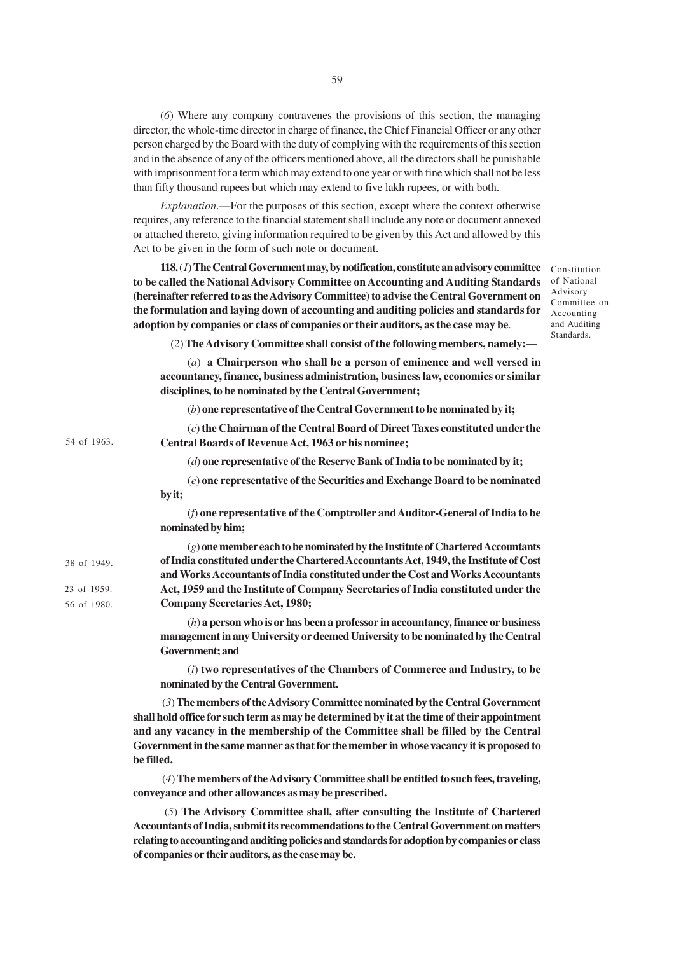(*6*) Where any company contravenes the provisions of this section, the managing director, the whole-time director in charge of finance, the Chief Financial Officer or any other person charged by the Board with the duty of complying with the requirements of this section and in the absence of any of the officers mentioned above, all the directors shall be punishable with imprisonment for a term which may extend to one year or with fine which shall not be less than fifty thousand rupees but which may extend to five lakh rupees, or with both.

*Explanation*.—For the purposes of this section, except where the context otherwise requires, any reference to the financial statement shall include any note or document annexed or attached thereto, giving information required to be given by this Act and allowed by this Act to be given in the form of such note or document.

**118.** (*1*) **The Central Government may, by notification, constitute an advisory committee to be called the National Advisory Committee on Accounting and Auditing Standards (hereinafter referred to as the Advisory Committee) to advise the Central Government on the formulation and laying down of accounting and auditing policies and standards for adoption by companies or class of companies or their auditors, as the case may be**.

Constitution of National Advisory Committee on Accounting and Auditing Standards.

(*2*) **The Advisory Committee shall consist of the following members, namely:—**

(*a*) **a Chairperson who shall be a person of eminence and well versed in accountancy, finance, business administration, business law, economics or similar disciplines, to be nominated by the Central Government;**

(*b*) **one representative of the Central Government to be nominated by it;**

(*c*) **the Chairman of the Central Board of Direct Taxes constituted under the Central Boards of Revenue Act, 1963 or his nominee;** (*d*) **one representative of the Reserve Bank of India to be nominated by it;** (*e*) **one representative of the Securities and Exchange Board to be nominated by it;** (*f*) **one representative of the Comptroller and Auditor-General of India to be nominated by him;** (*g*) **one member each to be nominated by the Institute of Chartered Accountants of India constituted under the Chartered Accountants Act, 1949, the Institute of Cost and Works Accountants of India constituted under the Cost and Works Accountants Act, 1959 and the Institute of Company Secretaries of India constituted under the Company Secretaries Act, 1980;** (*h*) **a person who is or has been a professor in accountancy, finance or business management in any University or deemed University to be nominated by the Central Government; and** (*i*) **two representatives of the Chambers of Commerce and Industry, to be nominated by the Central Government.** (*3*) **The members of the Advisory Committee nominated by the Central Government shall hold office for such term as may be determined by it at the time of their appointment and any vacancy in the membership of the Committee shall be filled by the Central Government in the same manner as that for the member in whose vacancy it is proposed to** 38 of 1949. 23 of 1959. 56 of 1980. 54 of 1963.

**be filled.**

 (*4*) **The members of the Advisory Committee shall be entitled to such fees, traveling, conveyance and other allowances as may be prescribed.**

 (*5*) **The Advisory Committee shall, after consulting the Institute of Chartered Accountants of India, submit its recommendations to the Central Government on matters relating to accounting and auditing policies and standards for adoption by companies or class of companies or their auditors, as the case may be.**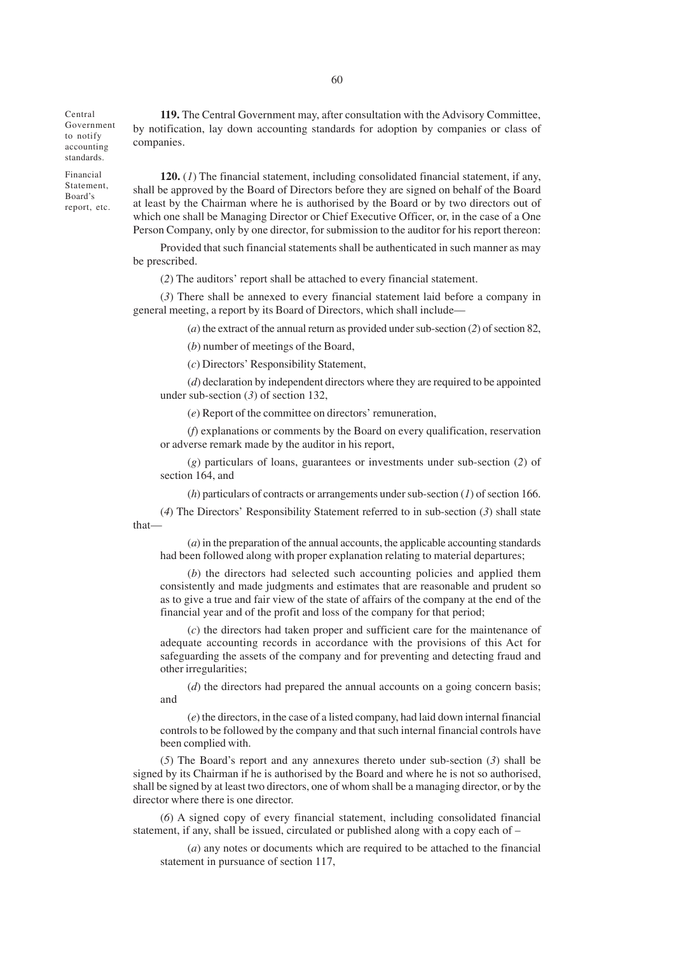Central Government to notify accounting standards.

Financial Statement, Board's report, etc.

**119.** The Central Government may, after consultation with the Advisory Committee, by notification, lay down accounting standards for adoption by companies or class of companies.

**120.** (*1*) The financial statement, including consolidated financial statement, if any, shall be approved by the Board of Directors before they are signed on behalf of the Board at least by the Chairman where he is authorised by the Board or by two directors out of which one shall be Managing Director or Chief Executive Officer, or, in the case of a One Person Company, only by one director, for submission to the auditor for his report thereon:

Provided that such financial statements shall be authenticated in such manner as may be prescribed.

(*2*) The auditors' report shall be attached to every financial statement.

(*3*) There shall be annexed to every financial statement laid before a company in general meeting, a report by its Board of Directors, which shall include—

(*a*) the extract of the annual return as provided under sub-section (*2*) of section 82,

(*b*) number of meetings of the Board,

(*c*) Directors' Responsibility Statement,

(*d*) declaration by independent directors where they are required to be appointed under sub-section (*3*) of section 132,

(*e*) Report of the committee on directors' remuneration,

(*f*) explanations or comments by the Board on every qualification, reservation or adverse remark made by the auditor in his report,

(*g*) particulars of loans, guarantees or investments under sub-section (*2*) of section 164, and

(*h*) particulars of contracts or arrangements under sub-section (*1*) of section 166.

(*4*) The Directors' Responsibility Statement referred to in sub-section (*3*) shall state that—

(*a*) in the preparation of the annual accounts, the applicable accounting standards had been followed along with proper explanation relating to material departures;

(*b*) the directors had selected such accounting policies and applied them consistently and made judgments and estimates that are reasonable and prudent so as to give a true and fair view of the state of affairs of the company at the end of the financial year and of the profit and loss of the company for that period;

(*c*) the directors had taken proper and sufficient care for the maintenance of adequate accounting records in accordance with the provisions of this Act for safeguarding the assets of the company and for preventing and detecting fraud and other irregularities;

(*d*) the directors had prepared the annual accounts on a going concern basis; and

(*e*) the directors, in the case of a listed company, had laid down internal financial controls to be followed by the company and that such internal financial controls have been complied with.

(*5*) The Board's report and any annexures thereto under sub-section (*3*) shall be signed by its Chairman if he is authorised by the Board and where he is not so authorised, shall be signed by at least two directors, one of whom shall be a managing director, or by the director where there is one director.

(*6*) A signed copy of every financial statement, including consolidated financial statement, if any, shall be issued, circulated or published along with a copy each of –

(*a*) any notes or documents which are required to be attached to the financial statement in pursuance of section 117,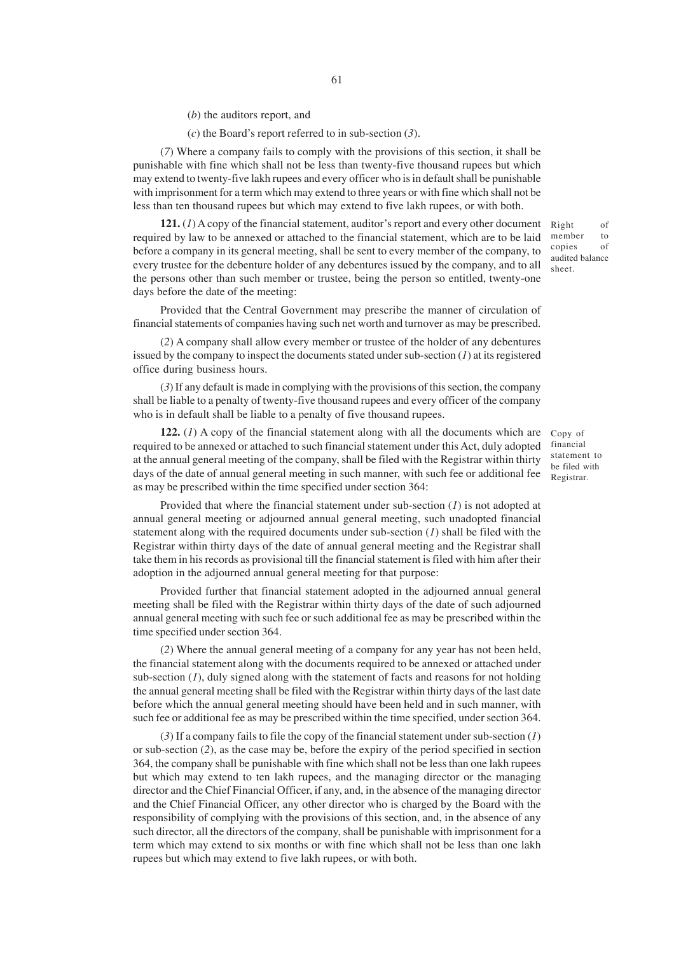(*b*) the auditors report, and

(*c*) the Board's report referred to in sub-section (*3*).

(*7*) Where a company fails to comply with the provisions of this section, it shall be punishable with fine which shall not be less than twenty-five thousand rupees but which may extend to twenty-five lakh rupees and every officer who is in default shall be punishable with imprisonment for a term which may extend to three years or with fine which shall not be less than ten thousand rupees but which may extend to five lakh rupees, or with both.

**121.** (*1*) A copy of the financial statement, auditor's report and every other document required by law to be annexed or attached to the financial statement, which are to be laid before a company in its general meeting, shall be sent to every member of the company, to every trustee for the debenture holder of any debentures issued by the company, and to all the persons other than such member or trustee, being the person so entitled, twenty-one days before the date of the meeting:

Provided that the Central Government may prescribe the manner of circulation of financial statements of companies having such net worth and turnover as may be prescribed.

(*2*) A company shall allow every member or trustee of the holder of any debentures issued by the company to inspect the documents stated under sub-section (*1*) at its registered office during business hours.

(*3*) If any default is made in complying with the provisions of this section, the company shall be liable to a penalty of twenty-five thousand rupees and every officer of the company who is in default shall be liable to a penalty of five thousand rupees.

**122.** (*1*) A copy of the financial statement along with all the documents which are required to be annexed or attached to such financial statement under this Act, duly adopted at the annual general meeting of the company, shall be filed with the Registrar within thirty days of the date of annual general meeting in such manner, with such fee or additional fee as may be prescribed within the time specified under section 364:

Provided that where the financial statement under sub-section (*1*) is not adopted at annual general meeting or adjourned annual general meeting, such unadopted financial statement along with the required documents under sub-section (*1*) shall be filed with the Registrar within thirty days of the date of annual general meeting and the Registrar shall take them in his records as provisional till the financial statement is filed with him after their adoption in the adjourned annual general meeting for that purpose:

Provided further that financial statement adopted in the adjourned annual general meeting shall be filed with the Registrar within thirty days of the date of such adjourned annual general meeting with such fee or such additional fee as may be prescribed within the time specified under section 364.

(*2*) Where the annual general meeting of a company for any year has not been held, the financial statement along with the documents required to be annexed or attached under sub-section  $(I)$ , duly signed along with the statement of facts and reasons for not holding the annual general meeting shall be filed with the Registrar within thirty days of the last date before which the annual general meeting should have been held and in such manner, with such fee or additional fee as may be prescribed within the time specified, under section 364.

(*3*) If a company fails to file the copy of the financial statement under sub-section (*1*) or sub-section (*2*), as the case may be, before the expiry of the period specified in section 364, the company shall be punishable with fine which shall not be less than one lakh rupees but which may extend to ten lakh rupees, and the managing director or the managing director and the Chief Financial Officer, if any, and, in the absence of the managing director and the Chief Financial Officer, any other director who is charged by the Board with the responsibility of complying with the provisions of this section, and, in the absence of any such director, all the directors of the company, shall be punishable with imprisonment for a term which may extend to six months or with fine which shall not be less than one lakh rupees but which may extend to five lakh rupees, or with both.

member to copies of audited balance sheet.

Right of

Copy of financial statement to be filed with Registrar.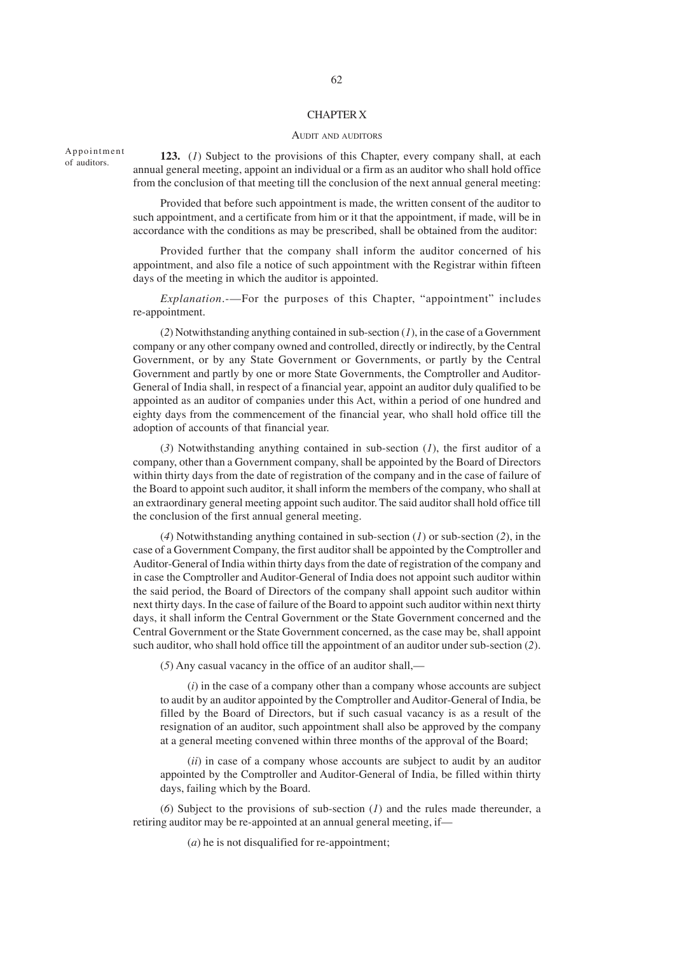## CHAPTER X

#### AUDIT AND AUDITORS

Appointment of auditors.

**123.** (*1*) Subject to the provisions of this Chapter, every company shall, at each annual general meeting, appoint an individual or a firm as an auditor who shall hold office from the conclusion of that meeting till the conclusion of the next annual general meeting:

Provided that before such appointment is made, the written consent of the auditor to such appointment, and a certificate from him or it that the appointment, if made, will be in accordance with the conditions as may be prescribed, shall be obtained from the auditor:

Provided further that the company shall inform the auditor concerned of his appointment, and also file a notice of such appointment with the Registrar within fifteen days of the meeting in which the auditor is appointed.

*Explanation*.-—For the purposes of this Chapter, "appointment" includes re-appointment.

(*2*) Notwithstanding anything contained in sub-section (*1*), in the case of a Government company or any other company owned and controlled, directly or indirectly, by the Central Government, or by any State Government or Governments, or partly by the Central Government and partly by one or more State Governments, the Comptroller and Auditor-General of India shall, in respect of a financial year, appoint an auditor duly qualified to be appointed as an auditor of companies under this Act, within a period of one hundred and eighty days from the commencement of the financial year, who shall hold office till the adoption of accounts of that financial year.

(*3*) Notwithstanding anything contained in sub-section (*1*), the first auditor of a company, other than a Government company, shall be appointed by the Board of Directors within thirty days from the date of registration of the company and in the case of failure of the Board to appoint such auditor, it shall inform the members of the company, who shall at an extraordinary general meeting appoint such auditor. The said auditor shall hold office till the conclusion of the first annual general meeting.

(*4*) Notwithstanding anything contained in sub-section (*1*) or sub-section (*2*), in the case of a Government Company, the first auditor shall be appointed by the Comptroller and Auditor-General of India within thirty days from the date of registration of the company and in case the Comptroller and Auditor-General of India does not appoint such auditor within the said period, the Board of Directors of the company shall appoint such auditor within next thirty days. In the case of failure of the Board to appoint such auditor within next thirty days, it shall inform the Central Government or the State Government concerned and the Central Government or the State Government concerned, as the case may be, shall appoint such auditor, who shall hold office till the appointment of an auditor under sub-section (*2*).

(*5*) Any casual vacancy in the office of an auditor shall,—

(*i*) in the case of a company other than a company whose accounts are subject to audit by an auditor appointed by the Comptroller and Auditor-General of India, be filled by the Board of Directors, but if such casual vacancy is as a result of the resignation of an auditor, such appointment shall also be approved by the company at a general meeting convened within three months of the approval of the Board;

(*ii*) in case of a company whose accounts are subject to audit by an auditor appointed by the Comptroller and Auditor-General of India, be filled within thirty days, failing which by the Board.

(*6*) Subject to the provisions of sub-section (*1*) and the rules made thereunder, a retiring auditor may be re-appointed at an annual general meeting, if—

(*a*) he is not disqualified for re-appointment;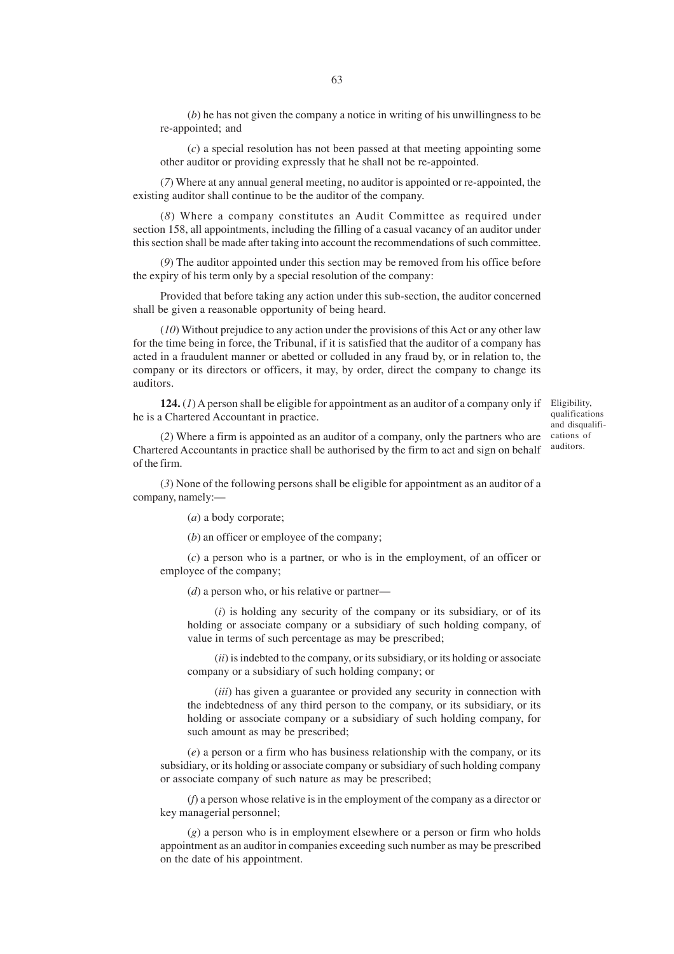(*b*) he has not given the company a notice in writing of his unwillingness to be re-appointed; and

(*c*) a special resolution has not been passed at that meeting appointing some other auditor or providing expressly that he shall not be re-appointed.

(*7*) Where at any annual general meeting, no auditor is appointed or re-appointed, the existing auditor shall continue to be the auditor of the company.

(*8*) Where a company constitutes an Audit Committee as required under section 158, all appointments, including the filling of a casual vacancy of an auditor under this section shall be made after taking into account the recommendations of such committee.

(*9*) The auditor appointed under this section may be removed from his office before the expiry of his term only by a special resolution of the company:

Provided that before taking any action under this sub-section, the auditor concerned shall be given a reasonable opportunity of being heard.

(*10*) Without prejudice to any action under the provisions of this Act or any other law for the time being in force, the Tribunal, if it is satisfied that the auditor of a company has acted in a fraudulent manner or abetted or colluded in any fraud by, or in relation to, the company or its directors or officers, it may, by order, direct the company to change its auditors.

**124.** (*I*) A person shall be eligible for appointment as an auditor of a company only if Eligibility, he is a Chartered Accountant in practice.

qualifications and disqualifications of auditors.

(*2*) Where a firm is appointed as an auditor of a company, only the partners who are Chartered Accountants in practice shall be authorised by the firm to act and sign on behalf of the firm.

(*3*) None of the following persons shall be eligible for appointment as an auditor of a company, namely:—

(*a*) a body corporate;

(*b*) an officer or employee of the company;

(*c*) a person who is a partner, or who is in the employment, of an officer or employee of the company;

(*d*) a person who, or his relative or partner—

(*i*) is holding any security of the company or its subsidiary, or of its holding or associate company or a subsidiary of such holding company, of value in terms of such percentage as may be prescribed;

(*ii*) is indebted to the company, or its subsidiary, or its holding or associate company or a subsidiary of such holding company; or

(*iii*) has given a guarantee or provided any security in connection with the indebtedness of any third person to the company, or its subsidiary, or its holding or associate company or a subsidiary of such holding company, for such amount as may be prescribed;

(*e*) a person or a firm who has business relationship with the company, or its subsidiary, or its holding or associate company or subsidiary of such holding company or associate company of such nature as may be prescribed;

(*f*) a person whose relative is in the employment of the company as a director or key managerial personnel;

(*g*) a person who is in employment elsewhere or a person or firm who holds appointment as an auditor in companies exceeding such number as may be prescribed on the date of his appointment.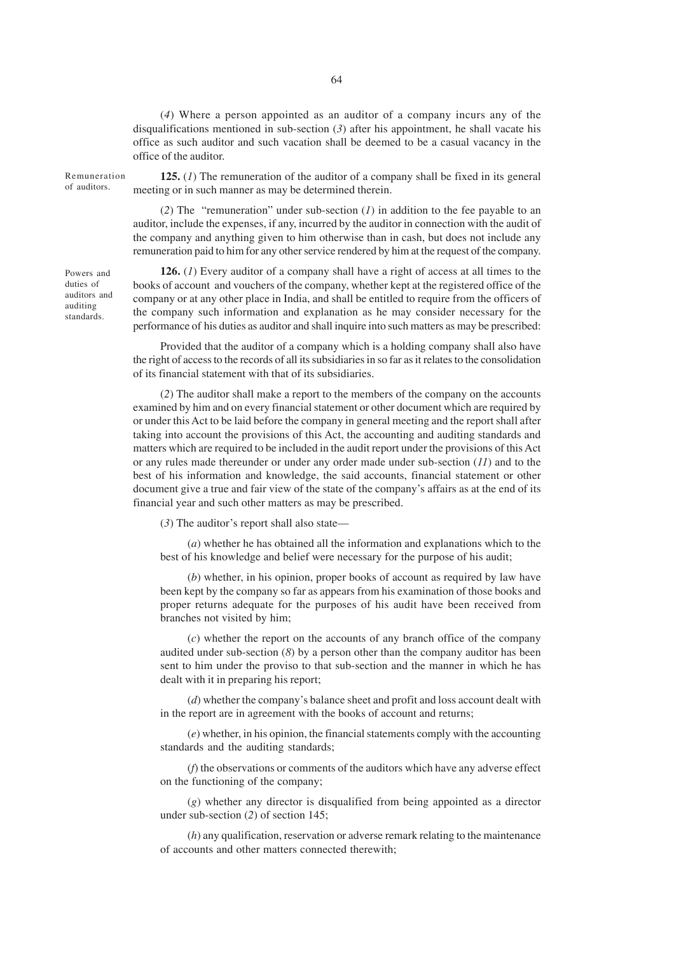(*4*) Where a person appointed as an auditor of a company incurs any of the disqualifications mentioned in sub-section (*3*) after his appointment, he shall vacate his office as such auditor and such vacation shall be deemed to be a casual vacancy in the office of the auditor.

Remuneration of auditors.

**125.** (*1*) The remuneration of the auditor of a company shall be fixed in its general meeting or in such manner as may be determined therein.

(*2*) The "remuneration" under sub-section (*1*) in addition to the fee payable to an auditor, include the expenses, if any, incurred by the auditor in connection with the audit of the company and anything given to him otherwise than in cash, but does not include any remuneration paid to him for any other service rendered by him at the request of the company.

Powers and duties of auditors and auditing standards.

**126.** (*1*) Every auditor of a company shall have a right of access at all times to the books of account and vouchers of the company, whether kept at the registered office of the company or at any other place in India, and shall be entitled to require from the officers of the company such information and explanation as he may consider necessary for the performance of his duties as auditor and shall inquire into such matters as may be prescribed:

Provided that the auditor of a company which is a holding company shall also have the right of access to the records of all its subsidiaries in so far as it relates to the consolidation of its financial statement with that of its subsidiaries.

(*2*) The auditor shall make a report to the members of the company on the accounts examined by him and on every financial statement or other document which are required by or under this Act to be laid before the company in general meeting and the report shall after taking into account the provisions of this Act, the accounting and auditing standards and matters which are required to be included in the audit report under the provisions of this Act or any rules made thereunder or under any order made under sub-section (*11*) and to the best of his information and knowledge, the said accounts, financial statement or other document give a true and fair view of the state of the company's affairs as at the end of its financial year and such other matters as may be prescribed.

(*3*) The auditor's report shall also state—

(*a*) whether he has obtained all the information and explanations which to the best of his knowledge and belief were necessary for the purpose of his audit;

(*b*) whether, in his opinion, proper books of account as required by law have been kept by the company so far as appears from his examination of those books and proper returns adequate for the purposes of his audit have been received from branches not visited by him;

(*c*) whether the report on the accounts of any branch office of the company audited under sub-section (*8*) by a person other than the company auditor has been sent to him under the proviso to that sub-section and the manner in which he has dealt with it in preparing his report;

(*d*) whether the company's balance sheet and profit and loss account dealt with in the report are in agreement with the books of account and returns;

(*e*) whether, in his opinion, the financial statements comply with the accounting standards and the auditing standards;

(*f*) the observations or comments of the auditors which have any adverse effect on the functioning of the company;

(*g*) whether any director is disqualified from being appointed as a director under sub-section (*2*) of section 145;

(*h*) any qualification, reservation or adverse remark relating to the maintenance of accounts and other matters connected therewith;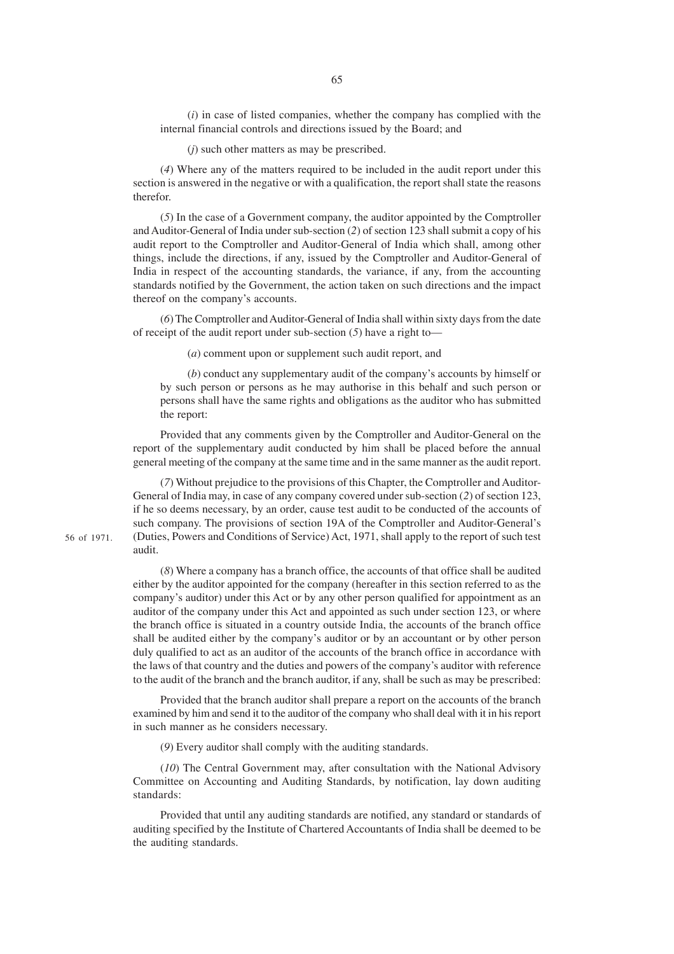(*i*) in case of listed companies, whether the company has complied with the internal financial controls and directions issued by the Board; and

(*j*) such other matters as may be prescribed.

(*4*) Where any of the matters required to be included in the audit report under this section is answered in the negative or with a qualification, the report shall state the reasons therefor.

(*5*) In the case of a Government company, the auditor appointed by the Comptroller and Auditor-General of India under sub-section (*2*) of section 123 shall submit a copy of his audit report to the Comptroller and Auditor-General of India which shall, among other things, include the directions, if any, issued by the Comptroller and Auditor-General of India in respect of the accounting standards, the variance, if any, from the accounting standards notified by the Government, the action taken on such directions and the impact thereof on the company's accounts.

(*6*) The Comptroller and Auditor-General of India shall within sixty days from the date of receipt of the audit report under sub-section (*5*) have a right to—

(*a*) comment upon or supplement such audit report, and

(*b*) conduct any supplementary audit of the company's accounts by himself or by such person or persons as he may authorise in this behalf and such person or persons shall have the same rights and obligations as the auditor who has submitted the report:

Provided that any comments given by the Comptroller and Auditor-General on the report of the supplementary audit conducted by him shall be placed before the annual general meeting of the company at the same time and in the same manner as the audit report.

(*7*) Without prejudice to the provisions of this Chapter, the Comptroller and Auditor-General of India may, in case of any company covered under sub-section (*2*) of section 123, if he so deems necessary, by an order, cause test audit to be conducted of the accounts of such company. The provisions of section 19A of the Comptroller and Auditor-General's (Duties, Powers and Conditions of Service) Act, 1971, shall apply to the report of such test audit.

(*8*) Where a company has a branch office, the accounts of that office shall be audited either by the auditor appointed for the company (hereafter in this section referred to as the company's auditor) under this Act or by any other person qualified for appointment as an auditor of the company under this Act and appointed as such under section 123, or where the branch office is situated in a country outside India, the accounts of the branch office shall be audited either by the company's auditor or by an accountant or by other person duly qualified to act as an auditor of the accounts of the branch office in accordance with the laws of that country and the duties and powers of the company's auditor with reference to the audit of the branch and the branch auditor, if any, shall be such as may be prescribed:

Provided that the branch auditor shall prepare a report on the accounts of the branch examined by him and send it to the auditor of the company who shall deal with it in his report in such manner as he considers necessary.

(*9*) Every auditor shall comply with the auditing standards.

(*10*) The Central Government may, after consultation with the National Advisory Committee on Accounting and Auditing Standards, by notification, lay down auditing standards:

Provided that until any auditing standards are notified, any standard or standards of auditing specified by the Institute of Chartered Accountants of India shall be deemed to be the auditing standards.

56 of 1971.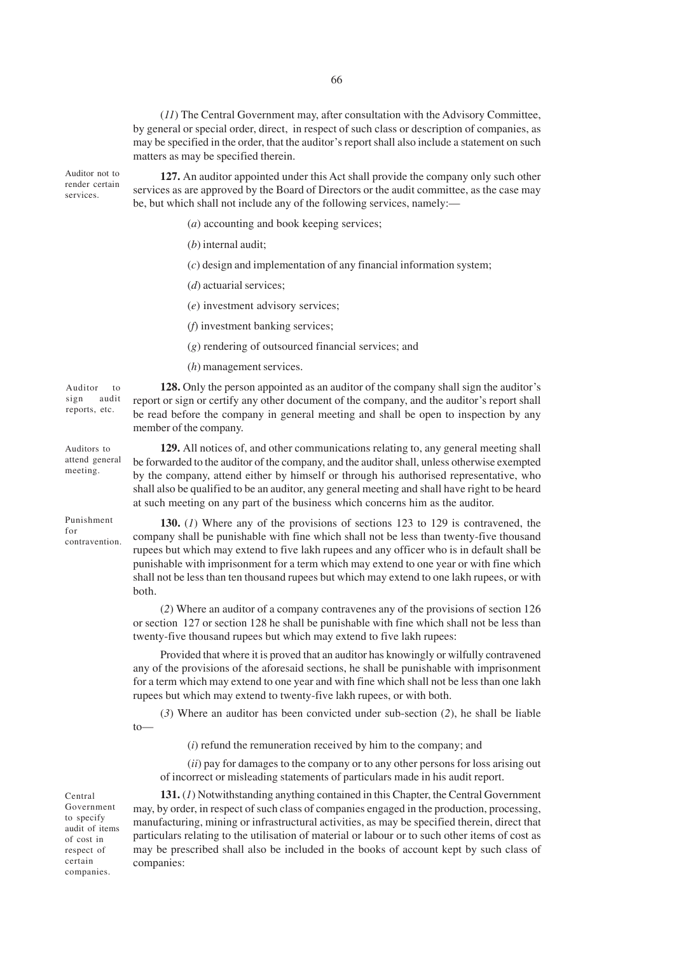(*11*) The Central Government may, after consultation with the Advisory Committee, by general or special order, direct, in respect of such class or description of companies, as may be specified in the order, that the auditor's report shall also include a statement on such matters as may be specified therein.

Auditor not to render certain services.

Auditors to attend general meeting.

Punishment for

contravention.

**127.** An auditor appointed under this Act shall provide the company only such other services as are approved by the Board of Directors or the audit committee, as the case may be, but which shall not include any of the following services, namely:—

- (*a*) accounting and book keeping services;
- (*b*) internal audit;
- (*c*) design and implementation of any financial information system;
- (*d*) actuarial services;
- (*e*) investment advisory services;
- (*f*) investment banking services;
- (*g*) rendering of outsourced financial services; and
- (*h*) management services.

**128.** Only the person appointed as an auditor of the company shall sign the auditor's report or sign or certify any other document of the company, and the auditor's report shall be read before the company in general meeting and shall be open to inspection by any member of the company. Auditor to sign audit reports, etc.

> **129.** All notices of, and other communications relating to, any general meeting shall be forwarded to the auditor of the company, and the auditor shall, unless otherwise exempted by the company, attend either by himself or through his authorised representative, who shall also be qualified to be an auditor, any general meeting and shall have right to be heard at such meeting on any part of the business which concerns him as the auditor.

> **130.** (*1*) Where any of the provisions of sections 123 to 129 is contravened, the company shall be punishable with fine which shall not be less than twenty-five thousand rupees but which may extend to five lakh rupees and any officer who is in default shall be punishable with imprisonment for a term which may extend to one year or with fine which shall not be less than ten thousand rupees but which may extend to one lakh rupees, or with both.

(*2*) Where an auditor of a company contravenes any of the provisions of section 126 or section 127 or section 128 he shall be punishable with fine which shall not be less than twenty-five thousand rupees but which may extend to five lakh rupees:

Provided that where it is proved that an auditor has knowingly or wilfully contravened any of the provisions of the aforesaid sections, he shall be punishable with imprisonment for a term which may extend to one year and with fine which shall not be less than one lakh rupees but which may extend to twenty-five lakh rupees, or with both.

(*3*) Where an auditor has been convicted under sub-section (*2*), he shall be liable to—

(*i*) refund the remuneration received by him to the company; and

(*ii*) pay for damages to the company or to any other persons for loss arising out of incorrect or misleading statements of particulars made in his audit report.

**131.** (*1*) Notwithstanding anything contained in this Chapter, the Central Government may, by order, in respect of such class of companies engaged in the production, processing, manufacturing, mining or infrastructural activities, as may be specified therein, direct that particulars relating to the utilisation of material or labour or to such other items of cost as may be prescribed shall also be included in the books of account kept by such class of companies:

Central Government to specify audit of items of cost in respect of certain companies.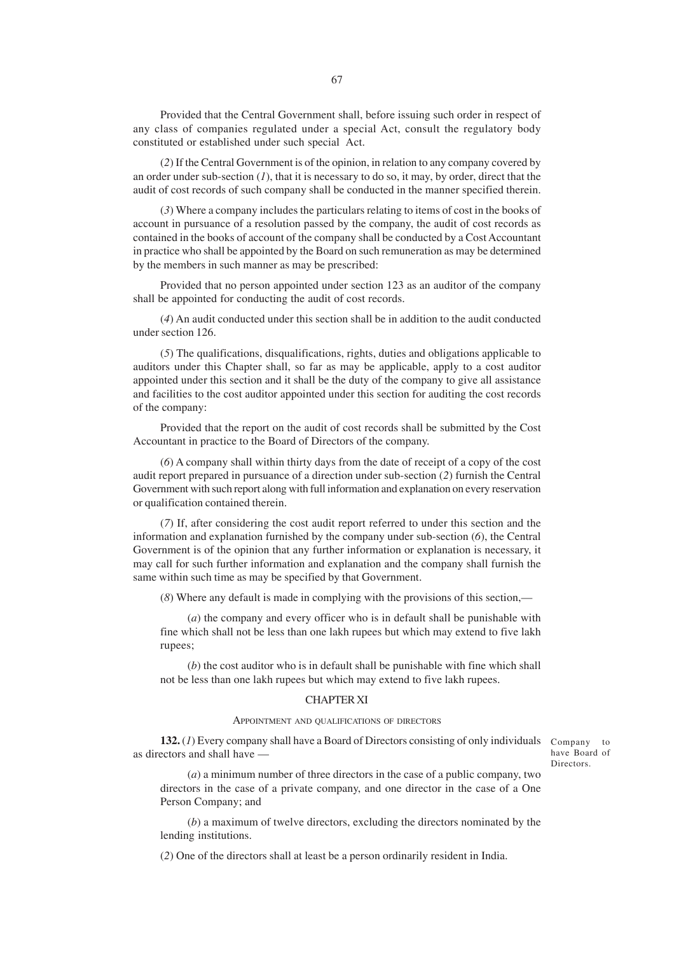Provided that the Central Government shall, before issuing such order in respect of any class of companies regulated under a special Act, consult the regulatory body constituted or established under such special Act.

(*2*) If the Central Government is of the opinion, in relation to any company covered by an order under sub-section (*1*), that it is necessary to do so, it may, by order, direct that the audit of cost records of such company shall be conducted in the manner specified therein.

(*3*) Where a company includes the particulars relating to items of cost in the books of account in pursuance of a resolution passed by the company, the audit of cost records as contained in the books of account of the company shall be conducted by a Cost Accountant in practice who shall be appointed by the Board on such remuneration as may be determined by the members in such manner as may be prescribed:

Provided that no person appointed under section 123 as an auditor of the company shall be appointed for conducting the audit of cost records.

(*4*) An audit conducted under this section shall be in addition to the audit conducted under section 126.

(*5*) The qualifications, disqualifications, rights, duties and obligations applicable to auditors under this Chapter shall, so far as may be applicable, apply to a cost auditor appointed under this section and it shall be the duty of the company to give all assistance and facilities to the cost auditor appointed under this section for auditing the cost records of the company:

Provided that the report on the audit of cost records shall be submitted by the Cost Accountant in practice to the Board of Directors of the company.

(*6*) A company shall within thirty days from the date of receipt of a copy of the cost audit report prepared in pursuance of a direction under sub-section (*2*) furnish the Central Government with such report along with full information and explanation on every reservation or qualification contained therein.

(*7*) If, after considering the cost audit report referred to under this section and the information and explanation furnished by the company under sub-section (*6*), the Central Government is of the opinion that any further information or explanation is necessary, it may call for such further information and explanation and the company shall furnish the same within such time as may be specified by that Government.

(*8*) Where any default is made in complying with the provisions of this section,—

(*a*) the company and every officer who is in default shall be punishable with fine which shall not be less than one lakh rupees but which may extend to five lakh rupees;

(*b*) the cost auditor who is in default shall be punishable with fine which shall not be less than one lakh rupees but which may extend to five lakh rupees.

# CHAPTER XI

# APPOINTMENT AND QUALIFICATIONS OF DIRECTORS

**132.** (1) Every company shall have a Board of Directors consisting of only individuals Company to as directors and shall have —

have Board of Directors.

(*a*) a minimum number of three directors in the case of a public company, two directors in the case of a private company, and one director in the case of a One Person Company; and

(*b*) a maximum of twelve directors, excluding the directors nominated by the lending institutions.

(*2*) One of the directors shall at least be a person ordinarily resident in India.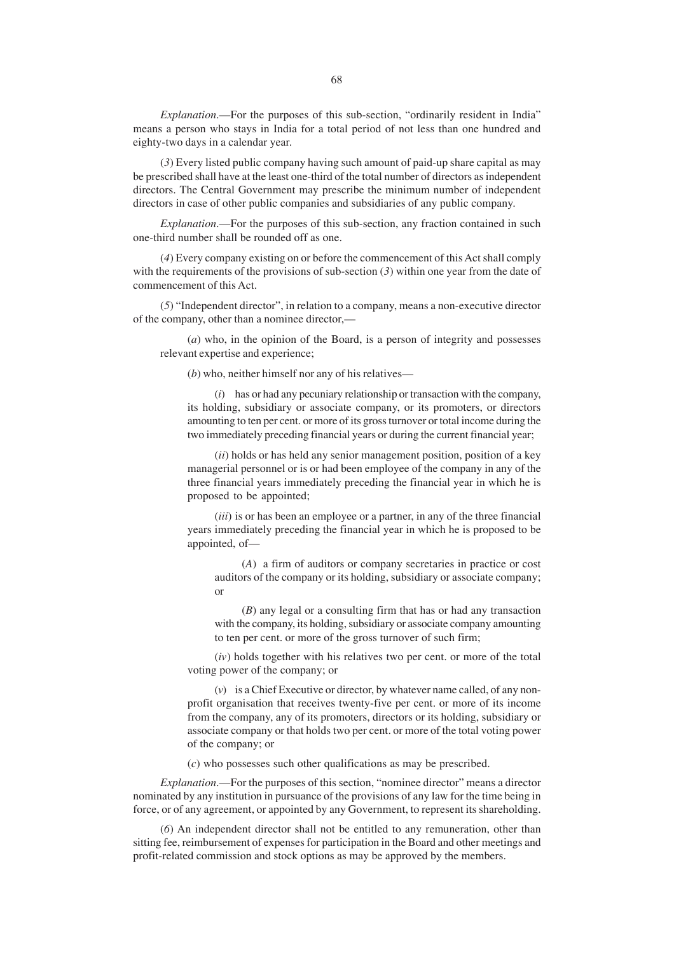*Explanation*.—For the purposes of this sub-section, "ordinarily resident in India" means a person who stays in India for a total period of not less than one hundred and eighty-two days in a calendar year.

(*3*) Every listed public company having such amount of paid-up share capital as may be prescribed shall have at the least one-third of the total number of directors as independent directors. The Central Government may prescribe the minimum number of independent directors in case of other public companies and subsidiaries of any public company.

*Explanation*.—For the purposes of this sub-section, any fraction contained in such one-third number shall be rounded off as one.

(*4*) Every company existing on or before the commencement of this Act shall comply with the requirements of the provisions of sub-section (3) within one year from the date of commencement of this Act.

(*5*) "Independent director", in relation to a company, means a non-executive director of the company, other than a nominee director,—

(*a*) who, in the opinion of the Board, is a person of integrity and possesses relevant expertise and experience;

(*b*) who, neither himself nor any of his relatives—

(*i*) has or had any pecuniary relationship or transaction with the company, its holding, subsidiary or associate company, or its promoters, or directors amounting to ten per cent. or more of its gross turnover or total income during the two immediately preceding financial years or during the current financial year;

(*ii*) holds or has held any senior management position, position of a key managerial personnel or is or had been employee of the company in any of the three financial years immediately preceding the financial year in which he is proposed to be appointed;

(*iii*) is or has been an employee or a partner, in any of the three financial years immediately preceding the financial year in which he is proposed to be appointed, of—

(*A*) a firm of auditors or company secretaries in practice or cost auditors of the company or its holding, subsidiary or associate company; or

(*B*) any legal or a consulting firm that has or had any transaction with the company, its holding, subsidiary or associate company amounting to ten per cent. or more of the gross turnover of such firm;

(*iv*) holds together with his relatives two per cent. or more of the total voting power of the company; or

(*v*) is a Chief Executive or director, by whatever name called, of any nonprofit organisation that receives twenty-five per cent. or more of its income from the company, any of its promoters, directors or its holding, subsidiary or associate company or that holds two per cent. or more of the total voting power of the company; or

(*c*) who possesses such other qualifications as may be prescribed.

*Explanation*.—For the purposes of this section, "nominee director" means a director nominated by any institution in pursuance of the provisions of any law for the time being in force, or of any agreement, or appointed by any Government, to represent its shareholding.

(*6*) An independent director shall not be entitled to any remuneration, other than sitting fee, reimbursement of expenses for participation in the Board and other meetings and profit-related commission and stock options as may be approved by the members.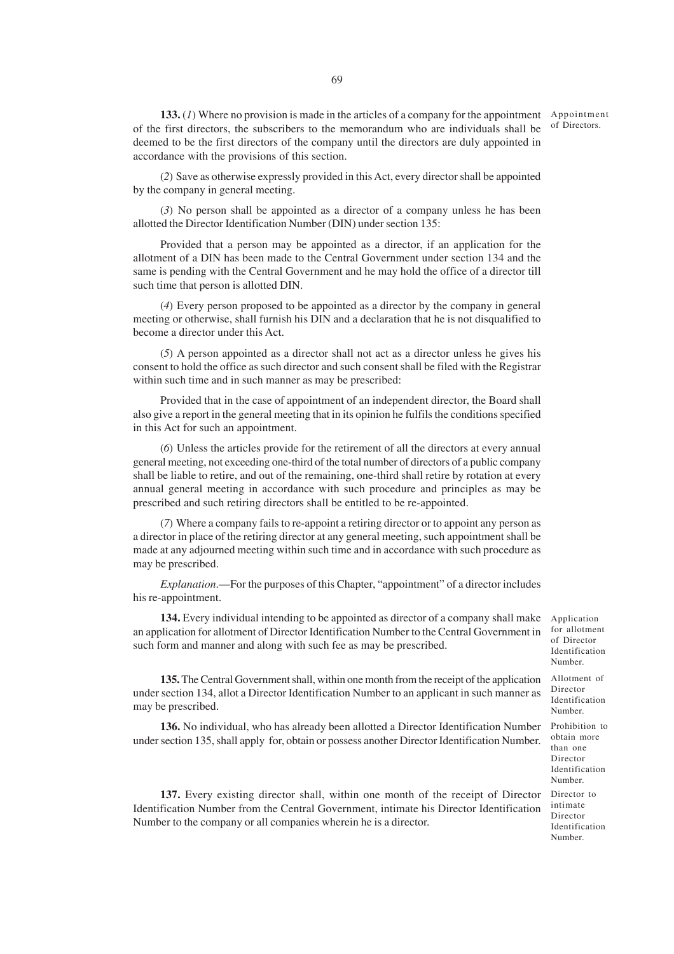133. (1) Where no provision is made in the articles of a company for the appointment Appointment of the first directors, the subscribers to the memorandum who are individuals shall be deemed to be the first directors of the company until the directors are duly appointed in accordance with the provisions of this section. of Directors.

(*2*) Save as otherwise expressly provided in this Act, every director shall be appointed by the company in general meeting.

(*3*) No person shall be appointed as a director of a company unless he has been allotted the Director Identification Number (DIN) under section 135:

Provided that a person may be appointed as a director, if an application for the allotment of a DIN has been made to the Central Government under section 134 and the same is pending with the Central Government and he may hold the office of a director till such time that person is allotted DIN.

(*4*) Every person proposed to be appointed as a director by the company in general meeting or otherwise, shall furnish his DIN and a declaration that he is not disqualified to become a director under this Act.

(*5*) A person appointed as a director shall not act as a director unless he gives his consent to hold the office as such director and such consent shall be filed with the Registrar within such time and in such manner as may be prescribed:

Provided that in the case of appointment of an independent director, the Board shall also give a report in the general meeting that in its opinion he fulfils the conditions specified in this Act for such an appointment.

(*6*) Unless the articles provide for the retirement of all the directors at every annual general meeting, not exceeding one-third of the total number of directors of a public company shall be liable to retire, and out of the remaining, one-third shall retire by rotation at every annual general meeting in accordance with such procedure and principles as may be prescribed and such retiring directors shall be entitled to be re-appointed.

(*7*) Where a company fails to re-appoint a retiring director or to appoint any person as a director in place of the retiring director at any general meeting, such appointment shall be made at any adjourned meeting within such time and in accordance with such procedure as may be prescribed.

*Explanation*.—For the purposes of this Chapter, "appointment" of a director includes his re-appointment.

**134.** Every individual intending to be appointed as director of a company shall make an application for allotment of Director Identification Number to the Central Government in such form and manner and along with such fee as may be prescribed.

Application for allotment of Director Identification

**135.** The Central Government shall, within one month from the receipt of the application under section 134, allot a Director Identification Number to an applicant in such manner as may be prescribed.

**136.** No individual, who has already been allotted a Director Identification Number under section 135, shall apply for, obtain or possess another Director Identification Number.

137. Every existing director shall, within one month of the receipt of Director Director to Identification Number from the Central Government, intimate his Director Identification Number to the company or all companies wherein he is a director.

Number.

Allotment of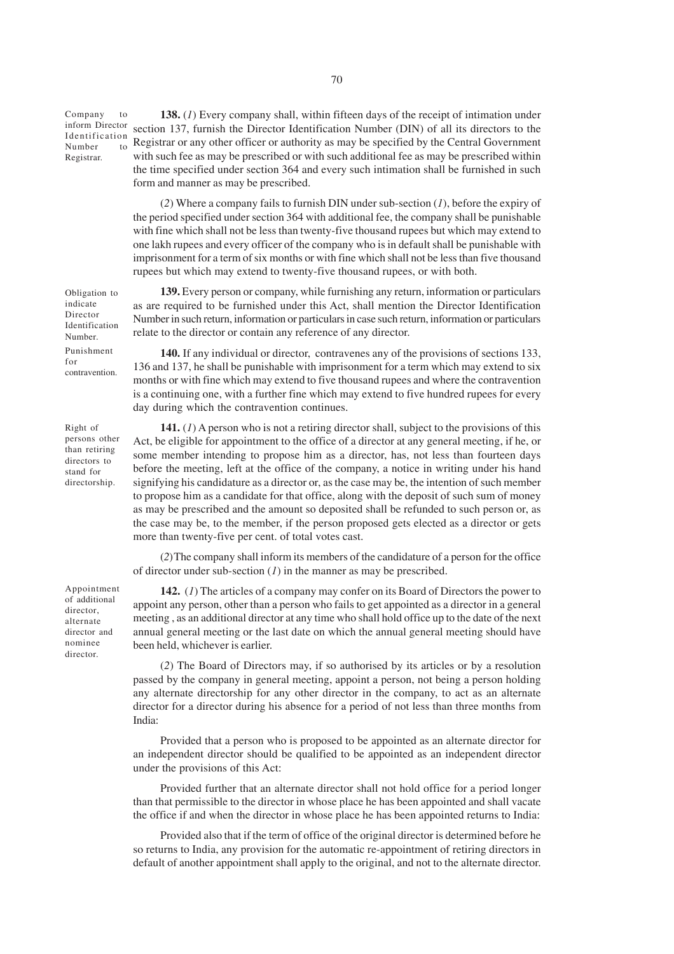Company to inform Director Identification Number to Registrar.

Obligation to indicate Director Identification Number. Punishment for contravention.

**138.** (*1*) Every company shall, within fifteen days of the receipt of intimation under section 137, furnish the Director Identification Number (DIN) of all its directors to the Registrar or any other officer or authority as may be specified by the Central Government with such fee as may be prescribed or with such additional fee as may be prescribed within the time specified under section 364 and every such intimation shall be furnished in such form and manner as may be prescribed.

(*2*) Where a company fails to furnish DIN under sub-section (*1*), before the expiry of the period specified under section 364 with additional fee, the company shall be punishable with fine which shall not be less than twenty-five thousand rupees but which may extend to one lakh rupees and every officer of the company who is in default shall be punishable with imprisonment for a term of six months or with fine which shall not be less than five thousand rupees but which may extend to twenty-five thousand rupees, or with both.

**139.** Every person or company, while furnishing any return, information or particulars as are required to be furnished under this Act, shall mention the Director Identification Number in such return, information or particulars in case such return, information or particulars relate to the director or contain any reference of any director.

**140.** If any individual or director, contravenes any of the provisions of sections 133, 136 and 137, he shall be punishable with imprisonment for a term which may extend to six months or with fine which may extend to five thousand rupees and where the contravention is a continuing one, with a further fine which may extend to five hundred rupees for every day during which the contravention continues.

**141.** (*1*) A person who is not a retiring director shall, subject to the provisions of this Act, be eligible for appointment to the office of a director at any general meeting, if he, or some member intending to propose him as a director, has, not less than fourteen days before the meeting, left at the office of the company, a notice in writing under his hand signifying his candidature as a director or, as the case may be, the intention of such member to propose him as a candidate for that office, along with the deposit of such sum of money as may be prescribed and the amount so deposited shall be refunded to such person or, as the case may be, to the member, if the person proposed gets elected as a director or gets more than twenty-five per cent. of total votes cast.

(*2*)The company shall inform its members of the candidature of a person for the office of director under sub-section (*1*) in the manner as may be prescribed.

**142.** (*1*) The articles of a company may confer on its Board of Directors the power to appoint any person, other than a person who fails to get appointed as a director in a general meeting , as an additional director at any time who shall hold office up to the date of the next annual general meeting or the last date on which the annual general meeting should have been held, whichever is earlier.

(*2*) The Board of Directors may, if so authorised by its articles or by a resolution passed by the company in general meeting, appoint a person, not being a person holding any alternate directorship for any other director in the company, to act as an alternate director for a director during his absence for a period of not less than three months from India:

Provided that a person who is proposed to be appointed as an alternate director for an independent director should be qualified to be appointed as an independent director under the provisions of this Act:

Provided further that an alternate director shall not hold office for a period longer than that permissible to the director in whose place he has been appointed and shall vacate the office if and when the director in whose place he has been appointed returns to India:

Provided also that if the term of office of the original director is determined before he so returns to India, any provision for the automatic re-appointment of retiring directors in default of another appointment shall apply to the original, and not to the alternate director.

Appointment of additional

Right of persons other than retiring directors to stand for directorship.

director, alternate director and nominee director.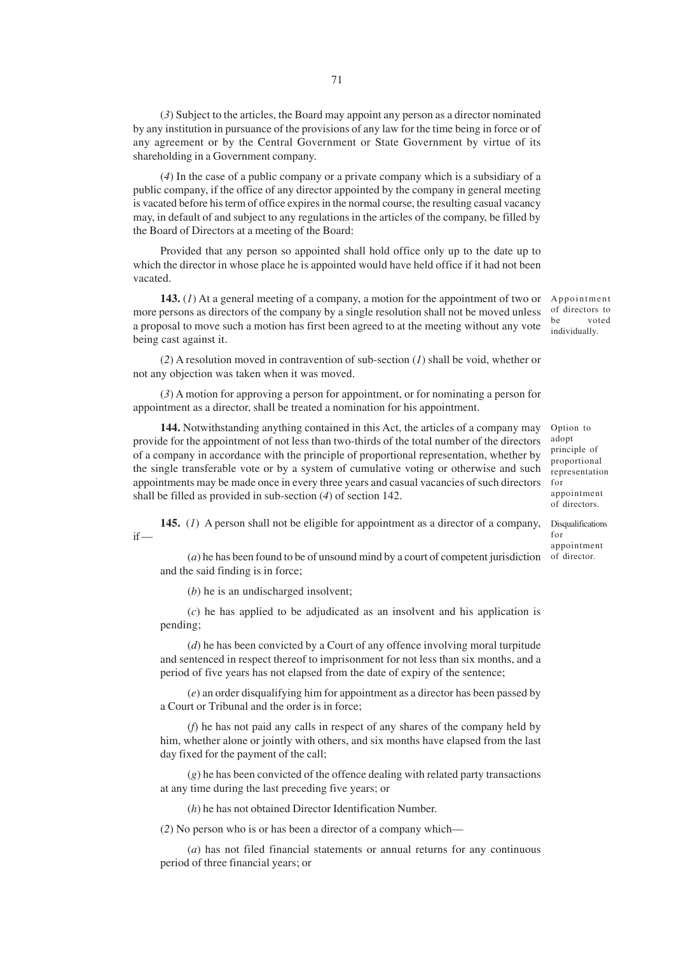(*3*) Subject to the articles, the Board may appoint any person as a director nominated by any institution in pursuance of the provisions of any law for the time being in force or of any agreement or by the Central Government or State Government by virtue of its shareholding in a Government company.

(*4*) In the case of a public company or a private company which is a subsidiary of a public company, if the office of any director appointed by the company in general meeting is vacated before his term of office expires in the normal course, the resulting casual vacancy may, in default of and subject to any regulations in the articles of the company, be filled by the Board of Directors at a meeting of the Board:

Provided that any person so appointed shall hold office only up to the date up to which the director in whose place he is appointed would have held office if it had not been vacated.

**143.** (*1*) At a general meeting of a company, a motion for the appointment of two or more persons as directors of the company by a single resolution shall not be moved unless a proposal to move such a motion has first been agreed to at the meeting without any vote being cast against it.

Appointment of directors to voted individually.

(*2*) A resolution moved in contravention of sub-section (*1*) shall be void, whether or not any objection was taken when it was moved.

(*3*) A motion for approving a person for appointment, or for nominating a person for appointment as a director, shall be treated a nomination for his appointment.

**144.** Notwithstanding anything contained in this Act, the articles of a company may provide for the appointment of not less than two-thirds of the total number of the directors of a company in accordance with the principle of proportional representation, whether by the single transferable vote or by a system of cumulative voting or otherwise and such appointments may be made once in every three years and casual vacancies of such directors shall be filled as provided in sub-section (*4*) of section 142.

for appointment of directors. Disqualifications for

Option to adopt principle of proportional representation

appointment of director.

 $if -$ (*a*) he has been found to be of unsound mind by a court of competent jurisdiction

**145.** (*1*) A person shall not be eligible for appointment as a director of a company,

(*b*) he is an undischarged insolvent;

and the said finding is in force;

(*c*) he has applied to be adjudicated as an insolvent and his application is pending;

(*d*) he has been convicted by a Court of any offence involving moral turpitude and sentenced in respect thereof to imprisonment for not less than six months, and a period of five years has not elapsed from the date of expiry of the sentence;

(*e*) an order disqualifying him for appointment as a director has been passed by a Court or Tribunal and the order is in force;

(*f*) he has not paid any calls in respect of any shares of the company held by him, whether alone or jointly with others, and six months have elapsed from the last day fixed for the payment of the call;

(*g*) he has been convicted of the offence dealing with related party transactions at any time during the last preceding five years; or

(*h*) he has not obtained Director Identification Number.

(*2*) No person who is or has been a director of a company which—

(*a*) has not filed financial statements or annual returns for any continuous period of three financial years; or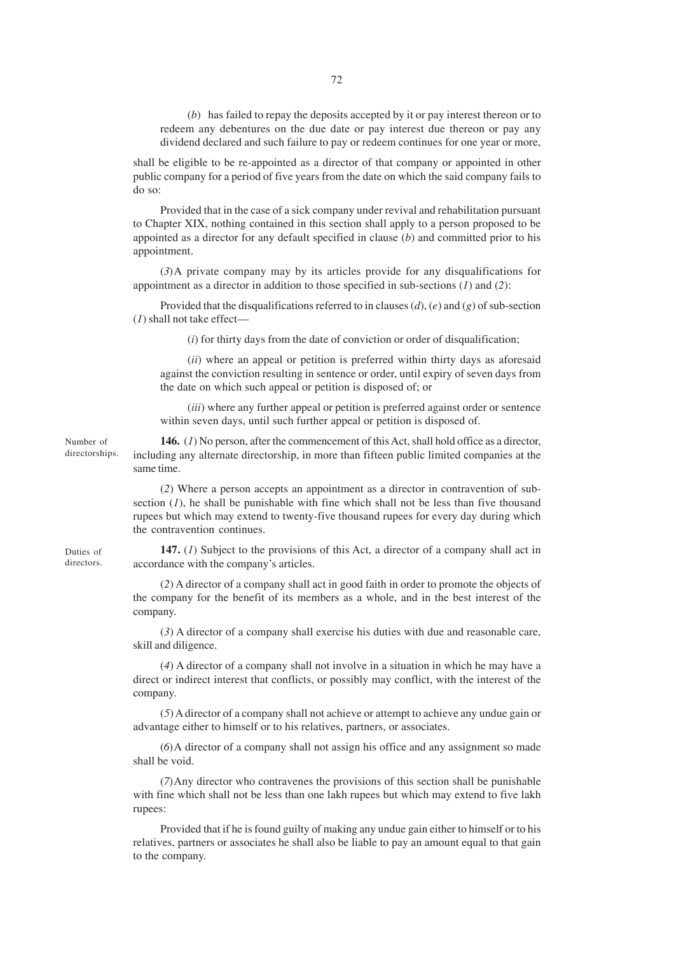(*b*) has failed to repay the deposits accepted by it or pay interest thereon or to redeem any debentures on the due date or pay interest due thereon or pay any dividend declared and such failure to pay or redeem continues for one year or more,

shall be eligible to be re-appointed as a director of that company or appointed in other public company for a period of five years from the date on which the said company fails to do so:

Provided that in the case of a sick company under revival and rehabilitation pursuant to Chapter XIX, nothing contained in this section shall apply to a person proposed to be appointed as a director for any default specified in clause (*b*) and committed prior to his appointment.

(*3*)A private company may by its articles provide for any disqualifications for appointment as a director in addition to those specified in sub-sections (*1*) and (*2*):

Provided that the disqualifications referred to in clauses (*d*), (*e*) and (*g*) of sub-section (*1*) shall not take effect—

(*i*) for thirty days from the date of conviction or order of disqualification;

(*ii*) where an appeal or petition is preferred within thirty days as aforesaid against the conviction resulting in sentence or order, until expiry of seven days from the date on which such appeal or petition is disposed of; or

(*iii*) where any further appeal or petition is preferred against order or sentence within seven days, until such further appeal or petition is disposed of.

**146.** (*1*) No person, after the commencement of this Act, shall hold office as a director, including any alternate directorship, in more than fifteen public limited companies at the same time. directorships.

> (*2*) Where a person accepts an appointment as a director in contravention of subsection  $(I)$ , he shall be punishable with fine which shall not be less than five thousand rupees but which may extend to twenty-five thousand rupees for every day during which the contravention continues.

**147.** (*1*) Subject to the provisions of this Act, a director of a company shall act in accordance with the company's articles.

(*2*) A director of a company shall act in good faith in order to promote the objects of the company for the benefit of its members as a whole, and in the best interest of the company.

(*3*) A director of a company shall exercise his duties with due and reasonable care, skill and diligence.

(*4*) A director of a company shall not involve in a situation in which he may have a direct or indirect interest that conflicts, or possibly may conflict, with the interest of the company.

(*5*) A director of a company shall not achieve or attempt to achieve any undue gain or advantage either to himself or to his relatives, partners, or associates.

(*6*)A director of a company shall not assign his office and any assignment so made shall be void.

(*7*)Any director who contravenes the provisions of this section shall be punishable with fine which shall not be less than one lakh rupees but which may extend to five lakh rupees:

Provided that if he is found guilty of making any undue gain either to himself or to his relatives, partners or associates he shall also be liable to pay an amount equal to that gain to the company.

Duties of directors.

Number of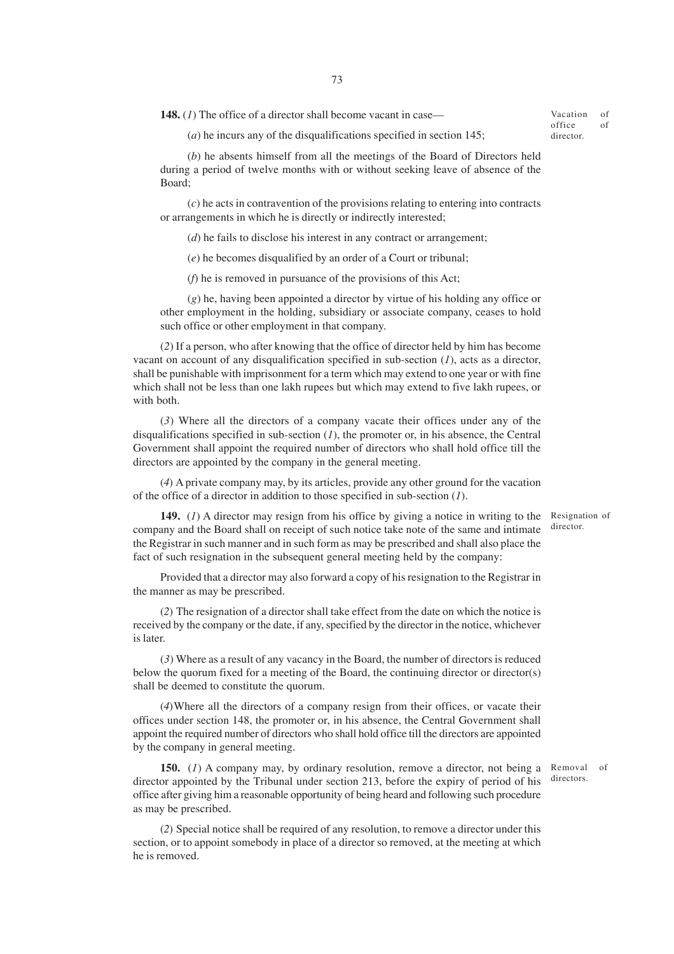(*a*) he incurs any of the disqualifications specified in section 145;

(*b*) he absents himself from all the meetings of the Board of Directors held during a period of twelve months with or without seeking leave of absence of the Board;

(*c*) he acts in contravention of the provisions relating to entering into contracts or arrangements in which he is directly or indirectly interested;

(*d*) he fails to disclose his interest in any contract or arrangement;

(*e*) he becomes disqualified by an order of a Court or tribunal;

(*f*) he is removed in pursuance of the provisions of this Act;

(*g*) he, having been appointed a director by virtue of his holding any office or other employment in the holding, subsidiary or associate company, ceases to hold such office or other employment in that company.

(*2*) If a person, who after knowing that the office of director held by him has become vacant on account of any disqualification specified in sub-section (*1*), acts as a director, shall be punishable with imprisonment for a term which may extend to one year or with fine which shall not be less than one lakh rupees but which may extend to five lakh rupees, or with both.

(*3*) Where all the directors of a company vacate their offices under any of the disqualifications specified in sub-section (*1*), the promoter or, in his absence, the Central Government shall appoint the required number of directors who shall hold office till the directors are appointed by the company in the general meeting.

(*4*) A private company may, by its articles, provide any other ground for the vacation of the office of a director in addition to those specified in sub-section (*1*).

**149.** (*1*) A director may resign from his office by giving a notice in writing to the company and the Board shall on receipt of such notice take note of the same and intimate the Registrar in such manner and in such form as may be prescribed and shall also place the fact of such resignation in the subsequent general meeting held by the company:

Provided that a director may also forward a copy of his resignation to the Registrar in the manner as may be prescribed.

(*2*) The resignation of a director shall take effect from the date on which the notice is received by the company or the date, if any, specified by the director in the notice, whichever is later.

(*3*) Where as a result of any vacancy in the Board, the number of directors is reduced below the quorum fixed for a meeting of the Board, the continuing director or director(s) shall be deemed to constitute the quorum.

(*4*)Where all the directors of a company resign from their offices, or vacate their offices under section 148, the promoter or, in his absence, the Central Government shall appoint the required number of directors who shall hold office till the directors are appointed by the company in general meeting.

150. (1) A company may, by ordinary resolution, remove a director, not being a Removal of director appointed by the Tribunal under section 213, before the expiry of period of his office after giving him a reasonable opportunity of being heard and following such procedure as may be prescribed.

directors.

Resignation of director.

(*2*) Special notice shall be required of any resolution, to remove a director under this section, or to appoint somebody in place of a director so removed, at the meeting at which he is removed.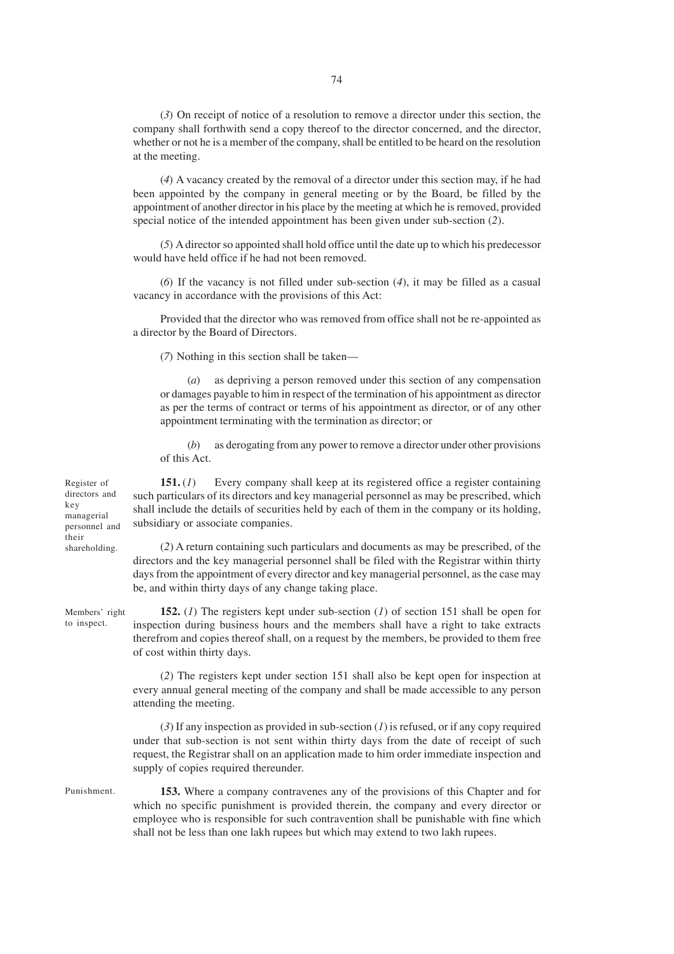(*3*) On receipt of notice of a resolution to remove a director under this section, the company shall forthwith send a copy thereof to the director concerned, and the director, whether or not he is a member of the company, shall be entitled to be heard on the resolution at the meeting.

(*4*) A vacancy created by the removal of a director under this section may, if he had been appointed by the company in general meeting or by the Board, be filled by the appointment of another director in his place by the meeting at which he is removed, provided special notice of the intended appointment has been given under sub-section (*2*).

(*5*) A director so appointed shall hold office until the date up to which his predecessor would have held office if he had not been removed.

(*6*) If the vacancy is not filled under sub-section (*4*), it may be filled as a casual vacancy in accordance with the provisions of this Act:

Provided that the director who was removed from office shall not be re-appointed as a director by the Board of Directors.

(*7*) Nothing in this section shall be taken—

(*a*) as depriving a person removed under this section of any compensation or damages payable to him in respect of the termination of his appointment as director as per the terms of contract or terms of his appointment as director, or of any other appointment terminating with the termination as director; or

(*b*) as derogating from any power to remove a director under other provisions of this Act.

**151.** (*1*) Every company shall keep at its registered office a register containing such particulars of its directors and key managerial personnel as may be prescribed, which shall include the details of securities held by each of them in the company or its holding, subsidiary or associate companies.

(*2*) A return containing such particulars and documents as may be prescribed, of the directors and the key managerial personnel shall be filed with the Registrar within thirty days from the appointment of every director and key managerial personnel, as the case may be, and within thirty days of any change taking place.

**152.** (*1*) The registers kept under sub-section (*1*) of section 151 shall be open for inspection during business hours and the members shall have a right to take extracts therefrom and copies thereof shall, on a request by the members, be provided to them free of cost within thirty days. Members' right

> (*2*) The registers kept under section 151 shall also be kept open for inspection at every annual general meeting of the company and shall be made accessible to any person attending the meeting.

> (*3*) If any inspection as provided in sub-section (*1*) is refused, or if any copy required under that sub-section is not sent within thirty days from the date of receipt of such request, the Registrar shall on an application made to him order immediate inspection and supply of copies required thereunder.

Punishment.

**153.** Where a company contravenes any of the provisions of this Chapter and for which no specific punishment is provided therein, the company and every director or employee who is responsible for such contravention shall be punishable with fine which shall not be less than one lakh rupees but which may extend to two lakh rupees.

Register of directors and key managerial personnel and their shareholding.

to inspect.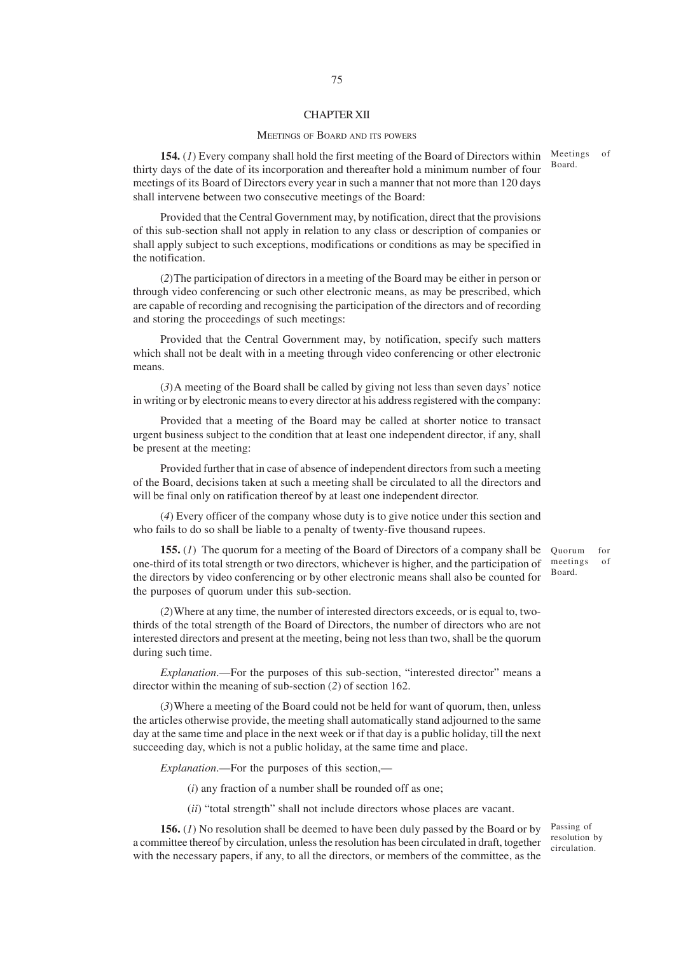# CHAPTER XII

75

#### MEETINGS OF BOARD AND ITS POWERS

154. (1) Every company shall hold the first meeting of the Board of Directors within Meetings of thirty days of the date of its incorporation and thereafter hold a minimum number of four meetings of its Board of Directors every year in such a manner that not more than 120 days shall intervene between two consecutive meetings of the Board:

Provided that the Central Government may, by notification, direct that the provisions of this sub-section shall not apply in relation to any class or description of companies or shall apply subject to such exceptions, modifications or conditions as may be specified in the notification.

(*2*)The participation of directors in a meeting of the Board may be either in person or through video conferencing or such other electronic means, as may be prescribed, which are capable of recording and recognising the participation of the directors and of recording and storing the proceedings of such meetings:

Provided that the Central Government may, by notification, specify such matters which shall not be dealt with in a meeting through video conferencing or other electronic means.

(*3*)A meeting of the Board shall be called by giving not less than seven days' notice in writing or by electronic means to every director at his address registered with the company:

Provided that a meeting of the Board may be called at shorter notice to transact urgent business subject to the condition that at least one independent director, if any, shall be present at the meeting:

Provided further that in case of absence of independent directors from such a meeting of the Board, decisions taken at such a meeting shall be circulated to all the directors and will be final only on ratification thereof by at least one independent director.

(*4*) Every officer of the company whose duty is to give notice under this section and who fails to do so shall be liable to a penalty of twenty-five thousand rupees.

**155.** (*1*) The quorum for a meeting of the Board of Directors of a company shall be one-third of its total strength or two directors, whichever is higher, and the participation of the directors by video conferencing or by other electronic means shall also be counted for the purposes of quorum under this sub-section.

(*2*)Where at any time, the number of interested directors exceeds, or is equal to, twothirds of the total strength of the Board of Directors, the number of directors who are not interested directors and present at the meeting, being not less than two, shall be the quorum during such time.

*Explanation*.—For the purposes of this sub-section, "interested director" means a director within the meaning of sub-section (*2*) of section 162.

(*3*)Where a meeting of the Board could not be held for want of quorum, then, unless the articles otherwise provide, the meeting shall automatically stand adjourned to the same day at the same time and place in the next week or if that day is a public holiday, till the next succeeding day, which is not a public holiday, at the same time and place.

*Explanation*.—For the purposes of this section,—

(*i*) any fraction of a number shall be rounded off as one;

(*ii*) "total strength" shall not include directors whose places are vacant.

**156.** (*1*) No resolution shall be deemed to have been duly passed by the Board or by a committee thereof by circulation, unless the resolution has been circulated in draft, together with the necessary papers, if any, to all the directors, or members of the committee, as the

Quorum for meetings of Board.

Board.

Passing of resolution by circulation.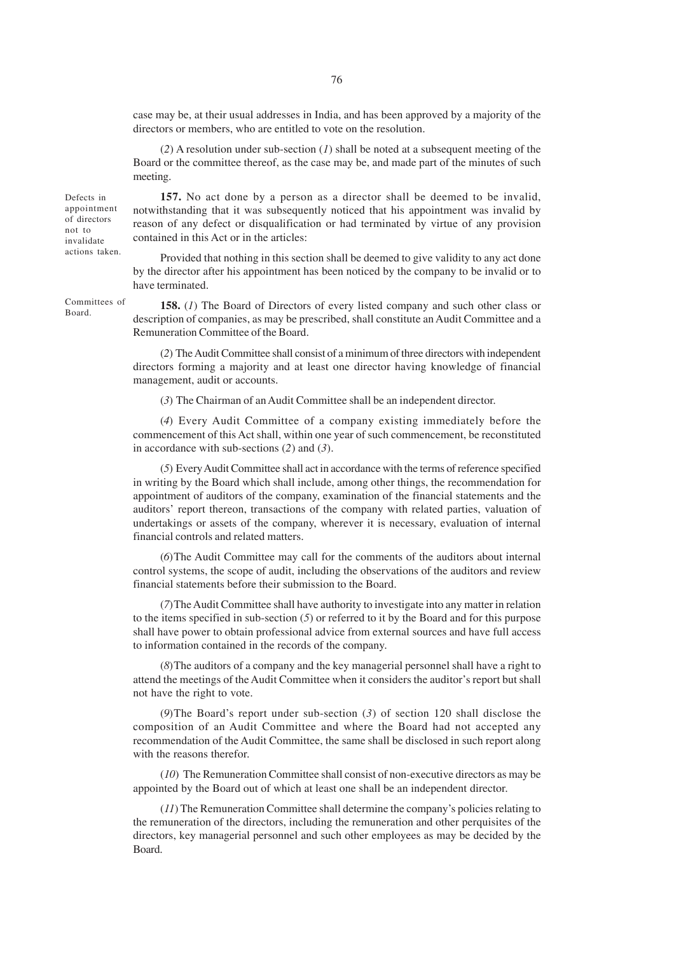case may be, at their usual addresses in India, and has been approved by a majority of the directors or members, who are entitled to vote on the resolution.

(*2*) A resolution under sub-section (*1*) shall be noted at a subsequent meeting of the Board or the committee thereof, as the case may be, and made part of the minutes of such meeting.

**157.** No act done by a person as a director shall be deemed to be invalid, notwithstanding that it was subsequently noticed that his appointment was invalid by reason of any defect or disqualification or had terminated by virtue of any provision contained in this Act or in the articles:

Provided that nothing in this section shall be deemed to give validity to any act done by the director after his appointment has been noticed by the company to be invalid or to have terminated.

**158.** (*1*) The Board of Directors of every listed company and such other class or description of companies, as may be prescribed, shall constitute an Audit Committee and a Remuneration Committee of the Board.

(*2*) The Audit Committee shall consist of a minimum of three directors with independent directors forming a majority and at least one director having knowledge of financial management, audit or accounts.

(*3*) The Chairman of an Audit Committee shall be an independent director.

(*4*) Every Audit Committee of a company existing immediately before the commencement of this Act shall, within one year of such commencement, be reconstituted in accordance with sub-sections (*2*) and (*3*).

(*5*) Every Audit Committee shall act in accordance with the terms of reference specified in writing by the Board which shall include, among other things, the recommendation for appointment of auditors of the company, examination of the financial statements and the auditors' report thereon, transactions of the company with related parties, valuation of undertakings or assets of the company, wherever it is necessary, evaluation of internal financial controls and related matters.

(*6*)The Audit Committee may call for the comments of the auditors about internal control systems, the scope of audit, including the observations of the auditors and review financial statements before their submission to the Board.

(*7*)The Audit Committee shall have authority to investigate into any matter in relation to the items specified in sub-section (*5*) or referred to it by the Board and for this purpose shall have power to obtain professional advice from external sources and have full access to information contained in the records of the company.

(*8*)The auditors of a company and the key managerial personnel shall have a right to attend the meetings of the Audit Committee when it considers the auditor's report but shall not have the right to vote.

(*9*)The Board's report under sub-section (*3*) of section 120 shall disclose the composition of an Audit Committee and where the Board had not accepted any recommendation of the Audit Committee, the same shall be disclosed in such report along with the reasons therefor.

(*10*) The Remuneration Committee shall consist of non-executive directors as may be appointed by the Board out of which at least one shall be an independent director.

(*11*) The Remuneration Committee shall determine the company's policies relating to the remuneration of the directors, including the remuneration and other perquisites of the directors, key managerial personnel and such other employees as may be decided by the Board.

Committees of Board.

Defects in appointment of directors not to invalidate actions taken.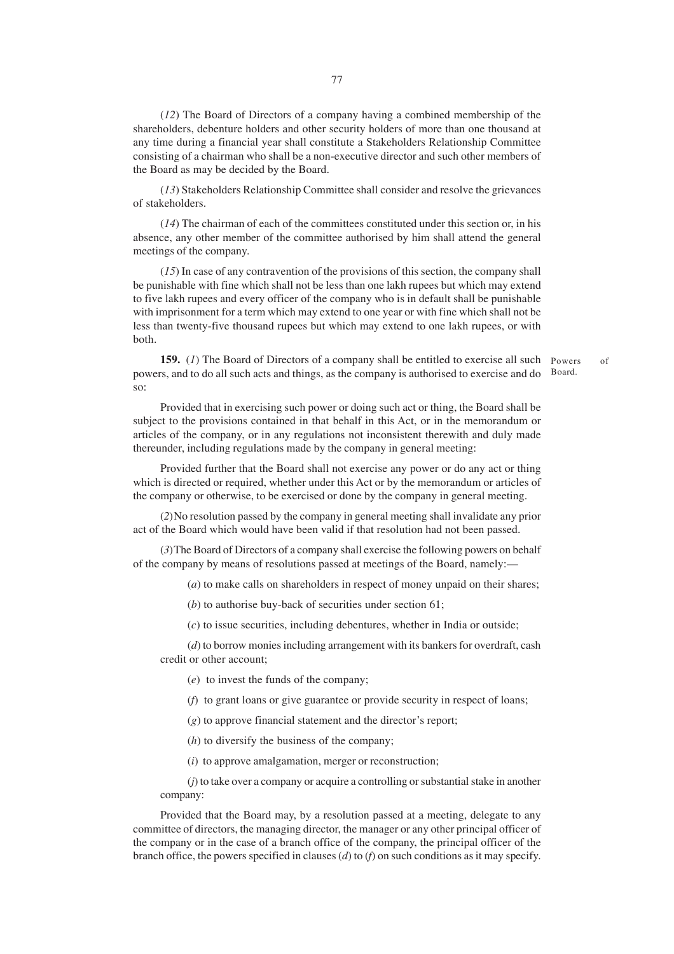(*12*) The Board of Directors of a company having a combined membership of the shareholders, debenture holders and other security holders of more than one thousand at any time during a financial year shall constitute a Stakeholders Relationship Committee consisting of a chairman who shall be a non-executive director and such other members of the Board as may be decided by the Board.

(*13*) Stakeholders Relationship Committee shall consider and resolve the grievances of stakeholders.

(*14*) The chairman of each of the committees constituted under this section or, in his absence, any other member of the committee authorised by him shall attend the general meetings of the company.

(*15*) In case of any contravention of the provisions of this section, the company shall be punishable with fine which shall not be less than one lakh rupees but which may extend to five lakh rupees and every officer of the company who is in default shall be punishable with imprisonment for a term which may extend to one year or with fine which shall not be less than twenty-five thousand rupees but which may extend to one lakh rupees, or with both.

**159.** (*I*) The Board of Directors of a company shall be entitled to exercise all such Powers of powers, and to do all such acts and things, as the company is authorised to exercise and do so: Board.

Provided that in exercising such power or doing such act or thing, the Board shall be subject to the provisions contained in that behalf in this Act, or in the memorandum or articles of the company, or in any regulations not inconsistent therewith and duly made thereunder, including regulations made by the company in general meeting:

Provided further that the Board shall not exercise any power or do any act or thing which is directed or required, whether under this Act or by the memorandum or articles of the company or otherwise, to be exercised or done by the company in general meeting.

(*2*)No resolution passed by the company in general meeting shall invalidate any prior act of the Board which would have been valid if that resolution had not been passed.

(*3*)The Board of Directors of a company shall exercise the following powers on behalf of the company by means of resolutions passed at meetings of the Board, namely:—

(*a*) to make calls on shareholders in respect of money unpaid on their shares;

(*b*) to authorise buy-back of securities under section 61;

(*c*) to issue securities, including debentures, whether in India or outside;

(*d*) to borrow monies including arrangement with its bankers for overdraft, cash credit or other account;

- (*e*) to invest the funds of the company;
- (*f*) to grant loans or give guarantee or provide security in respect of loans;
- (*g*) to approve financial statement and the director's report;
- (*h*) to diversify the business of the company;

(*i*) to approve amalgamation, merger or reconstruction;

(*j*) to take over a company or acquire a controlling or substantial stake in another company:

Provided that the Board may, by a resolution passed at a meeting, delegate to any committee of directors, the managing director, the manager or any other principal officer of the company or in the case of a branch office of the company, the principal officer of the branch office, the powers specified in clauses (*d*) to (*f*) on such conditions as it may specify.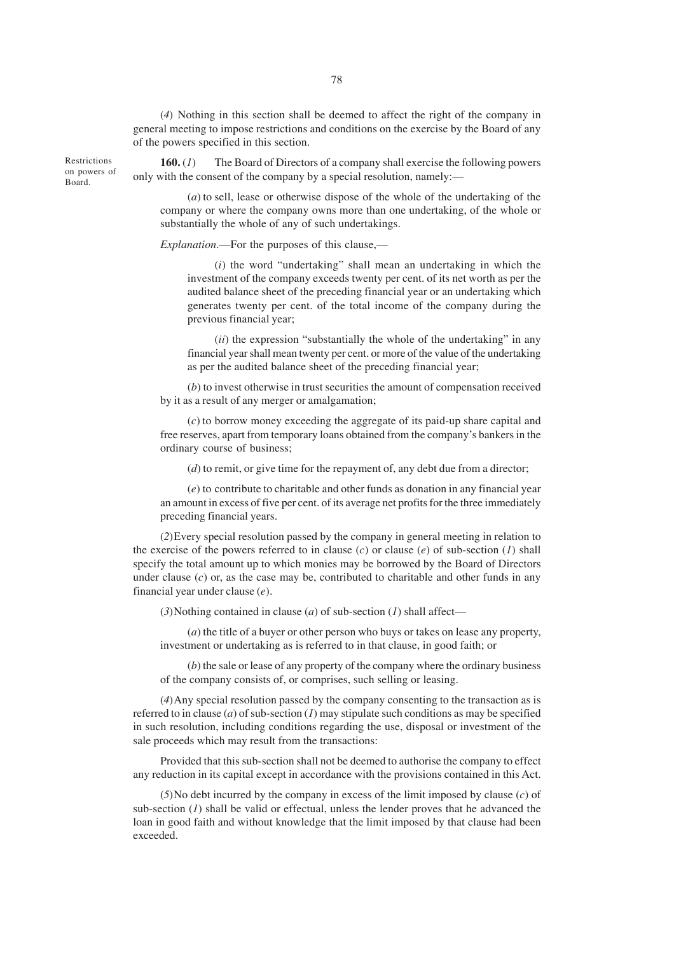(*4*) Nothing in this section shall be deemed to affect the right of the company in general meeting to impose restrictions and conditions on the exercise by the Board of any of the powers specified in this section.

Restrictions on powers of Board.

**160.** (*1*) The Board of Directors of a company shall exercise the following powers only with the consent of the company by a special resolution, namely:—

(*a*) to sell, lease or otherwise dispose of the whole of the undertaking of the company or where the company owns more than one undertaking, of the whole or substantially the whole of any of such undertakings.

*Explanation*.—For the purposes of this clause,—

(*i*) the word "undertaking" shall mean an undertaking in which the investment of the company exceeds twenty per cent. of its net worth as per the audited balance sheet of the preceding financial year or an undertaking which generates twenty per cent. of the total income of the company during the previous financial year;

(*ii*) the expression "substantially the whole of the undertaking" in any financial year shall mean twenty per cent. or more of the value of the undertaking as per the audited balance sheet of the preceding financial year;

(*b*) to invest otherwise in trust securities the amount of compensation received by it as a result of any merger or amalgamation;

(*c*) to borrow money exceeding the aggregate of its paid-up share capital and free reserves, apart from temporary loans obtained from the company's bankers in the ordinary course of business;

(*d*) to remit, or give time for the repayment of, any debt due from a director;

(*e*) to contribute to charitable and other funds as donation in any financial year an amount in excess of five per cent. of its average net profits for the three immediately preceding financial years.

(*2*)Every special resolution passed by the company in general meeting in relation to the exercise of the powers referred to in clause (*c*) or clause (*e*) of sub-section (*1*) shall specify the total amount up to which monies may be borrowed by the Board of Directors under clause  $(c)$  or, as the case may be, contributed to charitable and other funds in any financial year under clause (*e*).

(*3*)Nothing contained in clause (*a*) of sub-section (*1*) shall affect—

(*a*) the title of a buyer or other person who buys or takes on lease any property, investment or undertaking as is referred to in that clause, in good faith; or

(*b*) the sale or lease of any property of the company where the ordinary business of the company consists of, or comprises, such selling or leasing.

(*4*)Any special resolution passed by the company consenting to the transaction as is referred to in clause (*a*) of sub-section (*l*) may stipulate such conditions as may be specified in such resolution, including conditions regarding the use, disposal or investment of the sale proceeds which may result from the transactions:

Provided that this sub-section shall not be deemed to authorise the company to effect any reduction in its capital except in accordance with the provisions contained in this Act.

(*5*)No debt incurred by the company in excess of the limit imposed by clause (*c*) of sub-section  $(I)$  shall be valid or effectual, unless the lender proves that he advanced the loan in good faith and without knowledge that the limit imposed by that clause had been exceeded.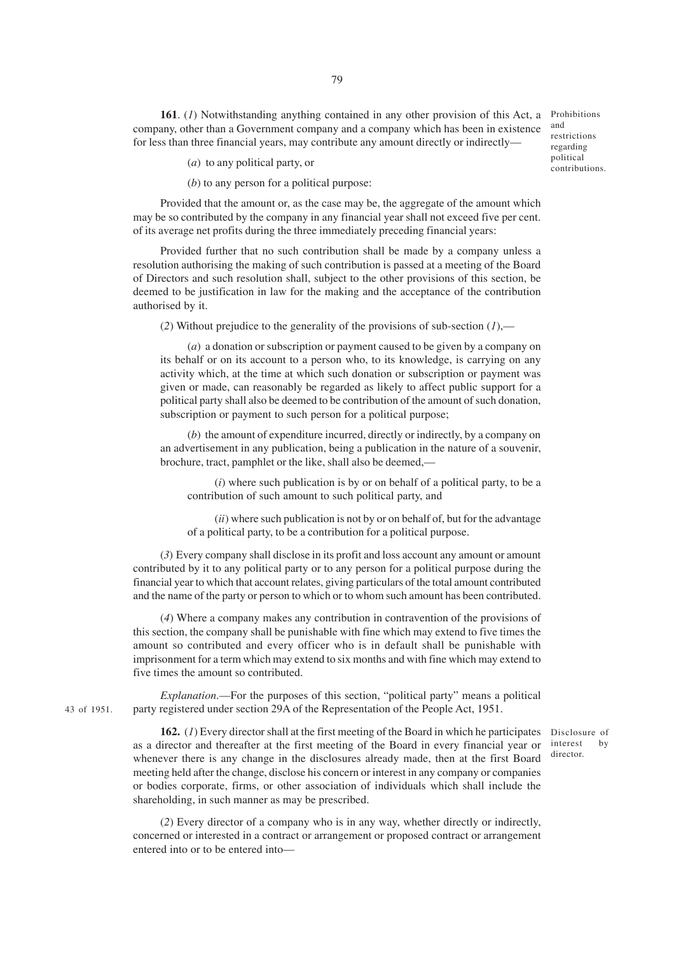161. (1) Notwithstanding anything contained in any other provision of this Act, a Prohibitions company, other than a Government company and a company which has been in existence for less than three financial years, may contribute any amount directly or indirectly—

and restrictions regarding political contributions.

- (*a*) to any political party, or
- (*b*) to any person for a political purpose:

Provided that the amount or, as the case may be, the aggregate of the amount which may be so contributed by the company in any financial year shall not exceed five per cent. of its average net profits during the three immediately preceding financial years:

Provided further that no such contribution shall be made by a company unless a resolution authorising the making of such contribution is passed at a meeting of the Board of Directors and such resolution shall, subject to the other provisions of this section, be deemed to be justification in law for the making and the acceptance of the contribution authorised by it.

(*2*) Without prejudice to the generality of the provisions of sub-section (*1*),—

(*a*) a donation or subscription or payment caused to be given by a company on its behalf or on its account to a person who, to its knowledge, is carrying on any activity which, at the time at which such donation or subscription or payment was given or made, can reasonably be regarded as likely to affect public support for a political party shall also be deemed to be contribution of the amount of such donation, subscription or payment to such person for a political purpose;

(*b*) the amount of expenditure incurred, directly or indirectly, by a company on an advertisement in any publication, being a publication in the nature of a souvenir, brochure, tract, pamphlet or the like, shall also be deemed,—

(*i*) where such publication is by or on behalf of a political party, to be a contribution of such amount to such political party, and

(*ii*) where such publication is not by or on behalf of, but for the advantage of a political party, to be a contribution for a political purpose.

(*3*) Every company shall disclose in its profit and loss account any amount or amount contributed by it to any political party or to any person for a political purpose during the financial year to which that account relates, giving particulars of the total amount contributed and the name of the party or person to which or to whom such amount has been contributed.

(*4*) Where a company makes any contribution in contravention of the provisions of this section, the company shall be punishable with fine which may extend to five times the amount so contributed and every officer who is in default shall be punishable with imprisonment for a term which may extend to six months and with fine which may extend to five times the amount so contributed.

*Explanation*.—For the purposes of this section, "political party" means a political party registered under section 29A of the Representation of the People Act, 1951. 43 of 1951.

> **162.** (*1*) Every director shall at the first meeting of the Board in which he participates as a director and thereafter at the first meeting of the Board in every financial year or whenever there is any change in the disclosures already made, then at the first Board meeting held after the change, disclose his concern or interest in any company or companies or bodies corporate, firms, or other association of individuals which shall include the shareholding, in such manner as may be prescribed.

> (*2*) Every director of a company who is in any way, whether directly or indirectly, concerned or interested in a contract or arrangement or proposed contract or arrangement entered into or to be entered into—

Disclosure of interest by director.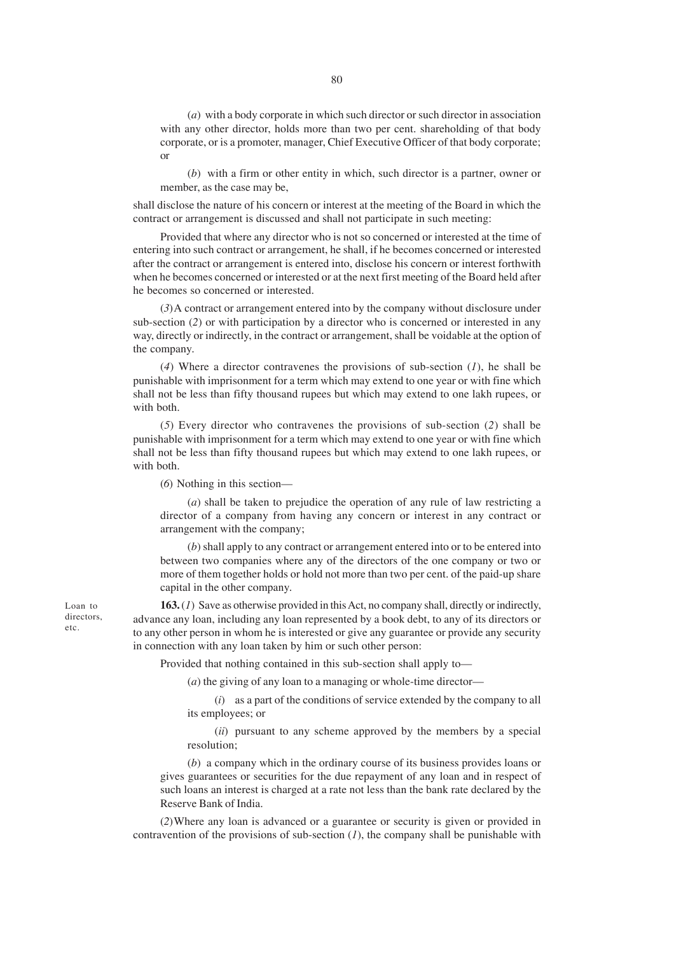(*a*) with a body corporate in which such director or such director in association with any other director, holds more than two per cent. shareholding of that body corporate, or is a promoter, manager, Chief Executive Officer of that body corporate; or

(*b*) with a firm or other entity in which, such director is a partner, owner or member, as the case may be,

shall disclose the nature of his concern or interest at the meeting of the Board in which the contract or arrangement is discussed and shall not participate in such meeting:

Provided that where any director who is not so concerned or interested at the time of entering into such contract or arrangement, he shall, if he becomes concerned or interested after the contract or arrangement is entered into, disclose his concern or interest forthwith when he becomes concerned or interested or at the next first meeting of the Board held after he becomes so concerned or interested.

(*3*)A contract or arrangement entered into by the company without disclosure under sub-section (*2*) or with participation by a director who is concerned or interested in any way, directly or indirectly, in the contract or arrangement, shall be voidable at the option of the company.

(*4*) Where a director contravenes the provisions of sub-section (*1*), he shall be punishable with imprisonment for a term which may extend to one year or with fine which shall not be less than fifty thousand rupees but which may extend to one lakh rupees, or with both.

(*5*) Every director who contravenes the provisions of sub-section (*2*) shall be punishable with imprisonment for a term which may extend to one year or with fine which shall not be less than fifty thousand rupees but which may extend to one lakh rupees, or with both.

(*6*) Nothing in this section—

(*a*) shall be taken to prejudice the operation of any rule of law restricting a director of a company from having any concern or interest in any contract or arrangement with the company;

(*b*) shall apply to any contract or arrangement entered into or to be entered into between two companies where any of the directors of the one company or two or more of them together holds or hold not more than two per cent. of the paid-up share capital in the other company.

**163.** (*1*) Save as otherwise provided in this Act, no company shall, directly or indirectly, advance any loan, including any loan represented by a book debt, to any of its directors or to any other person in whom he is interested or give any guarantee or provide any security in connection with any loan taken by him or such other person:

Provided that nothing contained in this sub-section shall apply to—

(*a*) the giving of any loan to a managing or whole-time director—

(*i*) as a part of the conditions of service extended by the company to all its employees; or

(*ii*) pursuant to any scheme approved by the members by a special resolution;

(*b*) a company which in the ordinary course of its business provides loans or gives guarantees or securities for the due repayment of any loan and in respect of such loans an interest is charged at a rate not less than the bank rate declared by the Reserve Bank of India.

(*2*)Where any loan is advanced or a guarantee or security is given or provided in contravention of the provisions of sub-section  $(I)$ , the company shall be punishable with

Loan to directors, etc.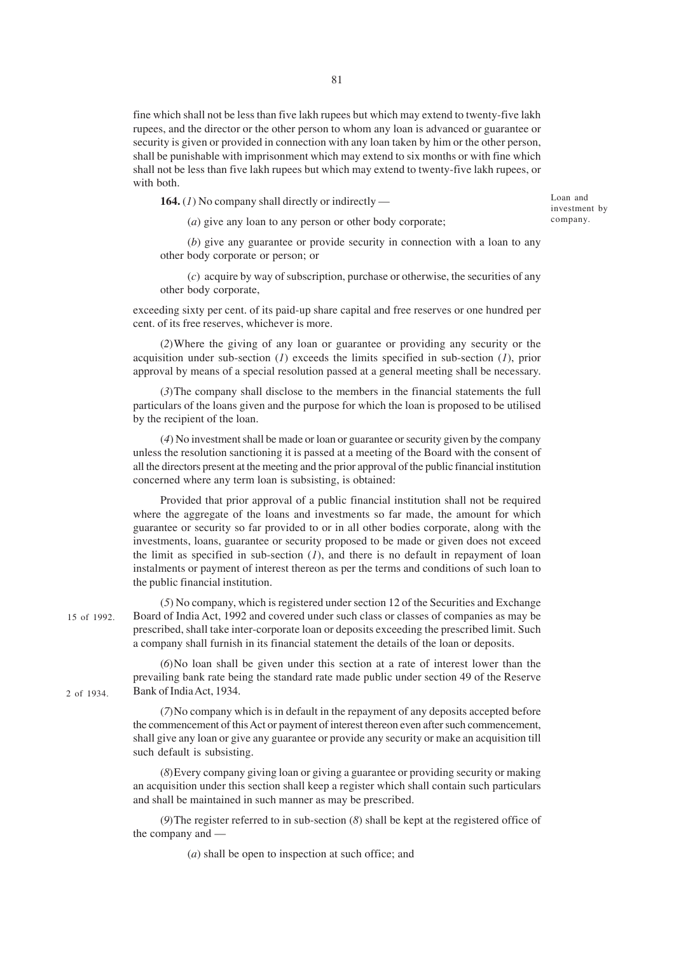fine which shall not be less than five lakh rupees but which may extend to twenty-five lakh rupees, and the director or the other person to whom any loan is advanced or guarantee or security is given or provided in connection with any loan taken by him or the other person, shall be punishable with imprisonment which may extend to six months or with fine which shall not be less than five lakh rupees but which may extend to twenty-five lakh rupees, or with both.

**164.** (*l*) No company shall directly or indirectly —

Loan and investment by company.

(*a*) give any loan to any person or other body corporate;

(*b*) give any guarantee or provide security in connection with a loan to any other body corporate or person; or

(*c*) acquire by way of subscription, purchase or otherwise, the securities of any other body corporate,

exceeding sixty per cent. of its paid-up share capital and free reserves or one hundred per cent. of its free reserves, whichever is more.

(*2*)Where the giving of any loan or guarantee or providing any security or the acquisition under sub-section (*1*) exceeds the limits specified in sub-section (*1*), prior approval by means of a special resolution passed at a general meeting shall be necessary.

(*3*)The company shall disclose to the members in the financial statements the full particulars of the loans given and the purpose for which the loan is proposed to be utilised by the recipient of the loan.

(*4*) No investment shall be made or loan or guarantee or security given by the company unless the resolution sanctioning it is passed at a meeting of the Board with the consent of all the directors present at the meeting and the prior approval of the public financial institution concerned where any term loan is subsisting, is obtained:

Provided that prior approval of a public financial institution shall not be required where the aggregate of the loans and investments so far made, the amount for which guarantee or security so far provided to or in all other bodies corporate, along with the investments, loans, guarantee or security proposed to be made or given does not exceed the limit as specified in sub-section (*1*), and there is no default in repayment of loan instalments or payment of interest thereon as per the terms and conditions of such loan to the public financial institution.

(*5*) No company, which is registered under section 12 of the Securities and Exchange Board of India Act, 1992 and covered under such class or classes of companies as may be prescribed, shall take inter-corporate loan or deposits exceeding the prescribed limit. Such a company shall furnish in its financial statement the details of the loan or deposits. 15 of 1992.

> (*6*)No loan shall be given under this section at a rate of interest lower than the prevailing bank rate being the standard rate made public under section 49 of the Reserve Bank of India Act, 1934.

(*7*)No company which is in default in the repayment of any deposits accepted before the commencement of this Act or payment of interest thereon even after such commencement, shall give any loan or give any guarantee or provide any security or make an acquisition till such default is subsisting.

(*8*)Every company giving loan or giving a guarantee or providing security or making an acquisition under this section shall keep a register which shall contain such particulars and shall be maintained in such manner as may be prescribed.

(*9*)The register referred to in sub-section (*8*) shall be kept at the registered office of the company and —

(*a*) shall be open to inspection at such office; and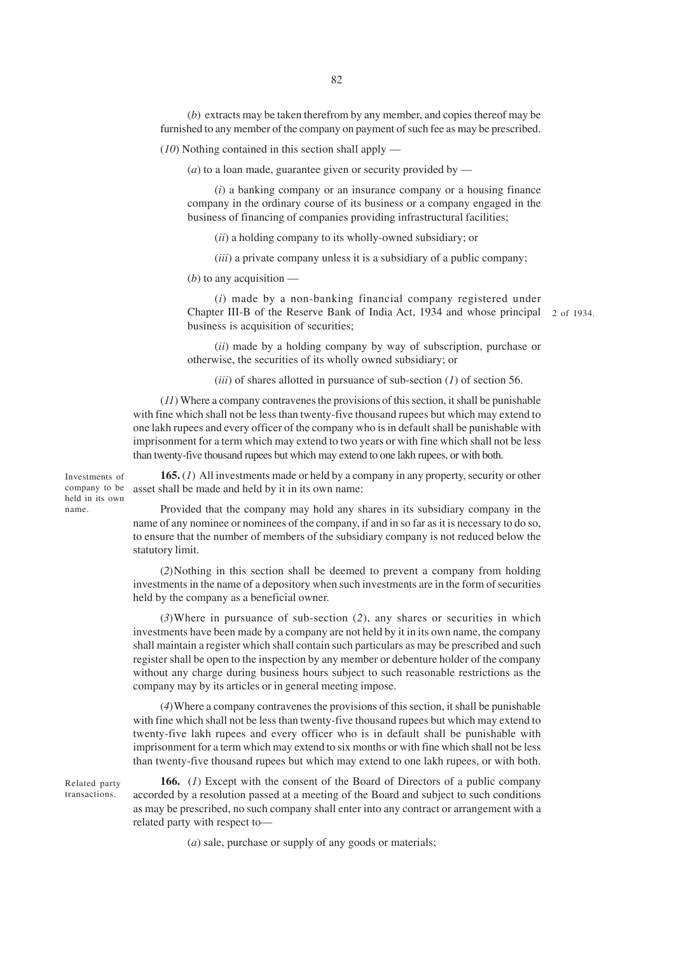(*b*) extracts may be taken therefrom by any member, and copies thereof may be furnished to any member of the company on payment of such fee as may be prescribed.

(*10*) Nothing contained in this section shall apply —

(*a*) to a loan made, guarantee given or security provided by —

(*i*) a banking company or an insurance company or a housing finance company in the ordinary course of its business or a company engaged in the business of financing of companies providing infrastructural facilities;

(*ii*) a holding company to its wholly-owned subsidiary; or

(*iii*) a private company unless it is a subsidiary of a public company;

 $(b)$  to any acquisition —

(*i*) made by a non-banking financial company registered under Chapter III-B of the Reserve Bank of India Act, 1934 and whose principal 2 of 1934.business is acquisition of securities;

(*ii*) made by a holding company by way of subscription, purchase or otherwise, the securities of its wholly owned subsidiary; or

(*iii*) of shares allotted in pursuance of sub-section (*1*) of section 56.

(*11*) Where a company contravenes the provisions of this section, it shall be punishable with fine which shall not be less than twenty-five thousand rupees but which may extend to one lakh rupees and every officer of the company who is in default shall be punishable with imprisonment for a term which may extend to two years or with fine which shall not be less than twenty-five thousand rupees but which may extend to one lakh rupees, or with both.

Investments of company to be held in its own name.

**165.** (*1*) All investments made or held by a company in any property, security or other asset shall be made and held by it in its own name:

Provided that the company may hold any shares in its subsidiary company in the name of any nominee or nominees of the company, if and in so far as it is necessary to do so, to ensure that the number of members of the subsidiary company is not reduced below the statutory limit.

(*2*)Nothing in this section shall be deemed to prevent a company from holding investments in the name of a depository when such investments are in the form of securities held by the company as a beneficial owner.

(*3*)Where in pursuance of sub-section (*2*), any shares or securities in which investments have been made by a company are not held by it in its own name, the company shall maintain a register which shall contain such particulars as may be prescribed and such register shall be open to the inspection by any member or debenture holder of the company without any charge during business hours subject to such reasonable restrictions as the company may by its articles or in general meeting impose.

(*4*)Where a company contravenes the provisions of this section, it shall be punishable with fine which shall not be less than twenty-five thousand rupees but which may extend to twenty-five lakh rupees and every officer who is in default shall be punishable with imprisonment for a term which may extend to six months or with fine which shall not be less than twenty-five thousand rupees but which may extend to one lakh rupees, or with both.

Related party transactions.

**166.** (*1*) Except with the consent of the Board of Directors of a public company accorded by a resolution passed at a meeting of the Board and subject to such conditions as may be prescribed, no such company shall enter into any contract or arrangement with a related party with respect to—

(*a*) sale, purchase or supply of any goods or materials;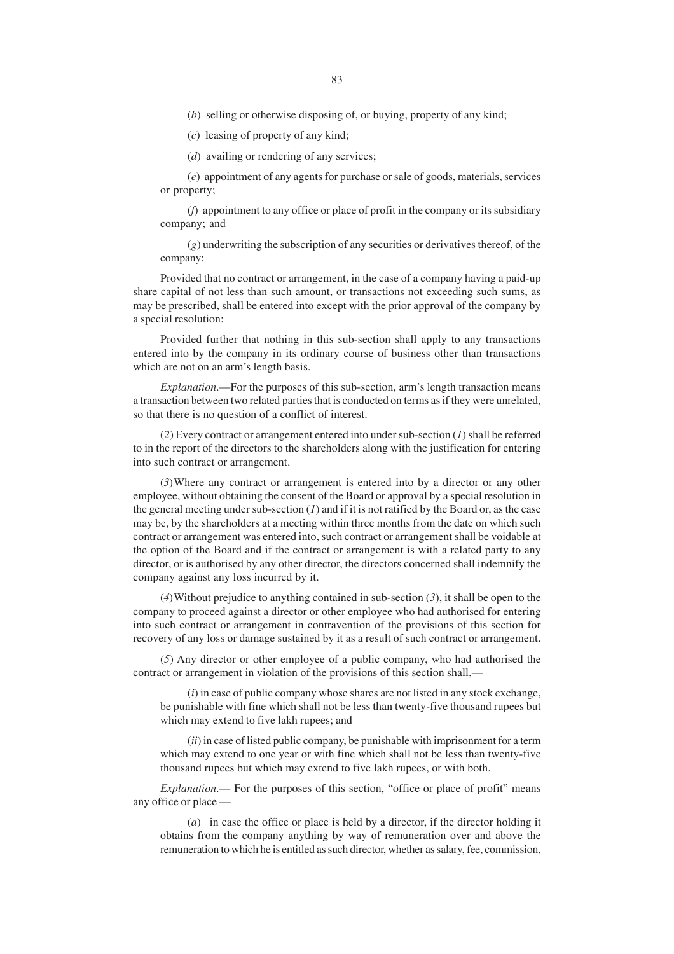(*c*) leasing of property of any kind;

(*d*) availing or rendering of any services;

(*e*) appointment of any agents for purchase or sale of goods, materials, services or property;

(*f*) appointment to any office or place of profit in the company or its subsidiary company; and

(*g*) underwriting the subscription of any securities or derivatives thereof, of the company:

Provided that no contract or arrangement, in the case of a company having a paid-up share capital of not less than such amount, or transactions not exceeding such sums, as may be prescribed, shall be entered into except with the prior approval of the company by a special resolution:

Provided further that nothing in this sub-section shall apply to any transactions entered into by the company in its ordinary course of business other than transactions which are not on an arm's length basis.

*Explanation*.—For the purposes of this sub-section, arm's length transaction means a transaction between two related parties that is conducted on terms as if they were unrelated, so that there is no question of a conflict of interest.

(*2*) Every contract or arrangement entered into under sub-section (*1*) shall be referred to in the report of the directors to the shareholders along with the justification for entering into such contract or arrangement.

(*3*)Where any contract or arrangement is entered into by a director or any other employee, without obtaining the consent of the Board or approval by a special resolution in the general meeting under sub-section  $(I)$  and if it is not ratified by the Board or, as the case may be, by the shareholders at a meeting within three months from the date on which such contract or arrangement was entered into, such contract or arrangement shall be voidable at the option of the Board and if the contract or arrangement is with a related party to any director, or is authorised by any other director, the directors concerned shall indemnify the company against any loss incurred by it.

(*4*)Without prejudice to anything contained in sub-section (*3*), it shall be open to the company to proceed against a director or other employee who had authorised for entering into such contract or arrangement in contravention of the provisions of this section for recovery of any loss or damage sustained by it as a result of such contract or arrangement.

(*5*) Any director or other employee of a public company, who had authorised the contract or arrangement in violation of the provisions of this section shall,—

(*i*) in case of public company whose shares are not listed in any stock exchange, be punishable with fine which shall not be less than twenty-five thousand rupees but which may extend to five lakh rupees; and

(*ii*) in case of listed public company, be punishable with imprisonment for a term which may extend to one year or with fine which shall not be less than twenty-five thousand rupees but which may extend to five lakh rupees, or with both.

*Explanation*.— For the purposes of this section, "office or place of profit" means any office or place —

(*a*) in case the office or place is held by a director, if the director holding it obtains from the company anything by way of remuneration over and above the remuneration to which he is entitled as such director, whether as salary, fee, commission,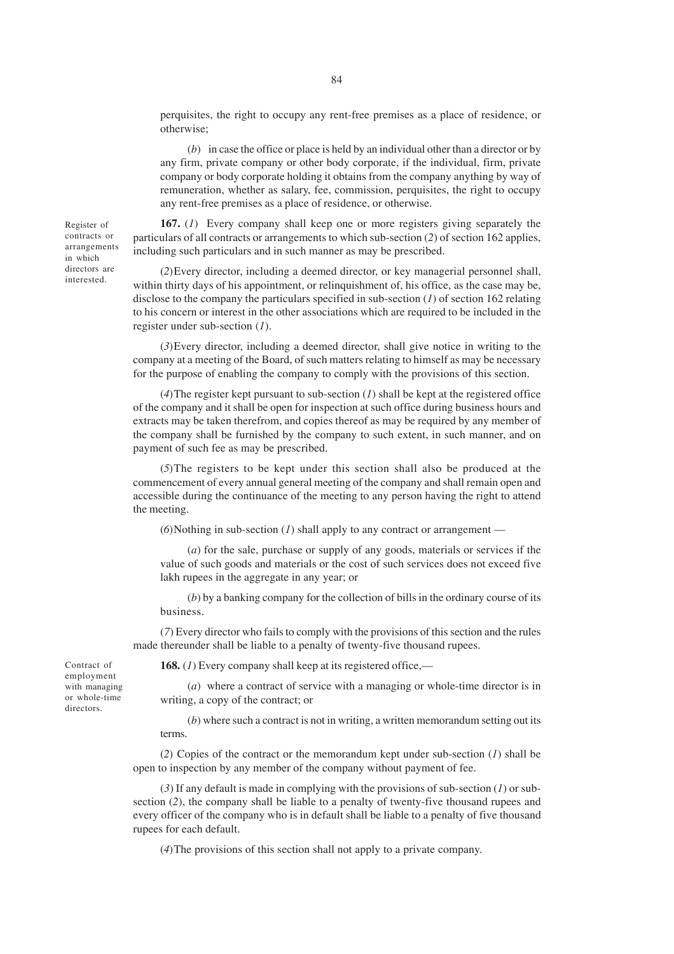perquisites, the right to occupy any rent-free premises as a place of residence, or otherwise;

(*b*) in case the office or place is held by an individual other than a director or by any firm, private company or other body corporate, if the individual, firm, private company or body corporate holding it obtains from the company anything by way of remuneration, whether as salary, fee, commission, perquisites, the right to occupy any rent-free premises as a place of residence, or otherwise.

**167.** (*1*) Every company shall keep one or more registers giving separately the particulars of all contracts or arrangements to which sub-section (*2*) of section 162 applies, including such particulars and in such manner as may be prescribed.

(*2*)Every director, including a deemed director, or key managerial personnel shall, within thirty days of his appointment, or relinquishment of, his office, as the case may be, disclose to the company the particulars specified in sub-section (*1*) of section 162 relating to his concern or interest in the other associations which are required to be included in the register under sub-section (*1*).

(*3*)Every director, including a deemed director, shall give notice in writing to the company at a meeting of the Board, of such matters relating to himself as may be necessary for the purpose of enabling the company to comply with the provisions of this section.

(*4*)The register kept pursuant to sub-section (*1*) shall be kept at the registered office of the company and it shall be open for inspection at such office during business hours and extracts may be taken therefrom, and copies thereof as may be required by any member of the company shall be furnished by the company to such extent, in such manner, and on payment of such fee as may be prescribed.

(*5*)The registers to be kept under this section shall also be produced at the commencement of every annual general meeting of the company and shall remain open and accessible during the continuance of the meeting to any person having the right to attend the meeting.

 $(6)$ Nothing in sub-section  $(1)$  shall apply to any contract or arrangement —

(*a*) for the sale, purchase or supply of any goods, materials or services if the value of such goods and materials or the cost of such services does not exceed five lakh rupees in the aggregate in any year; or

(*b*) by a banking company for the collection of bills in the ordinary course of its business.

(*7*) Every director who fails to comply with the provisions of this section and the rules made thereunder shall be liable to a penalty of twenty-five thousand rupees.

**168.** *(1)* Every company shall keep at its registered office,—

(*a*) where a contract of service with a managing or whole-time director is in writing, a copy of the contract; or

(*b*) where such a contract is not in writing, a written memorandum setting out its terms.

(*2*) Copies of the contract or the memorandum kept under sub-section (*1*) shall be open to inspection by any member of the company without payment of fee.

(*3*) If any default is made in complying with the provisions of sub-section (*1*) or subsection (*2*), the company shall be liable to a penalty of twenty-five thousand rupees and every officer of the company who is in default shall be liable to a penalty of five thousand rupees for each default.

(*4*)The provisions of this section shall not apply to a private company.

contracts or arrangements in which directors are interested.

Contract of employment with managing or whole-time directors.

Register of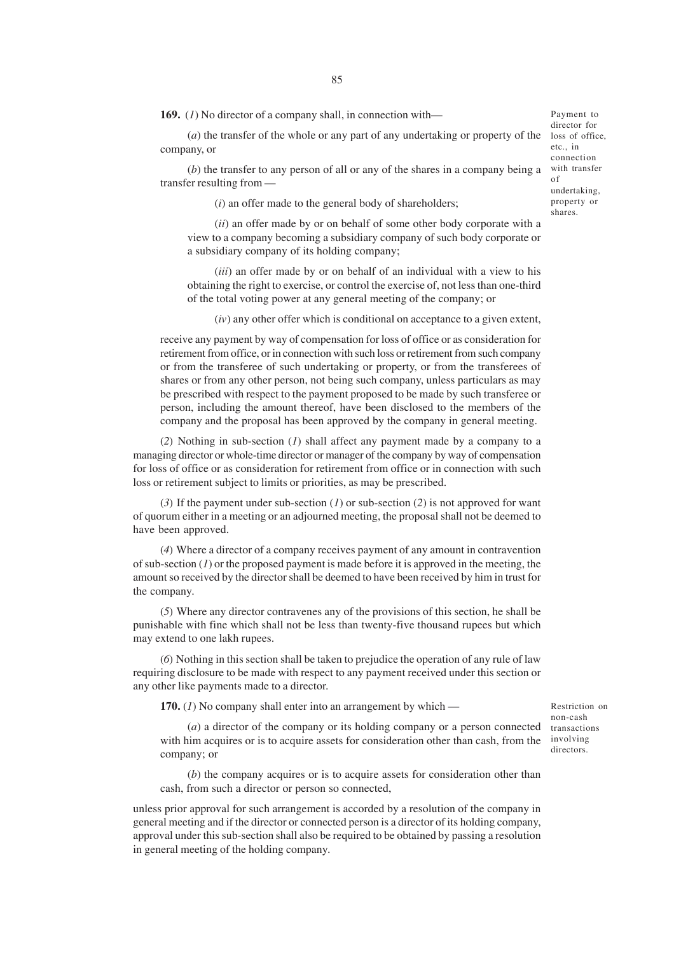**169.** (*1*) No director of a company shall, in connection with—

(*a*) the transfer of the whole or any part of any undertaking or property of the company, or

(*b*) the transfer to any person of all or any of the shares in a company being a with transfer transfer resulting from —

(*i*) an offer made to the general body of shareholders;

(*ii*) an offer made by or on behalf of some other body corporate with a view to a company becoming a subsidiary company of such body corporate or a subsidiary company of its holding company;

(*iii*) an offer made by or on behalf of an individual with a view to his obtaining the right to exercise, or control the exercise of, not less than one-third of the total voting power at any general meeting of the company; or

(*iv*) any other offer which is conditional on acceptance to a given extent,

receive any payment by way of compensation for loss of office or as consideration for retirement from office, or in connection with such loss or retirement from such company or from the transferee of such undertaking or property, or from the transferees of shares or from any other person, not being such company, unless particulars as may be prescribed with respect to the payment proposed to be made by such transferee or person, including the amount thereof, have been disclosed to the members of the company and the proposal has been approved by the company in general meeting.

(*2*) Nothing in sub-section (*1*) shall affect any payment made by a company to a managing director or whole-time director or manager of the company by way of compensation for loss of office or as consideration for retirement from office or in connection with such loss or retirement subject to limits or priorities, as may be prescribed.

(*3*) If the payment under sub-section (*1*) or sub-section (*2*) is not approved for want of quorum either in a meeting or an adjourned meeting, the proposal shall not be deemed to have been approved.

(*4*) Where a director of a company receives payment of any amount in contravention of sub-section  $(I)$  or the proposed payment is made before it is approved in the meeting, the amount so received by the director shall be deemed to have been received by him in trust for the company.

(*5*) Where any director contravenes any of the provisions of this section, he shall be punishable with fine which shall not be less than twenty-five thousand rupees but which may extend to one lakh rupees.

(*6*) Nothing in this section shall be taken to prejudice the operation of any rule of law requiring disclosure to be made with respect to any payment received under this section or any other like payments made to a director.

**170.** (*1*) No company shall enter into an arrangement by which —

(*a*) a director of the company or its holding company or a person connected transactions with him acquires or is to acquire assets for consideration other than cash, from the involving company; or

(*b*) the company acquires or is to acquire assets for consideration other than cash, from such a director or person so connected,

unless prior approval for such arrangement is accorded by a resolution of the company in general meeting and if the director or connected person is a director of its holding company, approval under this sub-section shall also be required to be obtained by passing a resolution in general meeting of the holding company.

Restriction on non-cash directors.

Payment to director for loss of office, etc., in connection of undertaking, property or shares.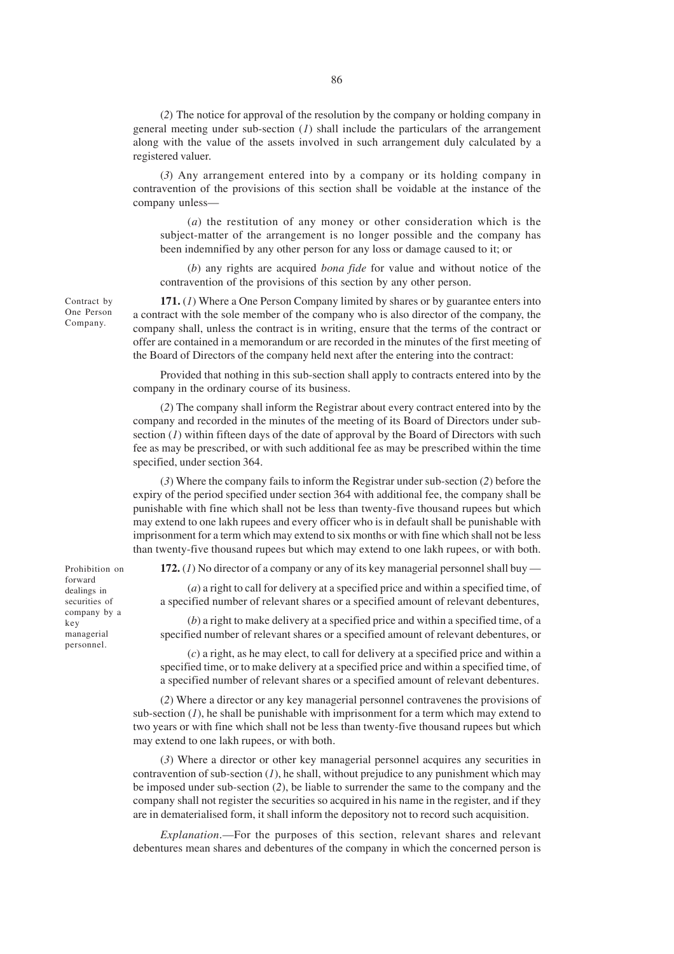(*2*) The notice for approval of the resolution by the company or holding company in general meeting under sub-section (*1*) shall include the particulars of the arrangement along with the value of the assets involved in such arrangement duly calculated by a registered valuer.

(*3*) Any arrangement entered into by a company or its holding company in contravention of the provisions of this section shall be voidable at the instance of the company unless—

(*a*) the restitution of any money or other consideration which is the subject-matter of the arrangement is no longer possible and the company has been indemnified by any other person for any loss or damage caused to it; or

(*b*) any rights are acquired *bona fide* for value and without notice of the contravention of the provisions of this section by any other person.

**171.** (*1*) Where a One Person Company limited by shares or by guarantee enters into a contract with the sole member of the company who is also director of the company, the company shall, unless the contract is in writing, ensure that the terms of the contract or offer are contained in a memorandum or are recorded in the minutes of the first meeting of the Board of Directors of the company held next after the entering into the contract:

Provided that nothing in this sub-section shall apply to contracts entered into by the company in the ordinary course of its business.

(*2*) The company shall inform the Registrar about every contract entered into by the company and recorded in the minutes of the meeting of its Board of Directors under subsection  $(I)$  within fifteen days of the date of approval by the Board of Directors with such fee as may be prescribed, or with such additional fee as may be prescribed within the time specified, under section 364.

(*3*) Where the company fails to inform the Registrar under sub-section (*2*) before the expiry of the period specified under section 364 with additional fee, the company shall be punishable with fine which shall not be less than twenty-five thousand rupees but which may extend to one lakh rupees and every officer who is in default shall be punishable with imprisonment for a term which may extend to six months or with fine which shall not be less than twenty-five thousand rupees but which may extend to one lakh rupees, or with both.

**172.** (*1*) No director of a company or any of its key managerial personnel shall buy —

(*a*) a right to call for delivery at a specified price and within a specified time, of a specified number of relevant shares or a specified amount of relevant debentures,

(*b*) a right to make delivery at a specified price and within a specified time, of a specified number of relevant shares or a specified amount of relevant debentures, or

(*c*) a right, as he may elect, to call for delivery at a specified price and within a specified time, or to make delivery at a specified price and within a specified time, of a specified number of relevant shares or a specified amount of relevant debentures.

(*2*) Where a director or any key managerial personnel contravenes the provisions of sub-section  $(1)$ , he shall be punishable with imprisonment for a term which may extend to two years or with fine which shall not be less than twenty-five thousand rupees but which may extend to one lakh rupees, or with both.

(*3*) Where a director or other key managerial personnel acquires any securities in contravention of sub-section (*1*), he shall, without prejudice to any punishment which may be imposed under sub-section (*2*), be liable to surrender the same to the company and the company shall not register the securities so acquired in his name in the register, and if they are in dematerialised form, it shall inform the depository not to record such acquisition.

*Explanation*.—For the purposes of this section, relevant shares and relevant debentures mean shares and debentures of the company in which the concerned person is

Prohibition on forward dealings in securities of company by a key managerial

personnel.

Contract by One Person Company.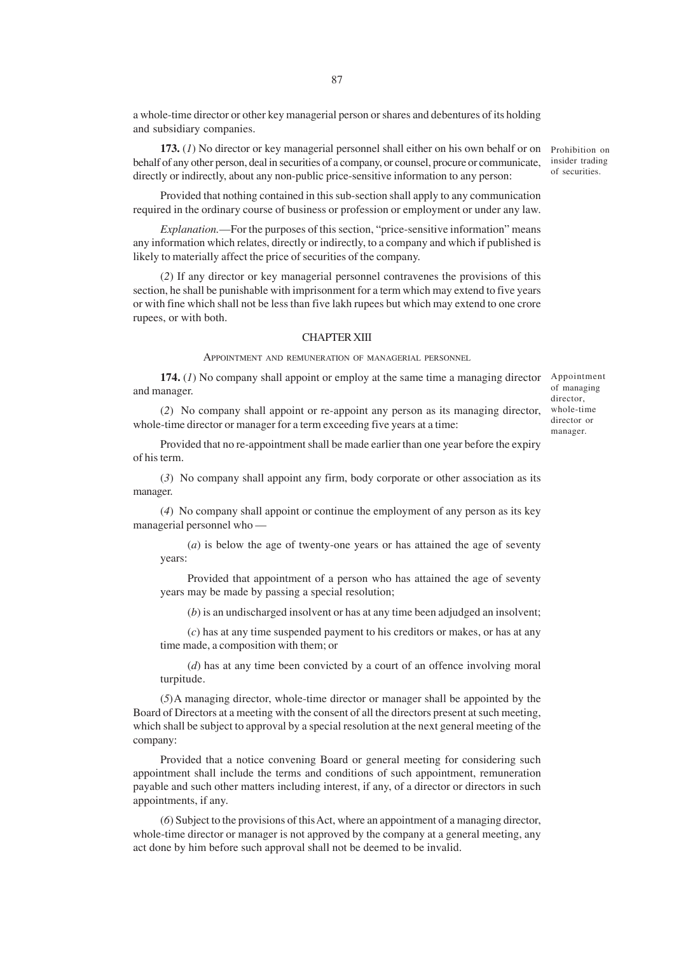a whole-time director or other key managerial person or shares and debentures of its holding and subsidiary companies.

**173.** (*1*) No director or key managerial personnel shall either on his own behalf or on behalf of any other person, deal in securities of a company, or counsel, procure or communicate, directly or indirectly, about any non-public price-sensitive information to any person:

Provided that nothing contained in this sub-section shall apply to any communication required in the ordinary course of business or profession or employment or under any law.

*Explanation.*—For the purposes of this section, "price-sensitive information" means any information which relates, directly or indirectly, to a company and which if published is likely to materially affect the price of securities of the company.

(*2*) If any director or key managerial personnel contravenes the provisions of this section, he shall be punishable with imprisonment for a term which may extend to five years or with fine which shall not be less than five lakh rupees but which may extend to one crore rupees, or with both.

#### CHAPTER XIII

#### APPOINTMENT AND REMUNERATION OF MANAGERIAL PERSONNEL

**174.** (*1*) No company shall appoint or employ at the same time a managing director Appointment and manager.

(*2*) No company shall appoint or re-appoint any person as its managing director, whole-time director or manager for a term exceeding five years at a time:

Provided that no re-appointment shall be made earlier than one year before the expiry of his term.

(*3*) No company shall appoint any firm, body corporate or other association as its manager.

(*4*) No company shall appoint or continue the employment of any person as its key managerial personnel who —

(*a*) is below the age of twenty-one years or has attained the age of seventy years:

Provided that appointment of a person who has attained the age of seventy years may be made by passing a special resolution;

(*b*) is an undischarged insolvent or has at any time been adjudged an insolvent;

(*c*) has at any time suspended payment to his creditors or makes, or has at any time made, a composition with them; or

(*d*) has at any time been convicted by a court of an offence involving moral turpitude.

(*5*)A managing director, whole-time director or manager shall be appointed by the Board of Directors at a meeting with the consent of all the directors present at such meeting, which shall be subject to approval by a special resolution at the next general meeting of the company:

Provided that a notice convening Board or general meeting for considering such appointment shall include the terms and conditions of such appointment, remuneration payable and such other matters including interest, if any, of a director or directors in such appointments, if any.

(*6*) Subject to the provisions of this Act, where an appointment of a managing director, whole-time director or manager is not approved by the company at a general meeting, any act done by him before such approval shall not be deemed to be invalid.

Prohibition on insider trading of securities.

of managing director. whole-time director or manager.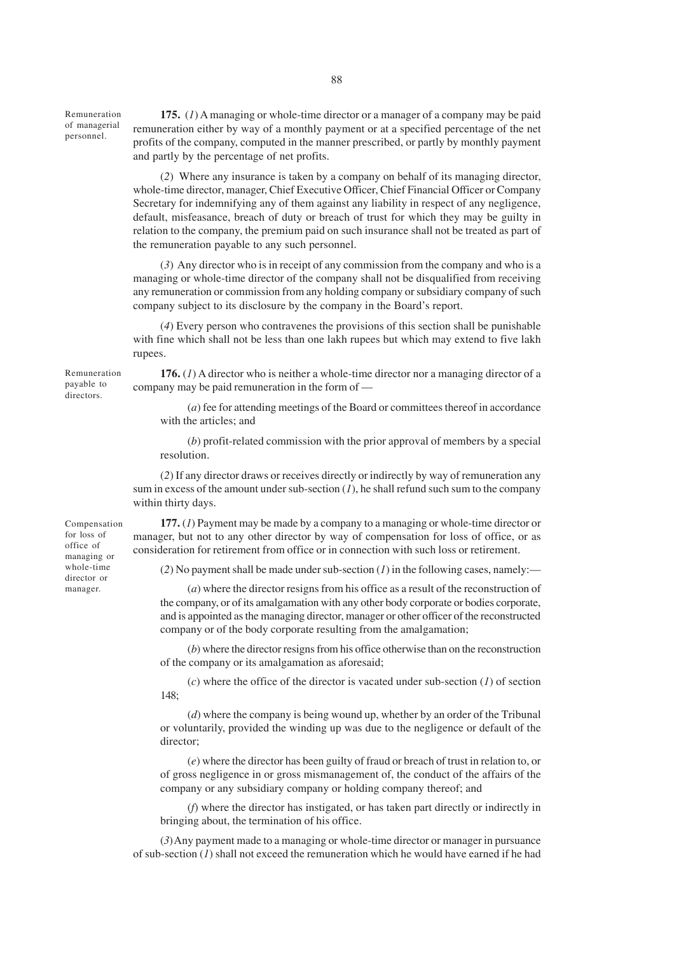Remuneration of managerial personnel.

**175.** (*1*) A managing or whole-time director or a manager of a company may be paid remuneration either by way of a monthly payment or at a specified percentage of the net profits of the company, computed in the manner prescribed, or partly by monthly payment and partly by the percentage of net profits.

(*2*) Where any insurance is taken by a company on behalf of its managing director, whole-time director, manager, Chief Executive Officer, Chief Financial Officer or Company Secretary for indemnifying any of them against any liability in respect of any negligence, default, misfeasance, breach of duty or breach of trust for which they may be guilty in relation to the company, the premium paid on such insurance shall not be treated as part of the remuneration payable to any such personnel.

(*3*) Any director who is in receipt of any commission from the company and who is a managing or whole-time director of the company shall not be disqualified from receiving any remuneration or commission from any holding company or subsidiary company of such company subject to its disclosure by the company in the Board's report.

(*4*) Every person who contravenes the provisions of this section shall be punishable with fine which shall not be less than one lakh rupees but which may extend to five lakh rupees.

Remuneration payable to directors.

**176.** (*1*) A director who is neither a whole-time director nor a managing director of a company may be paid remuneration in the form of —

(*a*) fee for attending meetings of the Board or committees thereof in accordance with the articles; and

(*b*) profit-related commission with the prior approval of members by a special resolution.

(*2*) If any director draws or receives directly or indirectly by way of remuneration any sum in excess of the amount under sub-section  $(1)$ , he shall refund such sum to the company within thirty days.

**177.** (*1*) Payment may be made by a company to a managing or whole-time director or manager, but not to any other director by way of compensation for loss of office, or as consideration for retirement from office or in connection with such loss or retirement.

(2) No payment shall be made under sub-section  $(I)$  in the following cases, namely:—

(*a*) where the director resigns from his office as a result of the reconstruction of the company, or of its amalgamation with any other body corporate or bodies corporate, and is appointed as the managing director, manager or other officer of the reconstructed company or of the body corporate resulting from the amalgamation;

(*b*) where the director resigns from his office otherwise than on the reconstruction of the company or its amalgamation as aforesaid;

(*c*) where the office of the director is vacated under sub-section (*1*) of section 148;

(*d*) where the company is being wound up, whether by an order of the Tribunal or voluntarily, provided the winding up was due to the negligence or default of the director;

(*e*) where the director has been guilty of fraud or breach of trust in relation to, or of gross negligence in or gross mismanagement of, the conduct of the affairs of the company or any subsidiary company or holding company thereof; and

(*f*) where the director has instigated, or has taken part directly or indirectly in bringing about, the termination of his office.

(*3*)Any payment made to a managing or whole-time director or manager in pursuance of sub-section (*1*) shall not exceed the remuneration which he would have earned if he had

Compensation for loss of office of managing or whole-time director or manager.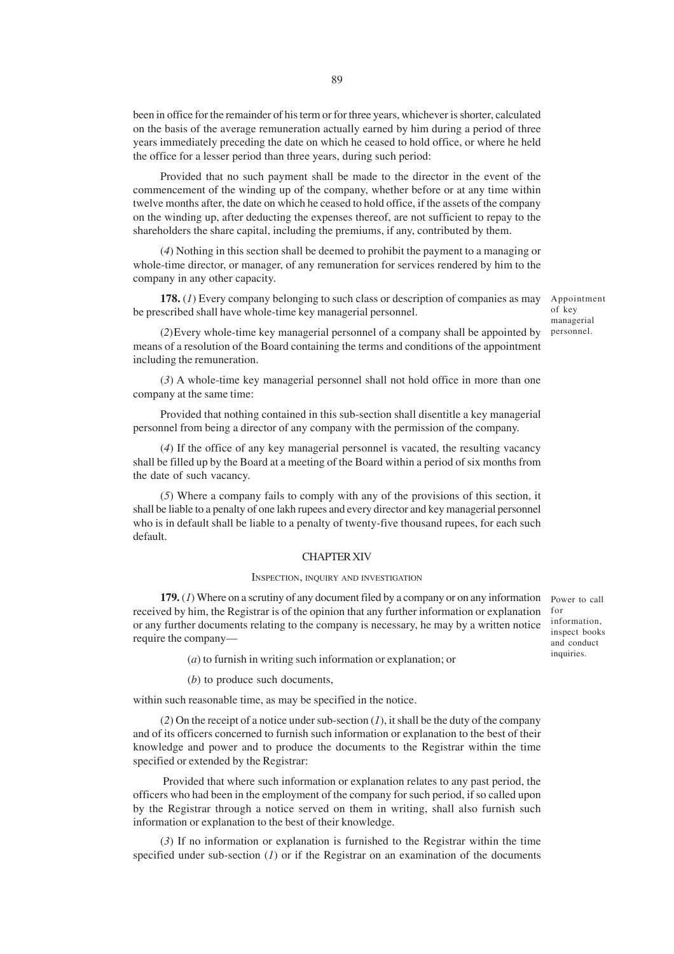been in office for the remainder of his term or for three years, whichever is shorter, calculated on the basis of the average remuneration actually earned by him during a period of three years immediately preceding the date on which he ceased to hold office, or where he held the office for a lesser period than three years, during such period:

Provided that no such payment shall be made to the director in the event of the commencement of the winding up of the company, whether before or at any time within twelve months after, the date on which he ceased to hold office, if the assets of the company on the winding up, after deducting the expenses thereof, are not sufficient to repay to the shareholders the share capital, including the premiums, if any, contributed by them.

(*4*) Nothing in this section shall be deemed to prohibit the payment to a managing or whole-time director, or manager, of any remuneration for services rendered by him to the company in any other capacity.

**178.** (*1*) Every company belonging to such class or description of companies as may be prescribed shall have whole-time key managerial personnel.

Appointment of key managerial personnel.

(*2*)Every whole-time key managerial personnel of a company shall be appointed by means of a resolution of the Board containing the terms and conditions of the appointment including the remuneration.

(*3*) A whole-time key managerial personnel shall not hold office in more than one company at the same time:

Provided that nothing contained in this sub-section shall disentitle a key managerial personnel from being a director of any company with the permission of the company.

(*4*) If the office of any key managerial personnel is vacated, the resulting vacancy shall be filled up by the Board at a meeting of the Board within a period of six months from the date of such vacancy.

(*5*) Where a company fails to comply with any of the provisions of this section, it shall be liable to a penalty of one lakh rupees and every director and key managerial personnel who is in default shall be liable to a penalty of twenty-five thousand rupees, for each such default.

# CHAPTER XIV

## INSPECTION, INQUIRY AND INVESTIGATION

**179.** (*1*) Where on a scrutiny of any document filed by a company or on any information received by him, the Registrar is of the opinion that any further information or explanation or any further documents relating to the company is necessary, he may by a written notice require the company—

Power to call for information, inspect books and conduct inquiries.

(*a*) to furnish in writing such information or explanation; or

(*b*) to produce such documents,

within such reasonable time, as may be specified in the notice.

(*2*) On the receipt of a notice under sub-section (*1*), it shall be the duty of the company and of its officers concerned to furnish such information or explanation to the best of their knowledge and power and to produce the documents to the Registrar within the time specified or extended by the Registrar:

 Provided that where such information or explanation relates to any past period, the officers who had been in the employment of the company for such period, if so called upon by the Registrar through a notice served on them in writing, shall also furnish such information or explanation to the best of their knowledge.

(*3*) If no information or explanation is furnished to the Registrar within the time specified under sub-section (*1*) or if the Registrar on an examination of the documents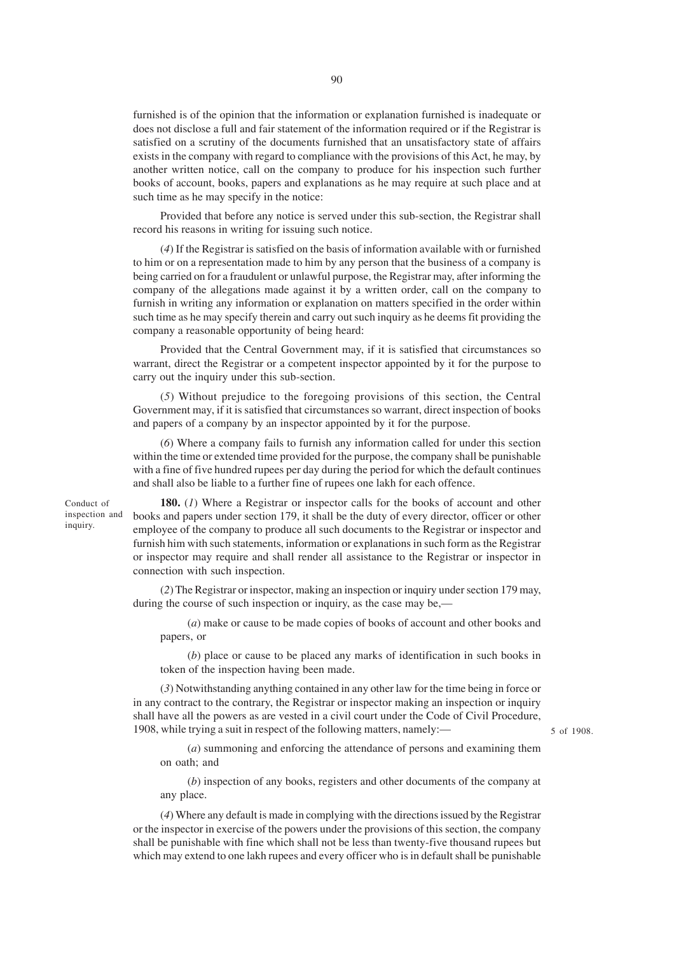furnished is of the opinion that the information or explanation furnished is inadequate or does not disclose a full and fair statement of the information required or if the Registrar is satisfied on a scrutiny of the documents furnished that an unsatisfactory state of affairs exists in the company with regard to compliance with the provisions of this Act, he may, by another written notice, call on the company to produce for his inspection such further books of account, books, papers and explanations as he may require at such place and at such time as he may specify in the notice:

Provided that before any notice is served under this sub-section, the Registrar shall record his reasons in writing for issuing such notice.

(*4*) If the Registrar is satisfied on the basis of information available with or furnished to him or on a representation made to him by any person that the business of a company is being carried on for a fraudulent or unlawful purpose, the Registrar may, after informing the company of the allegations made against it by a written order, call on the company to furnish in writing any information or explanation on matters specified in the order within such time as he may specify therein and carry out such inquiry as he deems fit providing the company a reasonable opportunity of being heard:

Provided that the Central Government may, if it is satisfied that circumstances so warrant, direct the Registrar or a competent inspector appointed by it for the purpose to carry out the inquiry under this sub-section.

(*5*) Without prejudice to the foregoing provisions of this section, the Central Government may, if it is satisfied that circumstances so warrant, direct inspection of books and papers of a company by an inspector appointed by it for the purpose.

(*6*) Where a company fails to furnish any information called for under this section within the time or extended time provided for the purpose, the company shall be punishable with a fine of five hundred rupees per day during the period for which the default continues and shall also be liable to a further fine of rupees one lakh for each offence.

Conduct of inspection and inquiry.

**180.** (*1*) Where a Registrar or inspector calls for the books of account and other books and papers under section 179, it shall be the duty of every director, officer or other employee of the company to produce all such documents to the Registrar or inspector and furnish him with such statements, information or explanations in such form as the Registrar or inspector may require and shall render all assistance to the Registrar or inspector in connection with such inspection.

(*2*) The Registrar or inspector, making an inspection or inquiry under section 179 may, during the course of such inspection or inquiry, as the case may be,—

(*a*) make or cause to be made copies of books of account and other books and papers, or

(*b*) place or cause to be placed any marks of identification in such books in token of the inspection having been made.

(*3*) Notwithstanding anything contained in any other law for the time being in force or in any contract to the contrary, the Registrar or inspector making an inspection or inquiry shall have all the powers as are vested in a civil court under the Code of Civil Procedure, 1908, while trying a suit in respect of the following matters, namely:—

5 of 1908.

(*a*) summoning and enforcing the attendance of persons and examining them on oath; and

(*b*) inspection of any books, registers and other documents of the company at any place.

(*4*) Where any default is made in complying with the directions issued by the Registrar or the inspector in exercise of the powers under the provisions of this section, the company shall be punishable with fine which shall not be less than twenty-five thousand rupees but which may extend to one lakh rupees and every officer who is in default shall be punishable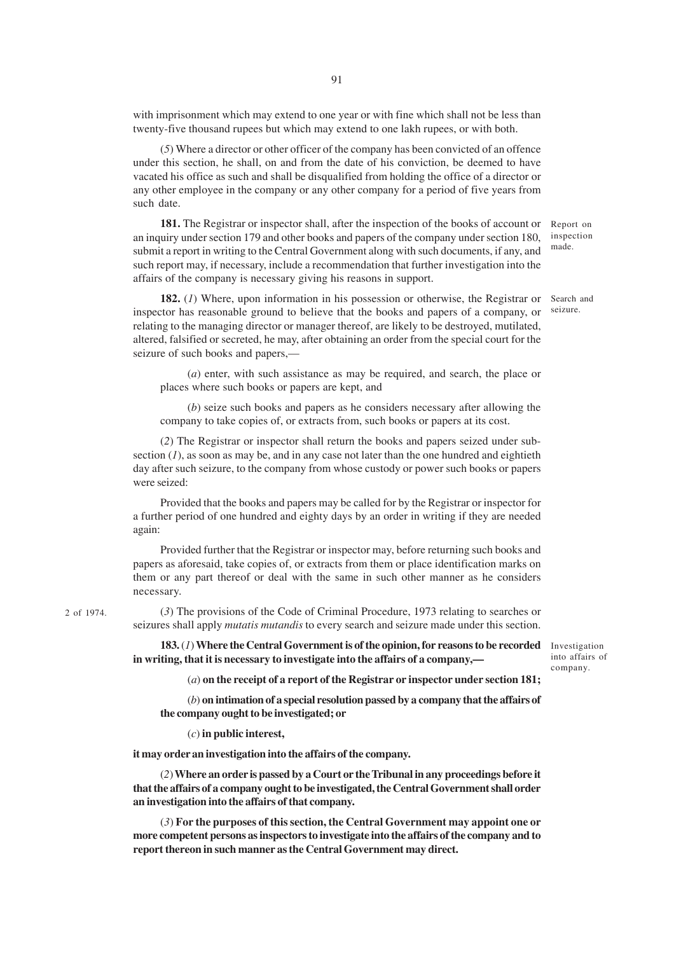with imprisonment which may extend to one year or with fine which shall not be less than twenty-five thousand rupees but which may extend to one lakh rupees, or with both.

(*5*) Where a director or other officer of the company has been convicted of an offence under this section, he shall, on and from the date of his conviction, be deemed to have vacated his office as such and shall be disqualified from holding the office of a director or any other employee in the company or any other company for a period of five years from such date.

181. The Registrar or inspector shall, after the inspection of the books of account or Report on an inquiry under section 179 and other books and papers of the company under section 180, submit a report in writing to the Central Government along with such documents, if any, and such report may, if necessary, include a recommendation that further investigation into the affairs of the company is necessary giving his reasons in support.

**182.** (*1*) Where, upon information in his possession or otherwise, the Registrar or inspector has reasonable ground to believe that the books and papers of a company, or relating to the managing director or manager thereof, are likely to be destroyed, mutilated, altered, falsified or secreted, he may, after obtaining an order from the special court for the seizure of such books and papers,—

(*a*) enter, with such assistance as may be required, and search, the place or places where such books or papers are kept, and

(*b*) seize such books and papers as he considers necessary after allowing the company to take copies of, or extracts from, such books or papers at its cost.

(*2*) The Registrar or inspector shall return the books and papers seized under subsection  $(I)$ , as soon as may be, and in any case not later than the one hundred and eightieth day after such seizure, to the company from whose custody or power such books or papers were seized:

Provided that the books and papers may be called for by the Registrar or inspector for a further period of one hundred and eighty days by an order in writing if they are needed again:

Provided further that the Registrar or inspector may, before returning such books and papers as aforesaid, take copies of, or extracts from them or place identification marks on them or any part thereof or deal with the same in such other manner as he considers necessary.

2 of 1974.

(*3*) The provisions of the Code of Criminal Procedure, 1973 relating to searches or seizures shall apply *mutatis mutandis* to every search and seizure made under this section.

**183.** (*1*) **Where the Central Government is of the opinion, for reasons to be recorded in writing, that it is necessary to investigate into the affairs of a company,—**

Investigation into affairs of company.

(*a*) **on the receipt of a report of the Registrar or inspector under section 181;**

(*b*) **on intimation of a special resolution passed by a company that the affairs of the company ought to be investigated; or**

(*c*) **in public interest,**

**it may order an investigation into the affairs of the company.**

(*2*) **Where an order is passed by a Court or the Tribunal in any proceedings before it that the affairs of a company ought to be investigated, the Central Government shall order an investigation into the affairs of that company.**

(*3*) **For the purposes of this section, the Central Government may appoint one or more competent persons as inspectors to investigate into the affairs of the company and to report thereon in such manner as the Central Government may direct.**

inspection made.

Search and seizure.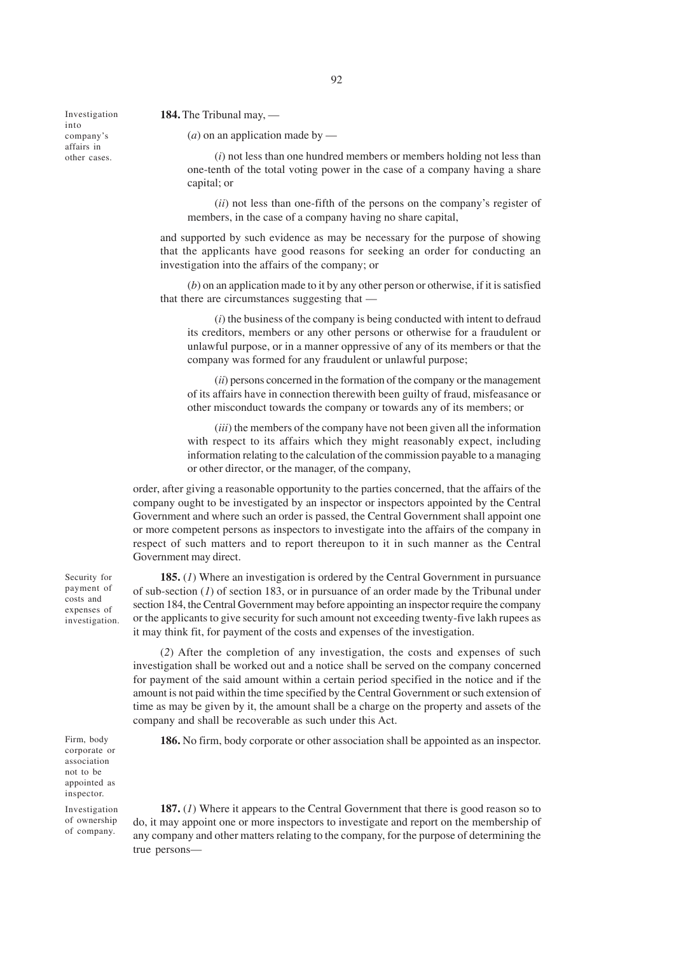Investigation into company's affairs in other cases.

**184.** The Tribunal may, —

 $(a)$  on an application made by —

(*i*) not less than one hundred members or members holding not less than one-tenth of the total voting power in the case of a company having a share capital; or

(*ii*) not less than one-fifth of the persons on the company's register of members, in the case of a company having no share capital,

and supported by such evidence as may be necessary for the purpose of showing that the applicants have good reasons for seeking an order for conducting an investigation into the affairs of the company; or

(*b*) on an application made to it by any other person or otherwise, if it is satisfied that there are circumstances suggesting that —

(*i*) the business of the company is being conducted with intent to defraud its creditors, members or any other persons or otherwise for a fraudulent or unlawful purpose, or in a manner oppressive of any of its members or that the company was formed for any fraudulent or unlawful purpose;

(*ii*) persons concerned in the formation of the company or the management of its affairs have in connection therewith been guilty of fraud, misfeasance or other misconduct towards the company or towards any of its members; or

(*iii*) the members of the company have not been given all the information with respect to its affairs which they might reasonably expect, including information relating to the calculation of the commission payable to a managing or other director, or the manager, of the company,

order, after giving a reasonable opportunity to the parties concerned, that the affairs of the company ought to be investigated by an inspector or inspectors appointed by the Central Government and where such an order is passed, the Central Government shall appoint one or more competent persons as inspectors to investigate into the affairs of the company in respect of such matters and to report thereupon to it in such manner as the Central Government may direct.

**185.** (*1*) Where an investigation is ordered by the Central Government in pursuance of sub-section (*1*) of section 183, or in pursuance of an order made by the Tribunal under section 184, the Central Government may before appointing an inspector require the company or the applicants to give security for such amount not exceeding twenty-five lakh rupees as it may think fit, for payment of the costs and expenses of the investigation.

(*2*) After the completion of any investigation, the costs and expenses of such investigation shall be worked out and a notice shall be served on the company concerned for payment of the said amount within a certain period specified in the notice and if the amount is not paid within the time specified by the Central Government or such extension of time as may be given by it, the amount shall be a charge on the property and assets of the company and shall be recoverable as such under this Act.

**186.** No firm, body corporate or other association shall be appointed as an inspector.

Firm, body corporate or association not to be appointed as inspector.

Security for payment of costs and expenses of investigation.

Investigation of ownership of company.

**187.** (*1*) Where it appears to the Central Government that there is good reason so to do, it may appoint one or more inspectors to investigate and report on the membership of any company and other matters relating to the company, for the purpose of determining the true persons—

92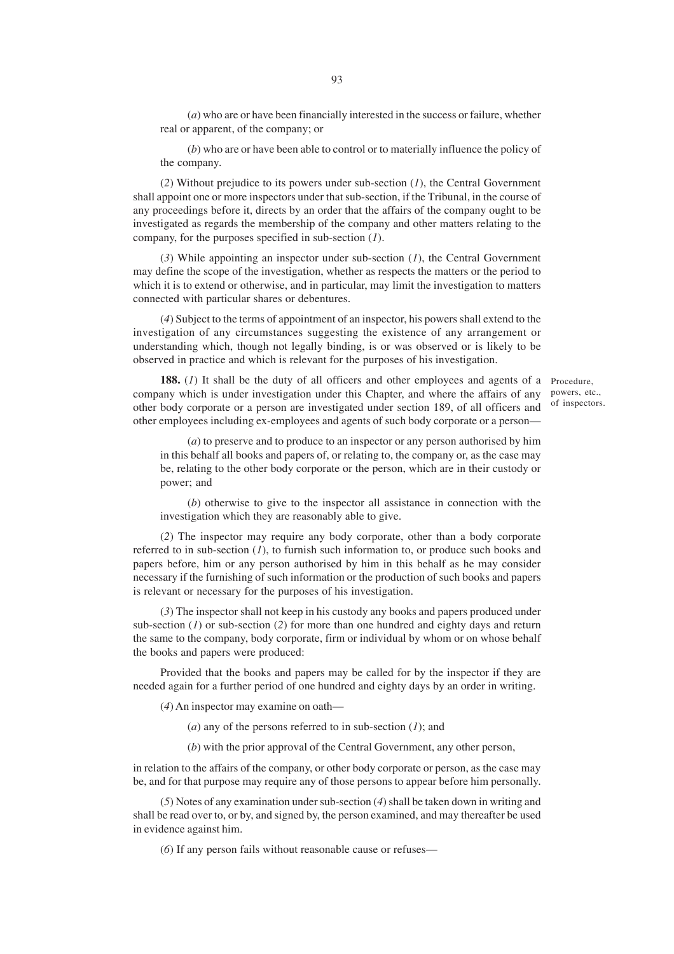(*a*) who are or have been financially interested in the success or failure, whether real or apparent, of the company; or

(*b*) who are or have been able to control or to materially influence the policy of the company.

(*2*) Without prejudice to its powers under sub-section (*1*), the Central Government shall appoint one or more inspectors under that sub-section, if the Tribunal, in the course of any proceedings before it, directs by an order that the affairs of the company ought to be investigated as regards the membership of the company and other matters relating to the company, for the purposes specified in sub-section (*1*).

(*3*) While appointing an inspector under sub-section (*1*), the Central Government may define the scope of the investigation, whether as respects the matters or the period to which it is to extend or otherwise, and in particular, may limit the investigation to matters connected with particular shares or debentures.

(*4*) Subject to the terms of appointment of an inspector, his powers shall extend to the investigation of any circumstances suggesting the existence of any arrangement or understanding which, though not legally binding, is or was observed or is likely to be observed in practice and which is relevant for the purposes of his investigation.

188. (1) It shall be the duty of all officers and other employees and agents of a Procedure, company which is under investigation under this Chapter, and where the affairs of any other body corporate or a person are investigated under section 189, of all officers and other employees including ex-employees and agents of such body corporate or a person—

powers, etc., of inspectors.

(*a*) to preserve and to produce to an inspector or any person authorised by him in this behalf all books and papers of, or relating to, the company or, as the case may be, relating to the other body corporate or the person, which are in their custody or power; and

(*b*) otherwise to give to the inspector all assistance in connection with the investigation which they are reasonably able to give.

(*2*) The inspector may require any body corporate, other than a body corporate referred to in sub-section (*1*), to furnish such information to, or produce such books and papers before, him or any person authorised by him in this behalf as he may consider necessary if the furnishing of such information or the production of such books and papers is relevant or necessary for the purposes of his investigation.

(*3*) The inspector shall not keep in his custody any books and papers produced under sub-section (*1*) or sub-section (*2*) for more than one hundred and eighty days and return the same to the company, body corporate, firm or individual by whom or on whose behalf the books and papers were produced:

Provided that the books and papers may be called for by the inspector if they are needed again for a further period of one hundred and eighty days by an order in writing.

(*4*) An inspector may examine on oath—

- (*a*) any of the persons referred to in sub-section (*1*); and
- (*b*) with the prior approval of the Central Government, any other person,

in relation to the affairs of the company, or other body corporate or person, as the case may be, and for that purpose may require any of those persons to appear before him personally.

(*5*) Notes of any examination under sub-section (*4*) shall be taken down in writing and shall be read over to, or by, and signed by, the person examined, and may thereafter be used in evidence against him.

(*6*) If any person fails without reasonable cause or refuses—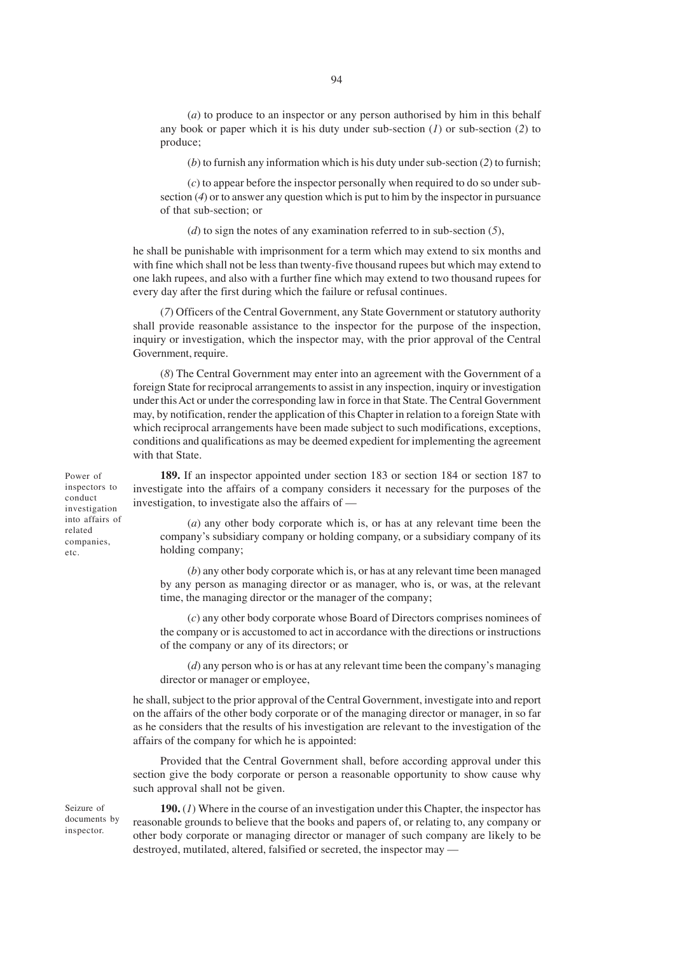(*a*) to produce to an inspector or any person authorised by him in this behalf any book or paper which it is his duty under sub-section (*1*) or sub-section (*2*) to produce;

(*b*) to furnish any information which is his duty under sub-section (*2*) to furnish;

(*c*) to appear before the inspector personally when required to do so under subsection (*4*) or to answer any question which is put to him by the inspector in pursuance of that sub-section; or

(*d*) to sign the notes of any examination referred to in sub-section (*5*),

he shall be punishable with imprisonment for a term which may extend to six months and with fine which shall not be less than twenty-five thousand rupees but which may extend to one lakh rupees, and also with a further fine which may extend to two thousand rupees for every day after the first during which the failure or refusal continues.

(*7*) Officers of the Central Government, any State Government or statutory authority shall provide reasonable assistance to the inspector for the purpose of the inspection, inquiry or investigation, which the inspector may, with the prior approval of the Central Government, require.

(*8*) The Central Government may enter into an agreement with the Government of a foreign State for reciprocal arrangements to assist in any inspection, inquiry or investigation under this Act or under the corresponding law in force in that State. The Central Government may, by notification, render the application of this Chapter in relation to a foreign State with which reciprocal arrangements have been made subject to such modifications, exceptions, conditions and qualifications as may be deemed expedient for implementing the agreement with that State.

Power of inspectors to conduct investigation into affairs of related companies, etc.

**189.** If an inspector appointed under section 183 or section 184 or section 187 to investigate into the affairs of a company considers it necessary for the purposes of the investigation, to investigate also the affairs of —

(*a*) any other body corporate which is, or has at any relevant time been the company's subsidiary company or holding company, or a subsidiary company of its holding company;

(*b*) any other body corporate which is, or has at any relevant time been managed by any person as managing director or as manager, who is, or was, at the relevant time, the managing director or the manager of the company;

(*c*) any other body corporate whose Board of Directors comprises nominees of the company or is accustomed to act in accordance with the directions or instructions of the company or any of its directors; or

(*d*) any person who is or has at any relevant time been the company's managing director or manager or employee,

he shall, subject to the prior approval of the Central Government, investigate into and report on the affairs of the other body corporate or of the managing director or manager, in so far as he considers that the results of his investigation are relevant to the investigation of the affairs of the company for which he is appointed:

Provided that the Central Government shall, before according approval under this section give the body corporate or person a reasonable opportunity to show cause why such approval shall not be given.

Seizure of documents by inspector.

**190.** (*1*) Where in the course of an investigation under this Chapter, the inspector has reasonable grounds to believe that the books and papers of, or relating to, any company or other body corporate or managing director or manager of such company are likely to be destroyed, mutilated, altered, falsified or secreted, the inspector may —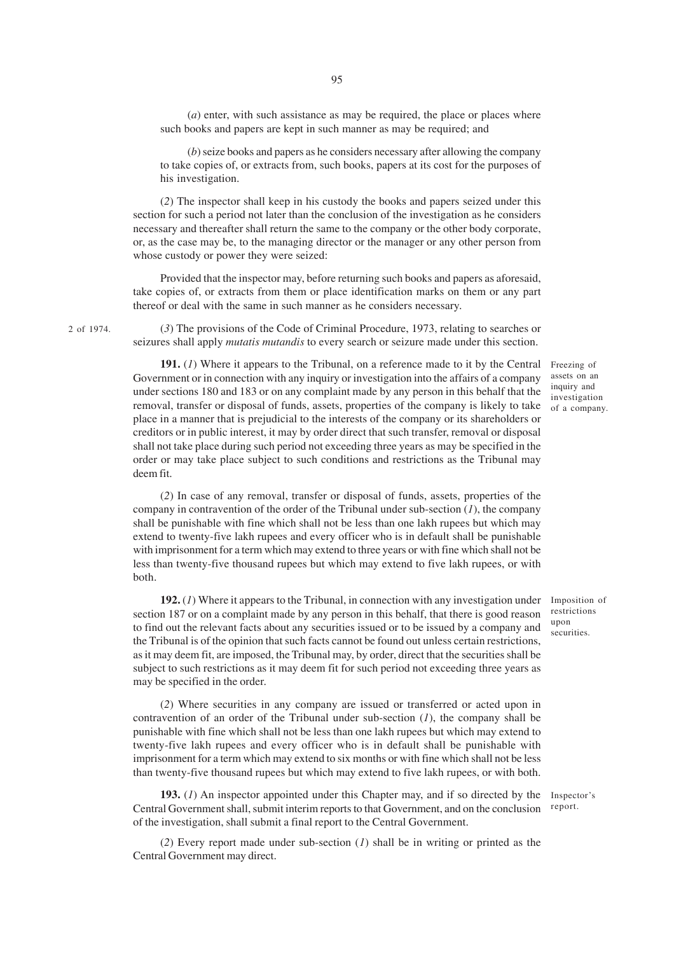(*a*) enter, with such assistance as may be required, the place or places where such books and papers are kept in such manner as may be required; and

(*b*) seize books and papers as he considers necessary after allowing the company to take copies of, or extracts from, such books, papers at its cost for the purposes of his investigation.

(*2*) The inspector shall keep in his custody the books and papers seized under this section for such a period not later than the conclusion of the investigation as he considers necessary and thereafter shall return the same to the company or the other body corporate, or, as the case may be, to the managing director or the manager or any other person from whose custody or power they were seized:

Provided that the inspector may, before returning such books and papers as aforesaid, take copies of, or extracts from them or place identification marks on them or any part thereof or deal with the same in such manner as he considers necessary.

(*3*) The provisions of the Code of Criminal Procedure, 1973, relating to searches or seizures shall apply *mutatis mutandis* to every search or seizure made under this section.

2 of 1974.

191. (1) Where it appears to the Tribunal, on a reference made to it by the Central Freezing of Government or in connection with any inquiry or investigation into the affairs of a company under sections 180 and 183 or on any complaint made by any person in this behalf that the removal, transfer or disposal of funds, assets, properties of the company is likely to take place in a manner that is prejudicial to the interests of the company or its shareholders or creditors or in public interest, it may by order direct that such transfer, removal or disposal shall not take place during such period not exceeding three years as may be specified in the order or may take place subject to such conditions and restrictions as the Tribunal may deem fit.

(*2*) In case of any removal, transfer or disposal of funds, assets, properties of the company in contravention of the order of the Tribunal under sub-section  $(I)$ , the company shall be punishable with fine which shall not be less than one lakh rupees but which may extend to twenty-five lakh rupees and every officer who is in default shall be punishable with imprisonment for a term which may extend to three years or with fine which shall not be less than twenty-five thousand rupees but which may extend to five lakh rupees, or with both.

**192.** (*1*) Where it appears to the Tribunal, in connection with any investigation under section 187 or on a complaint made by any person in this behalf, that there is good reason to find out the relevant facts about any securities issued or to be issued by a company and the Tribunal is of the opinion that such facts cannot be found out unless certain restrictions, as it may deem fit, are imposed, the Tribunal may, by order, direct that the securities shall be subject to such restrictions as it may deem fit for such period not exceeding three years as may be specified in the order.

(*2*) Where securities in any company are issued or transferred or acted upon in contravention of an order of the Tribunal under sub-section (*1*), the company shall be punishable with fine which shall not be less than one lakh rupees but which may extend to twenty-five lakh rupees and every officer who is in default shall be punishable with imprisonment for a term which may extend to six months or with fine which shall not be less than twenty-five thousand rupees but which may extend to five lakh rupees, or with both.

**193.** (*1*) An inspector appointed under this Chapter may, and if so directed by the Central Government shall, submit interim reports to that Government, and on the conclusion of the investigation, shall submit a final report to the Central Government.

(*2*) Every report made under sub-section (*1*) shall be in writing or printed as the Central Government may direct.

assets on an inquiry and investigation of a company.

Imposition of restrictions upon securities.

Inspector's report.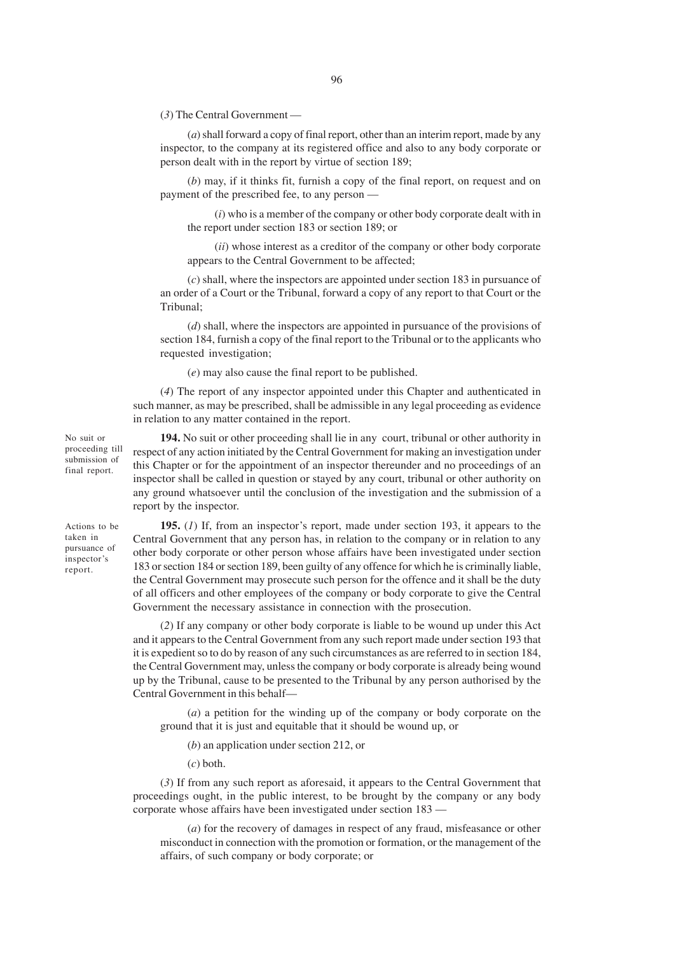(*3*) The Central Government —

(*a*) shall forward a copy of final report, other than an interim report, made by any inspector, to the company at its registered office and also to any body corporate or person dealt with in the report by virtue of section 189;

(*b*) may, if it thinks fit, furnish a copy of the final report, on request and on payment of the prescribed fee, to any person —

(*i*) who is a member of the company or other body corporate dealt with in the report under section 183 or section 189; or

(*ii*) whose interest as a creditor of the company or other body corporate appears to the Central Government to be affected;

(*c*) shall, where the inspectors are appointed under section 183 in pursuance of an order of a Court or the Tribunal, forward a copy of any report to that Court or the Tribunal;

(*d*) shall, where the inspectors are appointed in pursuance of the provisions of section 184, furnish a copy of the final report to the Tribunal or to the applicants who requested investigation;

(*e*) may also cause the final report to be published.

(*4*) The report of any inspector appointed under this Chapter and authenticated in such manner, as may be prescribed, shall be admissible in any legal proceeding as evidence in relation to any matter contained in the report.

**194.** No suit or other proceeding shall lie in any court, tribunal or other authority in respect of any action initiated by the Central Government for making an investigation under this Chapter or for the appointment of an inspector thereunder and no proceedings of an inspector shall be called in question or stayed by any court, tribunal or other authority on any ground whatsoever until the conclusion of the investigation and the submission of a report by the inspector.

**195.** (*1*) If, from an inspector's report, made under section 193, it appears to the Central Government that any person has, in relation to the company or in relation to any other body corporate or other person whose affairs have been investigated under section 183 or section 184 or section 189, been guilty of any offence for which he is criminally liable, the Central Government may prosecute such person for the offence and it shall be the duty of all officers and other employees of the company or body corporate to give the Central Government the necessary assistance in connection with the prosecution.

(*2*) If any company or other body corporate is liable to be wound up under this Act and it appears to the Central Government from any such report made under section 193 that it is expedient so to do by reason of any such circumstances as are referred to in section 184, the Central Government may, unless the company or body corporate is already being wound up by the Tribunal, cause to be presented to the Tribunal by any person authorised by the Central Government in this behalf—

(*a*) a petition for the winding up of the company or body corporate on the ground that it is just and equitable that it should be wound up, or

(*b*) an application under section 212, or

(*c*) both.

(*3*) If from any such report as aforesaid, it appears to the Central Government that proceedings ought, in the public interest, to be brought by the company or any body corporate whose affairs have been investigated under section 183 —

(*a*) for the recovery of damages in respect of any fraud, misfeasance or other misconduct in connection with the promotion or formation, or the management of the affairs, of such company or body corporate; or

No suit or proceeding till submission of final report.

Actions to be taken in pursuance of inspector's report.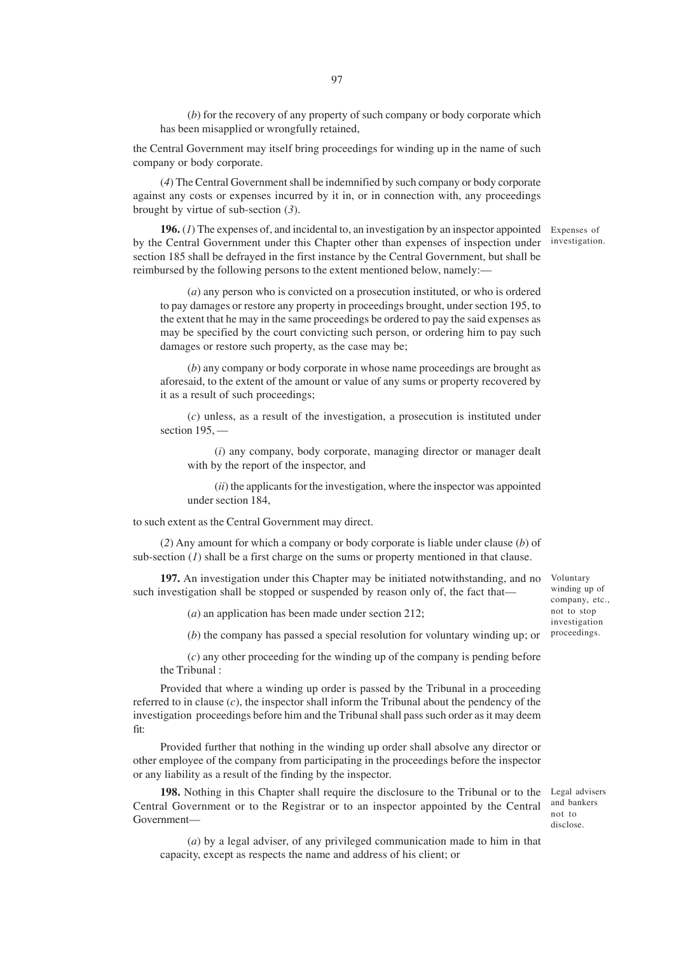(*b*) for the recovery of any property of such company or body corporate which has been misapplied or wrongfully retained,

the Central Government may itself bring proceedings for winding up in the name of such company or body corporate.

(*4*) The Central Government shall be indemnified by such company or body corporate against any costs or expenses incurred by it in, or in connection with, any proceedings brought by virtue of sub-section (*3*).

**196.** (*1*) The expenses of, and incidental to, an investigation by an inspector appointed Expenses of by the Central Government under this Chapter other than expenses of inspection under section 185 shall be defrayed in the first instance by the Central Government, but shall be reimbursed by the following persons to the extent mentioned below, namely:—

(*a*) any person who is convicted on a prosecution instituted, or who is ordered to pay damages or restore any property in proceedings brought, under section 195, to the extent that he may in the same proceedings be ordered to pay the said expenses as may be specified by the court convicting such person, or ordering him to pay such damages or restore such property, as the case may be;

(*b*) any company or body corporate in whose name proceedings are brought as aforesaid, to the extent of the amount or value of any sums or property recovered by it as a result of such proceedings;

(*c*) unless, as a result of the investigation, a prosecution is instituted under section 195, —

(*i*) any company, body corporate, managing director or manager dealt with by the report of the inspector, and

(*ii*) the applicants for the investigation, where the inspector was appointed under section 184,

to such extent as the Central Government may direct.

(*2*) Any amount for which a company or body corporate is liable under clause (*b*) of sub-section (*1*) shall be a first charge on the sums or property mentioned in that clause.

197. An investigation under this Chapter may be initiated notwithstanding, and no Voluntary such investigation shall be stopped or suspended by reason only of, the fact that—

(*a*) an application has been made under section 212;

(*b*) the company has passed a special resolution for voluntary winding up; or

(*c*) any other proceeding for the winding up of the company is pending before the Tribunal :

Provided that where a winding up order is passed by the Tribunal in a proceeding referred to in clause  $(c)$ , the inspector shall inform the Tribunal about the pendency of the investigation proceedings before him and the Tribunal shall pass such order as it may deem fit:

Provided further that nothing in the winding up order shall absolve any director or other employee of the company from participating in the proceedings before the inspector or any liability as a result of the finding by the inspector.

198. Nothing in this Chapter shall require the disclosure to the Tribunal or to the Legal advisers Central Government or to the Registrar or to an inspector appointed by the Central Government—

(*a*) by a legal adviser, of any privileged communication made to him in that capacity, except as respects the name and address of his client; or

winding up of company, etc., not to stop investigation proceedings.

investigation.

and bankers not to disclose.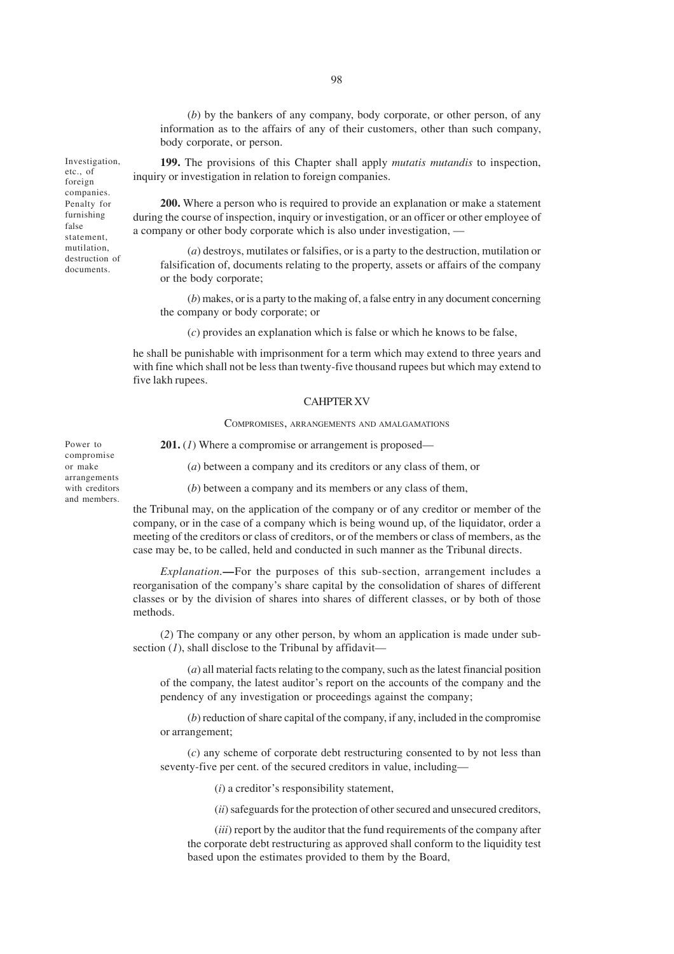(*b*) by the bankers of any company, body corporate, or other person, of any information as to the affairs of any of their customers, other than such company, body corporate, or person.

**199.** The provisions of this Chapter shall apply *mutatis mutandis* to inspection, inquiry or investigation in relation to foreign companies.

**200.** Where a person who is required to provide an explanation or make a statement during the course of inspection, inquiry or investigation, or an officer or other employee of a company or other body corporate which is also under investigation, —

(*a*) destroys, mutilates or falsifies, or is a party to the destruction, mutilation or falsification of, documents relating to the property, assets or affairs of the company or the body corporate;

(*b*) makes, or is a party to the making of, a false entry in any document concerning the company or body corporate; or

(*c*) provides an explanation which is false or which he knows to be false,

he shall be punishable with imprisonment for a term which may extend to three years and with fine which shall not be less than twenty-five thousand rupees but which may extend to five lakh rupees.

# CAHPTER XV

COMPROMISES, ARRANGEMENTS AND AMALGAMATIONS

**201.** (*1*) Where a compromise or arrangement is proposed—

(*a*) between a company and its creditors or any class of them, or

(*b*) between a company and its members or any class of them,

the Tribunal may, on the application of the company or of any creditor or member of the company, or in the case of a company which is being wound up, of the liquidator, order a meeting of the creditors or class of creditors, or of the members or class of members, as the case may be, to be called, held and conducted in such manner as the Tribunal directs.

*Explanation.—*For the purposes of this sub-section, arrangement includes a reorganisation of the company's share capital by the consolidation of shares of different classes or by the division of shares into shares of different classes, or by both of those methods.

(*2*) The company or any other person, by whom an application is made under subsection  $(1)$ , shall disclose to the Tribunal by affidavit—

(*a*) all material facts relating to the company, such as the latest financial position of the company, the latest auditor's report on the accounts of the company and the pendency of any investigation or proceedings against the company;

(*b*) reduction of share capital of the company, if any, included in the compromise or arrangement;

(*c*) any scheme of corporate debt restructuring consented to by not less than seventy-five per cent. of the secured creditors in value, including—

(*i*) a creditor's responsibility statement,

(*ii*) safeguards for the protection of other secured and unsecured creditors,

(*iii*) report by the auditor that the fund requirements of the company after the corporate debt restructuring as approved shall conform to the liquidity test based upon the estimates provided to them by the Board,

Power to compromise or make arrangements with creditors and members.

Investigation, etc., of foreign companies. Penalty for furnishing false statement, mutilation, destruction of documents.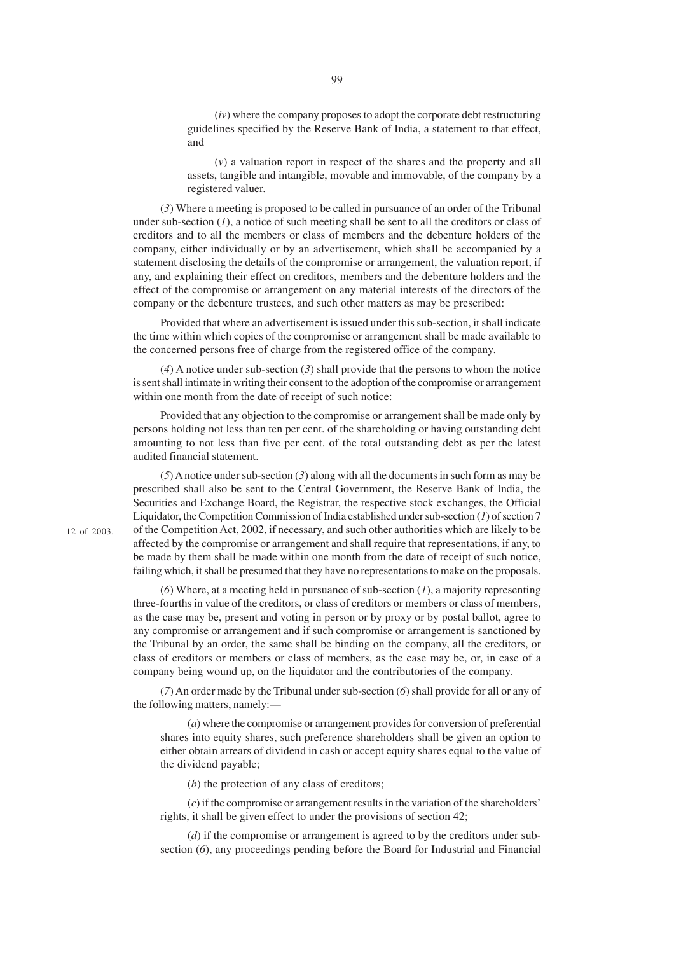(*iv*) where the company proposes to adopt the corporate debt restructuring guidelines specified by the Reserve Bank of India, a statement to that effect, and

(*v*) a valuation report in respect of the shares and the property and all assets, tangible and intangible, movable and immovable, of the company by a registered valuer.

(*3*) Where a meeting is proposed to be called in pursuance of an order of the Tribunal under sub-section (*1*), a notice of such meeting shall be sent to all the creditors or class of creditors and to all the members or class of members and the debenture holders of the company, either individually or by an advertisement, which shall be accompanied by a statement disclosing the details of the compromise or arrangement, the valuation report, if any, and explaining their effect on creditors, members and the debenture holders and the effect of the compromise or arrangement on any material interests of the directors of the company or the debenture trustees, and such other matters as may be prescribed:

Provided that where an advertisement is issued under this sub-section, it shall indicate the time within which copies of the compromise or arrangement shall be made available to the concerned persons free of charge from the registered office of the company.

(*4*) A notice under sub-section (*3*) shall provide that the persons to whom the notice is sent shall intimate in writing their consent to the adoption of the compromise or arrangement within one month from the date of receipt of such notice:

Provided that any objection to the compromise or arrangement shall be made only by persons holding not less than ten per cent. of the shareholding or having outstanding debt amounting to not less than five per cent. of the total outstanding debt as per the latest audited financial statement.

(*5*) A notice under sub-section (*3*) along with all the documents in such form as may be prescribed shall also be sent to the Central Government, the Reserve Bank of India, the Securities and Exchange Board, the Registrar, the respective stock exchanges, the Official Liquidator, the Competition Commission of India established under sub-section (*1*) of section 7 of the Competition Act, 2002, if necessary, and such other authorities which are likely to be affected by the compromise or arrangement and shall require that representations, if any, to be made by them shall be made within one month from the date of receipt of such notice, failing which, it shall be presumed that they have no representations to make on the proposals.

(*6*) Where, at a meeting held in pursuance of sub-section (*1*), a majority representing three-fourths in value of the creditors, or class of creditors or members or class of members, as the case may be, present and voting in person or by proxy or by postal ballot, agree to any compromise or arrangement and if such compromise or arrangement is sanctioned by the Tribunal by an order, the same shall be binding on the company, all the creditors, or class of creditors or members or class of members, as the case may be, or, in case of a company being wound up, on the liquidator and the contributories of the company.

(*7*) An order made by the Tribunal under sub-section (*6*) shall provide for all or any of the following matters, namely:—

(*a*) where the compromise or arrangement provides for conversion of preferential shares into equity shares, such preference shareholders shall be given an option to either obtain arrears of dividend in cash or accept equity shares equal to the value of the dividend payable;

(*b*) the protection of any class of creditors;

(*c*) if the compromise or arrangement results in the variation of the shareholders' rights, it shall be given effect to under the provisions of section 42;

(*d*) if the compromise or arrangement is agreed to by the creditors under subsection (*6*), any proceedings pending before the Board for Industrial and Financial

12 of 2003.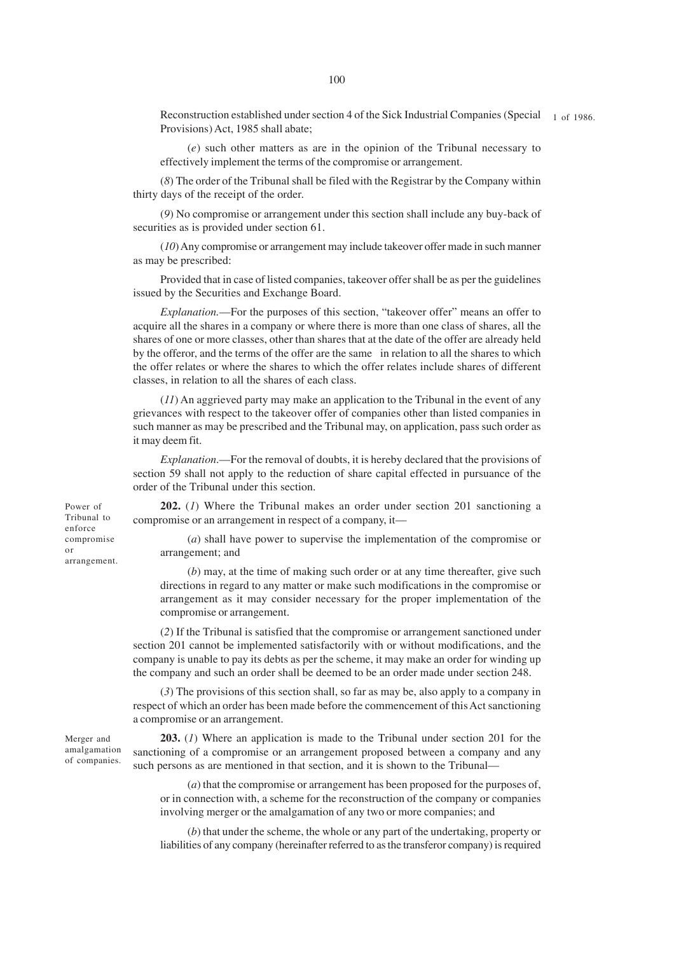Reconstruction established under section 4 of the Sick Industrial Companies (Special 1 of 1986. Provisions) Act, 1985 shall abate;

(*e*) such other matters as are in the opinion of the Tribunal necessary to effectively implement the terms of the compromise or arrangement.

(*8*) The order of the Tribunal shall be filed with the Registrar by the Company within thirty days of the receipt of the order.

(*9*) No compromise or arrangement under this section shall include any buy-back of securities as is provided under section 61.

(*10*) Any compromise or arrangement may include takeover offer made in such manner as may be prescribed:

Provided that in case of listed companies, takeover offer shall be as per the guidelines issued by the Securities and Exchange Board.

*Explanation.*—For the purposes of this section, "takeover offer" means an offer to acquire all the shares in a company or where there is more than one class of shares, all the shares of one or more classes, other than shares that at the date of the offer are already held by the offeror, and the terms of the offer are the same in relation to all the shares to which the offer relates or where the shares to which the offer relates include shares of different classes, in relation to all the shares of each class.

(*11*) An aggrieved party may make an application to the Tribunal in the event of any grievances with respect to the takeover offer of companies other than listed companies in such manner as may be prescribed and the Tribunal may, on application, pass such order as it may deem fit.

*Explanation*.—For the removal of doubts, it is hereby declared that the provisions of section 59 shall not apply to the reduction of share capital effected in pursuance of the order of the Tribunal under this section.

**202.** (*1*) Where the Tribunal makes an order under section 201 sanctioning a compromise or an arrangement in respect of a company, it—

(*a*) shall have power to supervise the implementation of the compromise or arrangement; and

(*b*) may, at the time of making such order or at any time thereafter, give such directions in regard to any matter or make such modifications in the compromise or arrangement as it may consider necessary for the proper implementation of the compromise or arrangement.

(*2*) If the Tribunal is satisfied that the compromise or arrangement sanctioned under section 201 cannot be implemented satisfactorily with or without modifications, and the company is unable to pay its debts as per the scheme, it may make an order for winding up the company and such an order shall be deemed to be an order made under section 248.

(*3*) The provisions of this section shall, so far as may be, also apply to a company in respect of which an order has been made before the commencement of this Act sanctioning a compromise or an arrangement.

**203.** (*1*) Where an application is made to the Tribunal under section 201 for the sanctioning of a compromise or an arrangement proposed between a company and any such persons as are mentioned in that section, and it is shown to the Tribunal—

(*a*) that the compromise or arrangement has been proposed for the purposes of, or in connection with, a scheme for the reconstruction of the company or companies involving merger or the amalgamation of any two or more companies; and

(*b*) that under the scheme, the whole or any part of the undertaking, property or liabilities of any company (hereinafter referred to as the transferor company) is required

Power of Tribunal to enforce compromise or arrangement.

Merger and amalgamation of companies.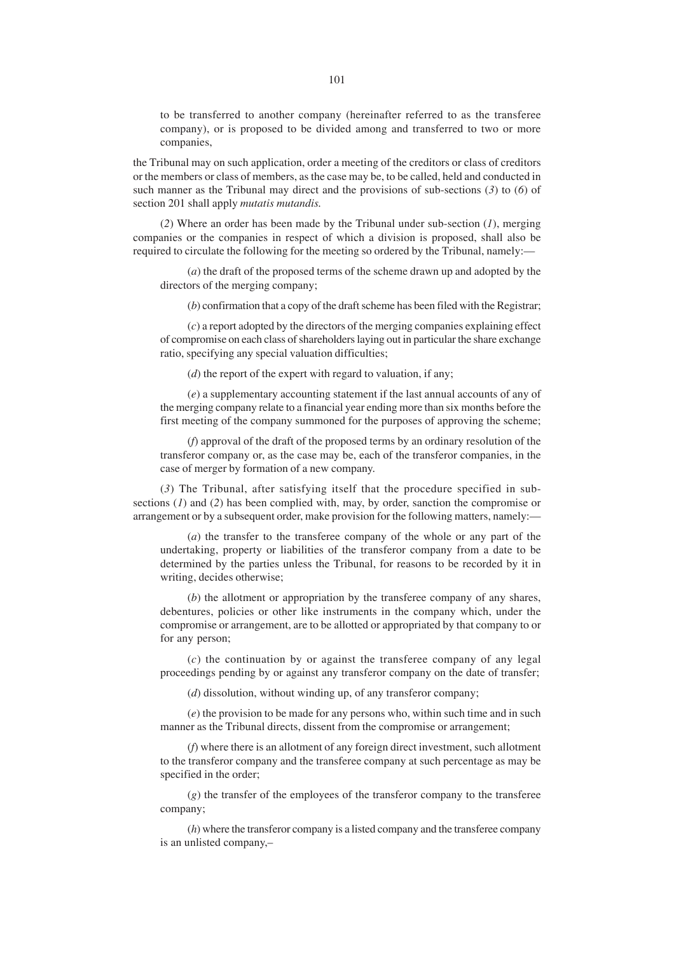to be transferred to another company (hereinafter referred to as the transferee company), or is proposed to be divided among and transferred to two or more companies,

the Tribunal may on such application, order a meeting of the creditors or class of creditors or the members or class of members, as the case may be, to be called, held and conducted in such manner as the Tribunal may direct and the provisions of sub-sections (*3*) to (*6*) of section 201 shall apply *mutatis mutandis.*

(*2*) Where an order has been made by the Tribunal under sub-section (*1*), merging companies or the companies in respect of which a division is proposed, shall also be required to circulate the following for the meeting so ordered by the Tribunal, namely:—

(*a*) the draft of the proposed terms of the scheme drawn up and adopted by the directors of the merging company;

(*b*) confirmation that a copy of the draft scheme has been filed with the Registrar;

(*c*) a report adopted by the directors of the merging companies explaining effect of compromise on each class of shareholders laying out in particular the share exchange ratio, specifying any special valuation difficulties;

(*d*) the report of the expert with regard to valuation, if any;

(*e*) a supplementary accounting statement if the last annual accounts of any of the merging company relate to a financial year ending more than six months before the first meeting of the company summoned for the purposes of approving the scheme;

(*f*) approval of the draft of the proposed terms by an ordinary resolution of the transferor company or, as the case may be, each of the transferor companies, in the case of merger by formation of a new company.

(*3*) The Tribunal, after satisfying itself that the procedure specified in subsections (*1*) and (*2*) has been complied with, may, by order, sanction the compromise or arrangement or by a subsequent order, make provision for the following matters, namely:—

(*a*) the transfer to the transferee company of the whole or any part of the undertaking, property or liabilities of the transferor company from a date to be determined by the parties unless the Tribunal, for reasons to be recorded by it in writing, decides otherwise;

(*b*) the allotment or appropriation by the transferee company of any shares, debentures, policies or other like instruments in the company which, under the compromise or arrangement, are to be allotted or appropriated by that company to or for any person;

(*c*) the continuation by or against the transferee company of any legal proceedings pending by or against any transferor company on the date of transfer;

(*d*) dissolution, without winding up, of any transferor company;

(*e*) the provision to be made for any persons who, within such time and in such manner as the Tribunal directs, dissent from the compromise or arrangement;

(*f*) where there is an allotment of any foreign direct investment, such allotment to the transferor company and the transferee company at such percentage as may be specified in the order;

(*g*) the transfer of the employees of the transferor company to the transferee company;

(*h*) where the transferor company is a listed company and the transferee company is an unlisted company,–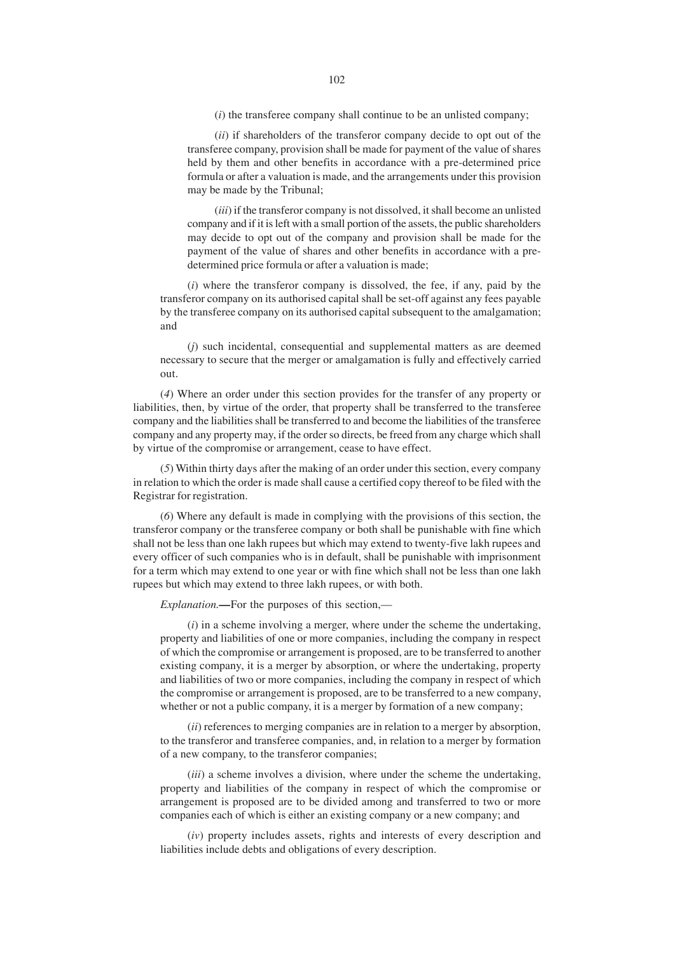(*i*) the transferee company shall continue to be an unlisted company;

(*ii*) if shareholders of the transferor company decide to opt out of the transferee company, provision shall be made for payment of the value of shares held by them and other benefits in accordance with a pre-determined price formula or after a valuation is made, and the arrangements under this provision may be made by the Tribunal;

(*iii*) if the transferor company is not dissolved, it shall become an unlisted company and if it is left with a small portion of the assets, the public shareholders may decide to opt out of the company and provision shall be made for the payment of the value of shares and other benefits in accordance with a predetermined price formula or after a valuation is made;

(*i*) where the transferor company is dissolved, the fee, if any, paid by the transferor company on its authorised capital shall be set-off against any fees payable by the transferee company on its authorised capital subsequent to the amalgamation; and

(*j*) such incidental, consequential and supplemental matters as are deemed necessary to secure that the merger or amalgamation is fully and effectively carried out.

(*4*) Where an order under this section provides for the transfer of any property or liabilities, then, by virtue of the order, that property shall be transferred to the transferee company and the liabilities shall be transferred to and become the liabilities of the transferee company and any property may, if the order so directs, be freed from any charge which shall by virtue of the compromise or arrangement, cease to have effect.

(*5*) Within thirty days after the making of an order under this section, every company in relation to which the order is made shall cause a certified copy thereof to be filed with the Registrar for registration.

(*6*) Where any default is made in complying with the provisions of this section, the transferor company or the transferee company or both shall be punishable with fine which shall not be less than one lakh rupees but which may extend to twenty-five lakh rupees and every officer of such companies who is in default, shall be punishable with imprisonment for a term which may extend to one year or with fine which shall not be less than one lakh rupees but which may extend to three lakh rupees, or with both.

*Explanation.—*For the purposes of this section,—

(*i*) in a scheme involving a merger, where under the scheme the undertaking, property and liabilities of one or more companies, including the company in respect of which the compromise or arrangement is proposed, are to be transferred to another existing company, it is a merger by absorption, or where the undertaking, property and liabilities of two or more companies, including the company in respect of which the compromise or arrangement is proposed, are to be transferred to a new company, whether or not a public company, it is a merger by formation of a new company;

(*ii*) references to merging companies are in relation to a merger by absorption, to the transferor and transferee companies, and, in relation to a merger by formation of a new company, to the transferor companies;

(*iii*) a scheme involves a division, where under the scheme the undertaking, property and liabilities of the company in respect of which the compromise or arrangement is proposed are to be divided among and transferred to two or more companies each of which is either an existing company or a new company; and

(*iv*) property includes assets, rights and interests of every description and liabilities include debts and obligations of every description.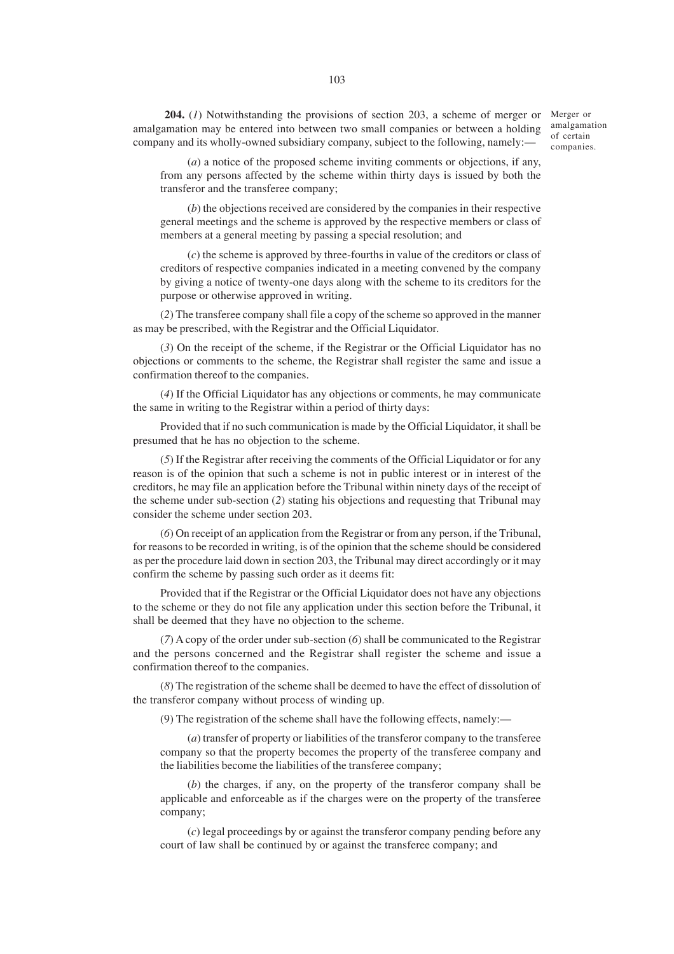amalgamation of certain companies.

204. (1) Notwithstanding the provisions of section 203, a scheme of merger or Merger or amalgamation may be entered into between two small companies or between a holding company and its wholly-owned subsidiary company, subject to the following, namely:—

(*a*) a notice of the proposed scheme inviting comments or objections, if any, from any persons affected by the scheme within thirty days is issued by both the transferor and the transferee company;

(*b*) the objections received are considered by the companies in their respective general meetings and the scheme is approved by the respective members or class of members at a general meeting by passing a special resolution; and

(*c*) the scheme is approved by three-fourths in value of the creditors or class of creditors of respective companies indicated in a meeting convened by the company by giving a notice of twenty-one days along with the scheme to its creditors for the purpose or otherwise approved in writing.

(*2*) The transferee company shall file a copy of the scheme so approved in the manner as may be prescribed, with the Registrar and the Official Liquidator.

(*3*) On the receipt of the scheme, if the Registrar or the Official Liquidator has no objections or comments to the scheme, the Registrar shall register the same and issue a confirmation thereof to the companies.

(*4*) If the Official Liquidator has any objections or comments, he may communicate the same in writing to the Registrar within a period of thirty days:

Provided that if no such communication is made by the Official Liquidator, it shall be presumed that he has no objection to the scheme.

(*5*) If the Registrar after receiving the comments of the Official Liquidator or for any reason is of the opinion that such a scheme is not in public interest or in interest of the creditors, he may file an application before the Tribunal within ninety days of the receipt of the scheme under sub-section (*2*) stating his objections and requesting that Tribunal may consider the scheme under section 203.

(*6*) On receipt of an application from the Registrar or from any person, if the Tribunal, for reasons to be recorded in writing, is of the opinion that the scheme should be considered as per the procedure laid down in section 203, the Tribunal may direct accordingly or it may confirm the scheme by passing such order as it deems fit:

Provided that if the Registrar or the Official Liquidator does not have any objections to the scheme or they do not file any application under this section before the Tribunal, it shall be deemed that they have no objection to the scheme.

(*7*) A copy of the order under sub-section (*6*) shall be communicated to the Registrar and the persons concerned and the Registrar shall register the scheme and issue a confirmation thereof to the companies.

(*8*) The registration of the scheme shall be deemed to have the effect of dissolution of the transferor company without process of winding up.

(9) The registration of the scheme shall have the following effects, namely:—

(*a*) transfer of property or liabilities of the transferor company to the transferee company so that the property becomes the property of the transferee company and the liabilities become the liabilities of the transferee company;

(*b*) the charges, if any, on the property of the transferor company shall be applicable and enforceable as if the charges were on the property of the transferee company;

(*c*) legal proceedings by or against the transferor company pending before any court of law shall be continued by or against the transferee company; and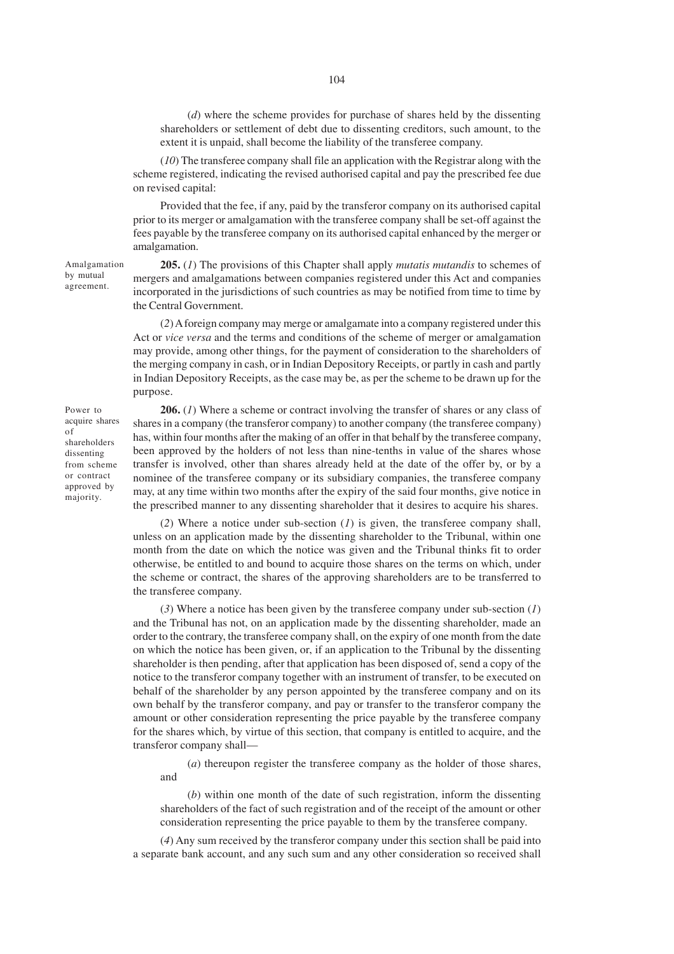(*d*) where the scheme provides for purchase of shares held by the dissenting shareholders or settlement of debt due to dissenting creditors, such amount, to the extent it is unpaid, shall become the liability of the transferee company.

(*10*) The transferee company shall file an application with the Registrar along with the scheme registered, indicating the revised authorised capital and pay the prescribed fee due on revised capital:

Provided that the fee, if any, paid by the transferor company on its authorised capital prior to its merger or amalgamation with the transferee company shall be set-off against the fees payable by the transferee company on its authorised capital enhanced by the merger or amalgamation.

**205.** (*1*) The provisions of this Chapter shall apply *mutatis mutandis* to schemes of mergers and amalgamations between companies registered under this Act and companies incorporated in the jurisdictions of such countries as may be notified from time to time by the Central Government.

(*2*) A foreign company may merge or amalgamate into a company registered under this Act or *vice versa* and the terms and conditions of the scheme of merger or amalgamation may provide, among other things, for the payment of consideration to the shareholders of the merging company in cash, or in Indian Depository Receipts, or partly in cash and partly in Indian Depository Receipts, as the case may be, as per the scheme to be drawn up for the purpose.

Power to acquire shares of shareholders dissenting from scheme or contract approved by majority.

Amalgamation by mutual agreement.

> **206.** (*1*) Where a scheme or contract involving the transfer of shares or any class of shares in a company (the transferor company) to another company (the transferee company) has, within four months after the making of an offer in that behalf by the transferee company, been approved by the holders of not less than nine-tenths in value of the shares whose transfer is involved, other than shares already held at the date of the offer by, or by a nominee of the transferee company or its subsidiary companies, the transferee company may, at any time within two months after the expiry of the said four months, give notice in the prescribed manner to any dissenting shareholder that it desires to acquire his shares.

> (*2*) Where a notice under sub-section (*1*) is given, the transferee company shall, unless on an application made by the dissenting shareholder to the Tribunal, within one month from the date on which the notice was given and the Tribunal thinks fit to order otherwise, be entitled to and bound to acquire those shares on the terms on which, under the scheme or contract, the shares of the approving shareholders are to be transferred to the transferee company.

> (*3*) Where a notice has been given by the transferee company under sub-section (*1*) and the Tribunal has not, on an application made by the dissenting shareholder, made an order to the contrary, the transferee company shall, on the expiry of one month from the date on which the notice has been given, or, if an application to the Tribunal by the dissenting shareholder is then pending, after that application has been disposed of, send a copy of the notice to the transferor company together with an instrument of transfer, to be executed on behalf of the shareholder by any person appointed by the transferee company and on its own behalf by the transferor company, and pay or transfer to the transferor company the amount or other consideration representing the price payable by the transferee company for the shares which, by virtue of this section, that company is entitled to acquire, and the transferor company shall—

(*a*) thereupon register the transferee company as the holder of those shares, and

(*b*) within one month of the date of such registration, inform the dissenting shareholders of the fact of such registration and of the receipt of the amount or other consideration representing the price payable to them by the transferee company.

(*4*) Any sum received by the transferor company under this section shall be paid into a separate bank account, and any such sum and any other consideration so received shall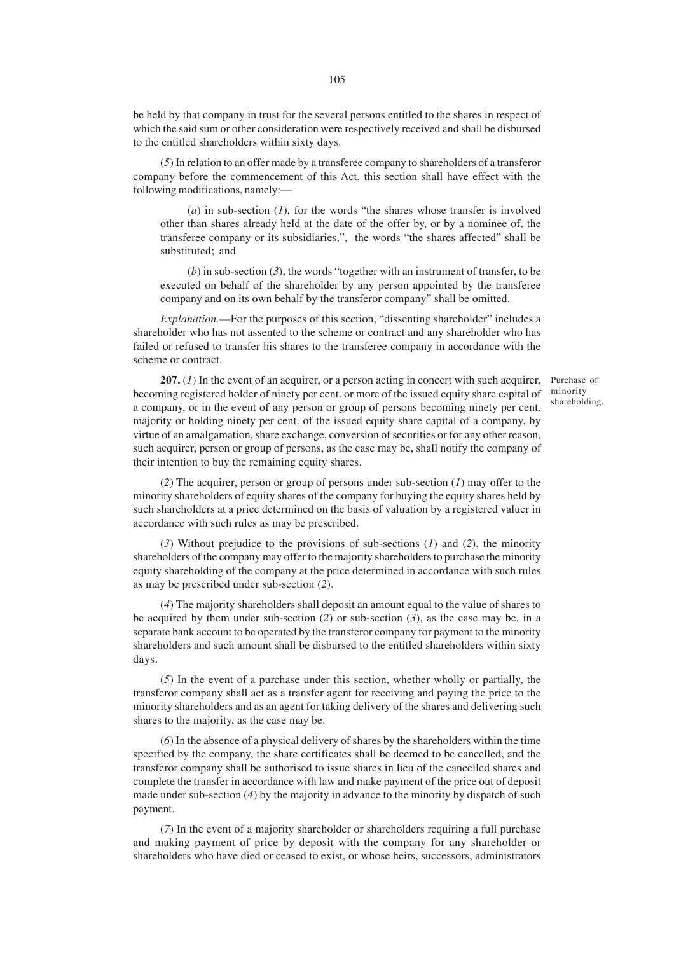be held by that company in trust for the several persons entitled to the shares in respect of which the said sum or other consideration were respectively received and shall be disbursed to the entitled shareholders within sixty days.

(*5*) In relation to an offer made by a transferee company to shareholders of a transferor company before the commencement of this Act, this section shall have effect with the following modifications, namely:—

(*a*) in sub-section (*1*), for the words "the shares whose transfer is involved other than shares already held at the date of the offer by, or by a nominee of, the transferee company or its subsidiaries,", the words "the shares affected" shall be substituted; and

(*b*) in sub-section (*3*), the words "together with an instrument of transfer, to be executed on behalf of the shareholder by any person appointed by the transferee company and on its own behalf by the transferor company" shall be omitted.

*Explanation.*—For the purposes of this section, "dissenting shareholder" includes a shareholder who has not assented to the scheme or contract and any shareholder who has failed or refused to transfer his shares to the transferee company in accordance with the scheme or contract.

**207.** (*1*) In the event of an acquirer, or a person acting in concert with such acquirer, becoming registered holder of ninety per cent. or more of the issued equity share capital of a company, or in the event of any person or group of persons becoming ninety per cent. majority or holding ninety per cent. of the issued equity share capital of a company, by virtue of an amalgamation, share exchange, conversion of securities or for any other reason, such acquirer, person or group of persons, as the case may be, shall notify the company of their intention to buy the remaining equity shares.

(*2*) The acquirer, person or group of persons under sub-section (*1*) may offer to the minority shareholders of equity shares of the company for buying the equity shares held by such shareholders at a price determined on the basis of valuation by a registered valuer in accordance with such rules as may be prescribed.

(*3*) Without prejudice to the provisions of sub-sections (*1*) and (*2*), the minority shareholders of the company may offer to the majority shareholders to purchase the minority equity shareholding of the company at the price determined in accordance with such rules as may be prescribed under sub-section (*2*).

(*4*) The majority shareholders shall deposit an amount equal to the value of shares to be acquired by them under sub-section (*2*) or sub-section (*3*), as the case may be, in a separate bank account to be operated by the transferor company for payment to the minority shareholders and such amount shall be disbursed to the entitled shareholders within sixty days.

(*5*) In the event of a purchase under this section, whether wholly or partially, the transferor company shall act as a transfer agent for receiving and paying the price to the minority shareholders and as an agent for taking delivery of the shares and delivering such shares to the majority, as the case may be.

(*6*) In the absence of a physical delivery of shares by the shareholders within the time specified by the company, the share certificates shall be deemed to be cancelled, and the transferor company shall be authorised to issue shares in lieu of the cancelled shares and complete the transfer in accordance with law and make payment of the price out of deposit made under sub-section (*4*) by the majority in advance to the minority by dispatch of such payment.

(*7*) In the event of a majority shareholder or shareholders requiring a full purchase and making payment of price by deposit with the company for any shareholder or shareholders who have died or ceased to exist, or whose heirs, successors, administrators

Purchase of minority shareholding.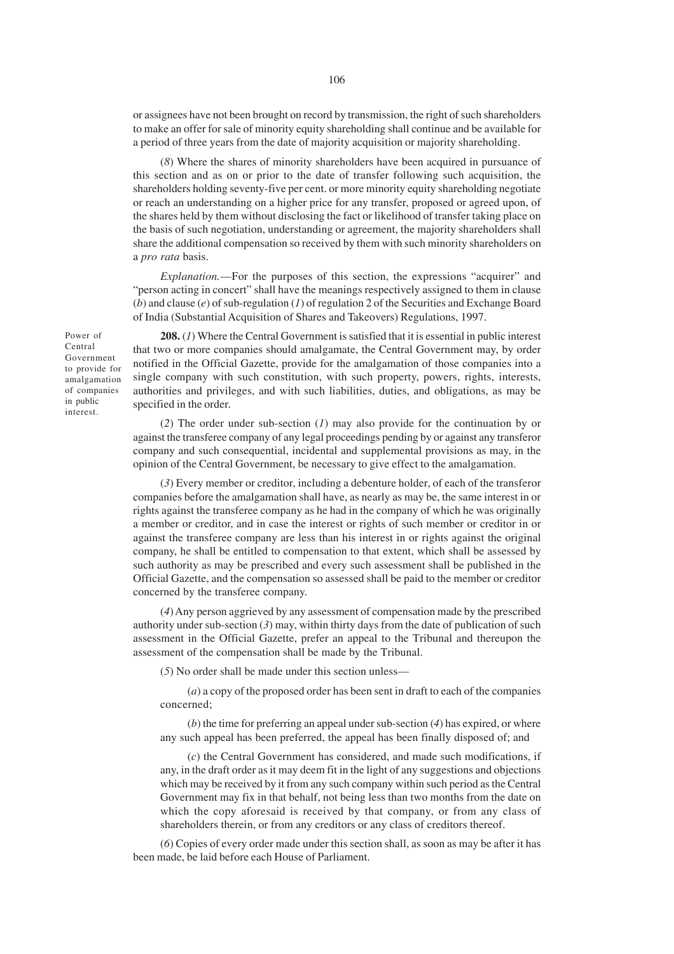or assignees have not been brought on record by transmission, the right of such shareholders to make an offer for sale of minority equity shareholding shall continue and be available for a period of three years from the date of majority acquisition or majority shareholding.

(*8*) Where the shares of minority shareholders have been acquired in pursuance of this section and as on or prior to the date of transfer following such acquisition, the shareholders holding seventy-five per cent. or more minority equity shareholding negotiate or reach an understanding on a higher price for any transfer, proposed or agreed upon, of the shares held by them without disclosing the fact or likelihood of transfer taking place on the basis of such negotiation, understanding or agreement, the majority shareholders shall share the additional compensation so received by them with such minority shareholders on a *pro rata* basis.

*Explanation.*—For the purposes of this section, the expressions "acquirer" and "person acting in concert" shall have the meanings respectively assigned to them in clause (*b*) and clause (*e*) of sub-regulation (*1*) of regulation 2 of the Securities and Exchange Board of India (Substantial Acquisition of Shares and Takeovers) Regulations, 1997.

Power of Central Government to provide for amalgamation of companies in public interest.

**208.** (*1*) Where the Central Government is satisfied that it is essential in public interest that two or more companies should amalgamate, the Central Government may, by order notified in the Official Gazette, provide for the amalgamation of those companies into a single company with such constitution, with such property, powers, rights, interests, authorities and privileges, and with such liabilities, duties, and obligations, as may be specified in the order.

(*2*) The order under sub-section (*1*) may also provide for the continuation by or against the transferee company of any legal proceedings pending by or against any transferor company and such consequential, incidental and supplemental provisions as may, in the opinion of the Central Government, be necessary to give effect to the amalgamation.

(*3*) Every member or creditor, including a debenture holder, of each of the transferor companies before the amalgamation shall have, as nearly as may be, the same interest in or rights against the transferee company as he had in the company of which he was originally a member or creditor, and in case the interest or rights of such member or creditor in or against the transferee company are less than his interest in or rights against the original company, he shall be entitled to compensation to that extent, which shall be assessed by such authority as may be prescribed and every such assessment shall be published in the Official Gazette, and the compensation so assessed shall be paid to the member or creditor concerned by the transferee company.

(*4*) Any person aggrieved by any assessment of compensation made by the prescribed authority under sub-section (*3*) may, within thirty days from the date of publication of such assessment in the Official Gazette, prefer an appeal to the Tribunal and thereupon the assessment of the compensation shall be made by the Tribunal.

(*5*) No order shall be made under this section unless—

(*a*) a copy of the proposed order has been sent in draft to each of the companies concerned;

(*b*) the time for preferring an appeal under sub-section (*4*) has expired, or where any such appeal has been preferred, the appeal has been finally disposed of; and

(*c*) the Central Government has considered, and made such modifications, if any, in the draft order as it may deem fit in the light of any suggestions and objections which may be received by it from any such company within such period as the Central Government may fix in that behalf, not being less than two months from the date on which the copy aforesaid is received by that company, or from any class of shareholders therein, or from any creditors or any class of creditors thereof.

(*6*) Copies of every order made under this section shall, as soon as may be after it has been made, be laid before each House of Parliament.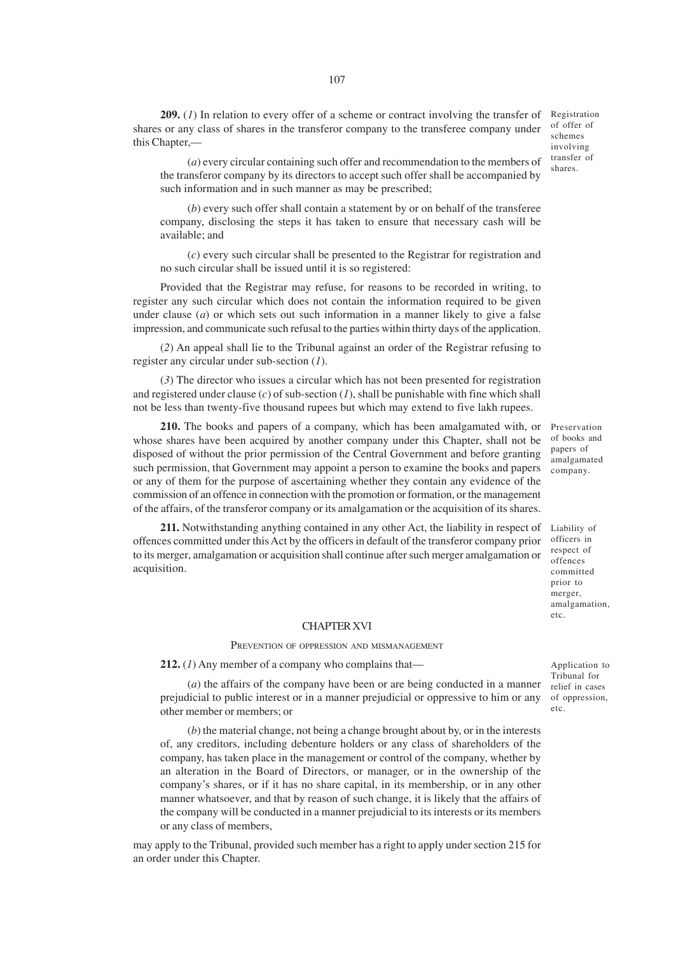**209.** (*1*) In relation to every offer of a scheme or contract involving the transfer of shares or any class of shares in the transferor company to the transferee company under this Chapter,—

(*a*) every circular containing such offer and recommendation to the members of the transferor company by its directors to accept such offer shall be accompanied by such information and in such manner as may be prescribed;

(*b*) every such offer shall contain a statement by or on behalf of the transferee company, disclosing the steps it has taken to ensure that necessary cash will be available; and

(*c*) every such circular shall be presented to the Registrar for registration and no such circular shall be issued until it is so registered:

Provided that the Registrar may refuse, for reasons to be recorded in writing, to register any such circular which does not contain the information required to be given under clause (*a*) or which sets out such information in a manner likely to give a false impression, and communicate such refusal to the parties within thirty days of the application.

(*2*) An appeal shall lie to the Tribunal against an order of the Registrar refusing to register any circular under sub-section (*1*).

(*3*) The director who issues a circular which has not been presented for registration and registered under clause (*c*) of sub-section (*1*), shall be punishable with fine which shall not be less than twenty-five thousand rupees but which may extend to five lakh rupees.

210. The books and papers of a company, which has been amalgamated with, or Preservation whose shares have been acquired by another company under this Chapter, shall not be disposed of without the prior permission of the Central Government and before granting such permission, that Government may appoint a person to examine the books and papers or any of them for the purpose of ascertaining whether they contain any evidence of the commission of an offence in connection with the promotion or formation, or the management of the affairs, of the transferor company or its amalgamation or the acquisition of its shares.

**211.** Notwithstanding anything contained in any other Act, the liability in respect of offences committed under this Act by the officers in default of the transferor company prior to its merger, amalgamation or acquisition shall continue after such merger amalgamation or acquisition.

Liability of officers in respect of offences committed prior to merger, amalgamation,

etc.

of books and papers of amalgamated company.

Registration of offer of schemes involving transfer of shares.

# CHAPTER XVI

#### PREVENTION OF OPPRESSION AND MISMANAGEMENT

**212.** (*1*) Any member of a company who complains that—

(*a*) the affairs of the company have been or are being conducted in a manner prejudicial to public interest or in a manner prejudicial or oppressive to him or any other member or members; or

(*b*) the material change, not being a change brought about by, or in the interests of, any creditors, including debenture holders or any class of shareholders of the company, has taken place in the management or control of the company, whether by an alteration in the Board of Directors, or manager, or in the ownership of the company's shares, or if it has no share capital, in its membership, or in any other manner whatsoever, and that by reason of such change, it is likely that the affairs of the company will be conducted in a manner prejudicial to its interests or its members or any class of members,

may apply to the Tribunal, provided such member has a right to apply under section 215 for an order under this Chapter.

Application to Tribunal for relief in cases of oppression, etc.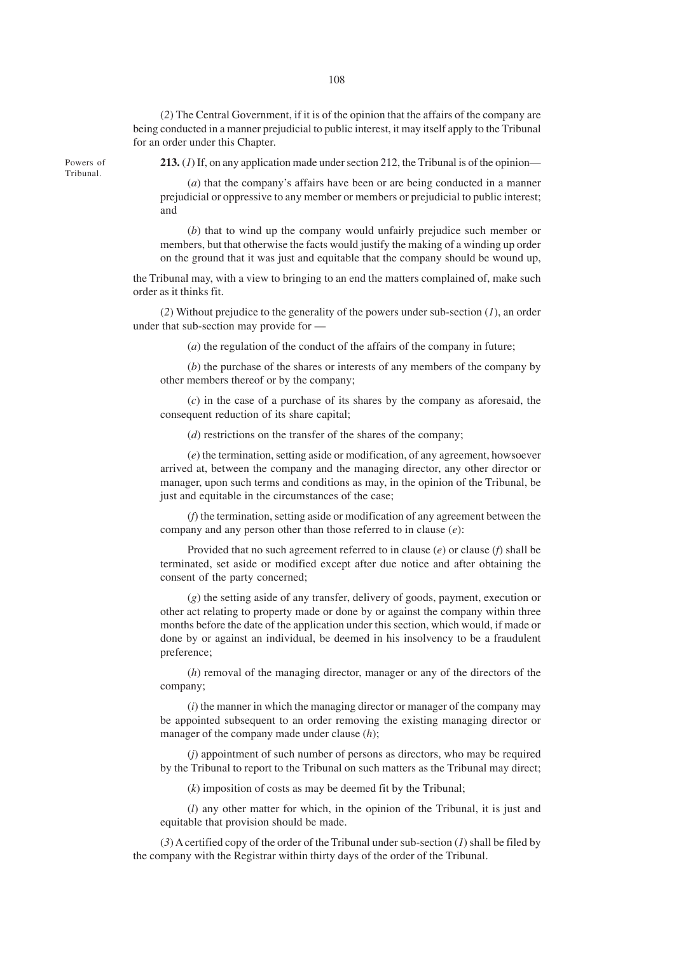108

(*2*) The Central Government, if it is of the opinion that the affairs of the company are being conducted in a manner prejudicial to public interest, it may itself apply to the Tribunal for an order under this Chapter.

Powers of Tribunal.

**213.** (*1*) If, on any application made under section 212, the Tribunal is of the opinion—

(*a*) that the company's affairs have been or are being conducted in a manner prejudicial or oppressive to any member or members or prejudicial to public interest; and

(*b*) that to wind up the company would unfairly prejudice such member or members, but that otherwise the facts would justify the making of a winding up order on the ground that it was just and equitable that the company should be wound up,

the Tribunal may, with a view to bringing to an end the matters complained of, make such order as it thinks fit.

(*2*) Without prejudice to the generality of the powers under sub-section (*1*), an order under that sub-section may provide for —

(*a*) the regulation of the conduct of the affairs of the company in future;

(*b*) the purchase of the shares or interests of any members of the company by other members thereof or by the company;

(*c*) in the case of a purchase of its shares by the company as aforesaid, the consequent reduction of its share capital;

(*d*) restrictions on the transfer of the shares of the company;

(*e*) the termination, setting aside or modification, of any agreement, howsoever arrived at, between the company and the managing director, any other director or manager, upon such terms and conditions as may, in the opinion of the Tribunal, be just and equitable in the circumstances of the case;

(*f*) the termination, setting aside or modification of any agreement between the company and any person other than those referred to in clause (*e*):

Provided that no such agreement referred to in clause (*e*) or clause (*f*) shall be terminated, set aside or modified except after due notice and after obtaining the consent of the party concerned;

(*g*) the setting aside of any transfer, delivery of goods, payment, execution or other act relating to property made or done by or against the company within three months before the date of the application under this section, which would, if made or done by or against an individual, be deemed in his insolvency to be a fraudulent preference;

(*h*) removal of the managing director, manager or any of the directors of the company;

(*i*) the manner in which the managing director or manager of the company may be appointed subsequent to an order removing the existing managing director or manager of the company made under clause (*h*);

(*j*) appointment of such number of persons as directors, who may be required by the Tribunal to report to the Tribunal on such matters as the Tribunal may direct;

(*k*) imposition of costs as may be deemed fit by the Tribunal;

(*l*) any other matter for which, in the opinion of the Tribunal, it is just and equitable that provision should be made.

(*3*) A certified copy of the order of the Tribunal under sub-section (*1*) shall be filed by the company with the Registrar within thirty days of the order of the Tribunal.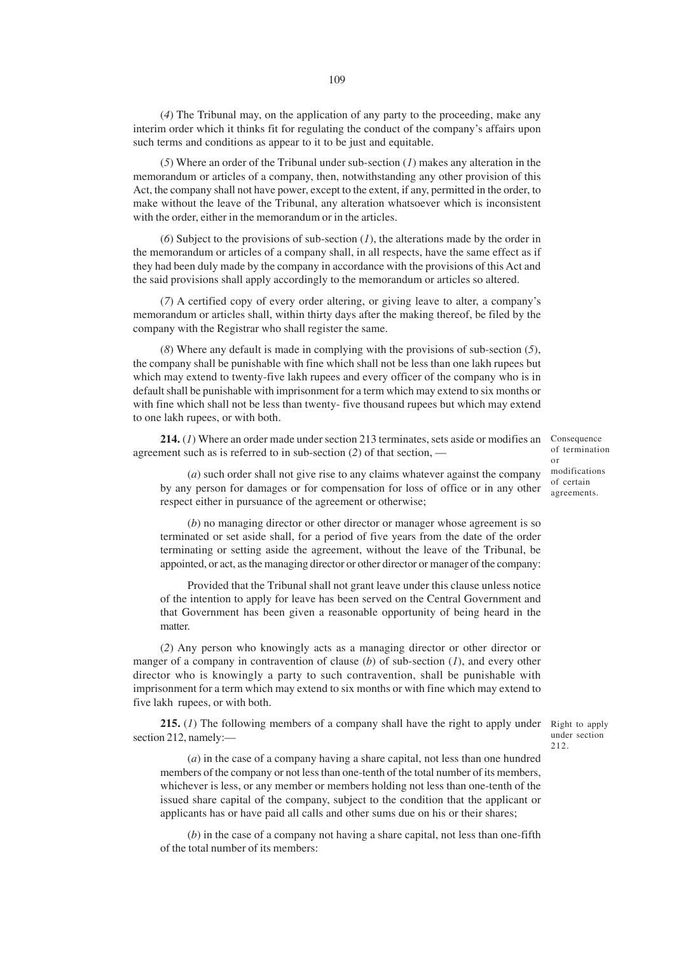(*4*) The Tribunal may, on the application of any party to the proceeding, make any interim order which it thinks fit for regulating the conduct of the company's affairs upon such terms and conditions as appear to it to be just and equitable.

(*5*) Where an order of the Tribunal under sub-section (*1*) makes any alteration in the memorandum or articles of a company, then, notwithstanding any other provision of this Act, the company shall not have power, except to the extent, if any, permitted in the order, to make without the leave of the Tribunal, any alteration whatsoever which is inconsistent with the order, either in the memorandum or in the articles.

(*6*) Subject to the provisions of sub-section (*1*), the alterations made by the order in the memorandum or articles of a company shall, in all respects, have the same effect as if they had been duly made by the company in accordance with the provisions of this Act and the said provisions shall apply accordingly to the memorandum or articles so altered.

(*7*) A certified copy of every order altering, or giving leave to alter, a company's memorandum or articles shall, within thirty days after the making thereof, be filed by the company with the Registrar who shall register the same.

(*8*) Where any default is made in complying with the provisions of sub-section (*5*), the company shall be punishable with fine which shall not be less than one lakh rupees but which may extend to twenty-five lakh rupees and every officer of the company who is in default shall be punishable with imprisonment for a term which may extend to six months or with fine which shall not be less than twenty- five thousand rupees but which may extend to one lakh rupees, or with both.

**214.** (*1*) Where an order made under section 213 terminates, sets aside or modifies an agreement such as is referred to in sub-section (*2*) of that section, —

Consequence of termination or modifications of certain agreements.

(*a*) such order shall not give rise to any claims whatever against the company by any person for damages or for compensation for loss of office or in any other respect either in pursuance of the agreement or otherwise;

(*b*) no managing director or other director or manager whose agreement is so terminated or set aside shall, for a period of five years from the date of the order terminating or setting aside the agreement, without the leave of the Tribunal, be appointed, or act, as the managing director or other director or manager of the company:

Provided that the Tribunal shall not grant leave under this clause unless notice of the intention to apply for leave has been served on the Central Government and that Government has been given a reasonable opportunity of being heard in the matter.

(*2*) Any person who knowingly acts as a managing director or other director or manger of a company in contravention of clause (*b*) of sub-section (*1*), and every other director who is knowingly a party to such contravention, shall be punishable with imprisonment for a term which may extend to six months or with fine which may extend to five lakh rupees, or with both.

**215.** (1) The following members of a company shall have the right to apply under Right to apply section 212, namely:—

under section 212.

(*a*) in the case of a company having a share capital, not less than one hundred members of the company or not less than one-tenth of the total number of its members, whichever is less, or any member or members holding not less than one-tenth of the issued share capital of the company, subject to the condition that the applicant or applicants has or have paid all calls and other sums due on his or their shares;

(*b*) in the case of a company not having a share capital, not less than one-fifth of the total number of its members: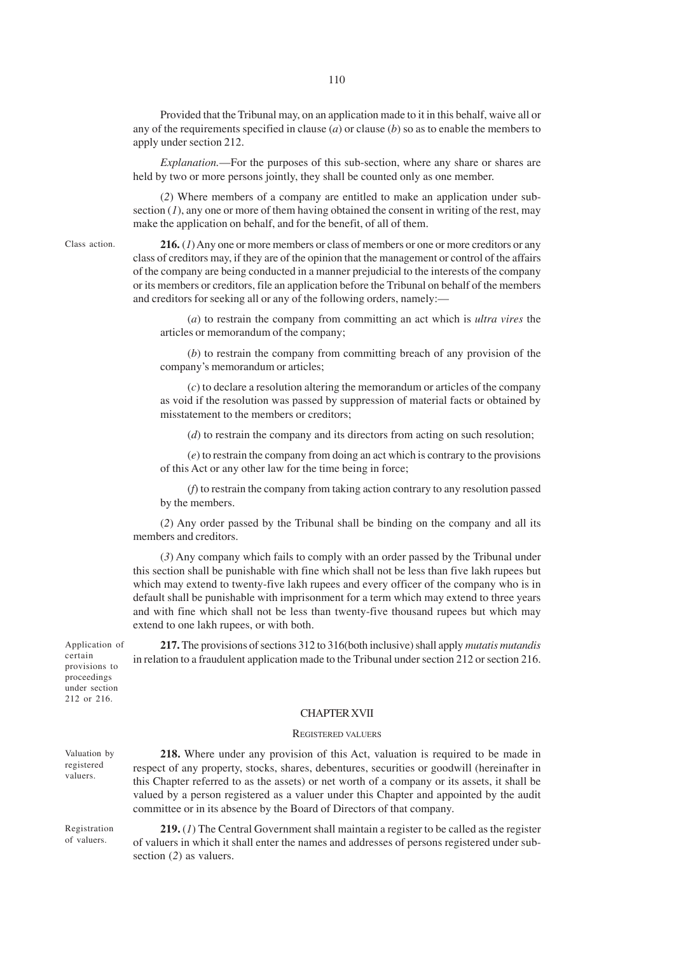Provided that the Tribunal may, on an application made to it in this behalf, waive all or any of the requirements specified in clause (*a*) or clause (*b*) so as to enable the members to apply under section 212.

*Explanation.*—For the purposes of this sub-section, where any share or shares are held by two or more persons jointly, they shall be counted only as one member.

(*2*) Where members of a company are entitled to make an application under subsection  $(1)$ , any one or more of them having obtained the consent in writing of the rest, may make the application on behalf, and for the benefit, of all of them.

Class action.

**216.** (*1*) Any one or more members or class of members or one or more creditors or any class of creditors may, if they are of the opinion that the management or control of the affairs of the company are being conducted in a manner prejudicial to the interests of the company or its members or creditors, file an application before the Tribunal on behalf of the members and creditors for seeking all or any of the following orders, namely:—

(*a*) to restrain the company from committing an act which is *ultra vires* the articles or memorandum of the company;

(*b*) to restrain the company from committing breach of any provision of the company's memorandum or articles;

(*c*) to declare a resolution altering the memorandum or articles of the company as void if the resolution was passed by suppression of material facts or obtained by misstatement to the members or creditors;

(*d*) to restrain the company and its directors from acting on such resolution;

(*e*) to restrain the company from doing an act which is contrary to the provisions of this Act or any other law for the time being in force;

(*f*) to restrain the company from taking action contrary to any resolution passed by the members.

(*2*) Any order passed by the Tribunal shall be binding on the company and all its members and creditors.

(*3*) Any company which fails to comply with an order passed by the Tribunal under this section shall be punishable with fine which shall not be less than five lakh rupees but which may extend to twenty-five lakh rupees and every officer of the company who is in default shall be punishable with imprisonment for a term which may extend to three years and with fine which shall not be less than twenty-five thousand rupees but which may extend to one lakh rupees, or with both.

Application of certain provisions to proceedings under section 212 or 216.

**217.** The provisions of sections 312 to 316(both inclusive) shall apply *mutatis mutandis* in relation to a fraudulent application made to the Tribunal under section 212 or section 216.

## CHAPTER XVII

#### REGISTERED VALUERS

**218.** Where under any provision of this Act, valuation is required to be made in respect of any property, stocks, shares, debentures, securities or goodwill (hereinafter in

Valuation by registered valuers.

of valuers.

this Chapter referred to as the assets) or net worth of a company or its assets, it shall be valued by a person registered as a valuer under this Chapter and appointed by the audit committee or in its absence by the Board of Directors of that company. Registration

**219.** (*1*) The Central Government shall maintain a register to be called as the register of valuers in which it shall enter the names and addresses of persons registered under subsection (*2*) as valuers.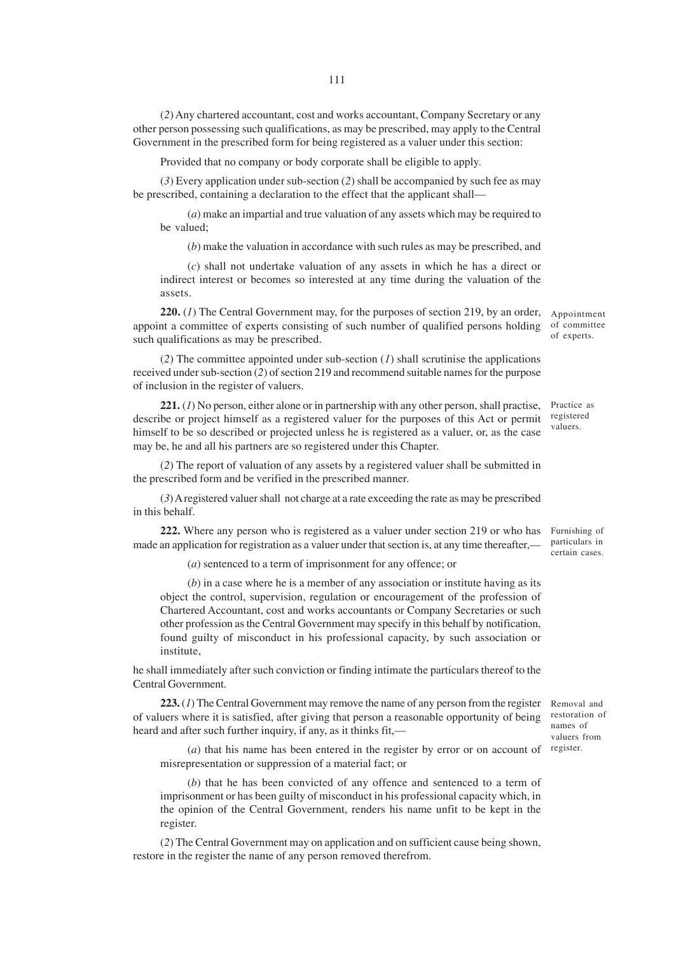(*2*) Any chartered accountant, cost and works accountant, Company Secretary or any other person possessing such qualifications, as may be prescribed, may apply to the Central Government in the prescribed form for being registered as a valuer under this section:

Provided that no company or body corporate shall be eligible to apply.

(*3*) Every application under sub-section (*2*) shall be accompanied by such fee as may be prescribed, containing a declaration to the effect that the applicant shall—

(*a*) make an impartial and true valuation of any assets which may be required to be valued;

(*b*) make the valuation in accordance with such rules as may be prescribed, and

(*c*) shall not undertake valuation of any assets in which he has a direct or indirect interest or becomes so interested at any time during the valuation of the assets.

**220.** (*1*) The Central Government may, for the purposes of section 219, by an order, appoint a committee of experts consisting of such number of qualified persons holding such qualifications as may be prescribed.

(*2*) The committee appointed under sub-section (*1*) shall scrutinise the applications received under sub-section (*2*) of section 219 and recommend suitable names for the purpose of inclusion in the register of valuers.

221. (1) No person, either alone or in partnership with any other person, shall practise, Practice as describe or project himself as a registered valuer for the purposes of this Act or permit himself to be so described or projected unless he is registered as a valuer, or, as the case may be, he and all his partners are so registered under this Chapter.

(*2*) The report of valuation of any assets by a registered valuer shall be submitted in the prescribed form and be verified in the prescribed manner.

(*3*) A registered valuer shall not charge at a rate exceeding the rate as may be prescribed in this behalf.

222. Where any person who is registered as a valuer under section 219 or who has Furnishing of made an application for registration as a valuer under that section is, at any time thereafter,—

(*a*) sentenced to a term of imprisonment for any offence; or

(*b*) in a case where he is a member of any association or institute having as its object the control, supervision, regulation or encouragement of the profession of Chartered Accountant, cost and works accountants or Company Secretaries or such other profession as the Central Government may specify in this behalf by notification, found guilty of misconduct in his professional capacity, by such association or institute,

he shall immediately after such conviction or finding intimate the particulars thereof to the Central Government.

223. (1) The Central Government may remove the name of any person from the register Removal and of valuers where it is satisfied, after giving that person a reasonable opportunity of being heard and after such further inquiry, if any, as it thinks fit,—

(*a*) that his name has been entered in the register by error or on account of register. misrepresentation or suppression of a material fact; or

(*b*) that he has been convicted of any offence and sentenced to a term of imprisonment or has been guilty of misconduct in his professional capacity which, in the opinion of the Central Government, renders his name unfit to be kept in the register.

(*2*) The Central Government may on application and on sufficient cause being shown, restore in the register the name of any person removed therefrom.

Appointment of committee of experts.

registered valuers.

particulars in certain cases.

restoration of names of valuers from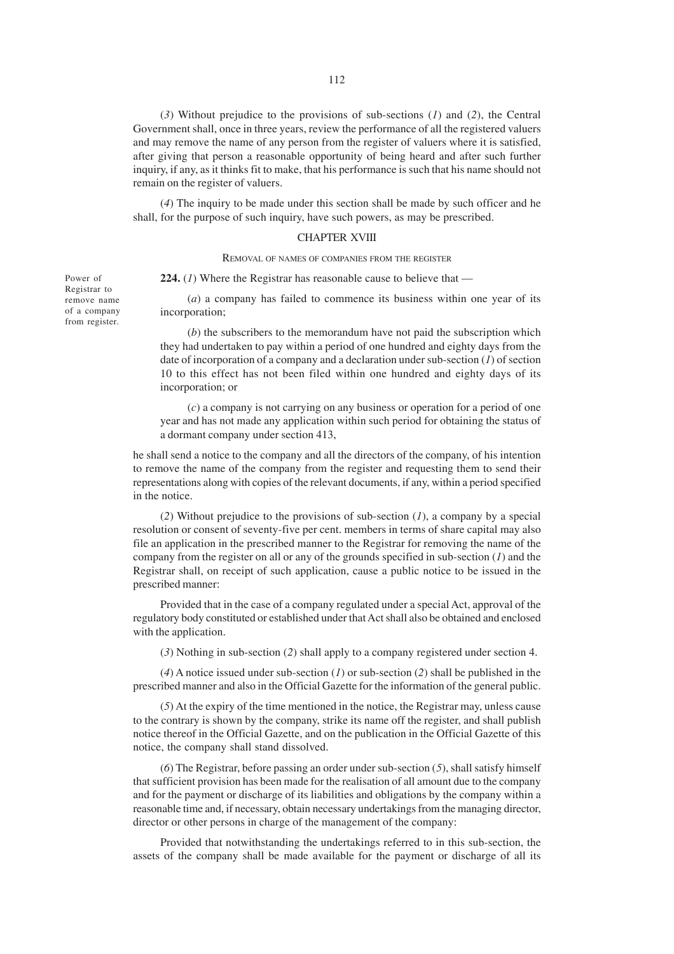(*3*) Without prejudice to the provisions of sub-sections (*1*) and (*2*), the Central Government shall, once in three years, review the performance of all the registered valuers and may remove the name of any person from the register of valuers where it is satisfied, after giving that person a reasonable opportunity of being heard and after such further inquiry, if any, as it thinks fit to make, that his performance is such that his name should not remain on the register of valuers.

(*4*) The inquiry to be made under this section shall be made by such officer and he shall, for the purpose of such inquiry, have such powers, as may be prescribed.

#### CHAPTER XVIII

REMOVAL OF NAMES OF COMPANIES FROM THE REGISTER

**224.** (*1*) Where the Registrar has reasonable cause to believe that —

(*a*) a company has failed to commence its business within one year of its incorporation;

(*b*) the subscribers to the memorandum have not paid the subscription which they had undertaken to pay within a period of one hundred and eighty days from the date of incorporation of a company and a declaration under sub-section (*1*) of section 10 to this effect has not been filed within one hundred and eighty days of its incorporation; or

(*c*) a company is not carrying on any business or operation for a period of one year and has not made any application within such period for obtaining the status of a dormant company under section 413,

he shall send a notice to the company and all the directors of the company, of his intention to remove the name of the company from the register and requesting them to send their representations along with copies of the relevant documents, if any, within a period specified in the notice.

(*2*) Without prejudice to the provisions of sub-section (*1*), a company by a special resolution or consent of seventy-five per cent. members in terms of share capital may also file an application in the prescribed manner to the Registrar for removing the name of the company from the register on all or any of the grounds specified in sub-section (*1*) and the Registrar shall, on receipt of such application, cause a public notice to be issued in the prescribed manner:

Provided that in the case of a company regulated under a special Act, approval of the regulatory body constituted or established under that Act shall also be obtained and enclosed with the application.

(*3*) Nothing in sub-section (*2*) shall apply to a company registered under section 4.

(*4*) A notice issued under sub-section (*1*) or sub-section (*2*) shall be published in the prescribed manner and also in the Official Gazette for the information of the general public.

(*5*) At the expiry of the time mentioned in the notice, the Registrar may, unless cause to the contrary is shown by the company, strike its name off the register, and shall publish notice thereof in the Official Gazette, and on the publication in the Official Gazette of this notice, the company shall stand dissolved.

(*6*) The Registrar, before passing an order under sub-section (*5*), shall satisfy himself that sufficient provision has been made for the realisation of all amount due to the company and for the payment or discharge of its liabilities and obligations by the company within a reasonable time and, if necessary, obtain necessary undertakings from the managing director, director or other persons in charge of the management of the company:

Provided that notwithstanding the undertakings referred to in this sub-section, the assets of the company shall be made available for the payment or discharge of all its

Power of Registrar to remove name of a company from register.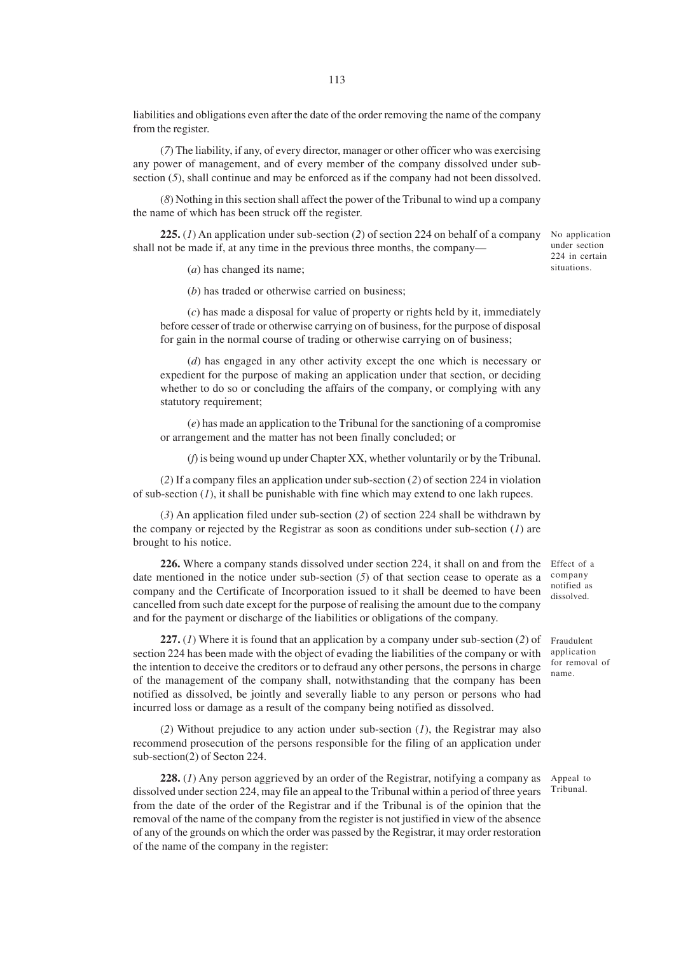liabilities and obligations even after the date of the order removing the name of the company from the register.

(*7*) The liability, if any, of every director, manager or other officer who was exercising any power of management, and of every member of the company dissolved under subsection (*5*), shall continue and may be enforced as if the company had not been dissolved.

(*8*) Nothing in this section shall affect the power of the Tribunal to wind up a company the name of which has been struck off the register.

**225.** (*1*) An application under sub-section (*2*) of section 224 on behalf of a company shall not be made if, at any time in the previous three months, the company—

(*a*) has changed its name;

(*b*) has traded or otherwise carried on business;

(*c*) has made a disposal for value of property or rights held by it, immediately before cesser of trade or otherwise carrying on of business, for the purpose of disposal for gain in the normal course of trading or otherwise carrying on of business;

(*d*) has engaged in any other activity except the one which is necessary or expedient for the purpose of making an application under that section, or deciding whether to do so or concluding the affairs of the company, or complying with any statutory requirement;

(*e*) has made an application to the Tribunal for the sanctioning of a compromise or arrangement and the matter has not been finally concluded; or

(*f*) is being wound up under Chapter XX, whether voluntarily or by the Tribunal.

(*2*) If a company files an application under sub-section (*2*) of section 224 in violation of sub-section  $(I)$ , it shall be punishable with fine which may extend to one lakh rupees.

(*3*) An application filed under sub-section (*2*) of section 224 shall be withdrawn by the company or rejected by the Registrar as soon as conditions under sub-section (*1*) are brought to his notice.

226. Where a company stands dissolved under section 224, it shall on and from the Effect of a date mentioned in the notice under sub-section (*5*) of that section cease to operate as a company and the Certificate of Incorporation issued to it shall be deemed to have been cancelled from such date except for the purpose of realising the amount due to the company and for the payment or discharge of the liabilities or obligations of the company.

**227.** (*1*) Where it is found that an application by a company under sub-section (*2*) of section 224 has been made with the object of evading the liabilities of the company or with the intention to deceive the creditors or to defraud any other persons, the persons in charge of the management of the company shall, notwithstanding that the company has been notified as dissolved, be jointly and severally liable to any person or persons who had incurred loss or damage as a result of the company being notified as dissolved.

(*2*) Without prejudice to any action under sub-section (*1*), the Registrar may also recommend prosecution of the persons responsible for the filing of an application under sub-section(2) of Secton 224.

228. (1) Any person aggrieved by an order of the Registrar, notifying a company as Appeal to dissolved under section 224, may file an appeal to the Tribunal within a period of three years from the date of the order of the Registrar and if the Tribunal is of the opinion that the removal of the name of the company from the register is not justified in view of the absence of any of the grounds on which the order was passed by the Registrar, it may order restoration of the name of the company in the register:

company notified as dissolved.

Fraudulent application for removal of name.

Tribunal.

No application under section 224 in certain situations.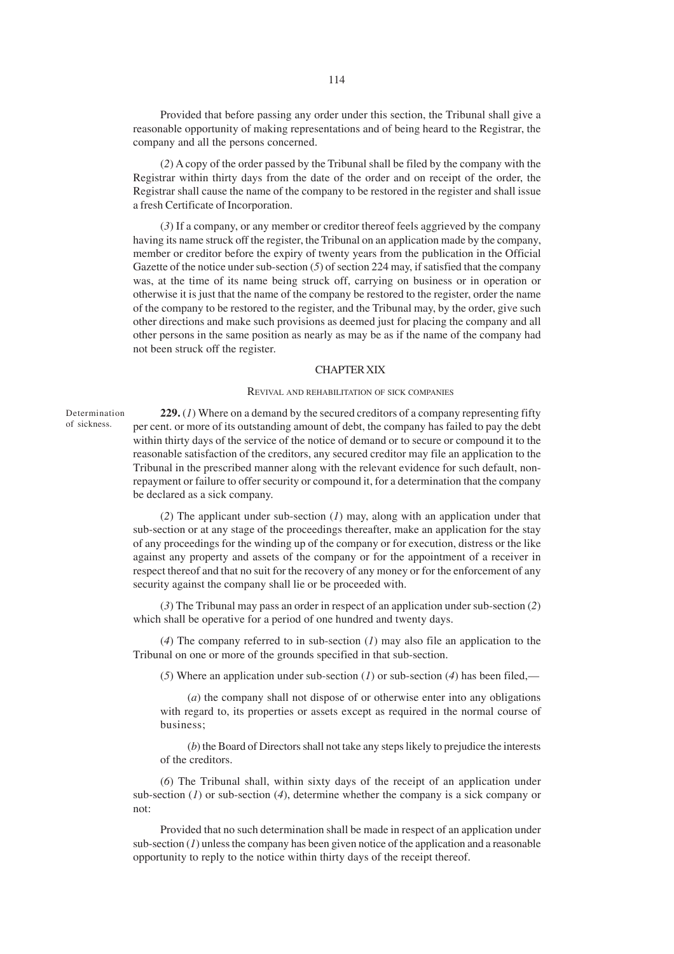Provided that before passing any order under this section, the Tribunal shall give a reasonable opportunity of making representations and of being heard to the Registrar, the company and all the persons concerned.

(*2*) A copy of the order passed by the Tribunal shall be filed by the company with the Registrar within thirty days from the date of the order and on receipt of the order, the Registrar shall cause the name of the company to be restored in the register and shall issue a fresh Certificate of Incorporation.

(*3*) If a company, or any member or creditor thereof feels aggrieved by the company having its name struck off the register, the Tribunal on an application made by the company, member or creditor before the expiry of twenty years from the publication in the Official Gazette of the notice under sub-section (*5*) of section 224 may, if satisfied that the company was, at the time of its name being struck off, carrying on business or in operation or otherwise it is just that the name of the company be restored to the register, order the name of the company to be restored to the register, and the Tribunal may, by the order, give such other directions and make such provisions as deemed just for placing the company and all other persons in the same position as nearly as may be as if the name of the company had not been struck off the register.

## CHAPTER XIX

#### REVIVAL AND REHABILITATION OF SICK COMPANIES

Determination of sickness.

**229.** (*1*) Where on a demand by the secured creditors of a company representing fifty per cent. or more of its outstanding amount of debt, the company has failed to pay the debt within thirty days of the service of the notice of demand or to secure or compound it to the reasonable satisfaction of the creditors, any secured creditor may file an application to the Tribunal in the prescribed manner along with the relevant evidence for such default, nonrepayment or failure to offer security or compound it, for a determination that the company be declared as a sick company.

(*2*) The applicant under sub-section (*1*) may, along with an application under that sub-section or at any stage of the proceedings thereafter, make an application for the stay of any proceedings for the winding up of the company or for execution, distress or the like against any property and assets of the company or for the appointment of a receiver in respect thereof and that no suit for the recovery of any money or for the enforcement of any security against the company shall lie or be proceeded with.

(*3*) The Tribunal may pass an order in respect of an application under sub-section (*2*) which shall be operative for a period of one hundred and twenty days.

(*4*) The company referred to in sub-section (*1*) may also file an application to the Tribunal on one or more of the grounds specified in that sub-section.

(*5*) Where an application under sub-section (*1*) or sub-section (*4*) has been filed,—

(*a*) the company shall not dispose of or otherwise enter into any obligations with regard to, its properties or assets except as required in the normal course of business;

(*b*) the Board of Directors shall not take any steps likely to prejudice the interests of the creditors.

(*6*) The Tribunal shall, within sixty days of the receipt of an application under sub-section (*1*) or sub-section (*4*), determine whether the company is a sick company or not:

Provided that no such determination shall be made in respect of an application under sub-section (*1*) unless the company has been given notice of the application and a reasonable opportunity to reply to the notice within thirty days of the receipt thereof.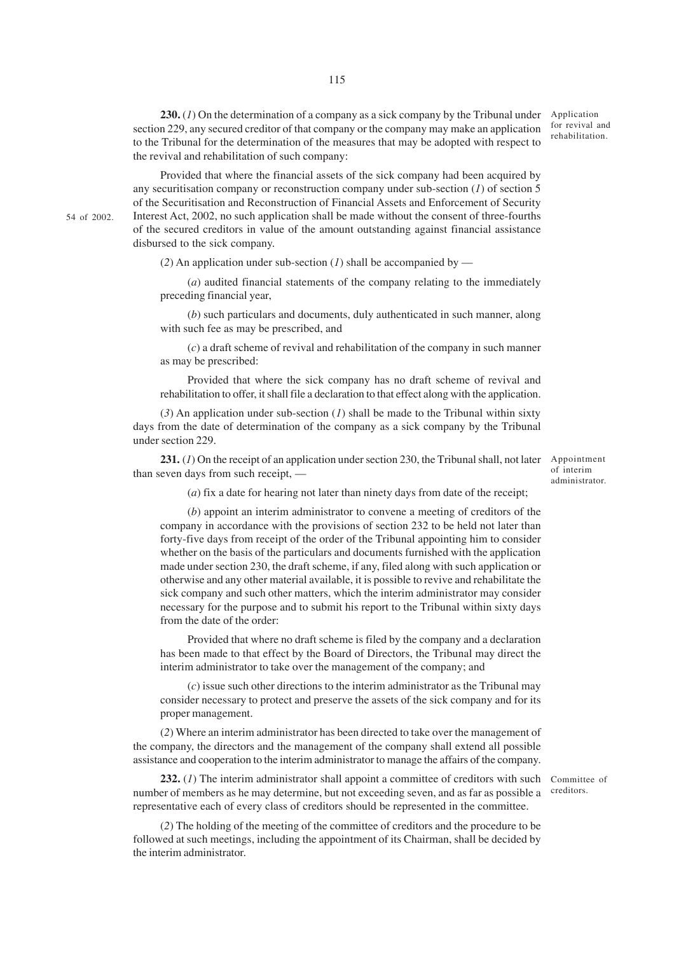**230.** (*1*) On the determination of a company as a sick company by the Tribunal under section 229, any secured creditor of that company or the company may make an application to the Tribunal for the determination of the measures that may be adopted with respect to the revival and rehabilitation of such company:

Application for revival and rehabilitation.

Provided that where the financial assets of the sick company had been acquired by any securitisation company or reconstruction company under sub-section (*1*) of section 5 of the Securitisation and Reconstruction of Financial Assets and Enforcement of Security Interest Act, 2002, no such application shall be made without the consent of three-fourths of the secured creditors in value of the amount outstanding against financial assistance disbursed to the sick company.

(2) An application under sub-section (*l*) shall be accompanied by —

(*a*) audited financial statements of the company relating to the immediately preceding financial year,

(*b*) such particulars and documents, duly authenticated in such manner, along with such fee as may be prescribed, and

(*c*) a draft scheme of revival and rehabilitation of the company in such manner as may be prescribed:

Provided that where the sick company has no draft scheme of revival and rehabilitation to offer, it shall file a declaration to that effect along with the application.

(*3*) An application under sub-section (*1*) shall be made to the Tribunal within sixty days from the date of determination of the company as a sick company by the Tribunal under section 229.

231. (1) On the receipt of an application under section 230, the Tribunal shall, not later Appointment than seven days from such receipt, —

of interim administrator.

(*a*) fix a date for hearing not later than ninety days from date of the receipt;

(*b*) appoint an interim administrator to convene a meeting of creditors of the company in accordance with the provisions of section 232 to be held not later than forty-five days from receipt of the order of the Tribunal appointing him to consider whether on the basis of the particulars and documents furnished with the application made under section 230, the draft scheme, if any, filed along with such application or otherwise and any other material available, it is possible to revive and rehabilitate the sick company and such other matters, which the interim administrator may consider necessary for the purpose and to submit his report to the Tribunal within sixty days from the date of the order:

Provided that where no draft scheme is filed by the company and a declaration has been made to that effect by the Board of Directors, the Tribunal may direct the interim administrator to take over the management of the company; and

(*c*) issue such other directions to the interim administrator as the Tribunal may consider necessary to protect and preserve the assets of the sick company and for its proper management.

(*2*) Where an interim administrator has been directed to take over the management of the company, the directors and the management of the company shall extend all possible assistance and cooperation to the interim administrator to manage the affairs of the company.

232. (1) The interim administrator shall appoint a committee of creditors with such Committee of number of members as he may determine, but not exceeding seven, and as far as possible a creditors. representative each of every class of creditors should be represented in the committee.

(*2*) The holding of the meeting of the committee of creditors and the procedure to be followed at such meetings, including the appointment of its Chairman, shall be decided by the interim administrator.

54 of 2002.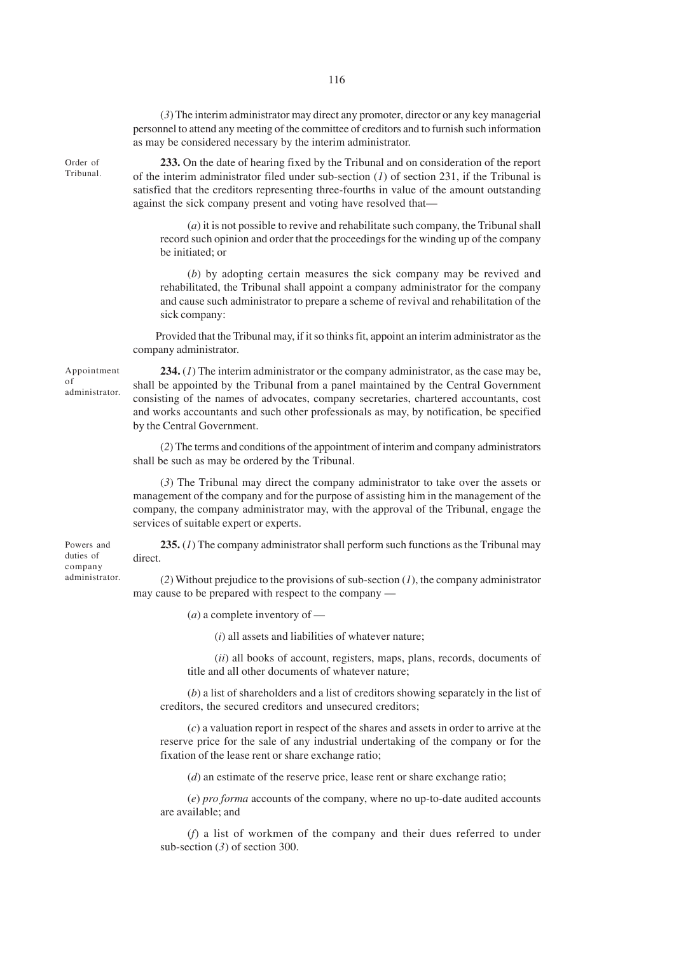(*3*) The interim administrator may direct any promoter, director or any key managerial personnel to attend any meeting of the committee of creditors and to furnish such information as may be considered necessary by the interim administrator.

**233.** On the date of hearing fixed by the Tribunal and on consideration of the report of the interim administrator filed under sub-section  $(1)$  of section 231, if the Tribunal is satisfied that the creditors representing three-fourths in value of the amount outstanding against the sick company present and voting have resolved that—

(*a*) it is not possible to revive and rehabilitate such company, the Tribunal shall record such opinion and order that the proceedings for the winding up of the company be initiated; or

(*b*) by adopting certain measures the sick company may be revived and rehabilitated, the Tribunal shall appoint a company administrator for the company and cause such administrator to prepare a scheme of revival and rehabilitation of the sick company:

Provided that the Tribunal may, if it so thinks fit, appoint an interim administrator as the company administrator.

Appointment of administrator.

Order of Tribunal.

> **234.** (*1*) The interim administrator or the company administrator, as the case may be, shall be appointed by the Tribunal from a panel maintained by the Central Government consisting of the names of advocates, company secretaries, chartered accountants, cost and works accountants and such other professionals as may, by notification, be specified by the Central Government.

> (*2*) The terms and conditions of the appointment of interim and company administrators shall be such as may be ordered by the Tribunal.

> (*3*) The Tribunal may direct the company administrator to take over the assets or management of the company and for the purpose of assisting him in the management of the company, the company administrator may, with the approval of the Tribunal, engage the services of suitable expert or experts.

Powers and duties of company administrator.

**235.** (*1*) The company administrator shall perform such functions as the Tribunal may direct.

(*2*) Without prejudice to the provisions of sub-section (*1*), the company administrator may cause to be prepared with respect to the company —

(*a*) a complete inventory of —

(*i*) all assets and liabilities of whatever nature;

(*ii*) all books of account, registers, maps, plans, records, documents of title and all other documents of whatever nature;

(*b*) a list of shareholders and a list of creditors showing separately in the list of creditors, the secured creditors and unsecured creditors;

(*c*) a valuation report in respect of the shares and assets in order to arrive at the reserve price for the sale of any industrial undertaking of the company or for the fixation of the lease rent or share exchange ratio;

(*d*) an estimate of the reserve price, lease rent or share exchange ratio;

(*e*) *pro forma* accounts of the company, where no up-to-date audited accounts are available; and

(*f*) a list of workmen of the company and their dues referred to under sub-section (*3*) of section 300.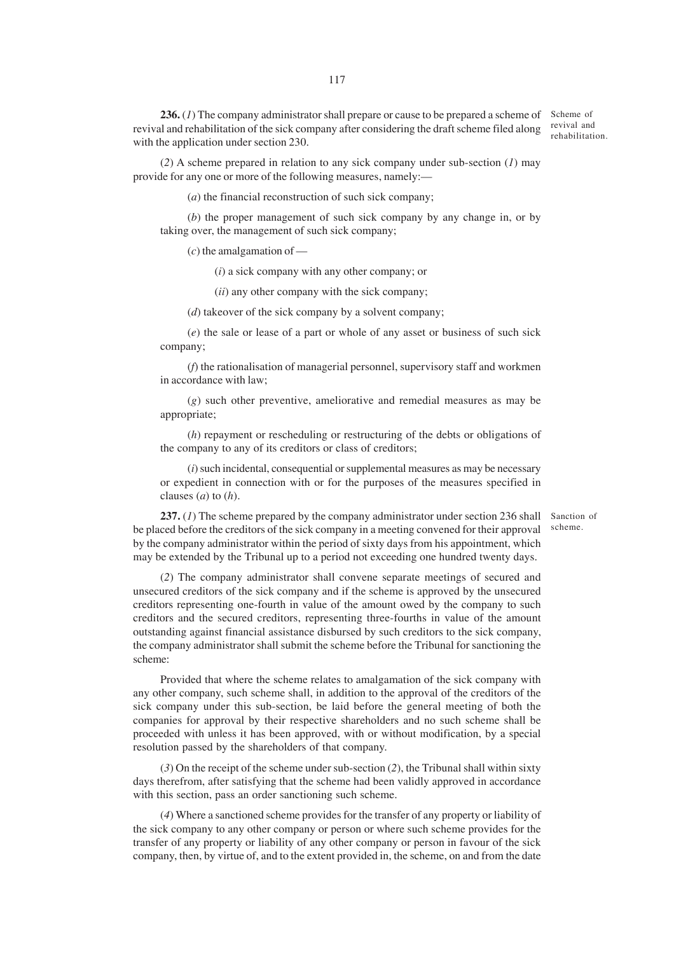236. (1) The company administrator shall prepare or cause to be prepared a scheme of Scheme of revival and rehabilitation of the sick company after considering the draft scheme filed along with the application under section 230.

revival and rehabilitation.

(*2*) A scheme prepared in relation to any sick company under sub-section (*1*) may provide for any one or more of the following measures, namely:—

(*a*) the financial reconstruction of such sick company;

(*b*) the proper management of such sick company by any change in, or by taking over, the management of such sick company;

 $(c)$  the amalgamation of —

(*i*) a sick company with any other company; or

(*ii*) any other company with the sick company;

(*d*) takeover of the sick company by a solvent company;

(*e*) the sale or lease of a part or whole of any asset or business of such sick company;

(*f*) the rationalisation of managerial personnel, supervisory staff and workmen in accordance with law;

(*g*) such other preventive, ameliorative and remedial measures as may be appropriate;

(*h*) repayment or rescheduling or restructuring of the debts or obligations of the company to any of its creditors or class of creditors;

(*i*) such incidental, consequential or supplemental measures as may be necessary or expedient in connection with or for the purposes of the measures specified in clauses (*a*) to (*h*).

237. (1) The scheme prepared by the company administrator under section 236 shall Sanction of be placed before the creditors of the sick company in a meeting convened for their approval by the company administrator within the period of sixty days from his appointment, which may be extended by the Tribunal up to a period not exceeding one hundred twenty days.

scheme.

(*2*) The company administrator shall convene separate meetings of secured and unsecured creditors of the sick company and if the scheme is approved by the unsecured creditors representing one-fourth in value of the amount owed by the company to such creditors and the secured creditors, representing three-fourths in value of the amount outstanding against financial assistance disbursed by such creditors to the sick company, the company administrator shall submit the scheme before the Tribunal for sanctioning the scheme:

Provided that where the scheme relates to amalgamation of the sick company with any other company, such scheme shall, in addition to the approval of the creditors of the sick company under this sub-section, be laid before the general meeting of both the companies for approval by their respective shareholders and no such scheme shall be proceeded with unless it has been approved, with or without modification, by a special resolution passed by the shareholders of that company.

(*3*) On the receipt of the scheme under sub-section (*2*), the Tribunal shall within sixty days therefrom, after satisfying that the scheme had been validly approved in accordance with this section, pass an order sanctioning such scheme.

(*4*) Where a sanctioned scheme provides for the transfer of any property or liability of the sick company to any other company or person or where such scheme provides for the transfer of any property or liability of any other company or person in favour of the sick company, then, by virtue of, and to the extent provided in, the scheme, on and from the date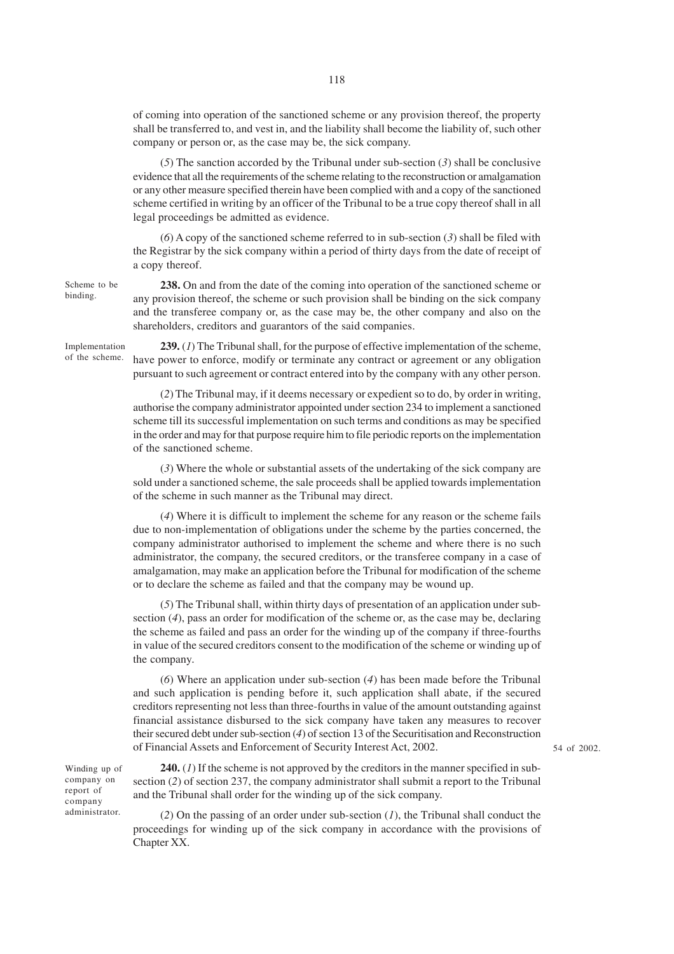of coming into operation of the sanctioned scheme or any provision thereof, the property shall be transferred to, and vest in, and the liability shall become the liability of, such other company or person or, as the case may be, the sick company.

(*5*) The sanction accorded by the Tribunal under sub-section (*3*) shall be conclusive evidence that all the requirements of the scheme relating to the reconstruction or amalgamation or any other measure specified therein have been complied with and a copy of the sanctioned scheme certified in writing by an officer of the Tribunal to be a true copy thereof shall in all legal proceedings be admitted as evidence.

(*6*) A copy of the sanctioned scheme referred to in sub-section (*3*) shall be filed with the Registrar by the sick company within a period of thirty days from the date of receipt of a copy thereof.

Scheme to be binding.

**238.** On and from the date of the coming into operation of the sanctioned scheme or any provision thereof, the scheme or such provision shall be binding on the sick company and the transferee company or, as the case may be, the other company and also on the shareholders, creditors and guarantors of the said companies.

Implementation of the scheme.

**239.** (*1*) The Tribunal shall, for the purpose of effective implementation of the scheme, have power to enforce, modify or terminate any contract or agreement or any obligation pursuant to such agreement or contract entered into by the company with any other person.

(*2*) The Tribunal may, if it deems necessary or expedient so to do, by order in writing, authorise the company administrator appointed under section 234 to implement a sanctioned scheme till its successful implementation on such terms and conditions as may be specified in the order and may for that purpose require him to file periodic reports on the implementation of the sanctioned scheme.

(*3*) Where the whole or substantial assets of the undertaking of the sick company are sold under a sanctioned scheme, the sale proceeds shall be applied towards implementation of the scheme in such manner as the Tribunal may direct.

(*4*) Where it is difficult to implement the scheme for any reason or the scheme fails due to non-implementation of obligations under the scheme by the parties concerned, the company administrator authorised to implement the scheme and where there is no such administrator, the company, the secured creditors, or the transferee company in a case of amalgamation, may make an application before the Tribunal for modification of the scheme or to declare the scheme as failed and that the company may be wound up.

(*5*) The Tribunal shall, within thirty days of presentation of an application under subsection (*4*), pass an order for modification of the scheme or, as the case may be, declaring the scheme as failed and pass an order for the winding up of the company if three-fourths in value of the secured creditors consent to the modification of the scheme or winding up of the company.

(*6*) Where an application under sub-section (*4*) has been made before the Tribunal and such application is pending before it, such application shall abate, if the secured creditors representing not less than three-fourths in value of the amount outstanding against financial assistance disbursed to the sick company have taken any measures to recover their secured debt under sub-section (*4*) of section 13 of the Securitisation and Reconstruction of Financial Assets and Enforcement of Security Interest Act, 2002.

54 of 2002.

Winding up of company on report of company administrator.

**240.** (*1*) If the scheme is not approved by the creditors in the manner specified in subsection (*2*) of section 237, the company administrator shall submit a report to the Tribunal and the Tribunal shall order for the winding up of the sick company.

(*2*) On the passing of an order under sub-section (*1*), the Tribunal shall conduct the proceedings for winding up of the sick company in accordance with the provisions of Chapter XX.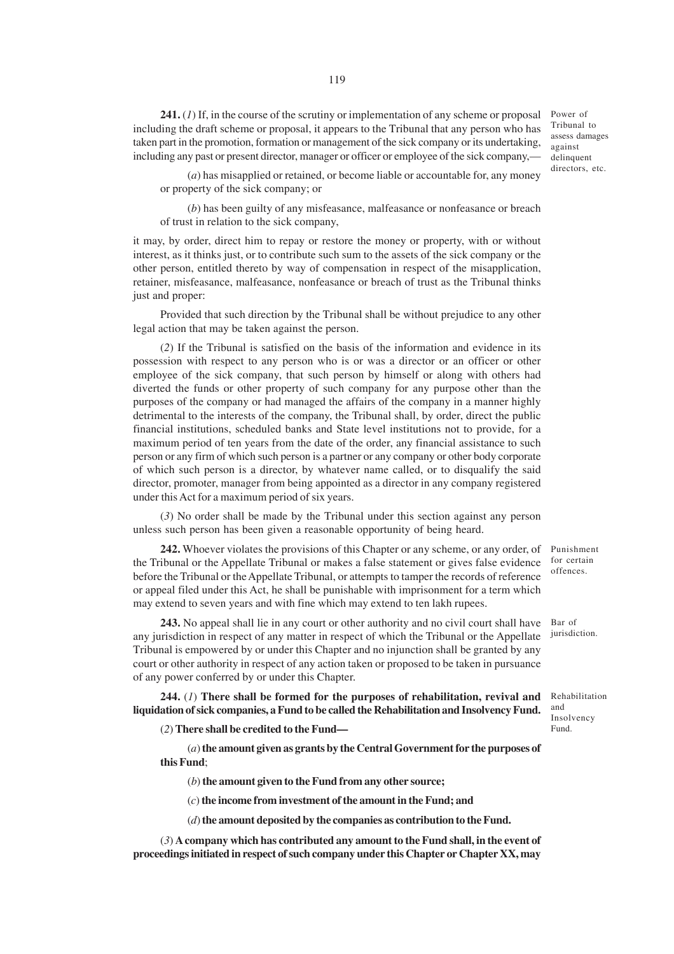**241.** (*1*) If, in the course of the scrutiny or implementation of any scheme or proposal including the draft scheme or proposal, it appears to the Tribunal that any person who has taken part in the promotion, formation or management of the sick company or its undertaking, including any past or present director, manager or officer or employee of the sick company,—

Power of Tribunal to assess damages against delinquent directors, etc.

(*a*) has misapplied or retained, or become liable or accountable for, any money or property of the sick company; or

(*b*) has been guilty of any misfeasance, malfeasance or nonfeasance or breach of trust in relation to the sick company,

it may, by order, direct him to repay or restore the money or property, with or without interest, as it thinks just, or to contribute such sum to the assets of the sick company or the other person, entitled thereto by way of compensation in respect of the misapplication, retainer, misfeasance, malfeasance, nonfeasance or breach of trust as the Tribunal thinks just and proper:

Provided that such direction by the Tribunal shall be without prejudice to any other legal action that may be taken against the person.

(*2*) If the Tribunal is satisfied on the basis of the information and evidence in its possession with respect to any person who is or was a director or an officer or other employee of the sick company, that such person by himself or along with others had diverted the funds or other property of such company for any purpose other than the purposes of the company or had managed the affairs of the company in a manner highly detrimental to the interests of the company, the Tribunal shall, by order, direct the public financial institutions, scheduled banks and State level institutions not to provide, for a maximum period of ten years from the date of the order, any financial assistance to such person or any firm of which such person is a partner or any company or other body corporate of which such person is a director, by whatever name called, or to disqualify the said director, promoter, manager from being appointed as a director in any company registered under this Act for a maximum period of six years.

(*3*) No order shall be made by the Tribunal under this section against any person unless such person has been given a reasonable opportunity of being heard.

**242.** Whoever violates the provisions of this Chapter or any scheme, or any order, of Punishment the Tribunal or the Appellate Tribunal or makes a false statement or gives false evidence before the Tribunal or the Appellate Tribunal, or attempts to tamper the records of reference or appeal filed under this Act, he shall be punishable with imprisonment for a term which may extend to seven years and with fine which may extend to ten lakh rupees.

**243.** No appeal shall lie in any court or other authority and no civil court shall have any jurisdiction in respect of any matter in respect of which the Tribunal or the Appellate Tribunal is empowered by or under this Chapter and no injunction shall be granted by any court or other authority in respect of any action taken or proposed to be taken in pursuance of any power conferred by or under this Chapter.

**244.** (*1*) **There shall be formed for the purposes of rehabilitation, revival and liquidation of sick companies, a Fund to be called the Rehabilitation and Insolvency Fund.**

(*2*) **There shall be credited to the Fund—**

(*a*) **the amount given as grants by the Central Government for the purposes of this Fund**;

(*b*) **the amount given to the Fund from any other source;**

(*c*) **the income from investment of the amount in the Fund; and**

(*d*) **the amount deposited by the companies as contribution to the Fund.**

(*3*) **A company which has contributed any amount to the Fund shall, in the event of proceedings initiated in respect of such company under this Chapter or Chapter XX, may**

for certain offences.

Bar of jurisdiction.

Rehabilitation and Insolvency Fund.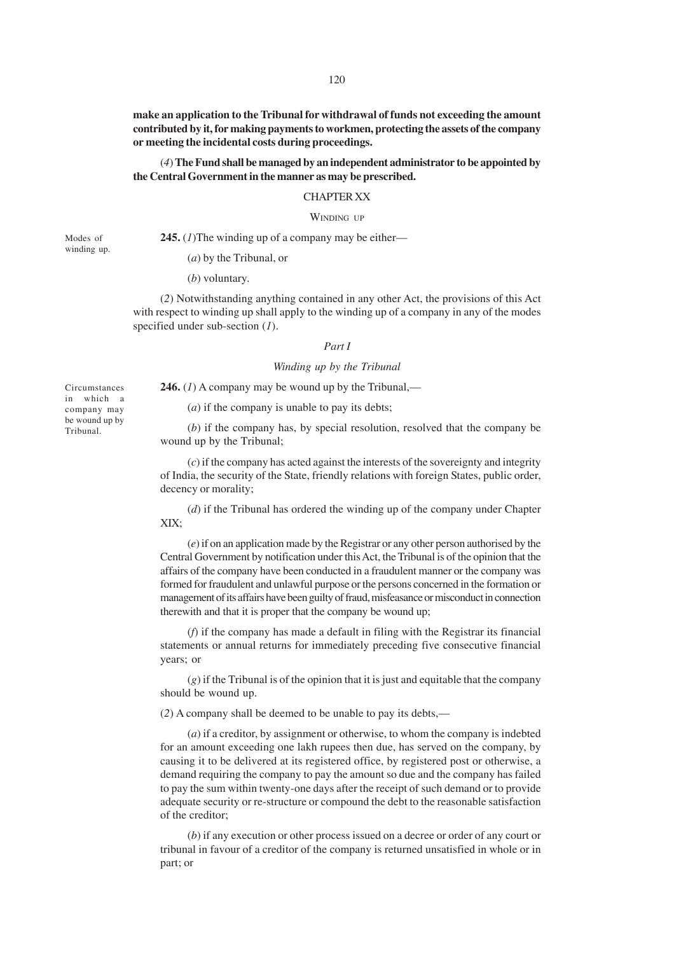**make an application to the Tribunal for withdrawal of funds not exceeding the amount contributed by it, for making payments to workmen, protecting the assets of the company or meeting the incidental costs during proceedings.**

(*4*) **The Fund shall be managed by an independent administrator to be appointed by the Central Government in the manner as may be prescribed.**

#### CHAPTER XX

### WINDING UP

**245.** (*1*)The winding up of a company may be either—

(*a*) by the Tribunal, or

(*b*) voluntary.

(*2*) Notwithstanding anything contained in any other Act, the provisions of this Act with respect to winding up shall apply to the winding up of a company in any of the modes specified under sub-section (*1*).

### *Part I*

# *Winding up by the Tribunal*

**246.** (*1*) A company may be wound up by the Tribunal,—

Circumstances in which a company may be wound up by Tribunal.

Modes of winding up.

(*a*) if the company is unable to pay its debts;

(*b*) if the company has, by special resolution, resolved that the company be wound up by the Tribunal;

(*c*) if the company has acted against the interests of the sovereignty and integrity of India, the security of the State, friendly relations with foreign States, public order, decency or morality;

(*d*) if the Tribunal has ordered the winding up of the company under Chapter XIX;

(*e*) if on an application made by the Registrar or any other person authorised by the Central Government by notification under this Act, the Tribunal is of the opinion that the affairs of the company have been conducted in a fraudulent manner or the company was formed for fraudulent and unlawful purpose or the persons concerned in the formation or management of its affairs have been guilty of fraud, misfeasance or misconduct in connection therewith and that it is proper that the company be wound up;

(*f*) if the company has made a default in filing with the Registrar its financial statements or annual returns for immediately preceding five consecutive financial years; or

(*g*) if the Tribunal is of the opinion that it is just and equitable that the company should be wound up.

(*2*) A company shall be deemed to be unable to pay its debts,—

(*a*) if a creditor, by assignment or otherwise, to whom the company is indebted for an amount exceeding one lakh rupees then due, has served on the company, by causing it to be delivered at its registered office, by registered post or otherwise, a demand requiring the company to pay the amount so due and the company has failed to pay the sum within twenty-one days after the receipt of such demand or to provide adequate security or re-structure or compound the debt to the reasonable satisfaction of the creditor;

(*b*) if any execution or other process issued on a decree or order of any court or tribunal in favour of a creditor of the company is returned unsatisfied in whole or in part; or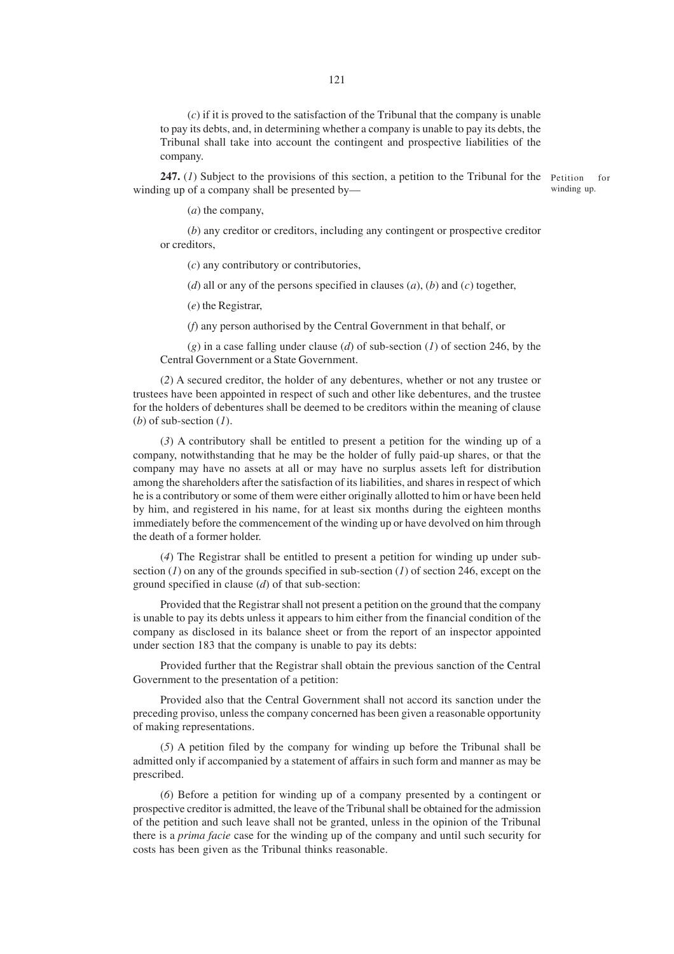(*c*) if it is proved to the satisfaction of the Tribunal that the company is unable to pay its debts, and, in determining whether a company is unable to pay its debts, the Tribunal shall take into account the contingent and prospective liabilities of the company.

247. (1) Subject to the provisions of this section, a petition to the Tribunal for the Petition for winding up of a company shall be presented by winding up.

(*a*) the company,

(*b*) any creditor or creditors, including any contingent or prospective creditor or creditors,

(*c*) any contributory or contributories,

(*d*) all or any of the persons specified in clauses (*a*), (*b*) and (*c*) together,

(*e*) the Registrar,

(*f*) any person authorised by the Central Government in that behalf, or

(*g*) in a case falling under clause (*d*) of sub-section (*1*) of section 246, by the Central Government or a State Government.

(*2*) A secured creditor, the holder of any debentures, whether or not any trustee or trustees have been appointed in respect of such and other like debentures, and the trustee for the holders of debentures shall be deemed to be creditors within the meaning of clause (*b*) of sub-section (*1*).

(*3*) A contributory shall be entitled to present a petition for the winding up of a company, notwithstanding that he may be the holder of fully paid-up shares, or that the company may have no assets at all or may have no surplus assets left for distribution among the shareholders after the satisfaction of its liabilities, and shares in respect of which he is a contributory or some of them were either originally allotted to him or have been held by him, and registered in his name, for at least six months during the eighteen months immediately before the commencement of the winding up or have devolved on him through the death of a former holder.

(*4*) The Registrar shall be entitled to present a petition for winding up under subsection  $(1)$  on any of the grounds specified in sub-section  $(1)$  of section 246, except on the ground specified in clause (*d*) of that sub-section:

Provided that the Registrar shall not present a petition on the ground that the company is unable to pay its debts unless it appears to him either from the financial condition of the company as disclosed in its balance sheet or from the report of an inspector appointed under section 183 that the company is unable to pay its debts:

Provided further that the Registrar shall obtain the previous sanction of the Central Government to the presentation of a petition:

Provided also that the Central Government shall not accord its sanction under the preceding proviso, unless the company concerned has been given a reasonable opportunity of making representations.

(*5*) A petition filed by the company for winding up before the Tribunal shall be admitted only if accompanied by a statement of affairs in such form and manner as may be prescribed.

(*6*) Before a petition for winding up of a company presented by a contingent or prospective creditor is admitted, the leave of the Tribunal shall be obtained for the admission of the petition and such leave shall not be granted, unless in the opinion of the Tribunal there is a *prima facie* case for the winding up of the company and until such security for costs has been given as the Tribunal thinks reasonable.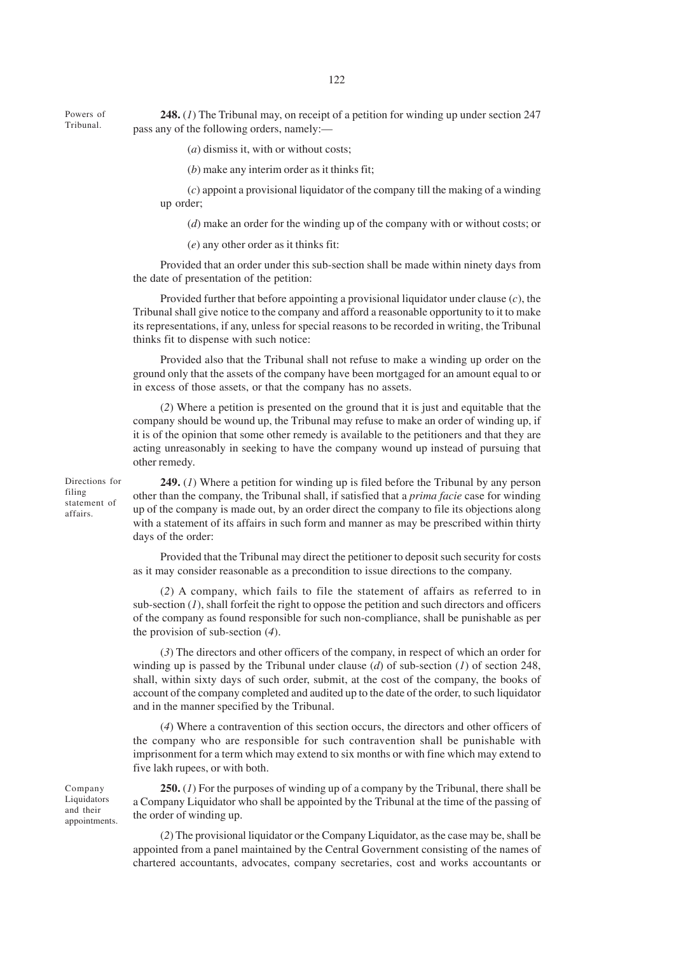122

**248.** (*1*) The Tribunal may, on receipt of a petition for winding up under section 247 pass any of the following orders, namely:— Powers of Tribunal.

(*a*) dismiss it, with or without costs;

(*b*) make any interim order as it thinks fit;

(*c*) appoint a provisional liquidator of the company till the making of a winding up order;

(*d*) make an order for the winding up of the company with or without costs; or

(*e*) any other order as it thinks fit:

Provided that an order under this sub-section shall be made within ninety days from the date of presentation of the petition:

Provided further that before appointing a provisional liquidator under clause (*c*), the Tribunal shall give notice to the company and afford a reasonable opportunity to it to make its representations, if any, unless for special reasons to be recorded in writing, the Tribunal thinks fit to dispense with such notice:

Provided also that the Tribunal shall not refuse to make a winding up order on the ground only that the assets of the company have been mortgaged for an amount equal to or in excess of those assets, or that the company has no assets.

(*2*) Where a petition is presented on the ground that it is just and equitable that the company should be wound up, the Tribunal may refuse to make an order of winding up, if it is of the opinion that some other remedy is available to the petitioners and that they are acting unreasonably in seeking to have the company wound up instead of pursuing that other remedy.

Directions for filing statement of affairs.

Company Liquidators and their appointments.

**249.** (*1*) Where a petition for winding up is filed before the Tribunal by any person other than the company, the Tribunal shall, if satisfied that a *prima facie* case for winding up of the company is made out, by an order direct the company to file its objections along with a statement of its affairs in such form and manner as may be prescribed within thirty days of the order:

Provided that the Tribunal may direct the petitioner to deposit such security for costs as it may consider reasonable as a precondition to issue directions to the company.

(*2*) A company, which fails to file the statement of affairs as referred to in sub-section  $(1)$ , shall forfeit the right to oppose the petition and such directors and officers of the company as found responsible for such non-compliance, shall be punishable as per the provision of sub-section (*4*).

(*3*) The directors and other officers of the company, in respect of which an order for winding up is passed by the Tribunal under clause (*d*) of sub-section (*1*) of section 248, shall, within sixty days of such order, submit, at the cost of the company, the books of account of the company completed and audited up to the date of the order, to such liquidator and in the manner specified by the Tribunal.

(*4*) Where a contravention of this section occurs, the directors and other officers of the company who are responsible for such contravention shall be punishable with imprisonment for a term which may extend to six months or with fine which may extend to five lakh rupees, or with both.

**250.** (*1*) For the purposes of winding up of a company by the Tribunal, there shall be a Company Liquidator who shall be appointed by the Tribunal at the time of the passing of the order of winding up.

(*2*) The provisional liquidator or the Company Liquidator, as the case may be, shall be appointed from a panel maintained by the Central Government consisting of the names of chartered accountants, advocates, company secretaries, cost and works accountants or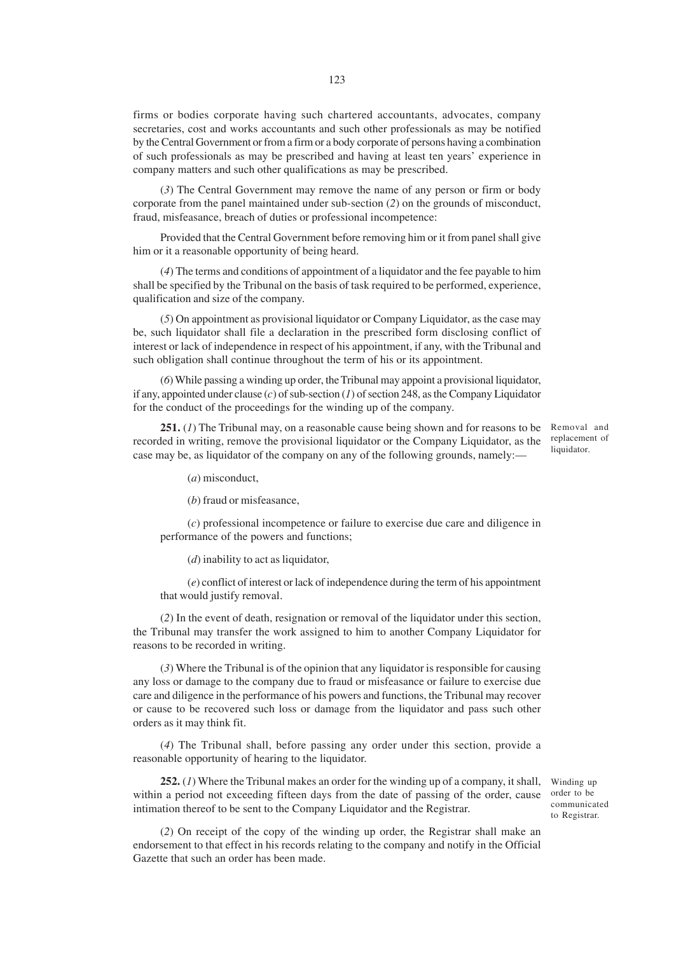firms or bodies corporate having such chartered accountants, advocates, company secretaries, cost and works accountants and such other professionals as may be notified by the Central Government or from a firm or a body corporate of persons having a combination of such professionals as may be prescribed and having at least ten years' experience in company matters and such other qualifications as may be prescribed.

(*3*) The Central Government may remove the name of any person or firm or body corporate from the panel maintained under sub-section (*2*) on the grounds of misconduct, fraud, misfeasance, breach of duties or professional incompetence:

Provided that the Central Government before removing him or it from panel shall give him or it a reasonable opportunity of being heard.

(*4*) The terms and conditions of appointment of a liquidator and the fee payable to him shall be specified by the Tribunal on the basis of task required to be performed, experience, qualification and size of the company.

(*5*) On appointment as provisional liquidator or Company Liquidator, as the case may be, such liquidator shall file a declaration in the prescribed form disclosing conflict of interest or lack of independence in respect of his appointment, if any, with the Tribunal and such obligation shall continue throughout the term of his or its appointment.

(*6*) While passing a winding up order, the Tribunal may appoint a provisional liquidator, if any, appointed under clause  $(c)$  of sub-section (*1*) of section 248, as the Company Liquidator for the conduct of the proceedings for the winding up of the company.

**251.** (*1*) The Tribunal may, on a reasonable cause being shown and for reasons to be recorded in writing, remove the provisional liquidator or the Company Liquidator, as the case may be, as liquidator of the company on any of the following grounds, namely:—

Removal and replacement of liquidator.

(*a*) misconduct,

(*b*) fraud or misfeasance,

(*c*) professional incompetence or failure to exercise due care and diligence in performance of the powers and functions;

(*d*) inability to act as liquidator,

(*e*) conflict of interest or lack of independence during the term of his appointment that would justify removal.

(*2*) In the event of death, resignation or removal of the liquidator under this section, the Tribunal may transfer the work assigned to him to another Company Liquidator for reasons to be recorded in writing.

(*3*) Where the Tribunal is of the opinion that any liquidator is responsible for causing any loss or damage to the company due to fraud or misfeasance or failure to exercise due care and diligence in the performance of his powers and functions, the Tribunal may recover or cause to be recovered such loss or damage from the liquidator and pass such other orders as it may think fit.

(*4*) The Tribunal shall, before passing any order under this section, provide a reasonable opportunity of hearing to the liquidator.

**252.** (*1*) Where the Tribunal makes an order for the winding up of a company, it shall, within a period not exceeding fifteen days from the date of passing of the order, cause intimation thereof to be sent to the Company Liquidator and the Registrar.

Winding up order to be communicated to Registrar.

(*2*) On receipt of the copy of the winding up order, the Registrar shall make an endorsement to that effect in his records relating to the company and notify in the Official Gazette that such an order has been made.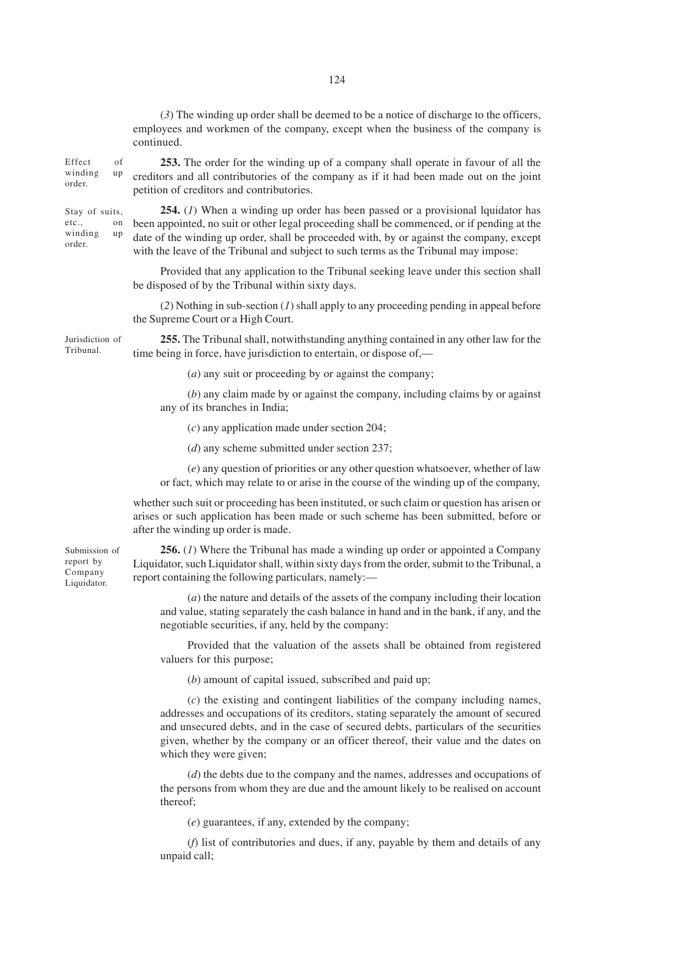(*3*) The winding up order shall be deemed to be a notice of discharge to the officers, employees and workmen of the company, except when the business of the company is continued. **253.** The order for the winding up of a company shall operate in favour of all the Effect of

winding up order.

Stay of suits, etc., on winding up order.

creditors and all contributories of the company as if it had been made out on the joint petition of creditors and contributories. **254.** (*1*) When a winding up order has been passed or a provisional lquidator has

been appointed, no suit or other legal proceeding shall be commenced, or if pending at the date of the winding up order, shall be proceeded with, by or against the company, except with the leave of the Tribunal and subject to such terms as the Tribunal may impose:

Provided that any application to the Tribunal seeking leave under this section shall be disposed of by the Tribunal within sixty days.

(*2*) Nothing in sub-section (*1*) shall apply to any proceeding pending in appeal before the Supreme Court or a High Court.

Jurisdiction of Tribunal.

**255.** The Tribunal shall, notwithstanding anything contained in any other law for the time being in force, have jurisdiction to entertain, or dispose of,—

(*a*) any suit or proceeding by or against the company;

(*b*) any claim made by or against the company, including claims by or against any of its branches in India;

(*c*) any application made under section 204;

(*d*) any scheme submitted under section 237;

(*e*) any question of priorities or any other question whatsoever, whether of law or fact, which may relate to or arise in the course of the winding up of the company,

whether such suit or proceeding has been instituted, or such claim or question has arisen or arises or such application has been made or such scheme has been submitted, before or after the winding up order is made.

**256.** (*1*) Where the Tribunal has made a winding up order or appointed a Company Liquidator, such Liquidator shall, within sixty days from the order, submit to the Tribunal, a report containing the following particulars, namely:—

(*a*) the nature and details of the assets of the company including their location and value, stating separately the cash balance in hand and in the bank, if any, and the negotiable securities, if any, held by the company:

Provided that the valuation of the assets shall be obtained from registered valuers for this purpose;

(*b*) amount of capital issued, subscribed and paid up;

(*c*) the existing and contingent liabilities of the company including names, addresses and occupations of its creditors, stating separately the amount of secured and unsecured debts, and in the case of secured debts, particulars of the securities given, whether by the company or an officer thereof, their value and the dates on which they were given;

(*d*) the debts due to the company and the names, addresses and occupations of the persons from whom they are due and the amount likely to be realised on account thereof;

(*e*) guarantees, if any, extended by the company;

(*f*) list of contributories and dues, if any, payable by them and details of any unpaid call;

Submission of report by Company Liquidator.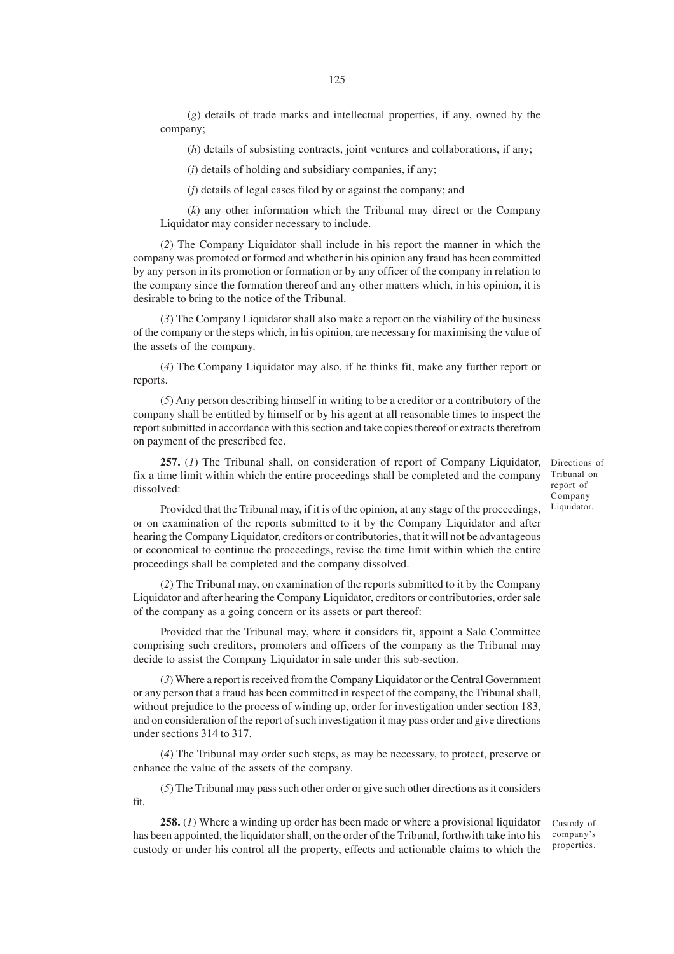(*g*) details of trade marks and intellectual properties, if any, owned by the company;

(*h*) details of subsisting contracts, joint ventures and collaborations, if any;

(*i*) details of holding and subsidiary companies, if any;

(*j*) details of legal cases filed by or against the company; and

(*k*) any other information which the Tribunal may direct or the Company Liquidator may consider necessary to include.

(*2*) The Company Liquidator shall include in his report the manner in which the company was promoted or formed and whether in his opinion any fraud has been committed by any person in its promotion or formation or by any officer of the company in relation to the company since the formation thereof and any other matters which, in his opinion, it is desirable to bring to the notice of the Tribunal.

(*3*) The Company Liquidator shall also make a report on the viability of the business of the company or the steps which, in his opinion, are necessary for maximising the value of the assets of the company.

(*4*) The Company Liquidator may also, if he thinks fit, make any further report or reports.

(*5*) Any person describing himself in writing to be a creditor or a contributory of the company shall be entitled by himself or by his agent at all reasonable times to inspect the report submitted in accordance with this section and take copies thereof or extracts therefrom on payment of the prescribed fee.

**257.** (*1*) The Tribunal shall, on consideration of report of Company Liquidator, fix a time limit within which the entire proceedings shall be completed and the company dissolved:

Directions of Tribunal on report of Company Liquidator.

Provided that the Tribunal may, if it is of the opinion, at any stage of the proceedings, or on examination of the reports submitted to it by the Company Liquidator and after hearing the Company Liquidator, creditors or contributories, that it will not be advantageous or economical to continue the proceedings, revise the time limit within which the entire proceedings shall be completed and the company dissolved.

(*2*) The Tribunal may, on examination of the reports submitted to it by the Company Liquidator and after hearing the Company Liquidator, creditors or contributories, order sale of the company as a going concern or its assets or part thereof:

Provided that the Tribunal may, where it considers fit, appoint a Sale Committee comprising such creditors, promoters and officers of the company as the Tribunal may decide to assist the Company Liquidator in sale under this sub-section.

(*3*) Where a report is received from the Company Liquidator or the Central Government or any person that a fraud has been committed in respect of the company, the Tribunal shall, without prejudice to the process of winding up, order for investigation under section 183, and on consideration of the report of such investigation it may pass order and give directions under sections 314 to 317.

(*4*) The Tribunal may order such steps, as may be necessary, to protect, preserve or enhance the value of the assets of the company.

(*5*) The Tribunal may pass such other order or give such other directions as it considers fit.

**258.** (*1*) Where a winding up order has been made or where a provisional liquidator has been appointed, the liquidator shall, on the order of the Tribunal, forthwith take into his custody or under his control all the property, effects and actionable claims to which the Custody of company's properties.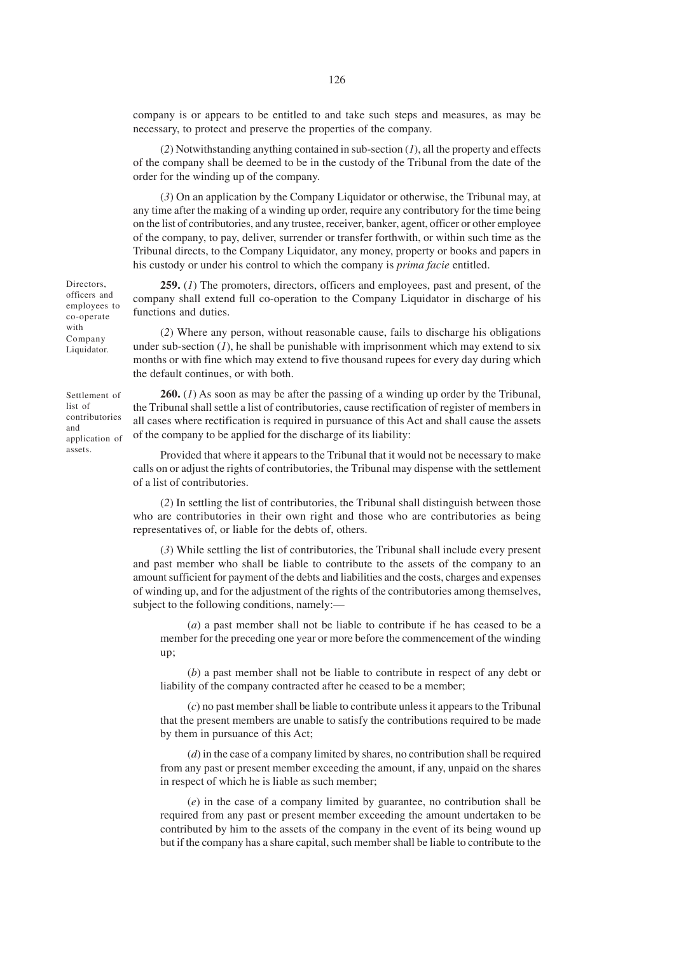company is or appears to be entitled to and take such steps and measures, as may be necessary, to protect and preserve the properties of the company.

(*2*) Notwithstanding anything contained in sub-section (*1*), all the property and effects of the company shall be deemed to be in the custody of the Tribunal from the date of the order for the winding up of the company.

(*3*) On an application by the Company Liquidator or otherwise, the Tribunal may, at any time after the making of a winding up order, require any contributory for the time being on the list of contributories, and any trustee, receiver, banker, agent, officer or other employee of the company, to pay, deliver, surrender or transfer forthwith, or within such time as the Tribunal directs, to the Company Liquidator, any money, property or books and papers in his custody or under his control to which the company is *prima facie* entitled.

**259.** (*1*) The promoters, directors, officers and employees, past and present, of the company shall extend full co-operation to the Company Liquidator in discharge of his functions and duties.

(*2*) Where any person, without reasonable cause, fails to discharge his obligations under sub-section  $(I)$ , he shall be punishable with imprisonment which may extend to six months or with fine which may extend to five thousand rupees for every day during which the default continues, or with both.

**260.** (*1*) As soon as may be after the passing of a winding up order by the Tribunal, the Tribunal shall settle a list of contributories, cause rectification of register of members in all cases where rectification is required in pursuance of this Act and shall cause the assets of the company to be applied for the discharge of its liability:

Provided that where it appears to the Tribunal that it would not be necessary to make calls on or adjust the rights of contributories, the Tribunal may dispense with the settlement of a list of contributories.

(*2*) In settling the list of contributories, the Tribunal shall distinguish between those who are contributories in their own right and those who are contributories as being representatives of, or liable for the debts of, others.

(*3*) While settling the list of contributories, the Tribunal shall include every present and past member who shall be liable to contribute to the assets of the company to an amount sufficient for payment of the debts and liabilities and the costs, charges and expenses of winding up, and for the adjustment of the rights of the contributories among themselves, subject to the following conditions, namely:—

(*a*) a past member shall not be liable to contribute if he has ceased to be a member for the preceding one year or more before the commencement of the winding up;

(*b*) a past member shall not be liable to contribute in respect of any debt or liability of the company contracted after he ceased to be a member;

(*c*) no past member shall be liable to contribute unless it appears to the Tribunal that the present members are unable to satisfy the contributions required to be made by them in pursuance of this Act;

(*d*) in the case of a company limited by shares, no contribution shall be required from any past or present member exceeding the amount, if any, unpaid on the shares in respect of which he is liable as such member;

(*e*) in the case of a company limited by guarantee, no contribution shall be required from any past or present member exceeding the amount undertaken to be contributed by him to the assets of the company in the event of its being wound up but if the company has a share capital, such member shall be liable to contribute to the

Directors, officers and employees to co-operate with Company Liquidator.

Settlement of list of contributories and application of assets.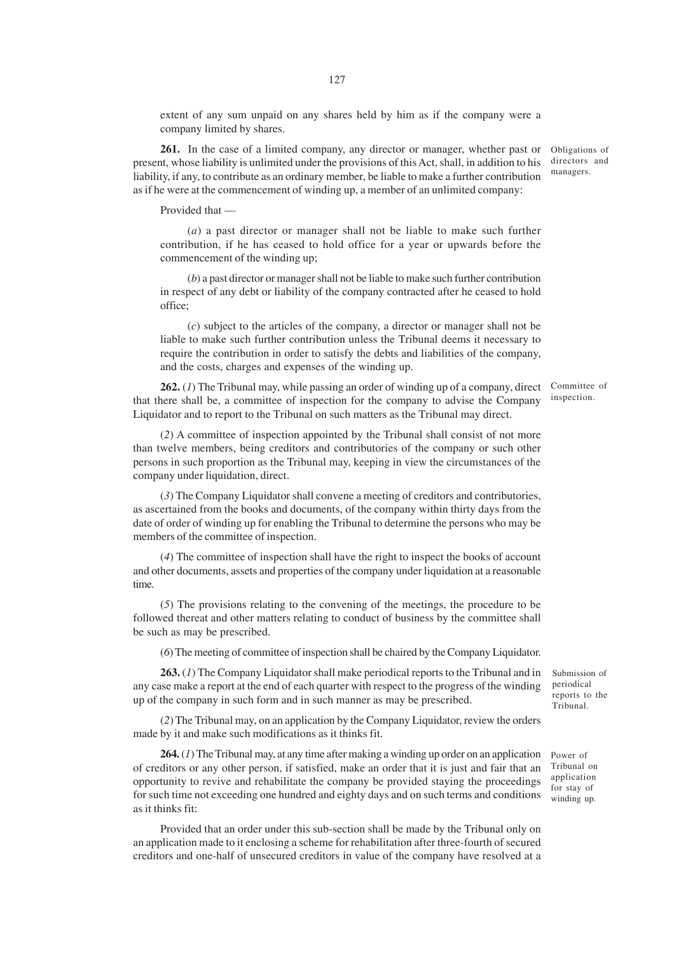extent of any sum unpaid on any shares held by him as if the company were a company limited by shares.

**261.** In the case of a limited company, any director or manager, whether past or present, whose liability is unlimited under the provisions of this Act, shall, in addition to his liability, if any, to contribute as an ordinary member, be liable to make a further contribution as if he were at the commencement of winding up, a member of an unlimited company:

Provided that —

(*a*) a past director or manager shall not be liable to make such further contribution, if he has ceased to hold office for a year or upwards before the commencement of the winding up;

(*b*) a past director or manager shall not be liable to make such further contribution in respect of any debt or liability of the company contracted after he ceased to hold office;

(*c*) subject to the articles of the company, a director or manager shall not be liable to make such further contribution unless the Tribunal deems it necessary to require the contribution in order to satisfy the debts and liabilities of the company, and the costs, charges and expenses of the winding up.

262. (1) The Tribunal may, while passing an order of winding up of a company, direct Committee of that there shall be, a committee of inspection for the company to advise the Company Liquidator and to report to the Tribunal on such matters as the Tribunal may direct.

(*2*) A committee of inspection appointed by the Tribunal shall consist of not more than twelve members, being creditors and contributories of the company or such other persons in such proportion as the Tribunal may, keeping in view the circumstances of the company under liquidation, direct.

(*3*) The Company Liquidator shall convene a meeting of creditors and contributories, as ascertained from the books and documents, of the company within thirty days from the date of order of winding up for enabling the Tribunal to determine the persons who may be members of the committee of inspection.

(*4*) The committee of inspection shall have the right to inspect the books of account and other documents, assets and properties of the company under liquidation at a reasonable time.

(*5*) The provisions relating to the convening of the meetings, the procedure to be followed thereat and other matters relating to conduct of business by the committee shall be such as may be prescribed.

(*6*) The meeting of committee of inspection shall be chaired by the Company Liquidator.

**263.** (*1*) The Company Liquidator shall make periodical reports to the Tribunal and in any case make a report at the end of each quarter with respect to the progress of the winding up of the company in such form and in such manner as may be prescribed.

(*2*) The Tribunal may, on an application by the Company Liquidator, review the orders made by it and make such modifications as it thinks fit.

**264.** (*1*) The Tribunal may, at any time after making a winding up order on an application of creditors or any other person, if satisfied, make an order that it is just and fair that an opportunity to revive and rehabilitate the company be provided staying the proceedings for such time not exceeding one hundred and eighty days and on such terms and conditions as it thinks fit:

Provided that an order under this sub-section shall be made by the Tribunal only on an application made to it enclosing a scheme for rehabilitation after three-fourth of secured creditors and one-half of unsecured creditors in value of the company have resolved at a

Submission of periodical reports to the Tribunal.

Power of Tribunal on application for stay of winding up.

inspection.

Obligations of directors and managers.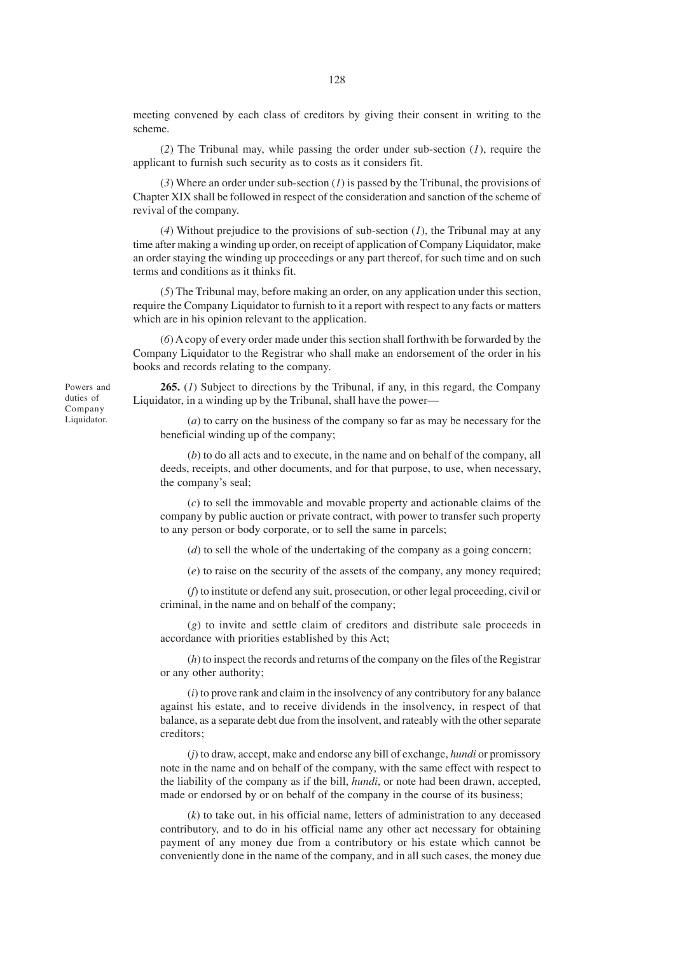meeting convened by each class of creditors by giving their consent in writing to the scheme.

(*2*) The Tribunal may, while passing the order under sub-section (*1*), require the applicant to furnish such security as to costs as it considers fit.

(*3*) Where an order under sub-section (*1*) is passed by the Tribunal, the provisions of Chapter XIX shall be followed in respect of the consideration and sanction of the scheme of revival of the company.

(*4*) Without prejudice to the provisions of sub-section (*1*), the Tribunal may at any time after making a winding up order, on receipt of application of Company Liquidator, make an order staying the winding up proceedings or any part thereof, for such time and on such terms and conditions as it thinks fit.

(*5*) The Tribunal may, before making an order, on any application under this section, require the Company Liquidator to furnish to it a report with respect to any facts or matters which are in his opinion relevant to the application.

(*6*) A copy of every order made under this section shall forthwith be forwarded by the Company Liquidator to the Registrar who shall make an endorsement of the order in his books and records relating to the company.

**265.** (*1*) Subject to directions by the Tribunal, if any, in this regard, the Company Liquidator, in a winding up by the Tribunal, shall have the power—

(*a*) to carry on the business of the company so far as may be necessary for the beneficial winding up of the company;

(*b*) to do all acts and to execute, in the name and on behalf of the company, all deeds, receipts, and other documents, and for that purpose, to use, when necessary, the company's seal;

(*c*) to sell the immovable and movable property and actionable claims of the company by public auction or private contract, with power to transfer such property to any person or body corporate, or to sell the same in parcels;

(*d*) to sell the whole of the undertaking of the company as a going concern;

(*e*) to raise on the security of the assets of the company, any money required;

(*f*) to institute or defend any suit, prosecution, or other legal proceeding, civil or criminal, in the name and on behalf of the company;

(*g*) to invite and settle claim of creditors and distribute sale proceeds in accordance with priorities established by this Act;

(*h*) to inspect the records and returns of the company on the files of the Registrar or any other authority;

(*i*) to prove rank and claim in the insolvency of any contributory for any balance against his estate, and to receive dividends in the insolvency, in respect of that balance, as a separate debt due from the insolvent, and rateably with the other separate creditors;

(*j*) to draw, accept, make and endorse any bill of exchange, *hundi* or promissory note in the name and on behalf of the company, with the same effect with respect to the liability of the company as if the bill, *hundi*, or note had been drawn, accepted, made or endorsed by or on behalf of the company in the course of its business;

(*k*) to take out, in his official name, letters of administration to any deceased contributory, and to do in his official name any other act necessary for obtaining payment of any money due from a contributory or his estate which cannot be conveniently done in the name of the company, and in all such cases, the money due

Powers and duties of Company Liquidator.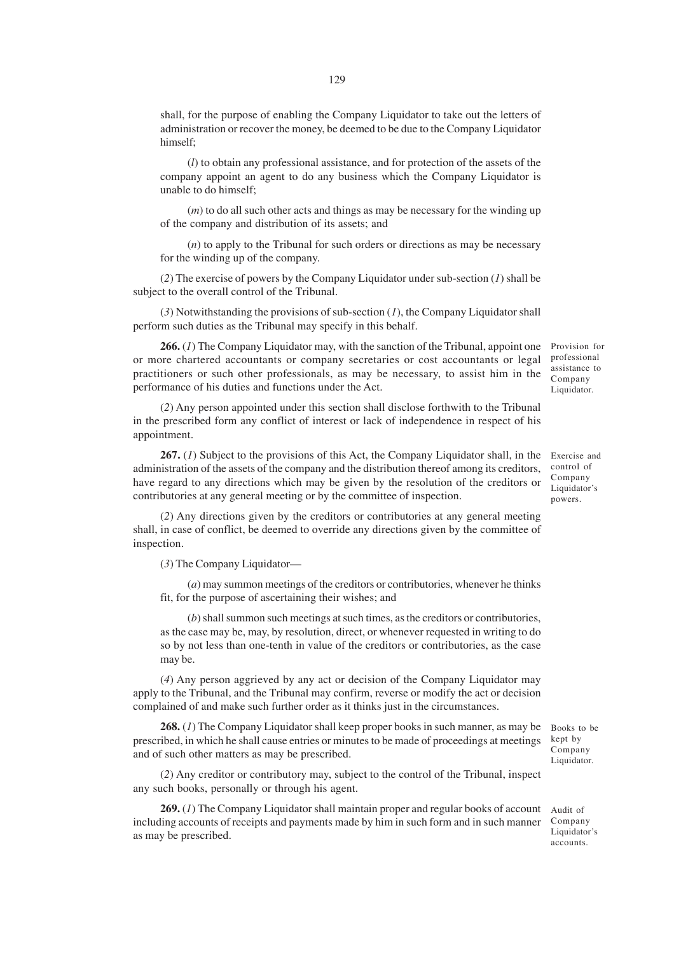shall, for the purpose of enabling the Company Liquidator to take out the letters of administration or recover the money, be deemed to be due to the Company Liquidator himself;

(*l*) to obtain any professional assistance, and for protection of the assets of the company appoint an agent to do any business which the Company Liquidator is unable to do himself;

(*m*) to do all such other acts and things as may be necessary for the winding up of the company and distribution of its assets; and

(*n*) to apply to the Tribunal for such orders or directions as may be necessary for the winding up of the company.

(*2*) The exercise of powers by the Company Liquidator under sub-section (*1*) shall be subject to the overall control of the Tribunal.

(*3*) Notwithstanding the provisions of sub-section (*1*), the Company Liquidator shall perform such duties as the Tribunal may specify in this behalf.

**266.** (*1*) The Company Liquidator may, with the sanction of the Tribunal, appoint one or more chartered accountants or company secretaries or cost accountants or legal practitioners or such other professionals, as may be necessary, to assist him in the performance of his duties and functions under the Act.

(*2*) Any person appointed under this section shall disclose forthwith to the Tribunal in the prescribed form any conflict of interest or lack of independence in respect of his appointment.

**267.** (*1*) Subject to the provisions of this Act, the Company Liquidator shall, in the administration of the assets of the company and the distribution thereof among its creditors, have regard to any directions which may be given by the resolution of the creditors or contributories at any general meeting or by the committee of inspection.

Exercise and control of

Provision for professional assistance to Company Liquidator.

Company Liquidator's powers.

(*2*) Any directions given by the creditors or contributories at any general meeting shall, in case of conflict, be deemed to override any directions given by the committee of inspection.

(*3*) The Company Liquidator—

(*a*) may summon meetings of the creditors or contributories, whenever he thinks fit, for the purpose of ascertaining their wishes; and

(*b*) shall summon such meetings at such times, as the creditors or contributories, as the case may be, may, by resolution, direct, or whenever requested in writing to do so by not less than one-tenth in value of the creditors or contributories, as the case may be.

(*4*) Any person aggrieved by any act or decision of the Company Liquidator may apply to the Tribunal, and the Tribunal may confirm, reverse or modify the act or decision complained of and make such further order as it thinks just in the circumstances.

**268.** (*1*) The Company Liquidator shall keep proper books in such manner, as may be prescribed, in which he shall cause entries or minutes to be made of proceedings at meetings and of such other matters as may be prescribed.

(*2*) Any creditor or contributory may, subject to the control of the Tribunal, inspect any such books, personally or through his agent.

**269.** (*1*) The Company Liquidator shall maintain proper and regular books of account including accounts of receipts and payments made by him in such form and in such manner as may be prescribed.

Books to be kept by Company Liquidator.

Audit of Company Liquidator's accounts.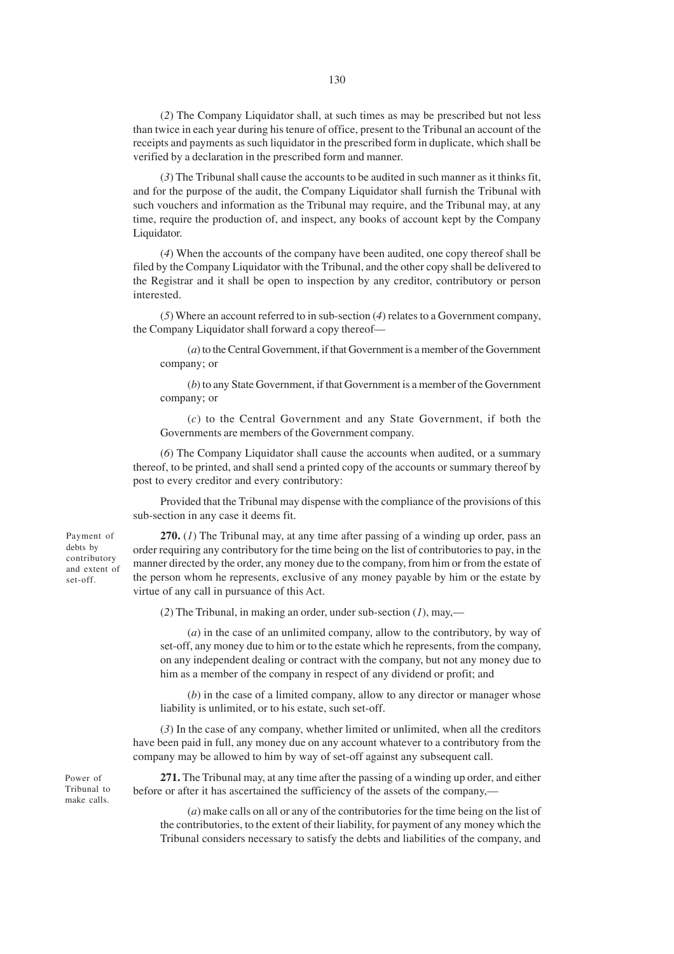(*2*) The Company Liquidator shall, at such times as may be prescribed but not less than twice in each year during his tenure of office, present to the Tribunal an account of the receipts and payments as such liquidator in the prescribed form in duplicate, which shall be verified by a declaration in the prescribed form and manner.

(*3*) The Tribunal shall cause the accounts to be audited in such manner as it thinks fit, and for the purpose of the audit, the Company Liquidator shall furnish the Tribunal with such vouchers and information as the Tribunal may require, and the Tribunal may, at any time, require the production of, and inspect, any books of account kept by the Company Liquidator.

(*4*) When the accounts of the company have been audited, one copy thereof shall be filed by the Company Liquidator with the Tribunal, and the other copy shall be delivered to the Registrar and it shall be open to inspection by any creditor, contributory or person interested.

(*5*) Where an account referred to in sub-section (*4*) relates to a Government company, the Company Liquidator shall forward a copy thereof—

(*a*) to the Central Government, if that Government is a member of the Government company; or

(*b*) to any State Government, if that Government is a member of the Government company; or

(*c*) to the Central Government and any State Government, if both the Governments are members of the Government company.

(*6*) The Company Liquidator shall cause the accounts when audited, or a summary thereof, to be printed, and shall send a printed copy of the accounts or summary thereof by post to every creditor and every contributory:

Provided that the Tribunal may dispense with the compliance of the provisions of this sub-section in any case it deems fit.

**270.** (*1*) The Tribunal may, at any time after passing of a winding up order, pass an order requiring any contributory for the time being on the list of contributories to pay, in the manner directed by the order, any money due to the company, from him or from the estate of the person whom he represents, exclusive of any money payable by him or the estate by virtue of any call in pursuance of this Act.

(*2*) The Tribunal, in making an order, under sub-section (*1*), may,—

(*a*) in the case of an unlimited company, allow to the contributory, by way of set-off, any money due to him or to the estate which he represents, from the company, on any independent dealing or contract with the company, but not any money due to him as a member of the company in respect of any dividend or profit; and

(*b*) in the case of a limited company, allow to any director or manager whose liability is unlimited, or to his estate, such set-off.

(*3*) In the case of any company, whether limited or unlimited, when all the creditors have been paid in full, any money due on any account whatever to a contributory from the company may be allowed to him by way of set-off against any subsequent call.

Power of Tribunal to make calls.

**271.** The Tribunal may, at any time after the passing of a winding up order, and either before or after it has ascertained the sufficiency of the assets of the company,—

(*a*) make calls on all or any of the contributories for the time being on the list of the contributories, to the extent of their liability, for payment of any money which the Tribunal considers necessary to satisfy the debts and liabilities of the company, and

Payment of debts by contributory and extent of set-off.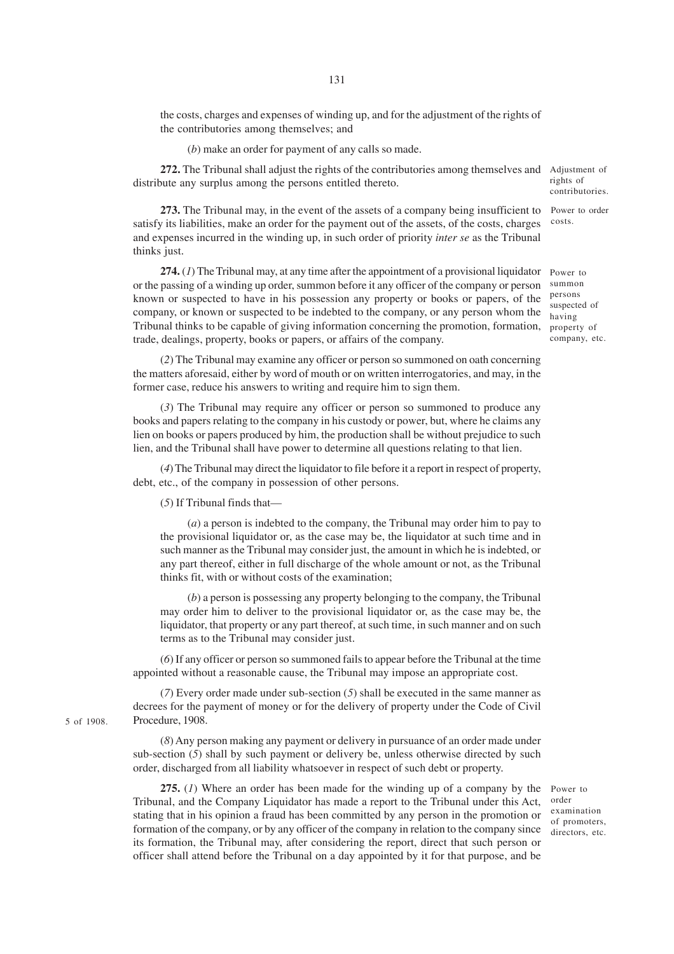the costs, charges and expenses of winding up, and for the adjustment of the rights of the contributories among themselves; and

(*b*) make an order for payment of any calls so made.

272. The Tribunal shall adjust the rights of the contributories among themselves and Adjustment of distribute any surplus among the persons entitled thereto. rights of

contributories. Power to order costs.

**273.** The Tribunal may, in the event of the assets of a company being insufficient to satisfy its liabilities, make an order for the payment out of the assets, of the costs, charges and expenses incurred in the winding up, in such order of priority *inter se* as the Tribunal thinks just.

274. (1) The Tribunal may, at any time after the appointment of a provisional liquidator Power to or the passing of a winding up order, summon before it any officer of the company or person known or suspected to have in his possession any property or books or papers, of the company, or known or suspected to be indebted to the company, or any person whom the Tribunal thinks to be capable of giving information concerning the promotion, formation, trade, dealings, property, books or papers, or affairs of the company.

summon persons suspected of having property of company, etc.

(*2*) The Tribunal may examine any officer or person so summoned on oath concerning the matters aforesaid, either by word of mouth or on written interrogatories, and may, in the former case, reduce his answers to writing and require him to sign them.

(*3*) The Tribunal may require any officer or person so summoned to produce any books and papers relating to the company in his custody or power, but, where he claims any lien on books or papers produced by him, the production shall be without prejudice to such lien, and the Tribunal shall have power to determine all questions relating to that lien.

(*4*) The Tribunal may direct the liquidator to file before it a report in respect of property, debt, etc., of the company in possession of other persons.

(*5*) If Tribunal finds that—

(*a*) a person is indebted to the company, the Tribunal may order him to pay to the provisional liquidator or, as the case may be, the liquidator at such time and in such manner as the Tribunal may consider just, the amount in which he is indebted, or any part thereof, either in full discharge of the whole amount or not, as the Tribunal thinks fit, with or without costs of the examination;

(*b*) a person is possessing any property belonging to the company, the Tribunal may order him to deliver to the provisional liquidator or, as the case may be, the liquidator, that property or any part thereof, at such time, in such manner and on such terms as to the Tribunal may consider just.

(*6*) If any officer or person so summoned fails to appear before the Tribunal at the time appointed without a reasonable cause, the Tribunal may impose an appropriate cost.

(*7*) Every order made under sub-section (*5*) shall be executed in the same manner as decrees for the payment of money or for the delivery of property under the Code of Civil Procedure, 1908.

(*8*) Any person making any payment or delivery in pursuance of an order made under sub-section (*5*) shall by such payment or delivery be, unless otherwise directed by such order, discharged from all liability whatsoever in respect of such debt or property.

**275.** (*1*) Where an order has been made for the winding up of a company by the Tribunal, and the Company Liquidator has made a report to the Tribunal under this Act, stating that in his opinion a fraud has been committed by any person in the promotion or formation of the company, or by any officer of the company in relation to the company since directors, etc. its formation, the Tribunal may, after considering the report, direct that such person or officer shall attend before the Tribunal on a day appointed by it for that purpose, and be

Power to order examination of promoters,

5 of 1908.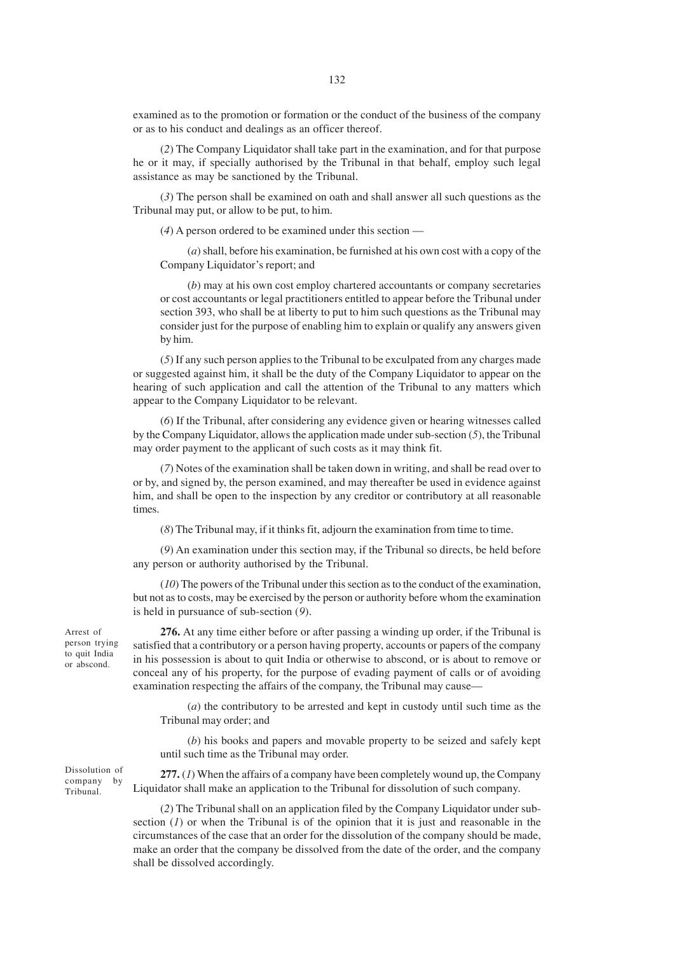examined as to the promotion or formation or the conduct of the business of the company or as to his conduct and dealings as an officer thereof.

(*2*) The Company Liquidator shall take part in the examination, and for that purpose he or it may, if specially authorised by the Tribunal in that behalf, employ such legal assistance as may be sanctioned by the Tribunal.

(*3*) The person shall be examined on oath and shall answer all such questions as the Tribunal may put, or allow to be put, to him.

(*4*) A person ordered to be examined under this section —

(*a*) shall, before his examination, be furnished at his own cost with a copy of the Company Liquidator's report; and

(*b*) may at his own cost employ chartered accountants or company secretaries or cost accountants or legal practitioners entitled to appear before the Tribunal under section 393, who shall be at liberty to put to him such questions as the Tribunal may consider just for the purpose of enabling him to explain or qualify any answers given by him.

(*5*) If any such person applies to the Tribunal to be exculpated from any charges made or suggested against him, it shall be the duty of the Company Liquidator to appear on the hearing of such application and call the attention of the Tribunal to any matters which appear to the Company Liquidator to be relevant.

(*6*) If the Tribunal, after considering any evidence given or hearing witnesses called by the Company Liquidator, allows the application made under sub-section (*5*), the Tribunal may order payment to the applicant of such costs as it may think fit.

(*7*) Notes of the examination shall be taken down in writing, and shall be read over to or by, and signed by, the person examined, and may thereafter be used in evidence against him, and shall be open to the inspection by any creditor or contributory at all reasonable times.

(*8*) The Tribunal may, if it thinks fit, adjourn the examination from time to time.

(*9*) An examination under this section may, if the Tribunal so directs, be held before any person or authority authorised by the Tribunal.

(*10*) The powers of the Tribunal under this section as to the conduct of the examination, but not as to costs, may be exercised by the person or authority before whom the examination is held in pursuance of sub-section (*9*).

Arrest of person trying to quit India or abscond.

**276.** At any time either before or after passing a winding up order, if the Tribunal is satisfied that a contributory or a person having property, accounts or papers of the company in his possession is about to quit India or otherwise to abscond, or is about to remove or conceal any of his property, for the purpose of evading payment of calls or of avoiding examination respecting the affairs of the company, the Tribunal may cause—

(*a*) the contributory to be arrested and kept in custody until such time as the Tribunal may order; and

(*b*) his books and papers and movable property to be seized and safely kept until such time as the Tribunal may order.

**277.** (*1*) When the affairs of a company have been completely wound up, the Company Liquidator shall make an application to the Tribunal for dissolution of such company.

(*2*) The Tribunal shall on an application filed by the Company Liquidator under subsection  $(I)$  or when the Tribunal is of the opinion that it is just and reasonable in the circumstances of the case that an order for the dissolution of the company should be made, make an order that the company be dissolved from the date of the order, and the company shall be dissolved accordingly.

Dissolution of company by Tribunal.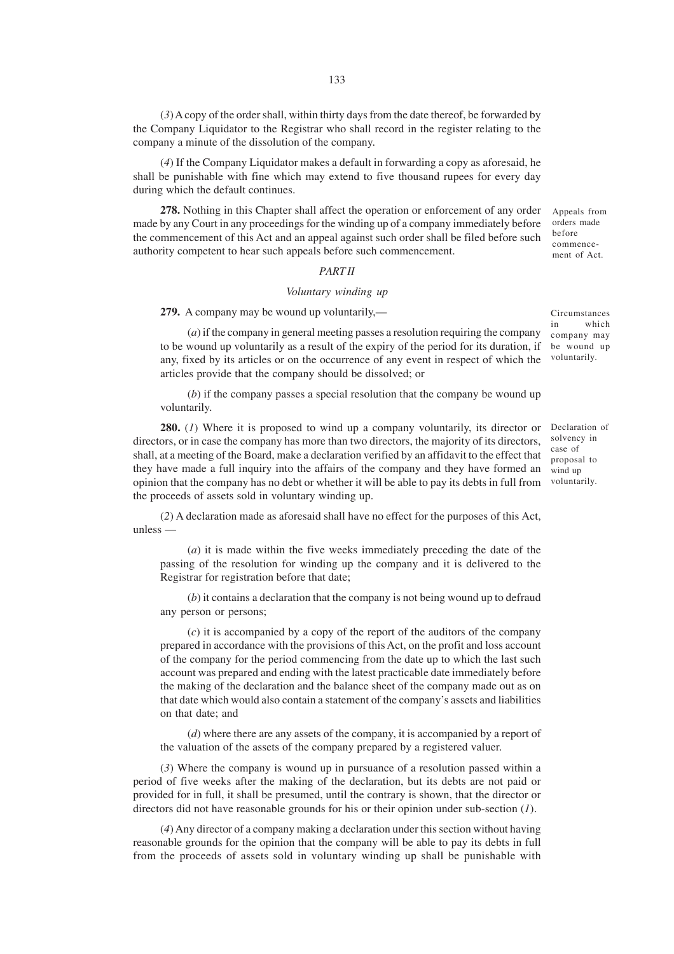(*3*) A copy of the order shall, within thirty days from the date thereof, be forwarded by the Company Liquidator to the Registrar who shall record in the register relating to the company a minute of the dissolution of the company.

(*4*) If the Company Liquidator makes a default in forwarding a copy as aforesaid, he shall be punishable with fine which may extend to five thousand rupees for every day during which the default continues.

**278.** Nothing in this Chapter shall affect the operation or enforcement of any order made by any Court in any proceedings for the winding up of a company immediately before the commencement of this Act and an appeal against such order shall be filed before such authority competent to hear such appeals before such commencement.

## *PART II*

#### *Voluntary winding up*

**279.** A company may be wound up voluntarily,—

(*a*) if the company in general meeting passes a resolution requiring the company to be wound up voluntarily as a result of the expiry of the period for its duration, if any, fixed by its articles or on the occurrence of any event in respect of which the articles provide that the company should be dissolved; or

(*b*) if the company passes a special resolution that the company be wound up voluntarily.

280. (1) Where it is proposed to wind up a company voluntarily, its director or Declaration of directors, or in case the company has more than two directors, the majority of its directors, shall, at a meeting of the Board, make a declaration verified by an affidavit to the effect that they have made a full inquiry into the affairs of the company and they have formed an opinion that the company has no debt or whether it will be able to pay its debts in full from the proceeds of assets sold in voluntary winding up.

(*2*) A declaration made as aforesaid shall have no effect for the purposes of this Act, unless —

(*a*) it is made within the five weeks immediately preceding the date of the passing of the resolution for winding up the company and it is delivered to the Registrar for registration before that date;

(*b*) it contains a declaration that the company is not being wound up to defraud any person or persons;

(*c*) it is accompanied by a copy of the report of the auditors of the company prepared in accordance with the provisions of this Act, on the profit and loss account of the company for the period commencing from the date up to which the last such account was prepared and ending with the latest practicable date immediately before the making of the declaration and the balance sheet of the company made out as on that date which would also contain a statement of the company's assets and liabilities on that date; and

(*d*) where there are any assets of the company, it is accompanied by a report of the valuation of the assets of the company prepared by a registered valuer.

(*3*) Where the company is wound up in pursuance of a resolution passed within a period of five weeks after the making of the declaration, but its debts are not paid or provided for in full, it shall be presumed, until the contrary is shown, that the director or directors did not have reasonable grounds for his or their opinion under sub-section (*1*).

(*4*) Any director of a company making a declaration under this section without having reasonable grounds for the opinion that the company will be able to pay its debts in full from the proceeds of assets sold in voluntary winding up shall be punishable with

Appeals from orders made before commencement of Act.

Circumstances in which company may be wound up voluntarily.

solvency in case of proposal to wind up voluntarily.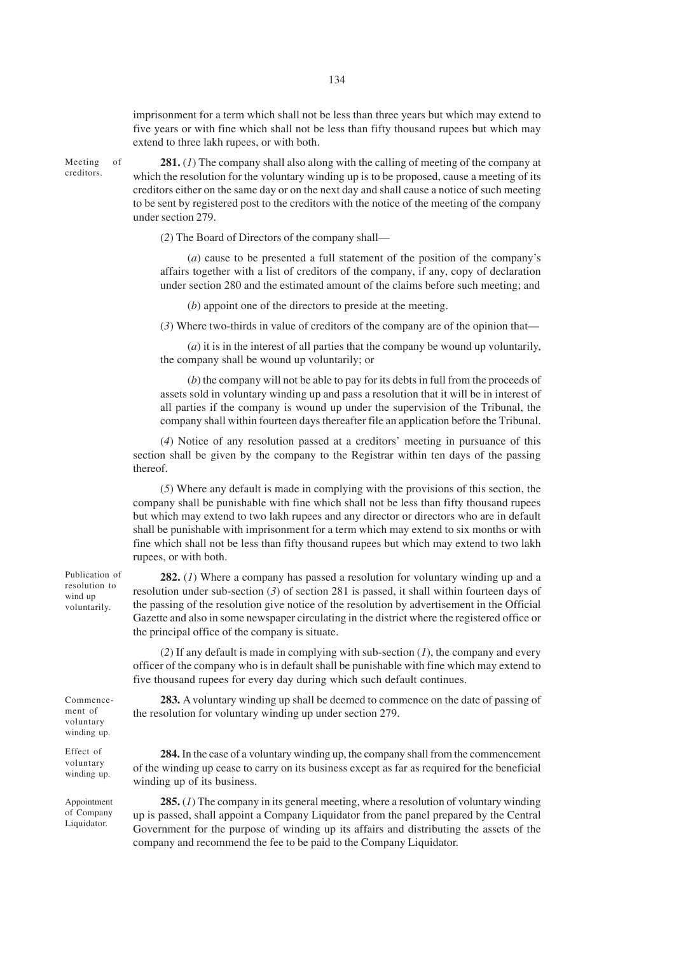imprisonment for a term which shall not be less than three years but which may extend to five years or with fine which shall not be less than fifty thousand rupees but which may extend to three lakh rupees, or with both.

Meeting of creditors.

**281.** (*1*) The company shall also along with the calling of meeting of the company at which the resolution for the voluntary winding up is to be proposed, cause a meeting of its creditors either on the same day or on the next day and shall cause a notice of such meeting to be sent by registered post to the creditors with the notice of the meeting of the company under section 279.

(*2*) The Board of Directors of the company shall—

(*a*) cause to be presented a full statement of the position of the company's affairs together with a list of creditors of the company, if any, copy of declaration under section 280 and the estimated amount of the claims before such meeting; and

(*b*) appoint one of the directors to preside at the meeting.

(*3*) Where two-thirds in value of creditors of the company are of the opinion that—

(*a*) it is in the interest of all parties that the company be wound up voluntarily, the company shall be wound up voluntarily; or

(*b*) the company will not be able to pay for its debts in full from the proceeds of assets sold in voluntary winding up and pass a resolution that it will be in interest of all parties if the company is wound up under the supervision of the Tribunal, the company shall within fourteen days thereafter file an application before the Tribunal.

(*4*) Notice of any resolution passed at a creditors' meeting in pursuance of this section shall be given by the company to the Registrar within ten days of the passing thereof.

(*5*) Where any default is made in complying with the provisions of this section, the company shall be punishable with fine which shall not be less than fifty thousand rupees but which may extend to two lakh rupees and any director or directors who are in default shall be punishable with imprisonment for a term which may extend to six months or with fine which shall not be less than fifty thousand rupees but which may extend to two lakh rupees, or with both.

**282.** (*1*) Where a company has passed a resolution for voluntary winding up and a resolution under sub-section (*3*) of section 281 is passed, it shall within fourteen days of the passing of the resolution give notice of the resolution by advertisement in the Official Gazette and also in some newspaper circulating in the district where the registered office or the principal office of the company is situate.

(*2*) If any default is made in complying with sub-section (*1*), the company and every officer of the company who is in default shall be punishable with fine which may extend to five thousand rupees for every day during which such default continues.

**283.** A voluntary winding up shall be deemed to commence on the date of passing of the resolution for voluntary winding up under section 279.

**284.** In the case of a voluntary winding up, the company shall from the commencement of the winding up cease to carry on its business except as far as required for the beneficial winding up of its business.

of Company Liquidator.

**285.** (*1*) The company in its general meeting, where a resolution of voluntary winding up is passed, shall appoint a Company Liquidator from the panel prepared by the Central Government for the purpose of winding up its affairs and distributing the assets of the company and recommend the fee to be paid to the Company Liquidator.

Publication of resolution to wind up voluntarily.

Commencement of voluntary winding up.

Effect of voluntary winding up.

Appointment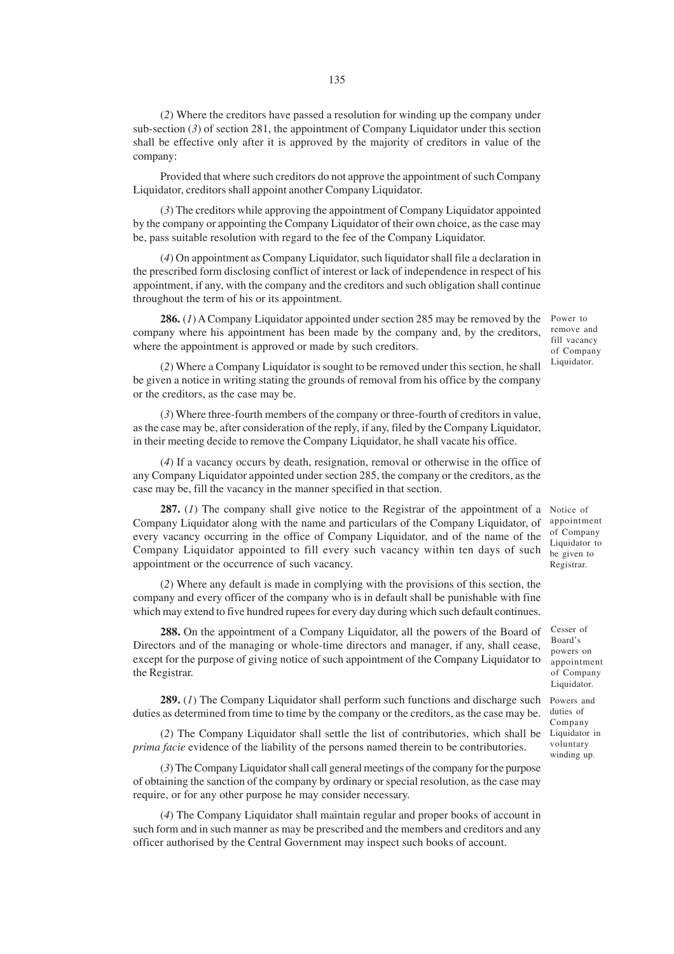(*2*) Where the creditors have passed a resolution for winding up the company under sub-section (*3*) of section 281, the appointment of Company Liquidator under this section shall be effective only after it is approved by the majority of creditors in value of the company:

Provided that where such creditors do not approve the appointment of such Company Liquidator, creditors shall appoint another Company Liquidator.

(*3*) The creditors while approving the appointment of Company Liquidator appointed by the company or appointing the Company Liquidator of their own choice, as the case may be, pass suitable resolution with regard to the fee of the Company Liquidator.

(*4*) On appointment as Company Liquidator, such liquidator shall file a declaration in the prescribed form disclosing conflict of interest or lack of independence in respect of his appointment, if any, with the company and the creditors and such obligation shall continue throughout the term of his or its appointment.

**286.** (*1*) A Company Liquidator appointed under section 285 may be removed by the company where his appointment has been made by the company and, by the creditors, where the appointment is approved or made by such creditors.

Power to remove and fill vacancy of Company Liquidator.

(*2*) Where a Company Liquidator is sought to be removed under this section, he shall be given a notice in writing stating the grounds of removal from his office by the company or the creditors, as the case may be.

(*3*) Where three-fourth members of the company or three-fourth of creditors in value, as the case may be, after consideration of the reply, if any, filed by the Company Liquidator, in their meeting decide to remove the Company Liquidator, he shall vacate his office.

(*4*) If a vacancy occurs by death, resignation, removal or otherwise in the office of any Company Liquidator appointed under section 285, the company or the creditors, as the case may be, fill the vacancy in the manner specified in that section.

**287.** (*I*) The company shall give notice to the Registrar of the appointment of a Notice of Company Liquidator along with the name and particulars of the Company Liquidator, of every vacancy occurring in the office of Company Liquidator, and of the name of the Company Liquidator appointed to fill every such vacancy within ten days of such  $\frac{L}{d}$  be given to appointment or the occurrence of such vacancy.

(*2*) Where any default is made in complying with the provisions of this section, the company and every officer of the company who is in default shall be punishable with fine which may extend to five hundred rupees for every day during which such default continues.

**288.** On the appointment of a Company Liquidator, all the powers of the Board of Directors and of the managing or whole-time directors and manager, if any, shall cease, except for the purpose of giving notice of such appointment of the Company Liquidator to the Registrar.

**289.** (*1*) The Company Liquidator shall perform such functions and discharge such duties as determined from time to time by the company or the creditors, as the case may be.

(*2*) The Company Liquidator shall settle the list of contributories, which shall be *prima facie* evidence of the liability of the persons named therein to be contributories.

(*3*) The Company Liquidator shall call general meetings of the company for the purpose of obtaining the sanction of the company by ordinary or special resolution, as the case may require, or for any other purpose he may consider necessary.

(*4*) The Company Liquidator shall maintain regular and proper books of account in such form and in such manner as may be prescribed and the members and creditors and any officer authorised by the Central Government may inspect such books of account.

appointment of Company Liquidator to Registrar.

Cesser of Board's powers on appointment of Company Liquidator.

Powers and duties of Company Liquidator in voluntary winding up.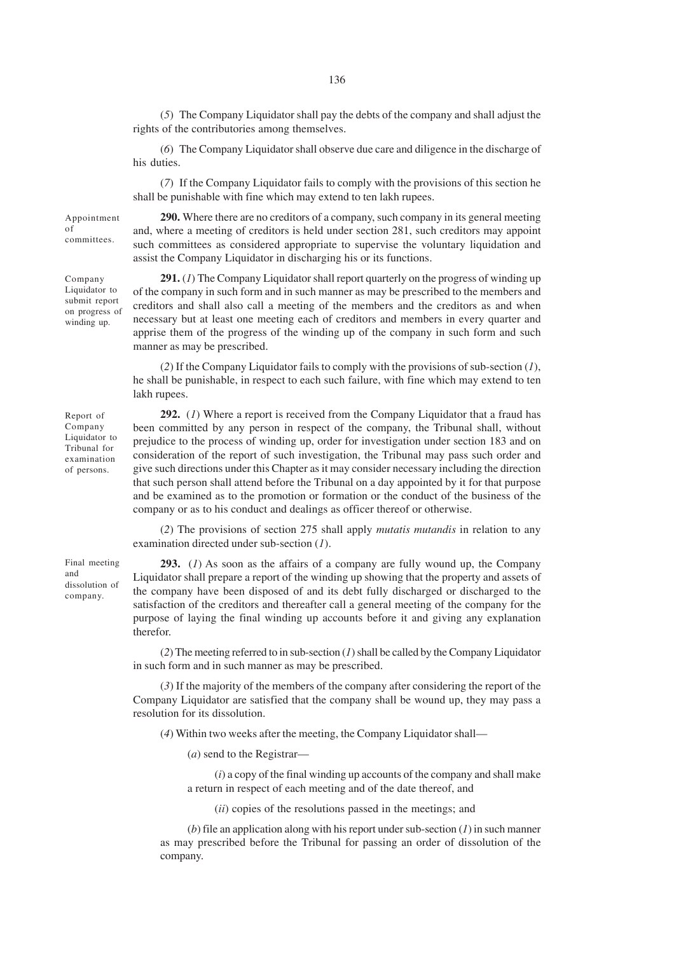136

(*5*) The Company Liquidator shall pay the debts of the company and shall adjust the rights of the contributories among themselves.

(*6*) The Company Liquidator shall observe due care and diligence in the discharge of his duties.

(*7*) If the Company Liquidator fails to comply with the provisions of this section he shall be punishable with fine which may extend to ten lakh rupees.

Appointment of committees.

Company Liquidator to submit report on progress of winding up.

and, where a meeting of creditors is held under section 281, such creditors may appoint such committees as considered appropriate to supervise the voluntary liquidation and assist the Company Liquidator in discharging his or its functions.

**290.** Where there are no creditors of a company, such company in its general meeting

**291.** (*1*) The Company Liquidator shall report quarterly on the progress of winding up of the company in such form and in such manner as may be prescribed to the members and creditors and shall also call a meeting of the members and the creditors as and when necessary but at least one meeting each of creditors and members in every quarter and apprise them of the progress of the winding up of the company in such form and such manner as may be prescribed.

(*2*) If the Company Liquidator fails to comply with the provisions of sub-section (*1*), he shall be punishable, in respect to each such failure, with fine which may extend to ten lakh rupees.

**292.** (*1*) Where a report is received from the Company Liquidator that a fraud has been committed by any person in respect of the company, the Tribunal shall, without prejudice to the process of winding up, order for investigation under section 183 and on consideration of the report of such investigation, the Tribunal may pass such order and give such directions under this Chapter as it may consider necessary including the direction that such person shall attend before the Tribunal on a day appointed by it for that purpose and be examined as to the promotion or formation or the conduct of the business of the company or as to his conduct and dealings as officer thereof or otherwise.

(*2*) The provisions of section 275 shall apply *mutatis mutandis* in relation to any examination directed under sub-section (*1*).

**293.** (*1*) As soon as the affairs of a company are fully wound up, the Company Liquidator shall prepare a report of the winding up showing that the property and assets of the company have been disposed of and its debt fully discharged or discharged to the satisfaction of the creditors and thereafter call a general meeting of the company for the purpose of laying the final winding up accounts before it and giving any explanation therefor.

(*2*) The meeting referred to in sub-section (*1*) shall be called by the Company Liquidator in such form and in such manner as may be prescribed.

(*3*) If the majority of the members of the company after considering the report of the Company Liquidator are satisfied that the company shall be wound up, they may pass a resolution for its dissolution.

(*4*) Within two weeks after the meeting, the Company Liquidator shall—

(*a*) send to the Registrar—

(*i*) a copy of the final winding up accounts of the company and shall make a return in respect of each meeting and of the date thereof, and

(*ii*) copies of the resolutions passed in the meetings; and

(*b*) file an application along with his report under sub-section (*1*) in such manner as may prescribed before the Tribunal for passing an order of dissolution of the company.

Report of Company Liquidator to Tribunal for examination of persons.

Final meeting and dissolution of company.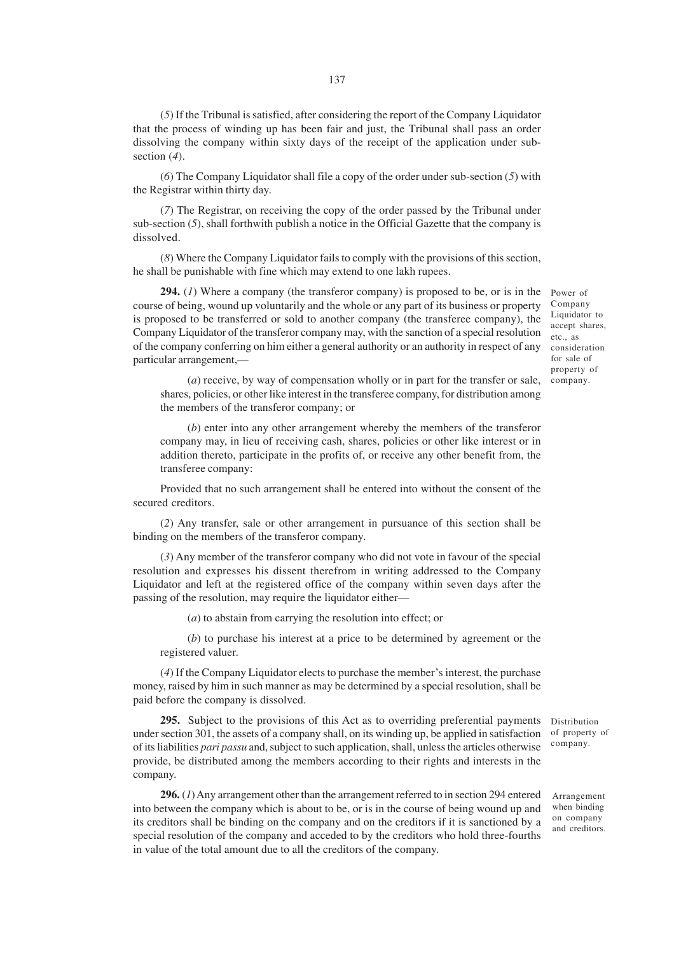(*5*) If the Tribunal is satisfied, after considering the report of the Company Liquidator that the process of winding up has been fair and just, the Tribunal shall pass an order dissolving the company within sixty days of the receipt of the application under subsection (*4*).

(*6*) The Company Liquidator shall file a copy of the order under sub-section (*5*) with the Registrar within thirty day.

(*7*) The Registrar, on receiving the copy of the order passed by the Tribunal under sub-section (*5*), shall forthwith publish a notice in the Official Gazette that the company is dissolved.

(*8*) Where the Company Liquidator fails to comply with the provisions of this section, he shall be punishable with fine which may extend to one lakh rupees.

**294.** (*1*) Where a company (the transferor company) is proposed to be, or is in the course of being, wound up voluntarily and the whole or any part of its business or property is proposed to be transferred or sold to another company (the transferee company), the Company Liquidator of the transferor company may, with the sanction of a special resolution of the company conferring on him either a general authority or an authority in respect of any consideration particular arrangement,—

Power of Company Liquidator to accept shares, etc., as for sale of property of company.

(*a*) receive, by way of compensation wholly or in part for the transfer or sale, shares, policies, or other like interest in the transferee company, for distribution among the members of the transferor company; or

(*b*) enter into any other arrangement whereby the members of the transferor company may, in lieu of receiving cash, shares, policies or other like interest or in addition thereto, participate in the profits of, or receive any other benefit from, the transferee company:

Provided that no such arrangement shall be entered into without the consent of the secured creditors.

(*2*) Any transfer, sale or other arrangement in pursuance of this section shall be binding on the members of the transferor company.

(*3*) Any member of the transferor company who did not vote in favour of the special resolution and expresses his dissent therefrom in writing addressed to the Company Liquidator and left at the registered office of the company within seven days after the passing of the resolution, may require the liquidator either—

(*a*) to abstain from carrying the resolution into effect; or

(*b*) to purchase his interest at a price to be determined by agreement or the registered valuer.

(*4*) If the Company Liquidator elects to purchase the member's interest, the purchase money, raised by him in such manner as may be determined by a special resolution, shall be paid before the company is dissolved.

**295.** Subject to the provisions of this Act as to overriding preferential payments under section 301, the assets of a company shall, on its winding up, be applied in satisfaction of its liabilities *pari passu* and, subject to such application, shall, unless the articles otherwise provide, be distributed among the members according to their rights and interests in the company.

**296.** (*1*) Any arrangement other than the arrangement referred to in section 294 entered into between the company which is about to be, or is in the course of being wound up and its creditors shall be binding on the company and on the creditors if it is sanctioned by a special resolution of the company and acceded to by the creditors who hold three-fourths in value of the total amount due to all the creditors of the company.

Distribution of property of company.

Arrangement when binding on company and creditors.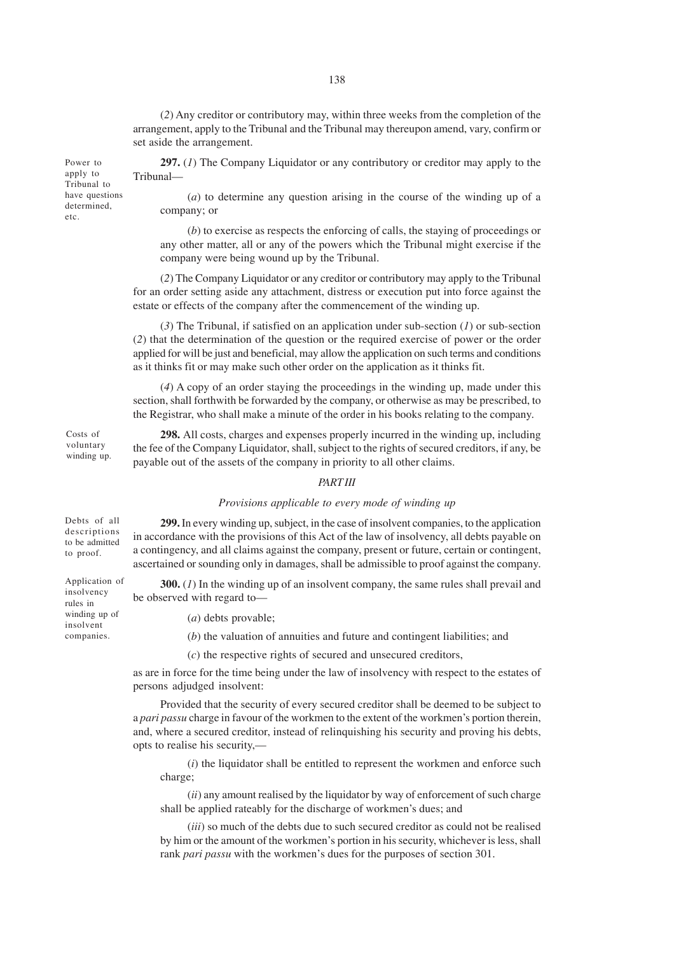(*2*) Any creditor or contributory may, within three weeks from the completion of the arrangement, apply to the Tribunal and the Tribunal may thereupon amend, vary, confirm or set aside the arrangement.

**297.** (*1*) The Company Liquidator or any contributory or creditor may apply to the Tribunal—

(*a*) to determine any question arising in the course of the winding up of a company; or

(*b*) to exercise as respects the enforcing of calls, the staying of proceedings or any other matter, all or any of the powers which the Tribunal might exercise if the company were being wound up by the Tribunal.

(*2*) The Company Liquidator or any creditor or contributory may apply to the Tribunal for an order setting aside any attachment, distress or execution put into force against the estate or effects of the company after the commencement of the winding up.

(*3*) The Tribunal, if satisfied on an application under sub-section (*1*) or sub-section (*2*) that the determination of the question or the required exercise of power or the order applied for will be just and beneficial, may allow the application on such terms and conditions as it thinks fit or may make such other order on the application as it thinks fit.

(*4*) A copy of an order staying the proceedings in the winding up, made under this section, shall forthwith be forwarded by the company, or otherwise as may be prescribed, to the Registrar, who shall make a minute of the order in his books relating to the company.

**298.** All costs, charges and expenses properly incurred in the winding up, including the fee of the Company Liquidator, shall, subject to the rights of secured creditors, if any, be payable out of the assets of the company in priority to all other claims.

# *PART III*

# *Provisions applicable to every mode of winding up*

**299.** In every winding up, subject, in the case of insolvent companies, to the application in accordance with the provisions of this Act of the law of insolvency, all debts payable on a contingency, and all claims against the company, present or future, certain or contingent, ascertained or sounding only in damages, shall be admissible to proof against the company.

**300.** (*1*) In the winding up of an insolvent company, the same rules shall prevail and be observed with regard to—

(*a*) debts provable;

(*b*) the valuation of annuities and future and contingent liabilities; and

(*c*) the respective rights of secured and unsecured creditors,

as are in force for the time being under the law of insolvency with respect to the estates of persons adjudged insolvent:

Provided that the security of every secured creditor shall be deemed to be subject to a *pari passu* charge in favour of the workmen to the extent of the workmen's portion therein, and, where a secured creditor, instead of relinquishing his security and proving his debts, opts to realise his security,—

(*i*) the liquidator shall be entitled to represent the workmen and enforce such charge;

(*ii*) any amount realised by the liquidator by way of enforcement of such charge shall be applied rateably for the discharge of workmen's dues; and

(*iii*) so much of the debts due to such secured creditor as could not be realised by him or the amount of the workmen's portion in his security, whichever is less, shall rank *pari passu* with the workmen's dues for the purposes of section 301.

descriptions to be admitted to proof.

Debts of all

Costs of voluntary winding up.

Power to apply to Tribunal to have questions determined, etc.

Application of insolvency rules in winding up of insolvent companies.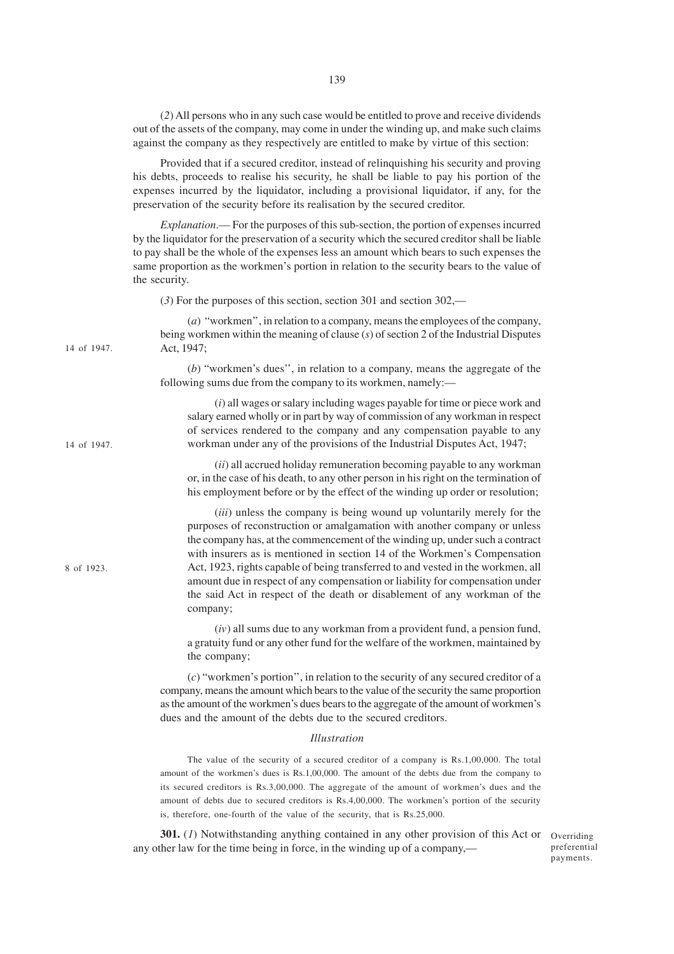(*2*) All persons who in any such case would be entitled to prove and receive dividends out of the assets of the company, may come in under the winding up, and make such claims against the company as they respectively are entitled to make by virtue of this section:

Provided that if a secured creditor, instead of relinquishing his security and proving his debts, proceeds to realise his security, he shall be liable to pay his portion of the expenses incurred by the liquidator, including a provisional liquidator, if any, for the preservation of the security before its realisation by the secured creditor.

*Explanation*.— For the purposes of this sub-section, the portion of expenses incurred by the liquidator for the preservation of a security which the secured creditor shall be liable to pay shall be the whole of the expenses less an amount which bears to such expenses the same proportion as the workmen's portion in relation to the security bears to the value of the security.

(*3*) For the purposes of this section, section 301 and section 302,—

(*a*) "workmen'', in relation to a company, means the employees of the company, being workmen within the meaning of clause (*s*) of section 2 of the Industrial Disputes Act, 1947;

(*b*) "workmen's dues'', in relation to a company, means the aggregate of the following sums due from the company to its workmen, namely:—

(*i*) all wages or salary including wages payable for time or piece work and salary earned wholly or in part by way of commission of any workman in respect of services rendered to the company and any compensation payable to any workman under any of the provisions of the Industrial Disputes Act, 1947;

(*ii*) all accrued holiday remuneration becoming payable to any workman or, in the case of his death, to any other person in his right on the termination of his employment before or by the effect of the winding up order or resolution;

(*iii*) unless the company is being wound up voluntarily merely for the purposes of reconstruction or amalgamation with another company or unless the company has, at the commencement of the winding up, under such a contract with insurers as is mentioned in section 14 of the Workmen's Compensation Act, 1923, rights capable of being transferred to and vested in the workmen, all amount due in respect of any compensation or liability for compensation under the said Act in respect of the death or disablement of any workman of the company;

(*iv*) all sums due to any workman from a provident fund, a pension fund, a gratuity fund or any other fund for the welfare of the workmen, maintained by the company;

(*c*) "workmen's portion'', in relation to the security of any secured creditor of a company, means the amount which bears to the value of the security the same proportion as the amount of the workmen's dues bears to the aggregate of the amount of workmen's dues and the amount of the debts due to the secured creditors.

# *Illustration*

The value of the security of a secured creditor of a company is Rs.1,00,000. The total amount of the workmen's dues is Rs.1,00,000. The amount of the debts due from the company to its secured creditors is Rs.3,00,000. The aggregate of the amount of workmen's dues and the amount of debts due to secured creditors is Rs.4,00,000. The workmen's portion of the security is, therefore, one-fourth of the value of the security, that is Rs.25,000.

**301.** (1) Notwithstanding anything contained in any other provision of this Act or Overriding any other law for the time being in force, in the winding up of a company,—

preferential payments.

14 of 1947.

14 of 1947.

8 of 1923.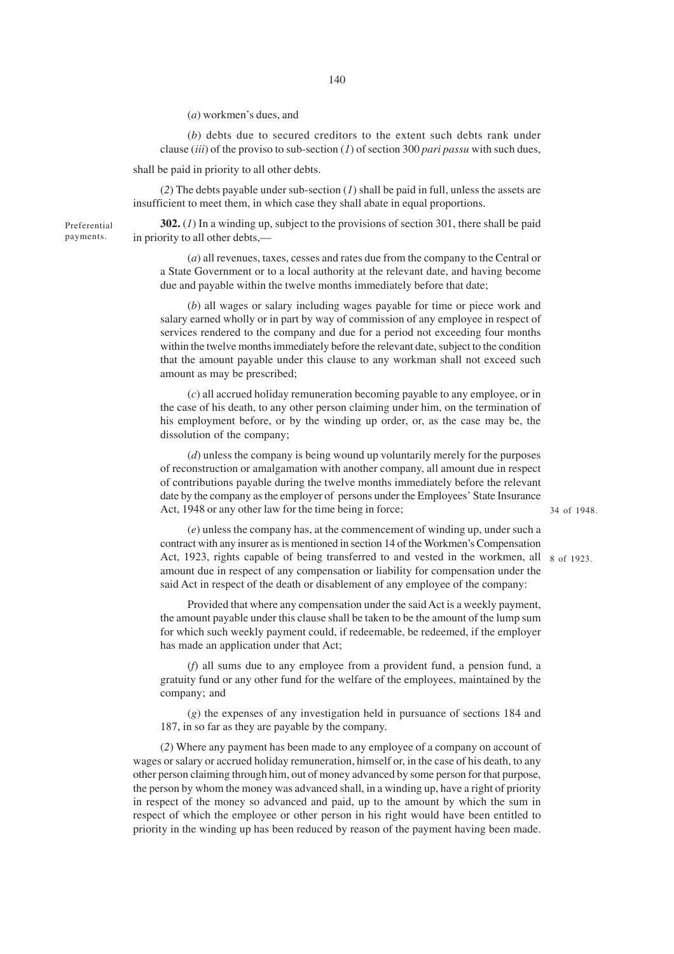(*a*) workmen's dues, and

(*b*) debts due to secured creditors to the extent such debts rank under clause (*iii*) of the proviso to sub-section (*1*) of section 300 *pari passu* with such dues,

shall be paid in priority to all other debts.

Preferential payments.

(*2*) The debts payable under sub-section (*1*) shall be paid in full, unless the assets are insufficient to meet them, in which case they shall abate in equal proportions.

**302.** (*1*) In a winding up, subject to the provisions of section 301, there shall be paid in priority to all other debts,—

(*a*) all revenues, taxes, cesses and rates due from the company to the Central or a State Government or to a local authority at the relevant date, and having become due and payable within the twelve months immediately before that date;

(*b*) all wages or salary including wages payable for time or piece work and salary earned wholly or in part by way of commission of any employee in respect of services rendered to the company and due for a period not exceeding four months within the twelve months immediately before the relevant date, subject to the condition that the amount payable under this clause to any workman shall not exceed such amount as may be prescribed;

(*c*) all accrued holiday remuneration becoming payable to any employee, or in the case of his death, to any other person claiming under him, on the termination of his employment before, or by the winding up order, or, as the case may be, the dissolution of the company;

(*d*) unless the company is being wound up voluntarily merely for the purposes of reconstruction or amalgamation with another company, all amount due in respect of contributions payable during the twelve months immediately before the relevant date by the company as the employer of persons under the Employees' State Insurance Act, 1948 or any other law for the time being in force;

34 of 1948.

(*e*) unless the company has, at the commencement of winding up, under such a contract with any insurer as is mentioned in section 14 of the Workmen's Compensation Act, 1923, rights capable of being transferred to and vested in the workmen, all  $\frac{8}{1923}$ , amount due in respect of any compensation or liability for compensation under the said Act in respect of the death or disablement of any employee of the company:

Provided that where any compensation under the said Act is a weekly payment, the amount payable under this clause shall be taken to be the amount of the lump sum for which such weekly payment could, if redeemable, be redeemed, if the employer has made an application under that Act;

(*f*) all sums due to any employee from a provident fund, a pension fund, a gratuity fund or any other fund for the welfare of the employees, maintained by the company; and

(*g*) the expenses of any investigation held in pursuance of sections 184 and 187, in so far as they are payable by the company.

(*2*) Where any payment has been made to any employee of a company on account of wages or salary or accrued holiday remuneration, himself or, in the case of his death, to any other person claiming through him, out of money advanced by some person for that purpose, the person by whom the money was advanced shall, in a winding up, have a right of priority in respect of the money so advanced and paid, up to the amount by which the sum in respect of which the employee or other person in his right would have been entitled to priority in the winding up has been reduced by reason of the payment having been made.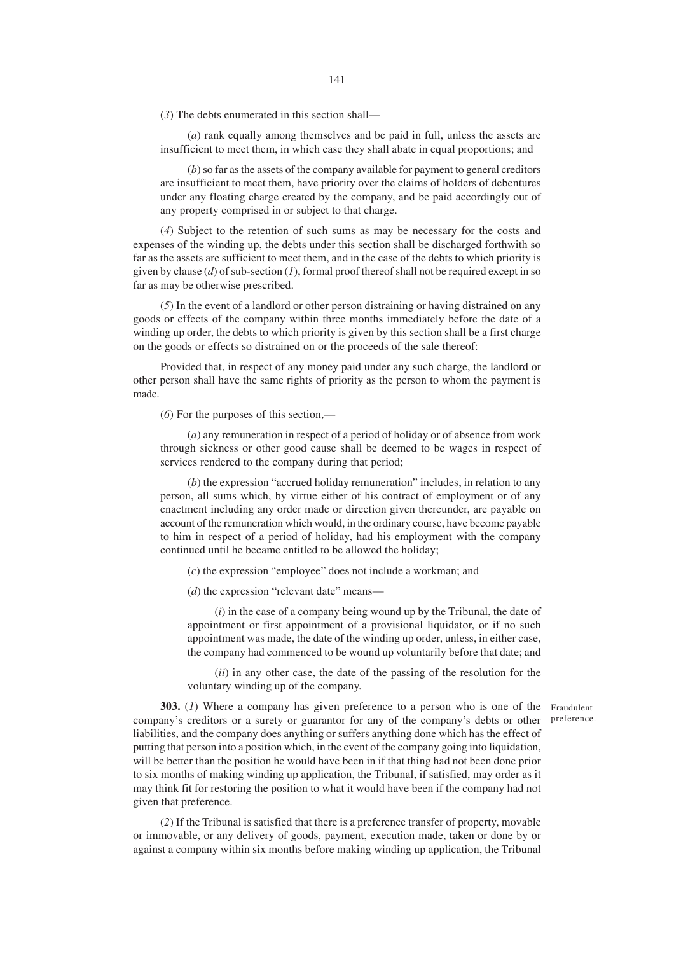(*3*) The debts enumerated in this section shall—

(*a*) rank equally among themselves and be paid in full, unless the assets are insufficient to meet them, in which case they shall abate in equal proportions; and

(*b*) so far as the assets of the company available for payment to general creditors are insufficient to meet them, have priority over the claims of holders of debentures under any floating charge created by the company, and be paid accordingly out of any property comprised in or subject to that charge.

(*4*) Subject to the retention of such sums as may be necessary for the costs and expenses of the winding up, the debts under this section shall be discharged forthwith so far as the assets are sufficient to meet them, and in the case of the debts to which priority is given by clause (*d*) of sub-section (*1*), formal proof thereof shall not be required except in so far as may be otherwise prescribed.

(*5*) In the event of a landlord or other person distraining or having distrained on any goods or effects of the company within three months immediately before the date of a winding up order, the debts to which priority is given by this section shall be a first charge on the goods or effects so distrained on or the proceeds of the sale thereof:

Provided that, in respect of any money paid under any such charge, the landlord or other person shall have the same rights of priority as the person to whom the payment is made.

(*6*) For the purposes of this section,—

(*a*) any remuneration in respect of a period of holiday or of absence from work through sickness or other good cause shall be deemed to be wages in respect of services rendered to the company during that period;

(*b*) the expression "accrued holiday remuneration" includes, in relation to any person, all sums which, by virtue either of his contract of employment or of any enactment including any order made or direction given thereunder, are payable on account of the remuneration which would, in the ordinary course, have become payable to him in respect of a period of holiday, had his employment with the company continued until he became entitled to be allowed the holiday;

(*c*) the expression "employee" does not include a workman; and

(*d*) the expression "relevant date" means—

(*i*) in the case of a company being wound up by the Tribunal, the date of appointment or first appointment of a provisional liquidator, or if no such appointment was made, the date of the winding up order, unless, in either case, the company had commenced to be wound up voluntarily before that date; and

(*ii*) in any other case, the date of the passing of the resolution for the voluntary winding up of the company.

**303.** (1) Where a company has given preference to a person who is one of the Fraudulent company's creditors or a surety or guarantor for any of the company's debts or other preference.liabilities, and the company does anything or suffers anything done which has the effect of putting that person into a position which, in the event of the company going into liquidation, will be better than the position he would have been in if that thing had not been done prior to six months of making winding up application, the Tribunal, if satisfied, may order as it may think fit for restoring the position to what it would have been if the company had not given that preference.

(*2*) If the Tribunal is satisfied that there is a preference transfer of property, movable or immovable, or any delivery of goods, payment, execution made, taken or done by or against a company within six months before making winding up application, the Tribunal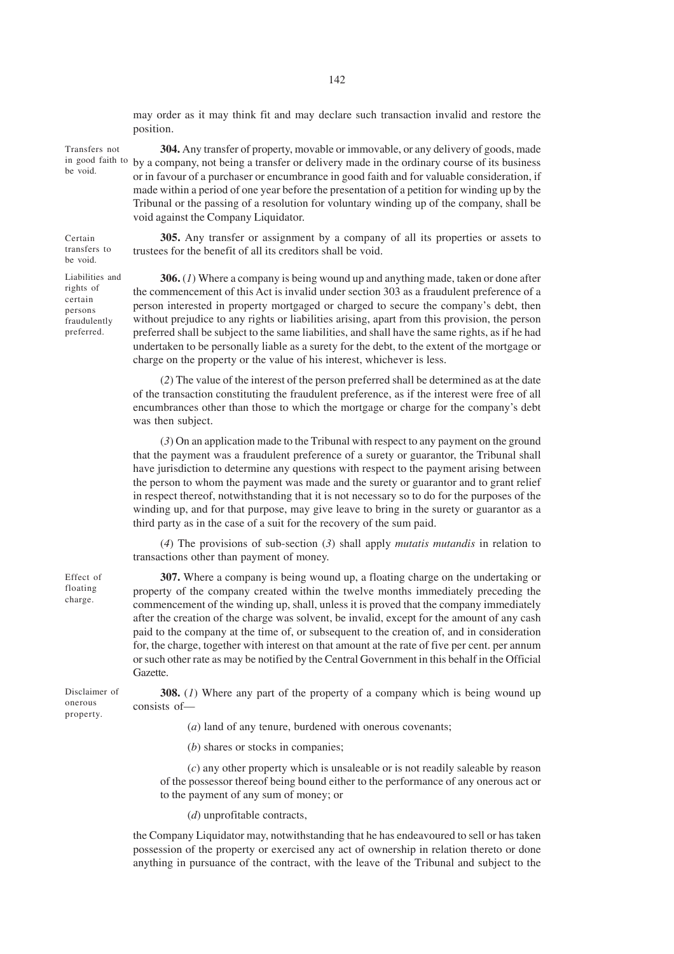may order as it may think fit and may declare such transaction invalid and restore the position.

**304.** Any transfer of property, movable or immovable, or any delivery of goods, made in good faith to by a company, not being a transfer or delivery made in the ordinary course of its business or in favour of a purchaser or encumbrance in good faith and for valuable consideration, if made within a period of one year before the presentation of a petition for winding up by the Tribunal or the passing of a resolution for voluntary winding up of the company, shall be void against the Company Liquidator.

**305.** Any transfer or assignment by a company of all its properties or assets to trustees for the benefit of all its creditors shall be void. transfers to

> **306.** (*1*) Where a company is being wound up and anything made, taken or done after the commencement of this Act is invalid under section 303 as a fraudulent preference of a person interested in property mortgaged or charged to secure the company's debt, then without prejudice to any rights or liabilities arising, apart from this provision, the person preferred shall be subject to the same liabilities, and shall have the same rights, as if he had undertaken to be personally liable as a surety for the debt, to the extent of the mortgage or charge on the property or the value of his interest, whichever is less.

> (*2*) The value of the interest of the person preferred shall be determined as at the date of the transaction constituting the fraudulent preference, as if the interest were free of all encumbrances other than those to which the mortgage or charge for the company's debt was then subject.

> (*3*) On an application made to the Tribunal with respect to any payment on the ground that the payment was a fraudulent preference of a surety or guarantor, the Tribunal shall have jurisdiction to determine any questions with respect to the payment arising between the person to whom the payment was made and the surety or guarantor and to grant relief in respect thereof, notwithstanding that it is not necessary so to do for the purposes of the winding up, and for that purpose, may give leave to bring in the surety or guarantor as a third party as in the case of a suit for the recovery of the sum paid.

> (*4*) The provisions of sub-section (*3*) shall apply *mutatis mutandis* in relation to transactions other than payment of money.

> **307.** Where a company is being wound up, a floating charge on the undertaking or property of the company created within the twelve months immediately preceding the commencement of the winding up, shall, unless it is proved that the company immediately after the creation of the charge was solvent, be invalid, except for the amount of any cash paid to the company at the time of, or subsequent to the creation of, and in consideration for, the charge, together with interest on that amount at the rate of five per cent. per annum or such other rate as may be notified by the Central Government in this behalf in the Official Gazette.

**308.** (*1*) Where any part of the property of a company which is being wound up consists of— Disclaimer of

(*a*) land of any tenure, burdened with onerous covenants;

(*b*) shares or stocks in companies;

(*c*) any other property which is unsaleable or is not readily saleable by reason of the possessor thereof being bound either to the performance of any onerous act or to the payment of any sum of money; or

(*d*) unprofitable contracts,

the Company Liquidator may, notwithstanding that he has endeavoured to sell or has taken possession of the property or exercised any act of ownership in relation thereto or done anything in pursuance of the contract, with the leave of the Tribunal and subject to the

Effect of floating charge.

onerous property.

Transfers not

be void.

Certain

be void. Liabilities and rights of certain persons fraudulently preferred.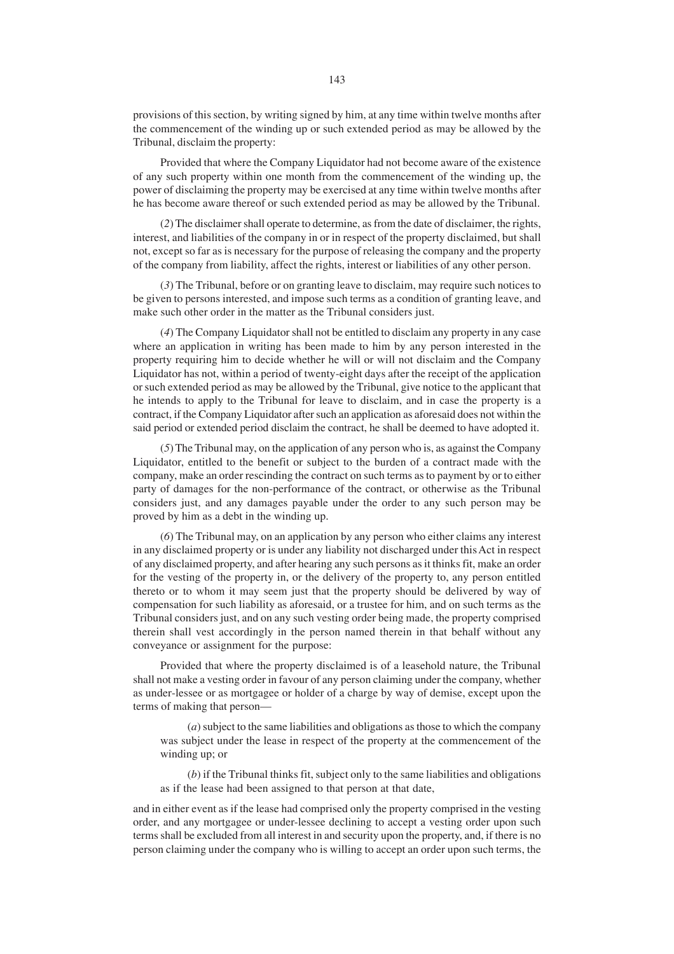provisions of this section, by writing signed by him, at any time within twelve months after the commencement of the winding up or such extended period as may be allowed by the Tribunal, disclaim the property:

Provided that where the Company Liquidator had not become aware of the existence of any such property within one month from the commencement of the winding up, the power of disclaiming the property may be exercised at any time within twelve months after he has become aware thereof or such extended period as may be allowed by the Tribunal.

(*2*) The disclaimer shall operate to determine, as from the date of disclaimer, the rights, interest, and liabilities of the company in or in respect of the property disclaimed, but shall not, except so far as is necessary for the purpose of releasing the company and the property of the company from liability, affect the rights, interest or liabilities of any other person.

(*3*) The Tribunal, before or on granting leave to disclaim, may require such notices to be given to persons interested, and impose such terms as a condition of granting leave, and make such other order in the matter as the Tribunal considers just.

(*4*) The Company Liquidator shall not be entitled to disclaim any property in any case where an application in writing has been made to him by any person interested in the property requiring him to decide whether he will or will not disclaim and the Company Liquidator has not, within a period of twenty-eight days after the receipt of the application or such extended period as may be allowed by the Tribunal, give notice to the applicant that he intends to apply to the Tribunal for leave to disclaim, and in case the property is a contract, if the Company Liquidator after such an application as aforesaid does not within the said period or extended period disclaim the contract, he shall be deemed to have adopted it.

(*5*) The Tribunal may, on the application of any person who is, as against the Company Liquidator, entitled to the benefit or subject to the burden of a contract made with the company, make an order rescinding the contract on such terms as to payment by or to either party of damages for the non-performance of the contract, or otherwise as the Tribunal considers just, and any damages payable under the order to any such person may be proved by him as a debt in the winding up.

(*6*) The Tribunal may, on an application by any person who either claims any interest in any disclaimed property or is under any liability not discharged under this Act in respect of any disclaimed property, and after hearing any such persons as it thinks fit, make an order for the vesting of the property in, or the delivery of the property to, any person entitled thereto or to whom it may seem just that the property should be delivered by way of compensation for such liability as aforesaid, or a trustee for him, and on such terms as the Tribunal considers just, and on any such vesting order being made, the property comprised therein shall vest accordingly in the person named therein in that behalf without any conveyance or assignment for the purpose:

Provided that where the property disclaimed is of a leasehold nature, the Tribunal shall not make a vesting order in favour of any person claiming under the company, whether as under-lessee or as mortgagee or holder of a charge by way of demise, except upon the terms of making that person—

(*a*) subject to the same liabilities and obligations as those to which the company was subject under the lease in respect of the property at the commencement of the winding up; or

(*b*) if the Tribunal thinks fit, subject only to the same liabilities and obligations as if the lease had been assigned to that person at that date,

and in either event as if the lease had comprised only the property comprised in the vesting order, and any mortgagee or under-lessee declining to accept a vesting order upon such terms shall be excluded from all interest in and security upon the property, and, if there is no person claiming under the company who is willing to accept an order upon such terms, the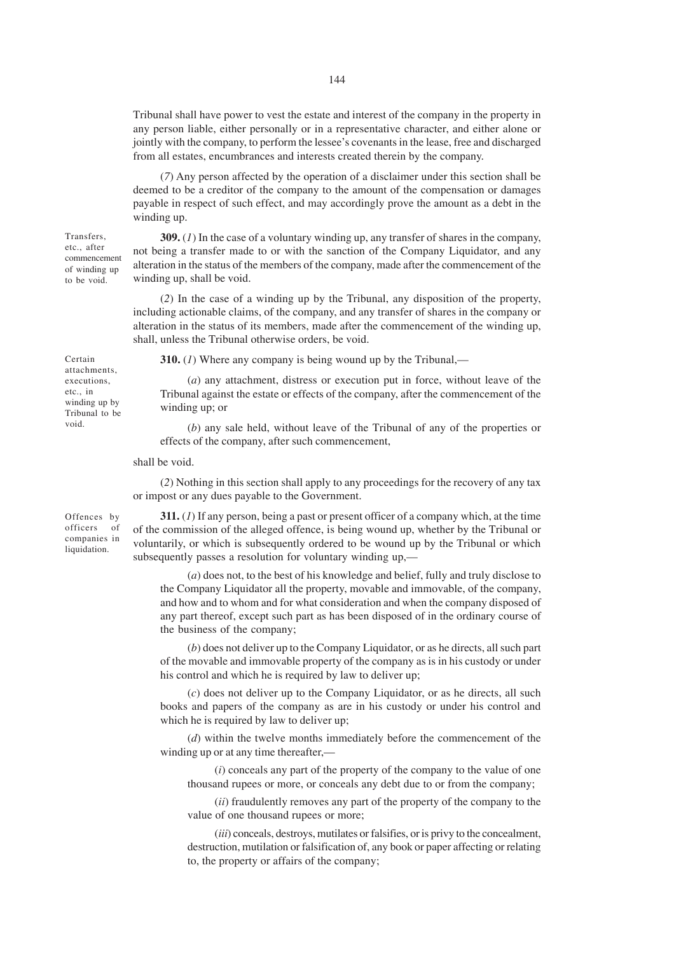Tribunal shall have power to vest the estate and interest of the company in the property in any person liable, either personally or in a representative character, and either alone or jointly with the company, to perform the lessee's covenants in the lease, free and discharged from all estates, encumbrances and interests created therein by the company.

(*7*) Any person affected by the operation of a disclaimer under this section shall be deemed to be a creditor of the company to the amount of the compensation or damages payable in respect of such effect, and may accordingly prove the amount as a debt in the winding up.

**309.** (*1*) In the case of a voluntary winding up, any transfer of shares in the company, not being a transfer made to or with the sanction of the Company Liquidator, and any alteration in the status of the members of the company, made after the commencement of the winding up, shall be void.

(*2*) In the case of a winding up by the Tribunal, any disposition of the property, including actionable claims, of the company, and any transfer of shares in the company or alteration in the status of its members, made after the commencement of the winding up, shall, unless the Tribunal otherwise orders, be void.

Certain attachments, executions, etc., in winding up by Tribunal to be void.

Offences by officers of companies in liquidation.

**Transfers** etc., after commencement of winding up to be void.

**310.** (*1*) Where any company is being wound up by the Tribunal,—

(*a*) any attachment, distress or execution put in force, without leave of the Tribunal against the estate or effects of the company, after the commencement of the winding up; or

(*b*) any sale held, without leave of the Tribunal of any of the properties or effects of the company, after such commencement,

shall be void.

(*2*) Nothing in this section shall apply to any proceedings for the recovery of any tax or impost or any dues payable to the Government.

**311.** (*1*) If any person, being a past or present officer of a company which, at the time of the commission of the alleged offence, is being wound up, whether by the Tribunal or voluntarily, or which is subsequently ordered to be wound up by the Tribunal or which subsequently passes a resolution for voluntary winding up,—

(*a*) does not, to the best of his knowledge and belief, fully and truly disclose to the Company Liquidator all the property, movable and immovable, of the company, and how and to whom and for what consideration and when the company disposed of any part thereof, except such part as has been disposed of in the ordinary course of the business of the company;

(*b*) does not deliver up to the Company Liquidator, or as he directs, all such part of the movable and immovable property of the company as is in his custody or under his control and which he is required by law to deliver up;

(*c*) does not deliver up to the Company Liquidator, or as he directs, all such books and papers of the company as are in his custody or under his control and which he is required by law to deliver up;

(*d*) within the twelve months immediately before the commencement of the winding up or at any time thereafter,—

(*i*) conceals any part of the property of the company to the value of one thousand rupees or more, or conceals any debt due to or from the company;

(*ii*) fraudulently removes any part of the property of the company to the value of one thousand rupees or more;

(*iii*) conceals, destroys, mutilates or falsifies, or is privy to the concealment, destruction, mutilation or falsification of, any book or paper affecting or relating to, the property or affairs of the company;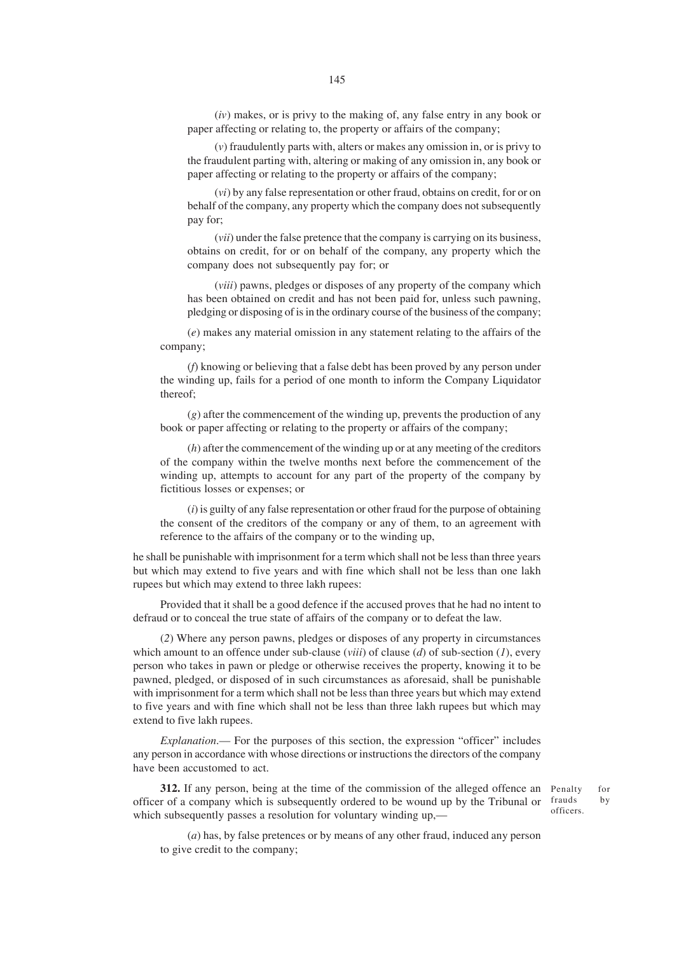(*iv*) makes, or is privy to the making of, any false entry in any book or paper affecting or relating to, the property or affairs of the company;

(*v*) fraudulently parts with, alters or makes any omission in, or is privy to the fraudulent parting with, altering or making of any omission in, any book or paper affecting or relating to the property or affairs of the company;

(*vi*) by any false representation or other fraud, obtains on credit, for or on behalf of the company, any property which the company does not subsequently pay for;

(*vii*) under the false pretence that the company is carrying on its business, obtains on credit, for or on behalf of the company, any property which the company does not subsequently pay for; or

(*viii*) pawns, pledges or disposes of any property of the company which has been obtained on credit and has not been paid for, unless such pawning, pledging or disposing of is in the ordinary course of the business of the company;

(*e*) makes any material omission in any statement relating to the affairs of the company;

(*f*) knowing or believing that a false debt has been proved by any person under the winding up, fails for a period of one month to inform the Company Liquidator thereof;

(*g*) after the commencement of the winding up, prevents the production of any book or paper affecting or relating to the property or affairs of the company;

(*h*) after the commencement of the winding up or at any meeting of the creditors of the company within the twelve months next before the commencement of the winding up, attempts to account for any part of the property of the company by fictitious losses or expenses; or

(*i*) is guilty of any false representation or other fraud for the purpose of obtaining the consent of the creditors of the company or any of them, to an agreement with reference to the affairs of the company or to the winding up,

he shall be punishable with imprisonment for a term which shall not be less than three years but which may extend to five years and with fine which shall not be less than one lakh rupees but which may extend to three lakh rupees:

Provided that it shall be a good defence if the accused proves that he had no intent to defraud or to conceal the true state of affairs of the company or to defeat the law.

(*2*) Where any person pawns, pledges or disposes of any property in circumstances which amount to an offence under sub-clause (*viii*) of clause (*d*) of sub-section (*1*), every person who takes in pawn or pledge or otherwise receives the property, knowing it to be pawned, pledged, or disposed of in such circumstances as aforesaid, shall be punishable with imprisonment for a term which shall not be less than three years but which may extend to five years and with fine which shall not be less than three lakh rupees but which may extend to five lakh rupees.

*Explanation*.— For the purposes of this section, the expression "officer" includes any person in accordance with whose directions or instructions the directors of the company have been accustomed to act.

**312.** If any person, being at the time of the commission of the alleged offence an Penalty for officer of a company which is subsequently ordered to be wound up by the Tribunal or frauds by which subsequently passes a resolution for voluntary winding up, officers.

(*a*) has, by false pretences or by means of any other fraud, induced any person to give credit to the company;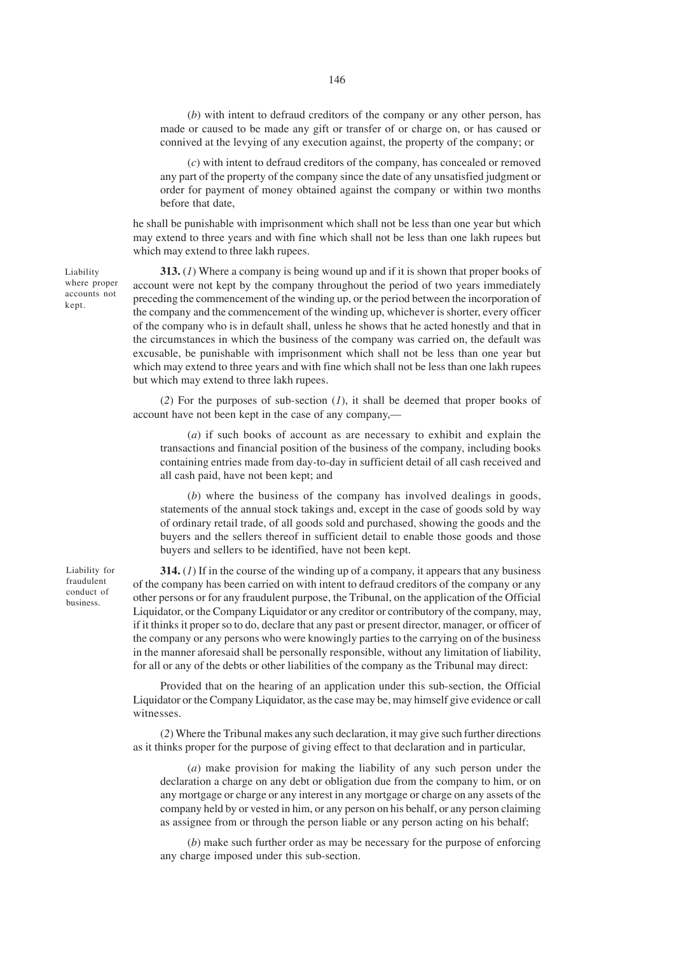(*b*) with intent to defraud creditors of the company or any other person, has

made or caused to be made any gift or transfer of or charge on, or has caused or connived at the levying of any execution against, the property of the company; or

(*c*) with intent to defraud creditors of the company, has concealed or removed any part of the property of the company since the date of any unsatisfied judgment or order for payment of money obtained against the company or within two months before that date,

he shall be punishable with imprisonment which shall not be less than one year but which may extend to three years and with fine which shall not be less than one lakh rupees but which may extend to three lakh rupees.

**313.** (*1*) Where a company is being wound up and if it is shown that proper books of account were not kept by the company throughout the period of two years immediately preceding the commencement of the winding up, or the period between the incorporation of the company and the commencement of the winding up, whichever is shorter, every officer of the company who is in default shall, unless he shows that he acted honestly and that in the circumstances in which the business of the company was carried on, the default was excusable, be punishable with imprisonment which shall not be less than one year but which may extend to three years and with fine which shall not be less than one lakh rupees but which may extend to three lakh rupees.

(*2*) For the purposes of sub-section (*1*), it shall be deemed that proper books of account have not been kept in the case of any company,—

(*a*) if such books of account as are necessary to exhibit and explain the transactions and financial position of the business of the company, including books containing entries made from day-to-day in sufficient detail of all cash received and all cash paid, have not been kept; and

(*b*) where the business of the company has involved dealings in goods, statements of the annual stock takings and, except in the case of goods sold by way of ordinary retail trade, of all goods sold and purchased, showing the goods and the buyers and the sellers thereof in sufficient detail to enable those goods and those buyers and sellers to be identified, have not been kept.

**314.** (*1*) If in the course of the winding up of a company, it appears that any business of the company has been carried on with intent to defraud creditors of the company or any other persons or for any fraudulent purpose, the Tribunal, on the application of the Official Liquidator, or the Company Liquidator or any creditor or contributory of the company, may, if it thinks it proper so to do, declare that any past or present director, manager, or officer of the company or any persons who were knowingly parties to the carrying on of the business in the manner aforesaid shall be personally responsible, without any limitation of liability, for all or any of the debts or other liabilities of the company as the Tribunal may direct:

Provided that on the hearing of an application under this sub-section, the Official Liquidator or the Company Liquidator, as the case may be, may himself give evidence or call witnesses.

(*2*) Where the Tribunal makes any such declaration, it may give such further directions as it thinks proper for the purpose of giving effect to that declaration and in particular,

(*a*) make provision for making the liability of any such person under the declaration a charge on any debt or obligation due from the company to him, or on any mortgage or charge or any interest in any mortgage or charge on any assets of the company held by or vested in him, or any person on his behalf, or any person claiming as assignee from or through the person liable or any person acting on his behalf;

(*b*) make such further order as may be necessary for the purpose of enforcing any charge imposed under this sub-section.

Liability where proper accounts not kept.

Liability for fraudulent conduct of business.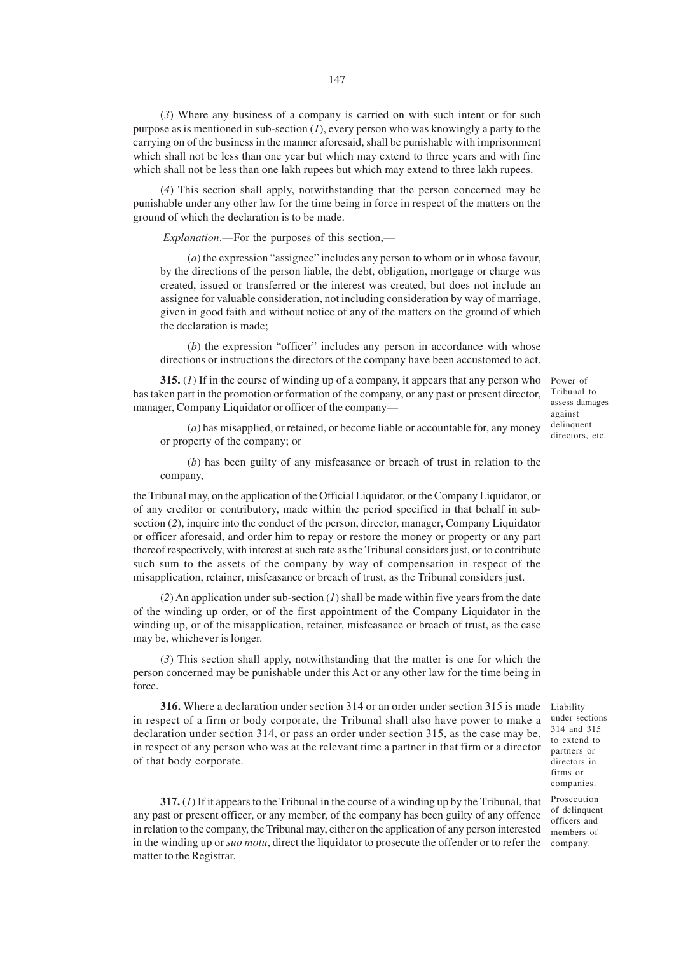(*3*) Where any business of a company is carried on with such intent or for such purpose as is mentioned in sub-section (*1*), every person who was knowingly a party to the carrying on of the business in the manner aforesaid, shall be punishable with imprisonment which shall not be less than one year but which may extend to three years and with fine which shall not be less than one lakh rupees but which may extend to three lakh rupees.

(*4*) This section shall apply, notwithstanding that the person concerned may be punishable under any other law for the time being in force in respect of the matters on the ground of which the declaration is to be made.

 *Explanation*.—For the purposes of this section,—

(*a*) the expression "assignee" includes any person to whom or in whose favour, by the directions of the person liable, the debt, obligation, mortgage or charge was created, issued or transferred or the interest was created, but does not include an assignee for valuable consideration, not including consideration by way of marriage, given in good faith and without notice of any of the matters on the ground of which the declaration is made;

(*b*) the expression "officer" includes any person in accordance with whose directions or instructions the directors of the company have been accustomed to act.

**315.** (*1*) If in the course of winding up of a company, it appears that any person who has taken part in the promotion or formation of the company, or any past or present director, manager, Company Liquidator or officer of the company—

assess damages against delinquent directors, etc.

Power of Tribunal to

(*a*) has misapplied, or retained, or become liable or accountable for, any money or property of the company; or

(*b*) has been guilty of any misfeasance or breach of trust in relation to the company,

the Tribunal may, on the application of the Official Liquidator, or the Company Liquidator, or of any creditor or contributory, made within the period specified in that behalf in subsection (2), inquire into the conduct of the person, director, manager, Company Liquidator or officer aforesaid, and order him to repay or restore the money or property or any part thereof respectively, with interest at such rate as the Tribunal considers just, or to contribute such sum to the assets of the company by way of compensation in respect of the misapplication, retainer, misfeasance or breach of trust, as the Tribunal considers just.

(*2*) An application under sub-section (*1*) shall be made within five years from the date of the winding up order, or of the first appointment of the Company Liquidator in the winding up, or of the misapplication, retainer, misfeasance or breach of trust, as the case may be, whichever is longer.

(*3*) This section shall apply, notwithstanding that the matter is one for which the person concerned may be punishable under this Act or any other law for the time being in force.

**316.** Where a declaration under section 314 or an order under section 315 is made Liability in respect of a firm or body corporate, the Tribunal shall also have power to make a declaration under section 314, or pass an order under section 315, as the case may be, in respect of any person who was at the relevant time a partner in that firm or a director of that body corporate.

under sections 314 and 315 to extend to partners or directors in firms or

**317.** (*1*) If it appears to the Tribunal in the course of a winding up by the Tribunal, that any past or present officer, or any member, of the company has been guilty of any offence in relation to the company, the Tribunal may, either on the application of any person interested in the winding up or *suo motu*, direct the liquidator to prosecute the offender or to refer the matter to the Registrar.

companies. Prosecution of delinquent officers and

members of company.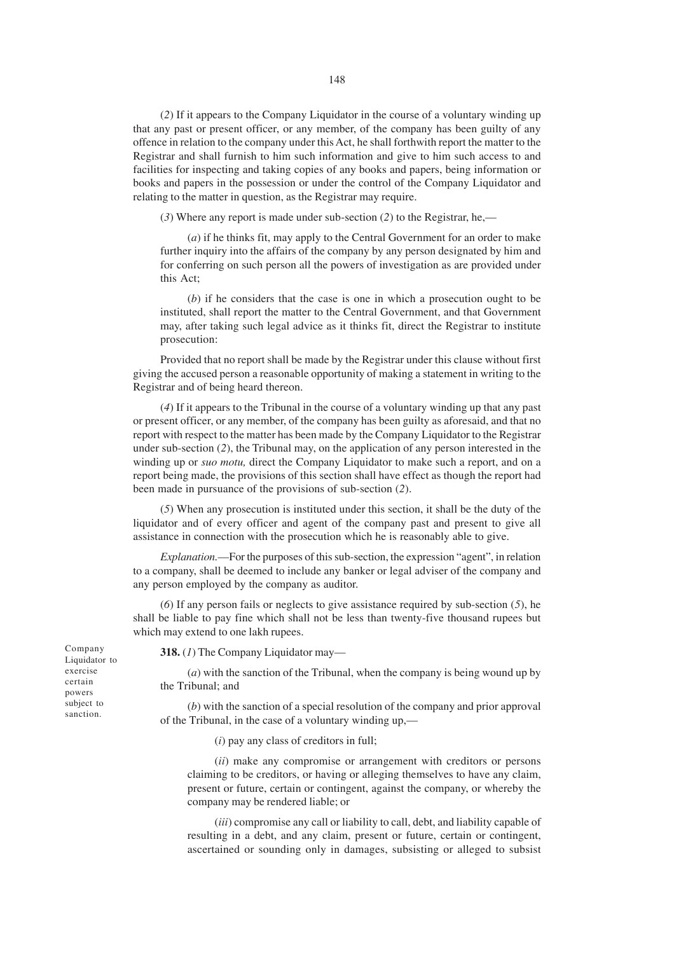(*2*) If it appears to the Company Liquidator in the course of a voluntary winding up that any past or present officer, or any member, of the company has been guilty of any offence in relation to the company under this Act, he shall forthwith report the matter to the Registrar and shall furnish to him such information and give to him such access to and facilities for inspecting and taking copies of any books and papers, being information or books and papers in the possession or under the control of the Company Liquidator and relating to the matter in question, as the Registrar may require.

(*3*) Where any report is made under sub-section (*2*) to the Registrar, he,—

(*a*) if he thinks fit, may apply to the Central Government for an order to make further inquiry into the affairs of the company by any person designated by him and for conferring on such person all the powers of investigation as are provided under this Act;

(*b*) if he considers that the case is one in which a prosecution ought to be instituted, shall report the matter to the Central Government, and that Government may, after taking such legal advice as it thinks fit, direct the Registrar to institute prosecution:

Provided that no report shall be made by the Registrar under this clause without first giving the accused person a reasonable opportunity of making a statement in writing to the Registrar and of being heard thereon.

(*4*) If it appears to the Tribunal in the course of a voluntary winding up that any past or present officer, or any member, of the company has been guilty as aforesaid, and that no report with respect to the matter has been made by the Company Liquidator to the Registrar under sub-section (*2*), the Tribunal may, on the application of any person interested in the winding up or *suo motu,* direct the Company Liquidator to make such a report, and on a report being made, the provisions of this section shall have effect as though the report had been made in pursuance of the provisions of sub-section (*2*).

(*5*) When any prosecution is instituted under this section, it shall be the duty of the liquidator and of every officer and agent of the company past and present to give all assistance in connection with the prosecution which he is reasonably able to give.

*Explanation.*—For the purposes of this sub-section, the expression "agent", in relation to a company, shall be deemed to include any banker or legal adviser of the company and any person employed by the company as auditor.

(*6*) If any person fails or neglects to give assistance required by sub-section (*5*), he shall be liable to pay fine which shall not be less than twenty-five thousand rupees but which may extend to one lakh rupees.

**318.** (*1*) The Company Liquidator may—

(*a*) with the sanction of the Tribunal, when the company is being wound up by the Tribunal; and

(*b*) with the sanction of a special resolution of the company and prior approval of the Tribunal, in the case of a voluntary winding up,—

(*i*) pay any class of creditors in full;

(*ii*) make any compromise or arrangement with creditors or persons claiming to be creditors, or having or alleging themselves to have any claim, present or future, certain or contingent, against the company, or whereby the company may be rendered liable; or

(*iii*) compromise any call or liability to call, debt, and liability capable of resulting in a debt, and any claim, present or future, certain or contingent, ascertained or sounding only in damages, subsisting or alleged to subsist

Company Liquidator to exercise certain powers subject to sanction.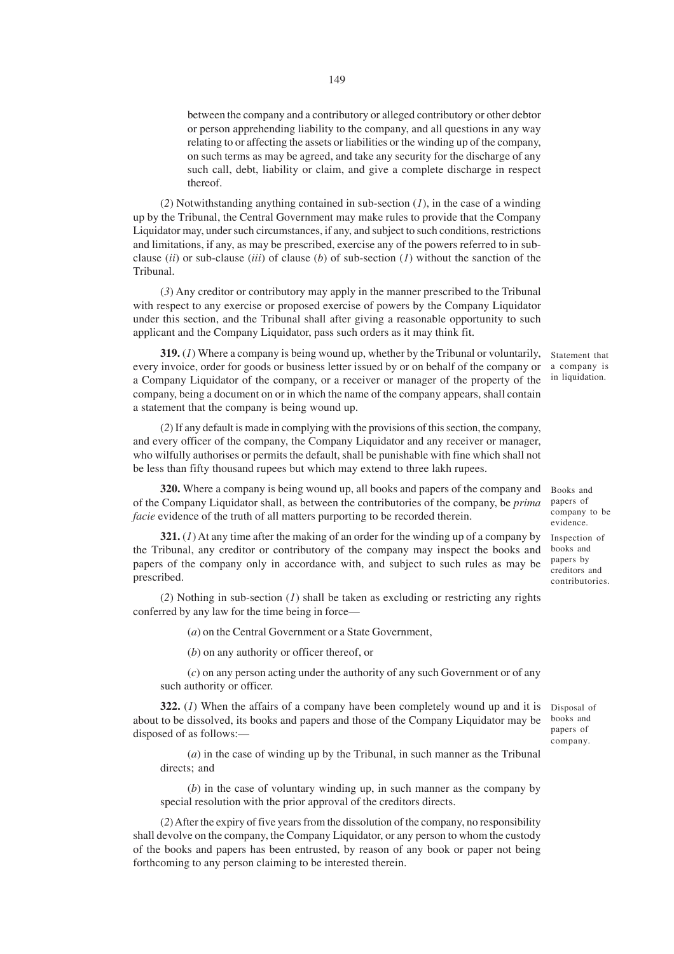between the company and a contributory or alleged contributory or other debtor or person apprehending liability to the company, and all questions in any way relating to or affecting the assets or liabilities or the winding up of the company, on such terms as may be agreed, and take any security for the discharge of any such call, debt, liability or claim, and give a complete discharge in respect thereof.

(*2*) Notwithstanding anything contained in sub-section (*1*), in the case of a winding up by the Tribunal, the Central Government may make rules to provide that the Company Liquidator may, under such circumstances, if any, and subject to such conditions, restrictions and limitations, if any, as may be prescribed, exercise any of the powers referred to in subclause (*ii*) or sub-clause (*iii*) of clause (*b*) of sub-section (*1*) without the sanction of the Tribunal.

(*3*) Any creditor or contributory may apply in the manner prescribed to the Tribunal with respect to any exercise or proposed exercise of powers by the Company Liquidator under this section, and the Tribunal shall after giving a reasonable opportunity to such applicant and the Company Liquidator, pass such orders as it may think fit.

**319.** (*1*) Where a company is being wound up, whether by the Tribunal or voluntarily, every invoice, order for goods or business letter issued by or on behalf of the company or a Company Liquidator of the company, or a receiver or manager of the property of the company, being a document on or in which the name of the company appears, shall contain a statement that the company is being wound up.

(*2*) If any default is made in complying with the provisions of this section, the company, and every officer of the company, the Company Liquidator and any receiver or manager, who wilfully authorises or permits the default, shall be punishable with fine which shall not be less than fifty thousand rupees but which may extend to three lakh rupees.

**320.** Where a company is being wound up, all books and papers of the company and of the Company Liquidator shall, as between the contributories of the company, be *prima facie* evidence of the truth of all matters purporting to be recorded therein.

**321.** (*1*) At any time after the making of an order for the winding up of a company by the Tribunal, any creditor or contributory of the company may inspect the books and papers of the company only in accordance with, and subject to such rules as may be prescribed.

(*2*) Nothing in sub-section (*1*) shall be taken as excluding or restricting any rights conferred by any law for the time being in force—

(*a*) on the Central Government or a State Government,

(*b*) on any authority or officer thereof, or

(*c*) on any person acting under the authority of any such Government or of any such authority or officer.

**322.** (*1*) When the affairs of a company have been completely wound up and it is about to be dissolved, its books and papers and those of the Company Liquidator may be disposed of as follows:—

Disposal of books and papers of company.

(*a*) in the case of winding up by the Tribunal, in such manner as the Tribunal directs; and

(*b*) in the case of voluntary winding up, in such manner as the company by special resolution with the prior approval of the creditors directs.

(*2*) After the expiry of five years from the dissolution of the company, no responsibility shall devolve on the company, the Company Liquidator, or any person to whom the custody of the books and papers has been entrusted, by reason of any book or paper not being forthcoming to any person claiming to be interested therein.

Statement that a company is in liquidation.

Books and papers of company to be evidence.

Inspection of books and papers by creditors and contributories.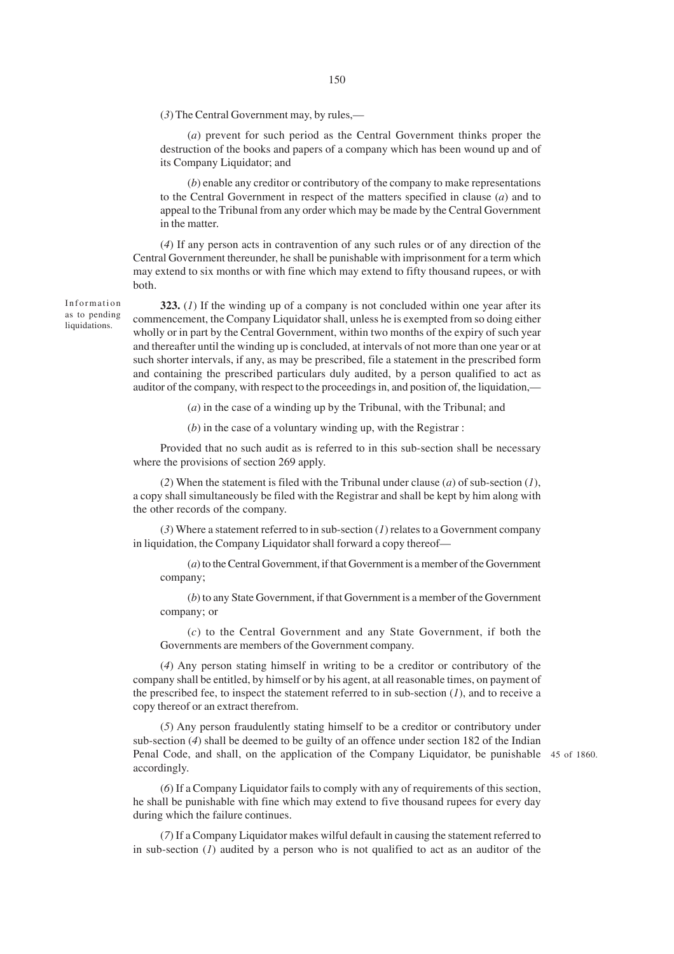(*3*) The Central Government may, by rules,—

(*a*) prevent for such period as the Central Government thinks proper the destruction of the books and papers of a company which has been wound up and of its Company Liquidator; and

(*b*) enable any creditor or contributory of the company to make representations to the Central Government in respect of the matters specified in clause (*a*) and to appeal to the Tribunal from any order which may be made by the Central Government in the matter.

(*4*) If any person acts in contravention of any such rules or of any direction of the Central Government thereunder, he shall be punishable with imprisonment for a term which may extend to six months or with fine which may extend to fifty thousand rupees, or with both.

Information as to pending liquidations.

**323.** (*1*) If the winding up of a company is not concluded within one year after its commencement, the Company Liquidator shall, unless he is exempted from so doing either wholly or in part by the Central Government, within two months of the expiry of such year and thereafter until the winding up is concluded, at intervals of not more than one year or at such shorter intervals, if any, as may be prescribed, file a statement in the prescribed form and containing the prescribed particulars duly audited, by a person qualified to act as auditor of the company, with respect to the proceedings in, and position of, the liquidation,—

(*a*) in the case of a winding up by the Tribunal, with the Tribunal; and

(*b*) in the case of a voluntary winding up, with the Registrar :

Provided that no such audit as is referred to in this sub-section shall be necessary where the provisions of section 269 apply.

(*2*) When the statement is filed with the Tribunal under clause (*a*) of sub-section (*1*), a copy shall simultaneously be filed with the Registrar and shall be kept by him along with the other records of the company.

(*3*) Where a statement referred to in sub-section (*1*) relates to a Government company in liquidation, the Company Liquidator shall forward a copy thereof—

(*a*) to the Central Government, if that Government is a member of the Government company;

(*b*) to any State Government, if that Government is a member of the Government company; or

(*c*) to the Central Government and any State Government, if both the Governments are members of the Government company.

(*4*) Any person stating himself in writing to be a creditor or contributory of the company shall be entitled, by himself or by his agent, at all reasonable times, on payment of the prescribed fee, to inspect the statement referred to in sub-section  $(I)$ , and to receive a copy thereof or an extract therefrom.

(*5*) Any person fraudulently stating himself to be a creditor or contributory under sub-section (*4*) shall be deemed to be guilty of an offence under section 182 of the Indian Penal Code, and shall, on the application of the Company Liquidator, be punishable 45 of 1860.accordingly.

(*6*) If a Company Liquidator fails to comply with any of requirements of this section, he shall be punishable with fine which may extend to five thousand rupees for every day during which the failure continues.

(*7*) If a Company Liquidator makes wilful default in causing the statement referred to in sub-section  $(I)$  audited by a person who is not qualified to act as an auditor of the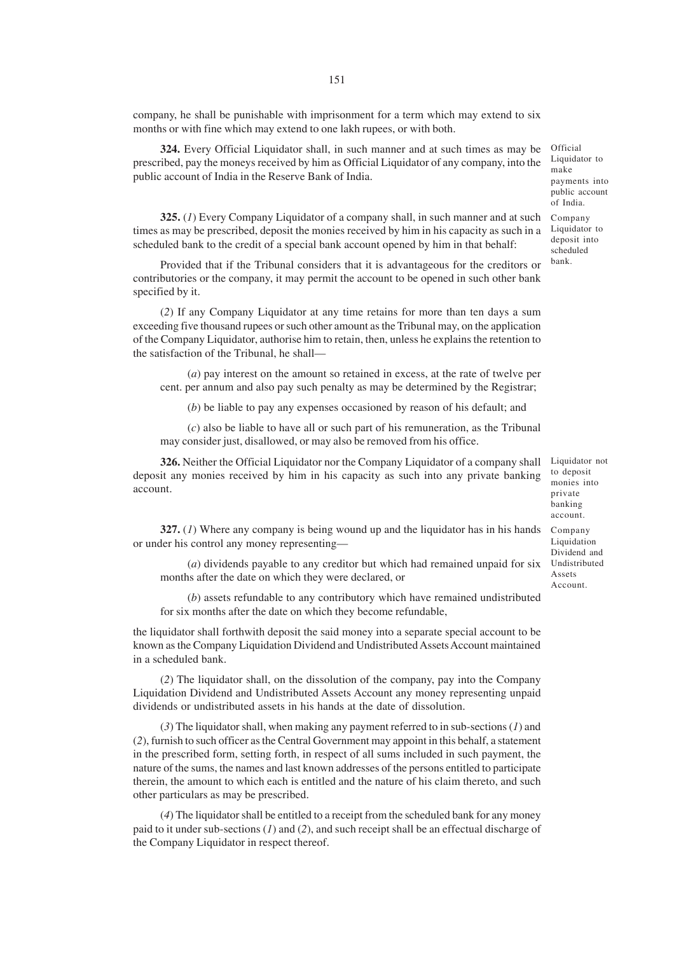company, he shall be punishable with imprisonment for a term which may extend to six months or with fine which may extend to one lakh rupees, or with both.

**324.** Every Official Liquidator shall, in such manner and at such times as may be prescribed, pay the moneys received by him as Official Liquidator of any company, into the public account of India in the Reserve Bank of India.

**325.** (*1*) Every Company Liquidator of a company shall, in such manner and at such Company times as may be prescribed, deposit the monies received by him in his capacity as such in a scheduled bank to the credit of a special bank account opened by him in that behalf:

Provided that if the Tribunal considers that it is advantageous for the creditors or contributories or the company, it may permit the account to be opened in such other bank specified by it.

(*2*) If any Company Liquidator at any time retains for more than ten days a sum exceeding five thousand rupees or such other amount as the Tribunal may, on the application of the Company Liquidator, authorise him to retain, then, unless he explains the retention to the satisfaction of the Tribunal, he shall—

(*a*) pay interest on the amount so retained in excess, at the rate of twelve per cent. per annum and also pay such penalty as may be determined by the Registrar;

(*b*) be liable to pay any expenses occasioned by reason of his default; and

(*c*) also be liable to have all or such part of his remuneration, as the Tribunal may consider just, disallowed, or may also be removed from his office.

**326.** Neither the Official Liquidator nor the Company Liquidator of a company shall deposit any monies received by him in his capacity as such into any private banking account.

Liquidator not to deposit monies into private banking account.

Liquidation Dividend and Undistributed Assets Account.

Official Liquidator to make payments into public account of India.

Liquidator to deposit into scheduled bank.

**327.** (1) Where any company is being wound up and the liquidator has in his hands Company or under his control any money representing—

(*a*) dividends payable to any creditor but which had remained unpaid for six months after the date on which they were declared, or

(*b*) assets refundable to any contributory which have remained undistributed for six months after the date on which they become refundable,

the liquidator shall forthwith deposit the said money into a separate special account to be known as the Company Liquidation Dividend and Undistributed Assets Account maintained in a scheduled bank.

(*2*) The liquidator shall, on the dissolution of the company, pay into the Company Liquidation Dividend and Undistributed Assets Account any money representing unpaid dividends or undistributed assets in his hands at the date of dissolution.

(*3*) The liquidator shall, when making any payment referred to in sub-sections (*1*) and (*2*), furnish to such officer as the Central Government may appoint in this behalf, a statement in the prescribed form, setting forth, in respect of all sums included in such payment, the nature of the sums, the names and last known addresses of the persons entitled to participate therein, the amount to which each is entitled and the nature of his claim thereto, and such other particulars as may be prescribed.

(*4*) The liquidator shall be entitled to a receipt from the scheduled bank for any money paid to it under sub-sections (*1*) and (*2*), and such receipt shall be an effectual discharge of the Company Liquidator in respect thereof.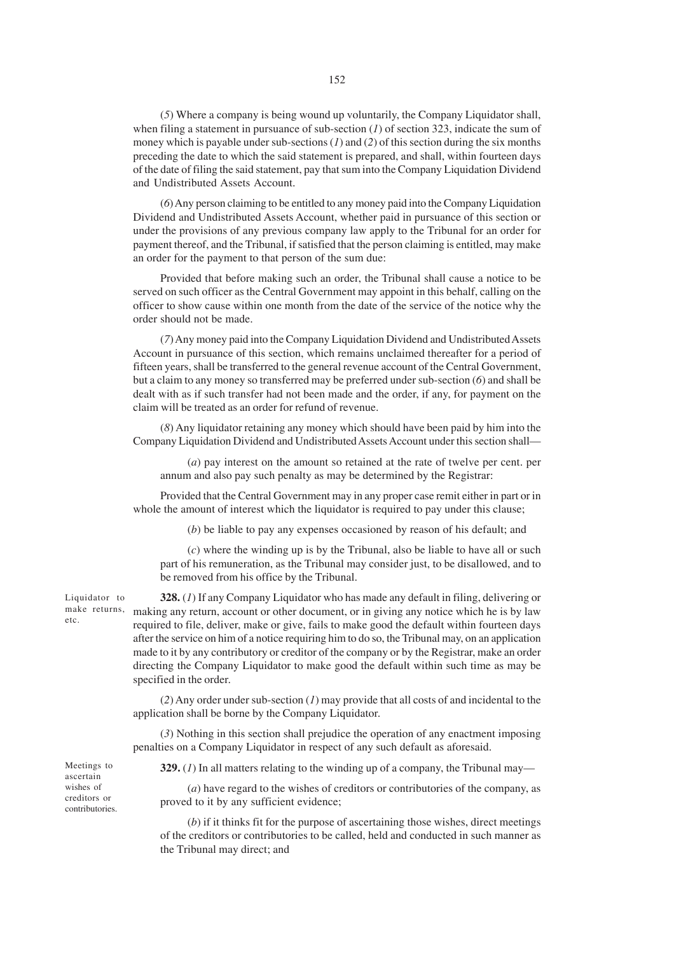(*5*) Where a company is being wound up voluntarily, the Company Liquidator shall, when filing a statement in pursuance of sub-section  $(1)$  of section 323, indicate the sum of money which is payable under sub-sections (*1*) and (*2*) of this section during the six months preceding the date to which the said statement is prepared, and shall, within fourteen days of the date of filing the said statement, pay that sum into the Company Liquidation Dividend and Undistributed Assets Account.

(*6*) Any person claiming to be entitled to any money paid into the Company Liquidation Dividend and Undistributed Assets Account, whether paid in pursuance of this section or under the provisions of any previous company law apply to the Tribunal for an order for payment thereof, and the Tribunal, if satisfied that the person claiming is entitled, may make an order for the payment to that person of the sum due:

Provided that before making such an order, the Tribunal shall cause a notice to be served on such officer as the Central Government may appoint in this behalf, calling on the officer to show cause within one month from the date of the service of the notice why the order should not be made.

(*7*) Any money paid into the Company Liquidation Dividend and Undistributed Assets Account in pursuance of this section, which remains unclaimed thereafter for a period of fifteen years, shall be transferred to the general revenue account of the Central Government, but a claim to any money so transferred may be preferred under sub-section (*6*) and shall be dealt with as if such transfer had not been made and the order, if any, for payment on the claim will be treated as an order for refund of revenue.

(*8*) Any liquidator retaining any money which should have been paid by him into the Company Liquidation Dividend and Undistributed Assets Account under this section shall—

(*a*) pay interest on the amount so retained at the rate of twelve per cent. per annum and also pay such penalty as may be determined by the Registrar:

Provided that the Central Government may in any proper case remit either in part or in whole the amount of interest which the liquidator is required to pay under this clause;

(*b*) be liable to pay any expenses occasioned by reason of his default; and

(*c*) where the winding up is by the Tribunal, also be liable to have all or such part of his remuneration, as the Tribunal may consider just, to be disallowed, and to be removed from his office by the Tribunal.

**328.** (*1*) If any Company Liquidator who has made any default in filing, delivering or making any return, account or other document, or in giving any notice which he is by law required to file, deliver, make or give, fails to make good the default within fourteen days after the service on him of a notice requiring him to do so, the Tribunal may, on an application made to it by any contributory or creditor of the company or by the Registrar, make an order directing the Company Liquidator to make good the default within such time as may be specified in the order.

(*2*) Any order under sub-section (*1*) may provide that all costs of and incidental to the application shall be borne by the Company Liquidator.

(*3*) Nothing in this section shall prejudice the operation of any enactment imposing penalties on a Company Liquidator in respect of any such default as aforesaid.

**329.** (*1*) In all matters relating to the winding up of a company, the Tribunal may—

(*a*) have regard to the wishes of creditors or contributories of the company, as proved to it by any sufficient evidence;

(*b*) if it thinks fit for the purpose of ascertaining those wishes, direct meetings of the creditors or contributories to be called, held and conducted in such manner as the Tribunal may direct; and

Liquidator to make returns, etc.

Meetings to ascertain wishes of creditors or contributories.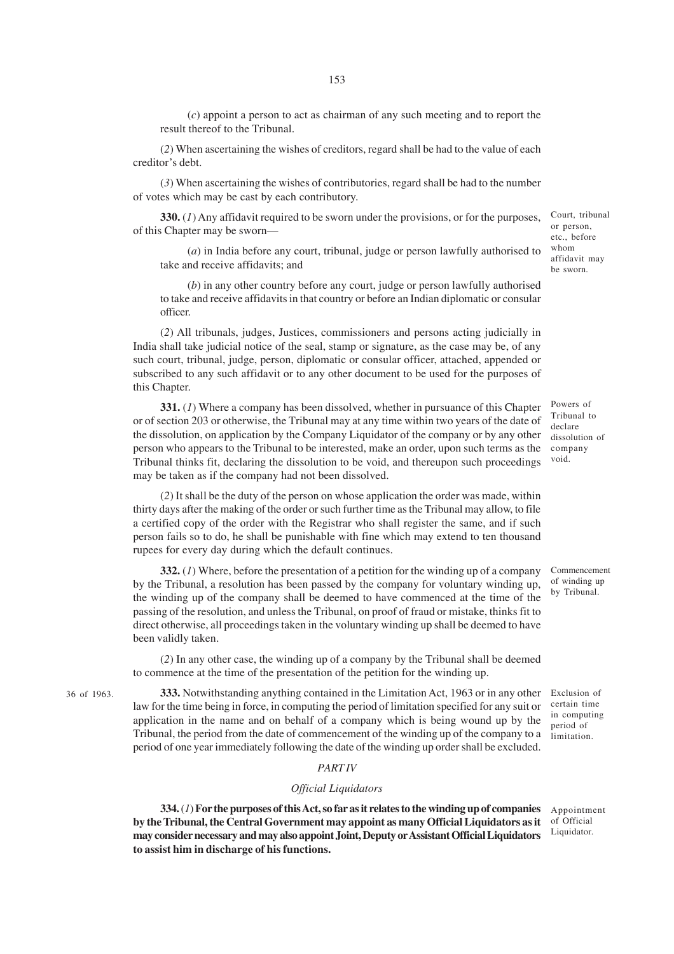(*c*) appoint a person to act as chairman of any such meeting and to report the result thereof to the Tribunal.

(*2*) When ascertaining the wishes of creditors, regard shall be had to the value of each creditor's debt.

(*3*) When ascertaining the wishes of contributories, regard shall be had to the number of votes which may be cast by each contributory.

**330.** (*1*) Any affidavit required to be sworn under the provisions, or for the purposes, of this Chapter may be sworn—

(*a*) in India before any court, tribunal, judge or person lawfully authorised to take and receive affidavits; and

(*b*) in any other country before any court, judge or person lawfully authorised to take and receive affidavits in that country or before an Indian diplomatic or consular officer.

(*2*) All tribunals, judges, Justices, commissioners and persons acting judicially in India shall take judicial notice of the seal, stamp or signature, as the case may be, of any such court, tribunal, judge, person, diplomatic or consular officer, attached, appended or subscribed to any such affidavit or to any other document to be used for the purposes of this Chapter.

**331.** (*1*) Where a company has been dissolved, whether in pursuance of this Chapter or of section 203 or otherwise, the Tribunal may at any time within two years of the date of the dissolution, on application by the Company Liquidator of the company or by any other person who appears to the Tribunal to be interested, make an order, upon such terms as the Tribunal thinks fit, declaring the dissolution to be void, and thereupon such proceedings may be taken as if the company had not been dissolved.

(*2*) It shall be the duty of the person on whose application the order was made, within thirty days after the making of the order or such further time as the Tribunal may allow, to file a certified copy of the order with the Registrar who shall register the same, and if such person fails so to do, he shall be punishable with fine which may extend to ten thousand rupees for every day during which the default continues.

**332.** (*1*) Where, before the presentation of a petition for the winding up of a company by the Tribunal, a resolution has been passed by the company for voluntary winding up, the winding up of the company shall be deemed to have commenced at the time of the passing of the resolution, and unless the Tribunal, on proof of fraud or mistake, thinks fit to direct otherwise, all proceedings taken in the voluntary winding up shall be deemed to have been validly taken.

(*2*) In any other case, the winding up of a company by the Tribunal shall be deemed to commence at the time of the presentation of the petition for the winding up.

36 of 1963.

**333.** Notwithstanding anything contained in the Limitation Act, 1963 or in any other law for the time being in force, in computing the period of limitation specified for any suit or application in the name and on behalf of a company which is being wound up by the Tribunal, the period from the date of commencement of the winding up of the company to a period of one year immediately following the date of the winding up order shall be excluded.

## *PART IV*

### *Official Liquidators*

**334.** (*1*) **For the purposes of this Act, so far as it relates to the winding up of companies by the Tribunal, the Central Government may appoint as many Official Liquidators as it may consider necessary and may also appoint Joint, Deputy or Assistant Official Liquidators to assist him in discharge of his functions.**

Court, tribunal or person, etc., before whom affidavit may be sworn.

Powers of Tribunal to declare dissolution of company void.

Commencement of winding up by Tribunal.

Exclusion of certain time in computing period of limitation.

Appointment of Official Liquidator.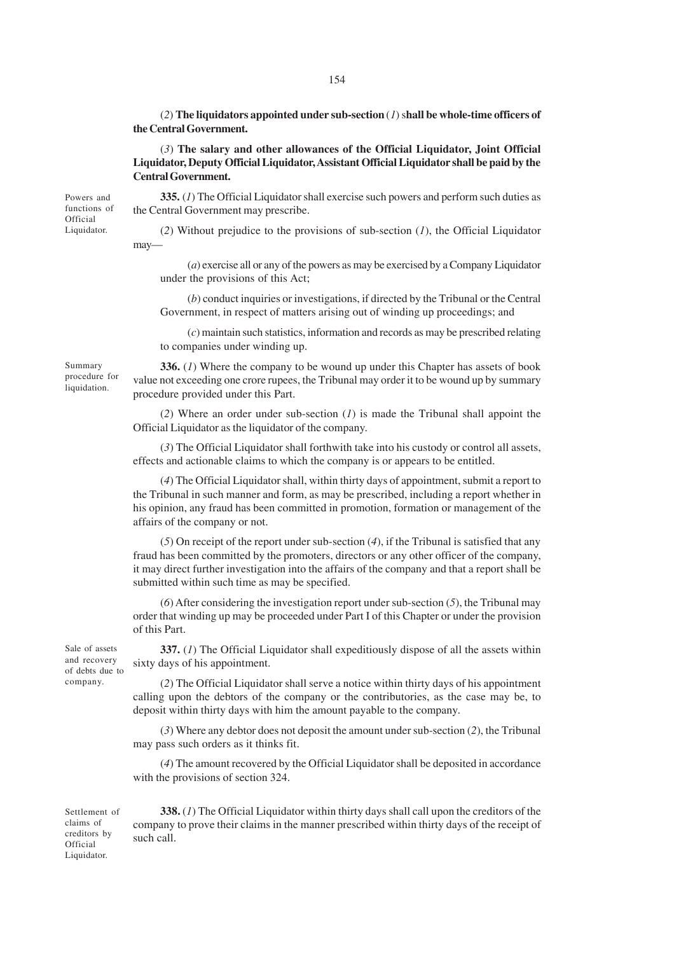(*2*) **The liquidators appointed under sub-section** (*1*) s**hall be whole-time officers of the Central Government.**

(*3*) **The salary and other allowances of the Official Liquidator, Joint Official Liquidator, Deputy Official Liquidator, Assistant Official Liquidator shall be paid by the Central Government.**

**335.** (*1*) The Official Liquidator shall exercise such powers and perform such duties as the Central Government may prescribe.

(*2*) Without prejudice to the provisions of sub-section (*1*), the Official Liquidator may—

(*a*) exercise all or any of the powers as may be exercised by a Company Liquidator under the provisions of this Act;

(*b*) conduct inquiries or investigations, if directed by the Tribunal or the Central Government, in respect of matters arising out of winding up proceedings; and

(*c*) maintain such statistics, information and records as may be prescribed relating to companies under winding up.

**336.** (*1*) Where the company to be wound up under this Chapter has assets of book value not exceeding one crore rupees, the Tribunal may order it to be wound up by summary procedure provided under this Part.

(*2*) Where an order under sub-section (*1*) is made the Tribunal shall appoint the Official Liquidator as the liquidator of the company.

(*3*) The Official Liquidator shall forthwith take into his custody or control all assets, effects and actionable claims to which the company is or appears to be entitled.

(*4*) The Official Liquidator shall, within thirty days of appointment, submit a report to the Tribunal in such manner and form, as may be prescribed, including a report whether in his opinion, any fraud has been committed in promotion, formation or management of the affairs of the company or not.

(*5*) On receipt of the report under sub-section (*4*), if the Tribunal is satisfied that any fraud has been committed by the promoters, directors or any other officer of the company, it may direct further investigation into the affairs of the company and that a report shall be submitted within such time as may be specified.

(*6*) After considering the investigation report under sub-section (*5*), the Tribunal may order that winding up may be proceeded under Part I of this Chapter or under the provision of this Part.

**337.** (*1*) The Official Liquidator shall expeditiously dispose of all the assets within sixty days of his appointment.

(*2*) The Official Liquidator shall serve a notice within thirty days of his appointment calling upon the debtors of the company or the contributories, as the case may be, to deposit within thirty days with him the amount payable to the company.

(*3*) Where any debtor does not deposit the amount under sub-section (*2*), the Tribunal may pass such orders as it thinks fit.

(*4*) The amount recovered by the Official Liquidator shall be deposited in accordance with the provisions of section 324.

Settlement of claims of creditors by Official Liquidator.

Sale of assets and recovery of debts due to company.

> **338.** (*1*) The Official Liquidator within thirty days shall call upon the creditors of the company to prove their claims in the manner prescribed within thirty days of the receipt of such call.

Summary procedure for liquidation.

Powers and functions of **Official** Liquidator.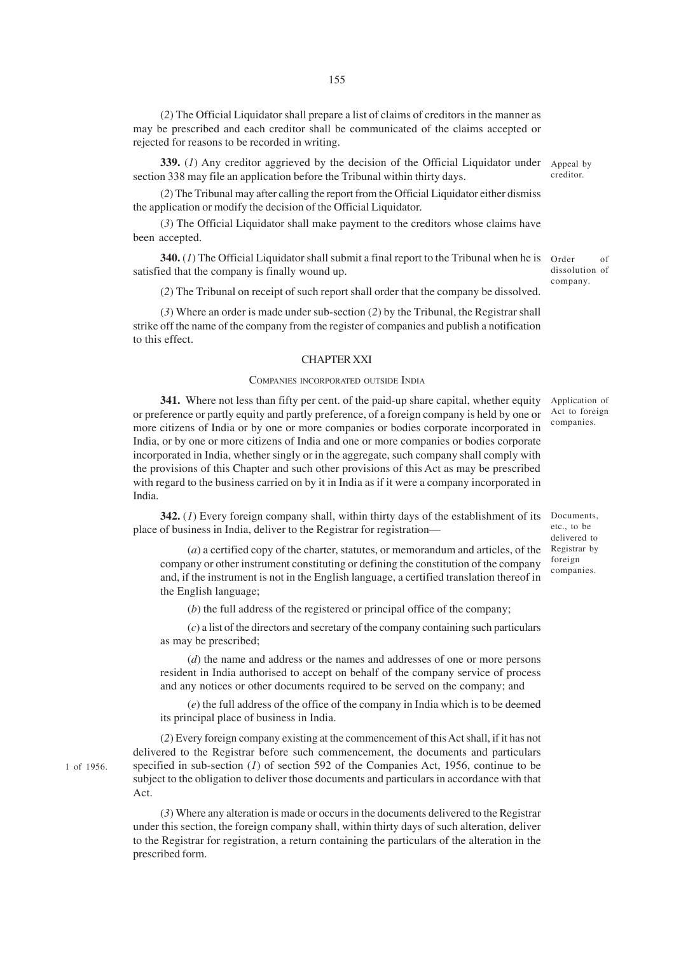(*2*) The Official Liquidator shall prepare a list of claims of creditors in the manner as may be prescribed and each creditor shall be communicated of the claims accepted or rejected for reasons to be recorded in writing.

**339.** (*I*) Any creditor aggrieved by the decision of the Official Liquidator under Appeal by section 338 may file an application before the Tribunal within thirty days.

(*2*) The Tribunal may after calling the report from the Official Liquidator either dismiss the application or modify the decision of the Official Liquidator.

(*3*) The Official Liquidator shall make payment to the creditors whose claims have been accepted.

**340.** (1) The Official Liquidator shall submit a final report to the Tribunal when he is Order of satisfied that the company is finally wound up.

(*2*) The Tribunal on receipt of such report shall order that the company be dissolved.

(*3*) Where an order is made under sub-section (*2*) by the Tribunal, the Registrar shall strike off the name of the company from the register of companies and publish a notification to this effect.

## CHAPTER XXI

### COMPANIES INCORPORATED OUTSIDE INDIA

**341.** Where not less than fifty per cent. of the paid-up share capital, whether equity or preference or partly equity and partly preference, of a foreign company is held by one or more citizens of India or by one or more companies or bodies corporate incorporated in India, or by one or more citizens of India and one or more companies or bodies corporate incorporated in India, whether singly or in the aggregate, such company shall comply with the provisions of this Chapter and such other provisions of this Act as may be prescribed with regard to the business carried on by it in India as if it were a company incorporated in India.

**342.** (*1*) Every foreign company shall, within thirty days of the establishment of its Documents, place of business in India, deliver to the Registrar for registration—

(*a*) a certified copy of the charter, statutes, or memorandum and articles, of the company or other instrument constituting or defining the constitution of the company and, if the instrument is not in the English language, a certified translation thereof in the English language;

(*b*) the full address of the registered or principal office of the company;

(*c*) a list of the directors and secretary of the company containing such particulars as may be prescribed;

(*d*) the name and address or the names and addresses of one or more persons resident in India authorised to accept on behalf of the company service of process and any notices or other documents required to be served on the company; and

(*e*) the full address of the office of the company in India which is to be deemed its principal place of business in India.

(*2*) Every foreign company existing at the commencement of this Act shall, if it has not delivered to the Registrar before such commencement, the documents and particulars specified in sub-section (*1*) of section 592 of the Companies Act, 1956, continue to be subject to the obligation to deliver those documents and particulars in accordance with that Act.

(*3*) Where any alteration is made or occurs in the documents delivered to the Registrar under this section, the foreign company shall, within thirty days of such alteration, deliver to the Registrar for registration, a return containing the particulars of the alteration in the prescribed form.

company.

dissolution of

Application of Act to foreign companies.

etc., to be delivered to Registrar by foreign companies.

creditor.

1 of 1956.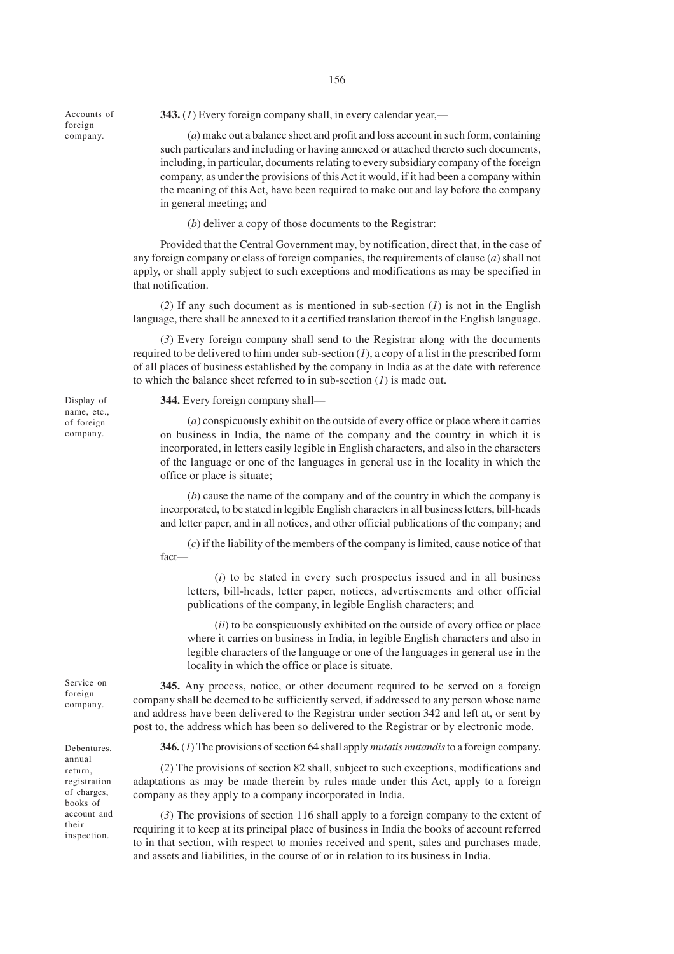Accounts of foreign company.

**343.** (*1*) Every foreign company shall, in every calendar year,—

(*a*) make out a balance sheet and profit and loss account in such form, containing such particulars and including or having annexed or attached thereto such documents, including, in particular, documents relating to every subsidiary company of the foreign company, as under the provisions of this Act it would, if it had been a company within the meaning of this Act, have been required to make out and lay before the company in general meeting; and

(*b*) deliver a copy of those documents to the Registrar:

Provided that the Central Government may, by notification, direct that, in the case of any foreign company or class of foreign companies, the requirements of clause (*a*) shall not apply, or shall apply subject to such exceptions and modifications as may be specified in that notification.

(*2*) If any such document as is mentioned in sub-section (*1*) is not in the English language, there shall be annexed to it a certified translation thereof in the English language.

(*3*) Every foreign company shall send to the Registrar along with the documents required to be delivered to him under sub-section  $(1)$ , a copy of a list in the prescribed form of all places of business established by the company in India as at the date with reference to which the balance sheet referred to in sub-section (*1*) is made out.

**344.** Every foreign company shall—

(*a*) conspicuously exhibit on the outside of every office or place where it carries on business in India, the name of the company and the country in which it is incorporated, in letters easily legible in English characters, and also in the characters of the language or one of the languages in general use in the locality in which the office or place is situate;

(*b*) cause the name of the company and of the country in which the company is incorporated, to be stated in legible English characters in all business letters, bill-heads and letter paper, and in all notices, and other official publications of the company; and

(*c*) if the liability of the members of the company is limited, cause notice of that fact—

(*i*) to be stated in every such prospectus issued and in all business letters, bill-heads, letter paper, notices, advertisements and other official publications of the company, in legible English characters; and

(*ii*) to be conspicuously exhibited on the outside of every office or place where it carries on business in India, in legible English characters and also in legible characters of the language or one of the languages in general use in the locality in which the office or place is situate.

**345.** Any process, notice, or other document required to be served on a foreign company shall be deemed to be sufficiently served, if addressed to any person whose name and address have been delivered to the Registrar under section 342 and left at, or sent by post to, the address which has been so delivered to the Registrar or by electronic mode.

**346.** (*1*) The provisions of section 64 shall apply *mutatis mutandis* to a foreign company.

(*2*) The provisions of section 82 shall, subject to such exceptions, modifications and adaptations as may be made therein by rules made under this Act, apply to a foreign company as they apply to a company incorporated in India.

(*3*) The provisions of section 116 shall apply to a foreign company to the extent of requiring it to keep at its principal place of business in India the books of account referred to in that section, with respect to monies received and spent, sales and purchases made, and assets and liabilities, in the course of or in relation to its business in India.

Display of name, etc., of foreign company.

Service on foreign company.

Debentures, annual return, registration of charges, books of account and their inspection.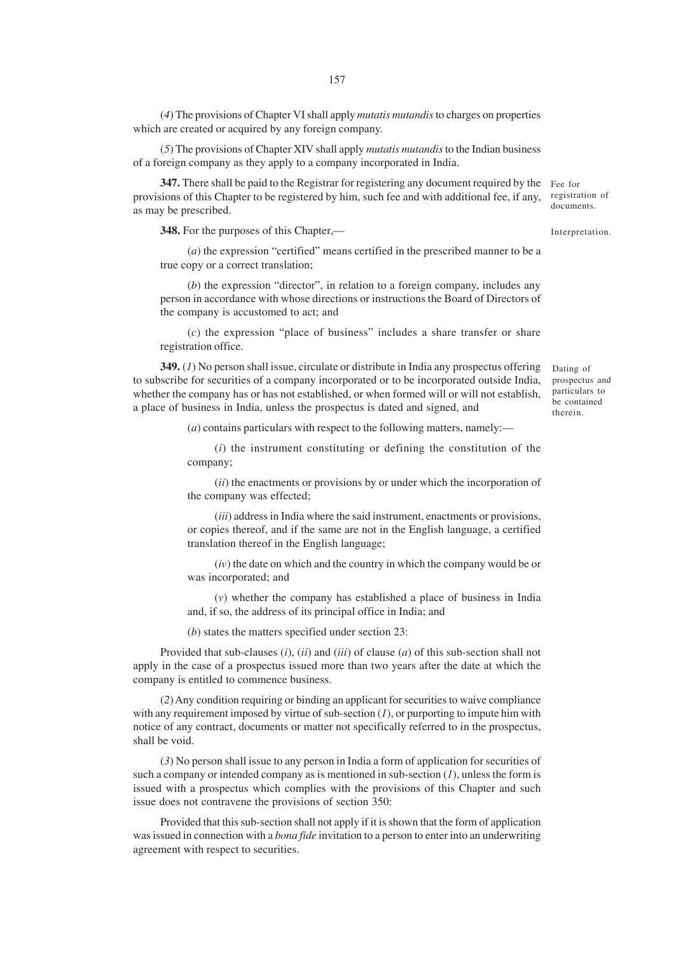(*4*) The provisions of Chapter VI shall apply *mutatis mutandis* to charges on properties which are created or acquired by any foreign company.

(*5*) The provisions of Chapter XIV shall apply *mutatis mutandis* to the Indian business of a foreign company as they apply to a company incorporated in India.

**347.** There shall be paid to the Registrar for registering any document required by the Fee for provisions of this Chapter to be registered by him, such fee and with additional fee, if any, as may be prescribed.

**348.** For the purposes of this Chapter,—

(*a*) the expression "certified" means certified in the prescribed manner to be a true copy or a correct translation;

(*b*) the expression "director", in relation to a foreign company, includes any person in accordance with whose directions or instructions the Board of Directors of the company is accustomed to act; and

(*c*) the expression "place of business" includes a share transfer or share registration office.

**349.** (*1*) No person shall issue, circulate or distribute in India any prospectus offering to subscribe for securities of a company incorporated or to be incorporated outside India, whether the company has or has not established, or when formed will or will not establish, a place of business in India, unless the prospectus is dated and signed, and

(*a*) contains particulars with respect to the following matters, namely:—

(*i*) the instrument constituting or defining the constitution of the company;

(*ii*) the enactments or provisions by or under which the incorporation of the company was effected;

(*iii*) address in India where the said instrument, enactments or provisions, or copies thereof, and if the same are not in the English language, a certified translation thereof in the English language;

(*iv*) the date on which and the country in which the company would be or was incorporated; and

(*v*) whether the company has established a place of business in India and, if so, the address of its principal office in India; and

(*b*) states the matters specified under section 23:

Provided that sub-clauses (*i*), (*ii*) and (*iii*) of clause (*a*) of this sub-section shall not apply in the case of a prospectus issued more than two years after the date at which the company is entitled to commence business.

(*2*) Any condition requiring or binding an applicant for securities to waive compliance with any requirement imposed by virtue of sub-section (*1*), or purporting to impute him with notice of any contract, documents or matter not specifically referred to in the prospectus, shall be void.

(*3*) No person shall issue to any person in India a form of application for securities of such a company or intended company as is mentioned in sub-section  $(1)$ , unless the form is issued with a prospectus which complies with the provisions of this Chapter and such issue does not contravene the provisions of section 350:

Provided that this sub-section shall not apply if it is shown that the form of application was issued in connection with a *bona fide* invitation to a person to enter into an underwriting agreement with respect to securities.

Interpretation.

registration of documents.

Dating of prospectus and particulars to be contained therein.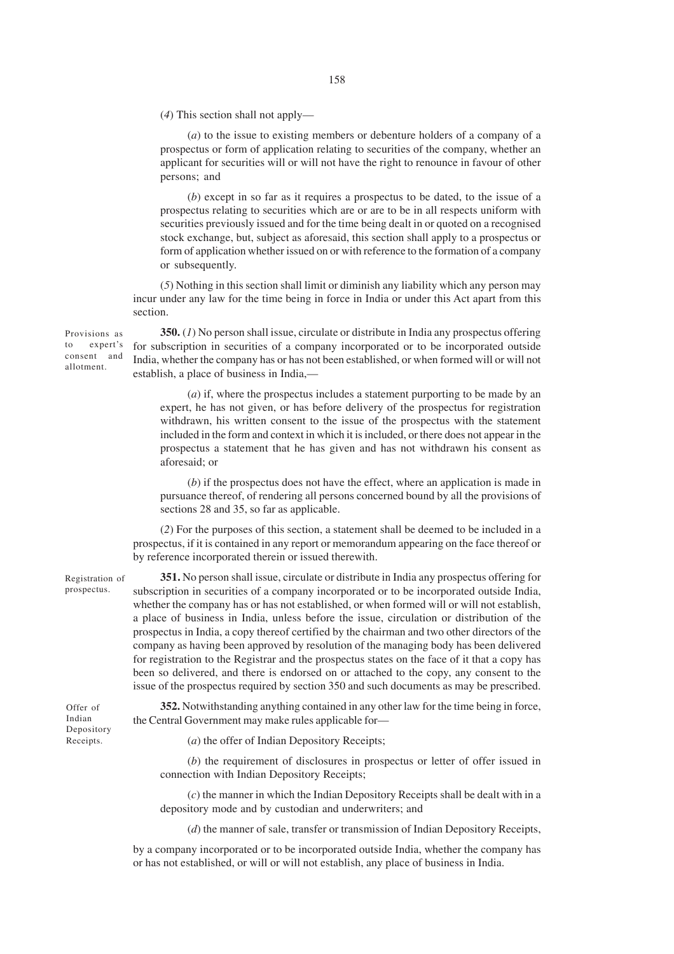(*4*) This section shall not apply—

(*a*) to the issue to existing members or debenture holders of a company of a prospectus or form of application relating to securities of the company, whether an applicant for securities will or will not have the right to renounce in favour of other persons; and

(*b*) except in so far as it requires a prospectus to be dated, to the issue of a prospectus relating to securities which are or are to be in all respects uniform with securities previously issued and for the time being dealt in or quoted on a recognised stock exchange, but, subject as aforesaid, this section shall apply to a prospectus or form of application whether issued on or with reference to the formation of a company or subsequently.

(*5*) Nothing in this section shall limit or diminish any liability which any person may incur under any law for the time being in force in India or under this Act apart from this section.

Provisions as to expert's consent and allotment.

**350.** (*1*) No person shall issue, circulate or distribute in India any prospectus offering for subscription in securities of a company incorporated or to be incorporated outside India, whether the company has or has not been established, or when formed will or will not establish, a place of business in India,—

(*a*) if, where the prospectus includes a statement purporting to be made by an expert, he has not given, or has before delivery of the prospectus for registration withdrawn, his written consent to the issue of the prospectus with the statement included in the form and context in which it is included, or there does not appear in the prospectus a statement that he has given and has not withdrawn his consent as aforesaid; or

(*b*) if the prospectus does not have the effect, where an application is made in pursuance thereof, of rendering all persons concerned bound by all the provisions of sections 28 and 35, so far as applicable.

(*2*) For the purposes of this section, a statement shall be deemed to be included in a prospectus, if it is contained in any report or memorandum appearing on the face thereof or by reference incorporated therein or issued therewith.

Registration of prospectus.

**351.** No person shall issue, circulate or distribute in India any prospectus offering for subscription in securities of a company incorporated or to be incorporated outside India, whether the company has or has not established, or when formed will or will not establish, a place of business in India, unless before the issue, circulation or distribution of the prospectus in India, a copy thereof certified by the chairman and two other directors of the company as having been approved by resolution of the managing body has been delivered for registration to the Registrar and the prospectus states on the face of it that a copy has been so delivered, and there is endorsed on or attached to the copy, any consent to the issue of the prospectus required by section 350 and such documents as may be prescribed.

Offer of Indian Depository Receipts.

**352.** Notwithstanding anything contained in any other law for the time being in force, the Central Government may make rules applicable for—

(*a*) the offer of Indian Depository Receipts;

(*b*) the requirement of disclosures in prospectus or letter of offer issued in connection with Indian Depository Receipts;

(*c*) the manner in which the Indian Depository Receipts shall be dealt with in a depository mode and by custodian and underwriters; and

(*d*) the manner of sale, transfer or transmission of Indian Depository Receipts,

by a company incorporated or to be incorporated outside India, whether the company has or has not established, or will or will not establish, any place of business in India.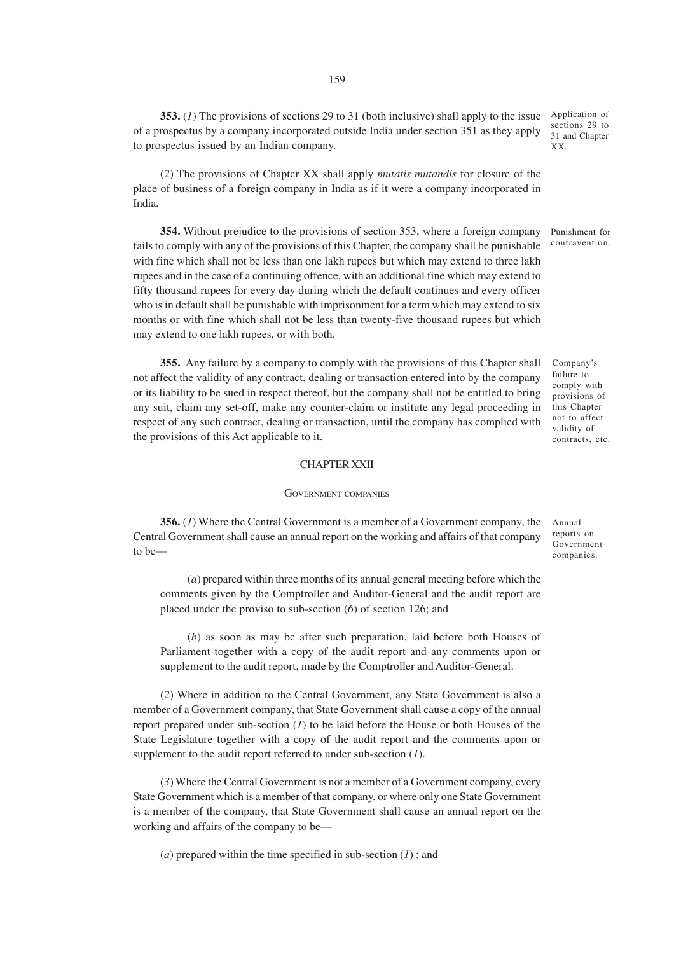**353.** (*1*) The provisions of sections 29 to 31 (both inclusive) shall apply to the issue of a prospectus by a company incorporated outside India under section 351 as they apply to prospectus issued by an Indian company.

(*2*) The provisions of Chapter XX shall apply *mutatis mutandis* for closure of the place of business of a foreign company in India as if it were a company incorporated in India.

**354.** Without prejudice to the provisions of section 353, where a foreign company fails to comply with any of the provisions of this Chapter, the company shall be punishable with fine which shall not be less than one lakh rupees but which may extend to three lakh rupees and in the case of a continuing offence, with an additional fine which may extend to fifty thousand rupees for every day during which the default continues and every officer who is in default shall be punishable with imprisonment for a term which may extend to six months or with fine which shall not be less than twenty-five thousand rupees but which may extend to one lakh rupees, or with both.

**355.** Any failure by a company to comply with the provisions of this Chapter shall not affect the validity of any contract, dealing or transaction entered into by the company or its liability to be sued in respect thereof, but the company shall not be entitled to bring any suit, claim any set-off, make any counter-claim or institute any legal proceeding in respect of any such contract, dealing or transaction, until the company has complied with the provisions of this Act applicable to it.

## CHAPTER XXII

#### GOVERNMENT COMPANIES

**356.** (*1*) Where the Central Government is a member of a Government company, the Central Government shall cause an annual report on the working and affairs of that company to be—

Annual reports on Government companies.

(*a*) prepared within three months of its annual general meeting before which the comments given by the Comptroller and Auditor-General and the audit report are placed under the proviso to sub-section (*6*) of section 126; and

(*b*) as soon as may be after such preparation, laid before both Houses of Parliament together with a copy of the audit report and any comments upon or supplement to the audit report, made by the Comptroller and Auditor-General.

(*2*) Where in addition to the Central Government, any State Government is also a member of a Government company, that State Government shall cause a copy of the annual report prepared under sub-section (*1*) to be laid before the House or both Houses of the State Legislature together with a copy of the audit report and the comments upon or supplement to the audit report referred to under sub-section (*1*).

(*3*) Where the Central Government is not a member of a Government company, every State Government which is a member of that company, or where only one State Government is a member of the company, that State Government shall cause an annual report on the working and affairs of the company to be—

(*a*) prepared within the time specified in sub-section (*1*) ; and

Application of sections 29 to 31 and Chapter XX.

Punishment for contravention.

Company's failure to comply with provisions of this Chapter not to affect validity of contracts, etc.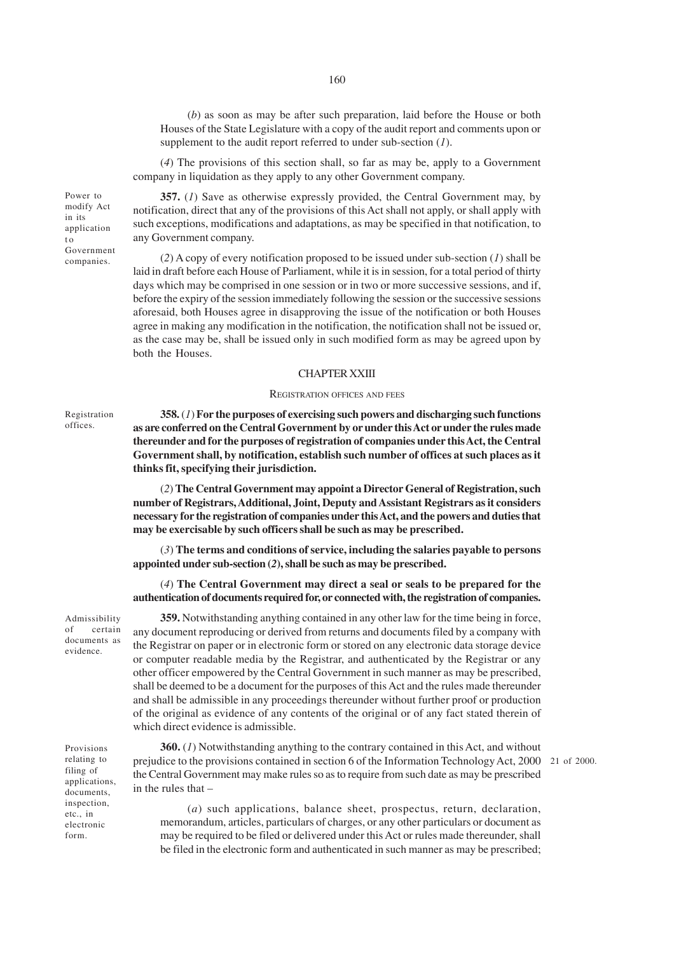(*b*) as soon as may be after such preparation, laid before the House or both Houses of the State Legislature with a copy of the audit report and comments upon or supplement to the audit report referred to under sub-section (*1*).

(*4*) The provisions of this section shall, so far as may be, apply to a Government company in liquidation as they apply to any other Government company.

Power to modify Act in its application t o Government companies.

**357.** (*1*) Save as otherwise expressly provided, the Central Government may, by notification, direct that any of the provisions of this Act shall not apply, or shall apply with such exceptions, modifications and adaptations, as may be specified in that notification, to any Government company.

(*2*) A copy of every notification proposed to be issued under sub-section (*1*) shall be laid in draft before each House of Parliament, while it is in session, for a total period of thirty days which may be comprised in one session or in two or more successive sessions, and if, before the expiry of the session immediately following the session or the successive sessions aforesaid, both Houses agree in disapproving the issue of the notification or both Houses agree in making any modification in the notification, the notification shall not be issued or, as the case may be, shall be issued only in such modified form as may be agreed upon by both the Houses.

## CHAPTER XXIII

### REGISTRATION OFFICES AND FEES

Registration offices.

**358.** (*1*) **For the purposes of exercising such powers and discharging such functions as are conferred on the Central Government by or under this Act or under the rules made thereunder and for the purposes of registration of companies under this Act, the Central Government shall, by notification, establish such number of offices at such places as it thinks fit, specifying their jurisdiction.**

(*2*) **The Central Government may appoint a Director General of Registration, such number of Registrars, Additional, Joint, Deputy and Assistant Registrars as it considers necessary for the registration of companies under this Act, and the powers and duties that may be exercisable by such officers shall be such as may be prescribed.**

(*3*) **The terms and conditions of service, including the salaries payable to persons appointed under sub-section (***2***), shall be such as may be prescribed.**

(*4*) **The Central Government may direct a seal or seals to be prepared for the authentication of documents required for, or connected with, the registration of companies.**

**359.** Notwithstanding anything contained in any other law for the time being in force, any document reproducing or derived from returns and documents filed by a company with the Registrar on paper or in electronic form or stored on any electronic data storage device or computer readable media by the Registrar, and authenticated by the Registrar or any other officer empowered by the Central Government in such manner as may be prescribed, shall be deemed to be a document for the purposes of this Act and the rules made thereunder and shall be admissible in any proceedings thereunder without further proof or production of the original as evidence of any contents of the original or of any fact stated therein of which direct evidence is admissible.

**360.** (*1*) Notwithstanding anything to the contrary contained in this Act, and without prejudice to the provisions contained in section 6 of the Information Technology Act, 2000 21 of 2000. the Central Government may make rules so as to require from such date as may be prescribed in the rules that –

(*a*) such applications, balance sheet, prospectus, return, declaration, memorandum, articles, particulars of charges, or any other particulars or document as may be required to be filed or delivered under this Act or rules made thereunder, shall be filed in the electronic form and authenticated in such manner as may be prescribed;

Admissibility of certain documents as evidence.

Provisions relating to filing of applications, documents, inspection, etc., in electronic form.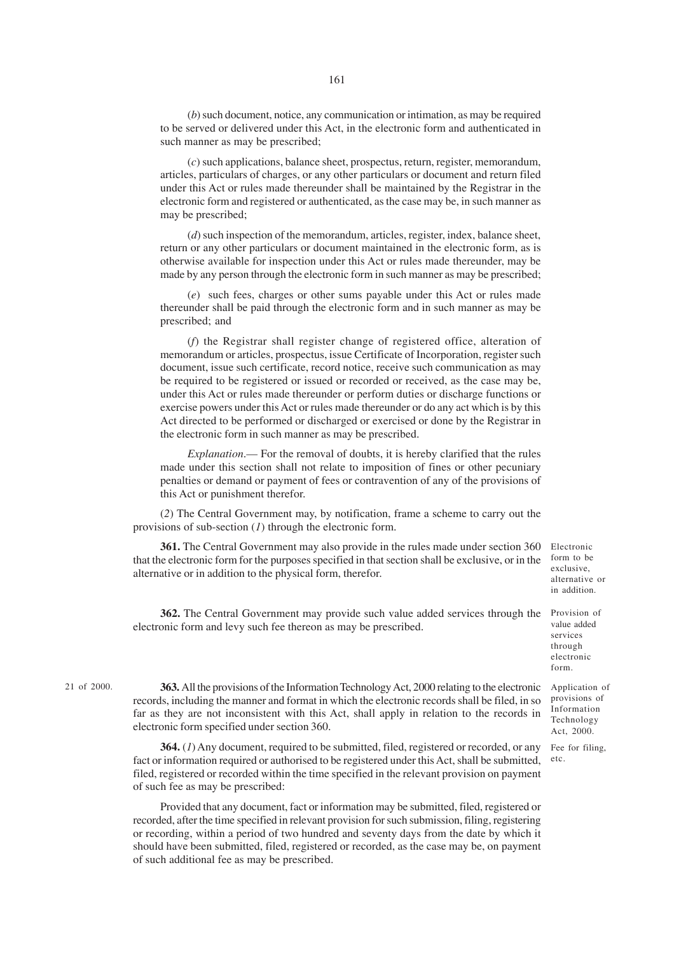(*b*) such document, notice, any communication or intimation, as may be required to be served or delivered under this Act, in the electronic form and authenticated in such manner as may be prescribed;

(*c*) such applications, balance sheet, prospectus, return, register, memorandum, articles, particulars of charges, or any other particulars or document and return filed under this Act or rules made thereunder shall be maintained by the Registrar in the electronic form and registered or authenticated, as the case may be, in such manner as may be prescribed;

(*d*) such inspection of the memorandum, articles, register, index, balance sheet, return or any other particulars or document maintained in the electronic form, as is otherwise available for inspection under this Act or rules made thereunder, may be made by any person through the electronic form in such manner as may be prescribed;

(*e*) such fees, charges or other sums payable under this Act or rules made thereunder shall be paid through the electronic form and in such manner as may be prescribed; and

(*f*) the Registrar shall register change of registered office, alteration of memorandum or articles, prospectus, issue Certificate of Incorporation, register such document, issue such certificate, record notice, receive such communication as may be required to be registered or issued or recorded or received, as the case may be, under this Act or rules made thereunder or perform duties or discharge functions or exercise powers under this Act or rules made thereunder or do any act which is by this Act directed to be performed or discharged or exercised or done by the Registrar in the electronic form in such manner as may be prescribed.

*Explanation*.— For the removal of doubts, it is hereby clarified that the rules made under this section shall not relate to imposition of fines or other pecuniary penalties or demand or payment of fees or contravention of any of the provisions of this Act or punishment therefor.

(*2*) The Central Government may, by notification, frame a scheme to carry out the provisions of sub-section (*1*) through the electronic form.

**361.** The Central Government may also provide in the rules made under section 360 that the electronic form for the purposes specified in that section shall be exclusive, or in the alternative or in addition to the physical form, therefor.

**362.** The Central Government may provide such value added services through the Provision of electronic form and levy such fee thereon as may be prescribed.

Electronic form to be exclusive, alternative or in addition.

value added services through electronic form.

Application of provisions of Information Technology Act, 2000.

etc.

21 of 2000.

**363.** All the provisions of the Information Technology Act, 2000 relating to the electronic records, including the manner and format in which the electronic records shall be filed, in so far as they are not inconsistent with this Act, shall apply in relation to the records in electronic form specified under section 360.

**364.** (*1*) Any document, required to be submitted, filed, registered or recorded, or any Fee for filing, fact or information required or authorised to be registered under this Act, shall be submitted, filed, registered or recorded within the time specified in the relevant provision on payment of such fee as may be prescribed:

Provided that any document, fact or information may be submitted, filed, registered or recorded, after the time specified in relevant provision for such submission, filing, registering or recording, within a period of two hundred and seventy days from the date by which it should have been submitted, filed, registered or recorded, as the case may be, on payment of such additional fee as may be prescribed.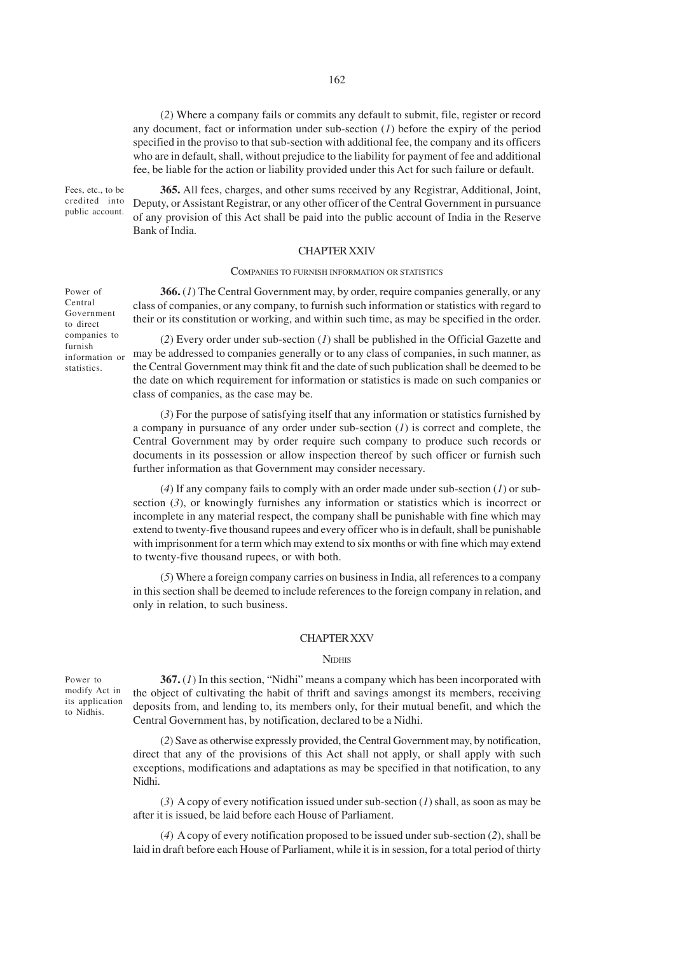(*2*) Where a company fails or commits any default to submit, file, register or record any document, fact or information under sub-section (*1*) before the expiry of the period specified in the proviso to that sub-section with additional fee, the company and its officers who are in default, shall, without prejudice to the liability for payment of fee and additional fee, be liable for the action or liability provided under this Act for such failure or default.

Fees, etc., to be credited into public account.

Power of Central Government to direct companies to furnish information or statistics.

**365.** All fees, charges, and other sums received by any Registrar, Additional, Joint, Deputy, or Assistant Registrar, or any other officer of the Central Government in pursuance of any provision of this Act shall be paid into the public account of India in the Reserve Bank of India.

### CHAPTER XXIV

### COMPANIES TO FURNISH INFORMATION OR STATISTICS

**366.** (*1*) The Central Government may, by order, require companies generally, or any class of companies, or any company, to furnish such information or statistics with regard to their or its constitution or working, and within such time, as may be specified in the order.

(*2*) Every order under sub-section (*1*) shall be published in the Official Gazette and may be addressed to companies generally or to any class of companies, in such manner, as the Central Government may think fit and the date of such publication shall be deemed to be the date on which requirement for information or statistics is made on such companies or class of companies, as the case may be.

(*3*) For the purpose of satisfying itself that any information or statistics furnished by a company in pursuance of any order under sub-section (*1*) is correct and complete, the Central Government may by order require such company to produce such records or documents in its possession or allow inspection thereof by such officer or furnish such further information as that Government may consider necessary.

(*4*) If any company fails to comply with an order made under sub-section (*1*) or subsection (*3*), or knowingly furnishes any information or statistics which is incorrect or incomplete in any material respect, the company shall be punishable with fine which may extend to twenty-five thousand rupees and every officer who is in default, shall be punishable with imprisonment for a term which may extend to six months or with fine which may extend to twenty-five thousand rupees, or with both.

(*5*) Where a foreign company carries on business in India, all references to a company in this section shall be deemed to include references to the foreign company in relation, and only in relation, to such business.

## CHAPTER XXV

### **NIDHIS**

Power to modify Act in its application to Nidhis.

**367.** (*1*) In this section, "Nidhi" means a company which has been incorporated with the object of cultivating the habit of thrift and savings amongst its members, receiving deposits from, and lending to, its members only, for their mutual benefit, and which the Central Government has, by notification, declared to be a Nidhi.

(*2*) Save as otherwise expressly provided, the Central Government may, by notification, direct that any of the provisions of this Act shall not apply, or shall apply with such exceptions, modifications and adaptations as may be specified in that notification, to any Nidhi.

(*3*) A copy of every notification issued under sub-section (*1*) shall, as soon as may be after it is issued, be laid before each House of Parliament.

(*4*) A copy of every notification proposed to be issued under sub-section (*2*), shall be laid in draft before each House of Parliament, while it is in session, for a total period of thirty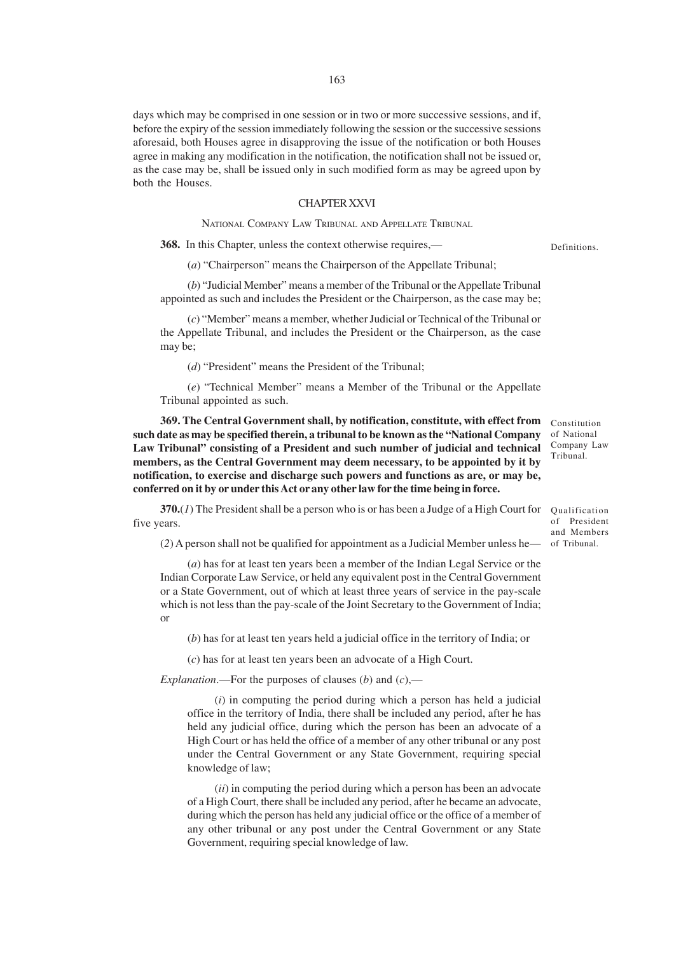days which may be comprised in one session or in two or more successive sessions, and if, before the expiry of the session immediately following the session or the successive sessions aforesaid, both Houses agree in disapproving the issue of the notification or both Houses agree in making any modification in the notification, the notification shall not be issued or, as the case may be, shall be issued only in such modified form as may be agreed upon by both the Houses.

# CHAPTER XXVI

NATIONAL COMPANY LAW TRIBUNAL AND APPELLATE TRIBUNAL

**368.** In this Chapter, unless the context otherwise requires,—

Definitions.

Constitution of National Company Law Tribunal.

(*a*) "Chairperson" means the Chairperson of the Appellate Tribunal;

(*b*) "Judicial Member" means a member of the Tribunal or the Appellate Tribunal appointed as such and includes the President or the Chairperson, as the case may be;

(*c*) "Member" means a member, whether Judicial or Technical of the Tribunal or the Appellate Tribunal, and includes the President or the Chairperson, as the case may be;

(*d*) "President" means the President of the Tribunal;

(*e*) "Technical Member" means a Member of the Tribunal or the Appellate Tribunal appointed as such.

**369. The Central Government shall, by notification, constitute, with effect from such date as may be specified therein, a tribunal to be known as the "National Company Law Tribunal" consisting of a President and such number of judicial and technical members, as the Central Government may deem necessary, to be appointed by it by notification, to exercise and discharge such powers and functions as are, or may be, conferred on it by or under this Act or any other law for the time being in force.**

**370.**(*1*) The President shall be a person who is or has been a Judge of a High Court for five years. Qualification of President and Members

(2) A person shall not be qualified for appointment as a Judicial Member unless he- of Tribunal.

(*a*) has for at least ten years been a member of the Indian Legal Service or the Indian Corporate Law Service, or held any equivalent post in the Central Government or a State Government, out of which at least three years of service in the pay-scale which is not less than the pay-scale of the Joint Secretary to the Government of India; or

(*b*) has for at least ten years held a judicial office in the territory of India; or

(*c*) has for at least ten years been an advocate of a High Court.

*Explanation*.—For the purposes of clauses (*b*) and (*c*),—

(*i*) in computing the period during which a person has held a judicial office in the territory of India, there shall be included any period, after he has held any judicial office, during which the person has been an advocate of a High Court or has held the office of a member of any other tribunal or any post under the Central Government or any State Government, requiring special knowledge of law;

(*ii*) in computing the period during which a person has been an advocate of a High Court, there shall be included any period, after he became an advocate, during which the person has held any judicial office or the office of a member of any other tribunal or any post under the Central Government or any State Government, requiring special knowledge of law.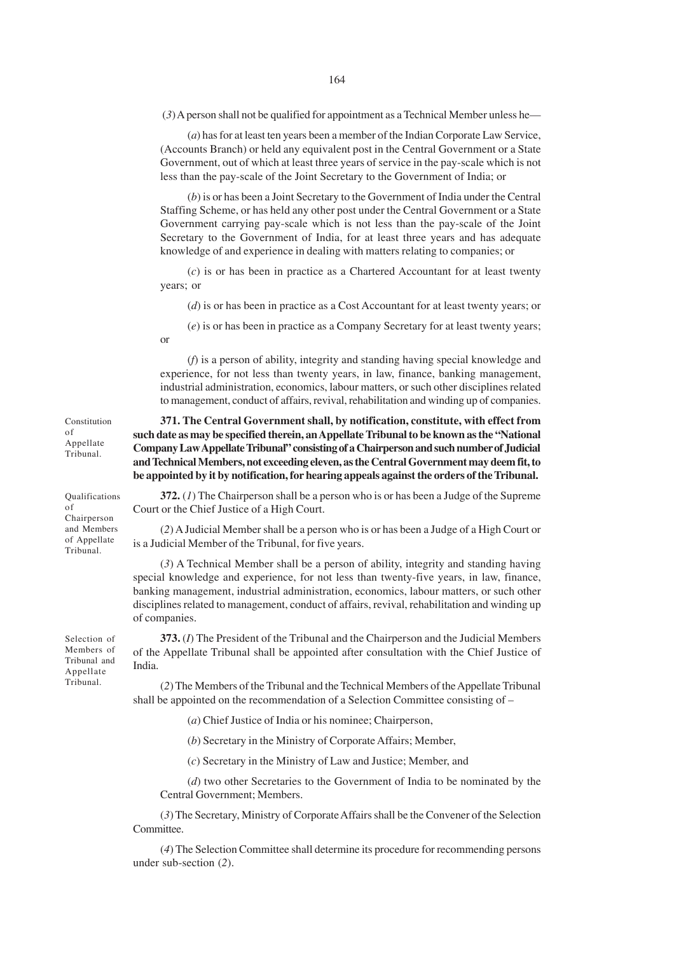(*3*) A person shall not be qualified for appointment as a Technical Member unless he—

(*a*) has for at least ten years been a member of the Indian Corporate Law Service, (Accounts Branch) or held any equivalent post in the Central Government or a State Government, out of which at least three years of service in the pay-scale which is not less than the pay-scale of the Joint Secretary to the Government of India; or

(*b*) is or has been a Joint Secretary to the Government of India under the Central Staffing Scheme, or has held any other post under the Central Government or a State Government carrying pay-scale which is not less than the pay-scale of the Joint Secretary to the Government of India, for at least three years and has adequate knowledge of and experience in dealing with matters relating to companies; or

(*c*) is or has been in practice as a Chartered Accountant for at least twenty years; or

(*d*) is or has been in practice as a Cost Accountant for at least twenty years; or

(*e*) is or has been in practice as a Company Secretary for at least twenty years;

(*f*) is a person of ability, integrity and standing having special knowledge and experience, for not less than twenty years, in law, finance, banking management, industrial administration, economics, labour matters, or such other disciplines related to management, conduct of affairs, revival, rehabilitation and winding up of companies.

**371. The Central Government shall, by notification, constitute, with effect from such date as may be specified therein, an Appellate Tribunal to be known as the "National Company Law Appellate Tribunal" consisting of a Chairperson and such number of Judicial and Technical Members, not exceeding eleven, as the Central Government may deem fit, to be appointed by it by notification, for hearing appeals against the orders of the Tribunal.**

**372.** (*1*) The Chairperson shall be a person who is or has been a Judge of the Supreme Court or the Chief Justice of a High Court.

(*2*) A Judicial Member shall be a person who is or has been a Judge of a High Court or is a Judicial Member of the Tribunal, for five years.

(*3*) A Technical Member shall be a person of ability, integrity and standing having special knowledge and experience, for not less than twenty-five years, in law, finance, banking management, industrial administration, economics, labour matters, or such other disciplines related to management, conduct of affairs, revival, rehabilitation and winding up of companies.

India. Selection of Members of Tribunal and Appellate Tribunal.

**373.** (*I*) The President of the Tribunal and the Chairperson and the Judicial Members of the Appellate Tribunal shall be appointed after consultation with the Chief Justice of

(*2*) The Members of the Tribunal and the Technical Members of the Appellate Tribunal shall be appointed on the recommendation of a Selection Committee consisting of –

(*a*) Chief Justice of India or his nominee; Chairperson,

(*b*) Secretary in the Ministry of Corporate Affairs; Member,

(*c*) Secretary in the Ministry of Law and Justice; Member, and

(*d*) two other Secretaries to the Government of India to be nominated by the Central Government; Members.

(*3*) The Secretary, Ministry of Corporate Affairs shall be the Convener of the Selection Committee.

(*4*) The Selection Committee shall determine its procedure for recommending persons under sub-section (*2*).

Constitution of Appellate Tribunal.

or

Qualifications of Chairperson and Members of Appellate Tribunal.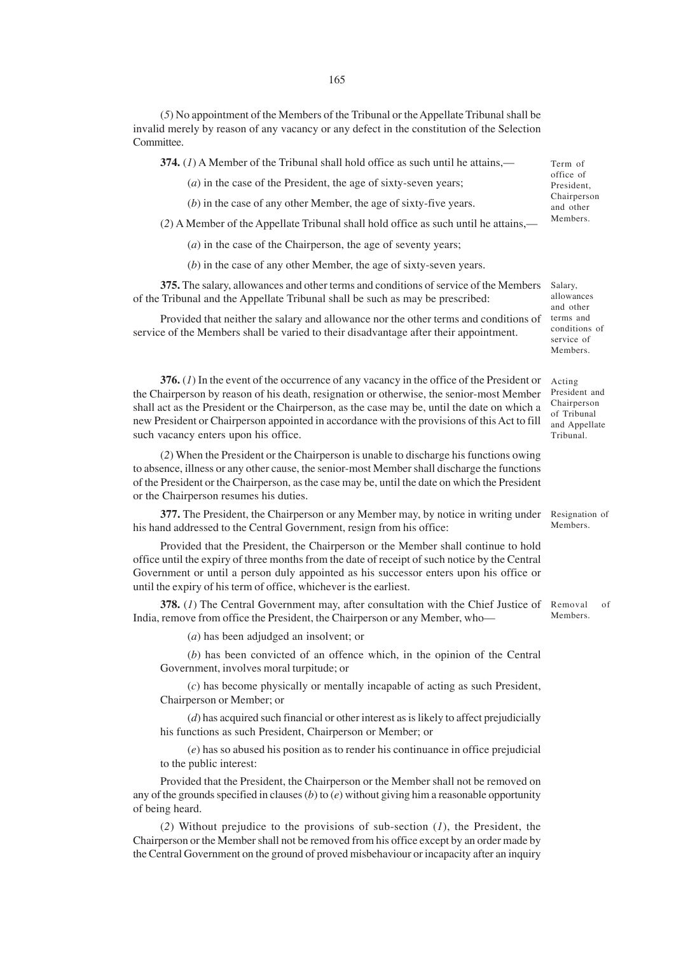(*5*) No appointment of the Members of the Tribunal or the Appellate Tribunal shall be invalid merely by reason of any vacancy or any defect in the constitution of the Selection Committee.

| 374. (1) A Member of the Tribunal shall hold office as such until he attains,—                                                                                                                                                                                                                                                                                                                                               | Term of                                                                                    |  |
|------------------------------------------------------------------------------------------------------------------------------------------------------------------------------------------------------------------------------------------------------------------------------------------------------------------------------------------------------------------------------------------------------------------------------|--------------------------------------------------------------------------------------------|--|
| $(a)$ in the case of the President, the age of sixty-seven years;                                                                                                                                                                                                                                                                                                                                                            | office of<br>President,<br>Chairperson<br>and other<br>Members.                            |  |
| $(b)$ in the case of any other Member, the age of sixty-five years.                                                                                                                                                                                                                                                                                                                                                          |                                                                                            |  |
| (2) A Member of the Appellate Tribunal shall hold office as such until he attains,—                                                                                                                                                                                                                                                                                                                                          |                                                                                            |  |
| $(a)$ in the case of the Chairperson, the age of seventy years;                                                                                                                                                                                                                                                                                                                                                              |                                                                                            |  |
| $(b)$ in the case of any other Member, the age of sixty-seven years.                                                                                                                                                                                                                                                                                                                                                         |                                                                                            |  |
| 375. The salary, allowances and other terms and conditions of service of the Members<br>of the Tribunal and the Appellate Tribunal shall be such as may be prescribed:                                                                                                                                                                                                                                                       | Salary,<br>allowances<br>and other<br>terms and<br>conditions of<br>service of<br>Members. |  |
| Provided that neither the salary and allowance nor the other terms and conditions of<br>service of the Members shall be varied to their disadvantage after their appointment.                                                                                                                                                                                                                                                |                                                                                            |  |
| 376. (1) In the event of the occurrence of any vacancy in the office of the President or<br>the Chairperson by reason of his death, resignation or otherwise, the senior-most Member<br>shall act as the President or the Chairperson, as the case may be, until the date on which a<br>new President or Chairperson appointed in accordance with the provisions of this Act to fill<br>such vacancy enters upon his office. | Acting<br>President and<br>Chairperson<br>of Tribunal<br>and Appellate<br>Tribunal.        |  |
| (2) When the President or the Chairperson is unable to discharge his functions owing<br>to absence, illness or any other cause, the senior-most Member shall discharge the functions<br>of the President or the Chairperson, as the case may be, until the date on which the President<br>or the Chairperson resumes his duties.                                                                                             |                                                                                            |  |
| 377. The President, the Chairperson or any Member may, by notice in writing under<br>his hand addressed to the Central Government, resign from his office:                                                                                                                                                                                                                                                                   | Resignation of<br>Members.                                                                 |  |
| Provided that the President, the Chairperson or the Member shall continue to hold<br>office until the expiry of three months from the date of receipt of such notice by the Central<br>Government or until a person duly appointed as his successor enters upon his office or<br>until the expiry of his term of office, whichever is the earliest.                                                                          |                                                                                            |  |
| <b>378.</b> (1) The Central Government may, after consultation with the Chief Justice of<br>India, remove from office the President, the Chairperson or any Member, who-                                                                                                                                                                                                                                                     | Removal<br>of<br>Members.                                                                  |  |
| (a) has been adjudged an insolvent; or                                                                                                                                                                                                                                                                                                                                                                                       |                                                                                            |  |

(*a*) has been adjudged an insolvent; or

(*b*) has been convicted of an offence which, in the opinion of the Central Government, involves moral turpitude; or

(*c*) has become physically or mentally incapable of acting as such President, Chairperson or Member; or

(*d*) has acquired such financial or other interest as is likely to affect prejudicially his functions as such President, Chairperson or Member; or

(*e*) has so abused his position as to render his continuance in office prejudicial to the public interest:

Provided that the President, the Chairperson or the Member shall not be removed on any of the grounds specified in clauses (*b*) to (*e*) without giving him a reasonable opportunity of being heard.

(*2*) Without prejudice to the provisions of sub-section (*1*), the President, the Chairperson or the Member shall not be removed from his office except by an order made by the Central Government on the ground of proved misbehaviour or incapacity after an inquiry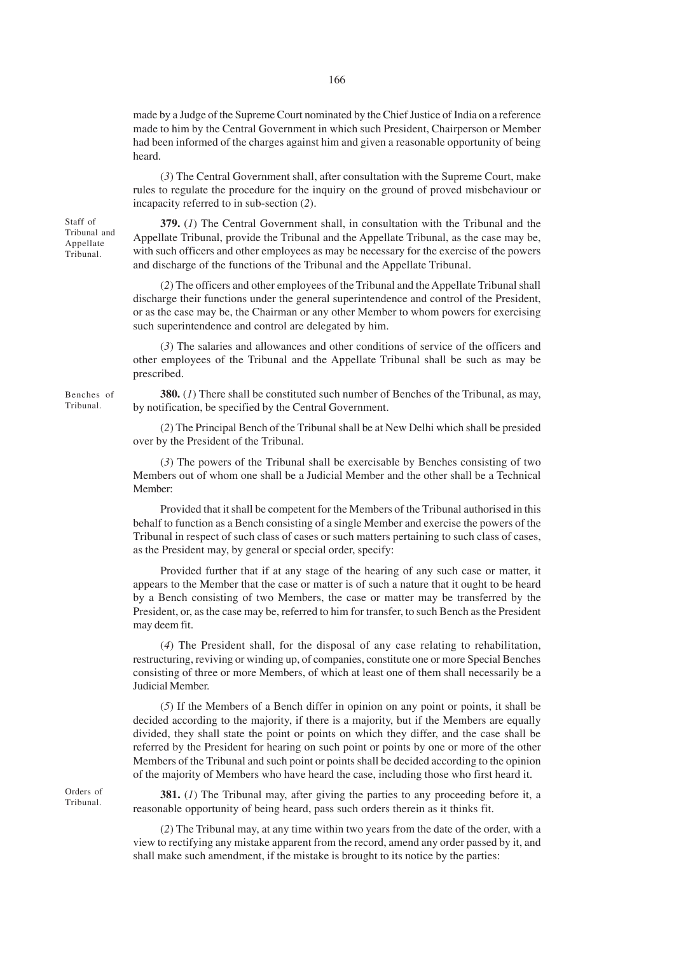made by a Judge of the Supreme Court nominated by the Chief Justice of India on a reference made to him by the Central Government in which such President, Chairperson or Member had been informed of the charges against him and given a reasonable opportunity of being heard.

(*3*) The Central Government shall, after consultation with the Supreme Court, make rules to regulate the procedure for the inquiry on the ground of proved misbehaviour or incapacity referred to in sub-section (*2*).

Staff of Tribunal and Appellate Tribunal.

**379.** (*1*) The Central Government shall, in consultation with the Tribunal and the Appellate Tribunal, provide the Tribunal and the Appellate Tribunal, as the case may be, with such officers and other employees as may be necessary for the exercise of the powers and discharge of the functions of the Tribunal and the Appellate Tribunal.

(*2*) The officers and other employees of the Tribunal and the Appellate Tribunal shall discharge their functions under the general superintendence and control of the President, or as the case may be, the Chairman or any other Member to whom powers for exercising such superintendence and control are delegated by him.

(*3*) The salaries and allowances and other conditions of service of the officers and other employees of the Tribunal and the Appellate Tribunal shall be such as may be prescribed.

**380.** (*1*) There shall be constituted such number of Benches of the Tribunal, as may, by notification, be specified by the Central Government.

(*2*) The Principal Bench of the Tribunal shall be at New Delhi which shall be presided over by the President of the Tribunal.

(*3*) The powers of the Tribunal shall be exercisable by Benches consisting of two Members out of whom one shall be a Judicial Member and the other shall be a Technical Member:

Provided that it shall be competent for the Members of the Tribunal authorised in this behalf to function as a Bench consisting of a single Member and exercise the powers of the Tribunal in respect of such class of cases or such matters pertaining to such class of cases, as the President may, by general or special order, specify:

Provided further that if at any stage of the hearing of any such case or matter, it appears to the Member that the case or matter is of such a nature that it ought to be heard by a Bench consisting of two Members, the case or matter may be transferred by the President, or, as the case may be, referred to him for transfer, to such Bench as the President may deem fit.

(*4*) The President shall, for the disposal of any case relating to rehabilitation, restructuring, reviving or winding up, of companies, constitute one or more Special Benches consisting of three or more Members, of which at least one of them shall necessarily be a Judicial Member.

(*5*) If the Members of a Bench differ in opinion on any point or points, it shall be decided according to the majority, if there is a majority, but if the Members are equally divided, they shall state the point or points on which they differ, and the case shall be referred by the President for hearing on such point or points by one or more of the other Members of the Tribunal and such point or points shall be decided according to the opinion of the majority of Members who have heard the case, including those who first heard it.

Orders of Tribunal.

**381.** (*1*) The Tribunal may, after giving the parties to any proceeding before it, a reasonable opportunity of being heard, pass such orders therein as it thinks fit.

(*2*) The Tribunal may, at any time within two years from the date of the order, with a view to rectifying any mistake apparent from the record, amend any order passed by it, and shall make such amendment, if the mistake is brought to its notice by the parties:

Benches of Tribunal.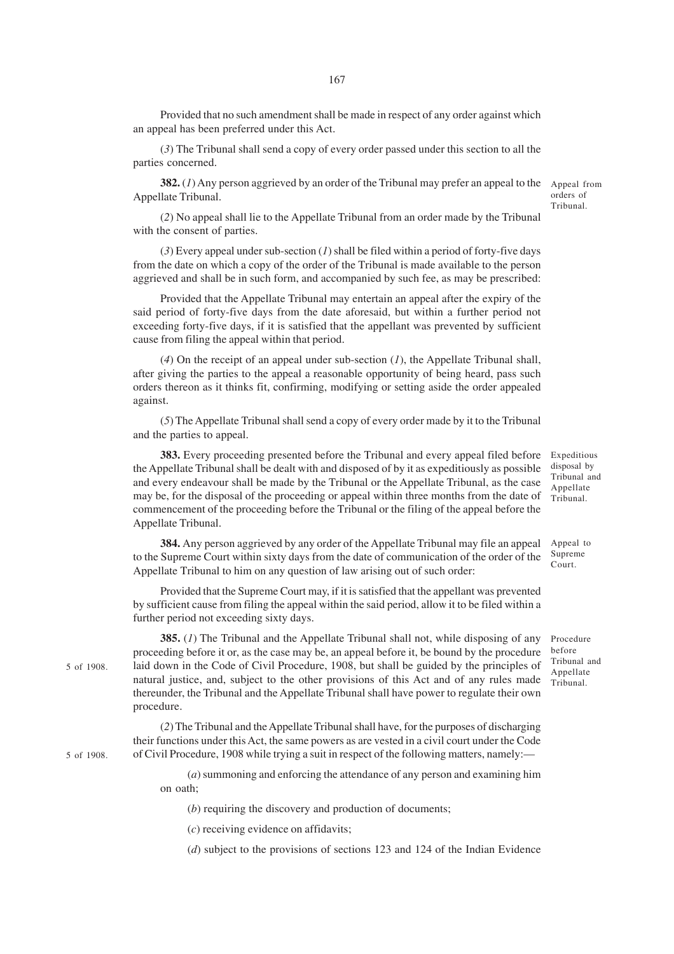Provided that no such amendment shall be made in respect of any order against which an appeal has been preferred under this Act.

(*3*) The Tribunal shall send a copy of every order passed under this section to all the parties concerned.

**382.** (1) Any person aggrieved by an order of the Tribunal may prefer an appeal to the Appeal from Appellate Tribunal.

orders of Tribunal.

(*2*) No appeal shall lie to the Appellate Tribunal from an order made by the Tribunal with the consent of parties.

(*3*) Every appeal under sub-section (*1*) shall be filed within a period of forty-five days from the date on which a copy of the order of the Tribunal is made available to the person aggrieved and shall be in such form, and accompanied by such fee, as may be prescribed:

Provided that the Appellate Tribunal may entertain an appeal after the expiry of the said period of forty-five days from the date aforesaid, but within a further period not exceeding forty-five days, if it is satisfied that the appellant was prevented by sufficient cause from filing the appeal within that period.

(*4*) On the receipt of an appeal under sub-section (*1*), the Appellate Tribunal shall, after giving the parties to the appeal a reasonable opportunity of being heard, pass such orders thereon as it thinks fit, confirming, modifying or setting aside the order appealed against.

(*5*) The Appellate Tribunal shall send a copy of every order made by it to the Tribunal and the parties to appeal.

**383.** Every proceeding presented before the Tribunal and every appeal filed before the Appellate Tribunal shall be dealt with and disposed of by it as expeditiously as possible and every endeavour shall be made by the Tribunal or the Appellate Tribunal, as the case may be, for the disposal of the proceeding or appeal within three months from the date of commencement of the proceeding before the Tribunal or the filing of the appeal before the Appellate Tribunal.

**384.** Any person aggrieved by any order of the Appellate Tribunal may file an appeal to the Supreme Court within sixty days from the date of communication of the order of the Appellate Tribunal to him on any question of law arising out of such order:

Provided that the Supreme Court may, if it is satisfied that the appellant was prevented by sufficient cause from filing the appeal within the said period, allow it to be filed within a further period not exceeding sixty days.

5 of 1908.

5 of 1908.

**385.** (*1*) The Tribunal and the Appellate Tribunal shall not, while disposing of any proceeding before it or, as the case may be, an appeal before it, be bound by the procedure laid down in the Code of Civil Procedure, 1908, but shall be guided by the principles of natural justice, and, subject to the other provisions of this Act and of any rules made thereunder, the Tribunal and the Appellate Tribunal shall have power to regulate their own procedure.

(*2*) The Tribunal and the Appellate Tribunal shall have, for the purposes of discharging their functions under this Act, the same powers as are vested in a civil court under the Code of Civil Procedure, 1908 while trying a suit in respect of the following matters, namely:—

(*a*) summoning and enforcing the attendance of any person and examining him on oath;

(*b*) requiring the discovery and production of documents;

(*c*) receiving evidence on affidavits;

(*d*) subject to the provisions of sections 123 and 124 of the Indian Evidence

Expeditious disposal by Tribunal and Appellate Tribunal.

Appeal to Supreme Court.

Procedure before Tribunal and Appellate Tribunal.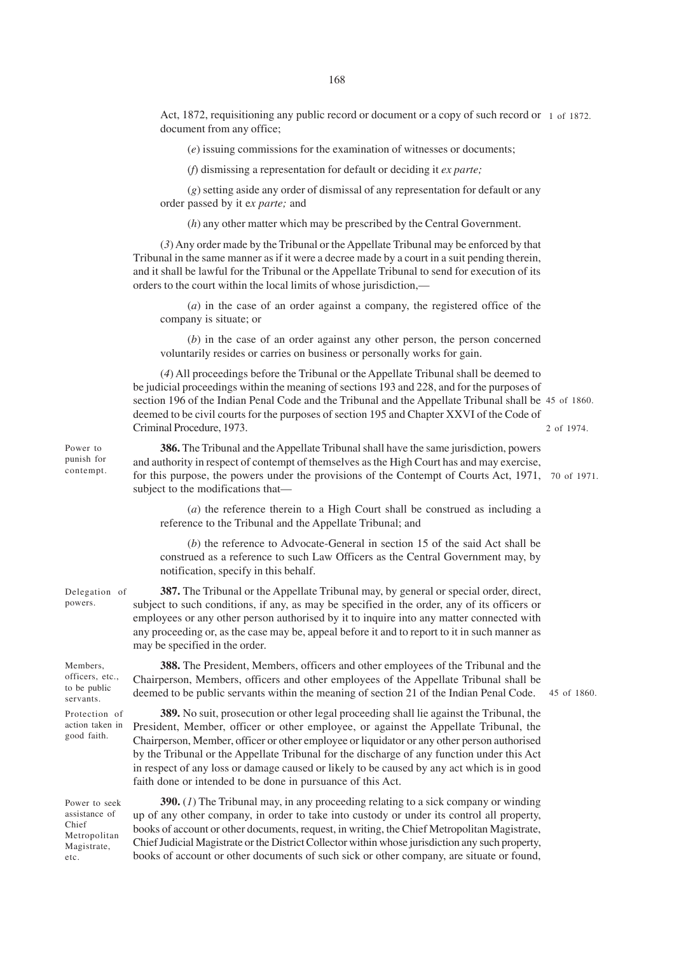168

Act, 1872, requisitioning any public record or document or a copy of such record or 1 of 1872. document from any office;

(*e*) issuing commissions for the examination of witnesses or documents;

(*f*) dismissing a representation for default or deciding it *ex parte;*

(*g*) setting aside any order of dismissal of any representation for default or any order passed by it e*x parte;* and

(*h*) any other matter which may be prescribed by the Central Government.

(*3*) Any order made by the Tribunal or the Appellate Tribunal may be enforced by that Tribunal in the same manner as if it were a decree made by a court in a suit pending therein, and it shall be lawful for the Tribunal or the Appellate Tribunal to send for execution of its orders to the court within the local limits of whose jurisdiction,—

(*a*) in the case of an order against a company, the registered office of the company is situate; or

(*b*) in the case of an order against any other person, the person concerned voluntarily resides or carries on business or personally works for gain.

(*4*) All proceedings before the Tribunal or the Appellate Tribunal shall be deemed to be judicial proceedings within the meaning of sections 193 and 228, and for the purposes of section 196 of the Indian Penal Code and the Tribunal and the Appellate Tribunal shall be 45 of 1860. deemed to be civil courts for the purposes of section 195 and Chapter XXVI of the Code of Criminal Procedure, 1973. 2 of 1974.

**386.** The Tribunal and the Appellate Tribunal shall have the same jurisdiction, powers and authority in respect of contempt of themselves as the High Court has and may exercise, contempt. for this purpose, the powers under the provisions of the Contempt of Courts Act, 1971, 70 of 1971. subject to the modifications that—

> (*a*) the reference therein to a High Court shall be construed as including a reference to the Tribunal and the Appellate Tribunal; and

> (*b*) the reference to Advocate-General in section 15 of the said Act shall be construed as a reference to such Law Officers as the Central Government may, by notification, specify in this behalf.

**387.** The Tribunal or the Appellate Tribunal may, by general or special order, direct, subject to such conditions, if any, as may be specified in the order, any of its officers or employees or any other person authorised by it to inquire into any matter connected with any proceeding or, as the case may be, appeal before it and to report to it in such manner as may be specified in the order. Delegation of

> **388.** The President, Members, officers and other employees of the Tribunal and the Chairperson, Members, officers and other employees of the Appellate Tribunal shall be deemed to be public servants within the meaning of section 21 of the Indian Penal Code. 45 of 1860.

**389.** No suit, prosecution or other legal proceeding shall lie against the Tribunal, the President, Member, officer or other employee, or against the Appellate Tribunal, the Chairperson, Member, officer or other employee or liquidator or any other person authorised by the Tribunal or the Appellate Tribunal for the discharge of any function under this Act in respect of any loss or damage caused or likely to be caused by any act which is in good faith done or intended to be done in pursuance of this Act.

Power to seek assistance of Chief Metropolitan Magistrate, etc.

**390.** (*1*) The Tribunal may, in any proceeding relating to a sick company or winding up of any other company, in order to take into custody or under its control all property, books of account or other documents, request, in writing, the Chief Metropolitan Magistrate, Chief Judicial Magistrate or the District Collector within whose jurisdiction any such property, books of account or other documents of such sick or other company, are situate or found,

Power to punish for

powers.

Members, officers, etc., to be public servants.

Protection of action taken in good faith.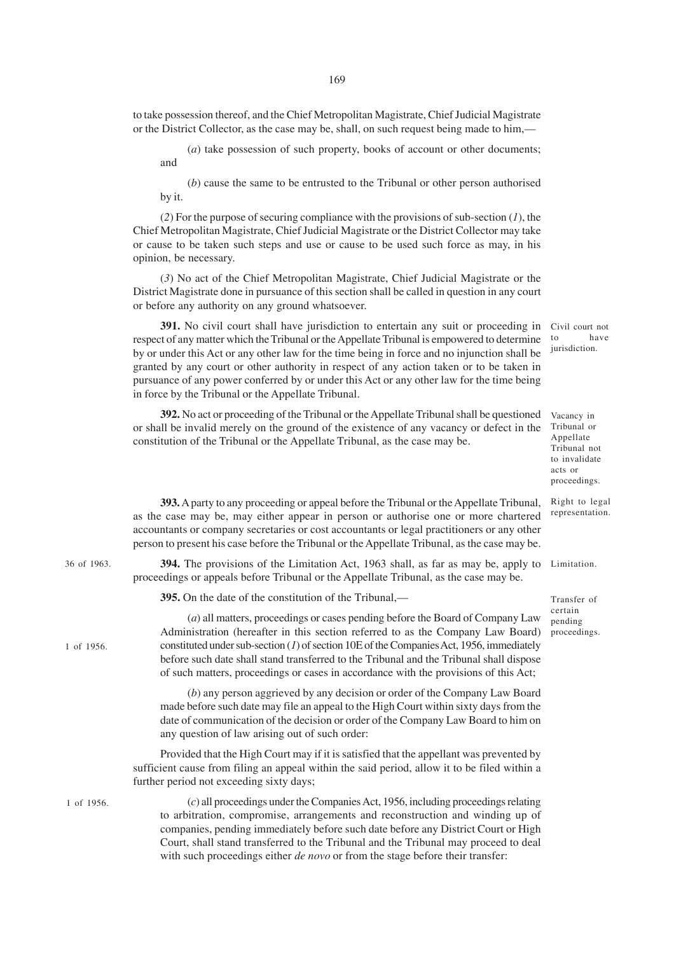to take possession thereof, and the Chief Metropolitan Magistrate, Chief Judicial Magistrate or the District Collector, as the case may be, shall, on such request being made to him,—

(*a*) take possession of such property, books of account or other documents; and

(*b*) cause the same to be entrusted to the Tribunal or other person authorised by it.

(*2*) For the purpose of securing compliance with the provisions of sub-section (*1*), the Chief Metropolitan Magistrate, Chief Judicial Magistrate or the District Collector may take or cause to be taken such steps and use or cause to be used such force as may, in his opinion, be necessary.

(*3*) No act of the Chief Metropolitan Magistrate, Chief Judicial Magistrate or the District Magistrate done in pursuance of this section shall be called in question in any court or before any authority on any ground whatsoever.

**391.** No civil court shall have jurisdiction to entertain any suit or proceeding in Civil court not respect of any matter which the Tribunal or the Appellate Tribunal is empowered to determine by or under this Act or any other law for the time being in force and no injunction shall be granted by any court or other authority in respect of any action taken or to be taken in pursuance of any power conferred by or under this Act or any other law for the time being in force by the Tribunal or the Appellate Tribunal.

**392.** No act or proceeding of the Tribunal or the Appellate Tribunal shall be questioned or shall be invalid merely on the ground of the existence of any vacancy or defect in the constitution of the Tribunal or the Appellate Tribunal, as the case may be.

Vacancy in Tribunal or Appellate Tribunal not to invalidate acts or

to have jurisdiction.

Right to legal representation.

proceedings.

Transfer of certain pending proceedings.

**393.** A party to any proceeding or appeal before the Tribunal or the Appellate Tribunal, as the case may be, may either appear in person or authorise one or more chartered accountants or company secretaries or cost accountants or legal practitioners or any other person to present his case before the Tribunal or the Appellate Tribunal, as the case may be.

**394.** The provisions of the Limitation Act, 1963 shall, as far as may be, apply to Limitation. proceedings or appeals before Tribunal or the Appellate Tribunal, as the case may be.

**395.** On the date of the constitution of the Tribunal,—

(*a*) all matters, proceedings or cases pending before the Board of Company Law Administration (hereafter in this section referred to as the Company Law Board) constituted under sub-section (*1*) of section 10E of the Companies Act, 1956, immediately before such date shall stand transferred to the Tribunal and the Tribunal shall dispose of such matters, proceedings or cases in accordance with the provisions of this Act;

(*b*) any person aggrieved by any decision or order of the Company Law Board made before such date may file an appeal to the High Court within sixty days from the date of communication of the decision or order of the Company Law Board to him on any question of law arising out of such order:

Provided that the High Court may if it is satisfied that the appellant was prevented by sufficient cause from filing an appeal within the said period, allow it to be filed within a further period not exceeding sixty days;

(*c*) all proceedings under the Companies Act, 1956, including proceedings relating to arbitration, compromise, arrangements and reconstruction and winding up of companies, pending immediately before such date before any District Court or High Court, shall stand transferred to the Tribunal and the Tribunal may proceed to deal with such proceedings either *de novo* or from the stage before their transfer:

36 of 1963.

1 of 1956.

1 of 1956.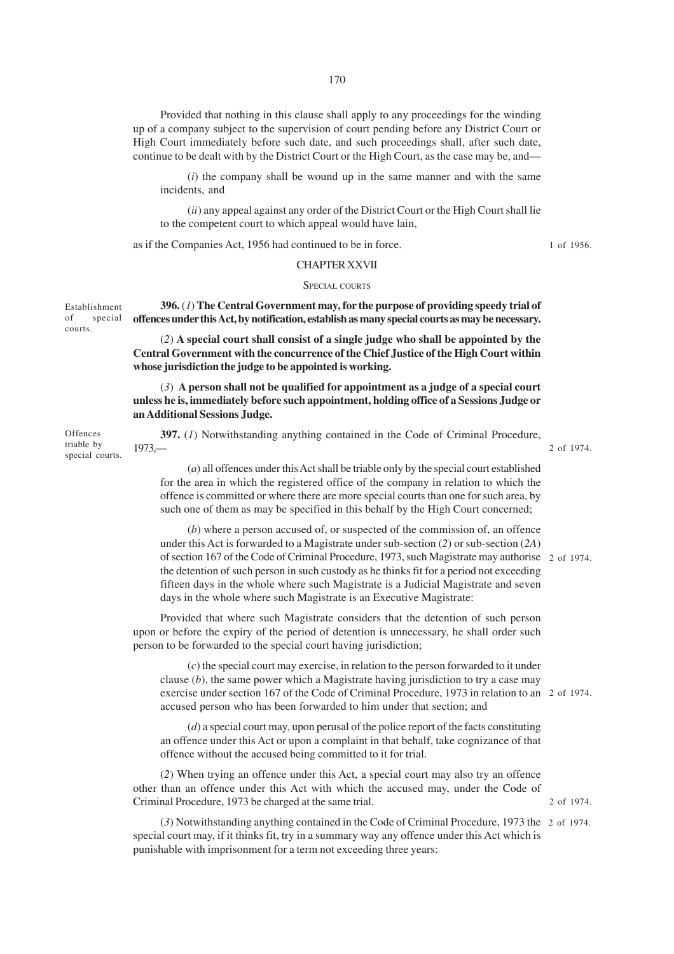170

Provided that nothing in this clause shall apply to any proceedings for the winding up of a company subject to the supervision of court pending before any District Court or High Court immediately before such date, and such proceedings shall, after such date, continue to be dealt with by the District Court or the High Court, as the case may be, and—

(*i*) the company shall be wound up in the same manner and with the same incidents, and

(*ii*) any appeal against any order of the District Court or the High Court shall lie to the competent court to which appeal would have lain,

as if the Companies Act, 1956 had continued to be in force.

1 of 1956.

#### CHAPTER XXVII

#### SPECIAL COURTS

Establishment of special courts.

**396.** (*1*) **The Central Government may, for the purpose of providing speedy trial of offences under this Act, by notification, establish as many special courts as may be necessary.**

(*2*) **A special court shall consist of a single judge who shall be appointed by the Central Government with the concurrence of the Chief Justice of the High Court within whose jurisdiction the judge to be appointed is working.**

(*3*) **A person shall not be qualified for appointment as a judge of a special court unless he is, immediately before such appointment, holding office of a Sessions Judge or an Additional Sessions Judge.**

**397.** (*1*) Notwithstanding anything contained in the Code of Criminal Procedure, 1973,—

2 of 1974.

2 of 1974.

(*a*) all offences under this Act shall be triable only by the special court established for the area in which the registered office of the company in relation to which the offence is committed or where there are more special courts than one for such area, by such one of them as may be specified in this behalf by the High Court concerned;

(*b*) where a person accused of, or suspected of the commission of, an offence under this Act is forwarded to a Magistrate under sub-section (*2*) or sub-section (*2A*) of section 167 of the Code of Criminal Procedure, 1973, such Magistrate may authorise 2 of 1974. the detention of such person in such custody as he thinks fit for a period not exceeding fifteen days in the whole where such Magistrate is a Judicial Magistrate and seven days in the whole where such Magistrate is an Executive Magistrate:

Provided that where such Magistrate considers that the detention of such person upon or before the expiry of the period of detention is unnecessary, he shall order such person to be forwarded to the special court having jurisdiction;

(*c*) the special court may exercise, in relation to the person forwarded to it under clause (*b*), the same power which a Magistrate having jurisdiction to try a case may exercise under section 167 of the Code of Criminal Procedure, 1973 in relation to an 2 of 1974. accused person who has been forwarded to him under that section; and

(*d*) a special court may, upon perusal of the police report of the facts constituting an offence under this Act or upon a complaint in that behalf, take cognizance of that offence without the accused being committed to it for trial.

(*2*) When trying an offence under this Act, a special court may also try an offence other than an offence under this Act with which the accused may, under the Code of Criminal Procedure, 1973 be charged at the same trial.

(*3*) Notwithstanding anything contained in the Code of Criminal Procedure, 1973 the 2 of 1974. special court may, if it thinks fit, try in a summary way any offence under this Act which is punishable with imprisonment for a term not exceeding three years:

triable by special courts.

Offences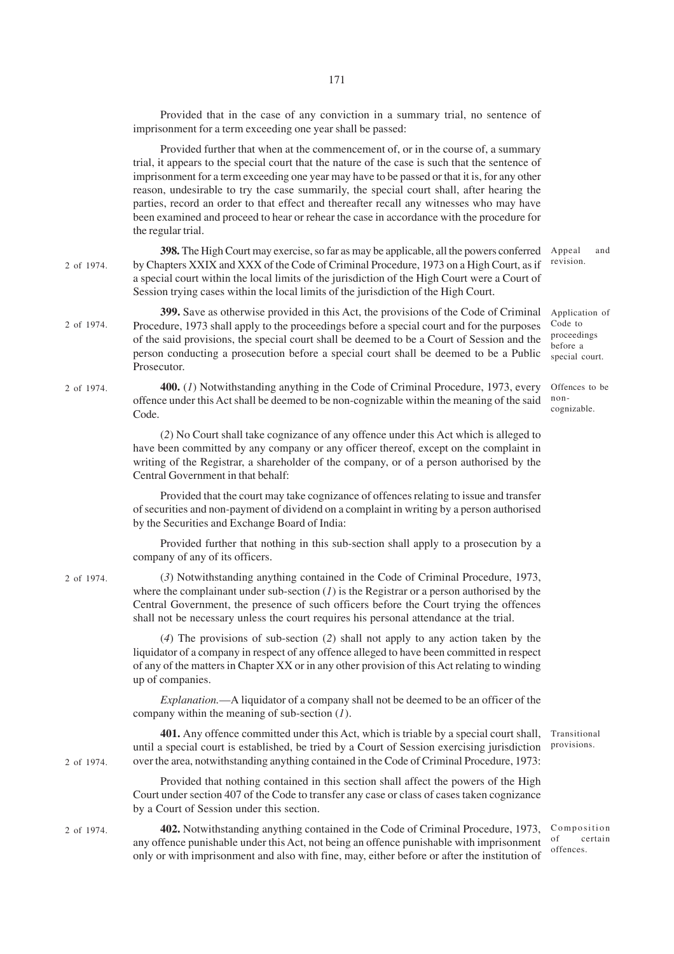Provided that in the case of any conviction in a summary trial, no sentence of imprisonment for a term exceeding one year shall be passed:

Provided further that when at the commencement of, or in the course of, a summary trial, it appears to the special court that the nature of the case is such that the sentence of imprisonment for a term exceeding one year may have to be passed or that it is, for any other reason, undesirable to try the case summarily, the special court shall, after hearing the parties, record an order to that effect and thereafter recall any witnesses who may have been examined and proceed to hear or rehear the case in accordance with the procedure for the regular trial.

**398.** The High Court may exercise, so far as may be applicable, all the powers conferred 2 of 1974. by Chapters XXIX and XXX of the Code of Criminal Procedure, 1973 on a High Court, as if <sup>revision.</sup> a special court within the local limits of the jurisdiction of the High Court were a Court of Session trying cases within the local limits of the jurisdiction of the High Court. Appeal and

2 of 1974.

**399.** Save as otherwise provided in this Act, the provisions of the Code of Criminal Procedure, 1973 shall apply to the proceedings before a special court and for the purposes of the said provisions, the special court shall be deemed to be a Court of Session and the person conducting a prosecution before a special court shall be deemed to be a Public Prosecutor.

**400.** (*1*) Notwithstanding anything in the Code of Criminal Procedure, 1973, every offence under this Act shall be deemed to be non-cognizable within the meaning of the said Code. 2 of 1974.

> (*2*) No Court shall take cognizance of any offence under this Act which is alleged to have been committed by any company or any officer thereof, except on the complaint in writing of the Registrar, a shareholder of the company, or of a person authorised by the Central Government in that behalf:

> Provided that the court may take cognizance of offences relating to issue and transfer of securities and non-payment of dividend on a complaint in writing by a person authorised by the Securities and Exchange Board of India:

> Provided further that nothing in this sub-section shall apply to a prosecution by a company of any of its officers.

(*3*) Notwithstanding anything contained in the Code of Criminal Procedure, 1973, where the complainant under sub-section (*1*) is the Registrar or a person authorised by the Central Government, the presence of such officers before the Court trying the offences shall not be necessary unless the court requires his personal attendance at the trial.

(*4*) The provisions of sub-section (*2*) shall not apply to any action taken by the liquidator of a company in respect of any offence alleged to have been committed in respect of any of the matters in Chapter XX or in any other provision of this Act relating to winding up of companies.

*Explanation.*—A liquidator of a company shall not be deemed to be an officer of the company within the meaning of sub-section (*1*).

**401.** Any offence committed under this Act, which is triable by a special court shall, Transitional until a special court is established, be tried by a Court of Session exercising jurisdiction provisions. over the area, notwithstanding anything contained in the Code of Criminal Procedure, 1973:

Provided that nothing contained in this section shall affect the powers of the High Court under section 407 of the Code to transfer any case or class of cases taken cognizance by a Court of Session under this section.

2 of 1974.

2 of 1974.

2 of 1974.

**402.** Notwithstanding anything contained in the Code of Criminal Procedure, 1973, any offence punishable under this Act, not being an offence punishable with imprisonment only or with imprisonment and also with fine, may, either before or after the institution of

Composition of certain offences.

Application of Code to proceedings before a special court.

Offences to be noncognizable.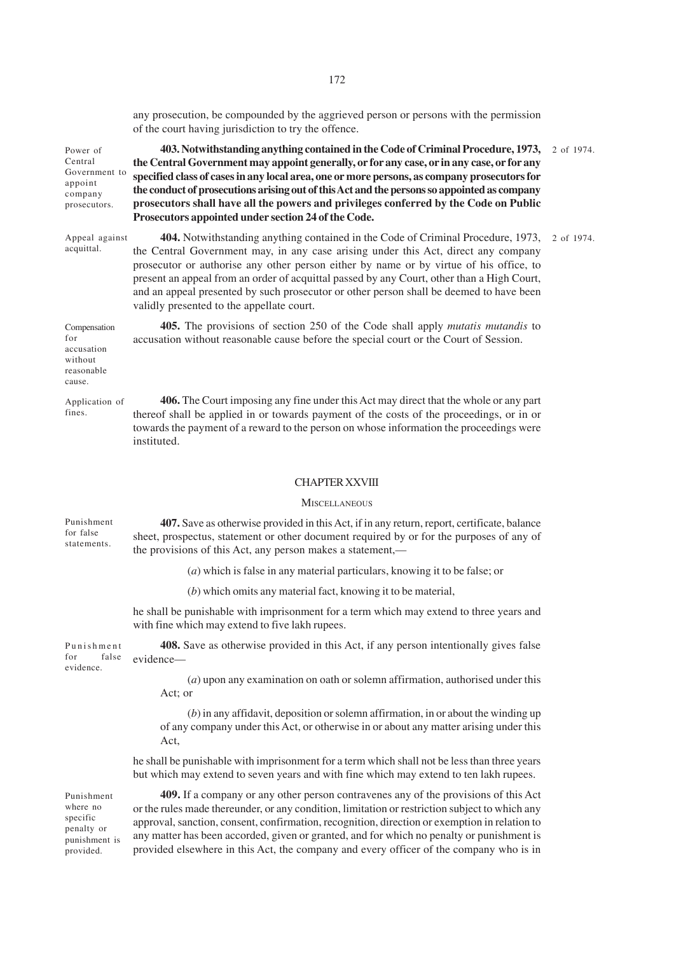any prosecution, be compounded by the aggrieved person or persons with the permission of the court having jurisdiction to try the offence.

| Power of<br>Central<br>Government to<br>appoint<br>company<br>prosecutors. | 403. Notwithstanding anything contained in the Code of Criminal Procedure, 1973,<br>the Central Government may appoint generally, or for any case, or in any case, or for any<br>specified class of cases in any local area, one or more persons, as company prosecutors for<br>the conduct of prosecutions arising out of this Act and the persons so appointed as company<br>prosecutors shall have all the powers and privileges conferred by the Code on Public<br>Prosecutors appointed under section 24 of the Code. | 2 of 1974. |
|----------------------------------------------------------------------------|----------------------------------------------------------------------------------------------------------------------------------------------------------------------------------------------------------------------------------------------------------------------------------------------------------------------------------------------------------------------------------------------------------------------------------------------------------------------------------------------------------------------------|------------|
| Appeal against<br>acquittal.                                               | 404. Notwithstanding anything contained in the Code of Criminal Procedure, 1973,<br>the Central Government may, in any case arising under this Act, direct any company<br>prosecutor or authorise any other person either by name or by virtue of his office, to<br>present an appeal from an order of acquittal passed by any Court, other than a High Court,<br>and an appeal presented by such prosecutor or other person shall be deemed to have been<br>validly presented to the appellate court.                     | 2 of 1974. |
| Compensation<br>for<br>accusation<br>without<br>reasonable<br>cause.       | 405. The provisions of section 250 of the Code shall apply mutatis mutandis to<br>accusation without reasonable cause before the special court or the Court of Session.                                                                                                                                                                                                                                                                                                                                                    |            |
| Application of<br>fines.                                                   | <b>406.</b> The Court imposing any fine under this Act may direct that the whole or any part<br>thereof shall be applied in or towards payment of the costs of the proceedings, or in or<br>towards the payment of a reward to the person on whose information the proceedings were<br>instituted.                                                                                                                                                                                                                         |            |
|                                                                            | <b>CHAPTER XXVIII</b>                                                                                                                                                                                                                                                                                                                                                                                                                                                                                                      |            |
|                                                                            | <b>MISCELLANEOUS</b>                                                                                                                                                                                                                                                                                                                                                                                                                                                                                                       |            |
| Punishment<br>for false<br>statements.                                     | 407. Save as otherwise provided in this Act, if in any return, report, certificate, balance<br>sheet, prospectus, statement or other document required by or for the purposes of any of<br>the provisions of this Act, any person makes a statement,—                                                                                                                                                                                                                                                                      |            |
|                                                                            | $(a)$ which is false in any material particulars, knowing it to be false; or                                                                                                                                                                                                                                                                                                                                                                                                                                               |            |
|                                                                            | (b) which omits any material fact, knowing it to be material,                                                                                                                                                                                                                                                                                                                                                                                                                                                              |            |
|                                                                            | he shall be punishable with imprisonment for a term which may extend to three years and<br>with fine which may extend to five lakh rupees.                                                                                                                                                                                                                                                                                                                                                                                 |            |
| Punishment<br>for<br>false<br>evidence.                                    | <b>408.</b> Save as otherwise provided in this Act, if any person intentionally gives false<br>evidence—                                                                                                                                                                                                                                                                                                                                                                                                                   |            |

(*a*) upon any examination on oath or solemn affirmation, authorised under this Act; or

(*b*) in any affidavit, deposition or solemn affirmation, in or about the winding up of any company under this Act, or otherwise in or about any matter arising under this Act,

he shall be punishable with imprisonment for a term which shall not be less than three years but which may extend to seven years and with fine which may extend to ten lakh rupees.

Punishment where no specific penalty or punishment is provided.

**409.** If a company or any other person contravenes any of the provisions of this Act or the rules made thereunder, or any condition, limitation or restriction subject to which any approval, sanction, consent, confirmation, recognition, direction or exemption in relation to any matter has been accorded, given or granted, and for which no penalty or punishment is provided elsewhere in this Act, the company and every officer of the company who is in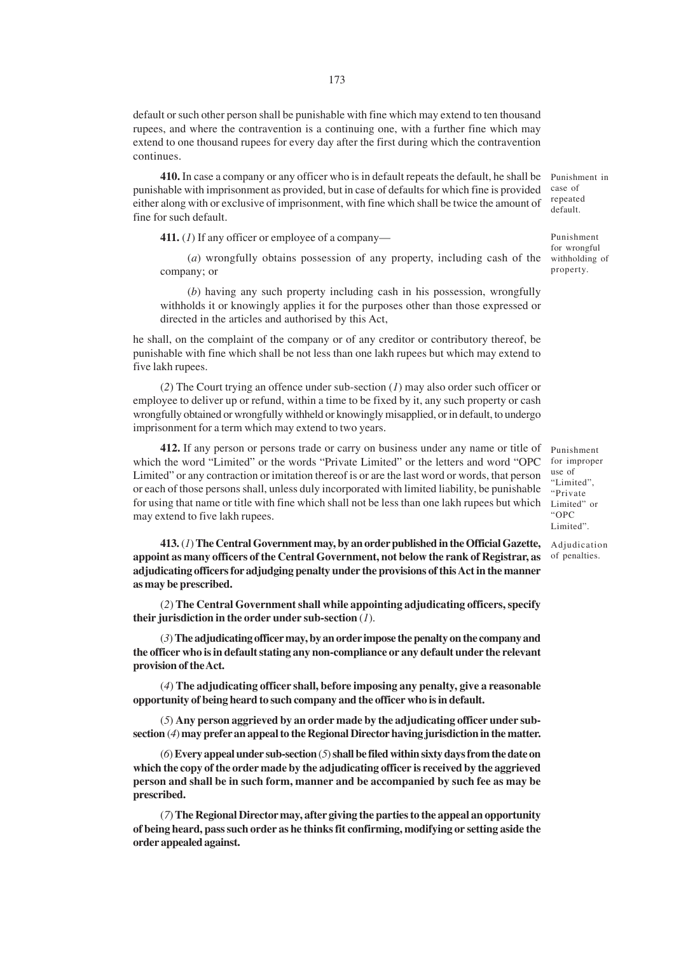default or such other person shall be punishable with fine which may extend to ten thousand rupees, and where the contravention is a continuing one, with a further fine which may extend to one thousand rupees for every day after the first during which the contravention continues.

**410.** In case a company or any officer who is in default repeats the default, he shall be Punishment in punishable with imprisonment as provided, but in case of defaults for which fine is provided either along with or exclusive of imprisonment, with fine which shall be twice the amount of fine for such default.

**411.** (*1*) If any officer or employee of a company—

(*a*) wrongfully obtains possession of any property, including cash of the company; or

(*b*) having any such property including cash in his possession, wrongfully withholds it or knowingly applies it for the purposes other than those expressed or directed in the articles and authorised by this Act,

he shall, on the complaint of the company or of any creditor or contributory thereof, be punishable with fine which shall be not less than one lakh rupees but which may extend to five lakh rupees.

(*2*) The Court trying an offence under sub-section (*1*) may also order such officer or employee to deliver up or refund, within a time to be fixed by it, any such property or cash wrongfully obtained or wrongfully withheld or knowingly misapplied, or in default, to undergo imprisonment for a term which may extend to two years.

**412.** If any person or persons trade or carry on business under any name or title of Punishment which the word "Limited" or the words "Private Limited" or the letters and word "OPC Limited" or any contraction or imitation thereof is or are the last word or words, that person or each of those persons shall, unless duly incorporated with limited liability, be punishable for using that name or title with fine which shall not be less than one lakh rupees but which may extend to five lakh rupees.

**413.** (*1*) **The Central Government may, by an order published in the Official Gazette, appoint as many officers of the Central Government, not below the rank of Registrar, as adjudicating officers for adjudging penalty under the provisions of this Act in the manner as may be prescribed.**

(*2*) **The Central Government shall while appointing adjudicating officers, specify their jurisdiction in the order under sub-section** (*1*).

(*3*) **The adjudicating officer may, by an order impose the penalty on the company and the officer who is in default stating any non-compliance or any default under the relevant provision of the Act.**

(*4*) **The adjudicating officer shall, before imposing any penalty, give a reasonable opportunity of being heard to such company and the officer who is in default.**

(*5*) **Any person aggrieved by an order made by the adjudicating officer under subsection** (*4*) **may prefer an appeal to the Regional Director having jurisdiction in the matter.**

(*6*) **Every appeal under sub-section** (*5*) **shall be filed within sixty days from the date on which the copy of the order made by the adjudicating officer is received by the aggrieved person and shall be in such form, manner and be accompanied by such fee as may be prescribed.**

(*7*) **The Regional Director may, after giving the parties to the appeal an opportunity of being heard, pass such order as he thinks fit confirming, modifying or setting aside the order appealed against.**

case of repeated default.

Punishment for wrongful withholding of property.

for improper use of "Limited", "Private Limited" or "OPC Limited".

Adjudication of penalties.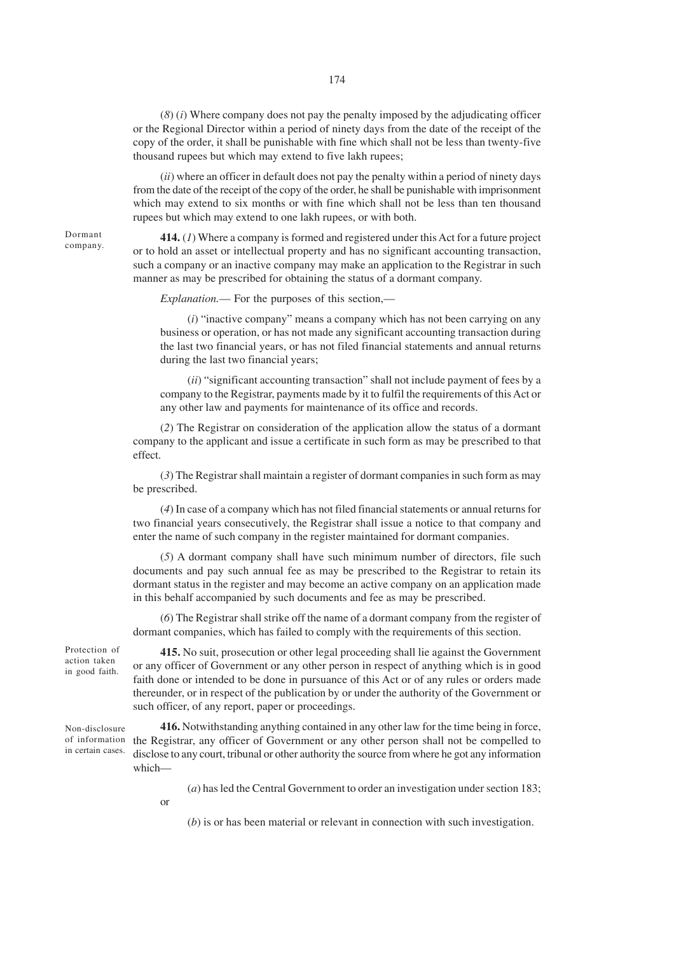(*8*) (*i*) Where company does not pay the penalty imposed by the adjudicating officer or the Regional Director within a period of ninety days from the date of the receipt of the copy of the order, it shall be punishable with fine which shall not be less than twenty-five thousand rupees but which may extend to five lakh rupees;

(*ii*) where an officer in default does not pay the penalty within a period of ninety days from the date of the receipt of the copy of the order, he shall be punishable with imprisonment which may extend to six months or with fine which shall not be less than ten thousand rupees but which may extend to one lakh rupees, or with both.

**414.** (*1*) Where a company is formed and registered under this Act for a future project or to hold an asset or intellectual property and has no significant accounting transaction, such a company or an inactive company may make an application to the Registrar in such manner as may be prescribed for obtaining the status of a dormant company.

*Explanation.*— For the purposes of this section,—

(*i*) "inactive company" means a company which has not been carrying on any business or operation, or has not made any significant accounting transaction during the last two financial years, or has not filed financial statements and annual returns during the last two financial years;

(*ii*) "significant accounting transaction" shall not include payment of fees by a company to the Registrar, payments made by it to fulfil the requirements of this Act or any other law and payments for maintenance of its office and records.

(*2*) The Registrar on consideration of the application allow the status of a dormant company to the applicant and issue a certificate in such form as may be prescribed to that effect.

(*3*) The Registrar shall maintain a register of dormant companies in such form as may be prescribed.

(*4*) In case of a company which has not filed financial statements or annual returns for two financial years consecutively, the Registrar shall issue a notice to that company and enter the name of such company in the register maintained for dormant companies.

(*5*) A dormant company shall have such minimum number of directors, file such documents and pay such annual fee as may be prescribed to the Registrar to retain its dormant status in the register and may become an active company on an application made in this behalf accompanied by such documents and fee as may be prescribed.

(*6*) The Registrar shall strike off the name of a dormant company from the register of dormant companies, which has failed to comply with the requirements of this section.

Protection of action taken in good faith.

**415.** No suit, prosecution or other legal proceeding shall lie against the Government or any officer of Government or any other person in respect of anything which is in good faith done or intended to be done in pursuance of this Act or of any rules or orders made thereunder, or in respect of the publication by or under the authority of the Government or such officer, of any report, paper or proceedings.

Non-disclosure in certain cases.

**416.** Notwithstanding anything contained in any other law for the time being in force, of information the Registrar, any officer of Government or any other person shall not be compelled to disclose to any court, tribunal or other authority the source from where he got any information which—

(*a*) has led the Central Government to order an investigation under section 183;

or

(*b*) is or has been material or relevant in connection with such investigation.

Dormant company.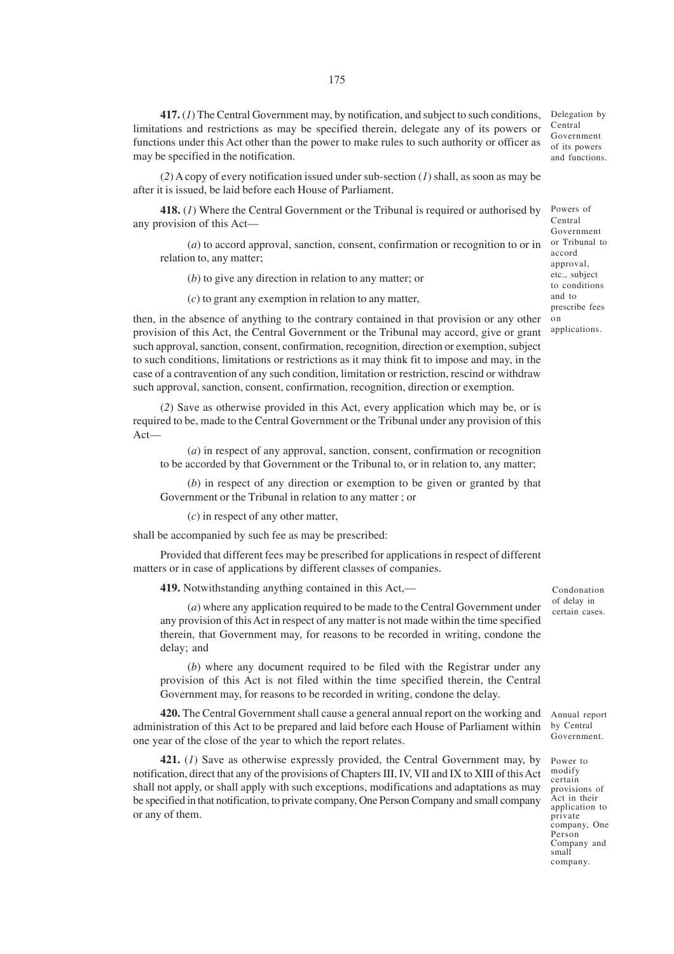**417.** (*1*) The Central Government may, by notification, and subject to such conditions, limitations and restrictions as may be specified therein, delegate any of its powers or functions under this Act other than the power to make rules to such authority or officer as may be specified in the notification.

(*2*) A copy of every notification issued under sub-section (*1*) shall, as soon as may be after it is issued, be laid before each House of Parliament.

**418.** (*1*) Where the Central Government or the Tribunal is required or authorised by any provision of this Act—

(*a*) to accord approval, sanction, consent, confirmation or recognition to or in relation to, any matter;

(*b*) to give any direction in relation to any matter; or

(*c*) to grant any exemption in relation to any matter,

then, in the absence of anything to the contrary contained in that provision or any other provision of this Act, the Central Government or the Tribunal may accord, give or grant such approval, sanction, consent, confirmation, recognition, direction or exemption, subject to such conditions, limitations or restrictions as it may think fit to impose and may, in the case of a contravention of any such condition, limitation or restriction, rescind or withdraw such approval, sanction, consent, confirmation, recognition, direction or exemption.

(*2*) Save as otherwise provided in this Act, every application which may be, or is required to be, made to the Central Government or the Tribunal under any provision of this Act—

(*a*) in respect of any approval, sanction, consent, confirmation or recognition to be accorded by that Government or the Tribunal to, or in relation to, any matter;

(*b*) in respect of any direction or exemption to be given or granted by that Government or the Tribunal in relation to any matter ; or

(*c*) in respect of any other matter,

shall be accompanied by such fee as may be prescribed:

Provided that different fees may be prescribed for applications in respect of different matters or in case of applications by different classes of companies.

**419.** Notwithstanding anything contained in this Act,—

(*a*) where any application required to be made to the Central Government under any provision of this Act in respect of any matter is not made within the time specified therein, that Government may, for reasons to be recorded in writing, condone the delay; and

(*b*) where any document required to be filed with the Registrar under any provision of this Act is not filed within the time specified therein, the Central Government may, for reasons to be recorded in writing, condone the delay.

**420.** The Central Government shall cause a general annual report on the working and administration of this Act to be prepared and laid before each House of Parliament within one year of the close of the year to which the report relates.

**421.** (*1*) Save as otherwise expressly provided, the Central Government may, by notification, direct that any of the provisions of Chapters III, IV, VII and IX to XIII of this Act shall not apply, or shall apply with such exceptions, modifications and adaptations as may be specified in that notification, to private company, One Person Company and small company or any of them.

Condonation of delay in certain cases.

accord approval, etc., subject to conditions and to prescribe fees  $\overline{0}$ n applications.

Delegation by Central Government of its powers and functions.

Powers of Central Government or Tribunal to

Annual report by Central Government.

Power to modify certain provisions of Act in their application to private company, One Person Company and small company.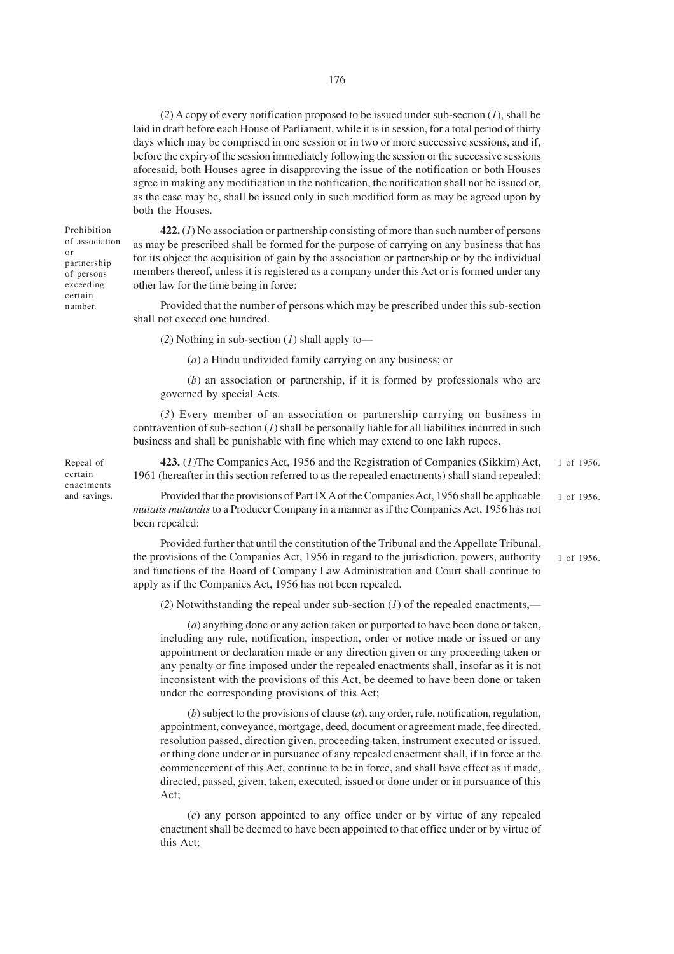(*2*) A copy of every notification proposed to be issued under sub-section (*1*), shall be laid in draft before each House of Parliament, while it is in session, for a total period of thirty days which may be comprised in one session or in two or more successive sessions, and if, before the expiry of the session immediately following the session or the successive sessions aforesaid, both Houses agree in disapproving the issue of the notification or both Houses agree in making any modification in the notification, the notification shall not be issued or, as the case may be, shall be issued only in such modified form as may be agreed upon by both the Houses.

**422.** (*1*) No association or partnership consisting of more than such number of persons as may be prescribed shall be formed for the purpose of carrying on any business that has for its object the acquisition of gain by the association or partnership or by the individual members thereof, unless it is registered as a company under this Act or is formed under any other law for the time being in force:

Provided that the number of persons which may be prescribed under this sub-section shall not exceed one hundred.

(*2*) Nothing in sub-section (*1*) shall apply to—

(*a*) a Hindu undivided family carrying on any business; or

(*b*) an association or partnership, if it is formed by professionals who are governed by special Acts.

(*3*) Every member of an association or partnership carrying on business in contravention of sub-section  $(I)$  shall be personally liable for all liabilities incurred in such business and shall be punishable with fine which may extend to one lakh rupees.

**423.** (*1*)The Companies Act, 1956 and the Registration of Companies (Sikkim) Act, 1961 (hereafter in this section referred to as the repealed enactments) shall stand repealed: 1 of 1956.

Provided that the provisions of Part IX A of the Companies Act, 1956 shall be applicable *mutatis mutandis* to a Producer Company in a manner as if the Companies Act, 1956 has not been repealed: 1 of 1956.

Provided further that until the constitution of the Tribunal and the Appellate Tribunal, the provisions of the Companies Act, 1956 in regard to the jurisdiction, powers, authority and functions of the Board of Company Law Administration and Court shall continue to apply as if the Companies Act, 1956 has not been repealed. 1 of 1956.

(*2*) Notwithstanding the repeal under sub-section (*1*) of the repealed enactments,—

(*a*) anything done or any action taken or purported to have been done or taken, including any rule, notification, inspection, order or notice made or issued or any appointment or declaration made or any direction given or any proceeding taken or any penalty or fine imposed under the repealed enactments shall, insofar as it is not inconsistent with the provisions of this Act, be deemed to have been done or taken under the corresponding provisions of this Act;

(*b*) subject to the provisions of clause (*a*), any order, rule, notification, regulation, appointment, conveyance, mortgage, deed, document or agreement made, fee directed, resolution passed, direction given, proceeding taken, instrument executed or issued, or thing done under or in pursuance of any repealed enactment shall, if in force at the commencement of this Act, continue to be in force, and shall have effect as if made, directed, passed, given, taken, executed, issued or done under or in pursuance of this Act;

(*c*) any person appointed to any office under or by virtue of any repealed enactment shall be deemed to have been appointed to that office under or by virtue of this Act;

Repeal of certain enactments and savings.

Prohibition of association

or partnership of persons exceeding certain number.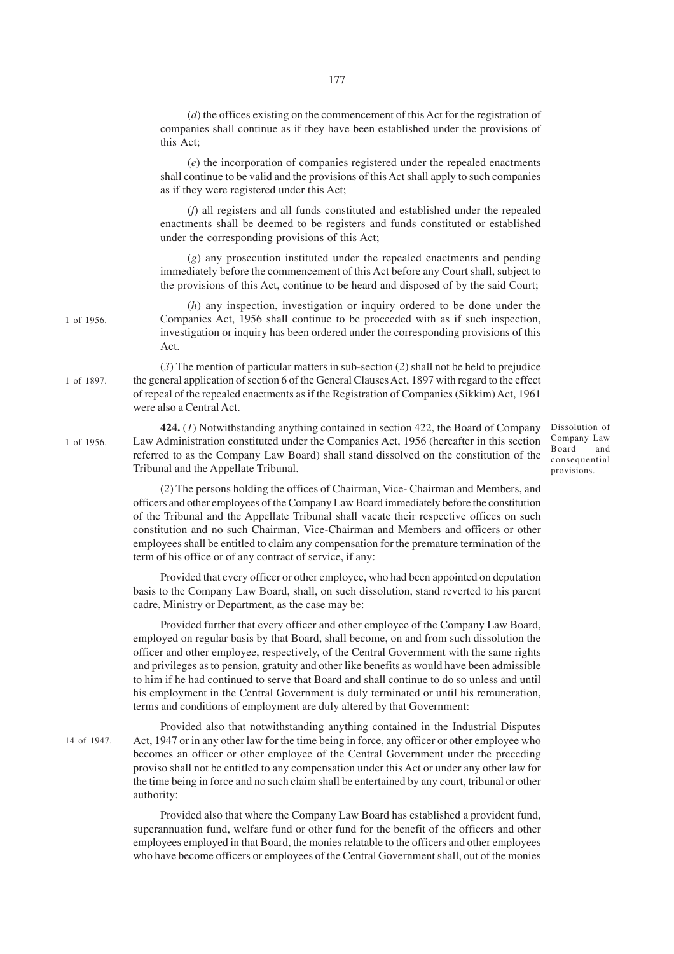|             | $(d)$ the offices existing on the commencement of this Act for the registration of<br>companies shall continue as if they have been established under the provisions of<br>this Act;                                                                                                                                                                                                                                                                                                                                                                                                                                                        |                                                                               |
|-------------|---------------------------------------------------------------------------------------------------------------------------------------------------------------------------------------------------------------------------------------------------------------------------------------------------------------------------------------------------------------------------------------------------------------------------------------------------------------------------------------------------------------------------------------------------------------------------------------------------------------------------------------------|-------------------------------------------------------------------------------|
|             | (e) the incorporation of companies registered under the repealed enactments<br>shall continue to be valid and the provisions of this Act shall apply to such companies<br>as if they were registered under this Act;                                                                                                                                                                                                                                                                                                                                                                                                                        |                                                                               |
|             | (f) all registers and all funds constituted and established under the repealed<br>enactments shall be deemed to be registers and funds constituted or established<br>under the corresponding provisions of this Act;                                                                                                                                                                                                                                                                                                                                                                                                                        |                                                                               |
|             | $(g)$ any prosecution instituted under the repealed enactments and pending<br>immediately before the commencement of this Act before any Court shall, subject to<br>the provisions of this Act, continue to be heard and disposed of by the said Court;                                                                                                                                                                                                                                                                                                                                                                                     |                                                                               |
| 1 of 1956.  | $(h)$ any inspection, investigation or inquiry ordered to be done under the<br>Companies Act, 1956 shall continue to be proceeded with as if such inspection,<br>investigation or inquiry has been ordered under the corresponding provisions of this<br>Act.                                                                                                                                                                                                                                                                                                                                                                               |                                                                               |
| 1 of 1897.  | $(3)$ The mention of particular matters in sub-section (2) shall not be held to prejudice<br>the general application of section 6 of the General Clauses Act, 1897 with regard to the effect<br>of repeal of the repealed enactments as if the Registration of Companies (Sikkim) Act, 1961<br>were also a Central Act.                                                                                                                                                                                                                                                                                                                     |                                                                               |
| 1 of 1956.  | 424. (1) Notwithstanding anything contained in section 422, the Board of Company<br>Law Administration constituted under the Companies Act, 1956 (hereafter in this section<br>referred to as the Company Law Board) shall stand dissolved on the constitution of the<br>Tribunal and the Appellate Tribunal.                                                                                                                                                                                                                                                                                                                               | Dissolution of<br>Company Law<br>Board<br>and<br>consequential<br>provisions. |
|             | (2) The persons holding the offices of Chairman, Vice-Chairman and Members, and<br>officers and other employees of the Company Law Board immediately before the constitution<br>of the Tribunal and the Appellate Tribunal shall vacate their respective offices on such<br>constitution and no such Chairman, Vice-Chairman and Members and officers or other<br>employees shall be entitled to claim any compensation for the premature termination of the<br>term of his office or of any contract of service, if any:                                                                                                                   |                                                                               |
|             | Provided that every officer or other employee, who had been appointed on deputation<br>basis to the Company Law Board, shall, on such dissolution, stand reverted to his parent<br>cadre, Ministry or Department, as the case may be:                                                                                                                                                                                                                                                                                                                                                                                                       |                                                                               |
|             | Provided further that every officer and other employee of the Company Law Board,<br>employed on regular basis by that Board, shall become, on and from such dissolution the<br>officer and other employee, respectively, of the Central Government with the same rights<br>and privileges as to pension, gratuity and other like benefits as would have been admissible<br>to him if he had continued to serve that Board and shall continue to do so unless and until<br>his employment in the Central Government is duly terminated or until his remuneration,<br>terms and conditions of employment are duly altered by that Government: |                                                                               |
| 14 of 1947. | Provided also that notwithstanding anything contained in the Industrial Disputes<br>Act, 1947 or in any other law for the time being in force, any officer or other employee who<br>becomes an officer or other employee of the Central Government under the preceding<br>proviso shall not be entitled to any compensation under this Act or under any other law for<br>the time being in force and no such claim shall be entertained by any court, tribunal or other<br>authority:                                                                                                                                                       |                                                                               |

Provided also that where the Company Law Board has established a provident fund, superannuation fund, welfare fund or other fund for the benefit of the officers and other employees employed in that Board, the monies relatable to the officers and other employees who have become officers or employees of the Central Government shall, out of the monies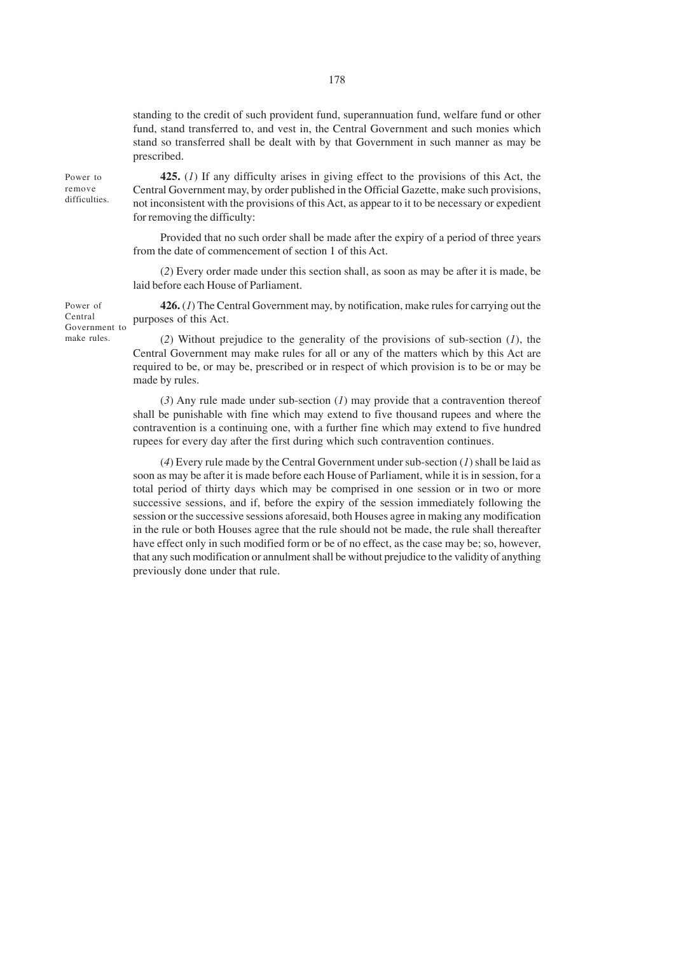standing to the credit of such provident fund, superannuation fund, welfare fund or other fund, stand transferred to, and vest in, the Central Government and such monies which stand so transferred shall be dealt with by that Government in such manner as may be prescribed.

Power to remove difficulties.

Power of Central Government to make rules.

**425.** (*1*) If any difficulty arises in giving effect to the provisions of this Act, the Central Government may, by order published in the Official Gazette, make such provisions, not inconsistent with the provisions of this Act, as appear to it to be necessary or expedient for removing the difficulty:

Provided that no such order shall be made after the expiry of a period of three years from the date of commencement of section 1 of this Act.

(*2*) Every order made under this section shall, as soon as may be after it is made, be laid before each House of Parliament.

**426.** (*1*) The Central Government may, by notification, make rules for carrying out the purposes of this Act.

(*2*) Without prejudice to the generality of the provisions of sub-section (*1*), the Central Government may make rules for all or any of the matters which by this Act are required to be, or may be, prescribed or in respect of which provision is to be or may be made by rules.

(*3*) Any rule made under sub-section (*1*) may provide that a contravention thereof shall be punishable with fine which may extend to five thousand rupees and where the contravention is a continuing one, with a further fine which may extend to five hundred rupees for every day after the first during which such contravention continues.

(*4*) Every rule made by the Central Government under sub-section (*1*) shall be laid as soon as may be after it is made before each House of Parliament, while it is in session, for a total period of thirty days which may be comprised in one session or in two or more successive sessions, and if, before the expiry of the session immediately following the session or the successive sessions aforesaid, both Houses agree in making any modification in the rule or both Houses agree that the rule should not be made, the rule shall thereafter have effect only in such modified form or be of no effect, as the case may be; so, however, that any such modification or annulment shall be without prejudice to the validity of anything previously done under that rule.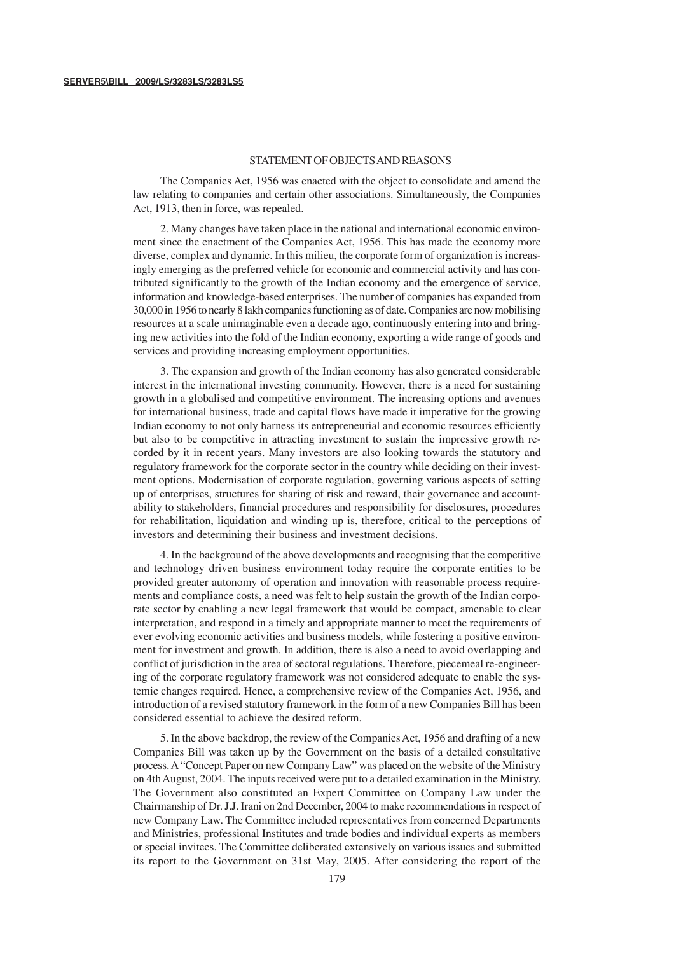### STATEMENT OF OBJECTS AND REASONS

The Companies Act, 1956 was enacted with the object to consolidate and amend the law relating to companies and certain other associations. Simultaneously, the Companies Act, 1913, then in force, was repealed.

2. Many changes have taken place in the national and international economic environment since the enactment of the Companies Act, 1956. This has made the economy more diverse, complex and dynamic. In this milieu, the corporate form of organization is increasingly emerging as the preferred vehicle for economic and commercial activity and has contributed significantly to the growth of the Indian economy and the emergence of service, information and knowledge-based enterprises. The number of companies has expanded from 30,000 in 1956 to nearly 8 lakh companies functioning as of date. Companies are now mobilising resources at a scale unimaginable even a decade ago, continuously entering into and bringing new activities into the fold of the Indian economy, exporting a wide range of goods and services and providing increasing employment opportunities.

3. The expansion and growth of the Indian economy has also generated considerable interest in the international investing community. However, there is a need for sustaining growth in a globalised and competitive environment. The increasing options and avenues for international business, trade and capital flows have made it imperative for the growing Indian economy to not only harness its entrepreneurial and economic resources efficiently but also to be competitive in attracting investment to sustain the impressive growth recorded by it in recent years. Many investors are also looking towards the statutory and regulatory framework for the corporate sector in the country while deciding on their investment options. Modernisation of corporate regulation, governing various aspects of setting up of enterprises, structures for sharing of risk and reward, their governance and accountability to stakeholders, financial procedures and responsibility for disclosures, procedures for rehabilitation, liquidation and winding up is, therefore, critical to the perceptions of investors and determining their business and investment decisions.

4. In the background of the above developments and recognising that the competitive and technology driven business environment today require the corporate entities to be provided greater autonomy of operation and innovation with reasonable process requirements and compliance costs, a need was felt to help sustain the growth of the Indian corporate sector by enabling a new legal framework that would be compact, amenable to clear interpretation, and respond in a timely and appropriate manner to meet the requirements of ever evolving economic activities and business models, while fostering a positive environment for investment and growth. In addition, there is also a need to avoid overlapping and conflict of jurisdiction in the area of sectoral regulations. Therefore, piecemeal re-engineering of the corporate regulatory framework was not considered adequate to enable the systemic changes required. Hence, a comprehensive review of the Companies Act, 1956, and introduction of a revised statutory framework in the form of a new Companies Bill has been considered essential to achieve the desired reform.

5. In the above backdrop, the review of the Companies Act, 1956 and drafting of a new Companies Bill was taken up by the Government on the basis of a detailed consultative process. A "Concept Paper on new Company Law" was placed on the website of the Ministry on 4th August, 2004. The inputs received were put to a detailed examination in the Ministry. The Government also constituted an Expert Committee on Company Law under the Chairmanship of Dr. J.J. Irani on 2nd December, 2004 to make recommendations in respect of new Company Law. The Committee included representatives from concerned Departments and Ministries, professional Institutes and trade bodies and individual experts as members or special invitees. The Committee deliberated extensively on various issues and submitted its report to the Government on 31st May, 2005. After considering the report of the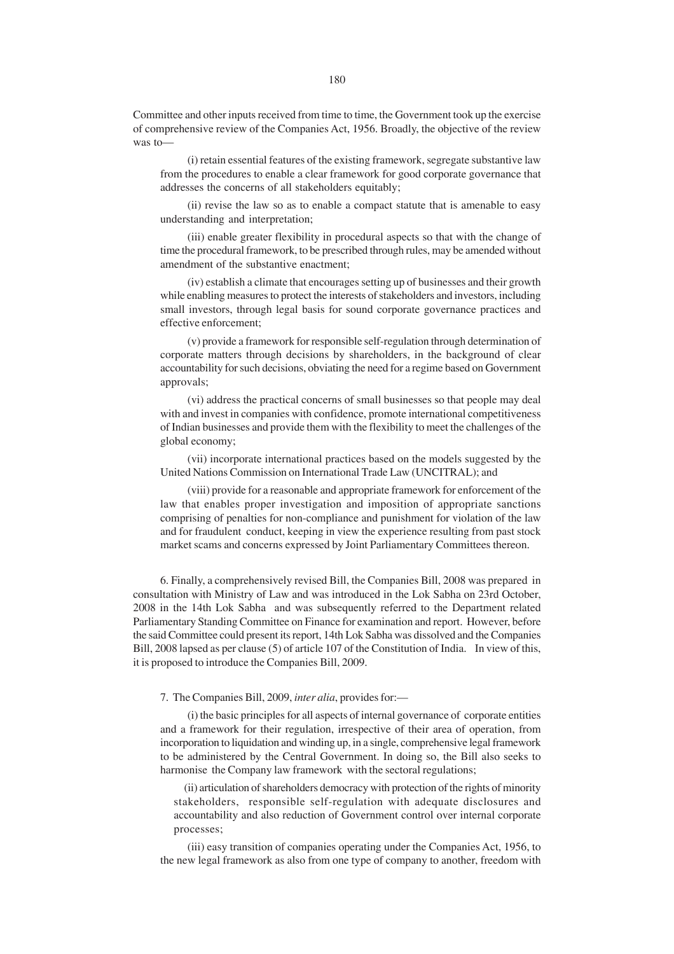Committee and other inputs received from time to time, the Government took up the exercise of comprehensive review of the Companies Act, 1956. Broadly, the objective of the review was to—

(i) retain essential features of the existing framework, segregate substantive law from the procedures to enable a clear framework for good corporate governance that addresses the concerns of all stakeholders equitably;

(ii) revise the law so as to enable a compact statute that is amenable to easy understanding and interpretation;

(iii) enable greater flexibility in procedural aspects so that with the change of time the procedural framework, to be prescribed through rules, may be amended without amendment of the substantive enactment;

(iv) establish a climate that encourages setting up of businesses and their growth while enabling measures to protect the interests of stakeholders and investors, including small investors, through legal basis for sound corporate governance practices and effective enforcement;

(v) provide a framework for responsible self-regulation through determination of corporate matters through decisions by shareholders, in the background of clear accountability for such decisions, obviating the need for a regime based on Government approvals;

(vi) address the practical concerns of small businesses so that people may deal with and invest in companies with confidence, promote international competitiveness of Indian businesses and provide them with the flexibility to meet the challenges of the global economy;

(vii) incorporate international practices based on the models suggested by the United Nations Commission on International Trade Law (UNCITRAL); and

(viii) provide for a reasonable and appropriate framework for enforcement of the law that enables proper investigation and imposition of appropriate sanctions comprising of penalties for non-compliance and punishment for violation of the law and for fraudulent conduct, keeping in view the experience resulting from past stock market scams and concerns expressed by Joint Parliamentary Committees thereon.

6. Finally, a comprehensively revised Bill, the Companies Bill, 2008 was prepared in consultation with Ministry of Law and was introduced in the Lok Sabha on 23rd October, 2008 in the 14th Lok Sabha and was subsequently referred to the Department related Parliamentary Standing Committee on Finance for examination and report. However, before the said Committee could present its report, 14th Lok Sabha was dissolved and the Companies Bill, 2008 lapsed as per clause (5) of article 107 of the Constitution of India. In view of this, it is proposed to introduce the Companies Bill, 2009.

#### 7. The Companies Bill, 2009, *inter alia*, provides for:—

(i) the basic principles for all aspects of internal governance of corporate entities and a framework for their regulation, irrespective of their area of operation, from incorporation to liquidation and winding up, in a single, comprehensive legal framework to be administered by the Central Government. In doing so, the Bill also seeks to harmonise the Company law framework with the sectoral regulations;

(ii) articulation of shareholders democracy with protection of the rights of minority stakeholders, responsible self-regulation with adequate disclosures and accountability and also reduction of Government control over internal corporate processes;

(iii) easy transition of companies operating under the Companies Act, 1956, to the new legal framework as also from one type of company to another, freedom with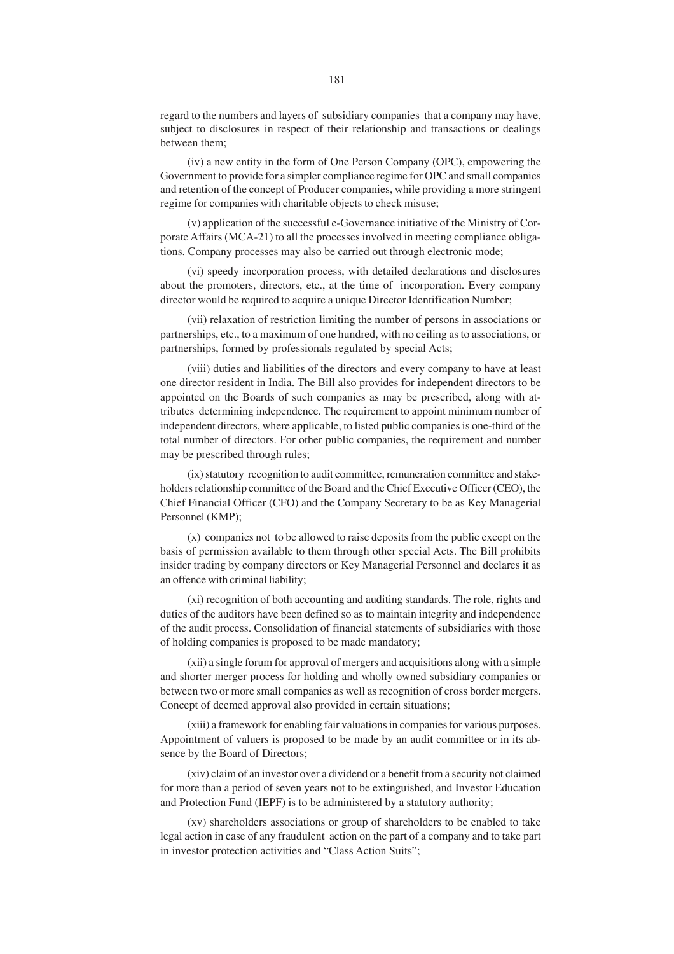regard to the numbers and layers of subsidiary companies that a company may have, subject to disclosures in respect of their relationship and transactions or dealings between them;

(iv) a new entity in the form of One Person Company (OPC), empowering the Government to provide for a simpler compliance regime for OPC and small companies and retention of the concept of Producer companies, while providing a more stringent regime for companies with charitable objects to check misuse;

(v) application of the successful e-Governance initiative of the Ministry of Corporate Affairs (MCA-21) to all the processes involved in meeting compliance obligations. Company processes may also be carried out through electronic mode;

(vi) speedy incorporation process, with detailed declarations and disclosures about the promoters, directors, etc., at the time of incorporation. Every company director would be required to acquire a unique Director Identification Number;

(vii) relaxation of restriction limiting the number of persons in associations or partnerships, etc., to a maximum of one hundred, with no ceiling as to associations, or partnerships, formed by professionals regulated by special Acts;

(viii) duties and liabilities of the directors and every company to have at least one director resident in India. The Bill also provides for independent directors to be appointed on the Boards of such companies as may be prescribed, along with attributes determining independence. The requirement to appoint minimum number of independent directors, where applicable, to listed public companies is one-third of the total number of directors. For other public companies, the requirement and number may be prescribed through rules;

(ix) statutory recognition to audit committee, remuneration committee and stakeholders relationship committee of the Board and the Chief Executive Officer (CEO), the Chief Financial Officer (CFO) and the Company Secretary to be as Key Managerial Personnel (KMP);

(x) companies not to be allowed to raise deposits from the public except on the basis of permission available to them through other special Acts. The Bill prohibits insider trading by company directors or Key Managerial Personnel and declares it as an offence with criminal liability;

(xi) recognition of both accounting and auditing standards. The role, rights and duties of the auditors have been defined so as to maintain integrity and independence of the audit process. Consolidation of financial statements of subsidiaries with those of holding companies is proposed to be made mandatory;

(xii) a single forum for approval of mergers and acquisitions along with a simple and shorter merger process for holding and wholly owned subsidiary companies or between two or more small companies as well as recognition of cross border mergers. Concept of deemed approval also provided in certain situations;

(xiii) a framework for enabling fair valuations in companies for various purposes. Appointment of valuers is proposed to be made by an audit committee or in its absence by the Board of Directors;

(xiv) claim of an investor over a dividend or a benefit from a security not claimed for more than a period of seven years not to be extinguished, and Investor Education and Protection Fund (IEPF) is to be administered by a statutory authority;

(xv) shareholders associations or group of shareholders to be enabled to take legal action in case of any fraudulent action on the part of a company and to take part in investor protection activities and "Class Action Suits";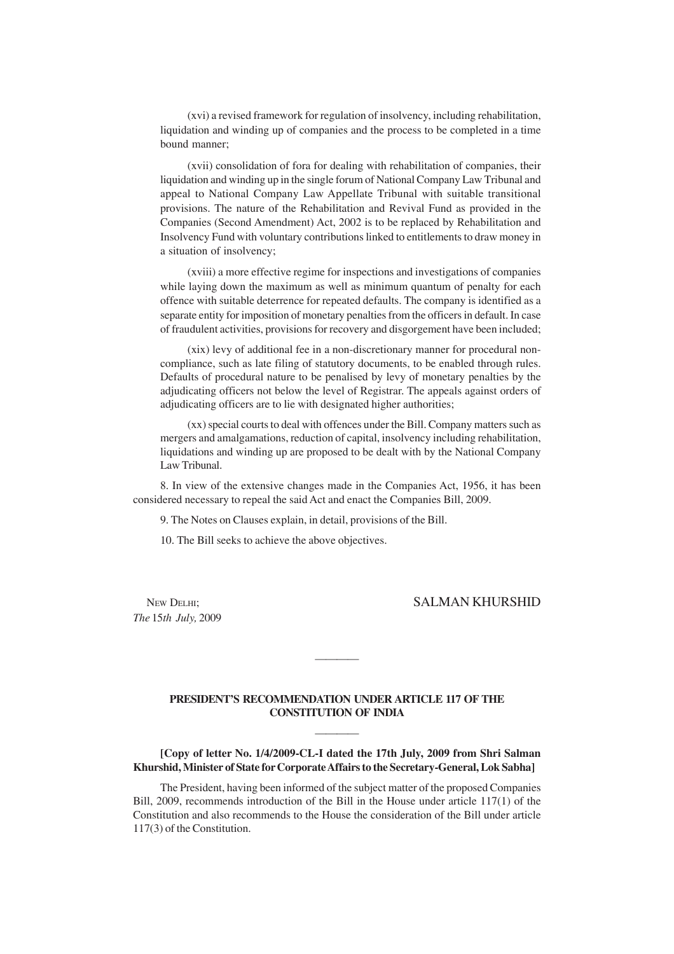(xvi) a revised framework for regulation of insolvency, including rehabilitation, liquidation and winding up of companies and the process to be completed in a time bound manner;

(xvii) consolidation of fora for dealing with rehabilitation of companies, their liquidation and winding up in the single forum of National Company Law Tribunal and appeal to National Company Law Appellate Tribunal with suitable transitional provisions. The nature of the Rehabilitation and Revival Fund as provided in the Companies (Second Amendment) Act, 2002 is to be replaced by Rehabilitation and Insolvency Fund with voluntary contributions linked to entitlements to draw money in a situation of insolvency;

(xviii) a more effective regime for inspections and investigations of companies while laying down the maximum as well as minimum quantum of penalty for each offence with suitable deterrence for repeated defaults. The company is identified as a separate entity for imposition of monetary penalties from the officers in default. In case of fraudulent activities, provisions for recovery and disgorgement have been included;

(xix) levy of additional fee in a non-discretionary manner for procedural noncompliance, such as late filing of statutory documents, to be enabled through rules. Defaults of procedural nature to be penalised by levy of monetary penalties by the adjudicating officers not below the level of Registrar. The appeals against orders of adjudicating officers are to lie with designated higher authorities;

(xx) special courts to deal with offences under the Bill. Company matters such as mergers and amalgamations, reduction of capital, insolvency including rehabilitation, liquidations and winding up are proposed to be dealt with by the National Company Law Tribunal.

8. In view of the extensive changes made in the Companies Act, 1956, it has been considered necessary to repeal the said Act and enact the Companies Bill, 2009.

9. The Notes on Clauses explain, in detail, provisions of the Bill.

10. The Bill seeks to achieve the above objectives.

*The* 15*th July,* 2009

NEW DELHI: SALMAN KHURSHID

# **PRESIDENT'S RECOMMENDATION UNDER ARTICLE 117 OF THE CONSTITUTION OF INDIA**

————

## **[Copy of letter No. 1/4/2009-CL-I dated the 17th July, 2009 from Shri Salman Khurshid, Minister of State for Corporate Affairs to the Secretary-General, Lok Sabha]**

————

The President, having been informed of the subject matter of the proposed Companies Bill, 2009, recommends introduction of the Bill in the House under article 117(1) of the Constitution and also recommends to the House the consideration of the Bill under article 117(3) of the Constitution.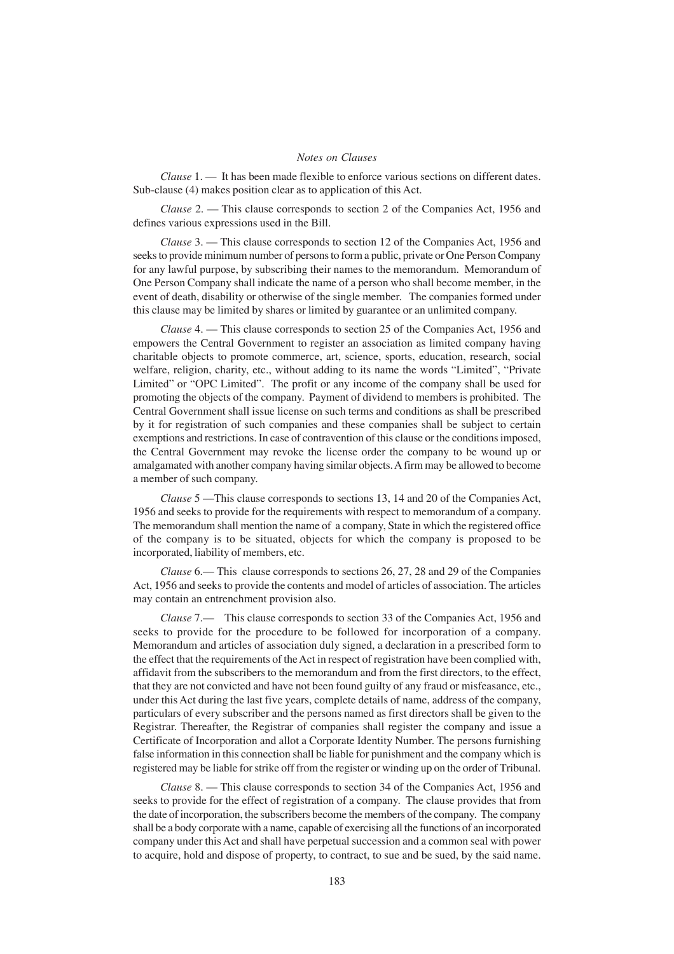#### *Notes on Clauses*

*Clause* 1. — It has been made flexible to enforce various sections on different dates. Sub-clause (4) makes position clear as to application of this Act.

*Clause* 2. — This clause corresponds to section 2 of the Companies Act, 1956 and defines various expressions used in the Bill.

*Clause* 3. — This clause corresponds to section 12 of the Companies Act, 1956 and seeks to provide minimum number of persons to form a public, private or One Person Company for any lawful purpose, by subscribing their names to the memorandum. Memorandum of One Person Company shall indicate the name of a person who shall become member, in the event of death, disability or otherwise of the single member. The companies formed under this clause may be limited by shares or limited by guarantee or an unlimited company.

*Clause* 4. — This clause corresponds to section 25 of the Companies Act, 1956 and empowers the Central Government to register an association as limited company having charitable objects to promote commerce, art, science, sports, education, research, social welfare, religion, charity, etc., without adding to its name the words "Limited", "Private Limited" or "OPC Limited". The profit or any income of the company shall be used for promoting the objects of the company. Payment of dividend to members is prohibited. The Central Government shall issue license on such terms and conditions as shall be prescribed by it for registration of such companies and these companies shall be subject to certain exemptions and restrictions. In case of contravention of this clause or the conditions imposed, the Central Government may revoke the license order the company to be wound up or amalgamated with another company having similar objects. A firm may be allowed to become a member of such company.

*Clause* 5 —This clause corresponds to sections 13, 14 and 20 of the Companies Act, 1956 and seeks to provide for the requirements with respect to memorandum of a company. The memorandum shall mention the name of a company, State in which the registered office of the company is to be situated, objects for which the company is proposed to be incorporated, liability of members, etc.

*Clause* 6.— This clause corresponds to sections 26, 27, 28 and 29 of the Companies Act, 1956 and seeks to provide the contents and model of articles of association. The articles may contain an entrenchment provision also.

*Clause* 7.— This clause corresponds to section 33 of the Companies Act, 1956 and seeks to provide for the procedure to be followed for incorporation of a company. Memorandum and articles of association duly signed, a declaration in a prescribed form to the effect that the requirements of the Act in respect of registration have been complied with, affidavit from the subscribers to the memorandum and from the first directors, to the effect, that they are not convicted and have not been found guilty of any fraud or misfeasance, etc., under this Act during the last five years, complete details of name, address of the company, particulars of every subscriber and the persons named as first directors shall be given to the Registrar. Thereafter, the Registrar of companies shall register the company and issue a Certificate of Incorporation and allot a Corporate Identity Number. The persons furnishing false information in this connection shall be liable for punishment and the company which is registered may be liable for strike off from the register or winding up on the order of Tribunal.

*Clause* 8. — This clause corresponds to section 34 of the Companies Act, 1956 and seeks to provide for the effect of registration of a company. The clause provides that from the date of incorporation, the subscribers become the members of the company. The company shall be a body corporate with a name, capable of exercising all the functions of an incorporated company under this Act and shall have perpetual succession and a common seal with power to acquire, hold and dispose of property, to contract, to sue and be sued, by the said name.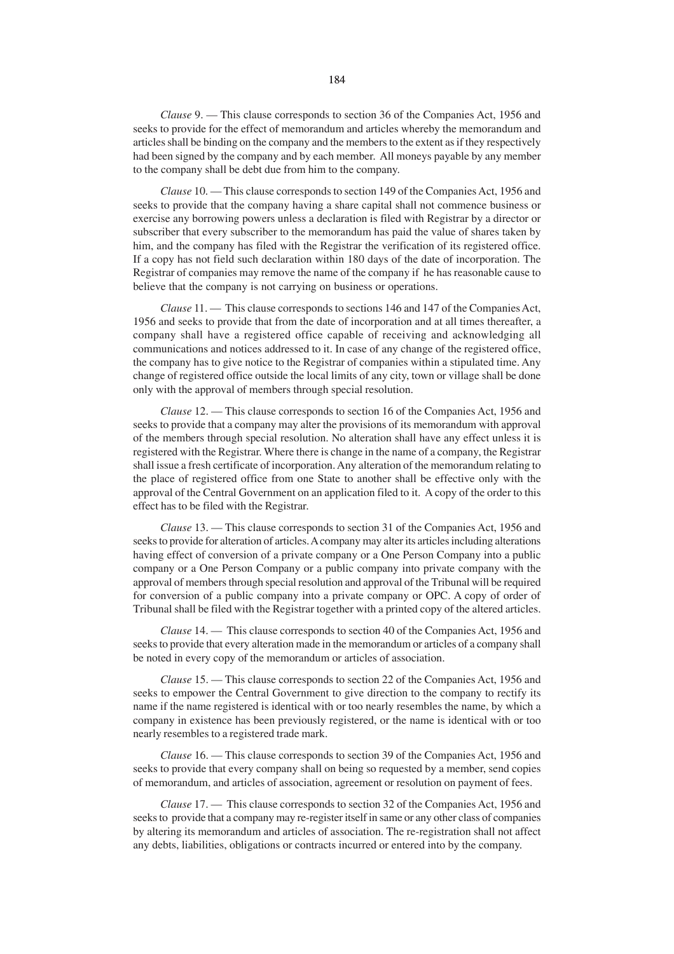*Clause* 9. — This clause corresponds to section 36 of the Companies Act, 1956 and seeks to provide for the effect of memorandum and articles whereby the memorandum and articles shall be binding on the company and the members to the extent as if they respectively had been signed by the company and by each member. All moneys payable by any member to the company shall be debt due from him to the company.

*Clause* 10. — This clause corresponds to section 149 of the Companies Act, 1956 and seeks to provide that the company having a share capital shall not commence business or exercise any borrowing powers unless a declaration is filed with Registrar by a director or subscriber that every subscriber to the memorandum has paid the value of shares taken by him, and the company has filed with the Registrar the verification of its registered office. If a copy has not field such declaration within 180 days of the date of incorporation. The Registrar of companies may remove the name of the company if he has reasonable cause to believe that the company is not carrying on business or operations.

*Clause* 11. — This clause corresponds to sections 146 and 147 of the Companies Act, 1956 and seeks to provide that from the date of incorporation and at all times thereafter, a company shall have a registered office capable of receiving and acknowledging all communications and notices addressed to it. In case of any change of the registered office, the company has to give notice to the Registrar of companies within a stipulated time. Any change of registered office outside the local limits of any city, town or village shall be done only with the approval of members through special resolution.

*Clause* 12. — This clause corresponds to section 16 of the Companies Act, 1956 and seeks to provide that a company may alter the provisions of its memorandum with approval of the members through special resolution. No alteration shall have any effect unless it is registered with the Registrar. Where there is change in the name of a company, the Registrar shall issue a fresh certificate of incorporation. Any alteration of the memorandum relating to the place of registered office from one State to another shall be effective only with the approval of the Central Government on an application filed to it. A copy of the order to this effect has to be filed with the Registrar.

*Clause* 13. — This clause corresponds to section 31 of the Companies Act, 1956 and seeks to provide for alteration of articles. A company may alter its articles including alterations having effect of conversion of a private company or a One Person Company into a public company or a One Person Company or a public company into private company with the approval of members through special resolution and approval of the Tribunal will be required for conversion of a public company into a private company or OPC. A copy of order of Tribunal shall be filed with the Registrar together with a printed copy of the altered articles.

*Clause* 14. — This clause corresponds to section 40 of the Companies Act, 1956 and seeks to provide that every alteration made in the memorandum or articles of a company shall be noted in every copy of the memorandum or articles of association.

*Clause* 15. — This clause corresponds to section 22 of the Companies Act, 1956 and seeks to empower the Central Government to give direction to the company to rectify its name if the name registered is identical with or too nearly resembles the name, by which a company in existence has been previously registered, or the name is identical with or too nearly resembles to a registered trade mark.

*Clause* 16. — This clause corresponds to section 39 of the Companies Act, 1956 and seeks to provide that every company shall on being so requested by a member, send copies of memorandum, and articles of association, agreement or resolution on payment of fees.

*Clause* 17. — This clause corresponds to section 32 of the Companies Act, 1956 and seeks to provide that a company may re-register itself in same or any other class of companies by altering its memorandum and articles of association. The re-registration shall not affect any debts, liabilities, obligations or contracts incurred or entered into by the company.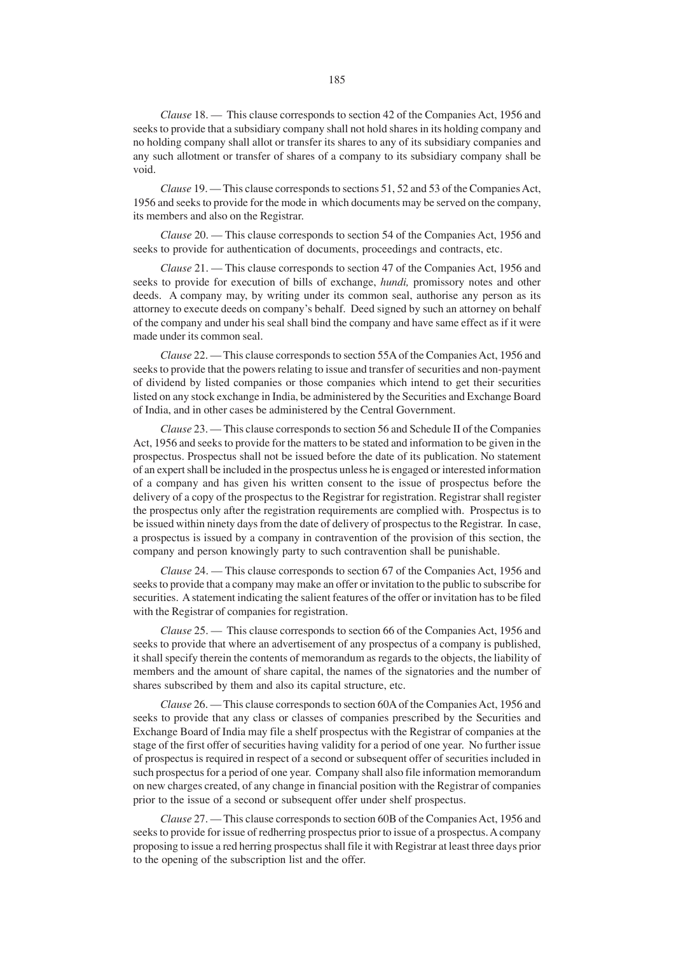*Clause* 18. — This clause corresponds to section 42 of the Companies Act, 1956 and seeks to provide that a subsidiary company shall not hold shares in its holding company and no holding company shall allot or transfer its shares to any of its subsidiary companies and any such allotment or transfer of shares of a company to its subsidiary company shall be void.

*Clause* 19. — This clause corresponds to sections 51, 52 and 53 of the Companies Act, 1956 and seeks to provide for the mode in which documents may be served on the company, its members and also on the Registrar.

*Clause* 20. — This clause corresponds to section 54 of the Companies Act, 1956 and seeks to provide for authentication of documents, proceedings and contracts, etc.

*Clause* 21. — This clause corresponds to section 47 of the Companies Act, 1956 and seeks to provide for execution of bills of exchange, *hundi,* promissory notes and other deeds. A company may, by writing under its common seal, authorise any person as its attorney to execute deeds on company's behalf. Deed signed by such an attorney on behalf of the company and under his seal shall bind the company and have same effect as if it were made under its common seal.

*Clause* 22. — This clause corresponds to section 55A of the Companies Act, 1956 and seeks to provide that the powers relating to issue and transfer of securities and non-payment of dividend by listed companies or those companies which intend to get their securities listed on any stock exchange in India, be administered by the Securities and Exchange Board of India, and in other cases be administered by the Central Government.

*Clause* 23. — This clause corresponds to section 56 and Schedule II of the Companies Act, 1956 and seeks to provide for the matters to be stated and information to be given in the prospectus. Prospectus shall not be issued before the date of its publication. No statement of an expert shall be included in the prospectus unless he is engaged or interested information of a company and has given his written consent to the issue of prospectus before the delivery of a copy of the prospectus to the Registrar for registration. Registrar shall register the prospectus only after the registration requirements are complied with. Prospectus is to be issued within ninety days from the date of delivery of prospectus to the Registrar. In case, a prospectus is issued by a company in contravention of the provision of this section, the company and person knowingly party to such contravention shall be punishable.

*Clause* 24. — This clause corresponds to section 67 of the Companies Act, 1956 and seeks to provide that a company may make an offer or invitation to the public to subscribe for securities. A statement indicating the salient features of the offer or invitation has to be filed with the Registrar of companies for registration.

*Clause* 25. — This clause corresponds to section 66 of the Companies Act, 1956 and seeks to provide that where an advertisement of any prospectus of a company is published, it shall specify therein the contents of memorandum as regards to the objects, the liability of members and the amount of share capital, the names of the signatories and the number of shares subscribed by them and also its capital structure, etc.

*Clause* 26. — This clause corresponds to section 60A of the Companies Act, 1956 and seeks to provide that any class or classes of companies prescribed by the Securities and Exchange Board of India may file a shelf prospectus with the Registrar of companies at the stage of the first offer of securities having validity for a period of one year. No further issue of prospectus is required in respect of a second or subsequent offer of securities included in such prospectus for a period of one year. Company shall also file information memorandum on new charges created, of any change in financial position with the Registrar of companies prior to the issue of a second or subsequent offer under shelf prospectus.

*Clause* 27. — This clause corresponds to section 60B of the Companies Act, 1956 and seeks to provide for issue of redherring prospectus prior to issue of a prospectus. A company proposing to issue a red herring prospectus shall file it with Registrar at least three days prior to the opening of the subscription list and the offer.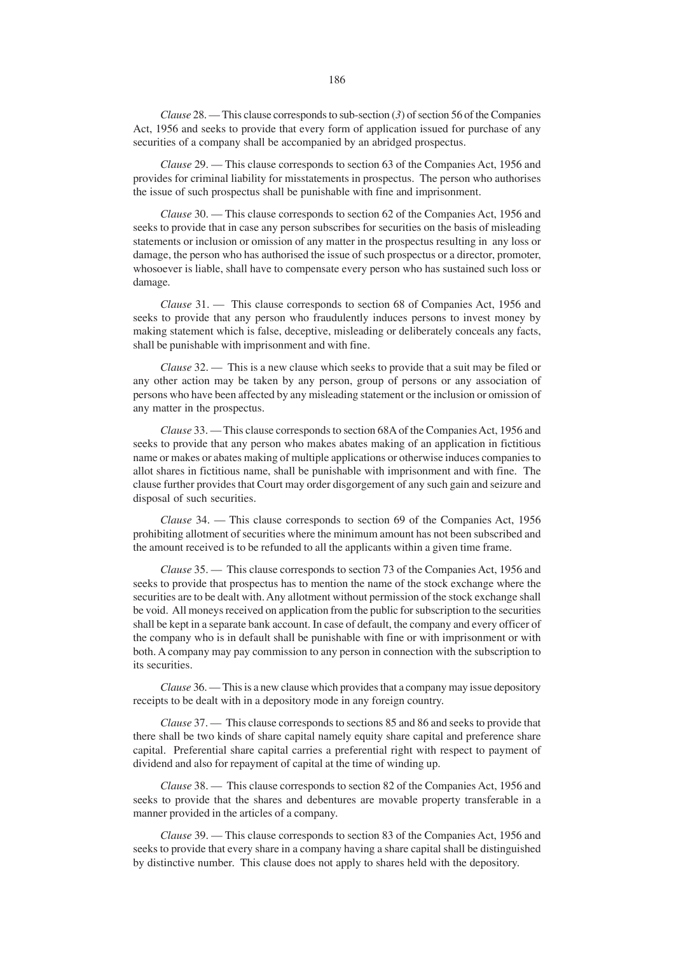*Clause* 28. — This clause corresponds to sub-section (*3*) of section 56 of the Companies Act, 1956 and seeks to provide that every form of application issued for purchase of any securities of a company shall be accompanied by an abridged prospectus.

*Clause* 29. — This clause corresponds to section 63 of the Companies Act, 1956 and provides for criminal liability for misstatements in prospectus. The person who authorises the issue of such prospectus shall be punishable with fine and imprisonment.

*Clause* 30. — This clause corresponds to section 62 of the Companies Act, 1956 and seeks to provide that in case any person subscribes for securities on the basis of misleading statements or inclusion or omission of any matter in the prospectus resulting in any loss or damage, the person who has authorised the issue of such prospectus or a director, promoter, whosoever is liable, shall have to compensate every person who has sustained such loss or damage.

*Clause* 31. — This clause corresponds to section 68 of Companies Act, 1956 and seeks to provide that any person who fraudulently induces persons to invest money by making statement which is false, deceptive, misleading or deliberately conceals any facts, shall be punishable with imprisonment and with fine.

*Clause* 32. — This is a new clause which seeks to provide that a suit may be filed or any other action may be taken by any person, group of persons or any association of persons who have been affected by any misleading statement or the inclusion or omission of any matter in the prospectus.

*Clause* 33. — This clause corresponds to section 68A of the Companies Act, 1956 and seeks to provide that any person who makes abates making of an application in fictitious name or makes or abates making of multiple applications or otherwise induces companies to allot shares in fictitious name, shall be punishable with imprisonment and with fine. The clause further provides that Court may order disgorgement of any such gain and seizure and disposal of such securities.

*Clause* 34. — This clause corresponds to section 69 of the Companies Act, 1956 prohibiting allotment of securities where the minimum amount has not been subscribed and the amount received is to be refunded to all the applicants within a given time frame.

*Clause* 35. — This clause corresponds to section 73 of the Companies Act, 1956 and seeks to provide that prospectus has to mention the name of the stock exchange where the securities are to be dealt with. Any allotment without permission of the stock exchange shall be void. All moneys received on application from the public for subscription to the securities shall be kept in a separate bank account. In case of default, the company and every officer of the company who is in default shall be punishable with fine or with imprisonment or with both. A company may pay commission to any person in connection with the subscription to its securities.

*Clause* 36. — This is a new clause which provides that a company may issue depository receipts to be dealt with in a depository mode in any foreign country.

*Clause* 37. — This clause corresponds to sections 85 and 86 and seeks to provide that there shall be two kinds of share capital namely equity share capital and preference share capital. Preferential share capital carries a preferential right with respect to payment of dividend and also for repayment of capital at the time of winding up.

*Clause* 38. — This clause corresponds to section 82 of the Companies Act, 1956 and seeks to provide that the shares and debentures are movable property transferable in a manner provided in the articles of a company.

*Clause* 39. — This clause corresponds to section 83 of the Companies Act, 1956 and seeks to provide that every share in a company having a share capital shall be distinguished by distinctive number. This clause does not apply to shares held with the depository.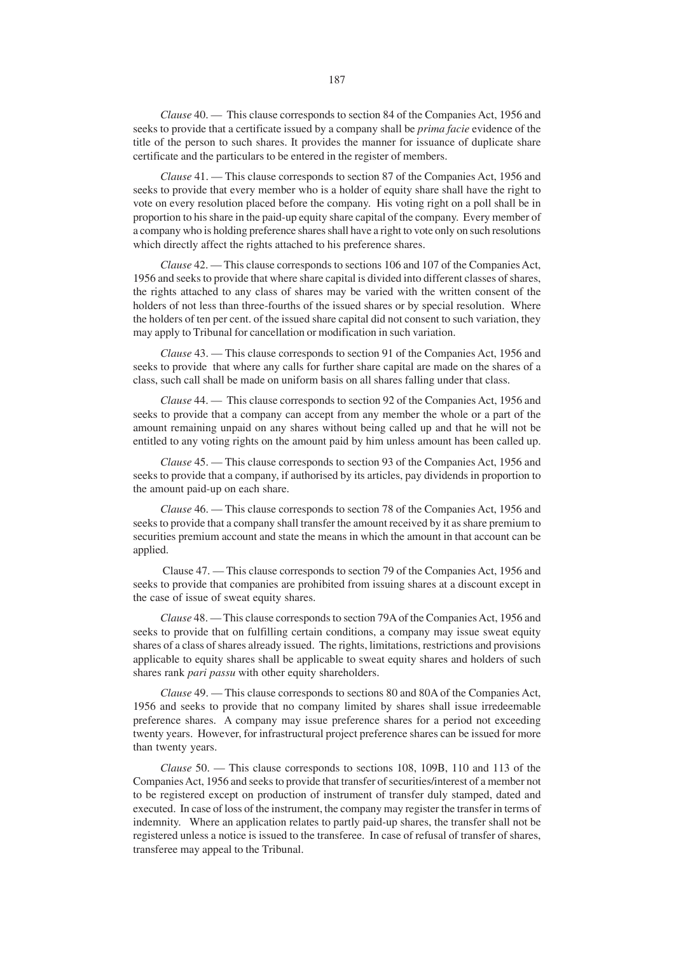*Clause* 40. — This clause corresponds to section 84 of the Companies Act, 1956 and seeks to provide that a certificate issued by a company shall be *prima facie* evidence of the title of the person to such shares. It provides the manner for issuance of duplicate share certificate and the particulars to be entered in the register of members.

*Clause* 41. — This clause corresponds to section 87 of the Companies Act, 1956 and seeks to provide that every member who is a holder of equity share shall have the right to vote on every resolution placed before the company. His voting right on a poll shall be in proportion to his share in the paid-up equity share capital of the company. Every member of a company who is holding preference shares shall have a right to vote only on such resolutions which directly affect the rights attached to his preference shares.

*Clause* 42. — This clause corresponds to sections 106 and 107 of the Companies Act, 1956 and seeks to provide that where share capital is divided into different classes of shares, the rights attached to any class of shares may be varied with the written consent of the holders of not less than three-fourths of the issued shares or by special resolution. Where the holders of ten per cent. of the issued share capital did not consent to such variation, they may apply to Tribunal for cancellation or modification in such variation.

*Clause* 43. — This clause corresponds to section 91 of the Companies Act, 1956 and seeks to provide that where any calls for further share capital are made on the shares of a class, such call shall be made on uniform basis on all shares falling under that class.

*Clause* 44. — This clause corresponds to section 92 of the Companies Act, 1956 and seeks to provide that a company can accept from any member the whole or a part of the amount remaining unpaid on any shares without being called up and that he will not be entitled to any voting rights on the amount paid by him unless amount has been called up.

*Clause* 45. — This clause corresponds to section 93 of the Companies Act, 1956 and seeks to provide that a company, if authorised by its articles, pay dividends in proportion to the amount paid-up on each share.

*Clause* 46. — This clause corresponds to section 78 of the Companies Act, 1956 and seeks to provide that a company shall transfer the amount received by it as share premium to securities premium account and state the means in which the amount in that account can be applied.

 Clause 47. — This clause corresponds to section 79 of the Companies Act, 1956 and seeks to provide that companies are prohibited from issuing shares at a discount except in the case of issue of sweat equity shares.

*Clause* 48. — This clause corresponds to section 79A of the Companies Act, 1956 and seeks to provide that on fulfilling certain conditions, a company may issue sweat equity shares of a class of shares already issued. The rights, limitations, restrictions and provisions applicable to equity shares shall be applicable to sweat equity shares and holders of such shares rank *pari passu* with other equity shareholders.

*Clause* 49. — This clause corresponds to sections 80 and 80A of the Companies Act, 1956 and seeks to provide that no company limited by shares shall issue irredeemable preference shares. A company may issue preference shares for a period not exceeding twenty years. However, for infrastructural project preference shares can be issued for more than twenty years.

*Clause* 50. — This clause corresponds to sections 108, 109B, 110 and 113 of the Companies Act, 1956 and seeks to provide that transfer of securities/interest of a member not to be registered except on production of instrument of transfer duly stamped, dated and executed. In case of loss of the instrument, the company may register the transfer in terms of indemnity. Where an application relates to partly paid-up shares, the transfer shall not be registered unless a notice is issued to the transferee. In case of refusal of transfer of shares, transferee may appeal to the Tribunal.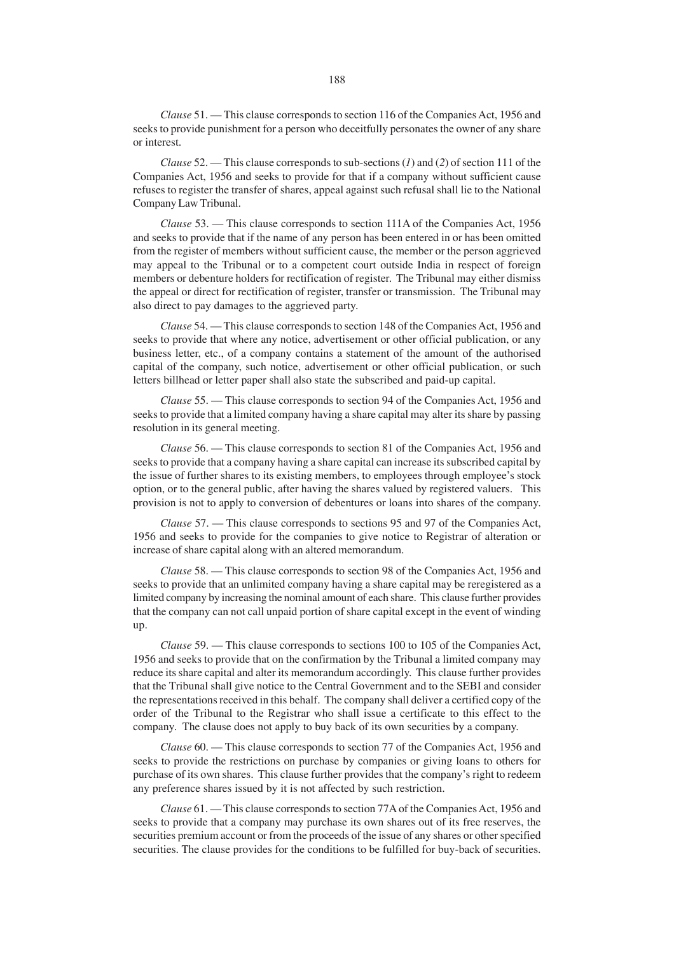*Clause* 51. — This clause corresponds to section 116 of the Companies Act, 1956 and seeks to provide punishment for a person who deceitfully personates the owner of any share or interest.

*Clause* 52. — This clause corresponds to sub-sections (*1*) and (*2*) of section 111 of the Companies Act, 1956 and seeks to provide for that if a company without sufficient cause refuses to register the transfer of shares, appeal against such refusal shall lie to the National Company Law Tribunal.

*Clause* 53. — This clause corresponds to section 111A of the Companies Act, 1956 and seeks to provide that if the name of any person has been entered in or has been omitted from the register of members without sufficient cause, the member or the person aggrieved may appeal to the Tribunal or to a competent court outside India in respect of foreign members or debenture holders for rectification of register. The Tribunal may either dismiss the appeal or direct for rectification of register, transfer or transmission. The Tribunal may also direct to pay damages to the aggrieved party.

*Clause* 54. — This clause corresponds to section 148 of the Companies Act, 1956 and seeks to provide that where any notice, advertisement or other official publication, or any business letter, etc., of a company contains a statement of the amount of the authorised capital of the company, such notice, advertisement or other official publication, or such letters billhead or letter paper shall also state the subscribed and paid-up capital.

*Clause* 55. — This clause corresponds to section 94 of the Companies Act, 1956 and seeks to provide that a limited company having a share capital may alter its share by passing resolution in its general meeting.

*Clause* 56. — This clause corresponds to section 81 of the Companies Act, 1956 and seeks to provide that a company having a share capital can increase its subscribed capital by the issue of further shares to its existing members, to employees through employee's stock option, or to the general public, after having the shares valued by registered valuers. This provision is not to apply to conversion of debentures or loans into shares of the company.

*Clause* 57. — This clause corresponds to sections 95 and 97 of the Companies Act, 1956 and seeks to provide for the companies to give notice to Registrar of alteration or increase of share capital along with an altered memorandum.

*Clause* 58. — This clause corresponds to section 98 of the Companies Act, 1956 and seeks to provide that an unlimited company having a share capital may be reregistered as a limited company by increasing the nominal amount of each share. This clause further provides that the company can not call unpaid portion of share capital except in the event of winding up.

*Clause* 59. — This clause corresponds to sections 100 to 105 of the Companies Act, 1956 and seeks to provide that on the confirmation by the Tribunal a limited company may reduce its share capital and alter its memorandum accordingly. This clause further provides that the Tribunal shall give notice to the Central Government and to the SEBI and consider the representations received in this behalf. The company shall deliver a certified copy of the order of the Tribunal to the Registrar who shall issue a certificate to this effect to the company. The clause does not apply to buy back of its own securities by a company.

*Clause* 60. — This clause corresponds to section 77 of the Companies Act, 1956 and seeks to provide the restrictions on purchase by companies or giving loans to others for purchase of its own shares. This clause further provides that the company's right to redeem any preference shares issued by it is not affected by such restriction.

*Clause* 61. — This clause corresponds to section 77A of the Companies Act, 1956 and seeks to provide that a company may purchase its own shares out of its free reserves, the securities premium account or from the proceeds of the issue of any shares or other specified securities. The clause provides for the conditions to be fulfilled for buy-back of securities.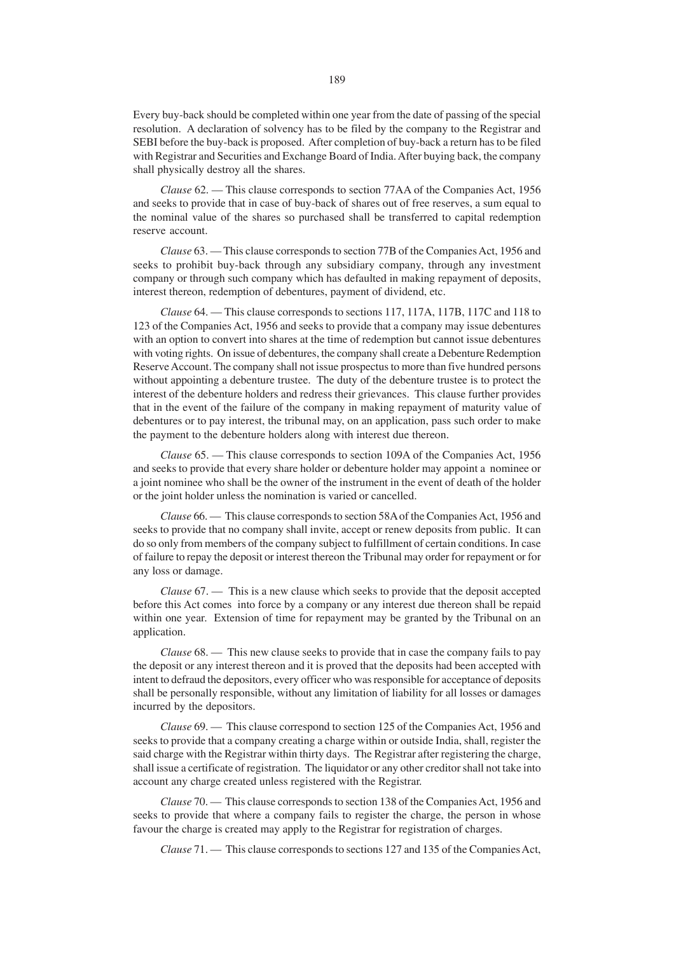Every buy-back should be completed within one year from the date of passing of the special resolution. A declaration of solvency has to be filed by the company to the Registrar and SEBI before the buy-back is proposed. After completion of buy-back a return has to be filed with Registrar and Securities and Exchange Board of India. After buying back, the company shall physically destroy all the shares.

*Clause* 62. — This clause corresponds to section 77AA of the Companies Act, 1956 and seeks to provide that in case of buy-back of shares out of free reserves, a sum equal to the nominal value of the shares so purchased shall be transferred to capital redemption reserve account.

*Clause* 63. — This clause corresponds to section 77B of the Companies Act, 1956 and seeks to prohibit buy-back through any subsidiary company, through any investment company or through such company which has defaulted in making repayment of deposits, interest thereon, redemption of debentures, payment of dividend, etc.

*Clause* 64. — This clause corresponds to sections 117, 117A, 117B, 117C and 118 to 123 of the Companies Act, 1956 and seeks to provide that a company may issue debentures with an option to convert into shares at the time of redemption but cannot issue debentures with voting rights. On issue of debentures, the company shall create a Debenture Redemption Reserve Account. The company shall not issue prospectus to more than five hundred persons without appointing a debenture trustee. The duty of the debenture trustee is to protect the interest of the debenture holders and redress their grievances. This clause further provides that in the event of the failure of the company in making repayment of maturity value of debentures or to pay interest, the tribunal may, on an application, pass such order to make the payment to the debenture holders along with interest due thereon.

*Clause* 65. — This clause corresponds to section 109A of the Companies Act, 1956 and seeks to provide that every share holder or debenture holder may appoint a nominee or a joint nominee who shall be the owner of the instrument in the event of death of the holder or the joint holder unless the nomination is varied or cancelled.

*Clause* 66. — This clause corresponds to section 58A of the Companies Act, 1956 and seeks to provide that no company shall invite, accept or renew deposits from public. It can do so only from members of the company subject to fulfillment of certain conditions. In case of failure to repay the deposit or interest thereon the Tribunal may order for repayment or for any loss or damage.

*Clause* 67. — This is a new clause which seeks to provide that the deposit accepted before this Act comes into force by a company or any interest due thereon shall be repaid within one year. Extension of time for repayment may be granted by the Tribunal on an application.

*Clause* 68. — This new clause seeks to provide that in case the company fails to pay the deposit or any interest thereon and it is proved that the deposits had been accepted with intent to defraud the depositors, every officer who was responsible for acceptance of deposits shall be personally responsible, without any limitation of liability for all losses or damages incurred by the depositors.

*Clause* 69. — This clause correspond to section 125 of the Companies Act, 1956 and seeks to provide that a company creating a charge within or outside India, shall, register the said charge with the Registrar within thirty days. The Registrar after registering the charge, shall issue a certificate of registration. The liquidator or any other creditor shall not take into account any charge created unless registered with the Registrar.

*Clause* 70. — This clause corresponds to section 138 of the Companies Act, 1956 and seeks to provide that where a company fails to register the charge, the person in whose favour the charge is created may apply to the Registrar for registration of charges.

*Clause* 71. — This clause corresponds to sections 127 and 135 of the Companies Act,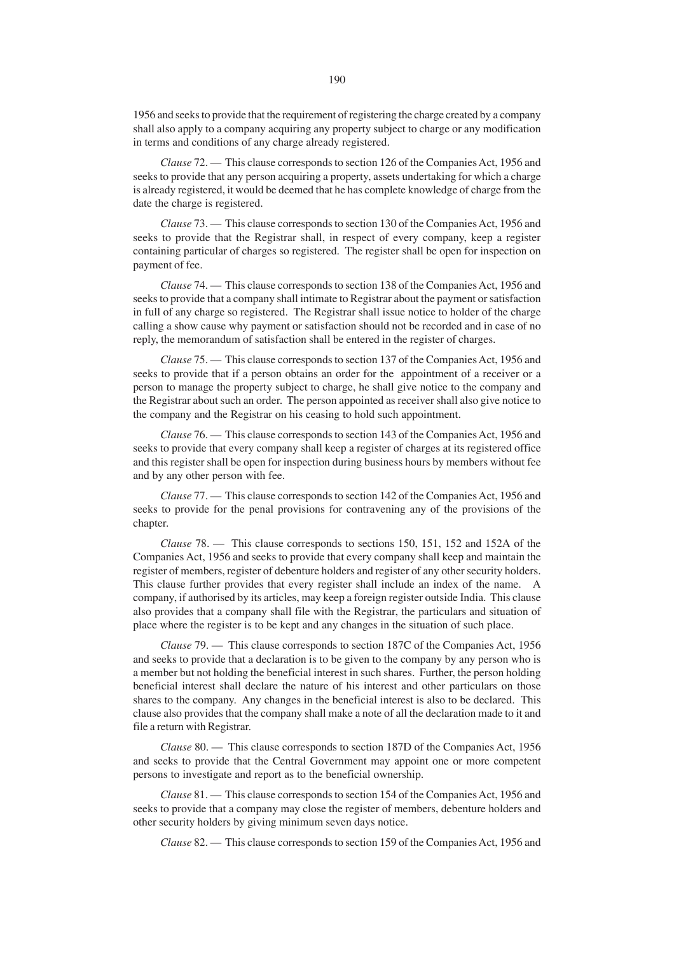1956 and seeks to provide that the requirement of registering the charge created by a company shall also apply to a company acquiring any property subject to charge or any modification in terms and conditions of any charge already registered.

*Clause* 72. — This clause corresponds to section 126 of the Companies Act, 1956 and seeks to provide that any person acquiring a property, assets undertaking for which a charge is already registered, it would be deemed that he has complete knowledge of charge from the date the charge is registered.

*Clause* 73. — This clause corresponds to section 130 of the Companies Act, 1956 and seeks to provide that the Registrar shall, in respect of every company, keep a register containing particular of charges so registered. The register shall be open for inspection on payment of fee.

*Clause* 74. — This clause corresponds to section 138 of the Companies Act, 1956 and seeks to provide that a company shall intimate to Registrar about the payment or satisfaction in full of any charge so registered. The Registrar shall issue notice to holder of the charge calling a show cause why payment or satisfaction should not be recorded and in case of no reply, the memorandum of satisfaction shall be entered in the register of charges.

*Clause* 75. — This clause corresponds to section 137 of the Companies Act, 1956 and seeks to provide that if a person obtains an order for the appointment of a receiver or a person to manage the property subject to charge, he shall give notice to the company and the Registrar about such an order. The person appointed as receiver shall also give notice to the company and the Registrar on his ceasing to hold such appointment.

*Clause* 76. — This clause corresponds to section 143 of the Companies Act, 1956 and seeks to provide that every company shall keep a register of charges at its registered office and this register shall be open for inspection during business hours by members without fee and by any other person with fee.

*Clause* 77. — This clause corresponds to section 142 of the Companies Act, 1956 and seeks to provide for the penal provisions for contravening any of the provisions of the chapter.

*Clause* 78. — This clause corresponds to sections 150, 151, 152 and 152A of the Companies Act, 1956 and seeks to provide that every company shall keep and maintain the register of members, register of debenture holders and register of any other security holders. This clause further provides that every register shall include an index of the name. A company, if authorised by its articles, may keep a foreign register outside India. This clause also provides that a company shall file with the Registrar, the particulars and situation of place where the register is to be kept and any changes in the situation of such place.

*Clause* 79. — This clause corresponds to section 187C of the Companies Act, 1956 and seeks to provide that a declaration is to be given to the company by any person who is a member but not holding the beneficial interest in such shares. Further, the person holding beneficial interest shall declare the nature of his interest and other particulars on those shares to the company. Any changes in the beneficial interest is also to be declared. This clause also provides that the company shall make a note of all the declaration made to it and file a return with Registrar.

*Clause* 80. — This clause corresponds to section 187D of the Companies Act, 1956 and seeks to provide that the Central Government may appoint one or more competent persons to investigate and report as to the beneficial ownership.

*Clause* 81. — This clause corresponds to section 154 of the Companies Act, 1956 and seeks to provide that a company may close the register of members, debenture holders and other security holders by giving minimum seven days notice.

*Clause* 82. — This clause corresponds to section 159 of the Companies Act, 1956 and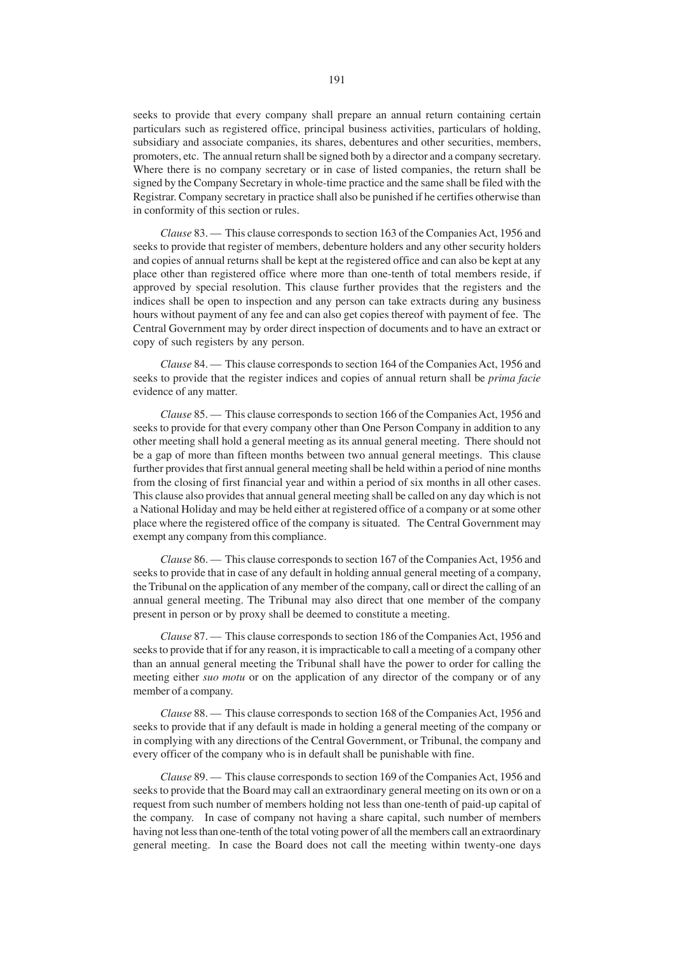seeks to provide that every company shall prepare an annual return containing certain particulars such as registered office, principal business activities, particulars of holding, subsidiary and associate companies, its shares, debentures and other securities, members, promoters, etc. The annual return shall be signed both by a director and a company secretary. Where there is no company secretary or in case of listed companies, the return shall be signed by the Company Secretary in whole-time practice and the same shall be filed with the Registrar. Company secretary in practice shall also be punished if he certifies otherwise than in conformity of this section or rules.

*Clause* 83. — This clause corresponds to section 163 of the Companies Act, 1956 and seeks to provide that register of members, debenture holders and any other security holders and copies of annual returns shall be kept at the registered office and can also be kept at any place other than registered office where more than one-tenth of total members reside, if approved by special resolution. This clause further provides that the registers and the indices shall be open to inspection and any person can take extracts during any business hours without payment of any fee and can also get copies thereof with payment of fee. The Central Government may by order direct inspection of documents and to have an extract or copy of such registers by any person.

*Clause* 84. — This clause corresponds to section 164 of the Companies Act, 1956 and seeks to provide that the register indices and copies of annual return shall be *prima facie* evidence of any matter.

*Clause* 85. — This clause corresponds to section 166 of the Companies Act, 1956 and seeks to provide for that every company other than One Person Company in addition to any other meeting shall hold a general meeting as its annual general meeting. There should not be a gap of more than fifteen months between two annual general meetings. This clause further provides that first annual general meeting shall be held within a period of nine months from the closing of first financial year and within a period of six months in all other cases. This clause also provides that annual general meeting shall be called on any day which is not a National Holiday and may be held either at registered office of a company or at some other place where the registered office of the company is situated. The Central Government may exempt any company from this compliance.

*Clause* 86. — This clause corresponds to section 167 of the Companies Act, 1956 and seeks to provide that in case of any default in holding annual general meeting of a company, the Tribunal on the application of any member of the company, call or direct the calling of an annual general meeting. The Tribunal may also direct that one member of the company present in person or by proxy shall be deemed to constitute a meeting.

*Clause* 87. — This clause corresponds to section 186 of the Companies Act, 1956 and seeks to provide that if for any reason, it is impracticable to call a meeting of a company other than an annual general meeting the Tribunal shall have the power to order for calling the meeting either *suo motu* or on the application of any director of the company or of any member of a company.

*Clause* 88. — This clause corresponds to section 168 of the Companies Act, 1956 and seeks to provide that if any default is made in holding a general meeting of the company or in complying with any directions of the Central Government, or Tribunal, the company and every officer of the company who is in default shall be punishable with fine.

*Clause* 89. — This clause corresponds to section 169 of the Companies Act, 1956 and seeks to provide that the Board may call an extraordinary general meeting on its own or on a request from such number of members holding not less than one-tenth of paid-up capital of the company. In case of company not having a share capital, such number of members having not less than one-tenth of the total voting power of all the members call an extraordinary general meeting. In case the Board does not call the meeting within twenty-one days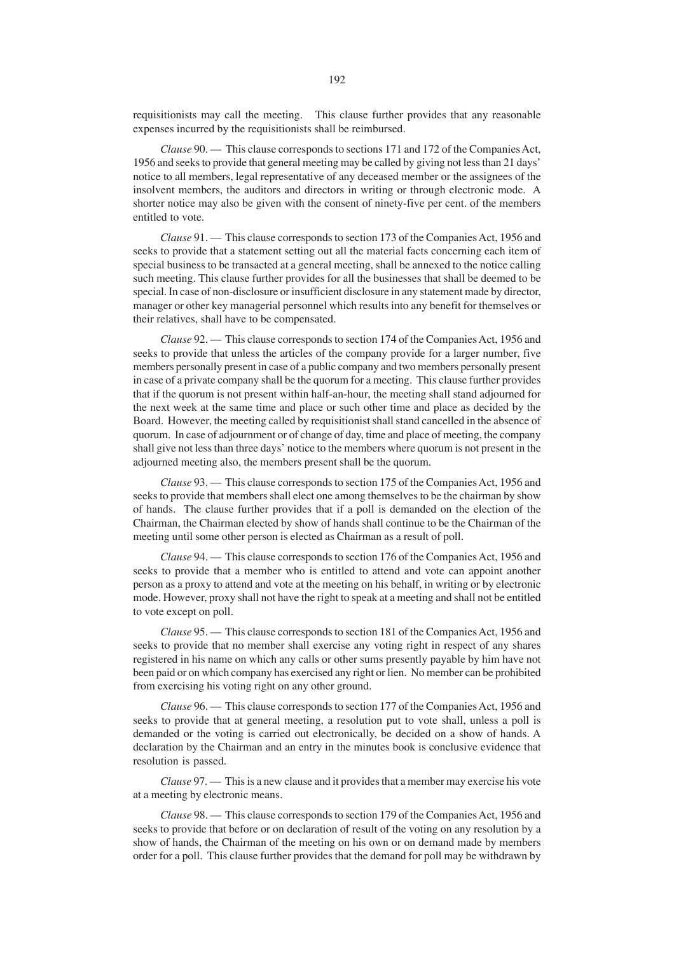requisitionists may call the meeting. This clause further provides that any reasonable expenses incurred by the requisitionists shall be reimbursed.

*Clause* 90. — This clause corresponds to sections 171 and 172 of the Companies Act, 1956 and seeks to provide that general meeting may be called by giving not less than 21 days' notice to all members, legal representative of any deceased member or the assignees of the insolvent members, the auditors and directors in writing or through electronic mode. A shorter notice may also be given with the consent of ninety-five per cent. of the members entitled to vote.

*Clause* 91. — This clause corresponds to section 173 of the Companies Act, 1956 and seeks to provide that a statement setting out all the material facts concerning each item of special business to be transacted at a general meeting, shall be annexed to the notice calling such meeting. This clause further provides for all the businesses that shall be deemed to be special. In case of non-disclosure or insufficient disclosure in any statement made by director, manager or other key managerial personnel which results into any benefit for themselves or their relatives, shall have to be compensated.

*Clause* 92. — This clause corresponds to section 174 of the Companies Act, 1956 and seeks to provide that unless the articles of the company provide for a larger number, five members personally present in case of a public company and two members personally present in case of a private company shall be the quorum for a meeting. This clause further provides that if the quorum is not present within half-an-hour, the meeting shall stand adjourned for the next week at the same time and place or such other time and place as decided by the Board. However, the meeting called by requisitionist shall stand cancelled in the absence of quorum. In case of adjournment or of change of day, time and place of meeting, the company shall give not less than three days' notice to the members where quorum is not present in the adjourned meeting also, the members present shall be the quorum.

*Clause* 93. — This clause corresponds to section 175 of the Companies Act, 1956 and seeks to provide that members shall elect one among themselves to be the chairman by show of hands. The clause further provides that if a poll is demanded on the election of the Chairman, the Chairman elected by show of hands shall continue to be the Chairman of the meeting until some other person is elected as Chairman as a result of poll.

*Clause* 94. — This clause corresponds to section 176 of the Companies Act, 1956 and seeks to provide that a member who is entitled to attend and vote can appoint another person as a proxy to attend and vote at the meeting on his behalf, in writing or by electronic mode. However, proxy shall not have the right to speak at a meeting and shall not be entitled to vote except on poll.

*Clause* 95. — This clause corresponds to section 181 of the Companies Act, 1956 and seeks to provide that no member shall exercise any voting right in respect of any shares registered in his name on which any calls or other sums presently payable by him have not been paid or on which company has exercised any right or lien. No member can be prohibited from exercising his voting right on any other ground.

*Clause* 96. — This clause corresponds to section 177 of the Companies Act, 1956 and seeks to provide that at general meeting, a resolution put to vote shall, unless a poll is demanded or the voting is carried out electronically, be decided on a show of hands. A declaration by the Chairman and an entry in the minutes book is conclusive evidence that resolution is passed.

*Clause* 97. — This is a new clause and it provides that a member may exercise his vote at a meeting by electronic means.

*Clause* 98. — This clause corresponds to section 179 of the Companies Act, 1956 and seeks to provide that before or on declaration of result of the voting on any resolution by a show of hands, the Chairman of the meeting on his own or on demand made by members order for a poll. This clause further provides that the demand for poll may be withdrawn by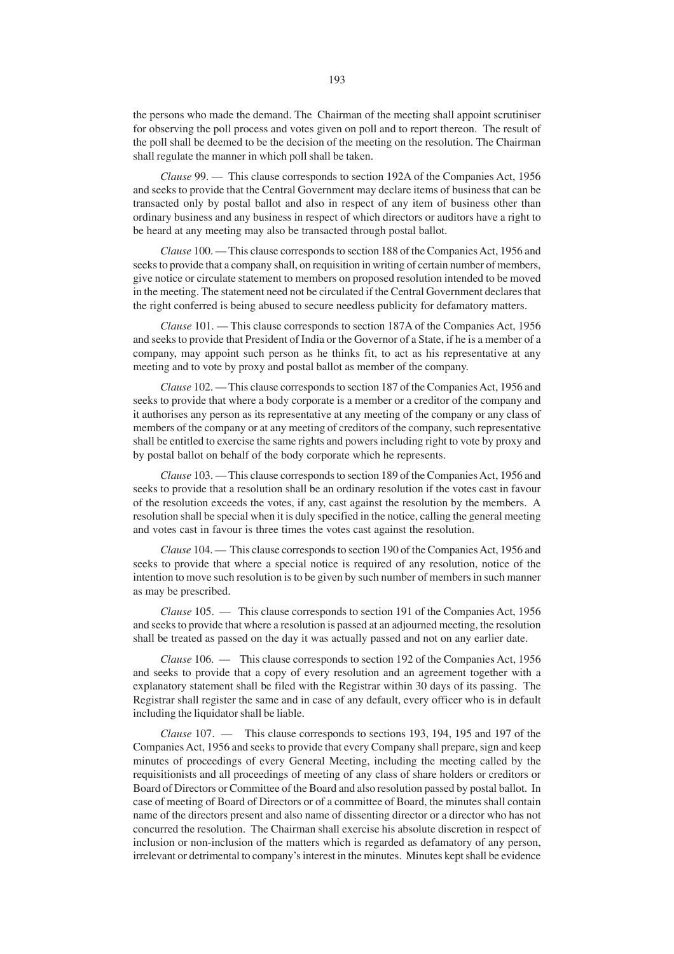the persons who made the demand. The Chairman of the meeting shall appoint scrutiniser for observing the poll process and votes given on poll and to report thereon. The result of the poll shall be deemed to be the decision of the meeting on the resolution. The Chairman shall regulate the manner in which poll shall be taken.

*Clause* 99. — This clause corresponds to section 192A of the Companies Act, 1956 and seeks to provide that the Central Government may declare items of business that can be transacted only by postal ballot and also in respect of any item of business other than ordinary business and any business in respect of which directors or auditors have a right to be heard at any meeting may also be transacted through postal ballot.

*Clause* 100. — This clause corresponds to section 188 of the Companies Act, 1956 and seeks to provide that a company shall, on requisition in writing of certain number of members, give notice or circulate statement to members on proposed resolution intended to be moved in the meeting. The statement need not be circulated if the Central Government declares that the right conferred is being abused to secure needless publicity for defamatory matters.

*Clause* 101. — This clause corresponds to section 187A of the Companies Act, 1956 and seeks to provide that President of India or the Governor of a State, if he is a member of a company, may appoint such person as he thinks fit, to act as his representative at any meeting and to vote by proxy and postal ballot as member of the company.

*Clause* 102. — This clause corresponds to section 187 of the Companies Act, 1956 and seeks to provide that where a body corporate is a member or a creditor of the company and it authorises any person as its representative at any meeting of the company or any class of members of the company or at any meeting of creditors of the company, such representative shall be entitled to exercise the same rights and powers including right to vote by proxy and by postal ballot on behalf of the body corporate which he represents.

*Clause* 103. — This clause corresponds to section 189 of the Companies Act, 1956 and seeks to provide that a resolution shall be an ordinary resolution if the votes cast in favour of the resolution exceeds the votes, if any, cast against the resolution by the members. A resolution shall be special when it is duly specified in the notice, calling the general meeting and votes cast in favour is three times the votes cast against the resolution.

*Clause* 104. — This clause corresponds to section 190 of the Companies Act, 1956 and seeks to provide that where a special notice is required of any resolution, notice of the intention to move such resolution is to be given by such number of members in such manner as may be prescribed.

*Clause* 105. — This clause corresponds to section 191 of the Companies Act, 1956 and seeks to provide that where a resolution is passed at an adjourned meeting, the resolution shall be treated as passed on the day it was actually passed and not on any earlier date.

*Clause* 106. — This clause corresponds to section 192 of the Companies Act, 1956 and seeks to provide that a copy of every resolution and an agreement together with a explanatory statement shall be filed with the Registrar within 30 days of its passing. The Registrar shall register the same and in case of any default, every officer who is in default including the liquidator shall be liable.

*Clause* 107. — This clause corresponds to sections 193, 194, 195 and 197 of the Companies Act, 1956 and seeks to provide that every Company shall prepare, sign and keep minutes of proceedings of every General Meeting, including the meeting called by the requisitionists and all proceedings of meeting of any class of share holders or creditors or Board of Directors or Committee of the Board and also resolution passed by postal ballot. In case of meeting of Board of Directors or of a committee of Board, the minutes shall contain name of the directors present and also name of dissenting director or a director who has not concurred the resolution. The Chairman shall exercise his absolute discretion in respect of inclusion or non-inclusion of the matters which is regarded as defamatory of any person, irrelevant or detrimental to company's interest in the minutes. Minutes kept shall be evidence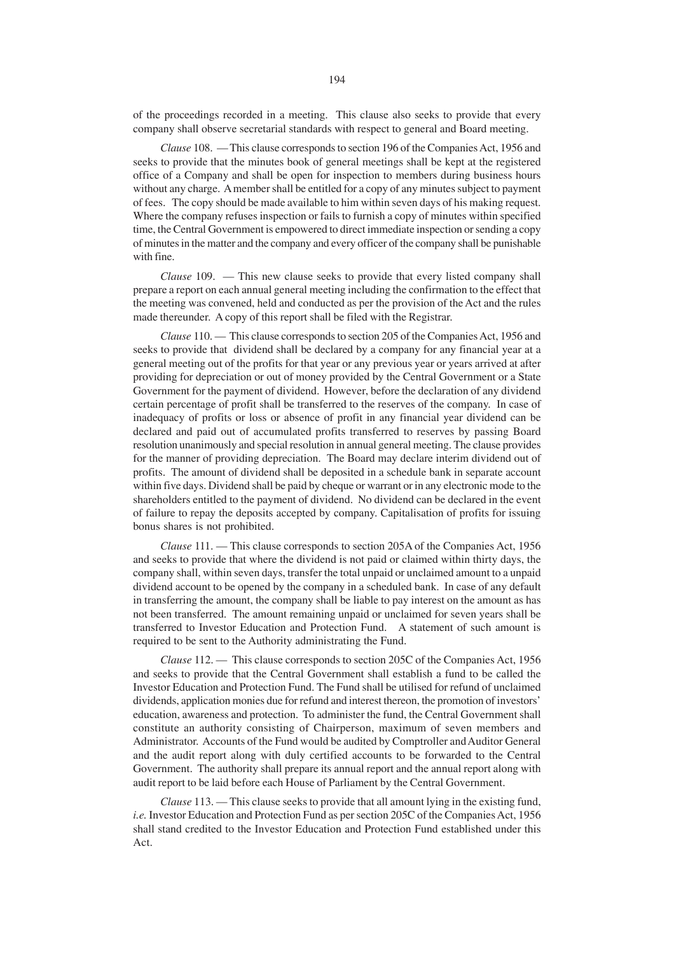of the proceedings recorded in a meeting. This clause also seeks to provide that every company shall observe secretarial standards with respect to general and Board meeting.

*Clause* 108. — This clause corresponds to section 196 of the Companies Act, 1956 and seeks to provide that the minutes book of general meetings shall be kept at the registered office of a Company and shall be open for inspection to members during business hours without any charge. A member shall be entitled for a copy of any minutes subject to payment of fees. The copy should be made available to him within seven days of his making request. Where the company refuses inspection or fails to furnish a copy of minutes within specified time, the Central Government is empowered to direct immediate inspection or sending a copy of minutes in the matter and the company and every officer of the company shall be punishable with fine.

*Clause* 109. — This new clause seeks to provide that every listed company shall prepare a report on each annual general meeting including the confirmation to the effect that the meeting was convened, held and conducted as per the provision of the Act and the rules made thereunder. A copy of this report shall be filed with the Registrar.

*Clause* 110. — This clause corresponds to section 205 of the Companies Act, 1956 and seeks to provide that dividend shall be declared by a company for any financial year at a general meeting out of the profits for that year or any previous year or years arrived at after providing for depreciation or out of money provided by the Central Government or a State Government for the payment of dividend. However, before the declaration of any dividend certain percentage of profit shall be transferred to the reserves of the company. In case of inadequacy of profits or loss or absence of profit in any financial year dividend can be declared and paid out of accumulated profits transferred to reserves by passing Board resolution unanimously and special resolution in annual general meeting. The clause provides for the manner of providing depreciation. The Board may declare interim dividend out of profits. The amount of dividend shall be deposited in a schedule bank in separate account within five days. Dividend shall be paid by cheque or warrant or in any electronic mode to the shareholders entitled to the payment of dividend. No dividend can be declared in the event of failure to repay the deposits accepted by company. Capitalisation of profits for issuing bonus shares is not prohibited.

*Clause* 111. — This clause corresponds to section 205A of the Companies Act, 1956 and seeks to provide that where the dividend is not paid or claimed within thirty days, the company shall, within seven days, transfer the total unpaid or unclaimed amount to a unpaid dividend account to be opened by the company in a scheduled bank. In case of any default in transferring the amount, the company shall be liable to pay interest on the amount as has not been transferred. The amount remaining unpaid or unclaimed for seven years shall be transferred to Investor Education and Protection Fund. A statement of such amount is required to be sent to the Authority administrating the Fund.

*Clause* 112. — This clause corresponds to section 205C of the Companies Act, 1956 and seeks to provide that the Central Government shall establish a fund to be called the Investor Education and Protection Fund. The Fund shall be utilised for refund of unclaimed dividends, application monies due for refund and interest thereon, the promotion of investors' education, awareness and protection. To administer the fund, the Central Government shall constitute an authority consisting of Chairperson, maximum of seven members and Administrator. Accounts of the Fund would be audited by Comptroller and Auditor General and the audit report along with duly certified accounts to be forwarded to the Central Government. The authority shall prepare its annual report and the annual report along with audit report to be laid before each House of Parliament by the Central Government.

*Clause* 113. — This clause seeks to provide that all amount lying in the existing fund, *i.e.* Investor Education and Protection Fund as per section 205C of the Companies Act, 1956 shall stand credited to the Investor Education and Protection Fund established under this Act.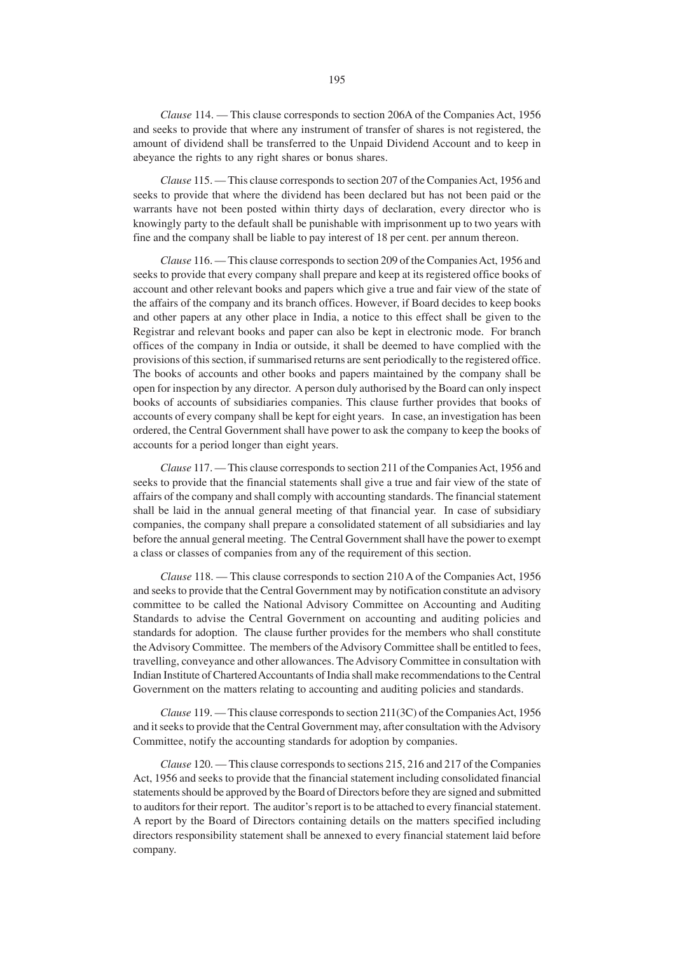*Clause* 114. — This clause corresponds to section 206A of the Companies Act, 1956 and seeks to provide that where any instrument of transfer of shares is not registered, the amount of dividend shall be transferred to the Unpaid Dividend Account and to keep in abeyance the rights to any right shares or bonus shares.

*Clause* 115. — This clause corresponds to section 207 of the Companies Act, 1956 and seeks to provide that where the dividend has been declared but has not been paid or the warrants have not been posted within thirty days of declaration, every director who is knowingly party to the default shall be punishable with imprisonment up to two years with fine and the company shall be liable to pay interest of 18 per cent. per annum thereon.

*Clause* 116. — This clause corresponds to section 209 of the Companies Act, 1956 and seeks to provide that every company shall prepare and keep at its registered office books of account and other relevant books and papers which give a true and fair view of the state of the affairs of the company and its branch offices. However, if Board decides to keep books and other papers at any other place in India, a notice to this effect shall be given to the Registrar and relevant books and paper can also be kept in electronic mode. For branch offices of the company in India or outside, it shall be deemed to have complied with the provisions of this section, if summarised returns are sent periodically to the registered office. The books of accounts and other books and papers maintained by the company shall be open for inspection by any director. A person duly authorised by the Board can only inspect books of accounts of subsidiaries companies. This clause further provides that books of accounts of every company shall be kept for eight years. In case, an investigation has been ordered, the Central Government shall have power to ask the company to keep the books of accounts for a period longer than eight years.

*Clause* 117. — This clause corresponds to section 211 of the Companies Act, 1956 and seeks to provide that the financial statements shall give a true and fair view of the state of affairs of the company and shall comply with accounting standards. The financial statement shall be laid in the annual general meeting of that financial year. In case of subsidiary companies, the company shall prepare a consolidated statement of all subsidiaries and lay before the annual general meeting. The Central Government shall have the power to exempt a class or classes of companies from any of the requirement of this section.

*Clause* 118. — This clause corresponds to section 210 A of the Companies Act, 1956 and seeks to provide that the Central Government may by notification constitute an advisory committee to be called the National Advisory Committee on Accounting and Auditing Standards to advise the Central Government on accounting and auditing policies and standards for adoption. The clause further provides for the members who shall constitute the Advisory Committee. The members of the Advisory Committee shall be entitled to fees, travelling, conveyance and other allowances. The Advisory Committee in consultation with Indian Institute of Chartered Accountants of India shall make recommendations to the Central Government on the matters relating to accounting and auditing policies and standards.

*Clause* 119. — This clause corresponds to section 211(3C) of the Companies Act, 1956 and it seeks to provide that the Central Government may, after consultation with the Advisory Committee, notify the accounting standards for adoption by companies.

*Clause* 120. — This clause corresponds to sections 215, 216 and 217 of the Companies Act, 1956 and seeks to provide that the financial statement including consolidated financial statements should be approved by the Board of Directors before they are signed and submitted to auditors for their report. The auditor's report is to be attached to every financial statement. A report by the Board of Directors containing details on the matters specified including directors responsibility statement shall be annexed to every financial statement laid before company.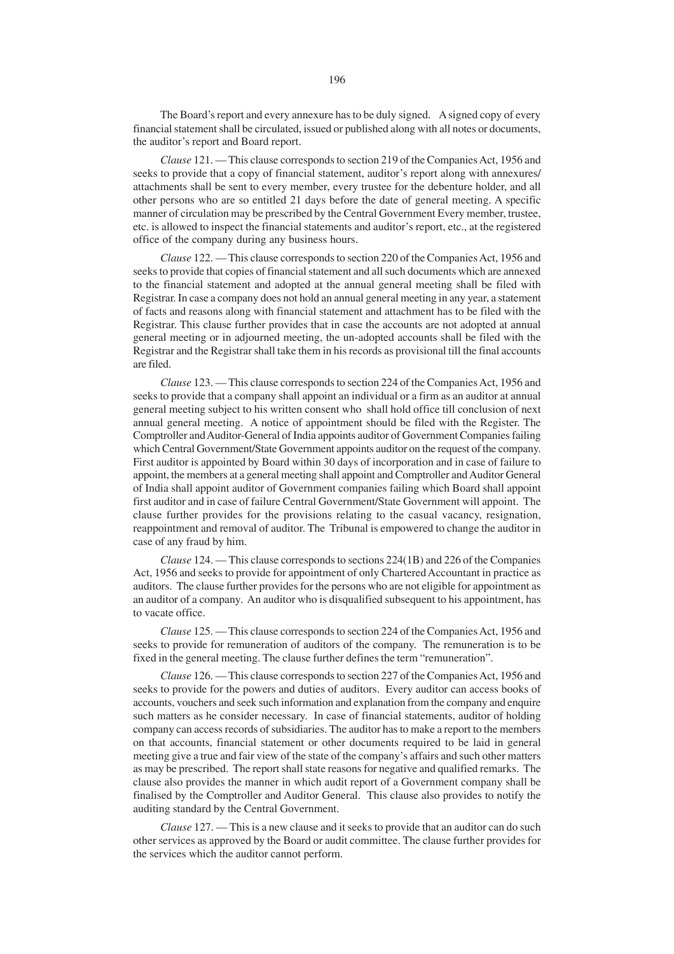The Board's report and every annexure has to be duly signed. A signed copy of every financial statement shall be circulated, issued or published along with all notes or documents, the auditor's report and Board report.

*Clause* 121. — This clause corresponds to section 219 of the Companies Act, 1956 and seeks to provide that a copy of financial statement, auditor's report along with annexures/ attachments shall be sent to every member, every trustee for the debenture holder, and all other persons who are so entitled 21 days before the date of general meeting. A specific manner of circulation may be prescribed by the Central Government Every member, trustee, etc. is allowed to inspect the financial statements and auditor's report, etc., at the registered office of the company during any business hours.

*Clause* 122. — This clause corresponds to section 220 of the Companies Act, 1956 and seeks to provide that copies of financial statement and all such documents which are annexed to the financial statement and adopted at the annual general meeting shall be filed with Registrar. In case a company does not hold an annual general meeting in any year, a statement of facts and reasons along with financial statement and attachment has to be filed with the Registrar. This clause further provides that in case the accounts are not adopted at annual general meeting or in adjourned meeting, the un-adopted accounts shall be filed with the Registrar and the Registrar shall take them in his records as provisional till the final accounts are filed.

*Clause* 123. — This clause corresponds to section 224 of the Companies Act, 1956 and seeks to provide that a company shall appoint an individual or a firm as an auditor at annual general meeting subject to his written consent who shall hold office till conclusion of next annual general meeting. A notice of appointment should be filed with the Register. The Comptroller and Auditor-General of India appoints auditor of Government Companies failing which Central Government/State Government appoints auditor on the request of the company. First auditor is appointed by Board within 30 days of incorporation and in case of failure to appoint, the members at a general meeting shall appoint and Comptroller and Auditor General of India shall appoint auditor of Government companies failing which Board shall appoint first auditor and in case of failure Central Government/State Government will appoint. The clause further provides for the provisions relating to the casual vacancy, resignation, reappointment and removal of auditor. The Tribunal is empowered to change the auditor in case of any fraud by him.

*Clause* 124. — This clause corresponds to sections 224(1B) and 226 of the Companies Act, 1956 and seeks to provide for appointment of only Chartered Accountant in practice as auditors. The clause further provides for the persons who are not eligible for appointment as an auditor of a company. An auditor who is disqualified subsequent to his appointment, has to vacate office.

*Clause* 125. — This clause corresponds to section 224 of the Companies Act, 1956 and seeks to provide for remuneration of auditors of the company. The remuneration is to be fixed in the general meeting. The clause further defines the term "remuneration".

*Clause* 126. — This clause corresponds to section 227 of the Companies Act, 1956 and seeks to provide for the powers and duties of auditors. Every auditor can access books of accounts, vouchers and seek such information and explanation from the company and enquire such matters as he consider necessary. In case of financial statements, auditor of holding company can access records of subsidiaries. The auditor has to make a report to the members on that accounts, financial statement or other documents required to be laid in general meeting give a true and fair view of the state of the company's affairs and such other matters as may be prescribed. The report shall state reasons for negative and qualified remarks. The clause also provides the manner in which audit report of a Government company shall be finalised by the Comptroller and Auditor General. This clause also provides to notify the auditing standard by the Central Government.

*Clause* 127. — This is a new clause and it seeks to provide that an auditor can do such other services as approved by the Board or audit committee. The clause further provides for the services which the auditor cannot perform.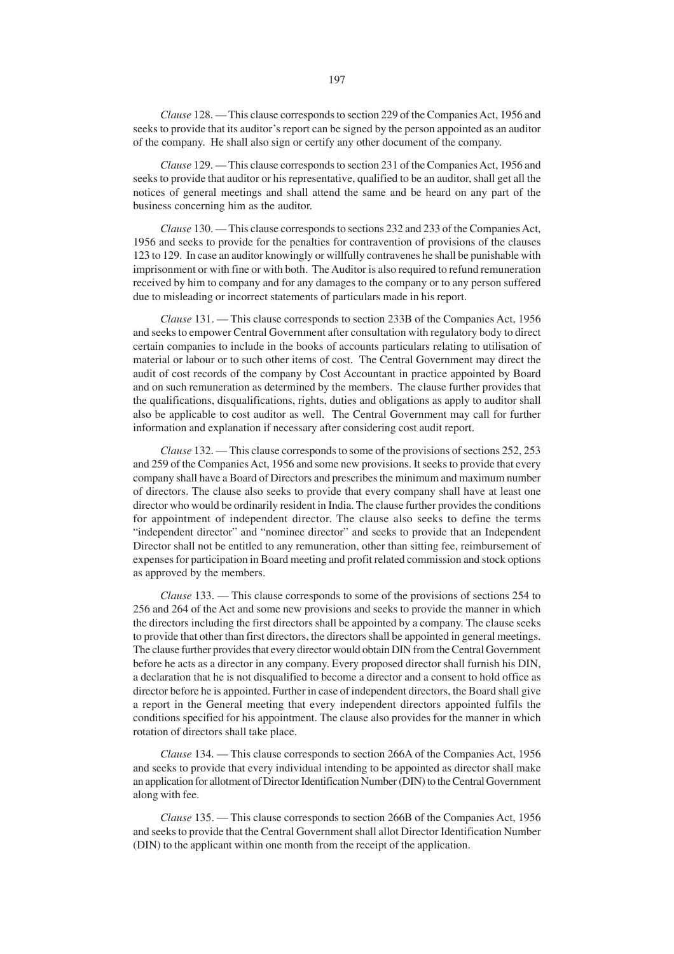*Clause* 128. — This clause corresponds to section 229 of the Companies Act, 1956 and seeks to provide that its auditor's report can be signed by the person appointed as an auditor of the company. He shall also sign or certify any other document of the company.

*Clause* 129. — This clause corresponds to section 231 of the Companies Act, 1956 and seeks to provide that auditor or his representative, qualified to be an auditor, shall get all the notices of general meetings and shall attend the same and be heard on any part of the business concerning him as the auditor.

*Clause* 130. — This clause corresponds to sections 232 and 233 of the Companies Act, 1956 and seeks to provide for the penalties for contravention of provisions of the clauses 123 to 129. In case an auditor knowingly or willfully contravenes he shall be punishable with imprisonment or with fine or with both. The Auditor is also required to refund remuneration received by him to company and for any damages to the company or to any person suffered due to misleading or incorrect statements of particulars made in his report.

*Clause* 131. — This clause corresponds to section 233B of the Companies Act, 1956 and seeks to empower Central Government after consultation with regulatory body to direct certain companies to include in the books of accounts particulars relating to utilisation of material or labour or to such other items of cost. The Central Government may direct the audit of cost records of the company by Cost Accountant in practice appointed by Board and on such remuneration as determined by the members. The clause further provides that the qualifications, disqualifications, rights, duties and obligations as apply to auditor shall also be applicable to cost auditor as well. The Central Government may call for further information and explanation if necessary after considering cost audit report.

*Clause* 132. — This clause corresponds to some of the provisions of sections 252, 253 and 259 of the Companies Act, 1956 and some new provisions. It seeks to provide that every company shall have a Board of Directors and prescribes the minimum and maximum number of directors. The clause also seeks to provide that every company shall have at least one director who would be ordinarily resident in India. The clause further provides the conditions for appointment of independent director. The clause also seeks to define the terms "independent director" and "nominee director" and seeks to provide that an Independent Director shall not be entitled to any remuneration, other than sitting fee, reimbursement of expenses for participation in Board meeting and profit related commission and stock options as approved by the members.

*Clause* 133. — This clause corresponds to some of the provisions of sections 254 to 256 and 264 of the Act and some new provisions and seeks to provide the manner in which the directors including the first directors shall be appointed by a company. The clause seeks to provide that other than first directors, the directors shall be appointed in general meetings. The clause further provides that every director would obtain DIN from the Central Government before he acts as a director in any company. Every proposed director shall furnish his DIN, a declaration that he is not disqualified to become a director and a consent to hold office as director before he is appointed. Further in case of independent directors, the Board shall give a report in the General meeting that every independent directors appointed fulfils the conditions specified for his appointment. The clause also provides for the manner in which rotation of directors shall take place.

*Clause* 134. — This clause corresponds to section 266A of the Companies Act, 1956 and seeks to provide that every individual intending to be appointed as director shall make an application for allotment of Director Identification Number (DIN) to the Central Government along with fee.

*Clause* 135. — This clause corresponds to section 266B of the Companies Act, 1956 and seeks to provide that the Central Government shall allot Director Identification Number (DIN) to the applicant within one month from the receipt of the application.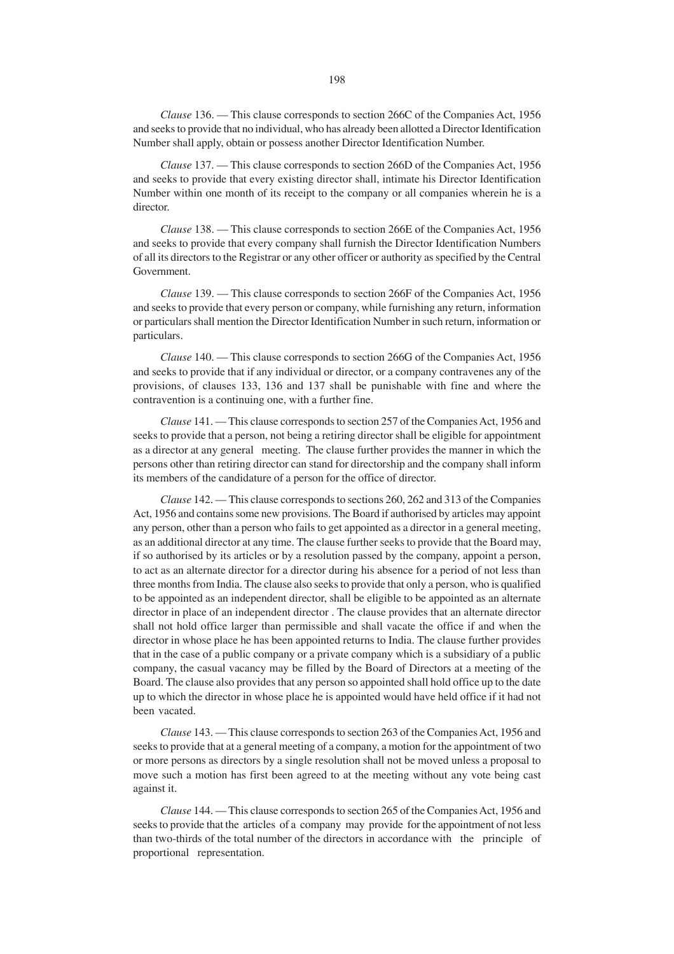*Clause* 136. — This clause corresponds to section 266C of the Companies Act, 1956 and seeks to provide that no individual, who has already been allotted a Director Identification Number shall apply, obtain or possess another Director Identification Number.

*Clause* 137. — This clause corresponds to section 266D of the Companies Act, 1956 and seeks to provide that every existing director shall, intimate his Director Identification Number within one month of its receipt to the company or all companies wherein he is a director.

*Clause* 138. — This clause corresponds to section 266E of the Companies Act, 1956 and seeks to provide that every company shall furnish the Director Identification Numbers of all its directors to the Registrar or any other officer or authority as specified by the Central Government.

*Clause* 139. — This clause corresponds to section 266F of the Companies Act, 1956 and seeks to provide that every person or company, while furnishing any return, information or particulars shall mention the Director Identification Number in such return, information or particulars.

*Clause* 140. — This clause corresponds to section 266G of the Companies Act, 1956 and seeks to provide that if any individual or director, or a company contravenes any of the provisions, of clauses 133, 136 and 137 shall be punishable with fine and where the contravention is a continuing one, with a further fine.

*Clause* 141. — This clause corresponds to section 257 of the Companies Act, 1956 and seeks to provide that a person, not being a retiring director shall be eligible for appointment as a director at any general meeting. The clause further provides the manner in which the persons other than retiring director can stand for directorship and the company shall inform its members of the candidature of a person for the office of director.

*Clause* 142. — This clause corresponds to sections 260, 262 and 313 of the Companies Act, 1956 and contains some new provisions. The Board if authorised by articles may appoint any person, other than a person who fails to get appointed as a director in a general meeting, as an additional director at any time. The clause further seeks to provide that the Board may, if so authorised by its articles or by a resolution passed by the company, appoint a person, to act as an alternate director for a director during his absence for a period of not less than three months from India. The clause also seeks to provide that only a person, who is qualified to be appointed as an independent director, shall be eligible to be appointed as an alternate director in place of an independent director . The clause provides that an alternate director shall not hold office larger than permissible and shall vacate the office if and when the director in whose place he has been appointed returns to India. The clause further provides that in the case of a public company or a private company which is a subsidiary of a public company, the casual vacancy may be filled by the Board of Directors at a meeting of the Board. The clause also provides that any person so appointed shall hold office up to the date up to which the director in whose place he is appointed would have held office if it had not been vacated.

*Clause* 143. — This clause corresponds to section 263 of the Companies Act, 1956 and seeks to provide that at a general meeting of a company, a motion for the appointment of two or more persons as directors by a single resolution shall not be moved unless a proposal to move such a motion has first been agreed to at the meeting without any vote being cast against it.

*Clause* 144. — This clause corresponds to section 265 of the Companies Act, 1956 and seeks to provide that the articles of a company may provide for the appointment of not less than two-thirds of the total number of the directors in accordance with the principle of proportional representation.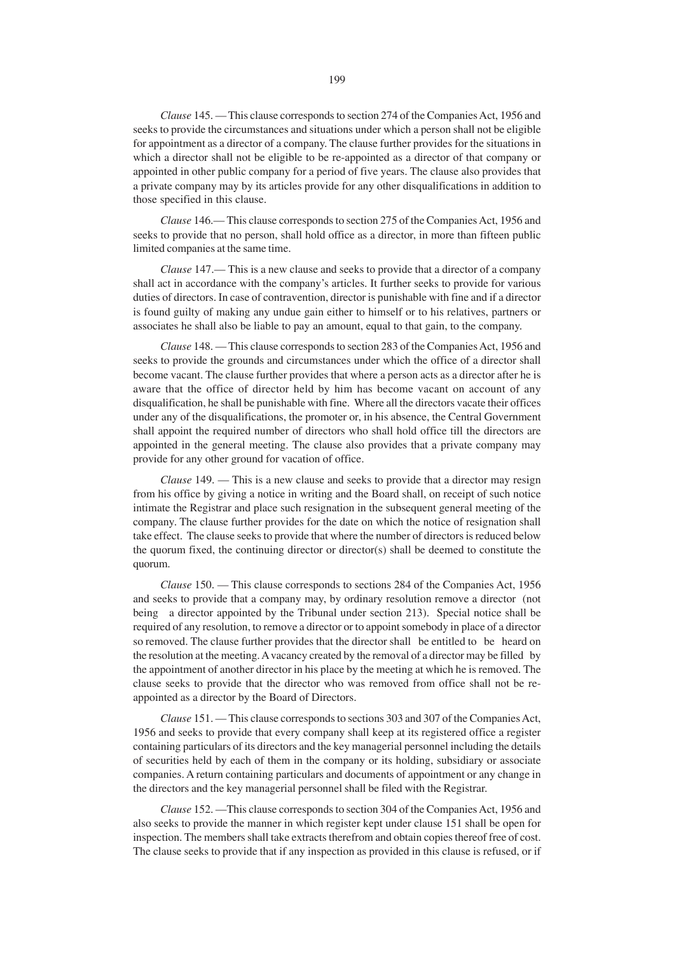*Clause* 145. — This clause corresponds to section 274 of the Companies Act, 1956 and seeks to provide the circumstances and situations under which a person shall not be eligible for appointment as a director of a company. The clause further provides for the situations in which a director shall not be eligible to be re-appointed as a director of that company or appointed in other public company for a period of five years. The clause also provides that a private company may by its articles provide for any other disqualifications in addition to those specified in this clause.

*Clause* 146.— This clause corresponds to section 275 of the Companies Act, 1956 and seeks to provide that no person, shall hold office as a director, in more than fifteen public limited companies at the same time.

*Clause* 147.— This is a new clause and seeks to provide that a director of a company shall act in accordance with the company's articles. It further seeks to provide for various duties of directors. In case of contravention, director is punishable with fine and if a director is found guilty of making any undue gain either to himself or to his relatives, partners or associates he shall also be liable to pay an amount, equal to that gain, to the company.

*Clause* 148. — This clause corresponds to section 283 of the Companies Act, 1956 and seeks to provide the grounds and circumstances under which the office of a director shall become vacant. The clause further provides that where a person acts as a director after he is aware that the office of director held by him has become vacant on account of any disqualification, he shall be punishable with fine. Where all the directors vacate their offices under any of the disqualifications, the promoter or, in his absence, the Central Government shall appoint the required number of directors who shall hold office till the directors are appointed in the general meeting. The clause also provides that a private company may provide for any other ground for vacation of office.

*Clause* 149. — This is a new clause and seeks to provide that a director may resign from his office by giving a notice in writing and the Board shall, on receipt of such notice intimate the Registrar and place such resignation in the subsequent general meeting of the company. The clause further provides for the date on which the notice of resignation shall take effect. The clause seeks to provide that where the number of directors is reduced below the quorum fixed, the continuing director or director(s) shall be deemed to constitute the quorum.

*Clause* 150. — This clause corresponds to sections 284 of the Companies Act, 1956 and seeks to provide that a company may, by ordinary resolution remove a director (not being a director appointed by the Tribunal under section 213). Special notice shall be required of any resolution, to remove a director or to appoint somebody in place of a director so removed. The clause further provides that the director shall be entitled to be heard on the resolution at the meeting. A vacancy created by the removal of a director may be filled by the appointment of another director in his place by the meeting at which he is removed. The clause seeks to provide that the director who was removed from office shall not be reappointed as a director by the Board of Directors.

*Clause* 151. — This clause corresponds to sections 303 and 307 of the Companies Act, 1956 and seeks to provide that every company shall keep at its registered office a register containing particulars of its directors and the key managerial personnel including the details of securities held by each of them in the company or its holding, subsidiary or associate companies. A return containing particulars and documents of appointment or any change in the directors and the key managerial personnel shall be filed with the Registrar.

*Clause* 152. —This clause corresponds to section 304 of the Companies Act, 1956 and also seeks to provide the manner in which register kept under clause 151 shall be open for inspection. The members shall take extracts therefrom and obtain copies thereof free of cost. The clause seeks to provide that if any inspection as provided in this clause is refused, or if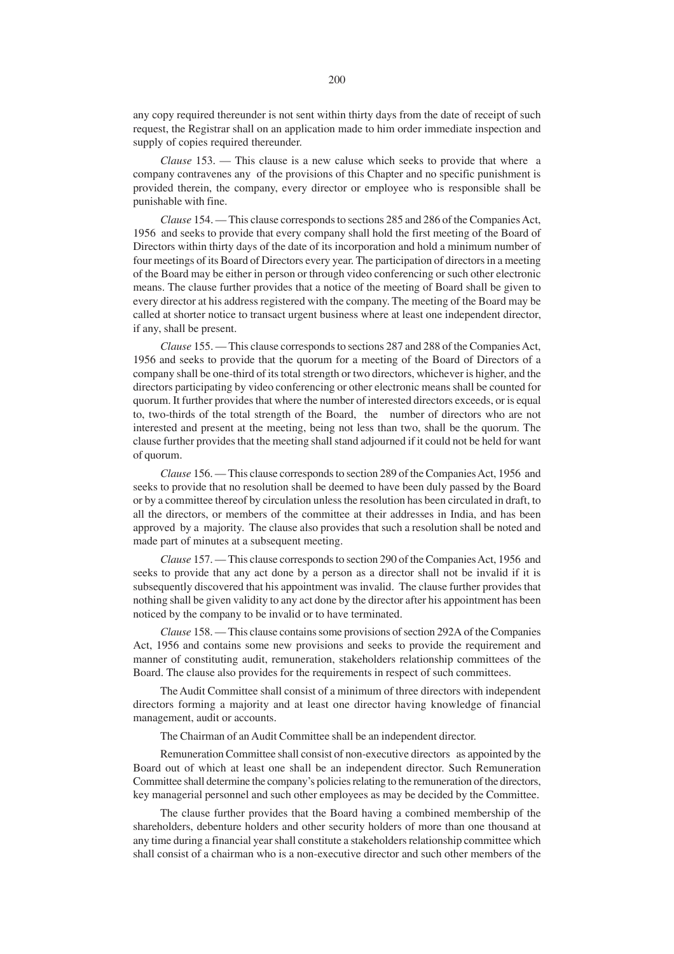any copy required thereunder is not sent within thirty days from the date of receipt of such request, the Registrar shall on an application made to him order immediate inspection and supply of copies required thereunder.

*Clause* 153. — This clause is a new caluse which seeks to provide that where a company contravenes any of the provisions of this Chapter and no specific punishment is provided therein, the company, every director or employee who is responsible shall be punishable with fine.

*Clause* 154. — This clause corresponds to sections 285 and 286 of the Companies Act, 1956 and seeks to provide that every company shall hold the first meeting of the Board of Directors within thirty days of the date of its incorporation and hold a minimum number of four meetings of its Board of Directors every year. The participation of directors in a meeting of the Board may be either in person or through video conferencing or such other electronic means. The clause further provides that a notice of the meeting of Board shall be given to every director at his address registered with the company. The meeting of the Board may be called at shorter notice to transact urgent business where at least one independent director, if any, shall be present.

*Clause* 155. — This clause corresponds to sections 287 and 288 of the Companies Act, 1956 and seeks to provide that the quorum for a meeting of the Board of Directors of a company shall be one-third of its total strength or two directors, whichever is higher, and the directors participating by video conferencing or other electronic means shall be counted for quorum. It further provides that where the number of interested directors exceeds, or is equal to, two-thirds of the total strength of the Board, the number of directors who are not interested and present at the meeting, being not less than two, shall be the quorum. The clause further provides that the meeting shall stand adjourned if it could not be held for want of quorum.

*Clause* 156. — This clause corresponds to section 289 of the Companies Act, 1956 and seeks to provide that no resolution shall be deemed to have been duly passed by the Board or by a committee thereof by circulation unless the resolution has been circulated in draft, to all the directors, or members of the committee at their addresses in India, and has been approved by a majority. The clause also provides that such a resolution shall be noted and made part of minutes at a subsequent meeting.

*Clause* 157. — This clause corresponds to section 290 of the Companies Act, 1956 and seeks to provide that any act done by a person as a director shall not be invalid if it is subsequently discovered that his appointment was invalid. The clause further provides that nothing shall be given validity to any act done by the director after his appointment has been noticed by the company to be invalid or to have terminated.

*Clause* 158. — This clause contains some provisions of section 292A of the Companies Act, 1956 and contains some new provisions and seeks to provide the requirement and manner of constituting audit, remuneration, stakeholders relationship committees of the Board. The clause also provides for the requirements in respect of such committees.

The Audit Committee shall consist of a minimum of three directors with independent directors forming a majority and at least one director having knowledge of financial management, audit or accounts.

The Chairman of an Audit Committee shall be an independent director.

Remuneration Committee shall consist of non-executive directors as appointed by the Board out of which at least one shall be an independent director. Such Remuneration Committee shall determine the company's policies relating to the remuneration of the directors, key managerial personnel and such other employees as may be decided by the Committee.

The clause further provides that the Board having a combined membership of the shareholders, debenture holders and other security holders of more than one thousand at any time during a financial year shall constitute a stakeholders relationship committee which shall consist of a chairman who is a non-executive director and such other members of the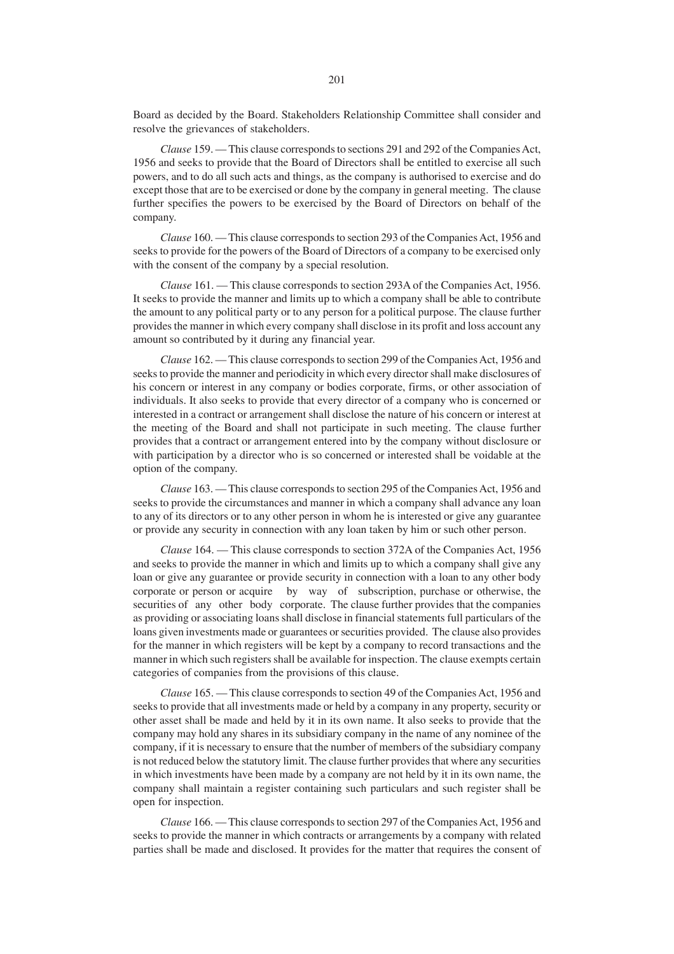Board as decided by the Board. Stakeholders Relationship Committee shall consider and resolve the grievances of stakeholders.

*Clause* 159. — This clause corresponds to sections 291 and 292 of the Companies Act, 1956 and seeks to provide that the Board of Directors shall be entitled to exercise all such powers, and to do all such acts and things, as the company is authorised to exercise and do except those that are to be exercised or done by the company in general meeting. The clause further specifies the powers to be exercised by the Board of Directors on behalf of the company.

*Clause* 160. — This clause corresponds to section 293 of the Companies Act, 1956 and seeks to provide for the powers of the Board of Directors of a company to be exercised only with the consent of the company by a special resolution.

*Clause* 161. — This clause corresponds to section 293A of the Companies Act, 1956. It seeks to provide the manner and limits up to which a company shall be able to contribute the amount to any political party or to any person for a political purpose. The clause further provides the manner in which every company shall disclose in its profit and loss account any amount so contributed by it during any financial year.

*Clause* 162. — This clause corresponds to section 299 of the Companies Act, 1956 and seeks to provide the manner and periodicity in which every director shall make disclosures of his concern or interest in any company or bodies corporate, firms, or other association of individuals. It also seeks to provide that every director of a company who is concerned or interested in a contract or arrangement shall disclose the nature of his concern or interest at the meeting of the Board and shall not participate in such meeting. The clause further provides that a contract or arrangement entered into by the company without disclosure or with participation by a director who is so concerned or interested shall be voidable at the option of the company.

*Clause* 163. — This clause corresponds to section 295 of the Companies Act, 1956 and seeks to provide the circumstances and manner in which a company shall advance any loan to any of its directors or to any other person in whom he is interested or give any guarantee or provide any security in connection with any loan taken by him or such other person.

*Clause* 164. — This clause corresponds to section 372A of the Companies Act, 1956 and seeks to provide the manner in which and limits up to which a company shall give any loan or give any guarantee or provide security in connection with a loan to any other body corporate or person or acquire by way of subscription, purchase or otherwise, the securities of any other body corporate. The clause further provides that the companies as providing or associating loans shall disclose in financial statements full particulars of the loans given investments made or guarantees or securities provided. The clause also provides for the manner in which registers will be kept by a company to record transactions and the manner in which such registers shall be available for inspection. The clause exempts certain categories of companies from the provisions of this clause.

*Clause* 165. — This clause corresponds to section 49 of the Companies Act, 1956 and seeks to provide that all investments made or held by a company in any property, security or other asset shall be made and held by it in its own name. It also seeks to provide that the company may hold any shares in its subsidiary company in the name of any nominee of the company, if it is necessary to ensure that the number of members of the subsidiary company is not reduced below the statutory limit. The clause further provides that where any securities in which investments have been made by a company are not held by it in its own name, the company shall maintain a register containing such particulars and such register shall be open for inspection.

*Clause* 166. — This clause corresponds to section 297 of the Companies Act, 1956 and seeks to provide the manner in which contracts or arrangements by a company with related parties shall be made and disclosed. It provides for the matter that requires the consent of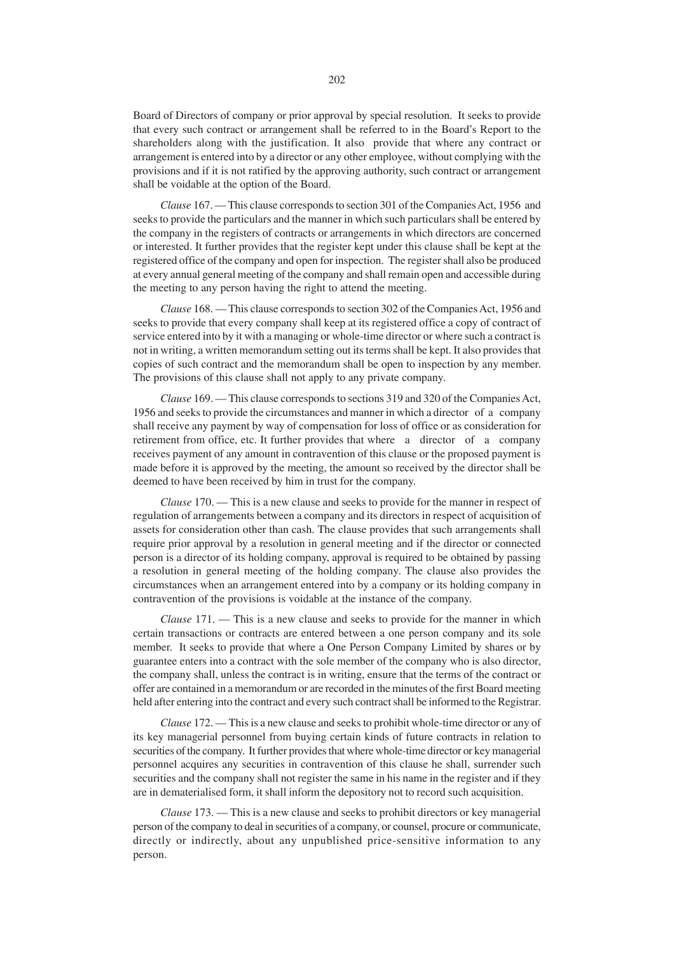Board of Directors of company or prior approval by special resolution. It seeks to provide that every such contract or arrangement shall be referred to in the Board's Report to the shareholders along with the justification. It also provide that where any contract or arrangement is entered into by a director or any other employee, without complying with the provisions and if it is not ratified by the approving authority, such contract or arrangement shall be voidable at the option of the Board.

*Clause* 167. — This clause corresponds to section 301 of the Companies Act, 1956 and seeks to provide the particulars and the manner in which such particulars shall be entered by the company in the registers of contracts or arrangements in which directors are concerned or interested. It further provides that the register kept under this clause shall be kept at the registered office of the company and open for inspection. The register shall also be produced at every annual general meeting of the company and shall remain open and accessible during the meeting to any person having the right to attend the meeting.

*Clause* 168. — This clause corresponds to section 302 of the Companies Act, 1956 and seeks to provide that every company shall keep at its registered office a copy of contract of service entered into by it with a managing or whole-time director or where such a contract is not in writing, a written memorandum setting out its terms shall be kept. It also provides that copies of such contract and the memorandum shall be open to inspection by any member. The provisions of this clause shall not apply to any private company.

*Clause* 169. — This clause corresponds to sections 319 and 320 of the Companies Act, 1956 and seeks to provide the circumstances and manner in which a director of a company shall receive any payment by way of compensation for loss of office or as consideration for retirement from office, etc. It further provides that where a director of a company receives payment of any amount in contravention of this clause or the proposed payment is made before it is approved by the meeting, the amount so received by the director shall be deemed to have been received by him in trust for the company.

*Clause* 170. — This is a new clause and seeks to provide for the manner in respect of regulation of arrangements between a company and its directors in respect of acquisition of assets for consideration other than cash. The clause provides that such arrangements shall require prior approval by a resolution in general meeting and if the director or connected person is a director of its holding company, approval is required to be obtained by passing a resolution in general meeting of the holding company. The clause also provides the circumstances when an arrangement entered into by a company or its holding company in contravention of the provisions is voidable at the instance of the company.

*Clause* 171. — This is a new clause and seeks to provide for the manner in which certain transactions or contracts are entered between a one person company and its sole member. It seeks to provide that where a One Person Company Limited by shares or by guarantee enters into a contract with the sole member of the company who is also director, the company shall, unless the contract is in writing, ensure that the terms of the contract or offer are contained in a memorandum or are recorded in the minutes of the first Board meeting held after entering into the contract and every such contract shall be informed to the Registrar.

*Clause* 172. — This is a new clause and seeks to prohibit whole-time director or any of its key managerial personnel from buying certain kinds of future contracts in relation to securities of the company. It further provides that where whole-time director or key managerial personnel acquires any securities in contravention of this clause he shall, surrender such securities and the company shall not register the same in his name in the register and if they are in dematerialised form, it shall inform the depository not to record such acquisition.

*Clause* 173. — This is a new clause and seeks to prohibit directors or key managerial person of the company to deal in securities of a company, or counsel, procure or communicate, directly or indirectly, about any unpublished price-sensitive information to any person.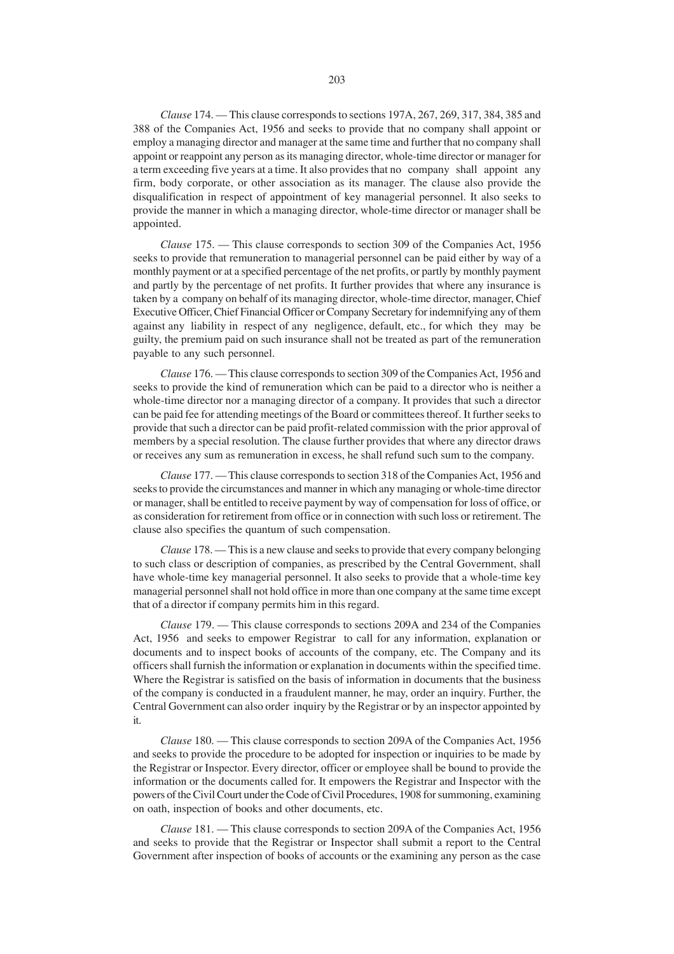*Clause* 174. — This clause corresponds to sections 197A, 267, 269, 317, 384, 385 and 388 of the Companies Act, 1956 and seeks to provide that no company shall appoint or employ a managing director and manager at the same time and further that no company shall appoint or reappoint any person as its managing director, whole-time director or manager for a term exceeding five years at a time. It also provides that no company shall appoint any firm, body corporate, or other association as its manager. The clause also provide the disqualification in respect of appointment of key managerial personnel. It also seeks to provide the manner in which a managing director, whole-time director or manager shall be appointed.

*Clause* 175. — This clause corresponds to section 309 of the Companies Act, 1956 seeks to provide that remuneration to managerial personnel can be paid either by way of a monthly payment or at a specified percentage of the net profits, or partly by monthly payment and partly by the percentage of net profits. It further provides that where any insurance is taken by a company on behalf of its managing director, whole-time director, manager, Chief Executive Officer, Chief Financial Officer or Company Secretary for indemnifying any of them against any liability in respect of any negligence, default, etc., for which they may be guilty, the premium paid on such insurance shall not be treated as part of the remuneration payable to any such personnel.

*Clause* 176. — This clause corresponds to section 309 of the Companies Act, 1956 and seeks to provide the kind of remuneration which can be paid to a director who is neither a whole-time director nor a managing director of a company. It provides that such a director can be paid fee for attending meetings of the Board or committees thereof. It further seeks to provide that such a director can be paid profit-related commission with the prior approval of members by a special resolution. The clause further provides that where any director draws or receives any sum as remuneration in excess, he shall refund such sum to the company.

*Clause* 177. — This clause corresponds to section 318 of the Companies Act, 1956 and seeks to provide the circumstances and manner in which any managing or whole-time director or manager, shall be entitled to receive payment by way of compensation for loss of office, or as consideration for retirement from office or in connection with such loss or retirement. The clause also specifies the quantum of such compensation.

*Clause* 178. — This is a new clause and seeks to provide that every company belonging to such class or description of companies, as prescribed by the Central Government, shall have whole-time key managerial personnel. It also seeks to provide that a whole-time key managerial personnel shall not hold office in more than one company at the same time except that of a director if company permits him in this regard.

*Clause* 179. — This clause corresponds to sections 209A and 234 of the Companies Act, 1956 and seeks to empower Registrar to call for any information, explanation or documents and to inspect books of accounts of the company, etc. The Company and its officers shall furnish the information or explanation in documents within the specified time. Where the Registrar is satisfied on the basis of information in documents that the business of the company is conducted in a fraudulent manner, he may, order an inquiry. Further, the Central Government can also order inquiry by the Registrar or by an inspector appointed by it.

*Clause* 180. — This clause corresponds to section 209A of the Companies Act, 1956 and seeks to provide the procedure to be adopted for inspection or inquiries to be made by the Registrar or Inspector. Every director, officer or employee shall be bound to provide the information or the documents called for. It empowers the Registrar and Inspector with the powers of the Civil Court under the Code of Civil Procedures, 1908 for summoning, examining on oath, inspection of books and other documents, etc.

*Clause* 181. — This clause corresponds to section 209A of the Companies Act, 1956 and seeks to provide that the Registrar or Inspector shall submit a report to the Central Government after inspection of books of accounts or the examining any person as the case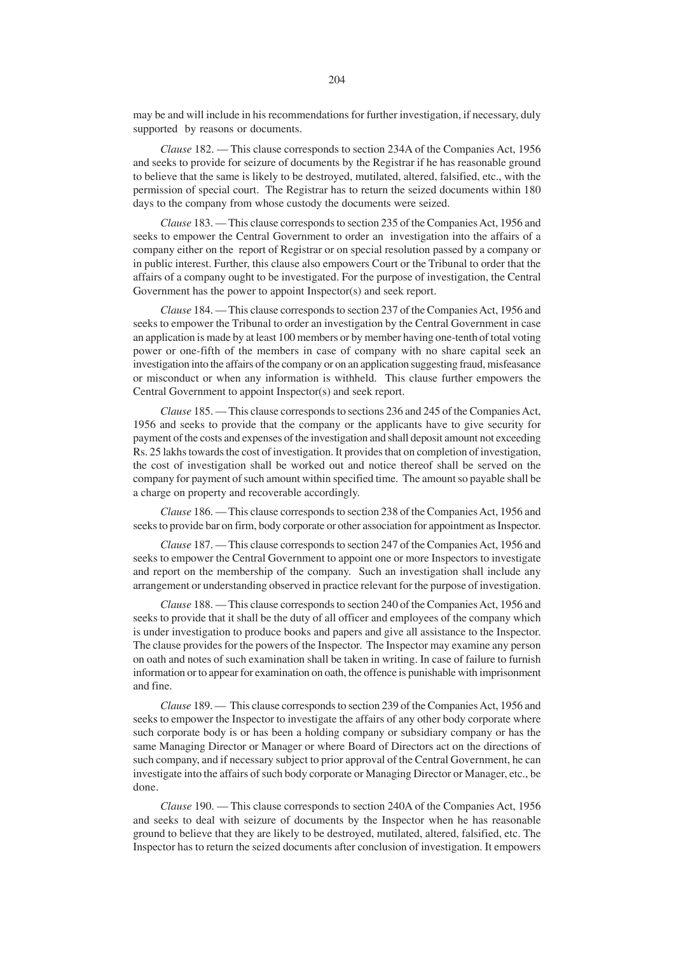may be and will include in his recommendations for further investigation, if necessary, duly supported by reasons or documents.

*Clause* 182. — This clause corresponds to section 234A of the Companies Act, 1956 and seeks to provide for seizure of documents by the Registrar if he has reasonable ground to believe that the same is likely to be destroyed, mutilated, altered, falsified, etc., with the permission of special court. The Registrar has to return the seized documents within 180 days to the company from whose custody the documents were seized.

*Clause* 183. — This clause corresponds to section 235 of the Companies Act, 1956 and seeks to empower the Central Government to order an investigation into the affairs of a company either on the report of Registrar or on special resolution passed by a company or in public interest. Further, this clause also empowers Court or the Tribunal to order that the affairs of a company ought to be investigated. For the purpose of investigation, the Central Government has the power to appoint Inspector(s) and seek report.

*Clause* 184. — This clause corresponds to section 237 of the Companies Act, 1956 and seeks to empower the Tribunal to order an investigation by the Central Government in case an application is made by at least 100 members or by member having one-tenth of total voting power or one-fifth of the members in case of company with no share capital seek an investigation into the affairs of the company or on an application suggesting fraud, misfeasance or misconduct or when any information is withheld. This clause further empowers the Central Government to appoint Inspector(s) and seek report.

*Clause* 185. — This clause corresponds to sections 236 and 245 of the Companies Act, 1956 and seeks to provide that the company or the applicants have to give security for payment of the costs and expenses of the investigation and shall deposit amount not exceeding Rs. 25 lakhs towards the cost of investigation. It provides that on completion of investigation, the cost of investigation shall be worked out and notice thereof shall be served on the company for payment of such amount within specified time. The amount so payable shall be a charge on property and recoverable accordingly.

*Clause* 186. — This clause corresponds to section 238 of the Companies Act, 1956 and seeks to provide bar on firm, body corporate or other association for appointment as Inspector.

*Clause* 187. — This clause corresponds to section 247 of the Companies Act, 1956 and seeks to empower the Central Government to appoint one or more Inspectors to investigate and report on the membership of the company. Such an investigation shall include any arrangement or understanding observed in practice relevant for the purpose of investigation.

*Clause* 188. — This clause corresponds to section 240 of the Companies Act, 1956 and seeks to provide that it shall be the duty of all officer and employees of the company which is under investigation to produce books and papers and give all assistance to the Inspector. The clause provides for the powers of the Inspector. The Inspector may examine any person on oath and notes of such examination shall be taken in writing. In case of failure to furnish information or to appear for examination on oath, the offence is punishable with imprisonment and fine.

*Clause* 189. — This clause corresponds to section 239 of the Companies Act, 1956 and seeks to empower the Inspector to investigate the affairs of any other body corporate where such corporate body is or has been a holding company or subsidiary company or has the same Managing Director or Manager or where Board of Directors act on the directions of such company, and if necessary subject to prior approval of the Central Government, he can investigate into the affairs of such body corporate or Managing Director or Manager, etc., be done.

*Clause* 190. — This clause corresponds to section 240A of the Companies Act, 1956 and seeks to deal with seizure of documents by the Inspector when he has reasonable ground to believe that they are likely to be destroyed, mutilated, altered, falsified, etc. The Inspector has to return the seized documents after conclusion of investigation. It empowers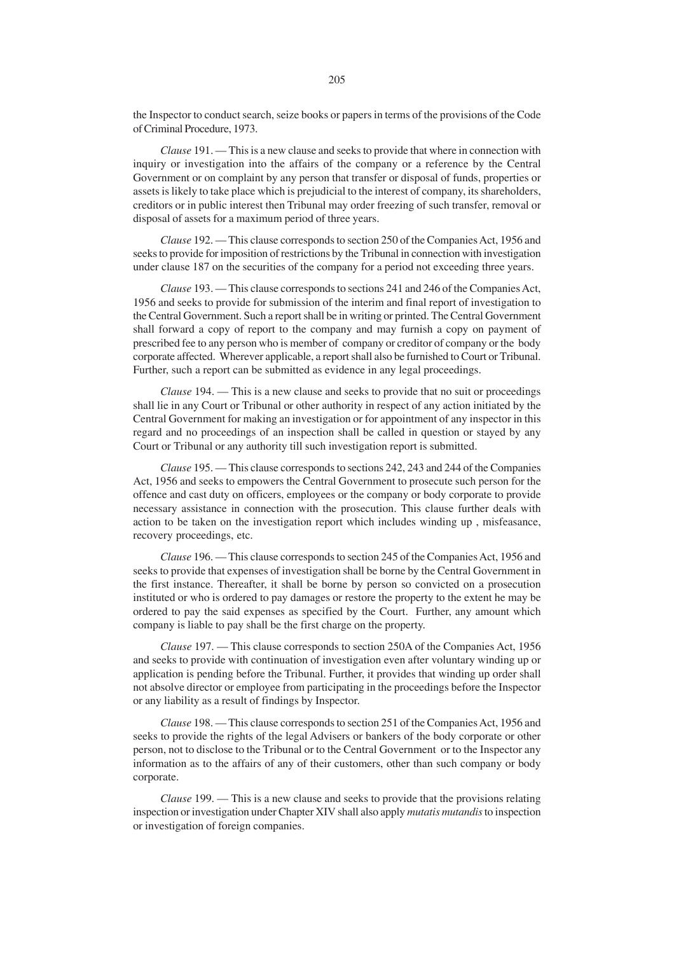the Inspector to conduct search, seize books or papers in terms of the provisions of the Code of Criminal Procedure, 1973.

*Clause* 191. — This is a new clause and seeks to provide that where in connection with inquiry or investigation into the affairs of the company or a reference by the Central Government or on complaint by any person that transfer or disposal of funds, properties or assets is likely to take place which is prejudicial to the interest of company, its shareholders, creditors or in public interest then Tribunal may order freezing of such transfer, removal or disposal of assets for a maximum period of three years.

*Clause* 192. — This clause corresponds to section 250 of the Companies Act, 1956 and seeks to provide for imposition of restrictions by the Tribunal in connection with investigation under clause 187 on the securities of the company for a period not exceeding three years.

*Clause* 193. — This clause corresponds to sections 241 and 246 of the Companies Act, 1956 and seeks to provide for submission of the interim and final report of investigation to the Central Government. Such a report shall be in writing or printed. The Central Government shall forward a copy of report to the company and may furnish a copy on payment of prescribed fee to any person who is member of company or creditor of company or the body corporate affected. Wherever applicable, a report shall also be furnished to Court or Tribunal. Further, such a report can be submitted as evidence in any legal proceedings.

*Clause* 194. — This is a new clause and seeks to provide that no suit or proceedings shall lie in any Court or Tribunal or other authority in respect of any action initiated by the Central Government for making an investigation or for appointment of any inspector in this regard and no proceedings of an inspection shall be called in question or stayed by any Court or Tribunal or any authority till such investigation report is submitted.

*Clause* 195. — This clause corresponds to sections 242, 243 and 244 of the Companies Act, 1956 and seeks to empowers the Central Government to prosecute such person for the offence and cast duty on officers, employees or the company or body corporate to provide necessary assistance in connection with the prosecution. This clause further deals with action to be taken on the investigation report which includes winding up , misfeasance, recovery proceedings, etc.

*Clause* 196. — This clause corresponds to section 245 of the Companies Act, 1956 and seeks to provide that expenses of investigation shall be borne by the Central Government in the first instance. Thereafter, it shall be borne by person so convicted on a prosecution instituted or who is ordered to pay damages or restore the property to the extent he may be ordered to pay the said expenses as specified by the Court. Further, any amount which company is liable to pay shall be the first charge on the property.

*Clause* 197. — This clause corresponds to section 250A of the Companies Act, 1956 and seeks to provide with continuation of investigation even after voluntary winding up or application is pending before the Tribunal. Further, it provides that winding up order shall not absolve director or employee from participating in the proceedings before the Inspector or any liability as a result of findings by Inspector.

*Clause* 198. — This clause corresponds to section 251 of the Companies Act, 1956 and seeks to provide the rights of the legal Advisers or bankers of the body corporate or other person, not to disclose to the Tribunal or to the Central Government or to the Inspector any information as to the affairs of any of their customers, other than such company or body corporate.

*Clause* 199. — This is a new clause and seeks to provide that the provisions relating inspection or investigation under Chapter XIV shall also apply *mutatis mutandis* to inspection or investigation of foreign companies.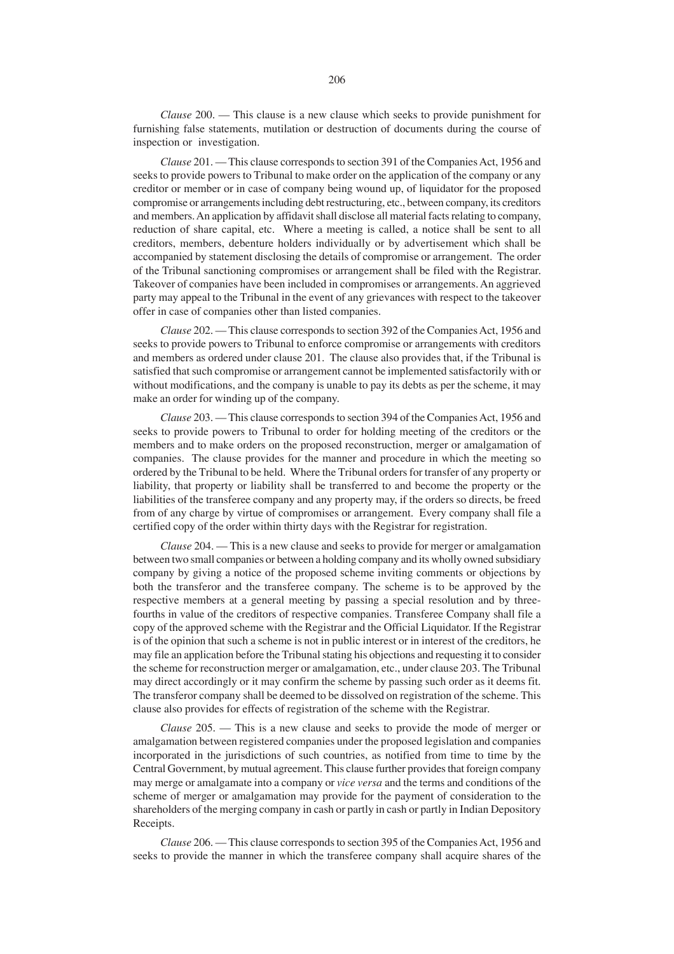*Clause* 200. — This clause is a new clause which seeks to provide punishment for furnishing false statements, mutilation or destruction of documents during the course of inspection or investigation.

*Clause* 201. — This clause corresponds to section 391 of the Companies Act, 1956 and seeks to provide powers to Tribunal to make order on the application of the company or any creditor or member or in case of company being wound up, of liquidator for the proposed compromise or arrangements including debt restructuring, etc., between company, its creditors and members. An application by affidavit shall disclose all material facts relating to company, reduction of share capital, etc. Where a meeting is called, a notice shall be sent to all creditors, members, debenture holders individually or by advertisement which shall be accompanied by statement disclosing the details of compromise or arrangement. The order of the Tribunal sanctioning compromises or arrangement shall be filed with the Registrar. Takeover of companies have been included in compromises or arrangements. An aggrieved party may appeal to the Tribunal in the event of any grievances with respect to the takeover offer in case of companies other than listed companies.

*Clause* 202. — This clause corresponds to section 392 of the Companies Act, 1956 and seeks to provide powers to Tribunal to enforce compromise or arrangements with creditors and members as ordered under clause 201. The clause also provides that, if the Tribunal is satisfied that such compromise or arrangement cannot be implemented satisfactorily with or without modifications, and the company is unable to pay its debts as per the scheme, it may make an order for winding up of the company.

*Clause* 203. — This clause corresponds to section 394 of the Companies Act, 1956 and seeks to provide powers to Tribunal to order for holding meeting of the creditors or the members and to make orders on the proposed reconstruction, merger or amalgamation of companies. The clause provides for the manner and procedure in which the meeting so ordered by the Tribunal to be held. Where the Tribunal orders for transfer of any property or liability, that property or liability shall be transferred to and become the property or the liabilities of the transferee company and any property may, if the orders so directs, be freed from of any charge by virtue of compromises or arrangement. Every company shall file a certified copy of the order within thirty days with the Registrar for registration.

*Clause* 204. — This is a new clause and seeks to provide for merger or amalgamation between two small companies or between a holding company and its wholly owned subsidiary company by giving a notice of the proposed scheme inviting comments or objections by both the transferor and the transferee company. The scheme is to be approved by the respective members at a general meeting by passing a special resolution and by threefourths in value of the creditors of respective companies. Transferee Company shall file a copy of the approved scheme with the Registrar and the Official Liquidator. If the Registrar is of the opinion that such a scheme is not in public interest or in interest of the creditors, he may file an application before the Tribunal stating his objections and requesting it to consider the scheme for reconstruction merger or amalgamation, etc., under clause 203. The Tribunal may direct accordingly or it may confirm the scheme by passing such order as it deems fit. The transferor company shall be deemed to be dissolved on registration of the scheme. This clause also provides for effects of registration of the scheme with the Registrar.

*Clause* 205. — This is a new clause and seeks to provide the mode of merger or amalgamation between registered companies under the proposed legislation and companies incorporated in the jurisdictions of such countries, as notified from time to time by the Central Government, by mutual agreement. This clause further provides that foreign company may merge or amalgamate into a company or *vice versa* and the terms and conditions of the scheme of merger or amalgamation may provide for the payment of consideration to the shareholders of the merging company in cash or partly in cash or partly in Indian Depository Receipts.

*Clause* 206. — This clause corresponds to section 395 of the Companies Act, 1956 and seeks to provide the manner in which the transferee company shall acquire shares of the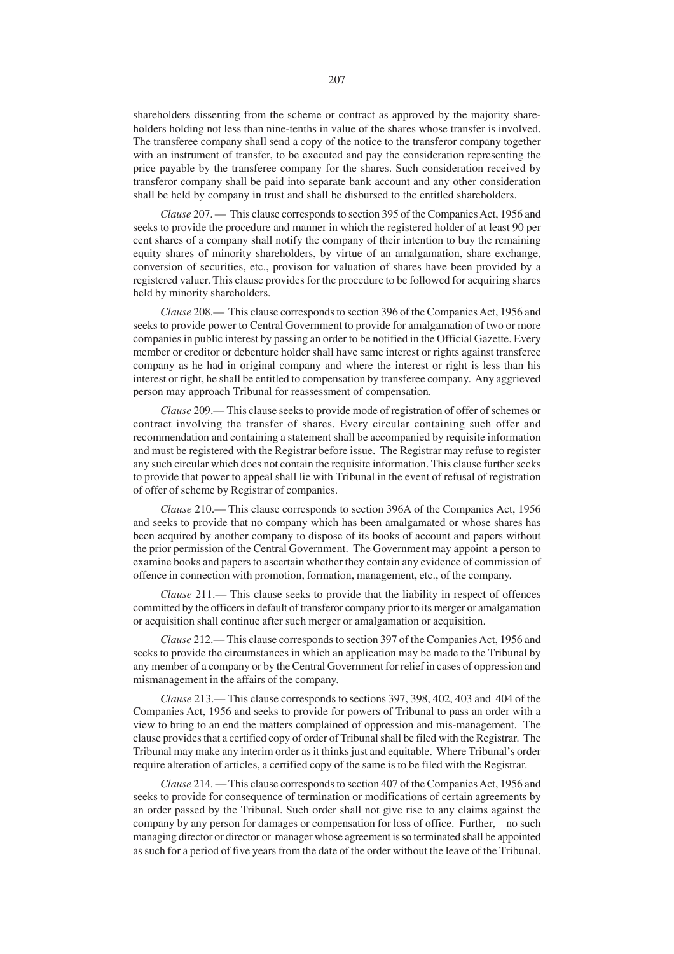shareholders dissenting from the scheme or contract as approved by the majority shareholders holding not less than nine-tenths in value of the shares whose transfer is involved. The transferee company shall send a copy of the notice to the transferor company together with an instrument of transfer, to be executed and pay the consideration representing the price payable by the transferee company for the shares. Such consideration received by transferor company shall be paid into separate bank account and any other consideration shall be held by company in trust and shall be disbursed to the entitled shareholders.

*Clause* 207. — This clause corresponds to section 395 of the Companies Act, 1956 and seeks to provide the procedure and manner in which the registered holder of at least 90 per cent shares of a company shall notify the company of their intention to buy the remaining equity shares of minority shareholders, by virtue of an amalgamation, share exchange, conversion of securities, etc., provison for valuation of shares have been provided by a registered valuer. This clause provides for the procedure to be followed for acquiring shares held by minority shareholders.

*Clause* 208.— This clause corresponds to section 396 of the Companies Act, 1956 and seeks to provide power to Central Government to provide for amalgamation of two or more companies in public interest by passing an order to be notified in the Official Gazette. Every member or creditor or debenture holder shall have same interest or rights against transferee company as he had in original company and where the interest or right is less than his interest or right, he shall be entitled to compensation by transferee company. Any aggrieved person may approach Tribunal for reassessment of compensation.

*Clause* 209.— This clause seeks to provide mode of registration of offer of schemes or contract involving the transfer of shares. Every circular containing such offer and recommendation and containing a statement shall be accompanied by requisite information and must be registered with the Registrar before issue. The Registrar may refuse to register any such circular which does not contain the requisite information. This clause further seeks to provide that power to appeal shall lie with Tribunal in the event of refusal of registration of offer of scheme by Registrar of companies.

*Clause* 210.— This clause corresponds to section 396A of the Companies Act, 1956 and seeks to provide that no company which has been amalgamated or whose shares has been acquired by another company to dispose of its books of account and papers without the prior permission of the Central Government. The Government may appoint a person to examine books and papers to ascertain whether they contain any evidence of commission of offence in connection with promotion, formation, management, etc., of the company.

*Clause* 211.— This clause seeks to provide that the liability in respect of offences committed by the officers in default of transferor company prior to its merger or amalgamation or acquisition shall continue after such merger or amalgamation or acquisition.

*Clause* 212.— This clause corresponds to section 397 of the Companies Act, 1956 and seeks to provide the circumstances in which an application may be made to the Tribunal by any member of a company or by the Central Government for relief in cases of oppression and mismanagement in the affairs of the company.

*Clause* 213.— This clause corresponds to sections 397, 398, 402, 403 and 404 of the Companies Act, 1956 and seeks to provide for powers of Tribunal to pass an order with a view to bring to an end the matters complained of oppression and mis-management. The clause provides that a certified copy of order of Tribunal shall be filed with the Registrar. The Tribunal may make any interim order as it thinks just and equitable. Where Tribunal's order require alteration of articles, a certified copy of the same is to be filed with the Registrar.

*Clause* 214. — This clause corresponds to section 407 of the Companies Act, 1956 and seeks to provide for consequence of termination or modifications of certain agreements by an order passed by the Tribunal. Such order shall not give rise to any claims against the company by any person for damages or compensation for loss of office. Further, no such managing director or director or manager whose agreement is so terminated shall be appointed as such for a period of five years from the date of the order without the leave of the Tribunal.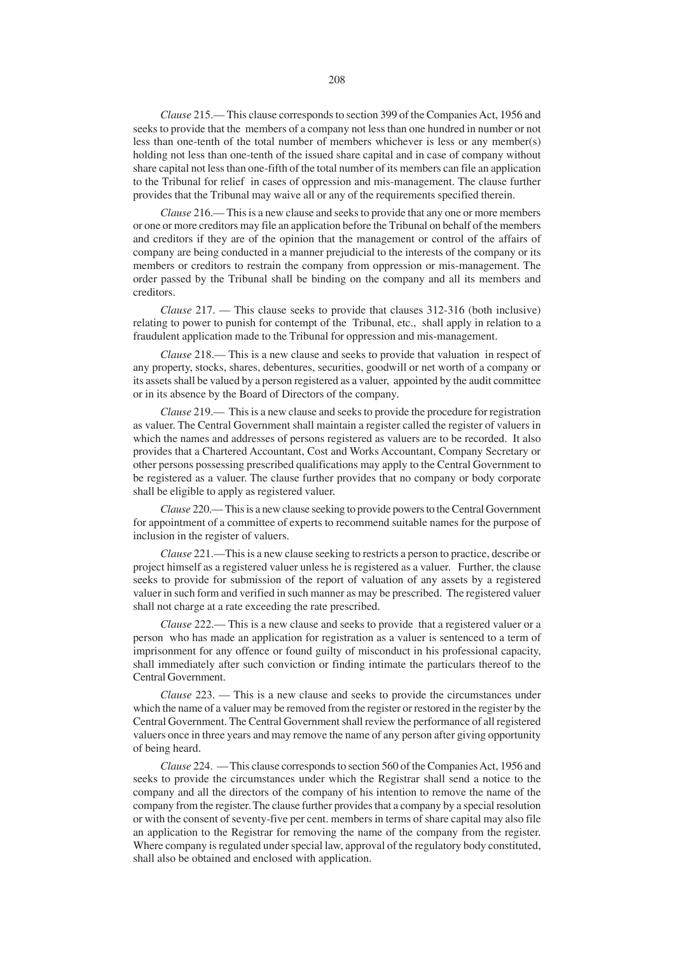*Clause* 215.— This clause corresponds to section 399 of the Companies Act, 1956 and seeks to provide that the members of a company not less than one hundred in number or not less than one-tenth of the total number of members whichever is less or any member(s) holding not less than one-tenth of the issued share capital and in case of company without share capital not less than one-fifth of the total number of its members can file an application to the Tribunal for relief in cases of oppression and mis-management. The clause further provides that the Tribunal may waive all or any of the requirements specified therein.

*Clause* 216.— This is a new clause and seeks to provide that any one or more members or one or more creditors may file an application before the Tribunal on behalf of the members and creditors if they are of the opinion that the management or control of the affairs of company are being conducted in a manner prejudicial to the interests of the company or its members or creditors to restrain the company from oppression or mis-management. The order passed by the Tribunal shall be binding on the company and all its members and creditors.

*Clause* 217. — This clause seeks to provide that clauses 312-316 (both inclusive) relating to power to punish for contempt of the Tribunal, etc., shall apply in relation to a fraudulent application made to the Tribunal for oppression and mis-management.

*Clause* 218.— This is a new clause and seeks to provide that valuation in respect of any property, stocks, shares, debentures, securities, goodwill or net worth of a company or its assets shall be valued by a person registered as a valuer, appointed by the audit committee or in its absence by the Board of Directors of the company.

*Clause* 219.— This is a new clause and seeks to provide the procedure for registration as valuer. The Central Government shall maintain a register called the register of valuers in which the names and addresses of persons registered as valuers are to be recorded. It also provides that a Chartered Accountant, Cost and Works Accountant, Company Secretary or other persons possessing prescribed qualifications may apply to the Central Government to be registered as a valuer. The clause further provides that no company or body corporate shall be eligible to apply as registered valuer.

*Clause* 220.— This is a new clause seeking to provide powers to the Central Government for appointment of a committee of experts to recommend suitable names for the purpose of inclusion in the register of valuers.

*Clause* 221.—This is a new clause seeking to restricts a person to practice, describe or project himself as a registered valuer unless he is registered as a valuer. Further, the clause seeks to provide for submission of the report of valuation of any assets by a registered valuer in such form and verified in such manner as may be prescribed. The registered valuer shall not charge at a rate exceeding the rate prescribed.

*Clause* 222.— This is a new clause and seeks to provide that a registered valuer or a person who has made an application for registration as a valuer is sentenced to a term of imprisonment for any offence or found guilty of misconduct in his professional capacity, shall immediately after such conviction or finding intimate the particulars thereof to the Central Government.

*Clause* 223. — This is a new clause and seeks to provide the circumstances under which the name of a valuer may be removed from the register or restored in the register by the Central Government. The Central Government shall review the performance of all registered valuers once in three years and may remove the name of any person after giving opportunity of being heard.

*Clause* 224. — This clause corresponds to section 560 of the Companies Act, 1956 and seeks to provide the circumstances under which the Registrar shall send a notice to the company and all the directors of the company of his intention to remove the name of the company from the register. The clause further provides that a company by a special resolution or with the consent of seventy-five per cent. members in terms of share capital may also file an application to the Registrar for removing the name of the company from the register. Where company is regulated under special law, approval of the regulatory body constituted, shall also be obtained and enclosed with application.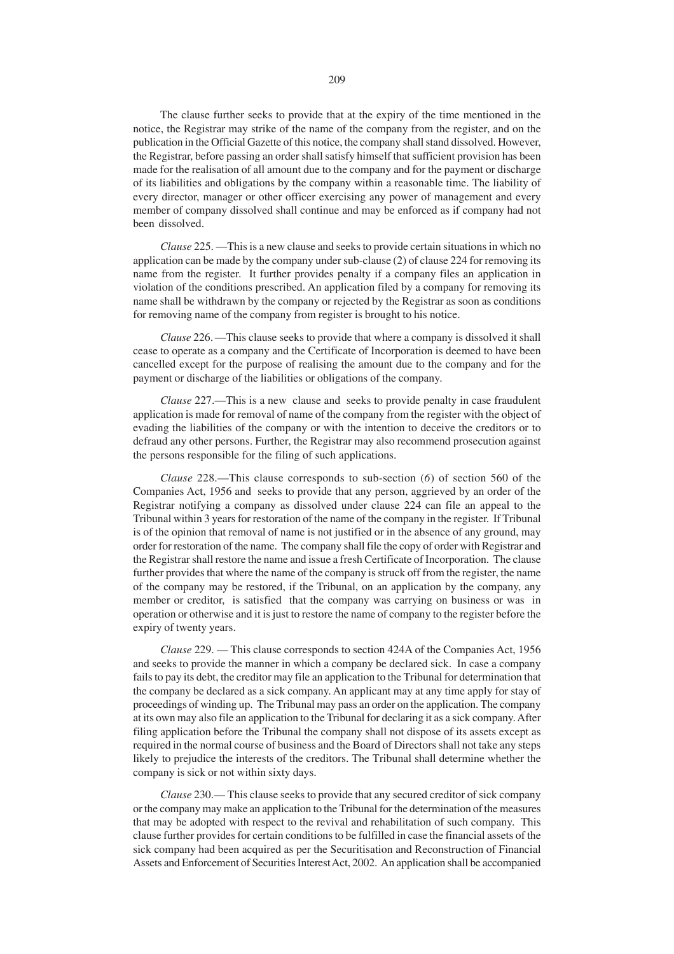The clause further seeks to provide that at the expiry of the time mentioned in the notice, the Registrar may strike of the name of the company from the register, and on the publication in the Official Gazette of this notice, the company shall stand dissolved. However, the Registrar, before passing an order shall satisfy himself that sufficient provision has been made for the realisation of all amount due to the company and for the payment or discharge of its liabilities and obligations by the company within a reasonable time. The liability of every director, manager or other officer exercising any power of management and every member of company dissolved shall continue and may be enforced as if company had not been dissolved.

*Clause* 225. —This is a new clause and seeks to provide certain situations in which no application can be made by the company under sub-clause (2) of clause 224 for removing its name from the register. It further provides penalty if a company files an application in violation of the conditions prescribed. An application filed by a company for removing its name shall be withdrawn by the company or rejected by the Registrar as soon as conditions for removing name of the company from register is brought to his notice.

*Clause* 226. —This clause seeks to provide that where a company is dissolved it shall cease to operate as a company and the Certificate of Incorporation is deemed to have been cancelled except for the purpose of realising the amount due to the company and for the payment or discharge of the liabilities or obligations of the company.

*Clause* 227.—This is a new clause and seeks to provide penalty in case fraudulent application is made for removal of name of the company from the register with the object of evading the liabilities of the company or with the intention to deceive the creditors or to defraud any other persons. Further, the Registrar may also recommend prosecution against the persons responsible for the filing of such applications.

*Clause* 228.—This clause corresponds to sub-section (*6*) of section 560 of the Companies Act, 1956 and seeks to provide that any person, aggrieved by an order of the Registrar notifying a company as dissolved under clause 224 can file an appeal to the Tribunal within 3 years for restoration of the name of the company in the register. If Tribunal is of the opinion that removal of name is not justified or in the absence of any ground, may order for restoration of the name. The company shall file the copy of order with Registrar and the Registrar shall restore the name and issue a fresh Certificate of Incorporation. The clause further provides that where the name of the company is struck off from the register, the name of the company may be restored, if the Tribunal, on an application by the company, any member or creditor, is satisfied that the company was carrying on business or was in operation or otherwise and it is just to restore the name of company to the register before the expiry of twenty years.

*Clause* 229. — This clause corresponds to section 424A of the Companies Act, 1956 and seeks to provide the manner in which a company be declared sick. In case a company fails to pay its debt, the creditor may file an application to the Tribunal for determination that the company be declared as a sick company. An applicant may at any time apply for stay of proceedings of winding up. The Tribunal may pass an order on the application. The company at its own may also file an application to the Tribunal for declaring it as a sick company. After filing application before the Tribunal the company shall not dispose of its assets except as required in the normal course of business and the Board of Directors shall not take any steps likely to prejudice the interests of the creditors. The Tribunal shall determine whether the company is sick or not within sixty days.

*Clause* 230.— This clause seeks to provide that any secured creditor of sick company or the company may make an application to the Tribunal for the determination of the measures that may be adopted with respect to the revival and rehabilitation of such company. This clause further provides for certain conditions to be fulfilled in case the financial assets of the sick company had been acquired as per the Securitisation and Reconstruction of Financial Assets and Enforcement of Securities Interest Act, 2002. An application shall be accompanied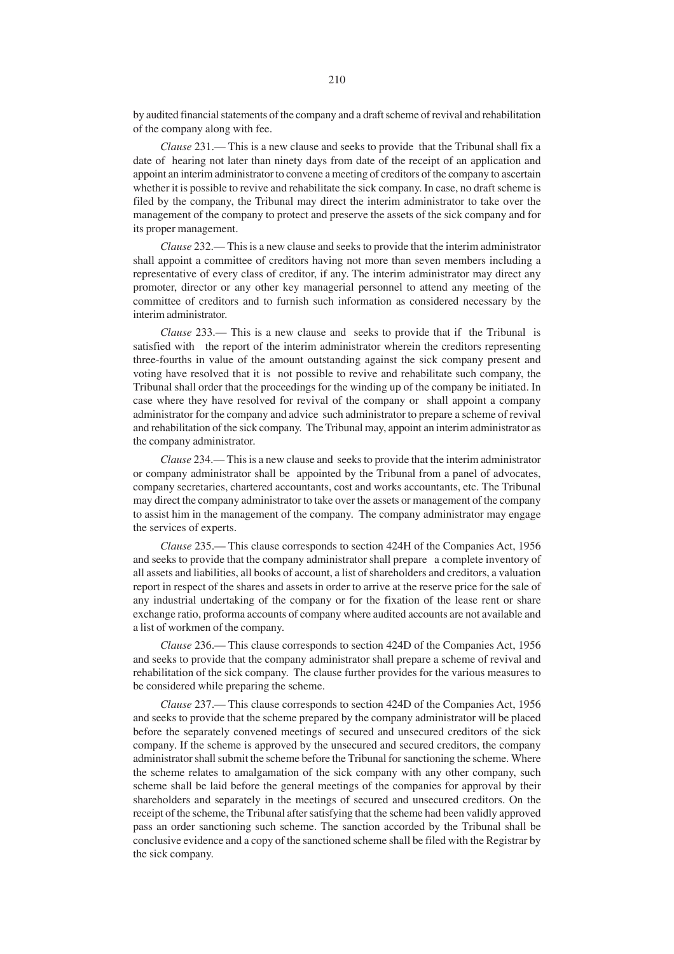by audited financial statements of the company and a draft scheme of revival and rehabilitation of the company along with fee.

*Clause* 231.— This is a new clause and seeks to provide that the Tribunal shall fix a date of hearing not later than ninety days from date of the receipt of an application and appoint an interim administrator to convene a meeting of creditors of the company to ascertain whether it is possible to revive and rehabilitate the sick company. In case, no draft scheme is filed by the company, the Tribunal may direct the interim administrator to take over the management of the company to protect and preserve the assets of the sick company and for its proper management.

*Clause* 232.— This is a new clause and seeks to provide that the interim administrator shall appoint a committee of creditors having not more than seven members including a representative of every class of creditor, if any. The interim administrator may direct any promoter, director or any other key managerial personnel to attend any meeting of the committee of creditors and to furnish such information as considered necessary by the interim administrator.

*Clause* 233.— This is a new clause and seeks to provide that if the Tribunal is satisfied with the report of the interim administrator wherein the creditors representing three-fourths in value of the amount outstanding against the sick company present and voting have resolved that it is not possible to revive and rehabilitate such company, the Tribunal shall order that the proceedings for the winding up of the company be initiated. In case where they have resolved for revival of the company or shall appoint a company administrator for the company and advice such administrator to prepare a scheme of revival and rehabilitation of the sick company. The Tribunal may, appoint an interim administrator as the company administrator.

*Clause* 234.— This is a new clause and seeks to provide that the interim administrator or company administrator shall be appointed by the Tribunal from a panel of advocates, company secretaries, chartered accountants, cost and works accountants, etc. The Tribunal may direct the company administrator to take over the assets or management of the company to assist him in the management of the company. The company administrator may engage the services of experts.

*Clause* 235.— This clause corresponds to section 424H of the Companies Act, 1956 and seeks to provide that the company administrator shall prepare a complete inventory of all assets and liabilities, all books of account, a list of shareholders and creditors, a valuation report in respect of the shares and assets in order to arrive at the reserve price for the sale of any industrial undertaking of the company or for the fixation of the lease rent or share exchange ratio, proforma accounts of company where audited accounts are not available and a list of workmen of the company.

*Clause* 236.— This clause corresponds to section 424D of the Companies Act, 1956 and seeks to provide that the company administrator shall prepare a scheme of revival and rehabilitation of the sick company. The clause further provides for the various measures to be considered while preparing the scheme.

*Clause* 237.— This clause corresponds to section 424D of the Companies Act, 1956 and seeks to provide that the scheme prepared by the company administrator will be placed before the separately convened meetings of secured and unsecured creditors of the sick company. If the scheme is approved by the unsecured and secured creditors, the company administrator shall submit the scheme before the Tribunal for sanctioning the scheme. Where the scheme relates to amalgamation of the sick company with any other company, such scheme shall be laid before the general meetings of the companies for approval by their shareholders and separately in the meetings of secured and unsecured creditors. On the receipt of the scheme, the Tribunal after satisfying that the scheme had been validly approved pass an order sanctioning such scheme. The sanction accorded by the Tribunal shall be conclusive evidence and a copy of the sanctioned scheme shall be filed with the Registrar by the sick company.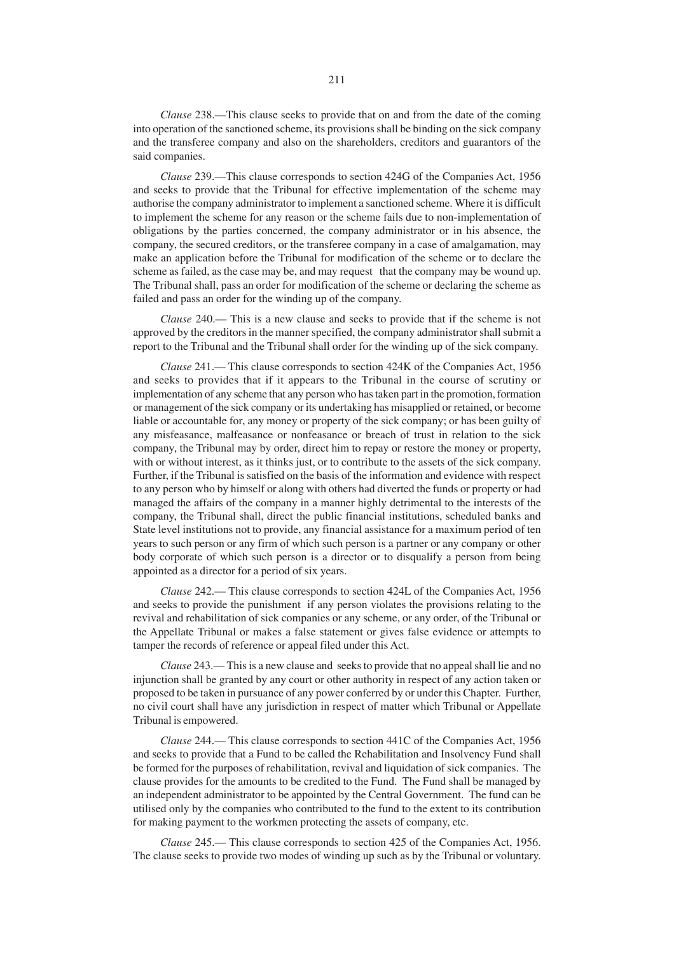*Clause* 238.—This clause seeks to provide that on and from the date of the coming into operation of the sanctioned scheme, its provisions shall be binding on the sick company and the transferee company and also on the shareholders, creditors and guarantors of the said companies.

*Clause* 239.—This clause corresponds to section 424G of the Companies Act, 1956 and seeks to provide that the Tribunal for effective implementation of the scheme may authorise the company administrator to implement a sanctioned scheme. Where it is difficult to implement the scheme for any reason or the scheme fails due to non-implementation of obligations by the parties concerned, the company administrator or in his absence, the company, the secured creditors, or the transferee company in a case of amalgamation, may make an application before the Tribunal for modification of the scheme or to declare the scheme as failed, as the case may be, and may request that the company may be wound up. The Tribunal shall, pass an order for modification of the scheme or declaring the scheme as failed and pass an order for the winding up of the company.

*Clause* 240.— This is a new clause and seeks to provide that if the scheme is not approved by the creditors in the manner specified, the company administrator shall submit a report to the Tribunal and the Tribunal shall order for the winding up of the sick company.

*Clause* 241.— This clause corresponds to section 424K of the Companies Act, 1956 and seeks to provides that if it appears to the Tribunal in the course of scrutiny or implementation of any scheme that any person who has taken part in the promotion, formation or management of the sick company or its undertaking has misapplied or retained, or become liable or accountable for, any money or property of the sick company; or has been guilty of any misfeasance, malfeasance or nonfeasance or breach of trust in relation to the sick company, the Tribunal may by order, direct him to repay or restore the money or property, with or without interest, as it thinks just, or to contribute to the assets of the sick company. Further, if the Tribunal is satisfied on the basis of the information and evidence with respect to any person who by himself or along with others had diverted the funds or property or had managed the affairs of the company in a manner highly detrimental to the interests of the company, the Tribunal shall, direct the public financial institutions, scheduled banks and State level institutions not to provide, any financial assistance for a maximum period of ten years to such person or any firm of which such person is a partner or any company or other body corporate of which such person is a director or to disqualify a person from being appointed as a director for a period of six years.

*Clause* 242.— This clause corresponds to section 424L of the Companies Act, 1956 and seeks to provide the punishment if any person violates the provisions relating to the revival and rehabilitation of sick companies or any scheme, or any order, of the Tribunal or the Appellate Tribunal or makes a false statement or gives false evidence or attempts to tamper the records of reference or appeal filed under this Act.

*Clause* 243.— This is a new clause and seeks to provide that no appeal shall lie and no injunction shall be granted by any court or other authority in respect of any action taken or proposed to be taken in pursuance of any power conferred by or under this Chapter. Further, no civil court shall have any jurisdiction in respect of matter which Tribunal or Appellate Tribunal is empowered.

*Clause* 244.— This clause corresponds to section 441C of the Companies Act, 1956 and seeks to provide that a Fund to be called the Rehabilitation and Insolvency Fund shall be formed for the purposes of rehabilitation, revival and liquidation of sick companies. The clause provides for the amounts to be credited to the Fund. The Fund shall be managed by an independent administrator to be appointed by the Central Government. The fund can be utilised only by the companies who contributed to the fund to the extent to its contribution for making payment to the workmen protecting the assets of company, etc.

*Clause* 245.— This clause corresponds to section 425 of the Companies Act, 1956. The clause seeks to provide two modes of winding up such as by the Tribunal or voluntary.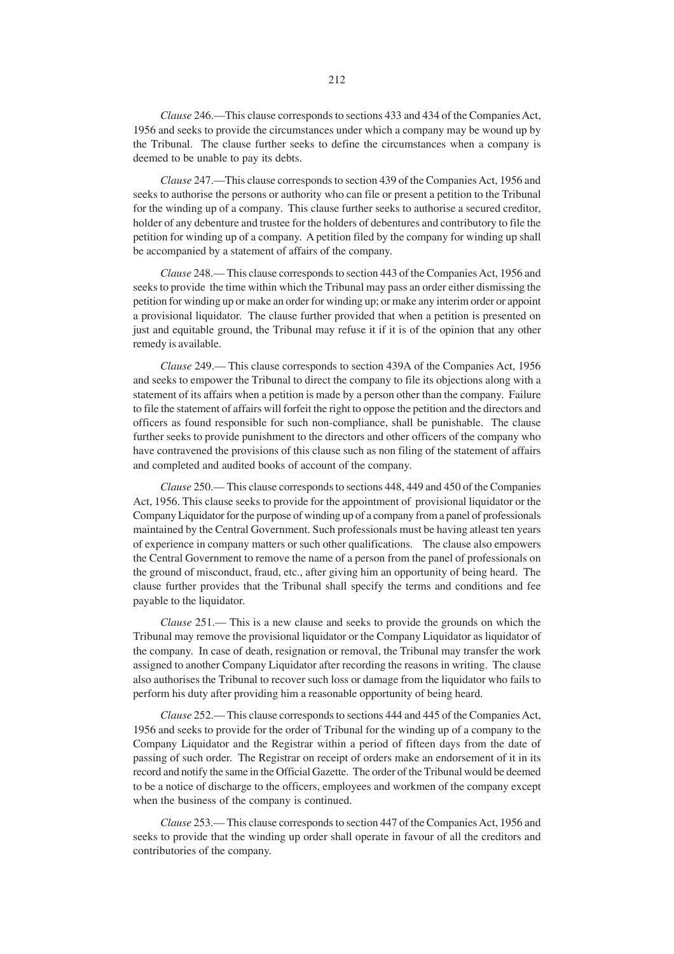*Clause* 247.—This clause corresponds to section 439 of the Companies Act, 1956 and seeks to authorise the persons or authority who can file or present a petition to the Tribunal for the winding up of a company. This clause further seeks to authorise a secured creditor, holder of any debenture and trustee for the holders of debentures and contributory to file the petition for winding up of a company. A petition filed by the company for winding up shall be accompanied by a statement of affairs of the company.

*Clause* 248.— This clause corresponds to section 443 of the Companies Act, 1956 and seeks to provide the time within which the Tribunal may pass an order either dismissing the petition for winding up or make an order for winding up; or make any interim order or appoint a provisional liquidator. The clause further provided that when a petition is presented on just and equitable ground, the Tribunal may refuse it if it is of the opinion that any other remedy is available.

*Clause* 249.— This clause corresponds to section 439A of the Companies Act, 1956 and seeks to empower the Tribunal to direct the company to file its objections along with a statement of its affairs when a petition is made by a person other than the company. Failure to file the statement of affairs will forfeit the right to oppose the petition and the directors and officers as found responsible for such non-compliance, shall be punishable. The clause further seeks to provide punishment to the directors and other officers of the company who have contravened the provisions of this clause such as non filing of the statement of affairs and completed and audited books of account of the company.

*Clause* 250.— This clause corresponds to sections 448, 449 and 450 of the Companies Act, 1956. This clause seeks to provide for the appointment of provisional liquidator or the Company Liquidator for the purpose of winding up of a company from a panel of professionals maintained by the Central Government. Such professionals must be having atleast ten years of experience in company matters or such other qualifications. The clause also empowers the Central Government to remove the name of a person from the panel of professionals on the ground of misconduct, fraud, etc., after giving him an opportunity of being heard. The clause further provides that the Tribunal shall specify the terms and conditions and fee payable to the liquidator.

*Clause* 251.— This is a new clause and seeks to provide the grounds on which the Tribunal may remove the provisional liquidator or the Company Liquidator as liquidator of the company. In case of death, resignation or removal, the Tribunal may transfer the work assigned to another Company Liquidator after recording the reasons in writing. The clause also authorises the Tribunal to recover such loss or damage from the liquidator who fails to perform his duty after providing him a reasonable opportunity of being heard.

*Clause* 252.— This clause corresponds to sections 444 and 445 of the Companies Act, 1956 and seeks to provide for the order of Tribunal for the winding up of a company to the Company Liquidator and the Registrar within a period of fifteen days from the date of passing of such order. The Registrar on receipt of orders make an endorsement of it in its record and notify the same in the Official Gazette. The order of the Tribunal would be deemed to be a notice of discharge to the officers, employees and workmen of the company except when the business of the company is continued.

*Clause* 253.— This clause corresponds to section 447 of the Companies Act, 1956 and seeks to provide that the winding up order shall operate in favour of all the creditors and contributories of the company.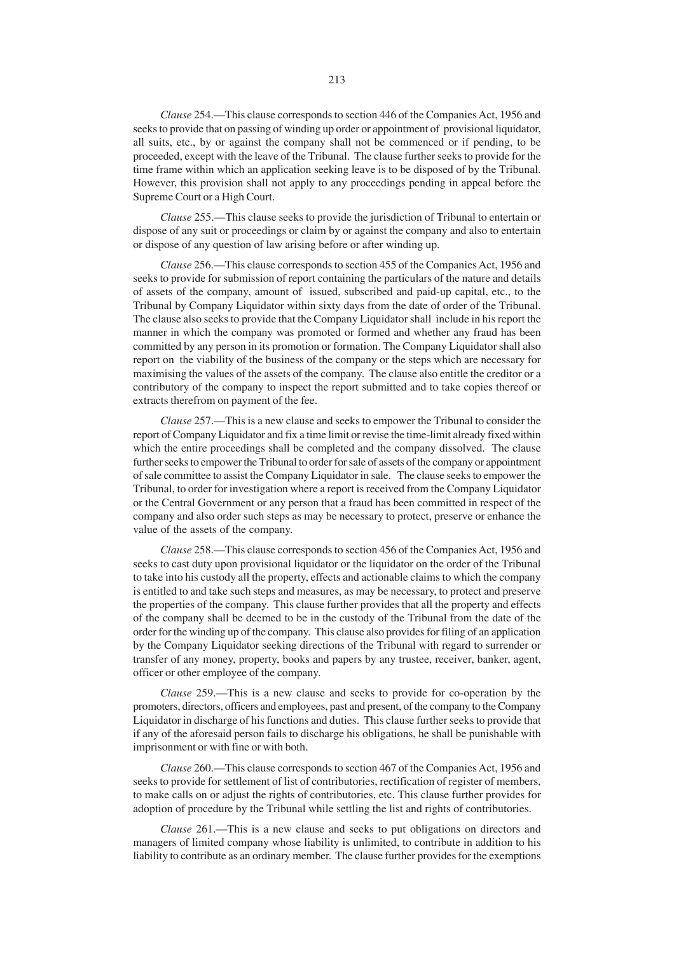*Clause* 254.—This clause corresponds to section 446 of the Companies Act, 1956 and seeks to provide that on passing of winding up order or appointment of provisional liquidator, all suits, etc., by or against the company shall not be commenced or if pending, to be proceeded, except with the leave of the Tribunal. The clause further seeks to provide for the time frame within which an application seeking leave is to be disposed of by the Tribunal. However, this provision shall not apply to any proceedings pending in appeal before the Supreme Court or a High Court.

*Clause* 255.—This clause seeks to provide the jurisdiction of Tribunal to entertain or dispose of any suit or proceedings or claim by or against the company and also to entertain or dispose of any question of law arising before or after winding up.

*Clause* 256.—This clause corresponds to section 455 of the Companies Act, 1956 and seeks to provide for submission of report containing the particulars of the nature and details of assets of the company, amount of issued, subscribed and paid-up capital, etc., to the Tribunal by Company Liquidator within sixty days from the date of order of the Tribunal. The clause also seeks to provide that the Company Liquidator shall include in his report the manner in which the company was promoted or formed and whether any fraud has been committed by any person in its promotion or formation. The Company Liquidator shall also report on the viability of the business of the company or the steps which are necessary for maximising the values of the assets of the company. The clause also entitle the creditor or a contributory of the company to inspect the report submitted and to take copies thereof or extracts therefrom on payment of the fee.

*Clause* 257.—This is a new clause and seeks to empower the Tribunal to consider the report of Company Liquidator and fix a time limit or revise the time-limit already fixed within which the entire proceedings shall be completed and the company dissolved. The clause further seeks to empower the Tribunal to order for sale of assets of the company or appointment of sale committee to assist the Company Liquidator in sale. The clause seeks to empower the Tribunal, to order for investigation where a report is received from the Company Liquidator or the Central Government or any person that a fraud has been committed in respect of the company and also order such steps as may be necessary to protect, preserve or enhance the value of the assets of the company.

*Clause* 258.—This clause corresponds to section 456 of the Companies Act, 1956 and seeks to cast duty upon provisional liquidator or the liquidator on the order of the Tribunal to take into his custody all the property, effects and actionable claims to which the company is entitled to and take such steps and measures, as may be necessary, to protect and preserve the properties of the company. This clause further provides that all the property and effects of the company shall be deemed to be in the custody of the Tribunal from the date of the order for the winding up of the company. This clause also provides for filing of an application by the Company Liquidator seeking directions of the Tribunal with regard to surrender or transfer of any money, property, books and papers by any trustee, receiver, banker, agent, officer or other employee of the company.

*Clause* 259.—This is a new clause and seeks to provide for co-operation by the promoters, directors, officers and employees, past and present, of the company to the Company Liquidator in discharge of his functions and duties. This clause further seeks to provide that if any of the aforesaid person fails to discharge his obligations, he shall be punishable with imprisonment or with fine or with both.

*Clause* 260.—This clause corresponds to section 467 of the Companies Act, 1956 and seeks to provide for settlement of list of contributories, rectification of register of members, to make calls on or adjust the rights of contributories, etc. This clause further provides for adoption of procedure by the Tribunal while settling the list and rights of contributories.

*Clause* 261.—This is a new clause and seeks to put obligations on directors and managers of limited company whose liability is unlimited, to contribute in addition to his liability to contribute as an ordinary member. The clause further provides for the exemptions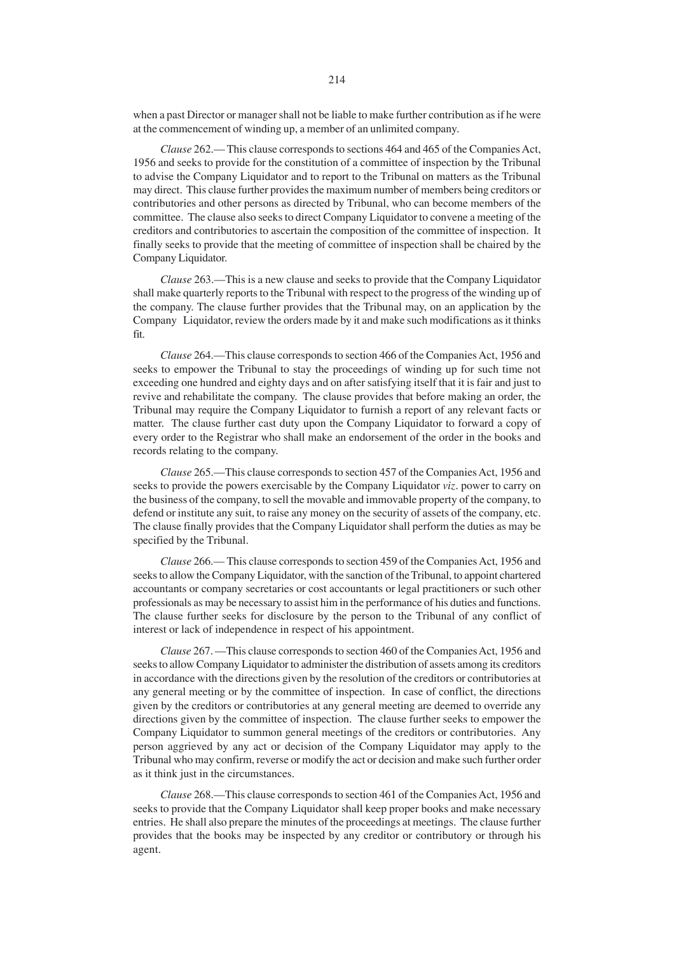when a past Director or manager shall not be liable to make further contribution as if he were at the commencement of winding up, a member of an unlimited company.

*Clause* 262.— This clause corresponds to sections 464 and 465 of the Companies Act, 1956 and seeks to provide for the constitution of a committee of inspection by the Tribunal to advise the Company Liquidator and to report to the Tribunal on matters as the Tribunal may direct. This clause further provides the maximum number of members being creditors or contributories and other persons as directed by Tribunal, who can become members of the committee. The clause also seeks to direct Company Liquidator to convene a meeting of the creditors and contributories to ascertain the composition of the committee of inspection. It finally seeks to provide that the meeting of committee of inspection shall be chaired by the Company Liquidator.

*Clause* 263.—This is a new clause and seeks to provide that the Company Liquidator shall make quarterly reports to the Tribunal with respect to the progress of the winding up of the company. The clause further provides that the Tribunal may, on an application by the Company Liquidator, review the orders made by it and make such modifications as it thinks fit.

*Clause* 264.—This clause corresponds to section 466 of the Companies Act, 1956 and seeks to empower the Tribunal to stay the proceedings of winding up for such time not exceeding one hundred and eighty days and on after satisfying itself that it is fair and just to revive and rehabilitate the company. The clause provides that before making an order, the Tribunal may require the Company Liquidator to furnish a report of any relevant facts or matter. The clause further cast duty upon the Company Liquidator to forward a copy of every order to the Registrar who shall make an endorsement of the order in the books and records relating to the company.

*Clause* 265.—This clause corresponds to section 457 of the Companies Act, 1956 and seeks to provide the powers exercisable by the Company Liquidator *viz*. power to carry on the business of the company, to sell the movable and immovable property of the company, to defend or institute any suit, to raise any money on the security of assets of the company, etc. The clause finally provides that the Company Liquidator shall perform the duties as may be specified by the Tribunal.

*Clause* 266.— This clause corresponds to section 459 of the Companies Act, 1956 and seeks to allow the Company Liquidator, with the sanction of the Tribunal, to appoint chartered accountants or company secretaries or cost accountants or legal practitioners or such other professionals as may be necessary to assist him in the performance of his duties and functions. The clause further seeks for disclosure by the person to the Tribunal of any conflict of interest or lack of independence in respect of his appointment.

*Clause* 267. —This clause corresponds to section 460 of the Companies Act, 1956 and seeks to allow Company Liquidator to administer the distribution of assets among its creditors in accordance with the directions given by the resolution of the creditors or contributories at any general meeting or by the committee of inspection. In case of conflict, the directions given by the creditors or contributories at any general meeting are deemed to override any directions given by the committee of inspection. The clause further seeks to empower the Company Liquidator to summon general meetings of the creditors or contributories. Any person aggrieved by any act or decision of the Company Liquidator may apply to the Tribunal who may confirm, reverse or modify the act or decision and make such further order as it think just in the circumstances.

*Clause* 268.—This clause corresponds to section 461 of the Companies Act, 1956 and seeks to provide that the Company Liquidator shall keep proper books and make necessary entries. He shall also prepare the minutes of the proceedings at meetings. The clause further provides that the books may be inspected by any creditor or contributory or through his agent.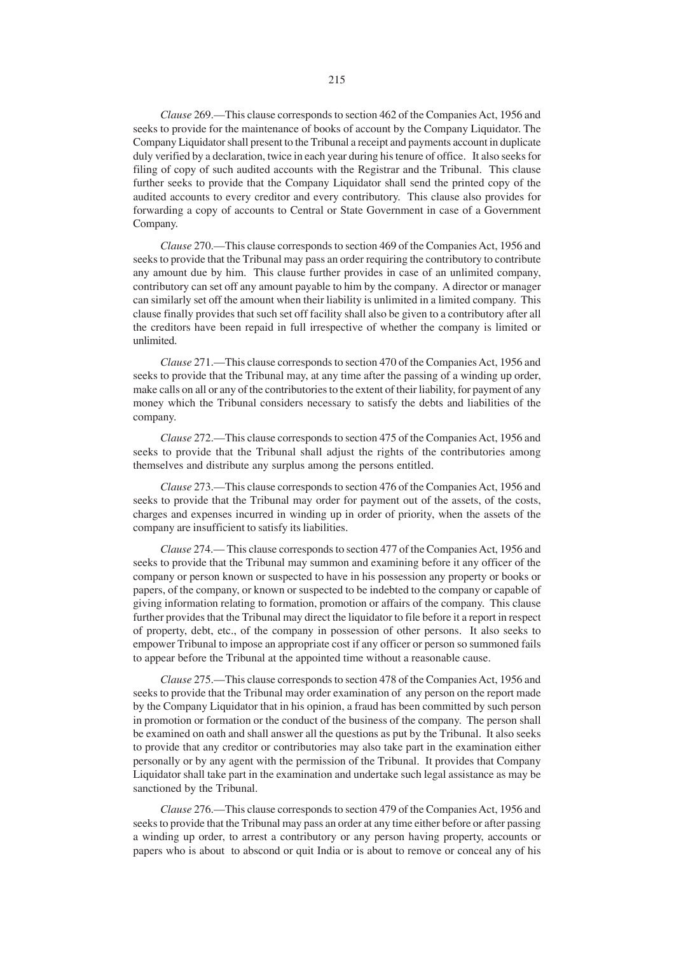*Clause* 269.—This clause corresponds to section 462 of the Companies Act, 1956 and seeks to provide for the maintenance of books of account by the Company Liquidator. The Company Liquidator shall present to the Tribunal a receipt and payments account in duplicate duly verified by a declaration, twice in each year during his tenure of office. It also seeks for filing of copy of such audited accounts with the Registrar and the Tribunal. This clause further seeks to provide that the Company Liquidator shall send the printed copy of the audited accounts to every creditor and every contributory. This clause also provides for forwarding a copy of accounts to Central or State Government in case of a Government Company.

*Clause* 270.—This clause corresponds to section 469 of the Companies Act, 1956 and seeks to provide that the Tribunal may pass an order requiring the contributory to contribute any amount due by him. This clause further provides in case of an unlimited company, contributory can set off any amount payable to him by the company. A director or manager can similarly set off the amount when their liability is unlimited in a limited company. This clause finally provides that such set off facility shall also be given to a contributory after all the creditors have been repaid in full irrespective of whether the company is limited or unlimited.

*Clause* 271.—This clause corresponds to section 470 of the Companies Act, 1956 and seeks to provide that the Tribunal may, at any time after the passing of a winding up order, make calls on all or any of the contributories to the extent of their liability, for payment of any money which the Tribunal considers necessary to satisfy the debts and liabilities of the company.

*Clause* 272.—This clause corresponds to section 475 of the Companies Act, 1956 and seeks to provide that the Tribunal shall adjust the rights of the contributories among themselves and distribute any surplus among the persons entitled.

*Clause* 273.—This clause corresponds to section 476 of the Companies Act, 1956 and seeks to provide that the Tribunal may order for payment out of the assets, of the costs, charges and expenses incurred in winding up in order of priority, when the assets of the company are insufficient to satisfy its liabilities.

*Clause* 274.— This clause corresponds to section 477 of the Companies Act, 1956 and seeks to provide that the Tribunal may summon and examining before it any officer of the company or person known or suspected to have in his possession any property or books or papers, of the company, or known or suspected to be indebted to the company or capable of giving information relating to formation, promotion or affairs of the company. This clause further provides that the Tribunal may direct the liquidator to file before it a report in respect of property, debt, etc., of the company in possession of other persons. It also seeks to empower Tribunal to impose an appropriate cost if any officer or person so summoned fails to appear before the Tribunal at the appointed time without a reasonable cause.

*Clause* 275.—This clause corresponds to section 478 of the Companies Act, 1956 and seeks to provide that the Tribunal may order examination of any person on the report made by the Company Liquidator that in his opinion, a fraud has been committed by such person in promotion or formation or the conduct of the business of the company. The person shall be examined on oath and shall answer all the questions as put by the Tribunal. It also seeks to provide that any creditor or contributories may also take part in the examination either personally or by any agent with the permission of the Tribunal. It provides that Company Liquidator shall take part in the examination and undertake such legal assistance as may be sanctioned by the Tribunal.

*Clause* 276.—This clause corresponds to section 479 of the Companies Act, 1956 and seeks to provide that the Tribunal may pass an order at any time either before or after passing a winding up order, to arrest a contributory or any person having property, accounts or papers who is about to abscond or quit India or is about to remove or conceal any of his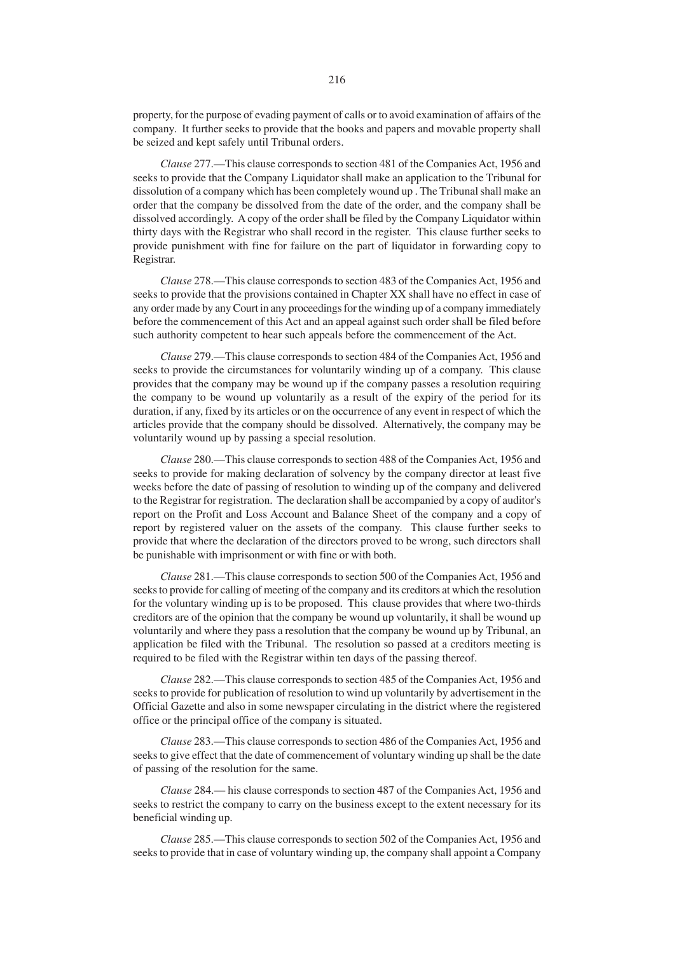property, for the purpose of evading payment of calls or to avoid examination of affairs of the company. It further seeks to provide that the books and papers and movable property shall be seized and kept safely until Tribunal orders.

*Clause* 277.—This clause corresponds to section 481 of the Companies Act, 1956 and seeks to provide that the Company Liquidator shall make an application to the Tribunal for dissolution of a company which has been completely wound up . The Tribunal shall make an order that the company be dissolved from the date of the order, and the company shall be dissolved accordingly. A copy of the order shall be filed by the Company Liquidator within thirty days with the Registrar who shall record in the register. This clause further seeks to provide punishment with fine for failure on the part of liquidator in forwarding copy to Registrar.

*Clause* 278.—This clause corresponds to section 483 of the Companies Act, 1956 and seeks to provide that the provisions contained in Chapter XX shall have no effect in case of any order made by any Court in any proceedings for the winding up of a company immediately before the commencement of this Act and an appeal against such order shall be filed before such authority competent to hear such appeals before the commencement of the Act.

*Clause* 279.—This clause corresponds to section 484 of the Companies Act, 1956 and seeks to provide the circumstances for voluntarily winding up of a company. This clause provides that the company may be wound up if the company passes a resolution requiring the company to be wound up voluntarily as a result of the expiry of the period for its duration, if any, fixed by its articles or on the occurrence of any event in respect of which the articles provide that the company should be dissolved. Alternatively, the company may be voluntarily wound up by passing a special resolution.

*Clause* 280.—This clause corresponds to section 488 of the Companies Act, 1956 and seeks to provide for making declaration of solvency by the company director at least five weeks before the date of passing of resolution to winding up of the company and delivered to the Registrar for registration. The declaration shall be accompanied by a copy of auditor's report on the Profit and Loss Account and Balance Sheet of the company and a copy of report by registered valuer on the assets of the company. This clause further seeks to provide that where the declaration of the directors proved to be wrong, such directors shall be punishable with imprisonment or with fine or with both.

*Clause* 281.—This clause corresponds to section 500 of the Companies Act, 1956 and seeks to provide for calling of meeting of the company and its creditors at which the resolution for the voluntary winding up is to be proposed. This clause provides that where two-thirds creditors are of the opinion that the company be wound up voluntarily, it shall be wound up voluntarily and where they pass a resolution that the company be wound up by Tribunal, an application be filed with the Tribunal. The resolution so passed at a creditors meeting is required to be filed with the Registrar within ten days of the passing thereof.

*Clause* 282.—This clause corresponds to section 485 of the Companies Act, 1956 and seeks to provide for publication of resolution to wind up voluntarily by advertisement in the Official Gazette and also in some newspaper circulating in the district where the registered office or the principal office of the company is situated.

*Clause* 283.—This clause corresponds to section 486 of the Companies Act, 1956 and seeks to give effect that the date of commencement of voluntary winding up shall be the date of passing of the resolution for the same.

*Clause* 284.— his clause corresponds to section 487 of the Companies Act, 1956 and seeks to restrict the company to carry on the business except to the extent necessary for its beneficial winding up.

*Clause* 285.—This clause corresponds to section 502 of the Companies Act, 1956 and seeks to provide that in case of voluntary winding up, the company shall appoint a Company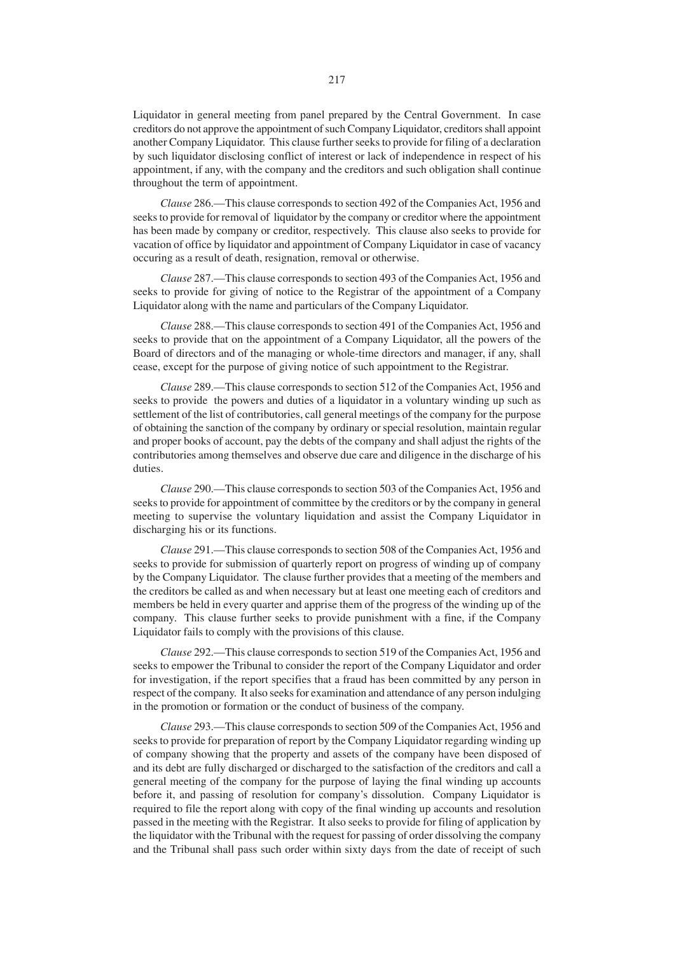Liquidator in general meeting from panel prepared by the Central Government. In case creditors do not approve the appointment of such Company Liquidator, creditors shall appoint another Company Liquidator. This clause further seeks to provide for filing of a declaration by such liquidator disclosing conflict of interest or lack of independence in respect of his appointment, if any, with the company and the creditors and such obligation shall continue throughout the term of appointment.

*Clause* 286.—This clause corresponds to section 492 of the Companies Act, 1956 and seeks to provide for removal of liquidator by the company or creditor where the appointment has been made by company or creditor, respectively. This clause also seeks to provide for vacation of office by liquidator and appointment of Company Liquidator in case of vacancy occuring as a result of death, resignation, removal or otherwise.

*Clause* 287.—This clause corresponds to section 493 of the Companies Act, 1956 and seeks to provide for giving of notice to the Registrar of the appointment of a Company Liquidator along with the name and particulars of the Company Liquidator.

*Clause* 288.—This clause corresponds to section 491 of the Companies Act, 1956 and seeks to provide that on the appointment of a Company Liquidator, all the powers of the Board of directors and of the managing or whole-time directors and manager, if any, shall cease, except for the purpose of giving notice of such appointment to the Registrar.

*Clause* 289.—This clause corresponds to section 512 of the Companies Act, 1956 and seeks to provide the powers and duties of a liquidator in a voluntary winding up such as settlement of the list of contributories, call general meetings of the company for the purpose of obtaining the sanction of the company by ordinary or special resolution, maintain regular and proper books of account, pay the debts of the company and shall adjust the rights of the contributories among themselves and observe due care and diligence in the discharge of his duties.

*Clause* 290.—This clause corresponds to section 503 of the Companies Act, 1956 and seeks to provide for appointment of committee by the creditors or by the company in general meeting to supervise the voluntary liquidation and assist the Company Liquidator in discharging his or its functions.

*Clause* 291.—This clause corresponds to section 508 of the Companies Act, 1956 and seeks to provide for submission of quarterly report on progress of winding up of company by the Company Liquidator. The clause further provides that a meeting of the members and the creditors be called as and when necessary but at least one meeting each of creditors and members be held in every quarter and apprise them of the progress of the winding up of the company. This clause further seeks to provide punishment with a fine, if the Company Liquidator fails to comply with the provisions of this clause.

*Clause* 292.—This clause corresponds to section 519 of the Companies Act, 1956 and seeks to empower the Tribunal to consider the report of the Company Liquidator and order for investigation, if the report specifies that a fraud has been committed by any person in respect of the company. It also seeks for examination and attendance of any person indulging in the promotion or formation or the conduct of business of the company.

*Clause* 293.—This clause corresponds to section 509 of the Companies Act, 1956 and seeks to provide for preparation of report by the Company Liquidator regarding winding up of company showing that the property and assets of the company have been disposed of and its debt are fully discharged or discharged to the satisfaction of the creditors and call a general meeting of the company for the purpose of laying the final winding up accounts before it, and passing of resolution for company's dissolution. Company Liquidator is required to file the report along with copy of the final winding up accounts and resolution passed in the meeting with the Registrar. It also seeks to provide for filing of application by the liquidator with the Tribunal with the request for passing of order dissolving the company and the Tribunal shall pass such order within sixty days from the date of receipt of such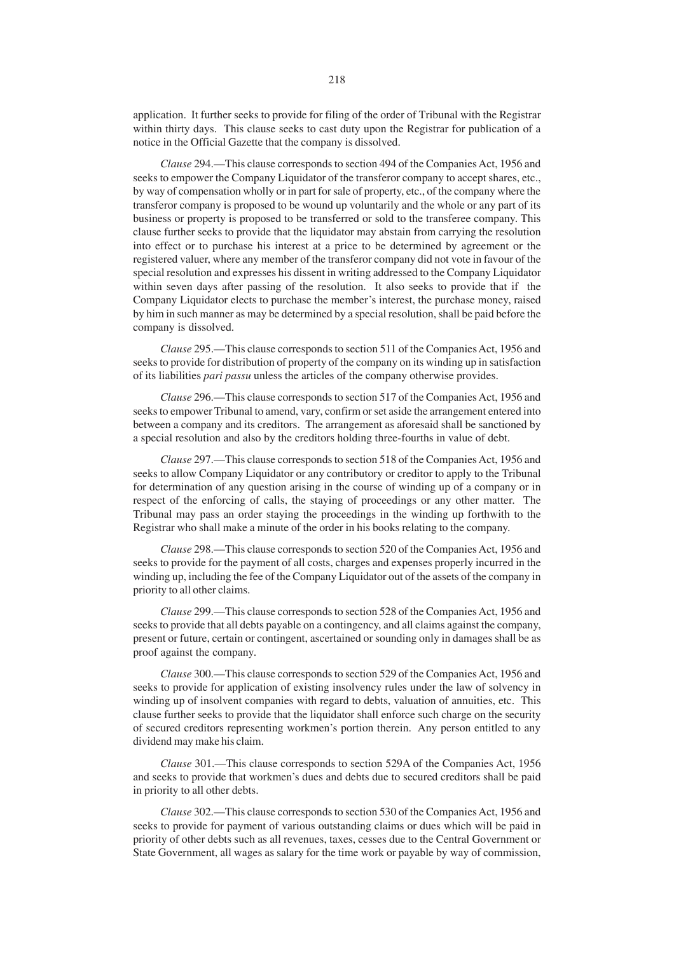application. It further seeks to provide for filing of the order of Tribunal with the Registrar within thirty days. This clause seeks to cast duty upon the Registrar for publication of a notice in the Official Gazette that the company is dissolved.

*Clause* 294.—This clause corresponds to section 494 of the Companies Act, 1956 and seeks to empower the Company Liquidator of the transferor company to accept shares, etc., by way of compensation wholly or in part for sale of property, etc., of the company where the transferor company is proposed to be wound up voluntarily and the whole or any part of its business or property is proposed to be transferred or sold to the transferee company. This clause further seeks to provide that the liquidator may abstain from carrying the resolution into effect or to purchase his interest at a price to be determined by agreement or the registered valuer, where any member of the transferor company did not vote in favour of the special resolution and expresses his dissent in writing addressed to the Company Liquidator within seven days after passing of the resolution. It also seeks to provide that if the Company Liquidator elects to purchase the member's interest, the purchase money, raised by him in such manner as may be determined by a special resolution, shall be paid before the company is dissolved.

*Clause* 295.—This clause corresponds to section 511 of the Companies Act, 1956 and seeks to provide for distribution of property of the company on its winding up in satisfaction of its liabilities *pari passu* unless the articles of the company otherwise provides.

*Clause* 296.—This clause corresponds to section 517 of the Companies Act, 1956 and seeks to empower Tribunal to amend, vary, confirm or set aside the arrangement entered into between a company and its creditors. The arrangement as aforesaid shall be sanctioned by a special resolution and also by the creditors holding three-fourths in value of debt.

*Clause* 297.—This clause corresponds to section 518 of the Companies Act, 1956 and seeks to allow Company Liquidator or any contributory or creditor to apply to the Tribunal for determination of any question arising in the course of winding up of a company or in respect of the enforcing of calls, the staying of proceedings or any other matter. The Tribunal may pass an order staying the proceedings in the winding up forthwith to the Registrar who shall make a minute of the order in his books relating to the company.

*Clause* 298.—This clause corresponds to section 520 of the Companies Act, 1956 and seeks to provide for the payment of all costs, charges and expenses properly incurred in the winding up, including the fee of the Company Liquidator out of the assets of the company in priority to all other claims.

*Clause* 299.—This clause corresponds to section 528 of the Companies Act, 1956 and seeks to provide that all debts payable on a contingency, and all claims against the company, present or future, certain or contingent, ascertained or sounding only in damages shall be as proof against the company.

*Clause* 300.—This clause corresponds to section 529 of the Companies Act, 1956 and seeks to provide for application of existing insolvency rules under the law of solvency in winding up of insolvent companies with regard to debts, valuation of annuities, etc. This clause further seeks to provide that the liquidator shall enforce such charge on the security of secured creditors representing workmen's portion therein. Any person entitled to any dividend may make his claim.

*Clause* 301.—This clause corresponds to section 529A of the Companies Act, 1956 and seeks to provide that workmen's dues and debts due to secured creditors shall be paid in priority to all other debts.

*Clause* 302.—This clause corresponds to section 530 of the Companies Act, 1956 and seeks to provide for payment of various outstanding claims or dues which will be paid in priority of other debts such as all revenues, taxes, cesses due to the Central Government or State Government, all wages as salary for the time work or payable by way of commission,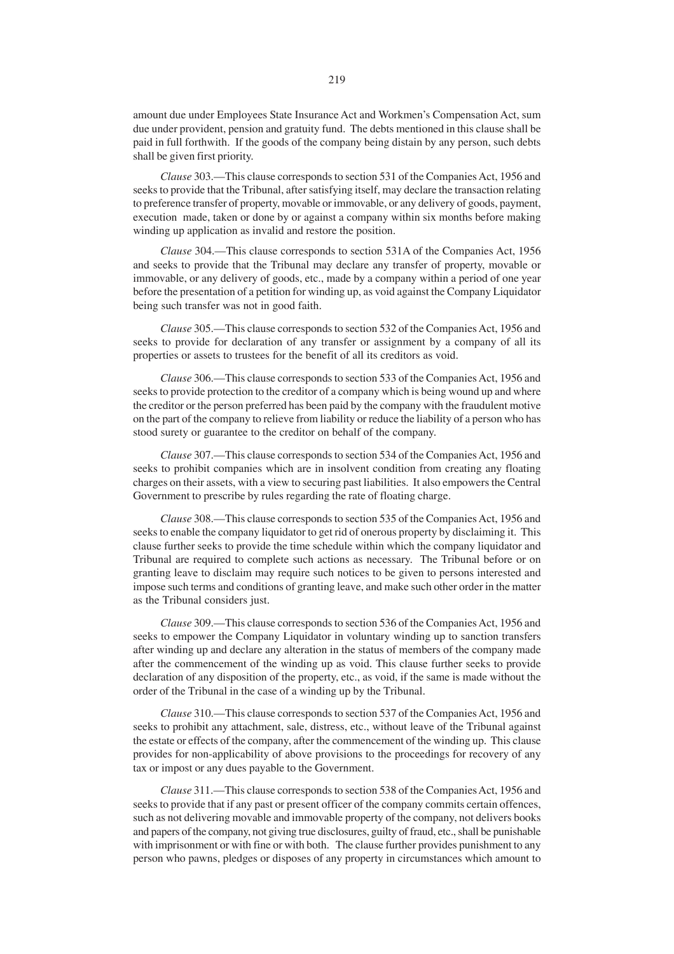amount due under Employees State Insurance Act and Workmen's Compensation Act, sum due under provident, pension and gratuity fund. The debts mentioned in this clause shall be paid in full forthwith. If the goods of the company being distain by any person, such debts shall be given first priority.

*Clause* 303.—This clause corresponds to section 531 of the Companies Act, 1956 and seeks to provide that the Tribunal, after satisfying itself, may declare the transaction relating to preference transfer of property, movable or immovable, or any delivery of goods, payment, execution made, taken or done by or against a company within six months before making winding up application as invalid and restore the position.

*Clause* 304.—This clause corresponds to section 531A of the Companies Act, 1956 and seeks to provide that the Tribunal may declare any transfer of property, movable or immovable, or any delivery of goods, etc., made by a company within a period of one year before the presentation of a petition for winding up, as void against the Company Liquidator being such transfer was not in good faith.

*Clause* 305.—This clause corresponds to section 532 of the Companies Act, 1956 and seeks to provide for declaration of any transfer or assignment by a company of all its properties or assets to trustees for the benefit of all its creditors as void.

*Clause* 306.—This clause corresponds to section 533 of the Companies Act, 1956 and seeks to provide protection to the creditor of a company which is being wound up and where the creditor or the person preferred has been paid by the company with the fraudulent motive on the part of the company to relieve from liability or reduce the liability of a person who has stood surety or guarantee to the creditor on behalf of the company.

*Clause* 307.—This clause corresponds to section 534 of the Companies Act, 1956 and seeks to prohibit companies which are in insolvent condition from creating any floating charges on their assets, with a view to securing past liabilities. It also empowers the Central Government to prescribe by rules regarding the rate of floating charge.

*Clause* 308.—This clause corresponds to section 535 of the Companies Act, 1956 and seeks to enable the company liquidator to get rid of onerous property by disclaiming it. This clause further seeks to provide the time schedule within which the company liquidator and Tribunal are required to complete such actions as necessary. The Tribunal before or on granting leave to disclaim may require such notices to be given to persons interested and impose such terms and conditions of granting leave, and make such other order in the matter as the Tribunal considers just.

*Clause* 309.—This clause corresponds to section 536 of the Companies Act, 1956 and seeks to empower the Company Liquidator in voluntary winding up to sanction transfers after winding up and declare any alteration in the status of members of the company made after the commencement of the winding up as void. This clause further seeks to provide declaration of any disposition of the property, etc., as void, if the same is made without the order of the Tribunal in the case of a winding up by the Tribunal.

*Clause* 310.—This clause corresponds to section 537 of the Companies Act, 1956 and seeks to prohibit any attachment, sale, distress, etc., without leave of the Tribunal against the estate or effects of the company, after the commencement of the winding up. This clause provides for non-applicability of above provisions to the proceedings for recovery of any tax or impost or any dues payable to the Government.

*Clause* 311.—This clause corresponds to section 538 of the Companies Act, 1956 and seeks to provide that if any past or present officer of the company commits certain offences, such as not delivering movable and immovable property of the company, not delivers books and papers of the company, not giving true disclosures, guilty of fraud, etc., shall be punishable with imprisonment or with fine or with both. The clause further provides punishment to any person who pawns, pledges or disposes of any property in circumstances which amount to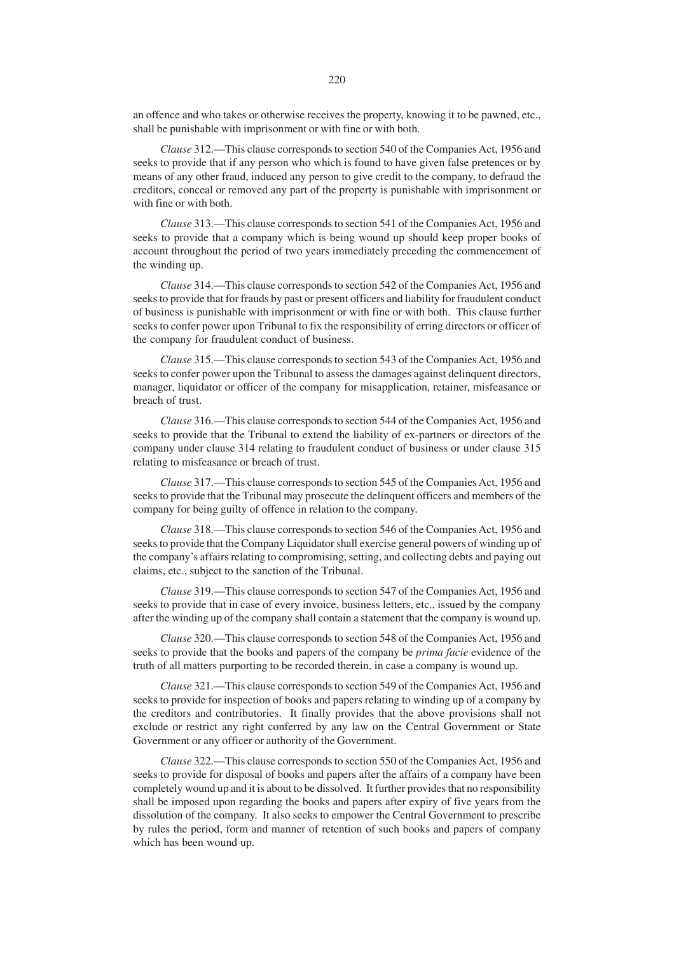*Clause* 312.—This clause corresponds to section 540 of the Companies Act, 1956 and seeks to provide that if any person who which is found to have given false pretences or by means of any other fraud, induced any person to give credit to the company, to defraud the creditors, conceal or removed any part of the property is punishable with imprisonment or with fine or with both.

*Clause* 313.—This clause corresponds to section 541 of the Companies Act, 1956 and seeks to provide that a company which is being wound up should keep proper books of account throughout the period of two years immediately preceding the commencement of the winding up.

*Clause* 314.—This clause corresponds to section 542 of the Companies Act, 1956 and seeks to provide that for frauds by past or present officers and liability for fraudulent conduct of business is punishable with imprisonment or with fine or with both. This clause further seeks to confer power upon Tribunal to fix the responsibility of erring directors or officer of the company for fraudulent conduct of business.

*Clause* 315.—This clause corresponds to section 543 of the Companies Act, 1956 and seeks to confer power upon the Tribunal to assess the damages against delinquent directors, manager, liquidator or officer of the company for misapplication, retainer, misfeasance or breach of trust.

*Clause* 316.—This clause corresponds to section 544 of the Companies Act, 1956 and seeks to provide that the Tribunal to extend the liability of ex-partners or directors of the company under clause 314 relating to fraudulent conduct of business or under clause 315 relating to misfeasance or breach of trust.

*Clause* 317.—This clause corresponds to section 545 of the Companies Act, 1956 and seeks to provide that the Tribunal may prosecute the delinquent officers and members of the company for being guilty of offence in relation to the company.

*Clause* 318.—This clause corresponds to section 546 of the Companies Act, 1956 and seeks to provide that the Company Liquidator shall exercise general powers of winding up of the company's affairs relating to compromising, setting, and collecting debts and paying out claims, etc., subject to the sanction of the Tribunal.

*Clause* 319.—This clause corresponds to section 547 of the Companies Act, 1956 and seeks to provide that in case of every invoice, business letters, etc., issued by the company after the winding up of the company shall contain a statement that the company is wound up.

*Clause* 320.—This clause corresponds to section 548 of the Companies Act, 1956 and seeks to provide that the books and papers of the company be *prima facie* evidence of the truth of all matters purporting to be recorded therein, in case a company is wound up.

*Clause* 321.—This clause corresponds to section 549 of the Companies Act, 1956 and seeks to provide for inspection of books and papers relating to winding up of a company by the creditors and contributories. It finally provides that the above provisions shall not exclude or restrict any right conferred by any law on the Central Government or State Government or any officer or authority of the Government.

*Clause* 322.—This clause corresponds to section 550 of the Companies Act, 1956 and seeks to provide for disposal of books and papers after the affairs of a company have been completely wound up and it is about to be dissolved. It further provides that no responsibility shall be imposed upon regarding the books and papers after expiry of five years from the dissolution of the company. It also seeks to empower the Central Government to prescribe by rules the period, form and manner of retention of such books and papers of company which has been wound up.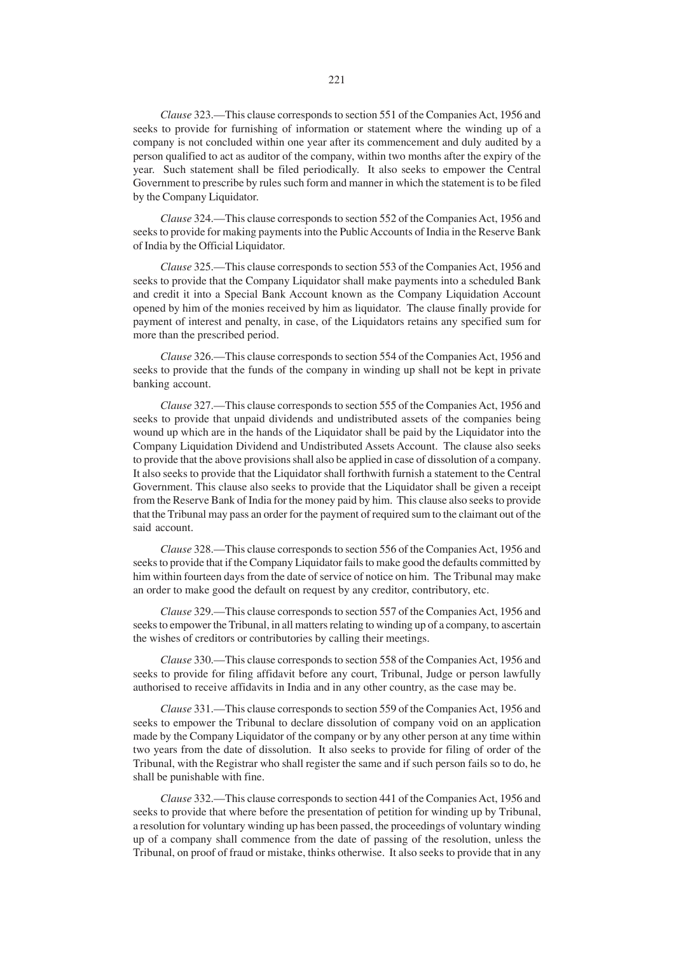*Clause* 323.—This clause corresponds to section 551 of the Companies Act, 1956 and seeks to provide for furnishing of information or statement where the winding up of a company is not concluded within one year after its commencement and duly audited by a person qualified to act as auditor of the company, within two months after the expiry of the year. Such statement shall be filed periodically. It also seeks to empower the Central Government to prescribe by rules such form and manner in which the statement is to be filed by the Company Liquidator.

*Clause* 324.—This clause corresponds to section 552 of the Companies Act, 1956 and seeks to provide for making payments into the Public Accounts of India in the Reserve Bank of India by the Official Liquidator.

*Clause* 325.—This clause corresponds to section 553 of the Companies Act, 1956 and seeks to provide that the Company Liquidator shall make payments into a scheduled Bank and credit it into a Special Bank Account known as the Company Liquidation Account opened by him of the monies received by him as liquidator. The clause finally provide for payment of interest and penalty, in case, of the Liquidators retains any specified sum for more than the prescribed period.

*Clause* 326.—This clause corresponds to section 554 of the Companies Act, 1956 and seeks to provide that the funds of the company in winding up shall not be kept in private banking account.

*Clause* 327.—This clause corresponds to section 555 of the Companies Act, 1956 and seeks to provide that unpaid dividends and undistributed assets of the companies being wound up which are in the hands of the Liquidator shall be paid by the Liquidator into the Company Liquidation Dividend and Undistributed Assets Account. The clause also seeks to provide that the above provisions shall also be applied in case of dissolution of a company. It also seeks to provide that the Liquidator shall forthwith furnish a statement to the Central Government. This clause also seeks to provide that the Liquidator shall be given a receipt from the Reserve Bank of India for the money paid by him. This clause also seeks to provide that the Tribunal may pass an order for the payment of required sum to the claimant out of the said account.

*Clause* 328.—This clause corresponds to section 556 of the Companies Act, 1956 and seeks to provide that if the Company Liquidator fails to make good the defaults committed by him within fourteen days from the date of service of notice on him. The Tribunal may make an order to make good the default on request by any creditor, contributory, etc.

*Clause* 329.—This clause corresponds to section 557 of the Companies Act, 1956 and seeks to empower the Tribunal, in all matters relating to winding up of a company, to ascertain the wishes of creditors or contributories by calling their meetings.

*Clause* 330.—This clause corresponds to section 558 of the Companies Act, 1956 and seeks to provide for filing affidavit before any court, Tribunal, Judge or person lawfully authorised to receive affidavits in India and in any other country, as the case may be.

*Clause* 331.—This clause corresponds to section 559 of the Companies Act, 1956 and seeks to empower the Tribunal to declare dissolution of company void on an application made by the Company Liquidator of the company or by any other person at any time within two years from the date of dissolution. It also seeks to provide for filing of order of the Tribunal, with the Registrar who shall register the same and if such person fails so to do, he shall be punishable with fine.

*Clause* 332.—This clause corresponds to section 441 of the Companies Act, 1956 and seeks to provide that where before the presentation of petition for winding up by Tribunal, a resolution for voluntary winding up has been passed, the proceedings of voluntary winding up of a company shall commence from the date of passing of the resolution, unless the Tribunal, on proof of fraud or mistake, thinks otherwise. It also seeks to provide that in any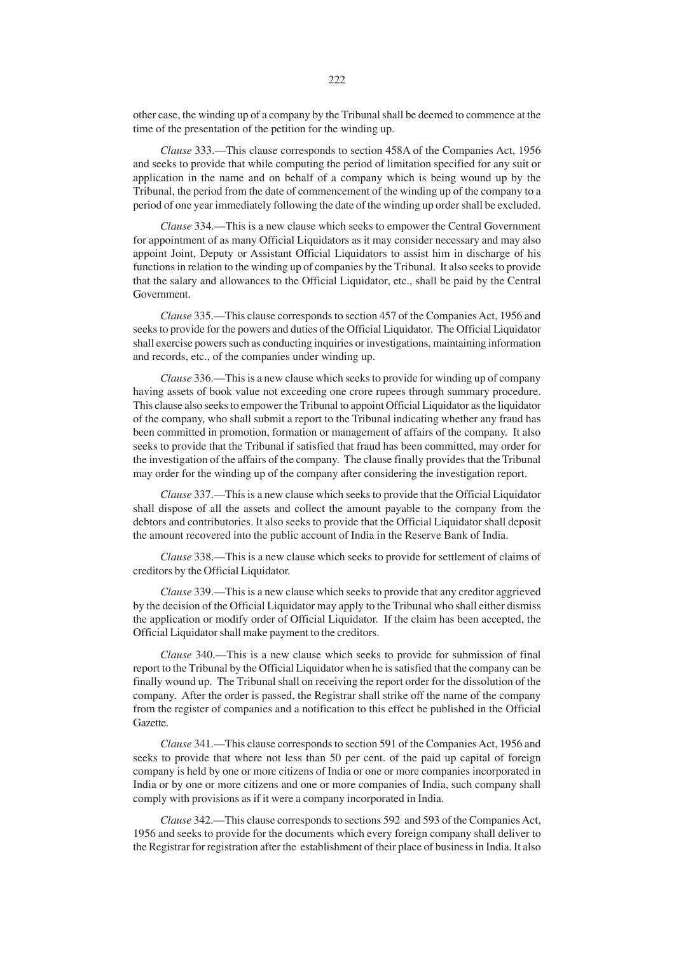other case, the winding up of a company by the Tribunal shall be deemed to commence at the time of the presentation of the petition for the winding up.

*Clause* 333.—This clause corresponds to section 458A of the Companies Act, 1956 and seeks to provide that while computing the period of limitation specified for any suit or application in the name and on behalf of a company which is being wound up by the Tribunal, the period from the date of commencement of the winding up of the company to a period of one year immediately following the date of the winding up order shall be excluded.

*Clause* 334.—This is a new clause which seeks to empower the Central Government for appointment of as many Official Liquidators as it may consider necessary and may also appoint Joint, Deputy or Assistant Official Liquidators to assist him in discharge of his functions in relation to the winding up of companies by the Tribunal. It also seeks to provide that the salary and allowances to the Official Liquidator, etc., shall be paid by the Central Government.

*Clause* 335.—This clause corresponds to section 457 of the Companies Act, 1956 and seeks to provide for the powers and duties of the Official Liquidator. The Official Liquidator shall exercise powers such as conducting inquiries or investigations, maintaining information and records, etc., of the companies under winding up.

*Clause* 336.—This is a new clause which seeks to provide for winding up of company having assets of book value not exceeding one crore rupees through summary procedure. This clause also seeks to empower the Tribunal to appoint Official Liquidator as the liquidator of the company, who shall submit a report to the Tribunal indicating whether any fraud has been committed in promotion, formation or management of affairs of the company. It also seeks to provide that the Tribunal if satisfied that fraud has been committed, may order for the investigation of the affairs of the company. The clause finally provides that the Tribunal may order for the winding up of the company after considering the investigation report.

*Clause* 337.—This is a new clause which seeks to provide that the Official Liquidator shall dispose of all the assets and collect the amount payable to the company from the debtors and contributories. It also seeks to provide that the Official Liquidator shall deposit the amount recovered into the public account of India in the Reserve Bank of India.

*Clause* 338.—This is a new clause which seeks to provide for settlement of claims of creditors by the Official Liquidator.

*Clause* 339.—This is a new clause which seeks to provide that any creditor aggrieved by the decision of the Official Liquidator may apply to the Tribunal who shall either dismiss the application or modify order of Official Liquidator. If the claim has been accepted, the Official Liquidator shall make payment to the creditors.

*Clause* 340.—This is a new clause which seeks to provide for submission of final report to the Tribunal by the Official Liquidator when he is satisfied that the company can be finally wound up. The Tribunal shall on receiving the report order for the dissolution of the company. After the order is passed, the Registrar shall strike off the name of the company from the register of companies and a notification to this effect be published in the Official Gazette.

*Clause* 341.—This clause corresponds to section 591 of the Companies Act, 1956 and seeks to provide that where not less than 50 per cent. of the paid up capital of foreign company is held by one or more citizens of India or one or more companies incorporated in India or by one or more citizens and one or more companies of India, such company shall comply with provisions as if it were a company incorporated in India.

*Clause* 342.—This clause corresponds to sections 592 and 593 of the Companies Act, 1956 and seeks to provide for the documents which every foreign company shall deliver to the Registrar for registration after the establishment of their place of business in India. It also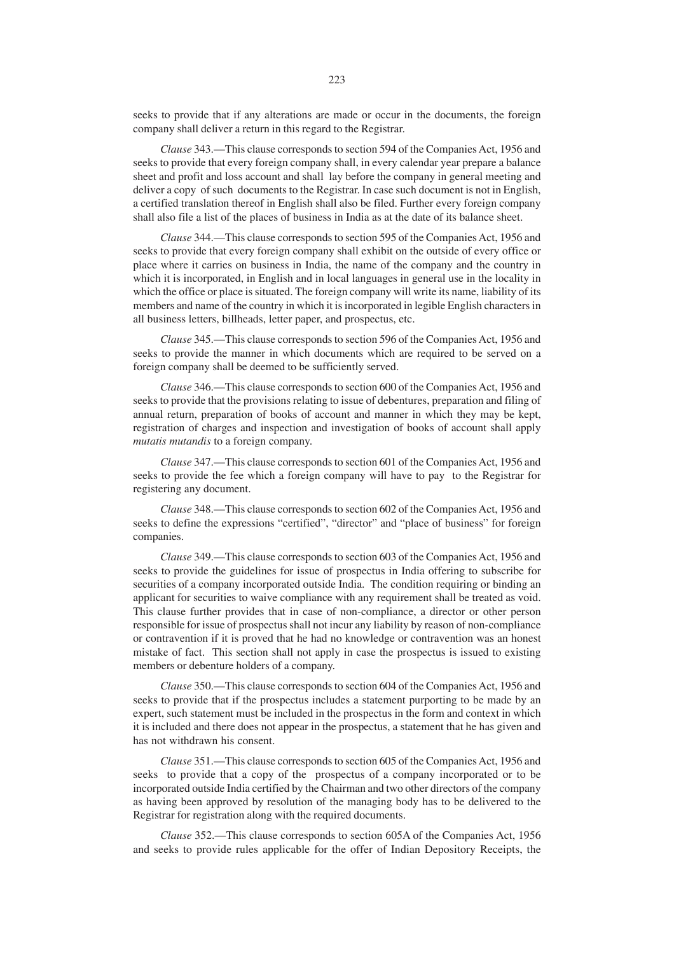seeks to provide that if any alterations are made or occur in the documents, the foreign company shall deliver a return in this regard to the Registrar.

*Clause* 343.—This clause corresponds to section 594 of the Companies Act, 1956 and seeks to provide that every foreign company shall, in every calendar year prepare a balance sheet and profit and loss account and shall lay before the company in general meeting and deliver a copy of such documents to the Registrar. In case such document is not in English, a certified translation thereof in English shall also be filed. Further every foreign company shall also file a list of the places of business in India as at the date of its balance sheet.

*Clause* 344.—This clause corresponds to section 595 of the Companies Act, 1956 and seeks to provide that every foreign company shall exhibit on the outside of every office or place where it carries on business in India, the name of the company and the country in which it is incorporated, in English and in local languages in general use in the locality in which the office or place is situated. The foreign company will write its name, liability of its members and name of the country in which it is incorporated in legible English characters in all business letters, billheads, letter paper, and prospectus, etc.

*Clause* 345.—This clause corresponds to section 596 of the Companies Act, 1956 and seeks to provide the manner in which documents which are required to be served on a foreign company shall be deemed to be sufficiently served.

*Clause* 346.—This clause corresponds to section 600 of the Companies Act, 1956 and seeks to provide that the provisions relating to issue of debentures, preparation and filing of annual return, preparation of books of account and manner in which they may be kept, registration of charges and inspection and investigation of books of account shall apply *mutatis mutandis* to a foreign company.

*Clause* 347.—This clause corresponds to section 601 of the Companies Act, 1956 and seeks to provide the fee which a foreign company will have to pay to the Registrar for registering any document.

*Clause* 348.—This clause corresponds to section 602 of the Companies Act, 1956 and seeks to define the expressions "certified", "director" and "place of business" for foreign companies.

*Clause* 349.—This clause corresponds to section 603 of the Companies Act, 1956 and seeks to provide the guidelines for issue of prospectus in India offering to subscribe for securities of a company incorporated outside India. The condition requiring or binding an applicant for securities to waive compliance with any requirement shall be treated as void. This clause further provides that in case of non-compliance, a director or other person responsible for issue of prospectus shall not incur any liability by reason of non-compliance or contravention if it is proved that he had no knowledge or contravention was an honest mistake of fact. This section shall not apply in case the prospectus is issued to existing members or debenture holders of a company.

*Clause* 350.—This clause corresponds to section 604 of the Companies Act, 1956 and seeks to provide that if the prospectus includes a statement purporting to be made by an expert, such statement must be included in the prospectus in the form and context in which it is included and there does not appear in the prospectus, a statement that he has given and has not withdrawn his consent.

*Clause* 351.—This clause corresponds to section 605 of the Companies Act, 1956 and seeks to provide that a copy of the prospectus of a company incorporated or to be incorporated outside India certified by the Chairman and two other directors of the company as having been approved by resolution of the managing body has to be delivered to the Registrar for registration along with the required documents.

*Clause* 352.—This clause corresponds to section 605A of the Companies Act, 1956 and seeks to provide rules applicable for the offer of Indian Depository Receipts, the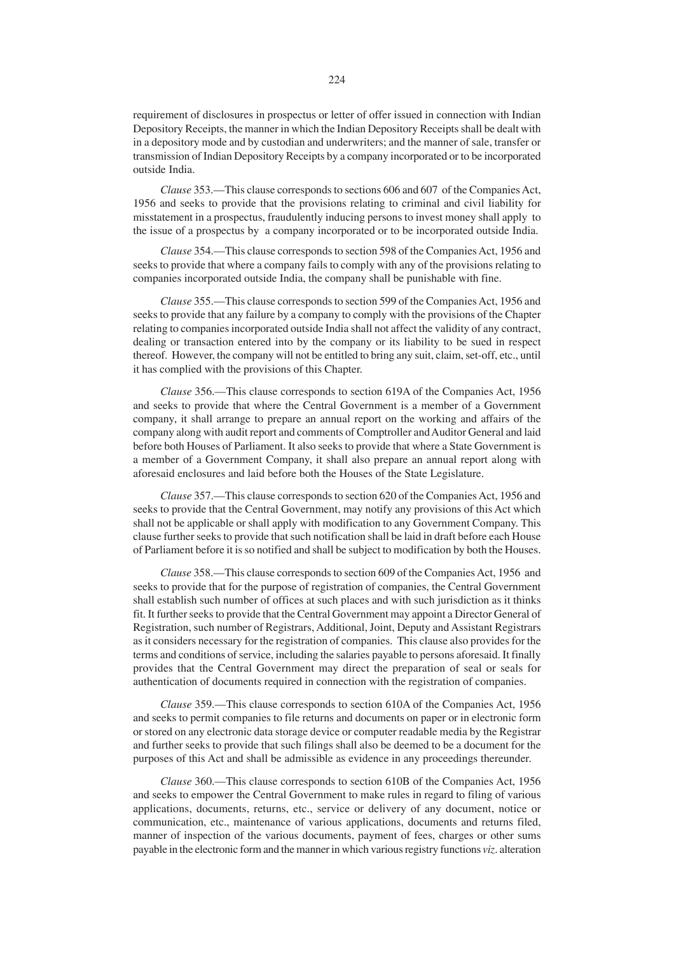requirement of disclosures in prospectus or letter of offer issued in connection with Indian Depository Receipts, the manner in which the Indian Depository Receipts shall be dealt with in a depository mode and by custodian and underwriters; and the manner of sale, transfer or transmission of Indian Depository Receipts by a company incorporated or to be incorporated outside India.

*Clause* 353.—This clause corresponds to sections 606 and 607 of the Companies Act, 1956 and seeks to provide that the provisions relating to criminal and civil liability for misstatement in a prospectus, fraudulently inducing persons to invest money shall apply to the issue of a prospectus by a company incorporated or to be incorporated outside India.

*Clause* 354.—This clause corresponds to section 598 of the Companies Act, 1956 and seeks to provide that where a company fails to comply with any of the provisions relating to companies incorporated outside India, the company shall be punishable with fine.

*Clause* 355.—This clause corresponds to section 599 of the Companies Act, 1956 and seeks to provide that any failure by a company to comply with the provisions of the Chapter relating to companies incorporated outside India shall not affect the validity of any contract, dealing or transaction entered into by the company or its liability to be sued in respect thereof. However, the company will not be entitled to bring any suit, claim, set-off, etc., until it has complied with the provisions of this Chapter.

*Clause* 356.—This clause corresponds to section 619A of the Companies Act, 1956 and seeks to provide that where the Central Government is a member of a Government company, it shall arrange to prepare an annual report on the working and affairs of the company along with audit report and comments of Comptroller and Auditor General and laid before both Houses of Parliament. It also seeks to provide that where a State Government is a member of a Government Company, it shall also prepare an annual report along with aforesaid enclosures and laid before both the Houses of the State Legislature.

*Clause* 357.—This clause corresponds to section 620 of the Companies Act, 1956 and seeks to provide that the Central Government, may notify any provisions of this Act which shall not be applicable or shall apply with modification to any Government Company. This clause further seeks to provide that such notification shall be laid in draft before each House of Parliament before it is so notified and shall be subject to modification by both the Houses.

*Clause* 358.—This clause corresponds to section 609 of the Companies Act, 1956 and seeks to provide that for the purpose of registration of companies, the Central Government shall establish such number of offices at such places and with such jurisdiction as it thinks fit. It further seeks to provide that the Central Government may appoint a Director General of Registration, such number of Registrars, Additional, Joint, Deputy and Assistant Registrars as it considers necessary for the registration of companies. This clause also provides for the terms and conditions of service, including the salaries payable to persons aforesaid. It finally provides that the Central Government may direct the preparation of seal or seals for authentication of documents required in connection with the registration of companies.

*Clause* 359.—This clause corresponds to section 610A of the Companies Act, 1956 and seeks to permit companies to file returns and documents on paper or in electronic form or stored on any electronic data storage device or computer readable media by the Registrar and further seeks to provide that such filings shall also be deemed to be a document for the purposes of this Act and shall be admissible as evidence in any proceedings thereunder.

*Clause* 360.—This clause corresponds to section 610B of the Companies Act, 1956 and seeks to empower the Central Government to make rules in regard to filing of various applications, documents, returns, etc., service or delivery of any document, notice or communication, etc., maintenance of various applications, documents and returns filed, manner of inspection of the various documents, payment of fees, charges or other sums payable in the electronic form and the manner in which various registry functions *viz*. alteration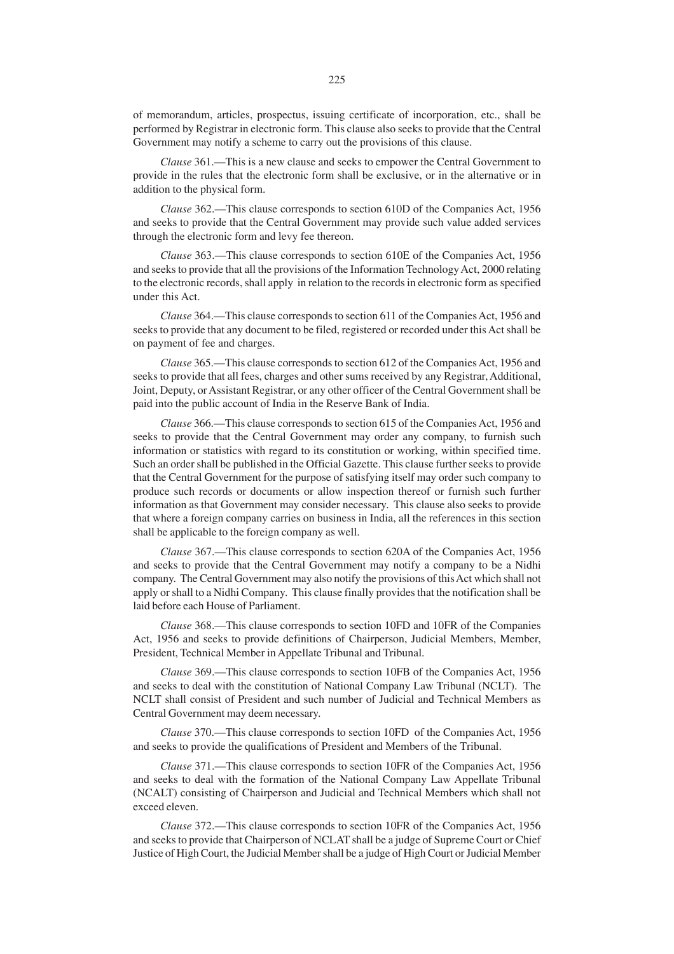of memorandum, articles, prospectus, issuing certificate of incorporation, etc., shall be performed by Registrar in electronic form. This clause also seeks to provide that the Central Government may notify a scheme to carry out the provisions of this clause.

*Clause* 361.—This is a new clause and seeks to empower the Central Government to provide in the rules that the electronic form shall be exclusive, or in the alternative or in addition to the physical form.

*Clause* 362.—This clause corresponds to section 610D of the Companies Act, 1956 and seeks to provide that the Central Government may provide such value added services through the electronic form and levy fee thereon.

*Clause* 363.—This clause corresponds to section 610E of the Companies Act, 1956 and seeks to provide that all the provisions of the Information Technology Act, 2000 relating to the electronic records, shall apply in relation to the records in electronic form as specified under this Act.

*Clause* 364.—This clause corresponds to section 611 of the Companies Act, 1956 and seeks to provide that any document to be filed, registered or recorded under this Act shall be on payment of fee and charges.

*Clause* 365.—This clause corresponds to section 612 of the Companies Act, 1956 and seeks to provide that all fees, charges and other sums received by any Registrar, Additional, Joint, Deputy, or Assistant Registrar, or any other officer of the Central Government shall be paid into the public account of India in the Reserve Bank of India.

*Clause* 366.—This clause corresponds to section 615 of the Companies Act, 1956 and seeks to provide that the Central Government may order any company, to furnish such information or statistics with regard to its constitution or working, within specified time. Such an order shall be published in the Official Gazette. This clause further seeks to provide that the Central Government for the purpose of satisfying itself may order such company to produce such records or documents or allow inspection thereof or furnish such further information as that Government may consider necessary. This clause also seeks to provide that where a foreign company carries on business in India, all the references in this section shall be applicable to the foreign company as well.

*Clause* 367.—This clause corresponds to section 620A of the Companies Act, 1956 and seeks to provide that the Central Government may notify a company to be a Nidhi company. The Central Government may also notify the provisions of this Act which shall not apply or shall to a Nidhi Company. This clause finally provides that the notification shall be laid before each House of Parliament.

*Clause* 368.—This clause corresponds to section 10FD and 10FR of the Companies Act, 1956 and seeks to provide definitions of Chairperson, Judicial Members, Member, President, Technical Member in Appellate Tribunal and Tribunal.

*Clause* 369.—This clause corresponds to section 10FB of the Companies Act, 1956 and seeks to deal with the constitution of National Company Law Tribunal (NCLT). The NCLT shall consist of President and such number of Judicial and Technical Members as Central Government may deem necessary.

*Clause* 370.—This clause corresponds to section 10FD of the Companies Act, 1956 and seeks to provide the qualifications of President and Members of the Tribunal.

*Clause* 371.—This clause corresponds to section 10FR of the Companies Act, 1956 and seeks to deal with the formation of the National Company Law Appellate Tribunal (NCALT) consisting of Chairperson and Judicial and Technical Members which shall not exceed eleven.

*Clause* 372.—This clause corresponds to section 10FR of the Companies Act, 1956 and seeks to provide that Chairperson of NCLAT shall be a judge of Supreme Court or Chief Justice of High Court, the Judicial Member shall be a judge of High Court or Judicial Member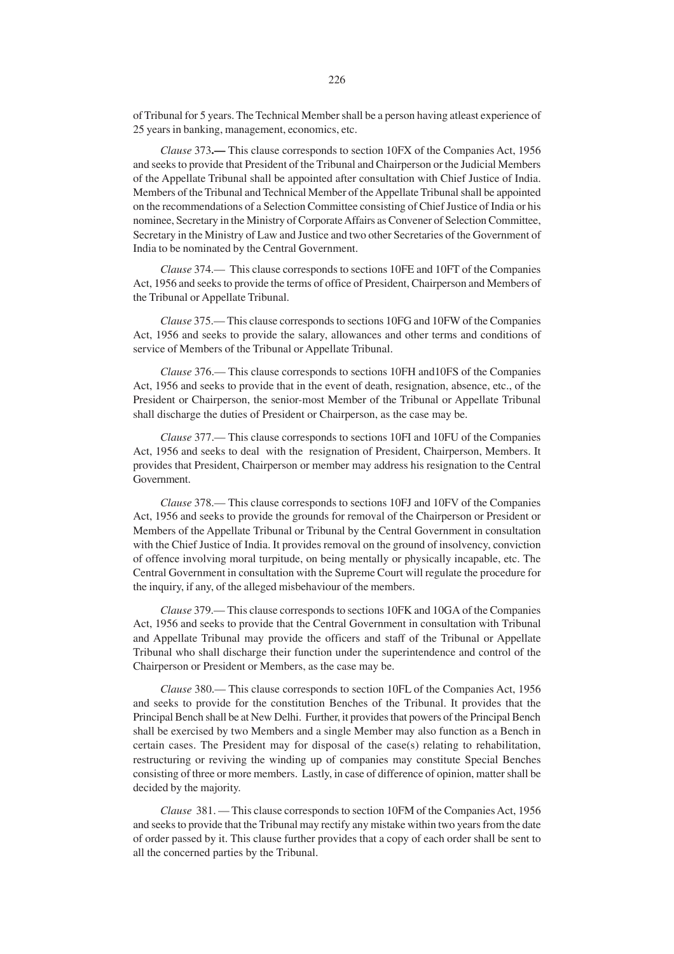of Tribunal for 5 years. The Technical Member shall be a person having atleast experience of 25 years in banking, management, economics, etc.

*Clause* 373**.—** This clause corresponds to section 10FX of the Companies Act, 1956 and seeks to provide that President of the Tribunal and Chairperson or the Judicial Members of the Appellate Tribunal shall be appointed after consultation with Chief Justice of India. Members of the Tribunal and Technical Member of the Appellate Tribunal shall be appointed on the recommendations of a Selection Committee consisting of Chief Justice of India or his nominee, Secretary in the Ministry of Corporate Affairs as Convener of Selection Committee, Secretary in the Ministry of Law and Justice and two other Secretaries of the Government of India to be nominated by the Central Government.

*Clause* 374.— This clause corresponds to sections 10FE and 10FT of the Companies Act, 1956 and seeks to provide the terms of office of President, Chairperson and Members of the Tribunal or Appellate Tribunal.

*Clause* 375.— This clause corresponds to sections 10FG and 10FW of the Companies Act, 1956 and seeks to provide the salary, allowances and other terms and conditions of service of Members of the Tribunal or Appellate Tribunal.

*Clause* 376.— This clause corresponds to sections 10FH and10FS of the Companies Act, 1956 and seeks to provide that in the event of death, resignation, absence, etc., of the President or Chairperson, the senior-most Member of the Tribunal or Appellate Tribunal shall discharge the duties of President or Chairperson, as the case may be.

*Clause* 377.— This clause corresponds to sections 10FI and 10FU of the Companies Act, 1956 and seeks to deal with the resignation of President, Chairperson, Members. It provides that President, Chairperson or member may address his resignation to the Central Government.

*Clause* 378.— This clause corresponds to sections 10FJ and 10FV of the Companies Act, 1956 and seeks to provide the grounds for removal of the Chairperson or President or Members of the Appellate Tribunal or Tribunal by the Central Government in consultation with the Chief Justice of India. It provides removal on the ground of insolvency, conviction of offence involving moral turpitude, on being mentally or physically incapable, etc. The Central Government in consultation with the Supreme Court will regulate the procedure for the inquiry, if any, of the alleged misbehaviour of the members.

*Clause* 379.— This clause corresponds to sections 10FK and 10GA of the Companies Act, 1956 and seeks to provide that the Central Government in consultation with Tribunal and Appellate Tribunal may provide the officers and staff of the Tribunal or Appellate Tribunal who shall discharge their function under the superintendence and control of the Chairperson or President or Members, as the case may be.

*Clause* 380.— This clause corresponds to section 10FL of the Companies Act, 1956 and seeks to provide for the constitution Benches of the Tribunal. It provides that the Principal Bench shall be at New Delhi. Further, it provides that powers of the Principal Bench shall be exercised by two Members and a single Member may also function as a Bench in certain cases. The President may for disposal of the case(s) relating to rehabilitation, restructuring or reviving the winding up of companies may constitute Special Benches consisting of three or more members. Lastly, in case of difference of opinion, matter shall be decided by the majority.

*Clause* 381. — This clause corresponds to section 10FM of the Companies Act, 1956 and seeks to provide that the Tribunal may rectify any mistake within two years from the date of order passed by it. This clause further provides that a copy of each order shall be sent to all the concerned parties by the Tribunal.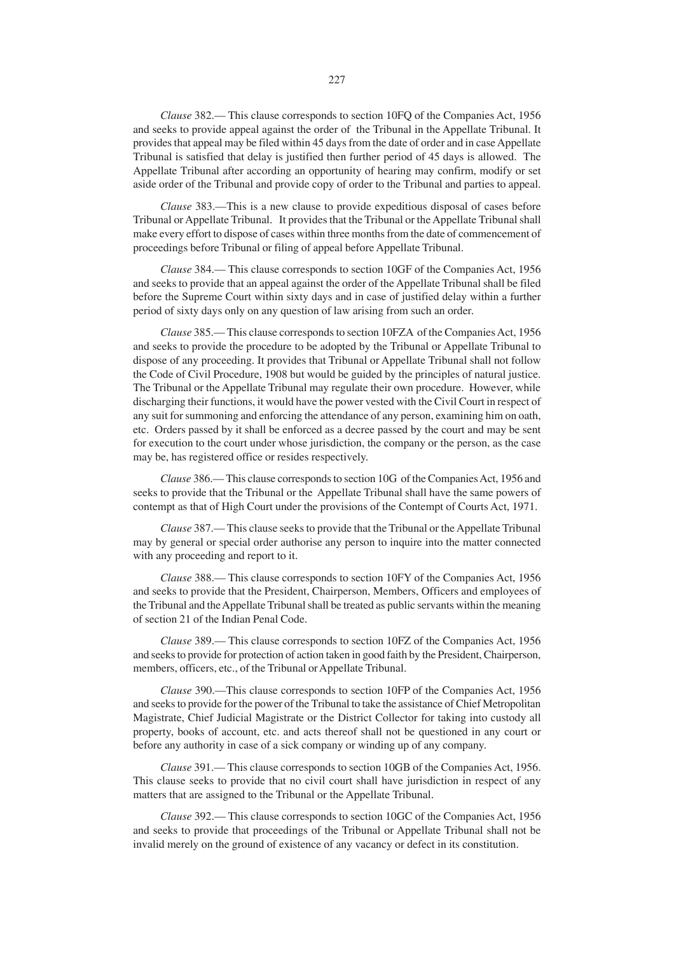*Clause* 382.— This clause corresponds to section 10FQ of the Companies Act, 1956 and seeks to provide appeal against the order of the Tribunal in the Appellate Tribunal. It provides that appeal may be filed within 45 days from the date of order and in case Appellate Tribunal is satisfied that delay is justified then further period of 45 days is allowed. The Appellate Tribunal after according an opportunity of hearing may confirm, modify or set aside order of the Tribunal and provide copy of order to the Tribunal and parties to appeal.

*Clause* 383.—This is a new clause to provide expeditious disposal of cases before Tribunal or Appellate Tribunal. It provides that the Tribunal or the Appellate Tribunal shall make every effort to dispose of cases within three months from the date of commencement of proceedings before Tribunal or filing of appeal before Appellate Tribunal.

*Clause* 384.— This clause corresponds to section 10GF of the Companies Act, 1956 and seeks to provide that an appeal against the order of the Appellate Tribunal shall be filed before the Supreme Court within sixty days and in case of justified delay within a further period of sixty days only on any question of law arising from such an order.

*Clause* 385.— This clause corresponds to section 10FZA of the Companies Act, 1956 and seeks to provide the procedure to be adopted by the Tribunal or Appellate Tribunal to dispose of any proceeding. It provides that Tribunal or Appellate Tribunal shall not follow the Code of Civil Procedure, 1908 but would be guided by the principles of natural justice. The Tribunal or the Appellate Tribunal may regulate their own procedure. However, while discharging their functions, it would have the power vested with the Civil Court in respect of any suit for summoning and enforcing the attendance of any person, examining him on oath, etc. Orders passed by it shall be enforced as a decree passed by the court and may be sent for execution to the court under whose jurisdiction, the company or the person, as the case may be, has registered office or resides respectively.

*Clause* 386.— This clause corresponds to section 10G of the Companies Act, 1956 and seeks to provide that the Tribunal or the Appellate Tribunal shall have the same powers of contempt as that of High Court under the provisions of the Contempt of Courts Act, 1971.

*Clause* 387.— This clause seeks to provide that the Tribunal or the Appellate Tribunal may by general or special order authorise any person to inquire into the matter connected with any proceeding and report to it.

*Clause* 388.— This clause corresponds to section 10FY of the Companies Act, 1956 and seeks to provide that the President, Chairperson, Members, Officers and employees of the Tribunal and the Appellate Tribunal shall be treated as public servants within the meaning of section 21 of the Indian Penal Code.

*Clause* 389.— This clause corresponds to section 10FZ of the Companies Act, 1956 and seeks to provide for protection of action taken in good faith by the President, Chairperson, members, officers, etc., of the Tribunal or Appellate Tribunal.

*Clause* 390.—This clause corresponds to section 10FP of the Companies Act, 1956 and seeks to provide for the power of the Tribunal to take the assistance of Chief Metropolitan Magistrate, Chief Judicial Magistrate or the District Collector for taking into custody all property, books of account, etc. and acts thereof shall not be questioned in any court or before any authority in case of a sick company or winding up of any company.

*Clause* 391.— This clause corresponds to section 10GB of the Companies Act, 1956. This clause seeks to provide that no civil court shall have jurisdiction in respect of any matters that are assigned to the Tribunal or the Appellate Tribunal.

*Clause* 392.— This clause corresponds to section 10GC of the Companies Act, 1956 and seeks to provide that proceedings of the Tribunal or Appellate Tribunal shall not be invalid merely on the ground of existence of any vacancy or defect in its constitution.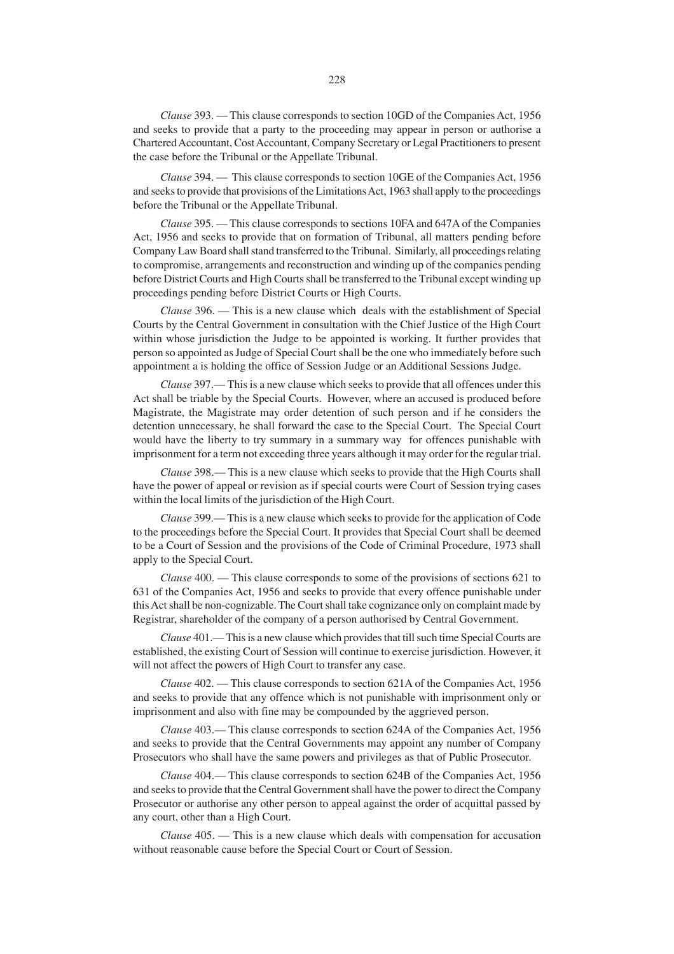*Clause* 393. — This clause corresponds to section 10GD of the Companies Act, 1956 and seeks to provide that a party to the proceeding may appear in person or authorise a Chartered Accountant, Cost Accountant, Company Secretary or Legal Practitioners to present the case before the Tribunal or the Appellate Tribunal.

*Clause* 394. — This clause corresponds to section 10GE of the Companies Act, 1956 and seeks to provide that provisions of the Limitations Act, 1963 shall apply to the proceedings before the Tribunal or the Appellate Tribunal.

*Clause* 395. — This clause corresponds to sections 10FA and 647A of the Companies Act, 1956 and seeks to provide that on formation of Tribunal, all matters pending before Company Law Board shall stand transferred to the Tribunal. Similarly, all proceedings relating to compromise, arrangements and reconstruction and winding up of the companies pending before District Courts and High Courts shall be transferred to the Tribunal except winding up proceedings pending before District Courts or High Courts.

*Clause* 396. — This is a new clause which deals with the establishment of Special Courts by the Central Government in consultation with the Chief Justice of the High Court within whose jurisdiction the Judge to be appointed is working. It further provides that person so appointed as Judge of Special Court shall be the one who immediately before such appointment a is holding the office of Session Judge or an Additional Sessions Judge.

*Clause* 397.— This is a new clause which seeks to provide that all offences under this Act shall be triable by the Special Courts. However, where an accused is produced before Magistrate, the Magistrate may order detention of such person and if he considers the detention unnecessary, he shall forward the case to the Special Court. The Special Court would have the liberty to try summary in a summary way for offences punishable with imprisonment for a term not exceeding three years although it may order for the regular trial.

*Clause* 398.— This is a new clause which seeks to provide that the High Courts shall have the power of appeal or revision as if special courts were Court of Session trying cases within the local limits of the jurisdiction of the High Court.

*Clause* 399.— This is a new clause which seeks to provide for the application of Code to the proceedings before the Special Court. It provides that Special Court shall be deemed to be a Court of Session and the provisions of the Code of Criminal Procedure, 1973 shall apply to the Special Court.

*Clause* 400. — This clause corresponds to some of the provisions of sections 621 to 631 of the Companies Act, 1956 and seeks to provide that every offence punishable under this Act shall be non-cognizable. The Court shall take cognizance only on complaint made by Registrar, shareholder of the company of a person authorised by Central Government.

*Clause* 401.— This is a new clause which provides that till such time Special Courts are established, the existing Court of Session will continue to exercise jurisdiction. However, it will not affect the powers of High Court to transfer any case.

*Clause* 402. — This clause corresponds to section 621A of the Companies Act, 1956 and seeks to provide that any offence which is not punishable with imprisonment only or imprisonment and also with fine may be compounded by the aggrieved person.

*Clause* 403.— This clause corresponds to section 624A of the Companies Act, 1956 and seeks to provide that the Central Governments may appoint any number of Company Prosecutors who shall have the same powers and privileges as that of Public Prosecutor.

*Clause* 404.— This clause corresponds to section 624B of the Companies Act, 1956 and seeks to provide that the Central Government shall have the power to direct the Company Prosecutor or authorise any other person to appeal against the order of acquittal passed by any court, other than a High Court.

*Clause* 405. — This is a new clause which deals with compensation for accusation without reasonable cause before the Special Court or Court of Session.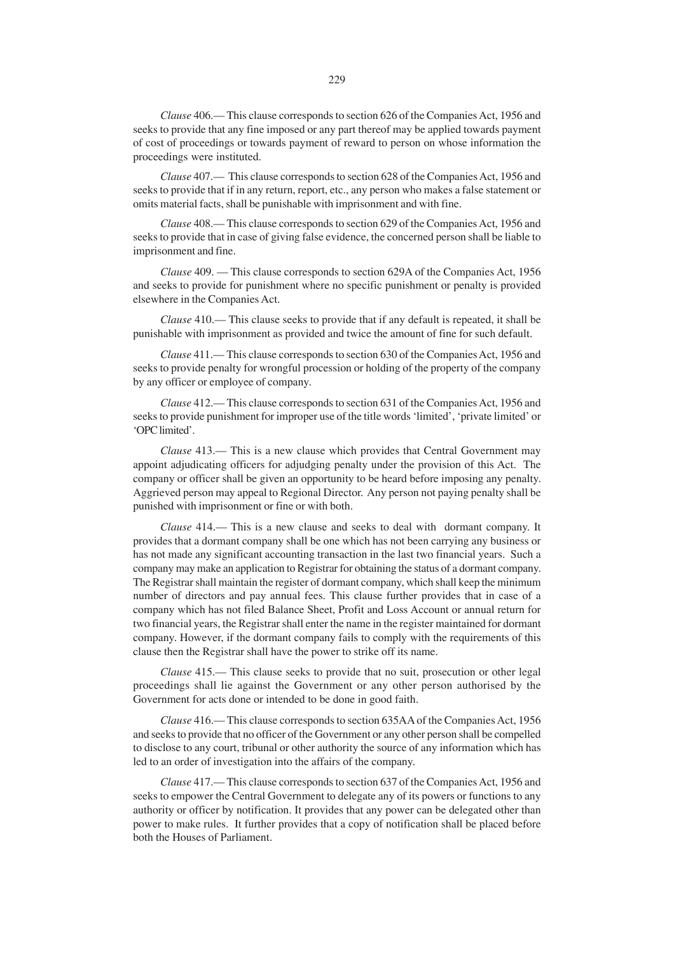*Clause* 406.— This clause corresponds to section 626 of the Companies Act, 1956 and seeks to provide that any fine imposed or any part thereof may be applied towards payment of cost of proceedings or towards payment of reward to person on whose information the proceedings were instituted.

*Clause* 407.— This clause corresponds to section 628 of the Companies Act, 1956 and seeks to provide that if in any return, report, etc., any person who makes a false statement or omits material facts, shall be punishable with imprisonment and with fine.

*Clause* 408.— This clause corresponds to section 629 of the Companies Act, 1956 and seeks to provide that in case of giving false evidence, the concerned person shall be liable to imprisonment and fine.

*Clause* 409. — This clause corresponds to section 629A of the Companies Act, 1956 and seeks to provide for punishment where no specific punishment or penalty is provided elsewhere in the Companies Act.

*Clause* 410.— This clause seeks to provide that if any default is repeated, it shall be punishable with imprisonment as provided and twice the amount of fine for such default.

*Clause* 411.— This clause corresponds to section 630 of the Companies Act, 1956 and seeks to provide penalty for wrongful procession or holding of the property of the company by any officer or employee of company.

*Clause* 412.— This clause corresponds to section 631 of the Companies Act, 1956 and seeks to provide punishment for improper use of the title words 'limited', 'private limited' or 'OPC limited'.

*Clause* 413.— This is a new clause which provides that Central Government may appoint adjudicating officers for adjudging penalty under the provision of this Act. The company or officer shall be given an opportunity to be heard before imposing any penalty. Aggrieved person may appeal to Regional Director. Any person not paying penalty shall be punished with imprisonment or fine or with both.

*Clause* 414.— This is a new clause and seeks to deal with dormant company. It provides that a dormant company shall be one which has not been carrying any business or has not made any significant accounting transaction in the last two financial years. Such a company may make an application to Registrar for obtaining the status of a dormant company. The Registrar shall maintain the register of dormant company, which shall keep the minimum number of directors and pay annual fees. This clause further provides that in case of a company which has not filed Balance Sheet, Profit and Loss Account or annual return for two financial years, the Registrar shall enter the name in the register maintained for dormant company. However, if the dormant company fails to comply with the requirements of this clause then the Registrar shall have the power to strike off its name.

*Clause* 415.— This clause seeks to provide that no suit, prosecution or other legal proceedings shall lie against the Government or any other person authorised by the Government for acts done or intended to be done in good faith.

*Clause* 416.— This clause corresponds to section 635AA of the Companies Act, 1956 and seeks to provide that no officer of the Government or any other person shall be compelled to disclose to any court, tribunal or other authority the source of any information which has led to an order of investigation into the affairs of the company.

*Clause* 417.— This clause corresponds to section 637 of the Companies Act, 1956 and seeks to empower the Central Government to delegate any of its powers or functions to any authority or officer by notification. It provides that any power can be delegated other than power to make rules. It further provides that a copy of notification shall be placed before both the Houses of Parliament.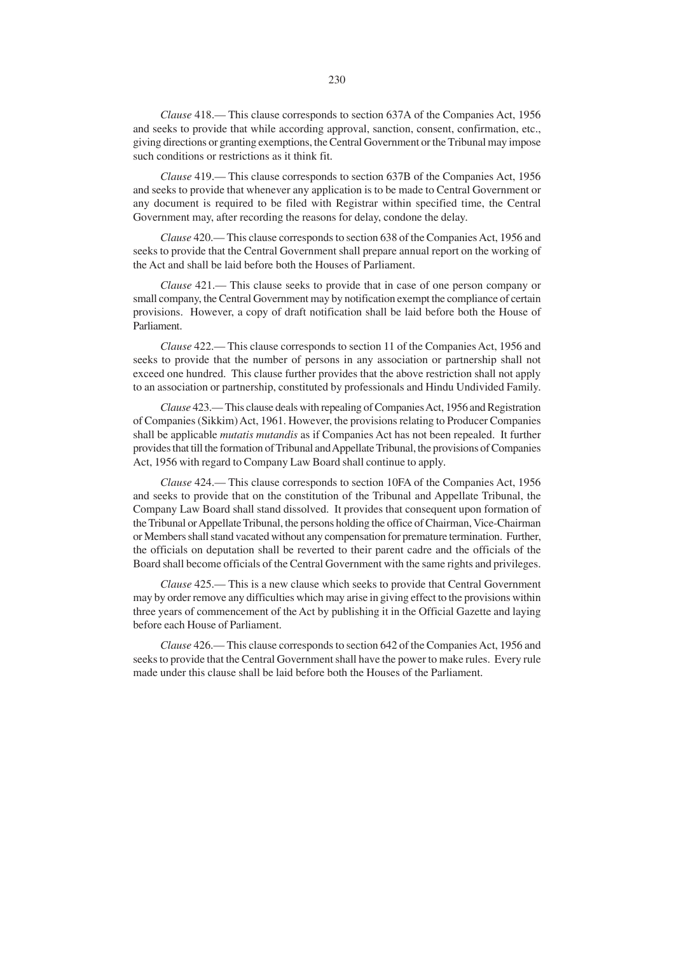*Clause* 418.— This clause corresponds to section 637A of the Companies Act, 1956 and seeks to provide that while according approval, sanction, consent, confirmation, etc., giving directions or granting exemptions, the Central Government or the Tribunal may impose such conditions or restrictions as it think fit.

*Clause* 419.— This clause corresponds to section 637B of the Companies Act, 1956 and seeks to provide that whenever any application is to be made to Central Government or any document is required to be filed with Registrar within specified time, the Central Government may, after recording the reasons for delay, condone the delay.

*Clause* 420.— This clause corresponds to section 638 of the Companies Act, 1956 and seeks to provide that the Central Government shall prepare annual report on the working of the Act and shall be laid before both the Houses of Parliament.

*Clause* 421.— This clause seeks to provide that in case of one person company or small company, the Central Government may by notification exempt the compliance of certain provisions. However, a copy of draft notification shall be laid before both the House of Parliament.

*Clause* 422.— This clause corresponds to section 11 of the Companies Act, 1956 and seeks to provide that the number of persons in any association or partnership shall not exceed one hundred. This clause further provides that the above restriction shall not apply to an association or partnership, constituted by professionals and Hindu Undivided Family.

*Clause* 423.— This clause deals with repealing of Companies Act, 1956 and Registration of Companies (Sikkim) Act, 1961. However, the provisions relating to Producer Companies shall be applicable *mutatis mutandis* as if Companies Act has not been repealed. It further provides that till the formation of Tribunal and Appellate Tribunal, the provisions of Companies Act, 1956 with regard to Company Law Board shall continue to apply.

*Clause* 424.— This clause corresponds to section 10FA of the Companies Act, 1956 and seeks to provide that on the constitution of the Tribunal and Appellate Tribunal, the Company Law Board shall stand dissolved. It provides that consequent upon formation of the Tribunal or Appellate Tribunal, the persons holding the office of Chairman, Vice-Chairman or Members shall stand vacated without any compensation for premature termination. Further, the officials on deputation shall be reverted to their parent cadre and the officials of the Board shall become officials of the Central Government with the same rights and privileges.

*Clause* 425.— This is a new clause which seeks to provide that Central Government may by order remove any difficulties which may arise in giving effect to the provisions within three years of commencement of the Act by publishing it in the Official Gazette and laying before each House of Parliament.

*Clause* 426.— This clause corresponds to section 642 of the Companies Act, 1956 and seeks to provide that the Central Government shall have the power to make rules. Every rule made under this clause shall be laid before both the Houses of the Parliament.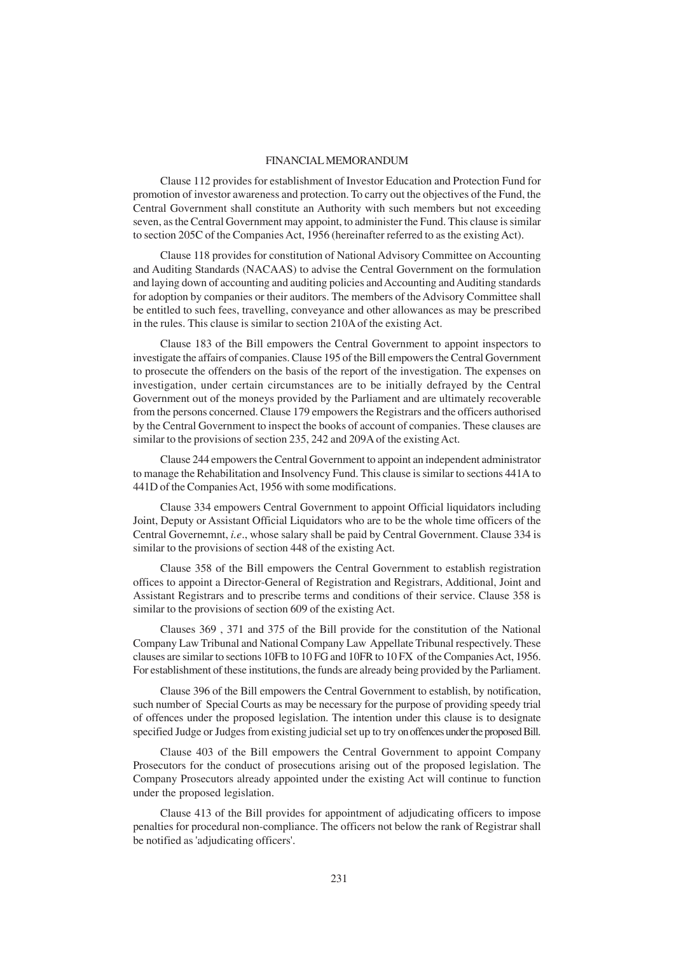## FINANCIAL MEMORANDUM

Clause 112 provides for establishment of Investor Education and Protection Fund for promotion of investor awareness and protection. To carry out the objectives of the Fund, the Central Government shall constitute an Authority with such members but not exceeding seven, as the Central Government may appoint, to administer the Fund. This clause is similar to section 205C of the Companies Act, 1956 (hereinafter referred to as the existing Act).

Clause 118 provides for constitution of National Advisory Committee on Accounting and Auditing Standards (NACAAS) to advise the Central Government on the formulation and laying down of accounting and auditing policies and Accounting and Auditing standards for adoption by companies or their auditors. The members of the Advisory Committee shall be entitled to such fees, travelling, conveyance and other allowances as may be prescribed in the rules. This clause is similar to section 210A of the existing Act.

Clause 183 of the Bill empowers the Central Government to appoint inspectors to investigate the affairs of companies. Clause 195 of the Bill empowers the Central Government to prosecute the offenders on the basis of the report of the investigation. The expenses on investigation, under certain circumstances are to be initially defrayed by the Central Government out of the moneys provided by the Parliament and are ultimately recoverable from the persons concerned. Clause 179 empowers the Registrars and the officers authorised by the Central Government to inspect the books of account of companies. These clauses are similar to the provisions of section 235, 242 and 209A of the existing Act.

Clause 244 empowers the Central Government to appoint an independent administrator to manage the Rehabilitation and Insolvency Fund. This clause is similar to sections 441A to 441D of the Companies Act, 1956 with some modifications.

Clause 334 empowers Central Government to appoint Official liquidators including Joint, Deputy or Assistant Official Liquidators who are to be the whole time officers of the Central Governemnt, *i.e*., whose salary shall be paid by Central Government. Clause 334 is similar to the provisions of section 448 of the existing Act.

Clause 358 of the Bill empowers the Central Government to establish registration offices to appoint a Director-General of Registration and Registrars, Additional, Joint and Assistant Registrars and to prescribe terms and conditions of their service. Clause 358 is similar to the provisions of section 609 of the existing Act.

Clauses 369 , 371 and 375 of the Bill provide for the constitution of the National Company Law Tribunal and National Company Law Appellate Tribunal respectively. These clauses are similar to sections 10FB to 10 FG and 10FR to 10 FX of the Companies Act, 1956. For establishment of these institutions, the funds are already being provided by the Parliament.

Clause 396 of the Bill empowers the Central Government to establish, by notification, such number of Special Courts as may be necessary for the purpose of providing speedy trial of offences under the proposed legislation. The intention under this clause is to designate specified Judge or Judges from existing judicial set up to try on offences under the proposed Bill.

Clause 403 of the Bill empowers the Central Government to appoint Company Prosecutors for the conduct of prosecutions arising out of the proposed legislation. The Company Prosecutors already appointed under the existing Act will continue to function under the proposed legislation.

Clause 413 of the Bill provides for appointment of adjudicating officers to impose penalties for procedural non-compliance. The officers not below the rank of Registrar shall be notified as 'adjudicating officers'.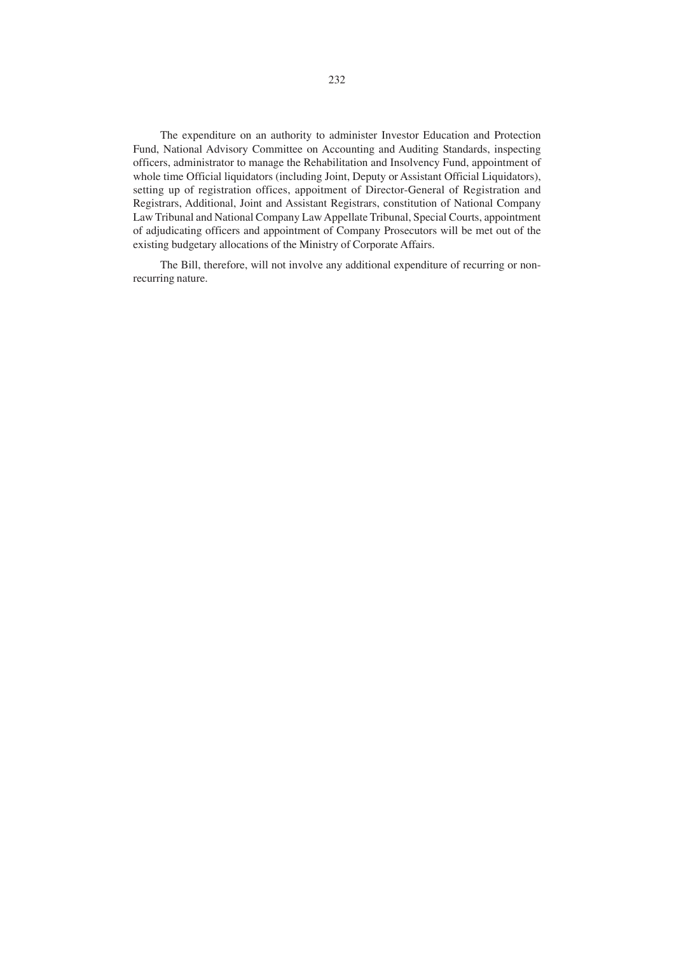The expenditure on an authority to administer Investor Education and Protection Fund, National Advisory Committee on Accounting and Auditing Standards, inspecting officers, administrator to manage the Rehabilitation and Insolvency Fund, appointment of whole time Official liquidators (including Joint, Deputy or Assistant Official Liquidators), setting up of registration offices, appoitment of Director-General of Registration and Registrars, Additional, Joint and Assistant Registrars, constitution of National Company Law Tribunal and National Company Law Appellate Tribunal, Special Courts, appointment of adjudicating officers and appointment of Company Prosecutors will be met out of the existing budgetary allocations of the Ministry of Corporate Affairs.

The Bill, therefore, will not involve any additional expenditure of recurring or nonrecurring nature.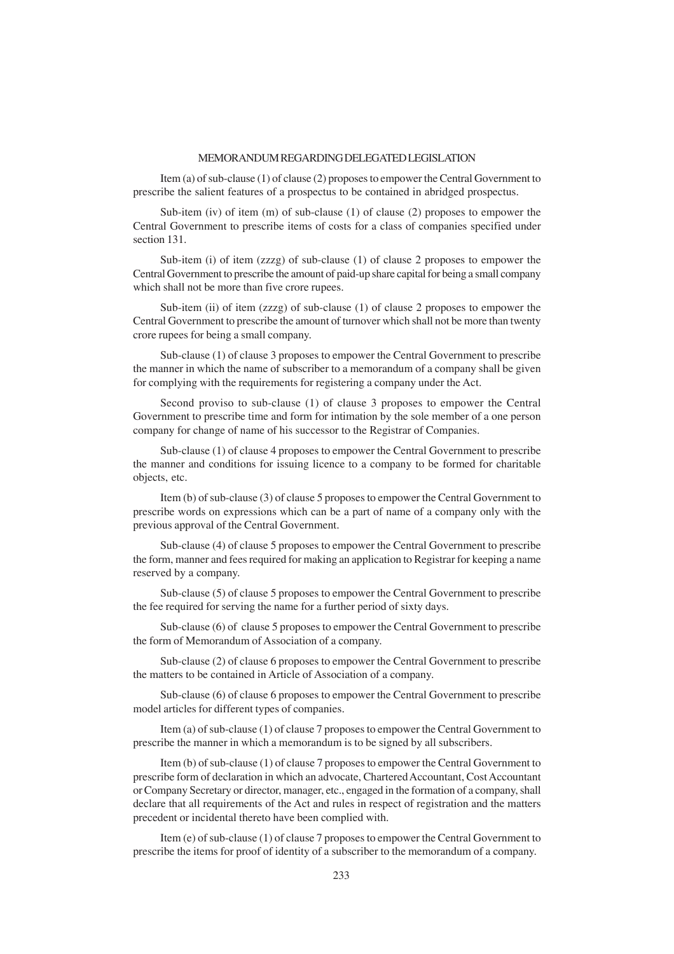## MEMORANDUM REGARDING DELEGATED LEGISLATION

Item (a) of sub-clause (1) of clause (2) proposes to empower the Central Government to prescribe the salient features of a prospectus to be contained in abridged prospectus.

Sub-item (iv) of item (m) of sub-clause (1) of clause (2) proposes to empower the Central Government to prescribe items of costs for a class of companies specified under section 131.

Sub-item (i) of item (zzzg) of sub-clause (1) of clause 2 proposes to empower the Central Government to prescribe the amount of paid-up share capital for being a small company which shall not be more than five crore rupees.

Sub-item (ii) of item (zzzg) of sub-clause (1) of clause 2 proposes to empower the Central Government to prescribe the amount of turnover which shall not be more than twenty crore rupees for being a small company.

Sub-clause (1) of clause 3 proposes to empower the Central Government to prescribe the manner in which the name of subscriber to a memorandum of a company shall be given for complying with the requirements for registering a company under the Act.

Second proviso to sub-clause (1) of clause 3 proposes to empower the Central Government to prescribe time and form for intimation by the sole member of a one person company for change of name of his successor to the Registrar of Companies.

Sub-clause (1) of clause 4 proposes to empower the Central Government to prescribe the manner and conditions for issuing licence to a company to be formed for charitable objects, etc.

Item (b) of sub-clause (3) of clause 5 proposes to empower the Central Government to prescribe words on expressions which can be a part of name of a company only with the previous approval of the Central Government.

Sub-clause (4) of clause 5 proposes to empower the Central Government to prescribe the form, manner and fees required for making an application to Registrar for keeping a name reserved by a company.

Sub-clause (5) of clause 5 proposes to empower the Central Government to prescribe the fee required for serving the name for a further period of sixty days.

Sub-clause (6) of clause 5 proposes to empower the Central Government to prescribe the form of Memorandum of Association of a company.

Sub-clause (2) of clause 6 proposes to empower the Central Government to prescribe the matters to be contained in Article of Association of a company.

Sub-clause (6) of clause 6 proposes to empower the Central Government to prescribe model articles for different types of companies.

Item (a) of sub-clause (1) of clause 7 proposes to empower the Central Government to prescribe the manner in which a memorandum is to be signed by all subscribers.

Item (b) of sub-clause (1) of clause 7 proposes to empower the Central Government to prescribe form of declaration in which an advocate, Chartered Accountant, Cost Accountant or Company Secretary or director, manager, etc., engaged in the formation of a company, shall declare that all requirements of the Act and rules in respect of registration and the matters precedent or incidental thereto have been complied with.

Item (e) of sub-clause (1) of clause 7 proposes to empower the Central Government to prescribe the items for proof of identity of a subscriber to the memorandum of a company.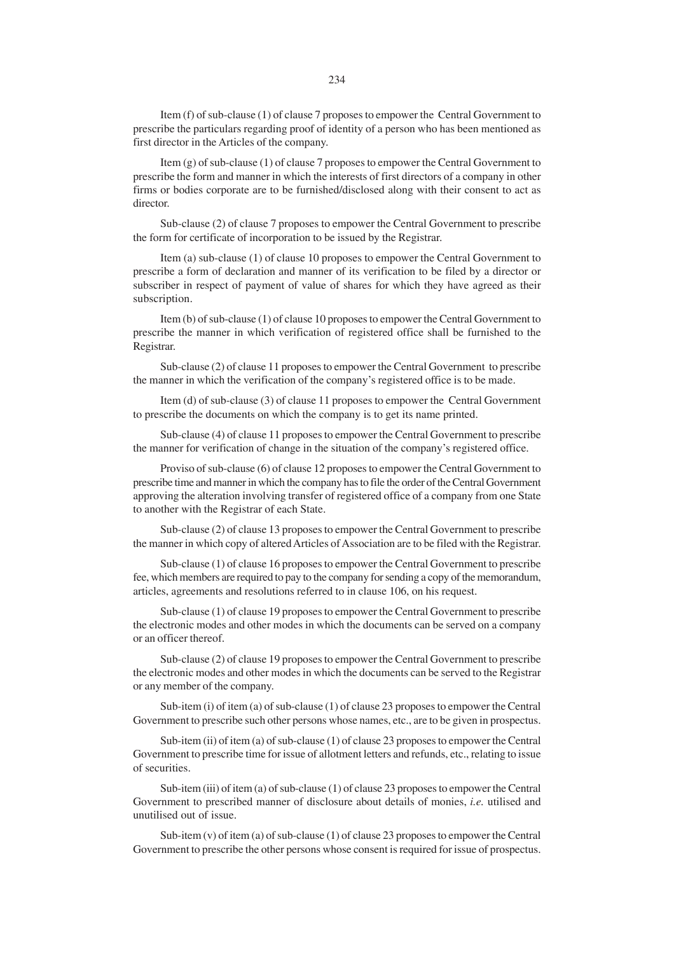Item (f) of sub-clause (1) of clause 7 proposes to empower the Central Government to prescribe the particulars regarding proof of identity of a person who has been mentioned as first director in the Articles of the company.

Item (g) of sub-clause (1) of clause 7 proposes to empower the Central Government to prescribe the form and manner in which the interests of first directors of a company in other firms or bodies corporate are to be furnished/disclosed along with their consent to act as director.

Sub-clause (2) of clause 7 proposes to empower the Central Government to prescribe the form for certificate of incorporation to be issued by the Registrar.

Item (a) sub-clause (1) of clause 10 proposes to empower the Central Government to prescribe a form of declaration and manner of its verification to be filed by a director or subscriber in respect of payment of value of shares for which they have agreed as their subscription.

Item (b) of sub-clause (1) of clause 10 proposes to empower the Central Government to prescribe the manner in which verification of registered office shall be furnished to the Registrar.

Sub-clause (2) of clause 11 proposes to empower the Central Government to prescribe the manner in which the verification of the company's registered office is to be made.

Item (d) of sub-clause (3) of clause 11 proposes to empower the Central Government to prescribe the documents on which the company is to get its name printed.

Sub-clause (4) of clause 11 proposes to empower the Central Government to prescribe the manner for verification of change in the situation of the company's registered office.

Proviso of sub-clause (6) of clause 12 proposes to empower the Central Government to prescribe time and manner in which the company has to file the order of the Central Government approving the alteration involving transfer of registered office of a company from one State to another with the Registrar of each State.

Sub-clause (2) of clause 13 proposes to empower the Central Government to prescribe the manner in which copy of altered Articles of Association are to be filed with the Registrar.

Sub-clause (1) of clause 16 proposes to empower the Central Government to prescribe fee, which members are required to pay to the company for sending a copy of the memorandum, articles, agreements and resolutions referred to in clause 106, on his request.

Sub-clause (1) of clause 19 proposes to empower the Central Government to prescribe the electronic modes and other modes in which the documents can be served on a company or an officer thereof.

Sub-clause (2) of clause 19 proposes to empower the Central Government to prescribe the electronic modes and other modes in which the documents can be served to the Registrar or any member of the company.

Sub-item (i) of item (a) of sub-clause (1) of clause 23 proposes to empower the Central Government to prescribe such other persons whose names, etc., are to be given in prospectus.

Sub-item (ii) of item (a) of sub-clause (1) of clause 23 proposes to empower the Central Government to prescribe time for issue of allotment letters and refunds, etc., relating to issue of securities.

Sub-item (iii) of item (a) of sub-clause (1) of clause 23 proposes to empower the Central Government to prescribed manner of disclosure about details of monies, *i.e.* utilised and unutilised out of issue.

Sub-item (v) of item (a) of sub-clause (1) of clause 23 proposes to empower the Central Government to prescribe the other persons whose consent is required for issue of prospectus.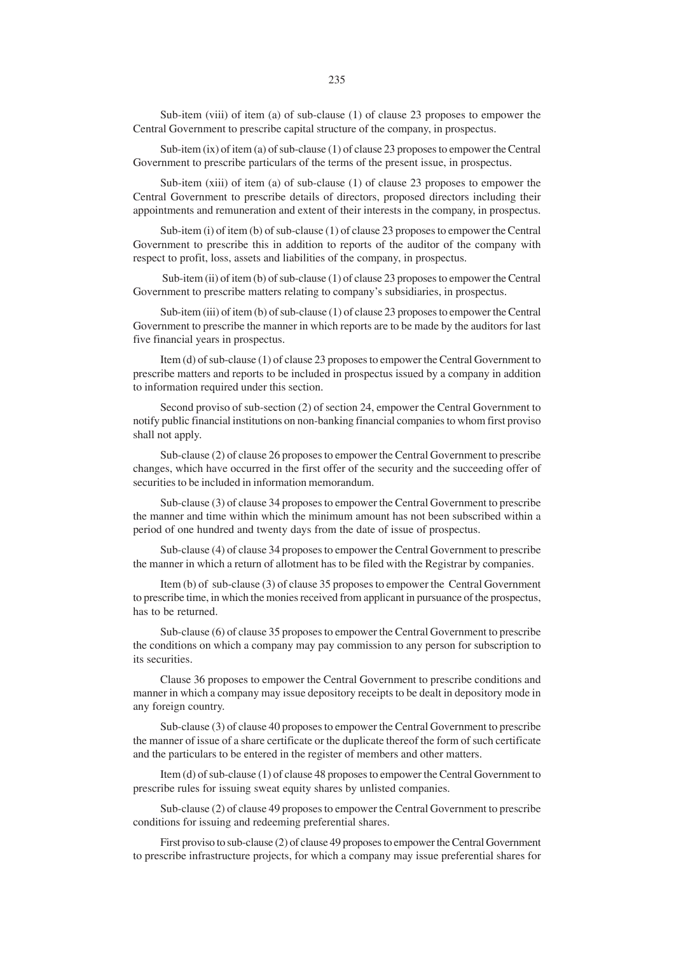Sub-item (viii) of item (a) of sub-clause (1) of clause 23 proposes to empower the Central Government to prescribe capital structure of the company, in prospectus.

Sub-item (ix) of item (a) of sub-clause (1) of clause 23 proposes to empower the Central Government to prescribe particulars of the terms of the present issue, in prospectus.

Sub-item (xiii) of item (a) of sub-clause (1) of clause 23 proposes to empower the Central Government to prescribe details of directors, proposed directors including their appointments and remuneration and extent of their interests in the company, in prospectus.

Sub-item (i) of item (b) of sub-clause (1) of clause 23 proposes to empower the Central Government to prescribe this in addition to reports of the auditor of the company with respect to profit, loss, assets and liabilities of the company, in prospectus.

Sub-item (ii) of item (b) of sub-clause (1) of clause 23 proposes to empower the Central Government to prescribe matters relating to company's subsidiaries, in prospectus.

Sub-item (iii) of item (b) of sub-clause (1) of clause 23 proposes to empower the Central Government to prescribe the manner in which reports are to be made by the auditors for last five financial years in prospectus.

Item (d) of sub-clause (1) of clause 23 proposes to empower the Central Government to prescribe matters and reports to be included in prospectus issued by a company in addition to information required under this section.

Second proviso of sub-section (2) of section 24, empower the Central Government to notify public financial institutions on non-banking financial companies to whom first proviso shall not apply.

Sub-clause (2) of clause 26 proposes to empower the Central Government to prescribe changes, which have occurred in the first offer of the security and the succeeding offer of securities to be included in information memorandum.

Sub-clause (3) of clause 34 proposes to empower the Central Government to prescribe the manner and time within which the minimum amount has not been subscribed within a period of one hundred and twenty days from the date of issue of prospectus.

Sub-clause (4) of clause 34 proposes to empower the Central Government to prescribe the manner in which a return of allotment has to be filed with the Registrar by companies.

Item (b) of sub-clause (3) of clause 35 proposes to empower the Central Government to prescribe time, in which the monies received from applicant in pursuance of the prospectus, has to be returned.

Sub-clause (6) of clause 35 proposes to empower the Central Government to prescribe the conditions on which a company may pay commission to any person for subscription to its securities.

Clause 36 proposes to empower the Central Government to prescribe conditions and manner in which a company may issue depository receipts to be dealt in depository mode in any foreign country.

Sub-clause (3) of clause 40 proposes to empower the Central Government to prescribe the manner of issue of a share certificate or the duplicate thereof the form of such certificate and the particulars to be entered in the register of members and other matters.

Item (d) of sub-clause (1) of clause 48 proposes to empower the Central Government to prescribe rules for issuing sweat equity shares by unlisted companies.

Sub-clause (2) of clause 49 proposes to empower the Central Government to prescribe conditions for issuing and redeeming preferential shares.

First proviso to sub-clause (2) of clause 49 proposes to empower the Central Government to prescribe infrastructure projects, for which a company may issue preferential shares for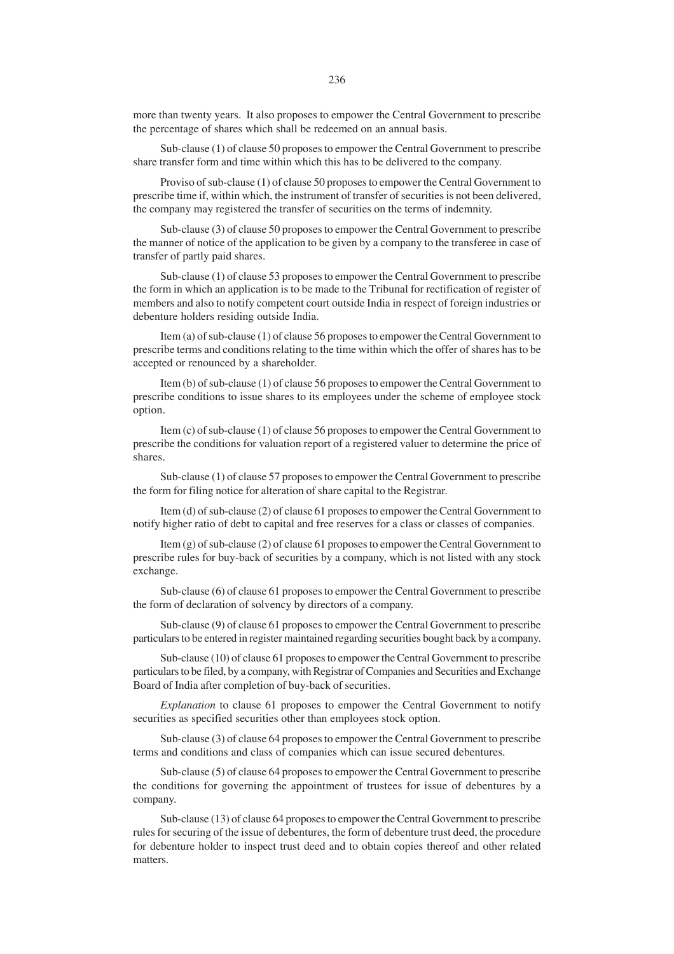more than twenty years. It also proposes to empower the Central Government to prescribe the percentage of shares which shall be redeemed on an annual basis.

Sub-clause (1) of clause 50 proposes to empower the Central Government to prescribe share transfer form and time within which this has to be delivered to the company.

Proviso of sub-clause (1) of clause 50 proposes to empower the Central Government to prescribe time if, within which, the instrument of transfer of securities is not been delivered, the company may registered the transfer of securities on the terms of indemnity.

Sub-clause (3) of clause 50 proposes to empower the Central Government to prescribe the manner of notice of the application to be given by a company to the transferee in case of transfer of partly paid shares.

Sub-clause (1) of clause 53 proposes to empower the Central Government to prescribe the form in which an application is to be made to the Tribunal for rectification of register of members and also to notify competent court outside India in respect of foreign industries or debenture holders residing outside India.

Item (a) of sub-clause (1) of clause 56 proposes to empower the Central Government to prescribe terms and conditions relating to the time within which the offer of shares has to be accepted or renounced by a shareholder.

Item (b) of sub-clause (1) of clause 56 proposes to empower the Central Government to prescribe conditions to issue shares to its employees under the scheme of employee stock option.

Item (c) of sub-clause (1) of clause 56 proposes to empower the Central Government to prescribe the conditions for valuation report of a registered valuer to determine the price of shares.

Sub-clause (1) of clause 57 proposes to empower the Central Government to prescribe the form for filing notice for alteration of share capital to the Registrar.

Item (d) of sub-clause (2) of clause 61 proposes to empower the Central Government to notify higher ratio of debt to capital and free reserves for a class or classes of companies.

Item (g) of sub-clause (2) of clause 61 proposes to empower the Central Government to prescribe rules for buy-back of securities by a company, which is not listed with any stock exchange.

Sub-clause (6) of clause 61 proposes to empower the Central Government to prescribe the form of declaration of solvency by directors of a company.

Sub-clause (9) of clause 61 proposes to empower the Central Government to prescribe particulars to be entered in register maintained regarding securities bought back by a company.

Sub-clause (10) of clause 61 proposes to empower the Central Government to prescribe particulars to be filed, by a company, with Registrar of Companies and Securities and Exchange Board of India after completion of buy-back of securities.

*Explanation* to clause 61 proposes to empower the Central Government to notify securities as specified securities other than employees stock option.

Sub-clause (3) of clause 64 proposes to empower the Central Government to prescribe terms and conditions and class of companies which can issue secured debentures.

Sub-clause (5) of clause 64 proposes to empower the Central Government to prescribe the conditions for governing the appointment of trustees for issue of debentures by a company.

Sub-clause (13) of clause 64 proposes to empower the Central Government to prescribe rules for securing of the issue of debentures, the form of debenture trust deed, the procedure for debenture holder to inspect trust deed and to obtain copies thereof and other related matters.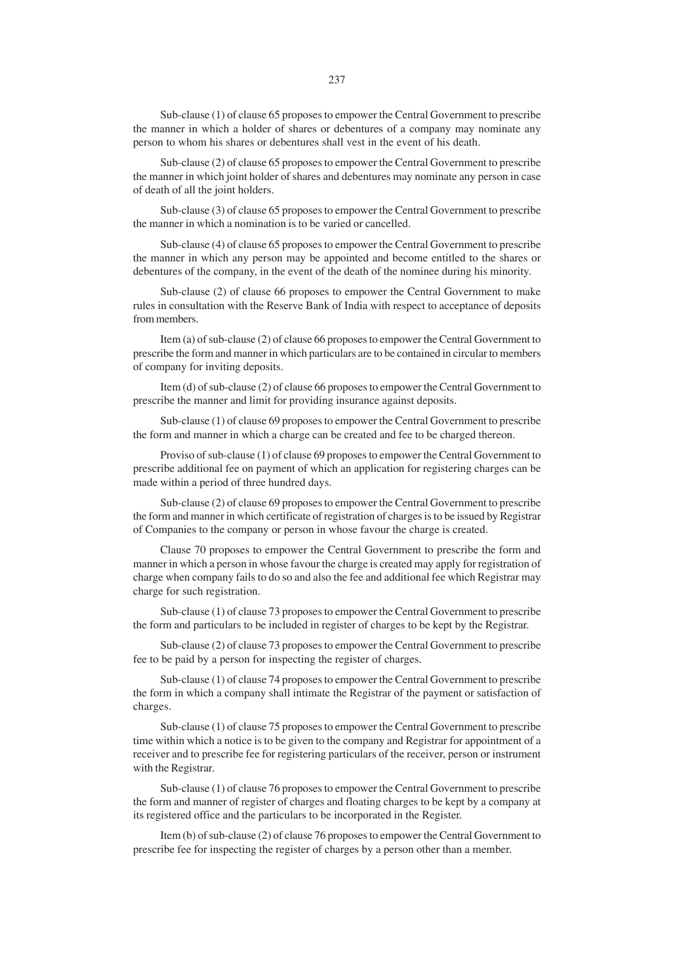Sub-clause (1) of clause 65 proposes to empower the Central Government to prescribe the manner in which a holder of shares or debentures of a company may nominate any person to whom his shares or debentures shall vest in the event of his death.

Sub-clause (2) of clause 65 proposes to empower the Central Government to prescribe the manner in which joint holder of shares and debentures may nominate any person in case of death of all the joint holders.

Sub-clause (3) of clause 65 proposes to empower the Central Government to prescribe the manner in which a nomination is to be varied or cancelled.

Sub-clause (4) of clause 65 proposes to empower the Central Government to prescribe the manner in which any person may be appointed and become entitled to the shares or debentures of the company, in the event of the death of the nominee during his minority.

Sub-clause (2) of clause 66 proposes to empower the Central Government to make rules in consultation with the Reserve Bank of India with respect to acceptance of deposits from members.

Item (a) of sub-clause (2) of clause 66 proposes to empower the Central Government to prescribe the form and manner in which particulars are to be contained in circular to members of company for inviting deposits.

Item (d) of sub-clause (2) of clause 66 proposes to empower the Central Government to prescribe the manner and limit for providing insurance against deposits.

Sub-clause (1) of clause 69 proposes to empower the Central Government to prescribe the form and manner in which a charge can be created and fee to be charged thereon.

Proviso of sub-clause (1) of clause 69 proposes to empower the Central Government to prescribe additional fee on payment of which an application for registering charges can be made within a period of three hundred days.

Sub-clause (2) of clause 69 proposes to empower the Central Government to prescribe the form and manner in which certificate of registration of charges is to be issued by Registrar of Companies to the company or person in whose favour the charge is created.

Clause 70 proposes to empower the Central Government to prescribe the form and manner in which a person in whose favour the charge is created may apply for registration of charge when company fails to do so and also the fee and additional fee which Registrar may charge for such registration.

Sub-clause (1) of clause 73 proposes to empower the Central Government to prescribe the form and particulars to be included in register of charges to be kept by the Registrar.

Sub-clause (2) of clause 73 proposes to empower the Central Government to prescribe fee to be paid by a person for inspecting the register of charges.

Sub-clause (1) of clause 74 proposes to empower the Central Government to prescribe the form in which a company shall intimate the Registrar of the payment or satisfaction of charges.

Sub-clause (1) of clause 75 proposes to empower the Central Government to prescribe time within which a notice is to be given to the company and Registrar for appointment of a receiver and to prescribe fee for registering particulars of the receiver, person or instrument with the Registrar.

Sub-clause (1) of clause 76 proposes to empower the Central Government to prescribe the form and manner of register of charges and floating charges to be kept by a company at its registered office and the particulars to be incorporated in the Register.

Item (b) of sub-clause (2) of clause 76 proposes to empower the Central Government to prescribe fee for inspecting the register of charges by a person other than a member.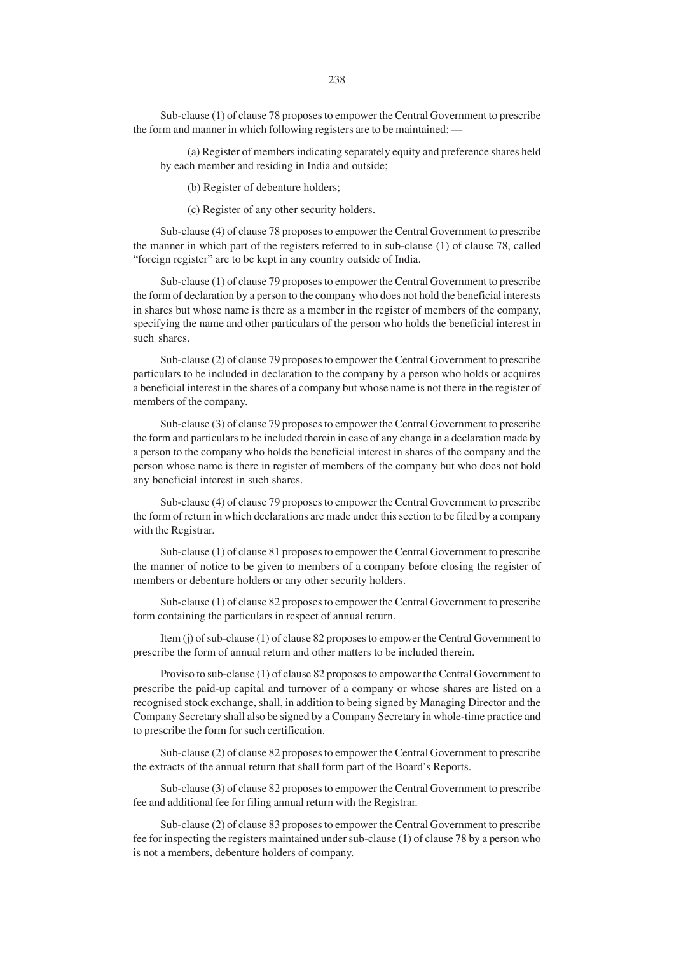Sub-clause (1) of clause 78 proposes to empower the Central Government to prescribe the form and manner in which following registers are to be maintained: —

(a) Register of members indicating separately equity and preference shares held by each member and residing in India and outside;

(b) Register of debenture holders;

(c) Register of any other security holders.

Sub-clause (4) of clause 78 proposes to empower the Central Government to prescribe the manner in which part of the registers referred to in sub-clause (1) of clause 78, called "foreign register" are to be kept in any country outside of India.

Sub-clause (1) of clause 79 proposes to empower the Central Government to prescribe the form of declaration by a person to the company who does not hold the beneficial interests in shares but whose name is there as a member in the register of members of the company, specifying the name and other particulars of the person who holds the beneficial interest in such shares.

Sub-clause (2) of clause 79 proposes to empower the Central Government to prescribe particulars to be included in declaration to the company by a person who holds or acquires a beneficial interest in the shares of a company but whose name is not there in the register of members of the company.

Sub-clause (3) of clause 79 proposes to empower the Central Government to prescribe the form and particulars to be included therein in case of any change in a declaration made by a person to the company who holds the beneficial interest in shares of the company and the person whose name is there in register of members of the company but who does not hold any beneficial interest in such shares.

Sub-clause (4) of clause 79 proposes to empower the Central Government to prescribe the form of return in which declarations are made under this section to be filed by a company with the Registrar.

Sub-clause (1) of clause 81 proposes to empower the Central Government to prescribe the manner of notice to be given to members of a company before closing the register of members or debenture holders or any other security holders.

Sub-clause (1) of clause 82 proposes to empower the Central Government to prescribe form containing the particulars in respect of annual return.

Item (j) of sub-clause (1) of clause 82 proposes to empower the Central Government to prescribe the form of annual return and other matters to be included therein.

Proviso to sub-clause (1) of clause 82 proposes to empower the Central Government to prescribe the paid-up capital and turnover of a company or whose shares are listed on a recognised stock exchange, shall, in addition to being signed by Managing Director and the Company Secretary shall also be signed by a Company Secretary in whole-time practice and to prescribe the form for such certification.

Sub-clause (2) of clause 82 proposes to empower the Central Government to prescribe the extracts of the annual return that shall form part of the Board's Reports.

Sub-clause (3) of clause 82 proposes to empower the Central Government to prescribe fee and additional fee for filing annual return with the Registrar.

Sub-clause (2) of clause 83 proposes to empower the Central Government to prescribe fee for inspecting the registers maintained under sub-clause (1) of clause 78 by a person who is not a members, debenture holders of company.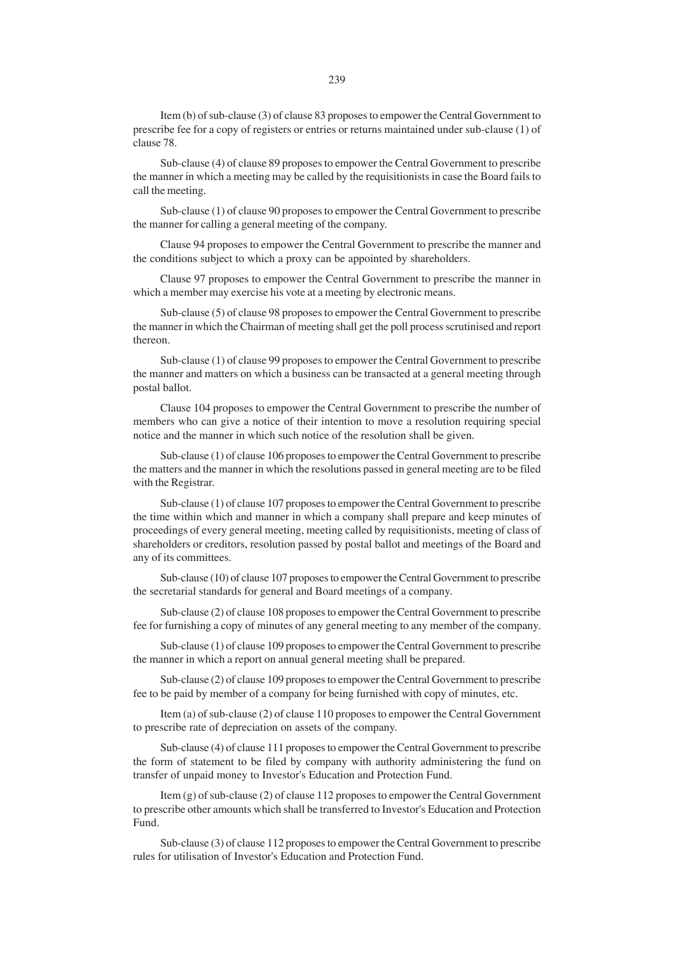Item (b) of sub-clause (3) of clause 83 proposes to empower the Central Government to prescribe fee for a copy of registers or entries or returns maintained under sub-clause (1) of clause 78.

Sub-clause (4) of clause 89 proposes to empower the Central Government to prescribe the manner in which a meeting may be called by the requisitionists in case the Board fails to call the meeting.

Sub-clause (1) of clause 90 proposes to empower the Central Government to prescribe the manner for calling a general meeting of the company.

Clause 94 proposes to empower the Central Government to prescribe the manner and the conditions subject to which a proxy can be appointed by shareholders.

Clause 97 proposes to empower the Central Government to prescribe the manner in which a member may exercise his vote at a meeting by electronic means.

Sub-clause (5) of clause 98 proposes to empower the Central Government to prescribe the manner in which the Chairman of meeting shall get the poll process scrutinised and report thereon.

Sub-clause (1) of clause 99 proposes to empower the Central Government to prescribe the manner and matters on which a business can be transacted at a general meeting through postal ballot.

Clause 104 proposes to empower the Central Government to prescribe the number of members who can give a notice of their intention to move a resolution requiring special notice and the manner in which such notice of the resolution shall be given.

Sub-clause (1) of clause 106 proposes to empower the Central Government to prescribe the matters and the manner in which the resolutions passed in general meeting are to be filed with the Registrar.

Sub-clause (1) of clause 107 proposes to empower the Central Government to prescribe the time within which and manner in which a company shall prepare and keep minutes of proceedings of every general meeting, meeting called by requisitionists, meeting of class of shareholders or creditors, resolution passed by postal ballot and meetings of the Board and any of its committees.

Sub-clause (10) of clause 107 proposes to empower the Central Government to prescribe the secretarial standards for general and Board meetings of a company.

Sub-clause (2) of clause 108 proposes to empower the Central Government to prescribe fee for furnishing a copy of minutes of any general meeting to any member of the company.

Sub-clause (1) of clause 109 proposes to empower the Central Government to prescribe the manner in which a report on annual general meeting shall be prepared.

Sub-clause (2) of clause 109 proposes to empower the Central Government to prescribe fee to be paid by member of a company for being furnished with copy of minutes, etc.

Item (a) of sub-clause (2) of clause 110 proposes to empower the Central Government to prescribe rate of depreciation on assets of the company.

Sub-clause (4) of clause 111 proposes to empower the Central Government to prescribe the form of statement to be filed by company with authority administering the fund on transfer of unpaid money to Investor's Education and Protection Fund.

Item (g) of sub-clause (2) of clause 112 proposes to empower the Central Government to prescribe other amounts which shall be transferred to Investor's Education and Protection Fund.

Sub-clause (3) of clause 112 proposes to empower the Central Government to prescribe rules for utilisation of Investor's Education and Protection Fund.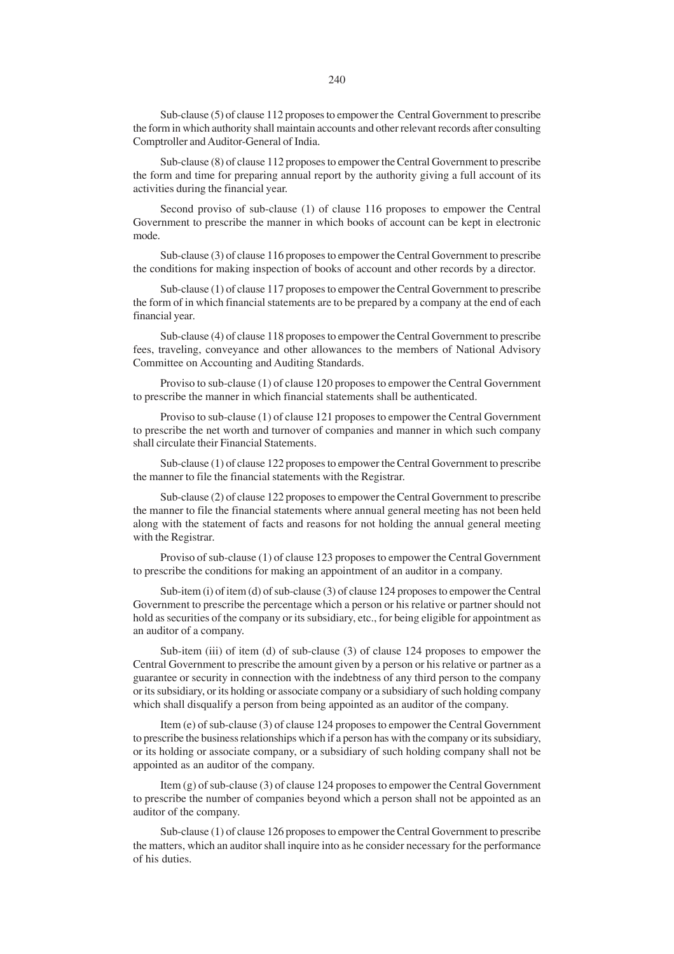Sub-clause (5) of clause 112 proposes to empower the Central Government to prescribe the form in which authority shall maintain accounts and other relevant records after consulting Comptroller and Auditor-General of India.

Sub-clause (8) of clause 112 proposes to empower the Central Government to prescribe the form and time for preparing annual report by the authority giving a full account of its activities during the financial year.

Second proviso of sub-clause (1) of clause 116 proposes to empower the Central Government to prescribe the manner in which books of account can be kept in electronic mode.

Sub-clause (3) of clause 116 proposes to empower the Central Government to prescribe the conditions for making inspection of books of account and other records by a director.

Sub-clause (1) of clause 117 proposes to empower the Central Government to prescribe the form of in which financial statements are to be prepared by a company at the end of each financial year.

Sub-clause (4) of clause 118 proposes to empower the Central Government to prescribe fees, traveling, conveyance and other allowances to the members of National Advisory Committee on Accounting and Auditing Standards.

Proviso to sub-clause (1) of clause 120 proposes to empower the Central Government to prescribe the manner in which financial statements shall be authenticated.

Proviso to sub-clause (1) of clause 121 proposes to empower the Central Government to prescribe the net worth and turnover of companies and manner in which such company shall circulate their Financial Statements.

Sub-clause (1) of clause 122 proposes to empower the Central Government to prescribe the manner to file the financial statements with the Registrar.

Sub-clause (2) of clause 122 proposes to empower the Central Government to prescribe the manner to file the financial statements where annual general meeting has not been held along with the statement of facts and reasons for not holding the annual general meeting with the Registrar.

Proviso of sub-clause (1) of clause 123 proposes to empower the Central Government to prescribe the conditions for making an appointment of an auditor in a company.

Sub-item (i) of item (d) of sub-clause (3) of clause 124 proposes to empower the Central Government to prescribe the percentage which a person or his relative or partner should not hold as securities of the company or its subsidiary, etc., for being eligible for appointment as an auditor of a company.

Sub-item (iii) of item (d) of sub-clause (3) of clause 124 proposes to empower the Central Government to prescribe the amount given by a person or his relative or partner as a guarantee or security in connection with the indebtness of any third person to the company or its subsidiary, or its holding or associate company or a subsidiary of such holding company which shall disqualify a person from being appointed as an auditor of the company.

Item (e) of sub-clause (3) of clause 124 proposes to empower the Central Government to prescribe the business relationships which if a person has with the company or its subsidiary, or its holding or associate company, or a subsidiary of such holding company shall not be appointed as an auditor of the company.

Item (g) of sub-clause (3) of clause 124 proposes to empower the Central Government to prescribe the number of companies beyond which a person shall not be appointed as an auditor of the company.

Sub-clause (1) of clause 126 proposes to empower the Central Government to prescribe the matters, which an auditor shall inquire into as he consider necessary for the performance of his duties.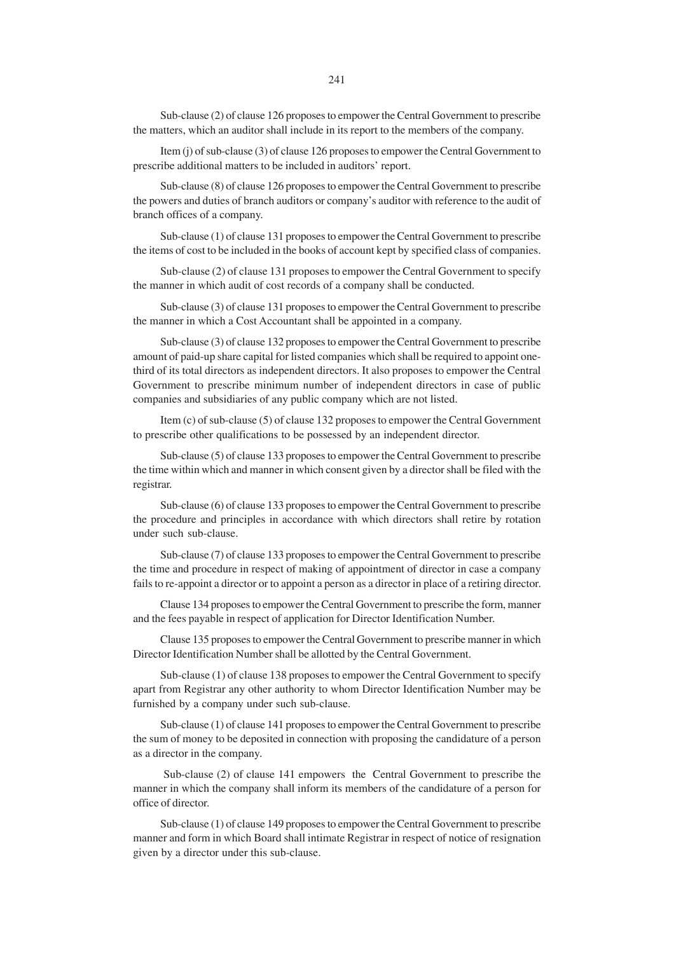Sub-clause (2) of clause 126 proposes to empower the Central Government to prescribe the matters, which an auditor shall include in its report to the members of the company.

Item (j) of sub-clause (3) of clause 126 proposes to empower the Central Government to prescribe additional matters to be included in auditors' report.

Sub-clause (8) of clause 126 proposes to empower the Central Government to prescribe the powers and duties of branch auditors or company's auditor with reference to the audit of branch offices of a company.

Sub-clause (1) of clause 131 proposes to empower the Central Government to prescribe the items of cost to be included in the books of account kept by specified class of companies.

Sub-clause (2) of clause 131 proposes to empower the Central Government to specify the manner in which audit of cost records of a company shall be conducted.

Sub-clause (3) of clause 131 proposes to empower the Central Government to prescribe the manner in which a Cost Accountant shall be appointed in a company.

Sub-clause (3) of clause 132 proposes to empower the Central Government to prescribe amount of paid-up share capital for listed companies which shall be required to appoint onethird of its total directors as independent directors. It also proposes to empower the Central Government to prescribe minimum number of independent directors in case of public companies and subsidiaries of any public company which are not listed.

Item (c) of sub-clause (5) of clause 132 proposes to empower the Central Government to prescribe other qualifications to be possessed by an independent director.

Sub-clause (5) of clause 133 proposes to empower the Central Government to prescribe the time within which and manner in which consent given by a director shall be filed with the registrar.

Sub-clause (6) of clause 133 proposes to empower the Central Government to prescribe the procedure and principles in accordance with which directors shall retire by rotation under such sub-clause.

Sub-clause (7) of clause 133 proposes to empower the Central Government to prescribe the time and procedure in respect of making of appointment of director in case a company fails to re-appoint a director or to appoint a person as a director in place of a retiring director.

Clause 134 proposes to empower the Central Government to prescribe the form, manner and the fees payable in respect of application for Director Identification Number.

Clause 135 proposes to empower the Central Government to prescribe manner in which Director Identification Number shall be allotted by the Central Government.

Sub-clause (1) of clause 138 proposes to empower the Central Government to specify apart from Registrar any other authority to whom Director Identification Number may be furnished by a company under such sub-clause.

Sub-clause (1) of clause 141 proposes to empower the Central Government to prescribe the sum of money to be deposited in connection with proposing the candidature of a person as a director in the company.

 Sub-clause (2) of clause 141 empowers the Central Government to prescribe the manner in which the company shall inform its members of the candidature of a person for office of director.

Sub-clause (1) of clause 149 proposes to empower the Central Government to prescribe manner and form in which Board shall intimate Registrar in respect of notice of resignation given by a director under this sub-clause.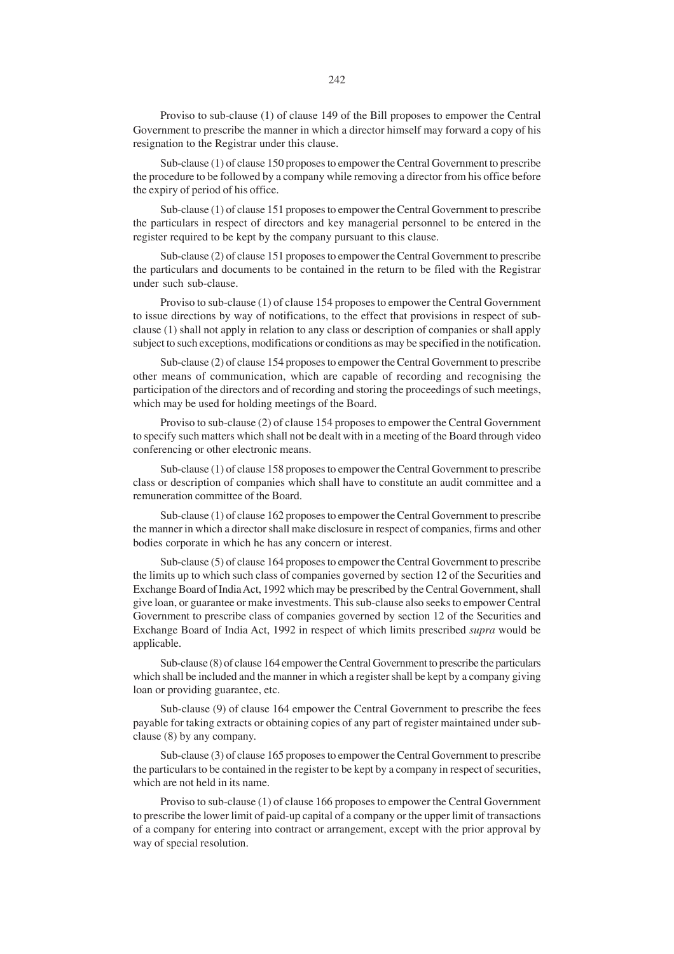Proviso to sub-clause (1) of clause 149 of the Bill proposes to empower the Central Government to prescribe the manner in which a director himself may forward a copy of his resignation to the Registrar under this clause.

Sub-clause (1) of clause 150 proposes to empower the Central Government to prescribe the procedure to be followed by a company while removing a director from his office before the expiry of period of his office.

Sub-clause (1) of clause 151 proposes to empower the Central Government to prescribe the particulars in respect of directors and key managerial personnel to be entered in the register required to be kept by the company pursuant to this clause.

Sub-clause (2) of clause 151 proposes to empower the Central Government to prescribe the particulars and documents to be contained in the return to be filed with the Registrar under such sub-clause.

Proviso to sub-clause (1) of clause 154 proposes to empower the Central Government to issue directions by way of notifications, to the effect that provisions in respect of subclause (1) shall not apply in relation to any class or description of companies or shall apply subject to such exceptions, modifications or conditions as may be specified in the notification.

Sub-clause (2) of clause 154 proposes to empower the Central Government to prescribe other means of communication, which are capable of recording and recognising the participation of the directors and of recording and storing the proceedings of such meetings, which may be used for holding meetings of the Board.

Proviso to sub-clause (2) of clause 154 proposes to empower the Central Government to specify such matters which shall not be dealt with in a meeting of the Board through video conferencing or other electronic means.

Sub-clause (1) of clause 158 proposes to empower the Central Government to prescribe class or description of companies which shall have to constitute an audit committee and a remuneration committee of the Board.

Sub-clause (1) of clause 162 proposes to empower the Central Government to prescribe the manner in which a director shall make disclosure in respect of companies, firms and other bodies corporate in which he has any concern or interest.

Sub-clause (5) of clause 164 proposes to empower the Central Government to prescribe the limits up to which such class of companies governed by section 12 of the Securities and Exchange Board of India Act, 1992 which may be prescribed by the Central Government, shall give loan, or guarantee or make investments. This sub-clause also seeks to empower Central Government to prescribe class of companies governed by section 12 of the Securities and Exchange Board of India Act, 1992 in respect of which limits prescribed *supra* would be applicable.

Sub-clause (8) of clause 164 empower the Central Government to prescribe the particulars which shall be included and the manner in which a register shall be kept by a company giving loan or providing guarantee, etc.

Sub-clause (9) of clause 164 empower the Central Government to prescribe the fees payable for taking extracts or obtaining copies of any part of register maintained under subclause (8) by any company.

Sub-clause (3) of clause 165 proposes to empower the Central Government to prescribe the particulars to be contained in the register to be kept by a company in respect of securities, which are not held in its name.

Proviso to sub-clause (1) of clause 166 proposes to empower the Central Government to prescribe the lower limit of paid-up capital of a company or the upper limit of transactions of a company for entering into contract or arrangement, except with the prior approval by way of special resolution.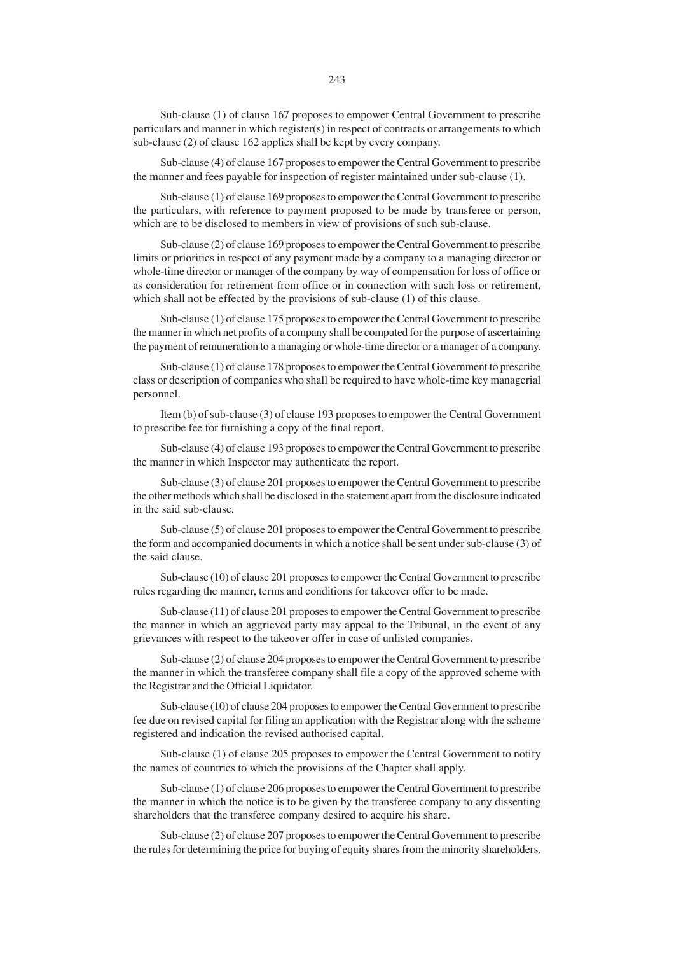Sub-clause (1) of clause 167 proposes to empower Central Government to prescribe particulars and manner in which register(s) in respect of contracts or arrangements to which sub-clause (2) of clause 162 applies shall be kept by every company.

Sub-clause (4) of clause 167 proposes to empower the Central Government to prescribe the manner and fees payable for inspection of register maintained under sub-clause (1).

Sub-clause (1) of clause 169 proposes to empower the Central Government to prescribe the particulars, with reference to payment proposed to be made by transferee or person, which are to be disclosed to members in view of provisions of such sub-clause.

Sub-clause (2) of clause 169 proposes to empower the Central Government to prescribe limits or priorities in respect of any payment made by a company to a managing director or whole-time director or manager of the company by way of compensation for loss of office or as consideration for retirement from office or in connection with such loss or retirement, which shall not be effected by the provisions of sub-clause (1) of this clause.

Sub-clause (1) of clause 175 proposes to empower the Central Government to prescribe the manner in which net profits of a company shall be computed for the purpose of ascertaining the payment of remuneration to a managing or whole-time director or a manager of a company.

Sub-clause (1) of clause 178 proposes to empower the Central Government to prescribe class or description of companies who shall be required to have whole-time key managerial personnel.

Item (b) of sub-clause (3) of clause 193 proposes to empower the Central Government to prescribe fee for furnishing a copy of the final report.

Sub-clause (4) of clause 193 proposes to empower the Central Government to prescribe the manner in which Inspector may authenticate the report.

Sub-clause (3) of clause 201 proposes to empower the Central Government to prescribe the other methods which shall be disclosed in the statement apart from the disclosure indicated in the said sub-clause.

Sub-clause (5) of clause 201 proposes to empower the Central Government to prescribe the form and accompanied documents in which a notice shall be sent under sub-clause (3) of the said clause.

Sub-clause (10) of clause 201 proposes to empower the Central Government to prescribe rules regarding the manner, terms and conditions for takeover offer to be made.

Sub-clause (11) of clause 201 proposes to empower the Central Government to prescribe the manner in which an aggrieved party may appeal to the Tribunal, in the event of any grievances with respect to the takeover offer in case of unlisted companies.

Sub-clause (2) of clause 204 proposes to empower the Central Government to prescribe the manner in which the transferee company shall file a copy of the approved scheme with the Registrar and the Official Liquidator.

Sub-clause (10) of clause 204 proposes to empower the Central Government to prescribe fee due on revised capital for filing an application with the Registrar along with the scheme registered and indication the revised authorised capital.

Sub-clause (1) of clause 205 proposes to empower the Central Government to notify the names of countries to which the provisions of the Chapter shall apply.

Sub-clause (1) of clause 206 proposes to empower the Central Government to prescribe the manner in which the notice is to be given by the transferee company to any dissenting shareholders that the transferee company desired to acquire his share.

Sub-clause (2) of clause 207 proposes to empower the Central Government to prescribe the rules for determining the price for buying of equity shares from the minority shareholders.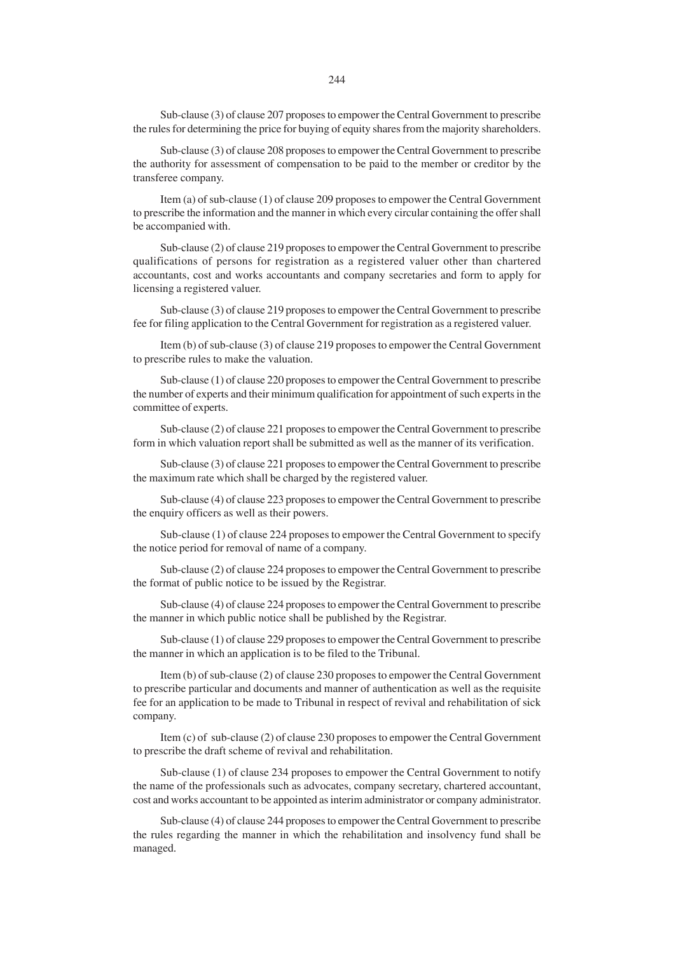Sub-clause (3) of clause 207 proposes to empower the Central Government to prescribe the rules for determining the price for buying of equity shares from the majority shareholders.

Sub-clause (3) of clause 208 proposes to empower the Central Government to prescribe the authority for assessment of compensation to be paid to the member or creditor by the transferee company.

Item (a) of sub-clause (1) of clause 209 proposes to empower the Central Government to prescribe the information and the manner in which every circular containing the offer shall be accompanied with.

Sub-clause (2) of clause 219 proposes to empower the Central Government to prescribe qualifications of persons for registration as a registered valuer other than chartered accountants, cost and works accountants and company secretaries and form to apply for licensing a registered valuer.

Sub-clause (3) of clause 219 proposes to empower the Central Government to prescribe fee for filing application to the Central Government for registration as a registered valuer.

Item (b) of sub-clause (3) of clause 219 proposes to empower the Central Government to prescribe rules to make the valuation.

Sub-clause (1) of clause 220 proposes to empower the Central Government to prescribe the number of experts and their minimum qualification for appointment of such experts in the committee of experts.

Sub-clause (2) of clause 221 proposes to empower the Central Government to prescribe form in which valuation report shall be submitted as well as the manner of its verification.

Sub-clause (3) of clause 221 proposes to empower the Central Government to prescribe the maximum rate which shall be charged by the registered valuer.

Sub-clause (4) of clause 223 proposes to empower the Central Government to prescribe the enquiry officers as well as their powers.

Sub-clause (1) of clause 224 proposes to empower the Central Government to specify the notice period for removal of name of a company.

Sub-clause (2) of clause 224 proposes to empower the Central Government to prescribe the format of public notice to be issued by the Registrar.

Sub-clause (4) of clause 224 proposes to empower the Central Government to prescribe the manner in which public notice shall be published by the Registrar.

Sub-clause (1) of clause 229 proposes to empower the Central Government to prescribe the manner in which an application is to be filed to the Tribunal.

Item (b) of sub-clause (2) of clause 230 proposes to empower the Central Government to prescribe particular and documents and manner of authentication as well as the requisite fee for an application to be made to Tribunal in respect of revival and rehabilitation of sick company.

Item (c) of sub-clause (2) of clause 230 proposes to empower the Central Government to prescribe the draft scheme of revival and rehabilitation.

Sub-clause (1) of clause 234 proposes to empower the Central Government to notify the name of the professionals such as advocates, company secretary, chartered accountant, cost and works accountant to be appointed as interim administrator or company administrator.

Sub-clause (4) of clause 244 proposes to empower the Central Government to prescribe the rules regarding the manner in which the rehabilitation and insolvency fund shall be managed.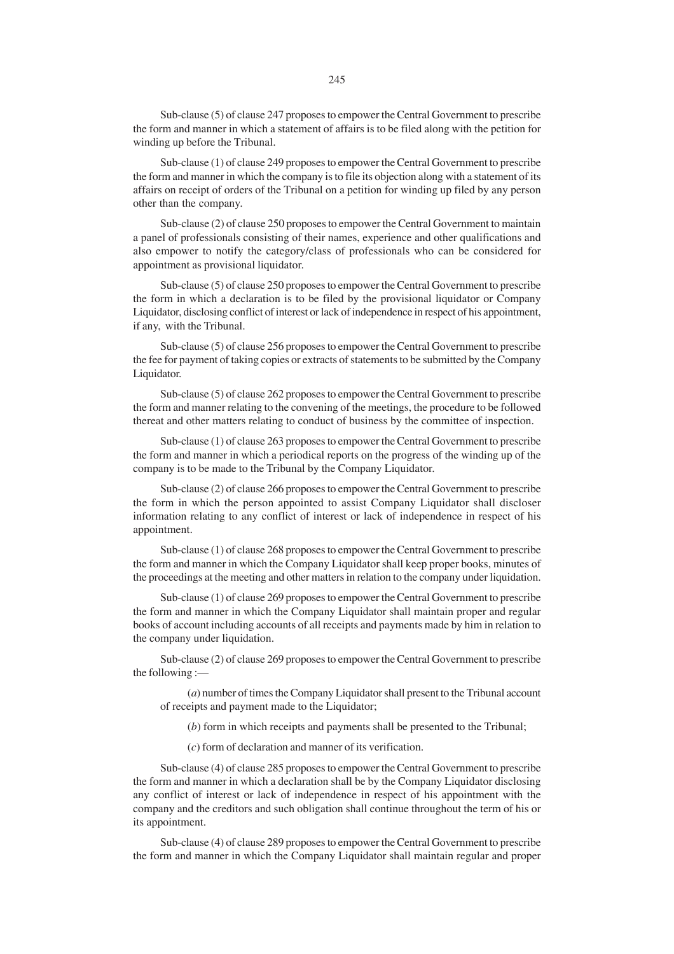Sub-clause (5) of clause 247 proposes to empower the Central Government to prescribe the form and manner in which a statement of affairs is to be filed along with the petition for winding up before the Tribunal.

Sub-clause (1) of clause 249 proposes to empower the Central Government to prescribe the form and manner in which the company is to file its objection along with a statement of its affairs on receipt of orders of the Tribunal on a petition for winding up filed by any person other than the company.

Sub-clause (2) of clause 250 proposes to empower the Central Government to maintain a panel of professionals consisting of their names, experience and other qualifications and also empower to notify the category/class of professionals who can be considered for appointment as provisional liquidator.

Sub-clause (5) of clause 250 proposes to empower the Central Government to prescribe the form in which a declaration is to be filed by the provisional liquidator or Company Liquidator, disclosing conflict of interest or lack of independence in respect of his appointment, if any, with the Tribunal.

Sub-clause (5) of clause 256 proposes to empower the Central Government to prescribe the fee for payment of taking copies or extracts of statements to be submitted by the Company Liquidator.

Sub-clause (5) of clause 262 proposes to empower the Central Government to prescribe the form and manner relating to the convening of the meetings, the procedure to be followed thereat and other matters relating to conduct of business by the committee of inspection.

Sub-clause (1) of clause 263 proposes to empower the Central Government to prescribe the form and manner in which a periodical reports on the progress of the winding up of the company is to be made to the Tribunal by the Company Liquidator.

Sub-clause (2) of clause 266 proposes to empower the Central Government to prescribe the form in which the person appointed to assist Company Liquidator shall discloser information relating to any conflict of interest or lack of independence in respect of his appointment.

Sub-clause (1) of clause 268 proposes to empower the Central Government to prescribe the form and manner in which the Company Liquidator shall keep proper books, minutes of the proceedings at the meeting and other matters in relation to the company under liquidation.

Sub-clause (1) of clause 269 proposes to empower the Central Government to prescribe the form and manner in which the Company Liquidator shall maintain proper and regular books of account including accounts of all receipts and payments made by him in relation to the company under liquidation.

Sub-clause (2) of clause 269 proposes to empower the Central Government to prescribe the following :—

(*a*) number of times the Company Liquidator shall present to the Tribunal account of receipts and payment made to the Liquidator;

(*b*) form in which receipts and payments shall be presented to the Tribunal;

(*c*) form of declaration and manner of its verification.

Sub-clause (4) of clause 285 proposes to empower the Central Government to prescribe the form and manner in which a declaration shall be by the Company Liquidator disclosing any conflict of interest or lack of independence in respect of his appointment with the company and the creditors and such obligation shall continue throughout the term of his or its appointment.

Sub-clause (4) of clause 289 proposes to empower the Central Government to prescribe the form and manner in which the Company Liquidator shall maintain regular and proper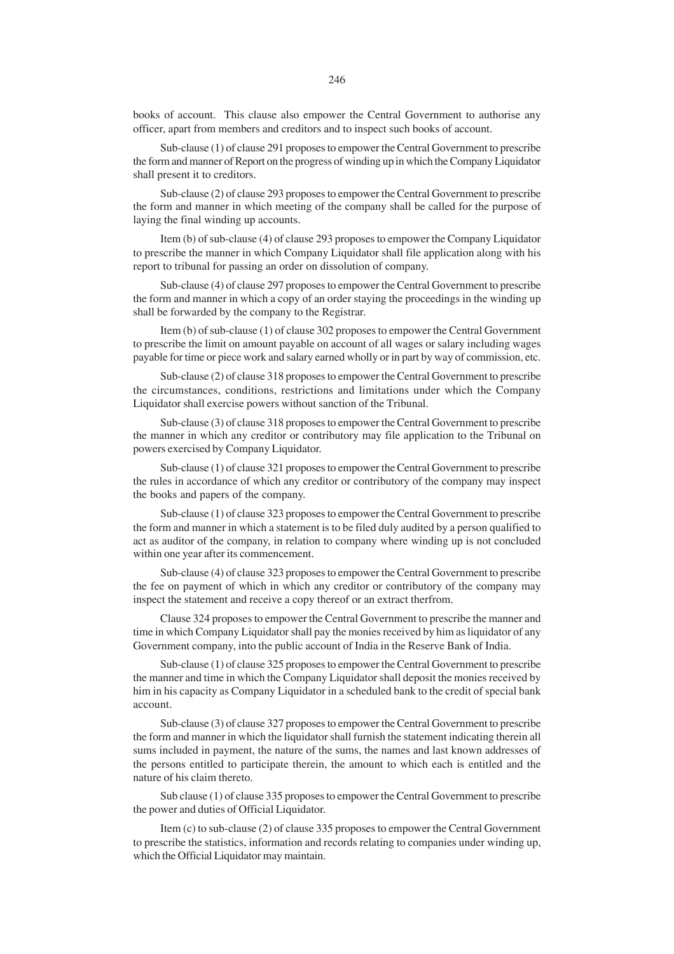Sub-clause (1) of clause 291 proposes to empower the Central Government to prescribe the form and manner of Report on the progress of winding up in which the Company Liquidator shall present it to creditors.

Sub-clause (2) of clause 293 proposes to empower the Central Government to prescribe the form and manner in which meeting of the company shall be called for the purpose of laying the final winding up accounts.

Item (b) of sub-clause (4) of clause 293 proposes to empower the Company Liquidator to prescribe the manner in which Company Liquidator shall file application along with his report to tribunal for passing an order on dissolution of company.

Sub-clause (4) of clause 297 proposes to empower the Central Government to prescribe the form and manner in which a copy of an order staying the proceedings in the winding up shall be forwarded by the company to the Registrar.

Item (b) of sub-clause (1) of clause 302 proposes to empower the Central Government to prescribe the limit on amount payable on account of all wages or salary including wages payable for time or piece work and salary earned wholly or in part by way of commission, etc.

Sub-clause (2) of clause 318 proposes to empower the Central Government to prescribe the circumstances, conditions, restrictions and limitations under which the Company Liquidator shall exercise powers without sanction of the Tribunal.

Sub-clause (3) of clause 318 proposes to empower the Central Government to prescribe the manner in which any creditor or contributory may file application to the Tribunal on powers exercised by Company Liquidator.

Sub-clause (1) of clause 321 proposes to empower the Central Government to prescribe the rules in accordance of which any creditor or contributory of the company may inspect the books and papers of the company.

Sub-clause (1) of clause 323 proposes to empower the Central Government to prescribe the form and manner in which a statement is to be filed duly audited by a person qualified to act as auditor of the company, in relation to company where winding up is not concluded within one year after its commencement.

Sub-clause (4) of clause 323 proposes to empower the Central Government to prescribe the fee on payment of which in which any creditor or contributory of the company may inspect the statement and receive a copy thereof or an extract therfrom.

Clause 324 proposes to empower the Central Government to prescribe the manner and time in which Company Liquidator shall pay the monies received by him as liquidator of any Government company, into the public account of India in the Reserve Bank of India.

Sub-clause (1) of clause 325 proposes to empower the Central Government to prescribe the manner and time in which the Company Liquidator shall deposit the monies received by him in his capacity as Company Liquidator in a scheduled bank to the credit of special bank account.

Sub-clause (3) of clause 327 proposes to empower the Central Government to prescribe the form and manner in which the liquidator shall furnish the statement indicating therein all sums included in payment, the nature of the sums, the names and last known addresses of the persons entitled to participate therein, the amount to which each is entitled and the nature of his claim thereto.

Sub clause (1) of clause 335 proposes to empower the Central Government to prescribe the power and duties of Official Liquidator.

Item (c) to sub-clause (2) of clause 335 proposes to empower the Central Government to prescribe the statistics, information and records relating to companies under winding up, which the Official Liquidator may maintain.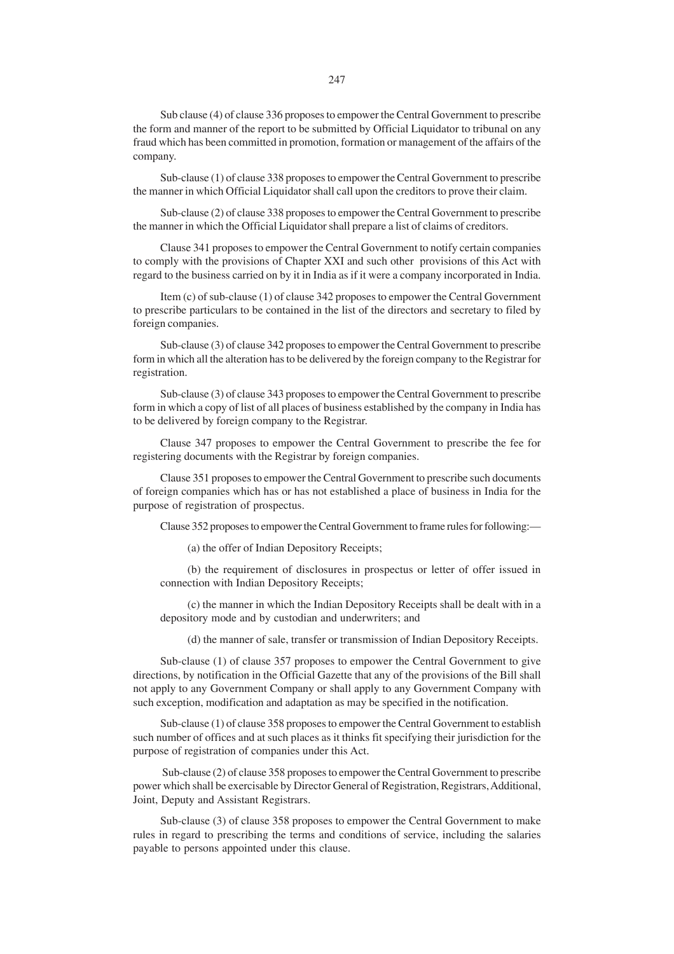Sub clause (4) of clause 336 proposes to empower the Central Government to prescribe the form and manner of the report to be submitted by Official Liquidator to tribunal on any fraud which has been committed in promotion, formation or management of the affairs of the company.

Sub-clause (1) of clause 338 proposes to empower the Central Government to prescribe the manner in which Official Liquidator shall call upon the creditors to prove their claim.

Sub-clause (2) of clause 338 proposes to empower the Central Government to prescribe the manner in which the Official Liquidator shall prepare a list of claims of creditors.

Clause 341 proposes to empower the Central Government to notify certain companies to comply with the provisions of Chapter XXI and such other provisions of this Act with regard to the business carried on by it in India as if it were a company incorporated in India.

Item (c) of sub-clause (1) of clause 342 proposes to empower the Central Government to prescribe particulars to be contained in the list of the directors and secretary to filed by foreign companies.

Sub-clause (3) of clause 342 proposes to empower the Central Government to prescribe form in which all the alteration has to be delivered by the foreign company to the Registrar for registration.

Sub-clause (3) of clause 343 proposes to empower the Central Government to prescribe form in which a copy of list of all places of business established by the company in India has to be delivered by foreign company to the Registrar.

Clause 347 proposes to empower the Central Government to prescribe the fee for registering documents with the Registrar by foreign companies.

Clause 351 proposes to empower the Central Government to prescribe such documents of foreign companies which has or has not established a place of business in India for the purpose of registration of prospectus.

Clause 352 proposes to empower the Central Government to frame rules for following:—

(a) the offer of Indian Depository Receipts;

(b) the requirement of disclosures in prospectus or letter of offer issued in connection with Indian Depository Receipts;

(c) the manner in which the Indian Depository Receipts shall be dealt with in a depository mode and by custodian and underwriters; and

(d) the manner of sale, transfer or transmission of Indian Depository Receipts.

Sub-clause (1) of clause 357 proposes to empower the Central Government to give directions, by notification in the Official Gazette that any of the provisions of the Bill shall not apply to any Government Company or shall apply to any Government Company with such exception, modification and adaptation as may be specified in the notification.

Sub-clause (1) of clause 358 proposes to empower the Central Government to establish such number of offices and at such places as it thinks fit specifying their jurisdiction for the purpose of registration of companies under this Act.

 Sub-clause (2) of clause 358 proposes to empower the Central Government to prescribe power which shall be exercisable by Director General of Registration, Registrars, Additional, Joint, Deputy and Assistant Registrars.

Sub-clause (3) of clause 358 proposes to empower the Central Government to make rules in regard to prescribing the terms and conditions of service, including the salaries payable to persons appointed under this clause.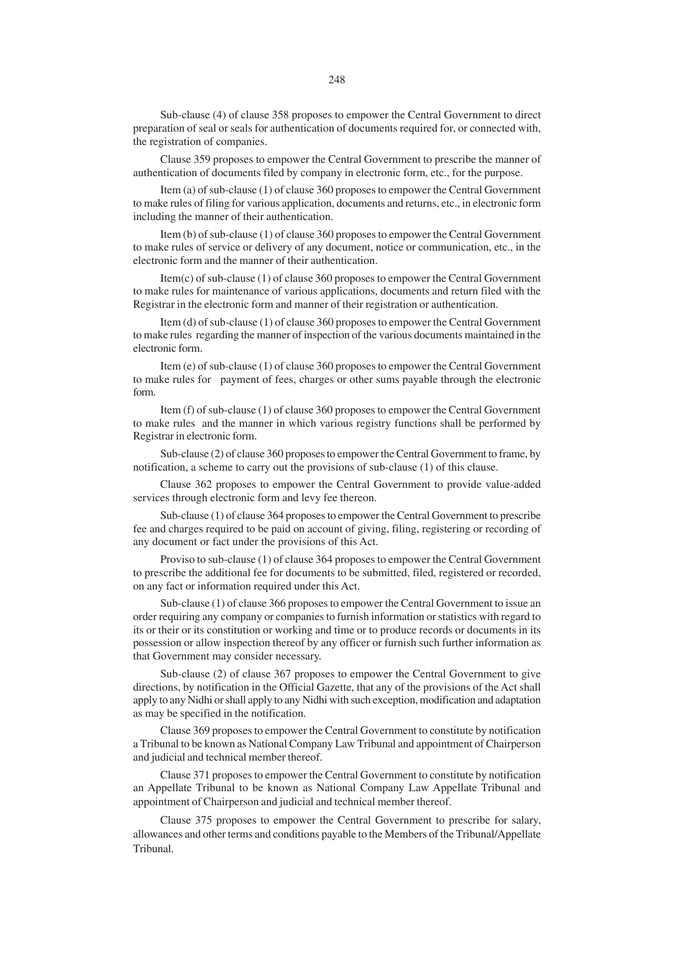Sub-clause (4) of clause 358 proposes to empower the Central Government to direct preparation of seal or seals for authentication of documents required for, or connected with, the registration of companies.

Clause 359 proposes to empower the Central Government to prescribe the manner of authentication of documents filed by company in electronic form, etc., for the purpose.

Item (a) of sub-clause (1) of clause 360 proposes to empower the Central Government to make rules of filing for various application, documents and returns, etc., in electronic form including the manner of their authentication.

Item (b) of sub-clause (1) of clause 360 proposes to empower the Central Government to make rules of service or delivery of any document, notice or communication, etc., in the electronic form and the manner of their authentication.

Item(c) of sub-clause (1) of clause 360 proposes to empower the Central Government to make rules for maintenance of various applications, documents and return filed with the Registrar in the electronic form and manner of their registration or authentication.

Item (d) of sub-clause (1) of clause 360 proposes to empower the Central Government to make rules regarding the manner of inspection of the various documents maintained in the electronic form.

Item (e) of sub-clause (1) of clause 360 proposes to empower the Central Government to make rules for payment of fees, charges or other sums payable through the electronic form.

Item (f) of sub-clause (1) of clause 360 proposes to empower the Central Government to make rules and the manner in which various registry functions shall be performed by Registrar in electronic form.

Sub-clause (2) of clause 360 proposes to empower the Central Government to frame, by notification, a scheme to carry out the provisions of sub-clause (1) of this clause.

Clause 362 proposes to empower the Central Government to provide value-added services through electronic form and levy fee thereon.

Sub-clause (1) of clause 364 proposes to empower the Central Government to prescribe fee and charges required to be paid on account of giving, filing, registering or recording of any document or fact under the provisions of this Act.

Proviso to sub-clause (1) of clause 364 proposes to empower the Central Government to prescribe the additional fee for documents to be submitted, filed, registered or recorded, on any fact or information required under this Act.

Sub-clause (1) of clause 366 proposes to empower the Central Government to issue an order requiring any company or companies to furnish information or statistics with regard to its or their or its constitution or working and time or to produce records or documents in its possession or allow inspection thereof by any officer or furnish such further information as that Government may consider necessary.

Sub-clause (2) of clause 367 proposes to empower the Central Government to give directions, by notification in the Official Gazette, that any of the provisions of the Act shall apply to any Nidhi or shall apply to any Nidhi with such exception, modification and adaptation as may be specified in the notification.

Clause 369 proposes to empower the Central Government to constitute by notification a Tribunal to be known as National Company Law Tribunal and appointment of Chairperson and judicial and technical member thereof.

Clause 371 proposes to empower the Central Government to constitute by notification an Appellate Tribunal to be known as National Company Law Appellate Tribunal and appointment of Chairperson and judicial and technical member thereof.

Clause 375 proposes to empower the Central Government to prescribe for salary, allowances and other terms and conditions payable to the Members of the Tribunal/Appellate Tribunal.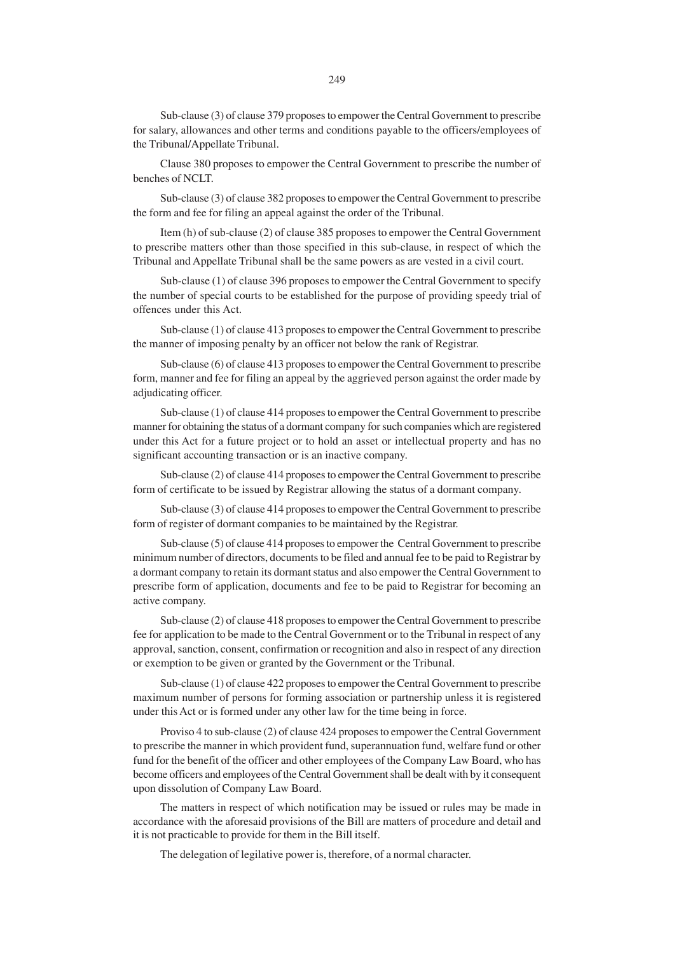Sub-clause (3) of clause 379 proposes to empower the Central Government to prescribe for salary, allowances and other terms and conditions payable to the officers/employees of the Tribunal/Appellate Tribunal.

Clause 380 proposes to empower the Central Government to prescribe the number of benches of NCLT.

Sub-clause (3) of clause 382 proposes to empower the Central Government to prescribe the form and fee for filing an appeal against the order of the Tribunal.

Item (h) of sub-clause (2) of clause 385 proposes to empower the Central Government to prescribe matters other than those specified in this sub-clause, in respect of which the Tribunal and Appellate Tribunal shall be the same powers as are vested in a civil court.

Sub-clause (1) of clause 396 proposes to empower the Central Government to specify the number of special courts to be established for the purpose of providing speedy trial of offences under this Act.

Sub-clause (1) of clause 413 proposes to empower the Central Government to prescribe the manner of imposing penalty by an officer not below the rank of Registrar.

Sub-clause (6) of clause 413 proposes to empower the Central Government to prescribe form, manner and fee for filing an appeal by the aggrieved person against the order made by adjudicating officer.

Sub-clause (1) of clause 414 proposes to empowerthe Central Government to prescribe manner for obtaining the status of a dormant company for such companies which are registered under this Act for a future project or to hold an asset or intellectual property and has no significant accounting transaction or is an inactive company.

Sub-clause (2) of clause 414 proposes to empower the Central Government to prescribe form of certificate to be issued by Registrar allowing the status of a dormant company.

Sub-clause (3) of clause 414 proposes to empower the Central Government to prescribe form of register of dormant companies to be maintained by the Registrar.

Sub-clause (5) of clause 414 proposes to empower the Central Government to prescribe minimum number of directors, documents to be filed and annual fee to be paid to Registrar by a dormant company to retain its dormant status and also empower the Central Government to prescribe form of application, documents and fee to be paid to Registrar for becoming an active company.

Sub-clause (2) of clause 418 proposes to empower the Central Government to prescribe fee for application to be made to the Central Government or to the Tribunal in respect of any approval, sanction, consent, confirmation or recognition and also in respect of any direction or exemption to be given or granted by the Government or the Tribunal.

Sub-clause (1) of clause 422 proposes to empower the Central Government to prescribe maximum number of persons for forming association or partnership unless it is registered under this Act or is formed under any other law for the time being in force.

Proviso 4 to sub-clause (2) of clause 424 proposes to empower the Central Government to prescribe the manner in which provident fund, superannuation fund, welfare fund or other fund for the benefit of the officer and other employees of the Company Law Board, who has become officers and employees of the Central Government shall be dealt with by it consequent upon dissolution of Company Law Board.

The matters in respect of which notification may be issued or rules may be made in accordance with the aforesaid provisions of the Bill are matters of procedure and detail and it is not practicable to provide for them in the Bill itself.

The delegation of legilative power is, therefore, of a normal character.